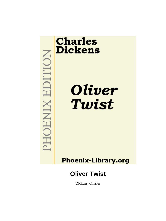

# **Charles Dickens**

Oliver Twist

**Phoenix-Library.org** 

## **Oliver Twist**

Dickens, Charles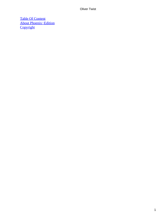[Table Of Content](#page-393-0) [About Phoenix−Edition](#page-397-0) **[Copyright](#page-400-0)**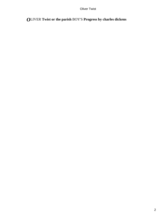## *O*LIVER **Twist or the parish** BOY'S **Progress by charles dickens**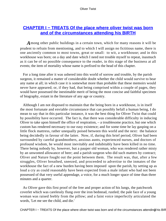## **CHAPTER I - TREATS Of the place where oliver twist was born [and of the circumstances attending his BIRTH](#page-393-0)**

*A*mong other public buildings in a certain town, which for many reasons it will be prudent to refrain from mentioning, and to which I will assign no fictitious name, there is one anciently common to most towns, great or small: to wit, a workhouse; and in this workhouse was born; on a day and date which I need not trouble myself to repeat, inasmuch as it can be of no possible consequence to the reader, in this stage of the business at all events; the item of mortality whose name is prefixed to the head of this chapter.

 For a long time after it was ushered into this world of sorrow and trouble, by the parish surgeon, it remained a matter of considerable doubt whether the child would survive to bear any name at all; in which case it is somewhat more than probable that these memoirs would never have appeared; or, if they had, that being comprised within a couple of pages, they would have possessed the inestimable merit of being the most concise and faithful specimen of biography, extant in the literature of any age or country.

 Although I am not disposed to maintain that the being born in a workhouse, is in itself the most fortunate and enviable circumstance that can possibly befall a human being, I do mean to say that in this particular instance, it was the best thing for Oliver Twist that could by possibility have occurred. The fact is, that there was considerable difficulty in inducing Oliver to take upon himself the office of respiration, – a troublesome practice, but one which custom has rendered necessary to our easy existence; and for some time he lay gasping on a little flock mattress, rather unequally poised between this world and the next: the balance being decidedly in favour of the latter. Now, if, during this brief period, Oliver had been surrounded by careful grandmothers, anxious aunts, experienced nurses, and doctors of profound wisdom, he would most inevitably and indubitably have been killed in no time. There being nobody by, however, but a pauper old woman, who was rendered rather misty by an unwonted allowance of beer; and a parish surgeon who did such matters by contract; Oliver and Nature fought out the point between them. The result was, that, after a few struggles, Oliver breathed, sneezed, and proceeded to advertise to the inmates of the workhouse the fact of a new burden having been imposed upon the parish, by setting up as loud a cry as could reasonably have been expected from a male infant who had not been possessed of that very useful appendage, a voice, for a much longer space of time than three minutes and a quarter.

 As Oliver gave this first proof of the free and proper action of his lungs, the patchwork coverlet which was carelessly flung over the iron bedstead, rustled; the pale face of a young woman was raised feebly from the pillow; and a faint voice imperfectly articulated the words, 'Let me see the child, and die.'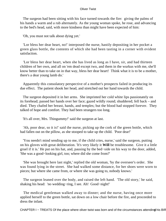The surgeon had been sitting with his face turned towards the fire: giving the palms of his hands a warm and a rub alternately. As the young woman spoke, he rose, and advancing to the bed's head, said, with more kindness than might have been expected of him:

'Oh, you must not talk about dying yet.'

 'Lor bless her dear heart, no!' interposed the nurse, hastily depositing in her pocket a green glass bottle, the contents of which she had been tasting in a corner with evident satisfaction.

 'Lor bless her dear heart, when she has lived as long as I have, sir, and had thirteen children of her own, and all on 'em dead except two, and them in the wurkus with me, she'll know better than to take on in that way, bless her dear heart! Think what it is to be a mother, there's a dear young lamb do.'

 Apparently this consolatory perspective of a mother's prospects failed in producing its due effect. The patient shook her head, and stretched out her hand towards the child.

 The surgeon deposited it in her arms. She imprinted her cold white lips passionately on its forehead; passed her hands over her face; gazed wildly round; shuddered; fell back – and died. They chafed her breast, hands, and temples; but the blood had stopped forever. They talked of hope and comfort. They had been strangers too long.

'It's all over, Mrs. Thingummy!' said the surgeon at last.

 'Ah, poor dear, so it is!' said the nurse, picking up the cork of the green bottle, which had fallen out on the pillow, as she stooped to take up the child. 'Poor dear!'

 'You needn't mind sending up to me, if the child cries, nurse,' said the surgeon, putting on his gloves with great deliberation. 'It's very likely it **Will** be troublesome. Give it a little gruel if it is.' He put on his hat, and, pausing by the bed−side on his way to the door, added, 'She was a good−looking girl, too; where did she come from?'

 'She was brought here last night,' replied the old woman, 'by the overseer's order. She was found lying in the street. She had walked some distance, for her shoes were worn to pieces; but where she came from, or where she was going to, nobody knows.'

 The surgeon leaned over the body, and raised the left hand. 'The old story,' he said, shaking his head: 'no wedding−ring, I see. Ah! Good−night!'

 The medical gentleman walked away to dinner; and the nurse, having once more applied herself to the green bottle, sat down on a low chair before the fire, and proceeded to dress the infant.

CHAPTER I – TREATS Of the place where oliver twist was born and of the circumstances attending his BIR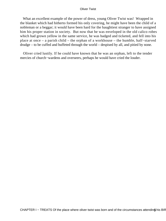What an excellent example of the power of dress, young Oliver Twist was! Wrapped in the blanket which had hitherto formed his only covering, he might have been the child of a nobleman or a beggar; it would have been hard for the haughtiest stranger to have assigned him his proper station in society. But now that he was enveloped in the old calico robes which had grown yellow in the same service, he was badged and ticketed, and fell into his place at once – a parish child – the orphan of a workhouse – the humble, half−starved drudge – to be cuffed and buffeted through the world – despised by all, and pitied by none.

 Oliver cried lustily. If he could have known that he was an orphan, left to the tender mercies of church−wardens and overseers, perhaps he would have cried the louder.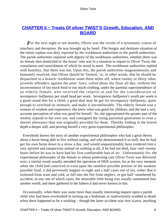## **CHAPTER II - Treats Of oliver TWIST'S Growth, Education, AND [BOARD](#page-393-0)**

For the next eight or ten months, Oliver was the victim of a systematic course of treachery and deception. He was brought up by hand. The hungry and destitute situation of the infant orphan was duly reported by the workhouse authorities to the parish authorities. The parish authorities inquired with dignity of the workhouse authorities, whether there was no female then domiciled in 'the house' who was in a situation to impart to Oliver Twist, the consolation and nourishment of which he stood in need. The workhouse authorities replied with humility, that there was not. Upon this, the parish authorities magnanimously and humanely resolved, that Oliver should be 'farmed,' or, in other words, that he should be dispatched to a branch−workhouse some three miles off, where twenty or thirty other juvenile offenders against the poor−laws, rolled about the floor all day, without the inconvenience of too much food or too much clothing, under the parental superintendence of an elderly female, who received the culprits at and for the consideration of sevenpence−halfpenny per small head per week. Sevenpence−halfpenny's worth per week is a good round diet for a child; a great deal may be got for sevenpence−halfpenny, quite enough to overload its stomach, and make it uncomfortable. The elderly female was a woman of wisdom and experience; she knew what was good for children; and she had a very accurate perception of what was good for herself. So, she appropriated the greater part of the weekly stipend to her own use, and consigned the rising parochial generation to even a shorter allowance than was originally provided for them. Thereby finding in the lowest depth a deeper still; and proving herself a very great experimental philosopher.

 Everybody knows the story of another experimental philosopher who had a great theory about a horse being able to live without eating, and who demonstrated it so well, that he had got his own horse down to a straw a day, and would unquestionably have rendered him a very spirited and rampacious animal on nothing at all, if he had not died, four−and−twenty hours before he was to have had his first comfortable bait of air. Unfortunately for, the experimenal philosophy of the female to whose protecting care Oliver Twist was delivered over, a similar result usually attended the operation of HER system; for at the very moment when the child had contrived to exist upon the smallest possible portion of the weakest possible food, it did perversely happen in eight and a half cases out of ten, either that it sickened from want and cold, or fell into the fire from neglect, or got half−smothered by accident; in any one of which cases, the miserable little being was usually summoned into another world, and there gathered to the fathers it had never known in this.

 Occasionally, when there was some more than usually interesting inquest upon a parish child who had been overlooked in turning up a bedstead, or inadvertently scalded to death when there happened to be a washing – though the latter accident was very scarce, anything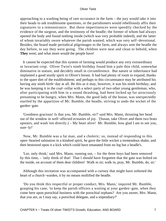approaching to a washing being of rare occurance in the farm – the jury would take it into their heads to ask troublesome questions, or the parishioners would rebelliously affix their signatures to a remonstrance. But these impertinences were speedily checked by the evidence of the surgeon, and the testimony of the beadle; the former of whom had always opened the body and found nothing inside (which was very probable indeed), and the latter of whom invariably swore whatever the parish wanted; which was very self−devotional. Besides, the board made periodical pilgrimages to the farm, and always sent the beadle the day before, to say they were going. The children were neat and clean to behold, when **They** went; and what more would the people have!

 It cannot be expected that this system of farming would produce any very extraordinary or luxuriant crop. Oliver Twist's ninth birthday found him a pale thin child, somewhat diminutive in stature, and decidely small in circumference. But nature or inheritance had implanted a good sturdy spirit in Oliver's breast. It had had plenty of room to expand, thanks to the spare diet of the establishment; and perhaps to this circumstance may be attributed his having any ninth birth−day at all. Be this as it may, however, it was his ninth birthday; and he was keeping it in the coal−cellar with a select party of two other young gentleman, who, after participating with him in a sound thrashing, had been locked up for atrociously presuming to be hungry, when Mrs. Mann, the good lady of the house, was unexpectedly startled by the apparition of Mr. Bumble, the beadle, striving to undo the wicket of the garden−gate.

 'Goodness gracious! Is that you, Mr. Bumble, sir?' said Mrs. Mann, thrusting her head out of the window in well−affected ecstasies of joy. '(Susan, take Oliver and them two brats upstairs, and wash 'em directly.) – My heart alive! Mr. Bumble, how glad I am to see you, sure−ly!'

 Now, Mr. Bumble was a fat man, and a choleric; so, instead of responding to this open−hearted salutation in a kindred spirit, he gave the little wicket a tremendous shake, and then bestowed upon it a kick which could have emanated from no leg but a beadle's.

 'Lor, only think,' said Mrs. Mann, running out, – for the three boys had been removed by this time, – 'only think of that! That I should have forgotten that the gate was bolted on the inside, on account of them dear children! Walk in sir; walk in, pray, Mr. Bumble, do, sir.'

 Although this invitation was accompanied with a curtsey that might have softened the heart of a church−warden, it by no means mollified the beadle.

 'Do you think this respectful or proper conduct, Mrs. Mann,' inquired Mr. Bumble, grasping his cane, 'to keep the parish officers a waiting at your garden−gate, when they come here upon porochial business with the porochial orphans? Are you aweer, Mrs. Mann, that you are, as I may say, a porochial delegate, and a stipendiary?'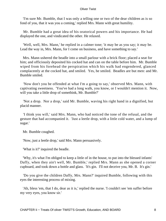'I'm sure Mr. Bumble, that I was only a telling one or two of the dear children as is so fond of you, that it was you a coming,' replied Mrs. Mann with great humility.

 Mr. Bumble had a great idea of his oratorical powers and his importance. He had displayed the one, and vindicated the other. He relaxed.

 'Well, well, Mrs. Mann,' he replied in a calmer tone; 'it may be as you say; it may be. Lead the way in, Mrs. Mann, for I come on business, and have something to say.'

 Mrs. Mann ushered the beadle into a small parlour with a brick floor; placed a seat for him; and officiously deposited his cocked hat and can on the table before him. Mr. Bumble wiped from his forehead the perspiration which his walk had engendered, glanced complacently at the cocked hat, and smiled. Yes, he smiled. Beadles are but men: and Mr. Bumble smiled.

 'Now don't you be offended at what I'm a going to say,' observed Mrs. Mann, with captivating sweetness. 'You've had a long walk, you know, or I wouldn't mention it. Now, will you take a little drop of somethink, Mr. Bumble?'

 'Not a drop. Nor a drop,' said Mr. Bumble, waving his right hand in a dignified, but placid manner.

 'I think you will,' said Mrs. Mann, who had noticed the tone of the refusal, and the gesture that had accompanied it. 'Just a leetle drop, with a little cold water, and a lump of sugar.'

Mr. Bumble coughed.

'Now, just a leetle drop,' said Mrs. Mann persuasively.

'What is it?' inquired the beadle.

 'Why, it's what I'm obliged to keep a little of in the house, to put into the blessed infants' Daffy, when they ain't well, Mr. Bumble,' replied Mrs. Mann as she opened a corner cupboard, and took down a bottle and glass. 'It's gin. I'll not deceive you, Mr. B. It's gin.'

 'Do you give the children Daffy, Mrs. Mann?' inquired Bumble, following with this eyes the interesting process of mixing.

 'Ah, bless 'em, that I do, dear as it is,' replied the nurse. 'I couldn't see 'em suffer before my very eyes, you know sir.'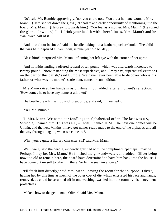'No'; said Mr. Bumble approvingly; 'no, you could not. You are a humane woman, Mrs. Mann.' (Here she set down the glass.) 'I shall take a early opportunity of mentioning it to the board, Mrs. Mann.' (He drew it towards him.) 'You feel as a mother, Mrs. Mann.' (He stirred the gin−and−water.) 'I – I drink your health with cheerfulness, Mrs. Mann'; and he swallowed half of it.

 'And now about business,' said the beadle, taking out a leathern pocket−book. 'The child that was half−baptized Oliver Twist, is nine year old to−day.;

'Bless him!' interposed Mrs. Mann, inflaming her left eye with the corner of her apron.

 'And notwithstanding a offered reward of ten pound, which was afterwards increased to twenty pound. Notwithstanding the most superlative, and, I may say, supernat'ral exertions on the part of this parish,' said Bumble, 'we have never been able to discover who is his father, or what was his mother's settlement, name, or con – dition.'

 Mrs Mann raised her hands in astonishment; but added, after a moment's reflection, 'How comes he to have any name at all, then?'

The beadle drew himself up with great pride, and said, 'I inwented it.'

'You, Mr. Bumble!'

 'I, Mrs. Mann. We name our fondlings in alphabetical order. The last was a S, – Swubble, I named him. This was a T, – Twist, I named HIM. The next one comes will be Unwin, and the next Vilkins. I have got names ready made to the end of the alphabet, and all the way through it again, when we come to Z.'

'Why, you're quite a literary character, sir!' said Mrs. Mann.

 'Well, well,' said the beadle, evidently gratified with the compliment; 'perhaps I may be. Perhaps I may be, Mrs. Mann.' He finished the gin−and−water, and added, 'Oliver being now too old to remain here, the board have determined to have him back into the house. I have come out myself to take him there. So let me see him at once.'

 'I'll fetch him directly,' said Mrs. Mann, leaving the room for that purpose. Oliver, having had by this time as much of the outer coat of dirt which encrusted his face and hands, removed, as could be scrubbed off in one washing, was led into the room by his benevolent protectress.

'Make a bow to the gentleman, Oliver,' said Mrs. Mann.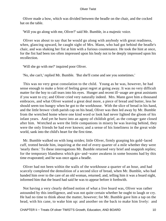Oliver made a bow, which was divided between the beadle on the chair, and the cocked hat on the table.

'Will you go along with me, Oliver?' said Mr. Bumble, in a majestic voice.

 Oliver was about to say that he would go along with anybody with great readiness, when, glancing upward, he caught sight of Mrs. Mann, who had got behind the beadle's chair, and was shaking her fist at him with a furious countenance. He took the hint at once, for the fist had been too often impressed upon his body not to be deeply impressed upon his recollection.

'Will she go with me?' inquired poor Oliver.

'No, she can't,' replied Mr. Bumble. 'But she'll come and see you sometimes.'

 This was no very great consolation to the child. Young as he was, however, he had sense enough to make a feint of feeling great regret at going away. It was no very difficult matter for the boy to call tears into his eyes. Hunger and recent ill−usage are great assistants if you want to cry; and Oliver cried very naturally indeed. Mrs. Mann gave him a thousand embraces, and what Oliver wanted a great deal more, a piece of bread and butter, less he should seem too hungry when he got to the workhouse. With the slice of bread in his hand, and the little brown−cloth parish cap on his head, Oliver was then led away by Mr. Bumble from the wretched home where one kind word or look had never lighted the gloom of his infant years. And yet he burst into an agony of childish grief, as the cottage−gate closed after him. Wretched as were the little companions in misery he was leaving behind, they were the only friends he had ever known; and a sense of his loneliness in the great wide world, sank into the child's heart for the first time.

 Mr. Bumble walked on with long strides; little Oliver, firmly grasping his gold−laced cuff, trotted beside him, inquiring at the end of every quarter of a mile whether they were 'nearly there.' To these interrogations Mr. Bumble returned very brief and snappish replies; for the temporary blandness which gin−and−water awakens in some bosoms had by this time evaporated; and he was once again a beadle.

 Oliver had not been within the walls of the workhouse a quarter of an hour, and had scarcely completed the demolition of a second slice of bread, when Mr. Bumble, who had handed him over to the care of an old woman, returned; and, telling him it was a board night, informed him that the board had said he was to appear before it forthwith.

 Not having a very clearly defined notion of what a live board was, Oliver was rather astounded by this intelligence, and was not quite certain whether he ought to laugh or cry. He had no time to think about the matter, however; for Mr. Bumble gave him a tap on the head, with his cane, to wake him up: and another on the back to make him lively: and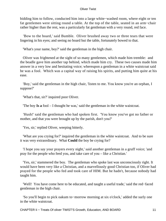bidding him to follow, conducted him into a large white−washed room, where eight or ten fat gentlemen were sitting round a table. At the top of the table, seated in an arm−chair rather higher than the rest, was a particularly fat gentleman with a very round, red face.

 'Bow to the board,' said Bumble. Oliver brushed away two or three tears that were lingering in his eyes; and seeing no board but the table, fortunately bowed to that.

'What's your name, boy?' said the gentleman in the high chair.

 Oliver was frightened at the sight of so many gentlemen, which made him tremble: and the beadle gave him another tap behind, which made him cry. These two causes made him answer in a very low and hesitating voice; whereupon a gentleman in a white waistcoat said he was a fool. Which was a capital way of raising his spirits, and putting him quite at his ease.

 'Boy,' said the gentleman in the high chair, 'listen to me. You know you're an orphan, I suppose?'

'What's that, sir?' inquired poor Oliver.

'The boy **Is a** fool – I thought he was,' said the gentleman in the white waistcoat.

 'Hush!' said the gentleman who had spoken first. 'You know you've got no father or mother, and that you were brought up by the parish, don't you?'

'Yes, sir,' replied Oliver, weeping bitterly.

 'What are you crying for?' inquired the gentleman in the white waistcoat. And to be sure it was very extraordinary. What **Could** the boy be crying for?

 'I hope you say your prayers every night,' said another gentleman in a gruff voice; 'and pray for the people who feed you, and take care of you – like a Christian.'

 'Yes, sir,' stammered the boy. The gentleman who spoke last was unconsciously right. It would have been very like a Christian, and a marvellously good Christian too, if Oliver had prayed for the people who fed and took care of HIM. But he hadn't, because nobody had taught him.

 'Well! You have come here to be educated, and taught a useful trade,' said the red−faced gentleman in the high chair.

 'So you'll begin to pick oakum to−morrow morning at six o'clock,' added the surly one in the white waistcoat.

CHAPTER Ii − Treats Of oliver TWIST'S Growth, Education, AND BOARD 11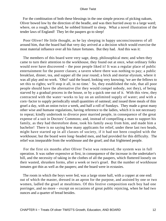For the combination of both these blessings in the one simple process of picking oakum, Oliver bowed low by the direction of the beadle, and was then hurried away to a large ward; where, on a rough, hard bed, he sobbed himself to sleep. What a novel illustration of the tender laws of England! They let the paupers go to sleep!

 Poor Oliver! He little thought, as he lay sleeping in happy unconsciousness of all around him, that the board had that very day arrived at a decision which would exercise the most material influence over all his future fortunes. But they had. And this was it:

 The members of this board were very sage, deep, philosophical men; and when they came to turn their attention to the workhouse, they found out at once, what ordinary folks would nver have discovered – the poor people liked it! It was a regular place of public entertainment for the poorer classes; a tavern where there was nothing to pay; a public breakfast, dinner, tea, and supper all the year round; a brick and mortar elysium, where it was all play and no work. 'Oho!' said the board, looking very knowing; 'we are the fellows to set this to rights; we'll stop it all, in no time.' So, they established the rule, that all poor people should have the alternative (for they would compel nobody, not they), of being starved by a gradual process in the house, or by a quick one out of it. With this view, they contracted with the water−works to lay on an unlimited supply of water; and with a corn−factor to supply periodically small quantities of oatmeal; and issued three meals of thin gruel a day, with an onion twice a week, and half a roll of Sundays. They made a great many other wise and humane regulations, having reference to the ladies, which it is not necessary to repeat; kindly undertook to divorce poor married people, in consequence of the great expense of a suit in Doctors' Commons; and, instead of compelling a man to support his family, as they had theretofore done, took his family away from him, and made him a bachelor! There is no saying how many applicants for relief, under these last two heads, might have started up in all classes of society, if it had not been coupled with the workhouse; but the board were long−headed men, and had provided for this difficulty. The relief was inseparable from the workhouse and the gruel; and that frightened people.

 For the first six months after Oliver Twist was removed, the system was in full operation. It was rather expensive at first, in consequence of the increase in the undertaker's bill, and the necessity of taking in the clothes of all the paupers, which fluttered loosely on their wasted, shrunken forms, after a week or two's gruel. But the number of workhouse inmates got thin as well as the paupers; and the board were in ecstasies.

 The room in which the boys were fed, was a large stone hall, with a copper at one end: out of which the master, dressed in an apron for the purpose, and assisted by one or two women, ladled the gruel at mealtimes. Of this festive composition each boy had one porringer, and no more – except on occasions of great public rejoicing, when he had two ounces and a quarter of bread besides.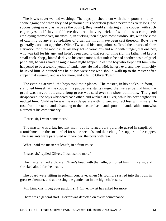The bowls never wanted washing. The boys polished them with their spoons till they shone again; and when they had performed this operation (which never took very long, the spoons being nearly as large as the bowls), they would sit staring at the copper, with such eager eyes, as if they could have devoured the very bricks of which it was composed; employing themselves, meanwhile, in sucking their fingers most assiduously, with the view of catching up any stray splashes of gruel that might have been cast thereon. Boys have generally excellent appetites. Oliver Twist and his companions suffered the tortures of slow starvation for three months: at last they got so voracious and wild with hunger, that one boy, who was tall for his age, and hadn't been used to that sort of thing (for his father had kept a small cook–shop), hinted darkly to his companions, that unless he had another basin of gruel per diem, he was afraid he might some night happen to eat the boy who slept next him, who happened to be a weakly youth of tender age. He had a wild, hungry eye; and they implicitly believed him. A council was held; lots were cast who should walk up to the master after supper that evening, and ask for more; and it fell to Oliver Twist.

 The evening arrived; the boys took their places. The master, in his cook's uniform, stationed himself at the copper; his pauper assistants ranged themselves behind him; the gruel was served out; and a long grace was said over the short commons. The gruel disappeared; the boys whispered each other, and winked at Oliver; while his next neighbours nudged him. Child as he was, he was desperate with hunger, and reckless with misery. He rose from the table; and advancing to the master, basin and spoon in hand, said: somewhat alarmed at his own temerity:

'Please, sir, I want some more.'

 The master was a fat, healthy man; but he turned very pale. He gazed in stupified astonishment on the small rebel for some seconds, and then clung for support to the copper. The assistants were paralysed with wonder; the boys with fear.

'What!' said the master at length, in a faint voice.

'Please, sir,' replied Oliver, 'I want some more.'

 The master aimed a blow at Oliver's head with the ladle; pinioned him in his arm; and shrieked aloud for the beadle.

 The board were sitting in solemn conclave, when Mr. Bumble rushed into the room in great excitement, and addressing the gentleman in the high chair, said,

'Mr. Limbkins, I beg your pardon, sir! Oliver Twist has asked for more!'

There was a general start. Horror was depicted on every countenance.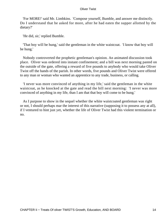'For MORE!' said Mr. Limbkins. 'Compose yourself, Bumble, and answer me distinctly. Do I understand that he asked for more, after he had eaten the supper allotted by the dietary?'

'He did, sir,' replied Bumble.

 'That boy will be hung,' said the gentleman in the white waistcoat. 'I know that boy will be hung.'

 Nobody controverted the prophetic gentleman's opinion. An animated discussion took place. Oliver was ordered into instant confinement; and a bill was next morning pasted on the outside of the gate, offering a reward of five pounds to anybody who would take Oliver Twist off the hands of the parish. In other words, five pounds and Oliver Twist were offered to any man or woman who wanted an apprentice to any trade, business, or calling.

 'I never was more convinced of anything in my life,' said the gentleman in the white waistcoat, as he knocked at the gate and read the bill next morning: 'I never was more convinced of anything in my life, than I am that that boy will come to be hung.'

 As I purpose to show in the sequel whether the white waistcoated gentleman was right or not, I should perhaps mar the interest of this narrative (supposing it to possess any at all), if I ventured to hint just yet, whether the life of Oliver Twist had this violent termination or no.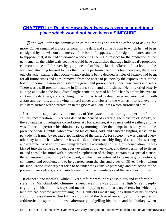### **[CHAPTER Iii − Relates How oliver twist was very near getting a](#page-393-0) [place which would not have been a SINECURE](#page-393-0)**

For a week after the commission of the impious and profane offence of asking for more, Oliver remained a close prisoner in the dark and solitary room to which he had been consigned by the wisdom and mercy of the board. It appears, at first sight not unreasonable to suppose, that, if he had entertained a becoming feeling of respect for the prediction of the gentleman in the white waistcoat, he would have established that sage individual's prophetic character, once and for ever, by tying one end of his pocket−handkerchief to a hook in the wall, and attaching himself to the other. To the performance of this feat, however, there was one obstacle: namely, that pocket−handkerchiefs being decided articles of luxury, had been, for all future times and ages, removed from the noses of paupers by the express order of the board, in council assembled: solemnly given and pronounced under their hands and seals. There was a still greater obstacle in Oliver's youth and childishness. He only cried bitterly all day; and, when the long, dismal night came on, spread his little hands before his eyes to shut out the darkness, and crouching in the corner, tried to sleep: ever and anon waking with a start and tremble, and drawing himself closer and closer to the wall, as if to feel even its cold hard surface were a protection in the gloom and loneliness which surrounded him.

 Let it not be supposed by the enemies of 'the system,' that, during the period of his solitary incarceration, Oliver was denied the benefit of exercise, the pleasure of society, or the advantages of religious consolation. As for exercise, it was nice cold weather, and he was allowed to perform his ablutions every morning under the pump, in a stone yard, in the presence of Mr. Bumble, who prevented his catching cold, and caused a tingling sensation to pervade his frame, by repeated applications of the cane. As for society, he was carried every other day into the hall where the boys dined, and there sociably flogged as a public warning and example. And so for from being denied the advantages of religious consolation, he was kicked into the same apartment every evening at prayer−time, and there permitted to listen to, and console his mind with, a general supplication of the boys, containing a special clause, therein inserted by authority of the board, in which they entreated to be made good, virtuous, contented, and obedient, and to be guarded from the sins and vices of Oliver Twist: whom the supplication distinctly set forth to be under the exclusive patronage and protection of the powers of wickedness, and an article direct from the manufactory of the very Devil himself.

 It chanced one morning, while Oliver's affairs were in this auspicious and confortable state, that Mr. Gamfield, chimney−sweep, went his way down the High Street, deeply cogitating in his mind his ways and means of paying certain arrears of rent, for which his landlord had become rather pressing. Mr. Gamfield's most sanguine estimate of his finances could not raise them within full five pounds of the desired amount; and, in a species of arthimetical desperation, he was alternately cudgelling his brains and his donkey, when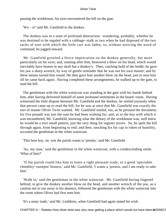passing the workhouse, his eyes encountered the bill on the gate.

'Wo – o!' said Mr. Gamfield to the donkey.

 The donkey was in a state of profound abstraction: wondering, probably, whether he was destined to be regaled with a cabbage−stalk or two when he had disposed of the two sacks of soot with which the little cart was laden; so, without noticing the word of command, he jogged onward.

 Mr. Gamfield growled a fierce imprecation on the donkey generally, but more particularly on his eyes; and, running after him, bestowed a blow on his head, which would inevitably have beaten in any skull but a donkey's. Then, catching hold of the bridle, he gave his jaw a sharp wrench, by way of gentle reminder that he was not his own master; and by these means turned him round. He then gave him another blow on the head, just to stun him till he came back again. Having completed these arrangements, he walked up to the gate, to read the bill.

 The gentleman with the white waistcoat was standing at the gate with his hands behind him, after having delivered himself of some profound sentiments in the board−room. Having witnessed the little dispute between Mr. Gamfield and the donkey, he smiled joyously when that person came up to read the bill, for he saw at once that Mr. Gamfield was exactly the sort of master Oliver Twist wanted. Mr. Gamfield smiled, too, as he perused the document; for five pounds was just the sum he had been wishing for; and, as to the boy with which it was encumbered, Mr. Gamfield, knowing what the dietary of the workhouse was, well knew he would be a nice small pattern, just the very thing for register stoves. So, he spelt the bill through again, from beginning to end; and then, touching his fur cap in token of humility, accosted the gentleman in the white waistcoat.

'This here boy, sir, wot the parish wants to 'prentis,' said Mr. Gamfield.

 'Ay, my man,' said the gentleman in the white waistcoat, with a condescending smile. 'What of him?'

 'If the parish vould like him to learn a right pleasant trade, in a good 'spectable chimbley−sweepin' bisness,' said Mr. Gamfield, 'I wants a 'prentis, and I am ready to take him.'

 'Walk in,' said the gentleman in the white waistcoat. Mr. Gamfield having lingered behind, to give the donkey another blow on the head, and another wrench of the jaw, as a caution not to run away in his absence, followed the gentleman with the white waistcoat into the room where Oliver had first seen him.

'It's a nasty trade,' said Mr. Limbkins, when Gamfield had again stated his wish.

CHAPTER Iii – Relates How oliver twist was very near getting a place which would not have been to SINEC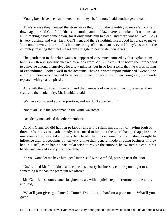'Young boys have been smothered in chimneys before now,' said another gentleman.

 'That's acause they damped the straw afore they lit it in the chimbley to make 'em come down again,' said Gamfield; 'that's all smoke, and no blaze; vereas smoke ain't o' no use at all in making a boy come down, for it only sinds him to sleep, and that's wot he likes. Boys is wery obstinit, and wery lazy, Gen'l'men, and there's nothink like a good hot blaze to make 'em come down vith a run. It's humane too, gen'l'men, acause, even if they've stuck in the chimbley, roasting their feet makes 'em struggle to hextricate theirselves.'

 The gentleman in the white waistcoat appeared very much amused by this explanation; but his mirth was speedily checked by a look from Mr. Limbkins. The board then procedded to converse among themselves for a few minutes, but in so low a tone, that the words 'saving of expenditure,' 'looked well in the accounts,' 'have a printed report published,' were alone audible. These only chanced to be heard, indeed, or account of their being very frequently repeated with great emphasis.

 At length the whispering ceased; and the members of the board, having resumed their seats and their solemnity, Mr. Limbkins said:

'We have considered your proposition, and we don't approve of it.'

'Not at all,' said the gentleman in the white waistcoat.

'Decidedly not,' added the other members.

 As Mr. Gamfield did happen to labour under the slight imputation of having bruised three or four boys to death already, it occurred to him that the board had, perhaps, in some unaccountable freak, taken it into their heads that this extraneous circumstance ought to influence their proceedings. It was very unlike their general mode of doing business, if they had; but still, as he had no particular wish to revive the rumour, he twisted his cap in his hands, and walked slowly from the table.

'So you won't let me have him, gen'l'men?' said Mr. Gamfield, pausing near the door.

 'No,' replied Mr. Limbkins; 'at least, as it's a nasty business, we think you ought to take something less than the premium we offered.'

 Mr. Gamfield's countenance brightened, as, with a quick step, he returned to the table, and said,

 'What'll you give, gen'l'men? Come! Don't be too hard on a poor man. What'll you give?'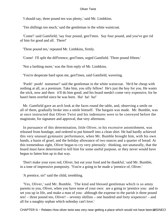'I should say, three pound ten was plenty,' said Mr. Limbkins.

'Ten shillings too much,' said the gentleman in the white waistcoat.

 'Come!' said Gamfield; 'say four pound, gen'l'men. Say four pound, and you've got rid of him for good and all. There!'

'Three pound ten,' repeated Mr. Limbkins, firmly.

'Come! I'll split the diff'erence, gen'l'men, urged Gamfield. 'Three pound fifteen.'

'Not a farthing more,' was the firm reply of Mr. Limbkins.

'You're desperate hard upon me, gen'l'men, said Gamfield, wavering.

 'Pooh! pooh! nonsense!' said the gentleman in the white waistcoat. 'He'd be cheap with nothing at all, as a premium. Take him, you silly fellow! He's just the boy for you. He wants the stick, now and then: it'll do him good; and his board needn't come very expensive, for he hasn't been overfed since he was born. Ha! ha! ha!'

 Mr. Gamfield gave an arch look at the faces round the table, and, observing a smile on all of them, gradually broke into a smile himself. The bargain was made. Mr. Bumble, was at once instructed that Oliver Twist and his indentures were to be conveyed before the magistrate, for signature and approval, that very afternoon.

 In pursuance of this determination, little Oliver, to his excessive astonishment, was released from bondage, and ordered to put himself into a clean shirt. He had hardly achieved this very unusual gymnastic performance, when Mr. Bumble brought him, with his own hands, a basin of gruel, and the holiday allowance of two ounces and a quarter of bread. At this tremendous sight, Oliver began to cry very piteously: thinking, not unaturally, that the board must have determined to kill him for some useful purpose, or they never would have begun to fatten him up in that way.

 'Don't make your eyes red, Oliver, but eat your food and be thankful,' said Mr. Bumble, in a tone of impressive pomposity. 'You're a going to be made a 'prentice of, Oliver.'

'A prentice, sir!' said the child, trembling.

 'Yes, Oliver,' said Mr. Bumble. 'The kind and blessed gentleman which is so amny parents to you, Oliver, when you have none of your own: are a going to 'prentice you: and to set you up in life, and make a man of you: although the expense to the parish is three pound ten! – three pound ten, Oliver! – seventy shillins – one hundred and forty sixpences! – and all for a naughty orphan which noboday can't love.'

CHAPTER Iii – Relates How oliver twist was very near getting a place which would not have been t& SINEC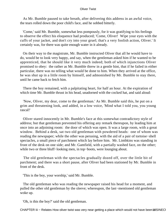As Mr. Bumble paused to take breath, after delivering this address in an awful voice, the tears rolled down the poor child's face, and he sobbed bitterly.

 'Come,' said Mr. Bumble, somewhat less pompously, for it was gratifying to his feelings to observe the effect his eloquence had produced; 'Come, Oliver! Wipe your eyes with the cuffs of your jacket, and don't cry into your gruel; that's a very foolish action, Oliver.' It certainly was, for there was quite enough water in it already.

 On their way to the magistrate, Mr. Bumble instructed Oliver that all he would have to do, would be to look very happy, and say, when the gentleman asked him if he wanted to be apprenticed, that he should like it very much indeed; both of which injunctions Oliver promised to obey: the rather as Mr. Bumble threw in a gentle hint, that if he failed in either particular, there was no telling what would be done to him. When they arrived at the office, he was shut up in a little room by himself, and admonished by Mr. Bumble to stay there, until he came back to fetch him.

 There the boy remained, with a palpitating heart, for half an hour. At the expiration of which time Mr. Bumble thrust in his head, unadorned with the cocked hat, and said aloud:

 'Now, Oliver, my dear, come to the gentleman.' As Mr. Bumble said this, he put on a grim and threatening look, and added, in a low voice, 'Mind what I told you, you young rascal!'

 Oliver stared innocently in Mr. Bumble's face at this somewhat contradictory style of address; but that gentleman prevented his offering any remark thereupon, by leading him at once into an adjoining room: the door of which was open. It was a large room, with a great window. Behind a desk, sat two old gentleman with powdered heads: one of whom was reading the newspaper; while the other was perusing, with the aid of a pair of tortoise−shell spectacles, a small piece of parchment which lay before him. Mr. Limbkins was standing in front of the desk on one side; and Mr. Gamfield, with a partially washed face, on the other; while two or three bluff−looking men, in top−boots, were lounging about.

 The old gentleman with the spectacles gradually dozed off, over the little bit of parchment; and there was a short pause, after Oliver had been stationed by Mr. Bumble in front of the desk.

'This is the boy, your worship,' said Mr. Bumble.

 The old gentleman who was reading the newspaper raised his head for a moment, and pulled the other old gentleman by the sleeve; whereupon, the last−mentioned old gentleman woke up.

'Oh, is this the boy?' said the old gentleman.

CHAPTER Iii – Relates How oliver twist was very near getting a place which would not have been ta SINEC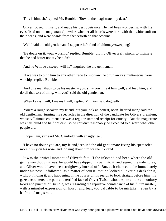'This is him, sir,' replied Mr. Bumble. 'Bow to the magistrate, my dear.'

 Oliver roused himself, and made his best obeisance. He had been wondering, with his eyes fixed on the magistrates' powder, whether all boards were born with that white stuff on their heads, and were boards from thenceforth on that account.

'Well,' said the old gentleman, 'I suppose he's fond of chimney−sweeping?'

 'He doats on it, your worship,' replied Bumble; giving Oliver a sly pinch, to intimate that he had better not say he didn't.

'And he **Will** be a sweep, will he?' inquired the old gentleman.

 'If we was to bind him to any other trade to−morrow, he'd run away simultaneous, your worship,' replied Bumble.

 'And this man that's to be his master – you, sir – you'll treat him well, and feed him, and do all that sort of thing, will you?' said the old gentleman.

'When I says I will, I means I will,' replied Mr. Gamfield doggedly.

 'You're a rough speaker, my friend, but you look an honest, open−hearted man,' said the old gentleman: turning his spectacles in the direction of the candidate for Oliver's premium, whose villainous countenance was a regular stamped receipt for cruelty. But the magistrate was half blind and half childish, so he couldn't reasonably be expected to discern what other people did.

'I hope I am, sir,' said Mr. Gamfield, with an ugly leer.

 'I have no doubt you are, my friend,' replied the old gentleman: fixing his spectacles more firmly on his nose, and looking about him for the inkstand.

 It was the critical moment of Oliver's fate. If the inkstand had been where the old gentleman though it was, he would have dipped his pen into it, and signed the indentures, and Oliver would have been straightway hurried off. But, as it chanced to be immediately under his nose, it followed, as a matter of course, that he looked all over his desk for it, without finding it; and happening in the course of his search to look straight before him, his gaze encountered the pale and terrified face of Oliver Twist: who, despite all the admonitory looks and pinches of Bumble, was regarding the repulsive countenance of his future master, with a mingled expression of horror and fear, too palpable to be mistaken, even by a half−blind magistrate.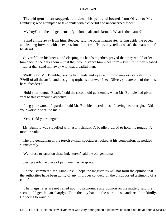The old gentleman stopped, laid down his pen, and looked from Oliver to Mr. Limbkins; who attempted to take snuff with a cheerful and unconcerned aspect.

'My boy!' said the old gentleman, 'you look pale and alarmed. What is the matter?'

 'Stand a little away from him, Beadle,' said the other magistrate: laying aside the paper, and leaning forward with an expression of interest. 'Now, boy, tell us what's the matter: don't be afraid.'

 Oliver fell on his knees, and clasping his hands together, prayed that they would order him back to the dark room – that they would starve him – beat him – kill him if they pleased – rather than send him away with that dreadful man.

 'Well!' said Mr. Bumble, raising his hands and eyes with most impressive solemnite. 'Well! of all the artful and designing orphans that ever I see, Oliver, you are one of the most bare−facedest.'

 'Hold your tongue, Beadle,' said the second old gentleman, when Mr. Bumble had given vent to this compound adjective.

 'I beg your worship's pardon,' said Mr. Bumble, incredulous of having heard aright. 'Did your worship speak to me?'

'Yes. Hold your tongue.'

 Mr. Bumble was stupefied with astonishment. A beadle ordered to hold his tongue! A moral revolution!

 The old gentleman in the tortoise−shell spectacles looked at his companion, he nodded significantly.

'We refuse to sanction these indentures,' said the old gentleman:

tossing aside the piece of parchment as he spoke.

 'I hope,' stammered Mr. Limbkins: 'I hope the magistrates will not form the opinion that the authorities have been guilty of any improper conduct, on the unsupported testimony of a child.'

 'The magistrates are not called upon to pronounce any opinion on the matter,' said the second old gentleman sharply. 'Take the boy back to the workhouse, and treat him kindly. He seems to want it.'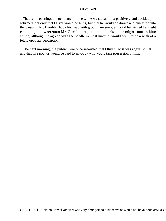That same evening, the gentleman in the white waistcoat most positively and decidedly affirmed, not only that Oliver would be hung, but that he would be drawn and quartered into the bargain. Mr. Bumble shook his head with gloomy mystery, and said he wished he might come to good; whereunto Mr. Gamfield replied, that he wished he might come to him; which, although he agreed with the beadle in most matters, would seem to be a wish of a totaly opposite description.

 The next morning, the public were once informed that Oliver Twist was again To Let, and that five pounds would be paid to anybody who would take possession of him.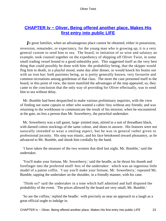## **[CHAPTER Iv − Oliver, Being offered another place, Makes His](#page-393-0) [first entry into public LIFE](#page-393-0)**

*I*n great families, when an advantageous place cannot be obtained, either in possession, reversion, remainder, or expectancy, for the young man who is growing up, it is a very general custom to send him to sea. The board, in imitation of so wise and salutary an example, took counsel together on the expediency of shipping off Oliver Twist, in some small trading vessel bound to a good unhealthy port. This suggested itself as the very best thing that could possibly be done with him: the probability being, that the skipper would flog him to death, in a playful mood, some day after dinner, or would knock his brains out with an iron bar; both pastimes being, as is pretty generally known, very favourite and common recreations among gentleman of that class. The more the case presented itself to the board, in this point of view, the more manifold the advantages of the step appeared; so, they came to the conclusion that the only way of providing for Oliver effectually, was to send him to sea without delay.

 Mr. Bumble had been despatched to make various preliminary inquiries, with the view of finding out some captain or other who wanted a cabin−boy without any friends; and was returning to the workhouse to communicate the result of his mission; when he encountered at the gate, no less a person than Mr. Sowerberry, the parochial undertaker.

 Mr. Sowerberry was a tall gaunt, large−jointed man, attired in a suit of threadbare black, with darned cotton stockings of the same colour, and shoes to answer. His features were not naturally intended to wear a smiling aspect, but he was in general rather given to professional jocosity. His step was elastic, and his face betokened inward pleasantry, as he advanced to Mr. Bumble, and shook him cordially by the hand.

 'I have taken the measure of the two women that died last night, Mr. Bumble,' said the undertaker.

 'You'll make your fortune, Mr. Sowerberry,' said the beadle, as he thrust his thumb and forefinger into the proferred snuff−box of the undertaker: which was an ingenious little model of a patent coffin. 'I say you'll make your fortune, Mr. Sowerberry,' repeated Mr. Bumble, tapping the undertaker on the shoulder, in a friendly manner, with his cane.

 'Think so?' said the undertaker in a tone which half admitted and half disputed the probability of the event. 'The prices allowed by the board are very small, Mr. Bumble.'

 'So are the coffins,' replied the beadle: with precisely as near an approach to a laugh as a great official ought to indulge in.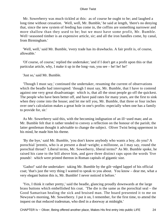Mr. Sowerberry was much tickled at this: as of course he ought to be; and laughed a long time without cessation. 'Well, well, Mr. Bumble,' he said at length, 'there's no denying that, since the new system of feeding has come in, the coffins are something narrower and more shallow than they used to be; but we must have some profit, Mr. Bumble. Well−seasoned timber is an expensive article, sir; and all the iron handles come, by canal, from Birmingham.'

 'Well, well,' said Mr. Bumble, 'every trade has its drawbacks. A fair profit is, of course, allowable.'

 'Of course, of course,' replied the undertaker; 'and if I don't get a profit upon this or that particular article, why, I make it up in the long−run, you see – he! he! he!'

'Just so,' said Mr. Bumble.

 'Though I must say,' continued the undertaker, resuming the current of observations which the beadle had interrupted: 'though I must say, Mr. Bumble, that I have to contend against one very great disadvantage: which is, that all the stout people go off the quickest. The people who have been better off, and have paid rates for many years, are the first to sink when they come into the house; and let me tell you, Mr. Bumble, that three or four inches over one's calculation makes a great hole in one's profits: especially when one has a family to provide for, sir.'

 As Mr. Sowerberry said this, with the becoming indignation of an ill−used man; and as Mr. Bumble felt that it rather tended to convey a reflection on the honour of the parish; the latter gentleman thought it advisable to change the subject. Oliver Twist being uppermost in his mind, he made him his theme.

 'By the bye,' said Mr. Bumble, 'you don't know anybody who wants a boy, do you? A porochial 'prentis, who is at present a dead−weight; a millstone, as I may say, round the porochial throat? Liberal terms, Mr. Sowerberry, liberal terms?' As Mr. Bumble spoke, he raised his cane to the bill above him, and gave three distinct raps upon the words 'five pounds': which were printed thereon in Roman capitals of gigantic size.

 'Gadso!' said the undertaker: taking Mr. Bumble by the gilt−edged lappel of his official coat; 'that's just the very thing I wanted to speak to you about. You know – dear me, what a very elegant button this is, Mr. Bumble! I never noticed it before.'

 'Yes, I think it rather pretty,' said the beadle, glancing proudly downwards at the large brass buttons which embellished his coat. 'The die is the same as the porochial seal – the Good Samaritan healing the sick and bruised man. The board presented it to me on Newyear's morning, Mr. Sowerberry. I put it on, I remember, for the first time, to attend the inquest on that reduced tradesman, who died in a doorway at midnight.'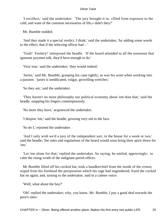'I recollect,' said the undertaker. 'The jury brought it in, «Died from exposure to the cold, and want of the common necessaries of life,» didn't they?'

Mr. Bumble nodded.

 'And they made it a special verdict, I think,' said the undertaker, 'by adding some words to the effect, that if the relieving officer had – '

 'Tush! Foolery!' interposed the beadle. 'If the board attended to all the nonsense that ignorant jurymen talk, they'd have enough to do.'

'Very true,' said the undertaker; 'they would indeed.'

 'Juries,' said Mr. Bumble, grasping his cane tightly, as was his wont when working into a passion: 'juries is ineddicated, vulgar, grovelling wretches.'

'So they are,' said the undertaker.

 'They haven't no more philosophy nor political economy about 'em than that,' said the beadle, snapping his fingers contemptuously.

'No more they have,' acquiesced the undertaker.

'I despise 'em,' said the beadle, growing very red in the face.

'So do I,' rejoined the undertaker.

 'And I only wish we'd a jury of the independent sort, in the house for a week or two,' said the beadle; 'the rules and regulations of the board would soon bring their spirit down for 'em.'

 'Let 'em alone for that,' replied the undertaker. So saying, he smiled, approvingly: to calm the rising wrath of the indignant parish officer.

 Mr Bumble lifted off his cocked hat; took a handkerchief from the inside of the crown; wiped from his forehead the perspiration which his rage had engendered; fixed the cocked hat on again; and, turning to the undertaker, said in a calmer voice:

'Well; what about the boy?'

 'Oh!' replied the undertaker; why, you know, Mr. Bumble, I pay a good deal towards the poor's rates.'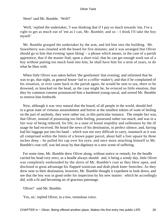'Hem!' said Mr. Bumble. 'Well?'

 'Well,' replied the undertaker, 'I was thinking that if I pay so much towards 'em, I've a right to get as much out of 'em as I can, Mr. Bumble; and so – I think I'll take the boy myself.'

 Mr. Bumble grasped the undertaker by the arm, and led him into the building. Mr. Sowerberry was closeted with the board for five minutes; and it was arranged that Oliver should go to him that evening 'upon liking' – a phrase which means, in the case of a parish apprentice, that if the master find, upon a short trial, that he can get enough work out of a boy without putting too much food into him, he shall have him for a term of years, to do what he likes with.

 When little Oliver was taken before 'the gentlemen' that evening; and informed that he was to go, that night, as general house−lad to a coffin−maker's; and that if he complained of his situation, or ever came back to the parish again, he would be sent to sea, there to be drowned, or knocked on the head, as the case might be, he evinced so little emotion, that they by common consent pronounced him a hardened young rascal, and orered Mr. Bumble to remove him forthwith.

 Now, although it was very natural that the board, of all people in the world, should feel in a great state of virtuous astonishment and horror at the smallest tokens of want of feeling on the part of anybody, they were rather out, in this particular instance. The simple fact was, that Oliver, instead of possessing too little feeling, possessed rather too much; and was in a fair way of being reduced, for life, to a state of brutal stupidity and sullenness by the ill usage he had received. He heard the news of his destination, in perfect silence; and, having had his luggage put into his hand – which was not very difficult to carry, inasmuch as it was all comprised within the limits of a brown paper parcel, about half a foot square by three inches deep – he pulled his cap over his eyes; and once more attaching himself to Mr. Bumble's coat cuff, was led away by that dignitary to a new scene of suffering.

 For some time, Mr. Bumble drew Oliver along, without notice or remark; for the beadle carried his head very erect, as a beadle always should: and, it being a windy day, little Oliver was completely enshrouded by the skirts of Mr. Bumble's coat as they blew open, and disclosed to great advantage his flapped waistcoat and drab plush knee−breeches. As they drew near to their destination, however, Mr. Bumble thought it expedient to look down, and see that the boy was in good order for inspection by his new master: which he accordingly did, with a fit and becoming air of gracious patronage.

'Oliver!' said Mr. Bumble.

'Yes, sir,' replied Oliver, in a low, tremulous voice.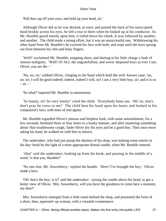'Pull that cap off your eyes, and hold up your head, sir.'

 Although Oliver did as he was desired, at once; and passed the back of his unoccupied hand briskly across his eyes, he left a tear in them when he looked up at his conductor. As Mr. Bumble gazed sternly upon him, it rolled down his cheek. It was followed by another, and another. The child made a strong effort, but it was an unsuccessful one. Withdrawing his other hand from Mr. Bumble's he covered his face with both; and wept until the tears sprung out from between his chin and bony fingers.

 'Well!' exclaimed Mr. Bumble, stopping short, and darting at his little charge a look of intense malignity. 'Well! Of ALL the ungratefullest, and worst−disposed boys as ever I see, Oliver, you are the  $-$ 

 'No, no, sir,' sobbed Oliver, clinging to the hand which held the well−known cane; 'no, no, sir; I will be good indeed; indeed, indeed I will, sir! I am a very little boy, sir; and it is so  $-$  so  $\prime$ 

'So what?' inquired Mr. Bumble in amazement.

 'So lonely, sir! So very lonely!' cried the child. 'Everybody hates me. Oh! sir, don't, don't pray be cross to me!' The child beat his hand upon his heart; and looked in his companion's face, with tears of real agony.

 Mr. Bumble regarded Oliver's piteous and helpless look, with some astonishment, for a few seconds; hemmed three or four times in a husky manner; and after muttering something about 'that troublesome cough,' bade Oliver dry his eyes and be a good boy. Then once more taking his hand, he walked on with him in silence.

 The undertaker, who had just putup the shutters of his shop, was making some entries in his day−book by the light of a most appropriate dismal candle, when Mr. Bumble entered.

 'Aha!' said the undertaker; looking up from the book, and pausing in the middle of a word; 'is that you, Bumble?'

 'No one else, Mr. Sowerberry,' replied the beadle. 'Here! I've brought the boy.' Oliver made a bow.

 'Oh! that's the boy, is it?' said the undertaker: raising the candle above his head, to get a better view of Oliver. 'Mrs. Sowerberry, will you have the goodness to come here a moment, my dear?'

 Mrs. Sowerberry emerged from a little room behind the shop, and presented the form of a short, then, squeezed−up woman, with a vixenish countenance.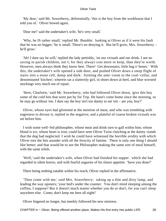'My dear,' said Mr. Sowerberry, deferentially, 'this is the boy from the workhouse that I told you of.' Oliver bowed again.

'Dear me!' said the undertaker's wife, 'he's very small.'

 'Why, he IS rather small,' replied Mr. Bumble: looking at Oliver as if it were his fault that he was no bigger; 'he is small. There's no denying it. But he'll grow, Mrs. Sowerberry – he'll grow.'

 'Ah! I dare say he will,' replied the lady pettishly, 'on our victuals and our drink. I see no saving in parish children, not I; for they always cost more to keep, than they're worth. However, men always think they know best. There! Get downstairs, little bag o' bones.' With this, the undertaker's wife opened a side door, and pushed Oliver down a steep flight of stairs into a stone cell, damp and dark: forming the ante−room to the coal−cellar, and denominated 'kitchen'; wherein sat a slatternly girl, in shoes down at heel, and blue worsted stockings very much out of repair.

 'Here, Charlotte,' said Mr. Sowerberry, who had followed Oliver down, 'give this boy some of the cold bits that were put by for Trip. He hasn't come home since the morning, so he may go without 'em. I dare say the boy isn't too dainty to eat 'em – are you, boy?'

 Oliver, whose eyes had glistened at the mention of meat, and who was trembling with eagerness to devour it, replied in the negative; and a plateful of coarse broken victuals was set before him.

 I wish some well−fed philosopher, whose meat and drink turn to gall within him; whose blood is ice, whose heart is iron; could have seen Oliver Twist clutching at the dainty viands that the dog had neglected. I wish he could have witnessed the horrible avidity with which Oliver tore the bits asunder with all the ferocity of famine. There is only one thing I should like better; and that would be to see the Philosopher making the same sort of meal himself, with the same relish.

 'Well,' said the undertaker's wife, when Oliver had finished his supper: which she had regarded in silent horror, and with fearful auguries of his future appetite: 'have you done?'

There being nothing eatable within his reach, Oliver replied in the affirmative.

 'Then come with me,' said Mrs. Sowerberry: taking up a dim and dirty lamp, and leading the way upstairs; 'your bed's under the counter. You don't mind sleeping among the coffins, I suppose? But it doesn't much matter whether you do or don't, for you can't sleep anywhere else. Come; don't keep me here all night!'

Oliver lingered no longer, but meekly followed his new mistress.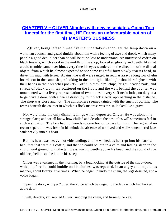## **[CHAPTER V − OLIVER Mingles with new associates. Going To a](#page-393-0) [funeral for the first time, HE Forms an unfavourable notion of](#page-393-0) [his MASTER'S BUSINESS](#page-393-0)**

*Oliver*, being left to himself in the undertaker's shop, set the lamp down on a workman's bench, and gazed timidly about him with a feeling of awe and dread, which many people a good deal older than he will be at no loss to understand. An unfinished coffin on black tressels, which stood in the middle of the shop, looked so gloomy and death−like that a cold tremble came over him, every time his eyes wandered in the direction of the dismal object: from which he almost expected to see some frightful form slowly rear its head, to drive him mad with terror. Against the wall were ranged, in regular array, a long row of elm boards cut in the same shape: looking in the dim light, like high−shouldered ghosts with their hands in their breeches pockets. Coffin−plates, elm−chips, bright−headed nails, and shreds of black cloth, lay scattered on the floor; and the wall behind the counter was ornamented with a lively representation of two mutes in very stiff neckcloths, on duty at a large private door, with a hearse drawn by four black steeds, approaching in the distance. The shop was close and hot. The atmosphere seemed tainted with the smell of coffins. The recess beneath the counter in which his flock mattress was thrust, looked like a grave.

 Nor were these the only dismal feelings which depressed Oliver. He was alone in a strange place; and we all know how chilled and desolate the best of us will sometimes feel in such a situation. The boy had no friends to care for, or to care for him. The regret of no recent separation was fresh in his mind; the absence of no loved and well−remembered face sank heavily into his heart.

 But his heart was heavy, notwithstanding; and he wished, as he crept into his narrow bed, that that were his coffin, and that he could be lain in a calm and lasting sleep in the churchyard ground, with the tall grass waving gently above his head, and the sound of the old deep bell to soothe him in his sleep.

 Oliver was awakened in the morning, by a loud kicking at the outside of the shop−door: which, before he could huddle on his clothes, was repeated, in an angry and impetuous manner, about twenty−five times. When he began to undo the chain, the legs desisted, and a voice began.

 'Open the door, will yer?' cried the voice which belonged to the legs which had kicked at the door.

'I will, directly, sir,' replied Oliver: undoing the chain, and turning the key.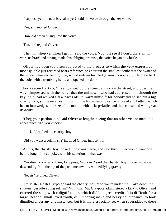'I suppose yer the new boy, ain't yer?' said the voice through the key−hole.

'Yes, sir,' replied Oliver.

'How old are yer?' inquired the voice.

'Ten, sir,' replied Oliver.

 'Then I'll whop yer when I get in,' said the voice; 'you just see if I don't, that's all, my work'us brat!' and having made this obliging promise, the voice began to whistle.

 Oliver had been too often subjected to the process to which the very expressive monosyllable just recorded bears reference, to entertain the smallest doubt that the owner of the voice, whoever he might be, would redeem his pledge, most honourably. He drew back the bolts with a trembling hand, and opened the door.

 For a second or two, Oliver glanced up the street, and down the street, and over the way: impressed with the belief that the unknown, who had addressed him through the key−hole, had walked a few paces off, to warm himself; for nobody did he see but a big charity−boy, sitting on a post in front of the house, eating a slice of bread and butter: which he cut into wedges, the size of his mouth, with a clasp−knife, and then consumed with great dexterity.

 'I beg your pardon, sir,' said Oliver at length: seeing that no other visitor made his appearance; 'did you knock?'

'I kicked,' replied the charity−boy.

'Did you want a coffin, sir?' inquired Oliver, innocently.

 At this, the charity−boy looked monstrous fierce; and said that Oliver would want one before long, if he cut jokes with his superiors in that way.

 'Yer don't know who I am, I suppose, Work'us?' said the charity−boy, in continuation: descending from the top of the post, meanwhile, with edifying gravity.

'No, sir,' rejoined Oliver.

 'I'm Mister Noah Claypole,' said the charity−boy, 'and you're under me. Take down the shutters, yer idle young ruffian!' With this, Mr. Claypole administered a kick to Oliver, and entered the shop with a dignified air, which did him great credit. It is difficult for a large−headed, small−eyed youth, of lumbering make and heavy countenance, to look dignified under any circumstances; but it is more especially so, when superadded to these

CHAPTER V – OLIVER Mingles with new associates. Going To a funeral for the first time, HE Forot and unfa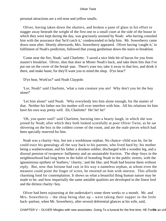personal attractions are a red nose and yellow smalls.

 Oliver, having taken down the shutters, and broken a pane of glass in his effort to stagger away beneath the weight of the first one to a small court at the side of the house in which they were kept during the day, was graciously assisted by Noah: who having consoled him with the assurance that 'he'd catch it,' condescended to help him. Mr. Sowerberry came down soon after. Shortly afterwards, Mrs. Sowerberry appeared. Oliver having 'caught it,' in fulfilment of Noah's prediction, followed that young gentleman down the stairs to breakfast.

 'Come near the fire, Noah,' said Charlotte. 'I saved a nice little bit of bacon for you from master's breakfast. Oliver, shut that door at Mister Noah's back, and take them bits that I've put out on the cover of the bread−pan. There's your tea; take it away to that box, and drink it there, and make haste, for they'll want you to mind the shop. D'ye hear?'

'D'ye hear, Work'us?' said Noah Claypole.

 'Lor, Noah!' said Charlotte, 'what a rum creature you are! Why don't you let the boy alone?'

 'Let him alone!' said Noah. 'Why everybody lets him alone enough, for the matter of that. Neither his father nor his mother will ever interfere with him. All his relations let him have his own way pretty well. Eh, Charlotte? He! he!'

 'Oh, you queer soul!' said Charlotte, bursting into a hearty laugh, in which she was joined by Noah; after which they both looked scornfully at poor Oliver Twist, as he sat shivering on the box in the coldest corner of the room, and ate the stale pieces which had been specially reserved for him.

 Noah was a charity−boy, but not a workhouse orphan. No chance−child was he, for he could trace his genealogy all the way back to his parents, who lived hard by; his mother being a washerwoman, and his father a drunken soldier, discharged with a wooden leg, and a diurnal pension of twopence−halfpenny and an unstateable fraction. The shop−boys in the neighbourhood had long been in the habit of branding Noah in the public streets, with the ignominious epithets of 'leathers,' 'charity,' and the like; and Noah had bourne them without reply. But, now that fortune had cast in his way a nameless orphan, at whom even the meanest could point the finger of scorn, he retorted on him with interest. This affords charming food for contemplation. It shows us what a beautiful thing human nature may be made to be; and how impartially the same amiable qualities are developed in the finest lord and the dirtiest charity−boy.

 Oliver had been sojourning at the undertaker's some three weeks or a month. Mr. and Mrs. Sowerberry – the shop being shut up – were taking their supper in the little back−parlour, when Mr. Sowerberry, after several deferential glances at his wife, said,

CHAPTER V – OLIVER Mingles with new associates. Going To a funeral for the first time, HE Form's an unfa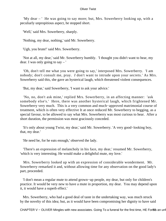'My dear – ' He was going to say more; but, Mrs. Sowerberry looking up, with a peculiarly unpropitious aspect, he stopped short.

'Well,' said Mrs. Sowerberry, sharply.

'Nothing, my dear, nothing,' said Mr. Sowerberry.

'Ugh, you brute!' said Mrs. Sowerberry.

 'Not at all, my dear,' said Mr. Sowerberry humbly. 'I thought you didn't want to hear, my dear. I was only going to say – '

 'Oh, don't tell me what you were going to say,' interposed Mrs. Sowerberry. 'I am nobody; don't consult me, pray. *I* don't want to intrude upon your secrets.' As Mrs. Sowerberry said this, she gave an hysterical laugh, which threatened violent consequences.

'But, my dear,' said Sowerberry, 'I want to ask your advice.'

 'No, no, don't ask mine,' replied Mrs. Sowerberry, in an affecting manner: 'ask somebody else's.' Here, there was another hysterical laugh, which frightened Mr. Sowerberry very much. This is a very common and much−approved matrimonial course of treatment, which is often very effective It at once reduced Mr. Sowerberry to begging, as a special favour, to be allowed to say what Mrs. Sowerberry was most curious to hear. After a short duration, the permission was most graciously conceded.

 'It's only about young Twist, my dear,' said Mr. Sowerberry. 'A very good−looking boy, that, my dear.'

'He need be, for he eats enough,' observed the lady.

 'There's an expression of melancholy in his face, my dear,' resumed Mr. Sowerberry, 'which is very interesting. He would make a delightful mute, my love.'

 Mrs. Sowerberry looked up with an expression of considerable wonderment. Mr. Sowerberry remarked it and, without allowing time for any observation on the good lady's part, proceeded.

 'I don't mean a regular mute to attend grown−up people, my dear, but only for children's practice. It would be very new to have a mute in proportion, my dear. You may depend upon it, it would have a superb effect.'

 Mrs. Sowerberry, who had a good deal of taste in the undertaking way, was much struck by the novelty of this idea; but, as it would have been compromising her dignity to have said

CHAPTER V – OLIVER Mingles with new associates. Going To a funeral for the first time, HE Forß 26 an unfa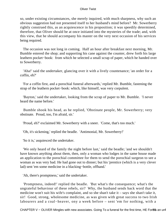so, under existing circumstances, she merely inquired, with much sharpness, why such an obvious suggestion had not presented itself to her husband's mind before? Mr. Sowerberry rightly construed this, as an acquiescence in his proposition; it was speedily determined, therefore, that Oliver should be at once initiated into the mysteries of the trade; and, with this view, that he should accompany his master on the very next occasion of his services being required.

 The occasion was not long in coming. Half an hour after breakfast next morning, Mr. Bumble entered the shop; and supporting his cane against the counter, drew forth his large leathern pocket−book: from which he selected a small scrap of paper, which he handed over to Sowerberry.

 'Aha!' said the undertaker, glancing over it with a lively countenance; 'an order for a coffin, eh?'

 'For a coffin first, and a porochial funeral afterwards,' replied Mr. Bumble, fastening the strap of the leathern pocket−book: which, like himself, was very corpulent.

 'Bayton,' said the undertaker, looking from the scrap of paper to Mr. Bumble. 'I never heard the name before.'

 Bumble shook his head, as he replied, 'Obstinate people, Mr. Sowerberry; very obstinate. Proud, too, I'm afraid, sir.'

'Proud, eh?' exclaimed Mr. Sowerberry with a sneer. 'Come, that's too much.'

'Oh, it's sickening,' replied the beadle. 'Antimonial, Mr. Sowerberry!'

'So it is,' asquiesced the undertaker.

 'We only heard of the family the night before last,' said the beadle; 'and we shouldn't have known anything about them, then, only a woman who lodges in the same house made an application to the porochial committee for them to send the porochial surgeon to see a woman as was very bad. He had gone out to dinner; but his 'prentice (which is a very clever lad) sent 'em some medicine in a blacking−bottle, offhand.'

'Ah, there's promptness,' said the undertaker.

 'Promptness, indeed!' replied the beadle. 'But what's the consequence; what's the ungrateful behaviour of these rebels, sir? Why, the husband sends back word that the medicine won't suit his wife's complaint, and so she shan't take it – says she shan't take it, sir! Good, strong, wholesome medicine, as was given with great success to two Irish labourers and a coal−heaver, ony a week before – sent 'em for nothing, with a

CHAPTER V – OLIVER Mingles with new associates. Going To a funeral for the first time, HE Forß 36 an unfa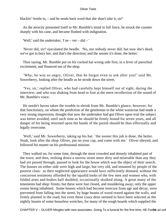blackin'−bottle in, – and he sends back word that she shan't take it, sir!'

 As the atrocity presented itself to Mr. Bumble's mind in full force, he struck the counter sharply with his cane, and became flushed with indignation.

'Well,' said the undertaker, 'I ne – ver – did – '

 'Never did, sir!' ejaculated the beadle. 'No, nor nobody never did; but now she's dead, we've got to bury her; and that's the direction; and the sooner it's done, the better.'

 Thus saying, Mr. Bumble put on his cocked hat wrong side first, in a fever of parochial excietment; and flounced out of the shop.

 'Why, he was so angry, Oliver, that he forgot even to ask after you!' said Mr. Sowerberry, looking after the beadle as he strode down the street.

 'Yes, sir,' replied Oliver, who had carefully kept himself out of sight, during the interview; and who was shaking from head to foot at the mere recollection of the sound of Mr. Bumble's voice.

 He needn't haven taken the trouble to shrink from Mr. Bumble's glance, however; for that functionary, on whom the prediction of the gentleman in the white waistcoat had made a very strong impression, thought that now the undertaker had got Oliver upon trial the subject was better avoided, until such time as he should be firmly bound for seven years, and all danger of his being returned upon the hands of the parish should be thus effectually and legally overcome.

 'Well,' said Mr. Sowerberry, taking up his hat. 'the sooner this job is done, the better. Noah, look after the shop. Oliver, put on your cap, and come with me.' Oliver obeyed, and followed his master on his professional mission.

 They walked on, for some time, through the most crowded and densely inhabited part of the town; and then, striking down a narrow street more dirty and miserable than any they had yet passed through, paused to look for the house which was the object of their search. The houses on either side were high and large, but very old, and tenanted by people of the poorest class: as their neglected appearance would have sufficiently dentoed, without the concurrent testimony afforded by the squalid looks of the few men and women who, with folded arms and bodies half doubled, occasionally skulked along. A great many of the tenements had shop−fronts; but these were fast closed, and mouldering away; only the upper rooms being inhabited. Some houses which had become insecure from age and decay, were prevented from falling into the street, by huge beams of wood reared against the walls, and firmly planted in the road; but even these crazy dens seemed to have been selected as the nightly haunts of some houseless wretches, for many of the rough boards which supplied the

CHAPTER V – OLIVER Mingles with new associates. Going To a funeral for the first time, HE For<sub>8</sub> an unfa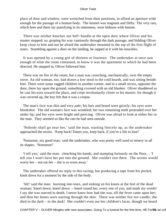place of door and window, were wrenched from their positions, to afford an aperture wide enough for the passage of a human body. The kennel was stagnant and filthy. The very rats, which here and there lay putrefying in its rottenness, were hideous with famine.

 There was neither knocker nor bell−handle at the open door where Oliver and his master stopped; so, groping his way cautiously through the dark passage, and bidding Oliver keep close to him and not be afraid the undertaker mounted to the top of the first flight of stairs. Stumbling against a door on the landing, he rapped at it with his knuckles.

 It was opened by a young girl of thirteen or fourteen. The undertaker at once saw enough of what the room contained, to know it was the apartment to which he had been directed. He stepped in; Oliver followed him.

 There was no fire in the room; but a man was crouching, mechanically, over the empty stove. An old woman, too, had drawn a low stool to the cold hearth, and was sitting beside him. There were some ragged children in another corner; and in a small recess, opposite the door, there lay upon the ground, something covered with an old blanket. Oliver shuddered as he cast his eyes toward the place, and crept involuntarily closer to his master; for though it was covered up, the boy felt that it was a corpse.

 The man's face was thin and very pale; his hair and beard were grizzly; his eyes were blookshot. The old woman's face was wrinkled; her two remaining teeth protruded over her under lip; and her eyes were bright and piercing. Oliver was afriad to look at either her or the man. They seemed so like the rats he had seen outside.

 'Nobody shall go near her,' said the man, starting fiercely up, as the undertaker approached the recess. 'Keep back! Damn you, keep back, if you've a life to lose!'

 'Nonsense, my good man,' said the undertaker, who was pretty well used to misery in all its shapes. 'Nonsense!'

 'I tell you,' said the man: clenching his hands, and stamping furiously on the floor, – 'I tell you I won't have her put into the ground. She couldn't rest there. The worms would worry her – not eat her – she is so worn away.'

 The undertaker offered no reply to this raving; but producing a tape from his pocket, knelt down for a moment by the side of the body.

 'Ah!' said the man: bursting into tears, and sinking on his knees at the feet of the dead woman; 'kneel down, kneel down – kneel round her, every one of you, and mark my words! I say she was starved to death. I never knew how bad she was, till the fever came upon her; and then her bones were starting through the skin. There was neither fire nor candle; she died in the dark – in the dark! She couldn't even see her children's faces, though we heard

CHAPTER V – OLIVER Mingles with new associates. Going To a funeral for the first time, HE Forßt an unfat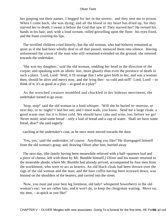her gasping out their names. I begged for her in the streets: and they sent me to prison. When I came back, she was dying; and all the blood in my heart has dried up, for they starved her to death. I swear it before the God that saw it! They starved her!' He twined his hands in his hair; and, with a loud scream, rolled grovelling upon the floor: his eyes fixed, and the foam covering his lips.

 The terrified children cried bitterly; but the old woman, who had hitherto remained as quiet as if she had been wholly deaf to all that passed, menaced them into silence. Having unloosened the cravat of the man who still remained extended on the ground, she tottered towards the undertaker.

 'She was my daughter,' said the old woman, nodding her head in the direction of the corpse; and speaking with an idiotic leer, more ghastly than even the presence of death in such a place. 'Lord, Lord! Well, it IS strange that I who gave birth to her, and was a woman then, should be alive and merry now, and she lying ther: so cold and stiff! Lord, Lord! – to think of it; it's as good as a play – as good as a play!'

 As the wretched creature mumbled and chuckled in her hideous merriment, the undertaker turned to go away.

 'Stop, stop!' said the old woman in a loud whisper. 'Will she be buried to−morrow, or next day, or to−night? I laid her out; and I must walk, you know. Send me a large cloak: a good warm one: for it is bitter cold. We should have cake and wine, too, before we go! Never mind; send some bread – only a loaf of bread and a cup of water. Shall we have some bread, dear?' she said eagerly:

catching at the undertaker's coat, as he once more moved towards the door.

 'Yes, yes,' said the undertaker,'of course. Anything you like!' He disengaged himself from the old woman's grasp; and, drawing Oliver after him, hurried away.

 The next day, (the family having been meanwhile relieved with a half−quartern loaf and a piece of cheese, left with them by Mr. Bumble himself,) Oliver and his master returned to the miserable abode; where Mr. Bumble had already arrived, accompanied by four men from the workhouse, who were to act as bearers. An old black cloak had been thrown over the rags of the old woman and the man; and the bare coffin having been screwed down, was hoisted on the shoulders of the bearers, and carried into the street.

 'Now, you must put your best leg foremost, old lady!' whispered Sowerberry in the old woman's ear; 'we are rather late; and it won't do, to keep the clergyman waiting. Move on, my men, – as quick as you like!'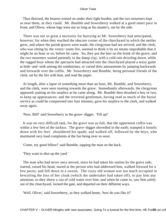Thus directed, the bearers trotted on under their light burden; and the two mourners kept as near them, as they could. Mr. Bumble and Sowerberry walked at a good smart pace in front; and Oliver, whose legs were not so long as his master's, ran by the side.

 There was not so great a necessity for hurrying as Mr. Sowerberry had anticipated, however; for when they reached the obscure corner of the churchyard in which the nettles grew, and where the parish graves were made, the clergyman had not arrived; and the clerk, who was sitting by the vestry−room fire, seemed to think it by no means improbable that it might be an hour or so, before he came. So, they put the bier on the brink of the grave; and the two mourners waited patiently in the damp clay, with a cold rain drizzling down, while the ragged boys whom the spectacle had attracted into the churchyard played a noisy game at hide−and−seek among the tombstones, or varied their amusements by jumping backwards and forwards over the coffin. Mr. Sowerberry and Bumble, being personal friends of the clerk, sat by the fire with him, and read the paper.

 At length, after a lapse of something more than an hour, Mr. Bumble, and Sowerberry, and the clerk, were seen running towards the grave. Immediately afterwards, the clergyman appeared: putting on his surplice as he came along. Mr. Bumble then thrashed a boy or two, to keep up appearances; and the reverend gentleman, having read as much of the burial service as could be compressed into four minutes, gave his surplice to the clerk, and walked away again.

'Now, Bill!' said Sowerberry to the grave−digger. 'Fill up!'

 It was no very difficult task, for the grave was so full, that the uppermost coffin was within a few feet of the surface. The grave−digger shovelled in the earth; stamped it loosely down with his feet: shouldered his spade; and walked off, followed by the boys, who murmured very loud complaints at the fun being over so soon.

'Come, my good fellow!' said Bumble, tapping the man on the back.

'They want to shut up the yard.'

 The man who had never once moved, since he had taken his station by the grave side, started, raised his head, stared at the person who had addressed him, walked forward for a few paces; and fell down in a swoon. The crazy old woman was too much occupied in bewailing the loss of her cloak (which the undertaker had taken off), to pay him any attention; so they threw a can of cold water over him; and when he came to, saw him safely out of the churchyard, locked the gate, and departed on their different ways.

'Well, Oliver,' said Sowerberry, as they walked home, 'how do you like it?'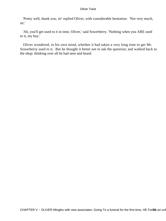'Pretty well, thank you, sir' replied Oliver, with considerable hesitation. 'Not very much, sir.'

 'Ah, you'll get used to it in time, Oliver,' said Sowerberry. 'Nothing when you ARE used to it, my boy.'

 Oliver wondered, in his own mind, whether it had taken a very long time to get Mr. Sowerberry used to it. But he thought it better not to ask the question; and walked back to the shop: thinking over all he had seen and heard.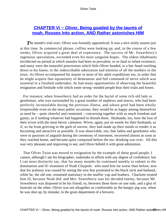## **[CHAPTER Vi − Oliver, Being goaded by the taunts of](#page-393-0) [noah, Rouses Into action, AND Rather astonishes HIM](#page-393-0)**

**The month's trial over, Oliver was formally apprenticed. It was a nice sickly season just** at this time. In commercial phrase, coffins were looking up; and, in the course of a few weeks, Oliver acquired a great deal of experience. The success of Mr. Sowerberry's ingenious speculation, exceeded even his most sanguine hopes. The oldest inhabitants recollected no period at which measles had been so prevalent, or so fatal to infant existence; and many were the mournful processions which little Oliver headed, in a hat−band reaching down to his knees, to the indescribable admiration and emotion of all the mothers in the town. As Oliver accompanied his master in most of his adult expeditions too, in order that he might acquire that equanimity of demeanour and full command of nerve which was essential to a finished undertaker, he had many opportunities of observing the beautiful resignation and fortitude with which some strong−minded people bear their trials and losses.

 For instance; when Sowerberry had an order for the burial of some rich old lady or gentleman, who was surrounded by a great number of nephews and nieces, who had been perfectly inconsolable during the previous illness, and whose grief had been wholly irrepressible even on the most public occasions, they would be as happy among themselves as need be – quite cheerful and contented – conversing together with as much freedom and gaiety, as if nothing whatever had happened to disturb them. Husbands, too, bore the loss of their wives with the most heroic calmness. Wives, again, put on weeds for their husbands, as if, so far from grieving in the garb of sorrow, they had made up their minds to render it as becoming and attractive as possible. It was observable, too, that ladies and gentlemen who were in passions of anguish during the ceremony of interment, recovered almost as soon as they reached home, and became quite composed before the tea−drinking was over. All this was very pleasant and improving to see; and Oliver beheld it with great admiration.

 That Oliver Twist was moved to resignation by the example of these good people, I cannot, although I am his biographer, undertake to affirm with any degree of confidence; but I can most distinctly say, that for many months he continued meekly to submit to the domination and ill−treatment of Noah Claypole: who used him far worse than before, now that his jealousy was roused by seeing the new boy promoted to the black stick and hatband, while he, the old one, remained stationary in the muffin−cap and leathers. Charlotte treated him ill, because Noah did; and Mrs. Sowerberry was his decided enemy, because Mr. Sowerberry was disposed to be his friend; so, between these three on one side, and a glut of funerals on the other, Oliver was not altogether as comfortable as the hungry pig was, when he was shut up, by mistake, in the grain department of a brewery.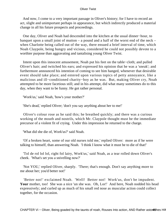And now, I come to a very important passage in Oliver's history; for I have to record an act, slight and unimportant perhaps in appearance, but which indirectly produced a material change in all his future prospects and proceedings.

 One day, Oliver and Noah had descended into the kitchen at the usual dinner−hour, to banquet upon a small joint of mutton  $-$  a pound and a half of the worst end of the neck  $$ when Charlotte being called out of the way, there ensued a brief interval of time, which Noah Claypole, being hungry and vicious, considered he could not possibly devote to a worthier purpose than aggravating and tantalising young Oliver Twist.

 Intent upon this innocent amusement, Noah put his feet on the table−cloth; and pulled Oliver's hair; and twitched his ears; and expressed his opinion that he was a 'sneak'; and furthermore announced his intention of coming to see him hanged, whenever that desirable event should take place; and entered upon various topics of petty annoyance, like a malicious and ill−conditioned charity−boy as he was. But, making Oliver cry, Noah attempted to be more facetious still; and in his attempt, did what many sometimes do to this day, when they want to be funny. He got rather personal.

'Work'us,' said Noah, 'how's your mother?'

'She's dead,' replied Oliver; 'don't you say anything about her to me!'

 Oliver's colour rose as he said this; he breathed quickly; and there was a curious working of the mouth and nostrils, which Mr. Claypole thought must be the immediate precursor of a violent fit of crying. Under this impression he returned to the charge.

'What did she die of, Work'us?' said Noah.

 'Of a broken heart, some of our old nurses told me,' replied Oliver: more as if he were talking to himself, than answering Noah. 'I think I know what it must be to die of that!'

 'Tol de rol lol lol, right fol lairy, Work'us,' said Noah, as a tear rolled down Oliver's cheek. 'What's set you a snivelling now?'

 'Not YOU,' replied Oliver, sharply. 'There; that's enough. Don't say anything more to me about her; you'd better not!'

 'Better not!' exclaimed Noah. 'Well! Better not! Work'us, don't be impudent. Your mother, too! She was a nice 'un she was. Oh, Lor!' And here, Noah nodded his head expressively; and curled up as much of his small red nose as muscular action could collect together, for the occasion.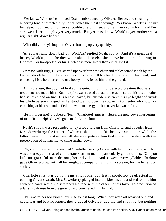'Yer know, Work'us,' continued Noah, emboldened by Oliver's silence, and speaking in a jeering tone of affected pity: of all tones the most annoying: 'Yer know, Work'us, it can't be helped now; and of course yer couldn't help it then; and I am very sorry for it; and I'm sure we all are, and pity yer very much. But yer must know, Work'us, yer mother was a regular right−down bad 'un.'

'What did you say?' inquired Oliver, looking up very quickly.

 'A regular right−down bad 'un, Work'us,' replied Noah, coolly. 'And it's a great deal better, Work'us, that she died when she did, or else she'd have been hard labouring in Bridewell, or transported, or hung; which is more likely than either, isn't it?'

 Crimson with fury, Oliver started up; overthrew the chair and table; seized Noah by the throat; shook him, in the violence of his rage, till his teeth chattered in his head; and collecting his whole force into one heavy blow, felled him to the ground.

 A minute ago, the boy had looked the quiet child, mild, dejected creature that harsh treatment had made him. But his spirit was roused at last; the cruel insult to his dead mother had set his blood on fire. His breast heaved; his attitude was erect; his eye bright and vivid; his whole person changed, as he stood glaring over the cowardly tormentor who now lay crouching at his feet; and defied him with an energy he had never known before.

 'He'll murder me!' blubbered Noah. 'Charlotte! missis! Here's the new boy a murdering of me! Help! help! Oliver's gone mad! Char – lotte!'

 Noah's shouts were responded to, by a loud scream from Charlotte, and a louder from Mrs. Sowerberry; the former of whom rushed into the kitchen by a side−door, while the latter paused on the staircase till she was quite certain that it was consistent with the preservation of human life, to come further down.

 'Oh, you little wretch!' screamed Charlotte: seizing Oliver with her utmost force, which was about equal to that of a moderately strong man in particularly good training. 'Oh, you little un−grate−ful, mur−de−rous, hor−rid villain!' And between every syllable, Charlotte gave Oliver a blow with all her might: accompanying it with a scream, for the benefit of society.

 Charlotte's fist was by no means a light one; but, lest it should not be effectual in calming Oliver's wrath, Mrs. Sowerberry plunged into the kitchen, and assisted to hold him with one hand, while she scratched his face with the other. In this favourable position of affairs, Noah rose from the ground, and pommelled him behind.

 This was rather too violent exercise to last long. When they were all wearied out, and could tear and beat no longer, they dragged Oliver, struggling and shouting, but nothing

CHAPTER Vi – Oliver, Being goaded by the taunts of noah, Rouses Into action, AND Rather astor is HIM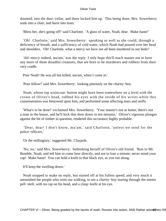daunted, into the dust−cellar, and there locked him up. This being done, Mrs. Sowerberry sunk into a chair, and burst into tears.

'Bless her, she's going off!' said Charlotte. 'A glass of water, Noah, dear. Make haste!'

 'Oh! Charlotte,' said Mrs. Sowerberry: speaking as well as she could, through a deficiency of breath, and a sufficiency of cold water, which Noah had poured over her head and shoulders. 'Oh! Charlotte, what a mercy we have not all been murdered in our beds!'

 'Ah! mercy indeed, ma'am,' was the reply. I only hope this'll teach master not to have any more of these dreadful creatures, that are born to be murderers and robbers from their very cradle.

Poor Noah! He was all but killed, ma'am, when I come in.'

'Poor fellow!' said Mrs. Sowerberry: looking piteously on the charity−boy.

 Noah, whose top waistcoat−button might have been somewhere on a level with the crown of Oliver's head, rubbed his eyes with the inside of his wrists while this commiseration was bestowed upon him, and performed some affecting tears and sniffs.

 'What's to be done!' exclaimed Mrs. Sowerberry. 'Your master's not at home; there's not a man in the house, and he'll kick that door down in ten minutes.' Oliver's vigorous plunges against the bit of timber in question, rendered this occurance highly probable.

 'Dear, dear! I don't know, ma'am,' said Charlotte, 'unless we send for the police−officers.'

'Or the millingtary,' suggested Mr. Claypole.

 'No, no,' said Mrs. Sowerberry: bethinking herself of Oliver's old friend. 'Run to Mr. Bumble, Noah, and tell him to come here directly, and not to lose a minute; never mind your cap! Make haste! You can hold a knife to that black eye, as you run along.

It'll keep the swelling down.'

 Noah stopped to make no reply, but started off at his fullest speed; and very much it astonished the people who were out walking, to see a charity−boy tearing through the streets pell−mell, with no cap on his head, and a clasp−knife at his eye.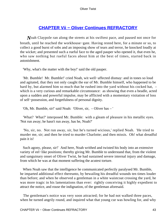# **[CHAPTER Vii − Oliver Continues REFRACTORY](#page-393-0)**

*N*oah Claypole ran along the streets at his swiftest pace, and paused not once for breath, until he reached the workhouse−gate. Having rested here, for a minute or so, to collect a good burst of sobs and an imposing show of tears and terror, he knocked loudly at the wicket; and presented such a rueful face to the aged pauper who opened it, that even he, who saw nothing but rueful faces about him at the best of times, started back in astonishment.

'Why, what's the matter with the boy!' said the old pauper.

 'Mr. Bumble! Mr. Bumble!' cried Noah, wit well−affected dismay: and in tones so loud and agitated, that they not only caught the ear of Mr. Bumble himself, who happened to be hard by, but alarmed him so much that he rushed into the yard without his cocked hat, which is a very curious and remarkable circumstance: as showing that even a beadle, acted upon a sudden and powerful impulse, may be afflicted with a momentary visitation of loss of self−possession, and forgetfulness of personal dignity.

'Oh, Mr. Bumble, sir!' said Noah: 'Oliver, sir, – Oliver has – '

 'What? What?' interposed Mr. Bumble: with a gleam of pleasure in his metallic eyes. 'Not run away; he hasn't run away, has he, Noah?'

 'No, sir, no. Not run away, sir, but he's turned wicious,' replied Noah. 'He tried to murder me, sir; and then he tried to murder Charlotte; and then missis. Oh! what dreadful pain it is!

 Such agony, please, sir!' And here, Noah writhed and twisted his body into an extensive variety of eel−like positions; thereby giving Mr. Bumble to understand that, from the violent and sanguinary onset of Oliver Twist, he had sustained severe internal injury and damage, from which he was at that moment suffering the acutest torture.

 When Noah saw that the intelligence he communicated perfectly paralysed Mr. Bumble, he imparted additional effect thereunto, by bewailing his dreadful wounds ten times louder than before; and when he observed a gentleman in a white waistcoat crossing the yard, he was more tragic in his lamentations than ever: rightly conceiving it highly expedient to attract the notice, and rouse the indignation, of the gentleman aforesaid.

 The gentleman's notice was very soon attracted; for he had not walked three paces, when he turned angrily round, and inquired what that young cur was howling for, and why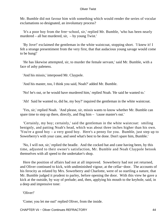Mr. Bumble did not favour him with something which would render the series of vocular exclamations so designated, an involuntary process?

 'It's a poor boy from the free−school, sir,' replied Mr. Bumble, 'who has been nearly murdered – all but murdered, sir, – by young Twist.'

 'By Jove!' exclaimed the gentleman in the white waistcoat, stopping short. 'I knew it! I felt a strange presentiment from the very first, that that audacious young savage would come to be hung!'

 'He has likewise attempted, sir, to murder the female servant,' said Mr. Bumble, with a face of ashy paleness.

'And his missis,' interposed Mr. Claypole.

'And his master, too, I think you said, Noah?' added Mr. Bumble.

'No! he's out, or he would have murdered him,' replied Noah. 'He said he wanted to.'

'Ah! Said he wanted to, did he, my boy?' inquired the gentleman in the white waistcoat.

 'Yes, sir,' replied Noah. 'And please, sir, missis wants to know whether Mr. Bumble can spare time to step up there, directly, and flog him – 'cause master's out.'

 'Certainly, my boy; certainly,' said the gentleman in the white waistcoat: smiling benignly, and patting Noah's head, which was about three inches higher than his own. 'You're a good boy – a very good boy. Here's a penny for you. Bumble, just step up to Sowerberry's with your cane, and seed what's best to be done. Don't spare him, Bumble.'

 'No, I will not, sir,' replied the beadle. And the cocked hat and cane having been, by this time, adjusted to their owner's satisfaction, Mr. Bumble and Noah Claypole betook themselves with all speed to the undertaker's shop.

 Here the position of affairs had not at all improved. Sowerberry had not yet returned, and Oliver continued to kick, with undiminished vigour, at the cellar−door. The accounts of his ferocity as related by Mrs. Sowerberry and Charlotte, were of so startling a nature, that Mr. Bumble judged it prudent to parley, before opening the door. With this view he gave a kick at the outside, by way of prelude; and, then, applying his mouth to the keyhole, said, in a deep and impressive tone:

'Oliver!'

'Come; you let me out!' replied Oliver, from the inside.

CHAPTER Vii − Oliver Continues REFRACTORY 44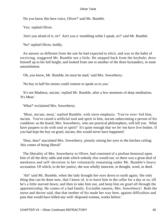'Do you know this here voice, Oliver?' said Mr. Bumble.

'Yes,' replied Oliver.

'Ain't you afraid of it, sir? Ain't you a−trembling while I speak, sir?' said Mr. Bumble.

'No!' replied Oliver, boldly.

 An answer so different from the one he had expected to elicit, and was in the habit of receiving, staggered Mr. Bumble not a little. He stepped back from the keyhole; drew himself up to his full height; and looked from one to another of the three bystanders, in mute astonishment.

'Oh, you know, Mr. Bumble, he must be mad,' said Mrs. Sowerberry.

'No boy in half his senses could venture to speak so to you.'

 'It's not Madness, ma'am,' replied Mr. Bumble, after a few moments of deep meditation. 'It's Meat.'

'What?' exclaimed Mrs. Sowerberry.

 'Meat, ma'am, meat,' replied Bumble, with stern emphasis. 'You've over−fed him, ma'am. You've raised a artificial soul and spirit in him, ma'am unbecoming a person of his condition: as the board, Mrs. Sowerberry, who are practical philosophers, will tell you. What have paupers to do with soul or spirit? It's quite enough that we let 'em have live bodies. If you had kept the boy on gruel, ma'am, this would never have happened.'

 'Dear, dear!' ejaculated Mrs. Sowerberry, piously raising her eyes to the kitchen ceiling: 'this comes of being liberal!'

 The liberality of Mrs. Sowerberry to Oliver, had consisted of a profuse bestowal upon him of all the dirty odds and ends which nobody else would eat; so there was a great deal of meekness and self−devotion in her voluntarily remaining under Mr. Bumble's heavy accusation. Of which, to do her justice, she was wholly innocent, in thought, word, or deed.

 'Ah!' said Mr. Bumble, when the lady brought her eyes down to earth again; 'the only thing that can be done now, that I know of, is to leave him in the cellar for a day or so, till he's a little starved down; and then to take him out, and keep him on gruel all through the apprenticeship. He comes of a bad family. Excitable natures, Mrs. Sowerberry! Both the nurse and doctor said, that that mother of his made her way here, against difficulties and pain that would have killed any well−disposed woman, weeks before.'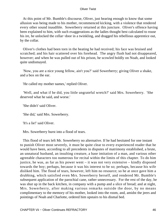At this point of Mr. Bumble's discourse, Oliver, just hearing enough to know that some allusion was being made to his mother, recommenced kicking, with a violence that rendered every other sound inaudible. Sowerberry returned at this juncture. Oliver's offence having been explained to him, with such exaggerations as the ladies thought best calculated to rouse his ire, he unlocked the cellar−door in a twinkling, and dragged his rebellious apprentice out, by the collar.

 Oliver's clothes had been torn in the beating he had received; his face was bruised and scratched; and his hair scattered over his forehead. The angry flush had not disappeared, however; and when he was pulled out of his prison, he scowled boldly on Noah, and looked quite undismayed.

 'Now, you are a nice young fellow, ain't you?' said Sowerberry; giving Oliver a shake, and a box on the ear.

'He called my mother names,' replied Oliver.

 'Well, and what if he did, you little ungrateful wretch?' said Mrs. Sowerberry. 'She deserved what he said, and worse.'

'She didn't' said Oliver.

'She did,' said Mrs. Sowerberry.

'It's a lie!' said Oliver.

Mrs. Sowerberry burst into a flood of tears.

 This flood of tears left Mr. Sowerberry no alternative. If he had hesitated for one instant to punish Oliver most severely, it must be quite clear to every experienced reader that he would have been, according to all precedents in disputes of matrimony established, a brute, an unnatural husband, an insulting creature, a base imitation of a man, and various other agreeable characters too numerous for recital within the limits of this chapter. To do him justice, he was, as far as his power went – it was not very extensive – kindly disposed towards the boy; perhaps, because it was his interest to be so; perhaps, because his wife disliked him. The flood of tears, however, left him no resource; so he at once gave him a drubbing, which satisfied even Mrs. Sowerberry herself, and rendered Mr. Bumble's subsequent application of the parochial cane, rather unnecessary. For the rest of the day, he was shut up in the back kitchen, in company with a pump and a slice of bread; and at night, Mrs. Sowerberry, after making various remarks outside the door, by no means complimentary to the memory of his mother, looked into the room, and, amidst the jeers and pointings of Noah and Charlotte, ordered him upstairs to his dismal bed.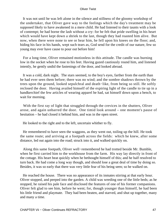It was not until he was left alone in the silence and stillness of the gloomy workshop of the undertaker, that Oliver gave way to the feelings which the day's treatment may be supposed likely to have awakened in a mere child. He had listened to their taunts with a look of contempt; he had borne the lash without a cry: for he felt that pride swelling in his heart which would have kept down a shriek to the last, though they had roasted him alive. But now, when there were none to see or hear him, he fell upon his knees on the floor; and, hiding his face in his hands, wept such tears as, God send for the credit of our nature, few so young may ever have cause to pour out before him!

 For a long time, Oliver remained motionless in this attitude. The candle was burning low in the socket when he rose to his feet. Having gazed cautiously round him, and listened intently, he gently undid the fastenings of the door, and looked abroad.

 It was a cold, dark night. The stars seemed, to the boy's eyes, farther from the earth than he had ever seen them before; there was no wind; and the sombre shadows thrown by the trees upon the ground, looked sepulchral and death−like, from being so still. He softly reclosed the door. Having availed himself of the expiring light of the candle to tie up in a handkerchief the few articles of wearing apparel he had, sat himself down upon a bench, to wait for morning.

 With the first ray of light that struggled through the crevices in the shutters, Oliver arose, and again unbarred the door. One timid look around – one moment's pause of hesitation – he had closed it behind him, and was in the open street.

He looked to the right and to the left, uncertain whither to fly.

 He remembered to have seen the waggons, as they went out, toiling up the hill. He took the same route; and arriving at a footpath across the fields: which he knew, after some distance, led out again into the road; struck into it, and walked quickly on.

 Along this same footpath, Oliver well−remembered he had trotted beside Mr. Bumble, when he first carried him to the workhouse from the farm. His way lay directly in front of the cottage. His heart beat quickly when he bethought himself of this; and he half resolved to turn back. He had come a long way though, and should lose a great deal of time by doing so. Besides, it was so early that there was very little fear of his being seen; so he walked on.

 He reached the house. There was no appearance of its inmates stirring at that early hour. Oliver stopped, and peeped into the garden. A child was weeding one of the little beds; as he stopped, he raised his pale face and disclosed the features of one of his former companions. Oliver felt glad to see him, before he went; for, though younger than himself, he had been his little friend and playmate. They had been beaten, and starved, and shut up together, many and many a time.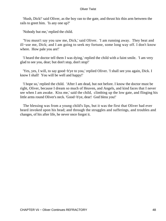'Hush, Dick!' said Oliver, as the boy ran to the gate, and thrust his thin arm between the rails to greet him. 'Is any one up?'

'Nobody but me,' replied the child.

 'You musn't say you saw me, Dick,' said Oliver. 'I am running away. They beat and ill−use me, Dick; and I am going to seek my fortune, some long way off. I don't know where. How pale you are!'

 'I heard the doctor tell them I was dying,' replied the child with a faint smile. 'I am very glad to see you, dear; but don't stop, don't stop!'

 'Yes, yes, I will, to say good−b'ye to you,' replied Oliver. 'I shall see you again, Dick. I know I shall! You will be well and happy!'

 'I hope so,' replied the child. 'After I am dead, but not before. I know the doctor must be right, Oliver, because I dream so much of Heaven, and Angels, and kind faces that I never see when I am awake. Kiss me,' said the child, climbing up the low gate, and flinging his little arms round Oliver's neck. 'Good−b'ye, dear! God bless you!'

 The blessing was from a young child's lips, but it was the first that Oliver had ever heard invoked upon his head; and through the struggles and sufferings, and troubles and changes, of his after life, he never once forgot it.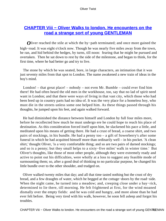## **[CHAPTER Viii − Oliver Walks to london. He encounters on the](#page-393-0) [road a strange sort of young GENTLEMAN](#page-393-0)**

*O*liver reached the stile at which the by–path terminated; and once more gained the high−road. It was eight o'clock now. Though he was nearly five miles away from the town, he ran, and hid behind the hedges, by turns, till noon: fearing that he might be pursued and overtaken. Then he sat down to rest by the side of the milestone, and began to think, for the first time, where he had better go and try to live.

 The stone by which he was seated, bore, in large characters, an intimation that it was just seventy miles from that spot to London. The name awakened a new train of ideas in the boy's mind.

 London! – that great place! – nobody – not even Mr. Bumble – could ever find him there! He had often heard the old men in the workhouse, too, say that no lad of spirit need want in London; and that there were ways of living in that vast city, which those who had been bred up in country parts had no idea of. It was the very place for a homeless boy, who must die in the streets unless some one helped him. As these things passed through his thoughts, he jumped upon his feet, and again walked forward.

 He had diminished the distance between himself and London by full four miles more, before he recollected how much he must undergo ere he could hope to reach his place of destination. As this consideration forced itself upon him, he slackened his pace a little, and meditated upon his means of getting there. He had a crust of bread, a coarse shirt, and two pairs of stockings, in his bundle. He had a penny too – a gift of Sowerberry's after some funeral in which he had acquitted himself more than ordinarily well – in his pocket. 'A clean shirt,' thought Oliver, 'is a very comfortable thing; and so are two pairs of darned stockings; and so is a penny; but they small helps to a sixty−five miles' walk in winter time.' But Oliver's thoughts, like those of most other people, although they were extremely ready and active to point out his difficulties, were wholly at a loss to suggest any feasible mode of surmounting them; so, after a good deal of thinking to no particular purpose, he changed his little bundle over to the other shoulder, and trudged on.

 Oliver walked twenty miles that day; and all that time tasted nothing but the crust of dry bread, and a few draughts of water, which he begged at the cottage−doors by the road−side. When the night came, he turned into a meadow; and, creeping close under a hay−rick, determined to lie there, till morning. He felt frightened at first, for the wind moaned dismally over the empty fields: and he was cold and hungry, and more alone than he had ever felt before. Being very tired with his walk, however, he soon fell asleep and forgot his troubles.

CHAPTER Viii – Oliver Walks to london. He encounters on the road a strange sort of young GENT49 EMAN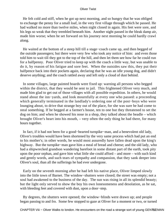He felt cold and stiff, when he got up next morning, and so hungry that he was obliged to exchange the penny for a small loaf, in the very first village through which he passed. He had walked no more than twelve miles, when night closed in again. His feet were sore, and his legs so weak that they trembled beneath him. Another night passed in the bleak damp air, made him worse; when he set forward on his journey next morning he could hardly crawl along.

 He waited at the bottom of a steep hill till a stage−coach came up, and then begged of the outside passengers; but there were very few who took any notice of him: and even those told him to wait till they got to the top of the hill, and then let them see how far he could run for a halfpenny. Poor Oliver tried to keep up with the coach a little way, but was unable to do it, by reason of his fatigue and sore feet. When the outsides saw this, they put their halfpence back into their pockets again, declaring that he was an idle young dog, and didn't deserve anything; and the coach rattled away and left only a cloud of dust behind.

 In some villages, large painted boards were fixed up: warning all persons who begged within the district, that they would be sent to jail. This frightened Oliver very much, and made him glad to get out of those villages with all possible expedition. In others, he would stand about the inn−yards, and look mournfully at every one who passed: a proceeding which generally terminated in the landlady's ordering one of the post−boys who were lounging about, to drive that strange boy out of the place, for she was sure he had come to steal something. If he begged at a farmer's house, ten to one but they threatened to set the dog on him; and when he showed his nose in a shop, they talked about the beadle – which brought Oliver's heart into his mouth, – very often the only thing he had there, for many hours together.

 In fact, if it had not been for a good−hearted turnpike−man, and a benevolent old lady, Oliver's troubles would have been shortened by the very same process which had put an end to his mother's; in other words, he would most assuredly have fallen dead upon the king's highway. But the turnpike−man gave him a meal of bread and cheese; and the old lady, who had a shipwrecked grandson wandering barefoot in some distant part of the earth, took pity upon the poor orphan, and gave him what little she could afford – and more – with such kind and gently words, and such tears of sympathy and compassion, that they sank deeper into Oliver's soul, than all the sufferings he had ever undergone.

 Early on the seventh morning after he had left his native place, Oliver limped slowly into the little town of Barnet. The window−shutters were closed; the street was empty; not a soul had awakened to the business of the day. The sun was rising in all its splendid beauty; but the light only served to show the boy his own lonesomeness and desolation, as he sat, with bleeding feet and covered with dust, upon a door−step.

 By degrees, the shutters were opened; the window−blinds were drawn up; and people began passing to and fro. Some few stopped to gaze at Oliver for a moment or two, or turned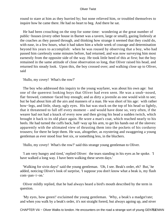round to stare at him as they hurried by; but none relieved him, or troubled themselves to inquire how he came there. He had no heart to beg. And there he sat.

 He had been crouching on the step for some time: wondering at the great number of public−houses (every other house in Barnet was a tavern, large or small), gazing listlessly at the coaches as they passed through, and thinking how strange it seemed that they could do, with ease, in a few hours, what it had taken him a whole week of courage and determination beyond his years to accomplish: when he was roused by observing that a boy, who had passed him carelessly some minutes before, had returned, and was now surveying him most earnestly from the opposite side of the way. He took little heed of this at first; but the boy remained in the same attitude of close observation so long, that Oliver raised his head, and returned his steady look. Upon this, the boy crossed over; and walking close up to Oliver, said

'Hullo, my covey! What's the row?'

 The boy who addressed this inquiry to the young wayfarer, was about his own age: but one of the queerest looking boys that Oliver had even seen. He was a snub−nosed, flat−browed, common−faced boy enough; and as dirty a juvenile as one would wish to see; but he had about him all the airs and manners of a man. He was short of his age: with rather bow−legs, and little, sharp, ugly eyes. His hat was stuck on the top of his head so lightly, that it threatened to fall off every moment – and would have done so, very often, if the wearer had not had a knack of every now and then giving his head a sudden twitch, which brought it back to its old place again. He wore a man's coat, which reached nearly to his heels. He had turned the cuffs back, half–way up his arm, to get his hands out of the sleeves: apparently with the ultimated view of thrusting them into the pockets of his corduroy trousers; for there he kept them. He was, altogether, as roystering and swaggering a young gentleman as ever stood four feet six, or something less, in the bluchers.

'Hullo, my covey! What's the row?' said this strange young gentleman to Oliver.

 'I am very hungry and tired,' replied Oliver: the tears standing in his eyes as he spoke. 'I have walked a long way. I have been walking these seven days.'

 'Walking for sivin days!' said the young gentleman. 'Oh, I see. Beak's order, eh? But,' he added, noticing Oliver's look of surprise, 'I suppose you don't know what a beak is, my flash com−pan−i−on.'

 Oliver mildly replied, that he had always heard a bird's mouth described by the term in question.

 'My eyes, how green!' exclaimed the young gentleman. 'Why, a beak's a madgst'rate; and when you walk by a beak's order, it's not straight forerd, but always agoing up, and niver

CHAPTER Viii – Oliver Walks to london. He encounters on the road a strange sort of young GENTLEMAN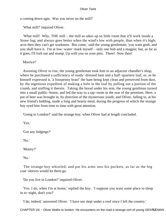a coming down agin. Was you never on the mill?'

'What mill?' inquired Oliver.

 'What mill! Why, THE mill – the mill as takes up so little room that it'll work inside a Stone Jug; and always goes better when the wind's low with people, than when it's high; acos then they can't get workmen. But come,' said the young gentleman; 'you want grub, and you shall have it. I'm at low−water−mark myself – only one bob and a magpie; but, as far as it goes, I'll fork out and stump. Up with you on your pins. There! Now then!

Morrice!'

 Assisting Oliver to rise, the young gentleman took him to an adjacent chandler's shop, where he purchased a sufficiency of ready−dressed ham and a half−quartern loaf, or, as he himself expressed it, 'a fourpenny bran!' the ham being kept clean and preserved from dust, by the ingenious expedient of making a hole in the loaf by pulling out a portion of the crumb, and stuffing it therein. Taking the bread under his arm, the young gentlman turned into a small public−house, and led the way to a tap−room in the rear of the premises. Here, a pot of beer was brought in, by direction of the mysterious youth; and Oliver, falling to, at his new friend's bidding, made a long and hearty meal, during the progress of which the strange boy eyed him from time to time with great attention.

'Going to London?' said the strange boy, when Oliver had at length concluded.

'Yes.'

'Got any lodgings?'

'No.'

'Money?'

'No.'

 The strange boy whistled; and put his arms into his pockets, as far as the big coat−sleeves would let them go.

'Do you live in London?' inquired Oliver.

 'Yes. I do, when I'm at home,' replied the boy. 'I suppose you want some place to sleep in to−night, don't you?'

'I do, indeed,' answered Oliver. 'I have not slept under a roof since I left the country.'

CHAPTER Viii – Oliver Walks to london. He encounters on the road a strange sort of young GENTLEMAN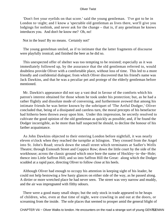'Don't fret your eyelids on that score.' said the young gentleman. 'I've got to be in London to−night; and I know a 'spectable old gentleman as lives there, wot'll give you lodgings for nothink, and never ask for the change – that is, if any genelman he knows interduces you. And don't he know me? Oh, no!

Not in the least! By no means. Certainly not!'

 The young gentelman smiled, as if to intimate that the latter fragments of discourse were playfully ironical; and finished the beer as he did so.

 This unexpected offer of shelter was too tempting to be resisted; especially as it was immediately followed up, by the assurance that the old gentleman referred to, would doubtless provide Oliver with a comfortable place, without loss of time. This led to a more friendly and confidential dialogue; from which Oliver discovered that his friend's name was Jack Dawkins, and that he was a peculiar pet and protege of the elderly gentleman before mentioned.

 Mr. Dawkin's appearance did not say a vast deal in favour of the comforts which his patron's interest obtained for those whom he took under his protection; but, as he had a rather flightly and dissolute mode of conversing, and furthermore avowed that among his intimate friends he was better known by the sobriquet of 'The Artful Dodger,' Oliver concluded that, being of a dissipated and careless turn, the moral precepts of his benefactor had hitherto been thrown away upon him. Under this impression, he secretly resolved to cultivate the good opinion of the old gentleman as quickly as possible; and, if he found the Dodger incorrigible, as he more than half suspected he should, to decline the honour of his farther acquaintance.

 As John Dawkins objected to their entering London before nightfall, it was nearly eleven o'clock when they reached the turnpike at Islington. They crossed from the Angel into St. John's Road; struck down the small street which terminates at Sadler's Wells Theatre; through Exmouth Street and Coppice Row; down the little court by the side of the workhouse; across the classic ground which once bore the name of Hockley−in−the−Hole; thence into Little Saffron Hill; and so into Saffron Hill the Great: along which the Dodger scudded at a rapid pace, directing Oliver to follow close at his heels.

 Although Oliver had enough to occupy his attention in keeping sight of his leader, he could not help bestowing a few hasty glances on either side of the way, as he passed along. A dirtier or more wretched place he had never seen. The street was very narrow and muddy, and the air was impregnated with filthy odours.

 There were a good many small shops; but the only stock in trade appeared to be heaps of children, who, even at that time of night, were crawling in and out at the doors, or screaming from the inside. The sole places that seemed to prosper amid the general blight of

CHAPTER Viii – Oliver Walks to london. He encounters on the road a strange sort of young GENTLEMAN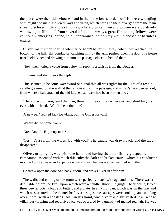the place, were the public−houses; and in them, the lowest orders of Irish were wrangling with might and main. Covered ways and yards, which here and there diverged from the main street, disclosed little knots of houses, where drunken men and women were positively wallowing in filth; and from several of the door−ways, great ill−looking fellows were cautiously emerging, bound, to all appearance, on no very well−disposed or harmless errands.

 Oliver was just considering whether he hadn't better run away, when they reached the bottom of the hill. His conductor, catching him by the arm, pushed open the door of a house near Field Lane; and drawing him into the passage, closed it behind them.

'Now, then!' cried a voice from below, in reply to a whistle from the Dodger.

'Plummy and slam!' was the reply.

 This seemed to be some watchword or signal that all was right; for the light of a feeble candle gleamed on the wall at the remote end of the passage; and a man's face peeped out, from where a balustrade of the old kitchen staircase had been broken away.

 'There's two on you,' said the man, thrusting the candle farther out, and shielding his eyes with his hand. 'Who's the t'other one?'

'A new pal,' replied Jack Dawkins, pulling Oliver forward.

'Where did he come from?'

'Greenland. Is Fagin upstairs?'

 'Yes, he's a sortin' the wipes. Up with you!' The candle was drawn back, and the face disappeared.

 Oliver, groping his way with one hand, and having the other firmly grasped by his companion, ascended with much difficulty the dark and broken stairs: which his conductor mounted with an ease and expedition that showed he was well acquainted with them.

He threw open the door of a back−room, and drew Oliver in after him.

 The walls and ceiling of the room were perfectly black with age and dirt. There was a deal table before the fire: upon which were a candle, stuck in a ginger−beer bottle, two or three pewter pots, a loaf and butter, and a plate. In a frying−pan, which was on the fire, and which was secured to the mantelshelf by a string, some sausages were cooking; and standing over them, with a toasting−fork in his hand, was a very old shrivelled Jew, whose villainous−looking and repulsive face was obscured by a quantity of matted red hair. He was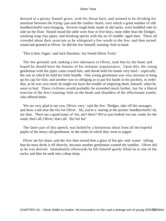dressed in a greasy flannel gown, with his throat bare; and seemed to be dividing his attention between the frying−pan and the clothes−horse, over which a great number of silk handkerchiefsl were hanging. Several rough beds made of old sacks, were huddled side by side on the floor. Seated round the table were four or five boys, none older than the Dodger, smoking long clay pipes, and drinking spirits with the air of middle−aged men. These all crowded about their associate as he whispered a few words to the Jew; and then turned round and grinned at Oliver. So did the Jew himself, toasting−fork in hand.

'This is him, Fagin,' said Jack Dawkins; 'my friend Oliver Twist.'

 The Jew grinned; and, making a low obeisance to Oliver, took him by the hand, and hoped he should have the honour of his intimate acquaintance. Upon this, the young gentleman with the pipes came round him, and shook both his hands very hard – especially the one in which he held his little bundle. One young gentleman was very anxious to hang up his cap for him; and another was so obliging as to put his hands in his pockets, in order that, as he was very tired, he might not have the trouble of emptying them, himself, when he went to bed. These civilities would probably be extended much farther, but for a liberal exercise of the Jew's toasting−fork on the heads and shoulders of the affectionate youths who offered them.

 'We are very glad to see you, Oliver, very,' said the Jew. 'Dodger, take off the sausages; and draw a tub near the fire for Oliver. Ah, you're a−staring at the pocket−handkerchiefs! eh, my dear. There are a good many of 'em, ain't there? We've just looked 'em out, ready for the wash; that's all, Oliver; that's all. Ha! ha! ha!'

 The latter part of this speech, was hailed by a boisterous shout from all the hopeful pupils of the merry old gentleman. In the midst of which they went to supper.

 Oliver ate his share, and the Jew then mixed him a glass of hot gin−and−water: telling him he must drink it off directly, because another gentleman wanted the tumbler. Oliver did as he was desired. Immediately afterwards he felt himself gently lifted on to one of the sacks; and then he sunk into a deep sleep.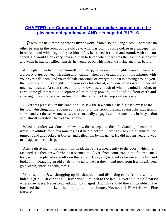# **[CHAPTER Ix − Containing Further particulars concerning the](#page-393-0) [pleasant old gentleman, AND His hopeful PUPILS](#page-393-0)**

*I*t was late next morning when Oliver awoke, from a sound, long sleep. There was no other person in the room but the old Jew, who was boiling some coffee in a saucepan for breakfast, and whistling softly to himself as he stirred it round and round, with an iron spoon. He would stop every now and then to listen when there was the least noise below: and when he had satistified himself, he would go on whistling and stirring again, as before.

 Although Oliver had roused himself from sleep, he was not thoroughly awake. There is a drowsy state, between sleeping and waking, when you dream more in five minutes with your eyes half open, and yourself half conscious of everything that is passing around you, than you would in five nights with your eyes fast closed, and your senses wrapt in perfect unconsciousness. At such time, a mortal knows just enough of what his mind is doing, to form some glimmering conception of its mighty powers, its bounding from earth and spurning time and space, when freed from the restraint of its corporeal associate.

 Oliver was precisely in this condition. He saw the Jew with his half−closed eyes; heard his low whistling; and recognised the sound of the spoon grating against the saucepan's sides: and yet the self−same senses were mentally engaged, at the same time, in busy action with almost everybody he had ever known.

 When the coffee was done, the Jew drew the saucepan to the hob. Standing, then in an irresolute attitude for a few minutes, as if he did not well know how to employ himself, he turned round and looked at Oliver, and called him by his name. He did not answer, and was to all appearances asleep.

 After satisfiying himself upon this head, the Jew stepped gently to the door: which he fastened. He then drew forth: as it seemed to Oliver, from some trap in the floor: a small box, which he placed carefully on the table. His eyes glistened as he raised the lid, and looked in. Dragging an old chair to the table, he sat down; and took from it a magnificent gold watch, sparkling with jewels.

 'Aha!' said the Jew, shrugging up his shoulders, and distorting every feature with a hideous grin. 'Clever dogs! Clever dogs! Staunch to the last! Never told the old parson where they were. Never poached upon old Fagin! And why should they? It wouldn't have loosened the knot, or kept the drop up, a minute longer. No, no, no! Fine fellows! Fine fellows!'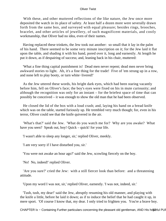With these, and other muttered reflections of the like nature, the Jew once more deposited the watch in its place of safety. At least half a dozen more were severally drawn forth from the same box, and surveyed with equal pleasure; besides rings, brooches, bracelet, and other articles of jewellery, of such magnificent materials, and costly workmanship, that Oliver had no idea, even of their names.

 Having replaced these trinkets, the Jew took out another: so small that it lay in the palm of his hand. There seemed to be some very minute inscription on it; for the Jew laid it flat upon the table, and shading it with his hand, pored over it, long and earnestly. At length he put it down, as if despairing of success; and, leaning back in his chair, muttered:

 'What a fine thing capital punishment is! Dead men never repent; dead men never bring awkward stories to light. Ah, it's a fine thing for the trade! Five of 'em strung up in a row, and none left to play booty, or turn white−livered!'

 As the Jew uttered these words, his bright dark eyes, which had been staring vacantly before him, fell on Oliver's face; the boy's eyes were fixed on his in mute curiousity; and although the recognition was only for an instant – for the briefest space of time that can possibly be conceived – it was enough to show the old man that he had been observed.

 He closed the lid of the box with a loud crash; and, laying his hand on a bread knife which was on the table, started furiously up. He trembled very much though; for, even in his terror, Oliver could see that the knife quivered in the air.

 'What's that?' said the Jew. 'What do you watch me for? Why are you awake? What have you seen? Speak out, boy! Quick – quick! for your life.

'I wasn't able to sleep any longer, sir,' replied Oliver, meekly.

'I am very sorry if I have disturbed you, sir.'

'You were not awake an hour ago?' said the Jew, scowling fiercely on the boy.

'No! No, indeed!' replied Oliver.

 'Are you sure?' cried the Jew: with a still fiercer look than before: and a threatening attitude.

'Upon my word I was not, sir,' replied Oliver, earnestly. 'I was not, indeed, sir.'

 'Tush, tush, my dear!' said the Jew, abruptly resuming his old manner, and playing with the knife a little, before he laid it down; as if to induce the belief that he had caught it up, in mere sport. 'Of course I know that, my dear. I only tried to frighten you. You're a brave boy.

CHAPTER Ix - Containing Further particulars concerning the pleasant old gentleman, AND His hopeful PUP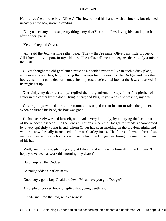Ha! ha! you're a brave boy, Oliver.' The Jew rubbed his hands with a chuckle, but glanced uneasily at the box, notwithstanding.

 'Did you see any of these pretty things, my dear?' said the Jew, laying his hand upon it after a short pause.

'Yes, sir,' replied Oliver.

 'Ah!' said the Jew, turning rather pale. 'They – they're mine, Oliver; my little property. All I have to live upon, in my old age. The folks call me a miser, my dear. Only a miser; that's all.'

 Oliver thought the old gentleman must be a decided miser to live in such a dirty place, with so many watches; but, thinking that perhaps his fondness for the Dodger and the other boys, cost him a good deal of money, he only cast a deferential look at the Jew, and asked if he might get up.

 'Certainly, my dear, certainly,' replied the old gentleman. 'Stay. There's a pitcher of water in the corner by the door. Bring it here; and I'll give you a basin to wash in, my dear.'

 Oliver got up; walked across the room; and stooped for an instant to raise the pitcher. When he turned his head, the box was gone.

 He had scarcely washed himself, and made everything tidy, by emptying the basin out of the window, agreeably to the Jew's directions, when the Dodger returned: accompanied by a very sprightly young friend, whom Oliver had seen smoking on the previous night, and who was now formally introduced to him as Charley Bates. The four sat down, to breakfast, on the coffee, and some hot rolls and ham which the Dodger had brought home in the crown of his hat.

 'Well,' said the Jew, glancing slyly at Oliver, and addressing himself to the Dodger, 'I hope you've been at work this morning, my dears?'

'Hard,' replied the Dodger.

'As nails,' added Charley Bates.

'Good boys, good boys!' said the Jew. 'What have you got, Dodger?'

'A couple of pocket−books,' replied that young gentlman.

'Lined?' inquired the Jew, with eagerness.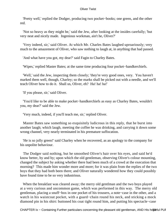'Pretty well,' replied the Dodger, producing two pocket−books; one green, and the other red.

 'Not so heavy as they might be,' said the Jew, after looking at the insides carefully; 'but very neat and nicely made. Ingenious workman, ain't he, Oliver?'

 'Very indeed, sir,' said Oliver. At which Mr. Charles Bates laughed uproariously; very much to the amazement of Oliver, who saw nothing to laugh at, in anything that had passed.

'And what have you got, my dear?' said Fagin to Charley Bates.

'Wipes,' replied Master Bates; at the same time producing four pocket−handkerchiefs.

 'Well,' said the Jew, inspecting them closely; 'they're very good ones, very. You haven't marked them well, though, Charley; so the marks shall be picked out with a needle, and we'll teach Oliver how to do it. Shall us, Oliver, eh? Ha! ha! ha!'

'If you please, sir,' said Oliver.

 'You'd like to be able to make pocket−handkerchiefs as easy as Charley Bates, wouldn't you, my dear?' said the Jew.

'Very much, indeed, if you'll teach me, sir,' replied Oliver.

 Master Bates saw something so exquisitely ludicrous in this reply, that he burst into another laugh; which laugh, meeting the coffee he was drinking, and carrying it down some wrong channel, very nearly terminated in his premature suffocation.

 'He is so jolly green!' said Charley when he recovered, as an apology to the company for his unpolite behaviour.

 The Dodger said nothing, but he smoothed Oliver's hair over his eyes, and said he'd know better, by and by; upon which the old gentleman, observing Oliver's colour mounting, changed the subject by asking whether there had been much of a crowd at the execution that morning? This made him wonder more and more; for it was plain from the replies of the two boys that they had both been there; and Oliver naturally wondered how they could possibly have found time to be so very industrious.

 When the breakfast was cleared away; the merry old gentlman and the two boys played at a very curious and uncommon game, which was performed in this way. The merry old gentleman, placing a snuff−box in one pocket of his trousers, a note−case in the other, and a watch in his waistcoat pocket, with a guard−chain round his neck, and sticking a mock diamond pin in his shirt: buttoned his coat tight round him, and putting his spectacle−case

CHAPTER Ix - Containing Further particulars concerning the pleasant old gentleman, AND His hopeful PUP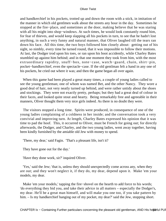and handkerchief in his pockets, trotted up and down the room with a stick, in imitation of the manner in which old gentlmen walk about the streets any hour in the day. Sometimes he stopped at the fire−place, and sometimes at the door, making believe that he was staring with all his might into shop−windows. At such times, he would look constantly round him, for fear of thieves, and would keep slapping all his pockets in turn, to see that he hadn't lost anything, in such a very funny and natural manner, that Oliver laughed till the tears ran down his face. All this time, the two boys followed him closely about: getting out of his sight, so nimbly, every time he turned round, that it was impossible to follow their motions. At last, the Dodger trod upon his toes, or ran upon his boot accidently, while Charley Bates stumbled up against him behind; and in that one moment they took from him, with the most extraordinary rapidity, snuff−box, note−case, watch−guard, chain, shirt−pin, pocket−handkerchief, even the spectacle−case. If the old gentlman felt a hand in any one of his pockets, he cried out where it was; and then the game began all over again.

 When this game had been played a great many times, a couple of young ladies called to see the young gentleman; one of whom was named Bet, and the other Nancy. They wore a good deal of hair, not very neatly turned up behind, and were rather untidy about the shoes and stockings. They were not exactly pretty, perhaps; but they had a great deal of colour in their faces, and looked quite stout and hearty. Being remarkably free and agreeable in their manners, Oliver thought them very nice girls indeed. As there is no doubt they were.

 The visitors stopped a long time. Spirits were produced, in consequence of one of the young ladies complaining of a coldness in her inside; and the conversation took a very convivial and improving turn. At length, Charley Bates expressed his opinion that it was time to pad the hoof. This, it occurred to Oliver, must be French for going out; for directly afterwards, the Dodger, and Charley, and the two young ladies, went away together, having been kindly furnished by the amiable old Jew with money to spend.

'There, my dear,' said Fagin. 'That's a pleasant life, isn't it?

They have gone out for the day.'

'Have they done work, sir?' inquired Oliver.

 'Yes,' said the Jew; 'that is, unless they should unexpectedly come across any, when they are out; and they won't neglect it, if they do, my dear, depend upon it. Make 'em your models, my dear.

 Make 'em your models,' tapping the fire−shovel on the hearth to add force to his words; 'do everything they bid you, and take their advice in all matters – especially the Dodger's, my dear. He'll be a great man himself, and will make you one too, if you take pattern by him. – Is my handkerchief hanging out of my pocket, my dear?' said the Jew, stopping short.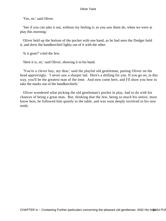'Yes, sir,' said Oliver.

 'See if you can take it out, without my feeling it; as you saw them do, when we were at play this morning.'

 Oliver held up the bottom of the pocket with one hand, as he had seen the Dodger hold it, and drew the handkerchief lighty out of it with the other.

'Is it gone?' cried the Jew.

'Here it is, sir,' said Oliver, showing it in his hand.

 'You're a clever boy, my dear,' said the playful old gentleman, patting Oliver on the head approvingly. 'I never saw a sharper lad. Here's a shilling for you. If you go on, in this way, you'll be the greatest man of the time. And now come here, and I'll show you how to take the marks out of the handkerchiefs.'

 Oliver wondered what picking the old gentleman's pocket in play, had to do with his chances of being a great man. But, thinking that the Jew, being so much his senior, must know best, he followed him quietly to the table, and was soon deeply involved in his new study.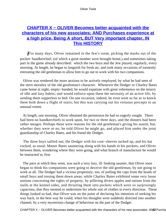# **CHAPTER X - OLIVER Becomes better acquainted with the [characters of his new associates; AND Purchases experience at](#page-393-0) [a high price. Being A short, BUT Very important chapter, IN](#page-393-0) [This HISTORY](#page-393-0)**

**F** or many days, Oliver remained in the Jew's room, picking the marks out of the pocket−handkerchief, (of which a great number were brought home,) and sometimes taking part in the game already described: which the two boys and the Jew played, regularly, every morning. At length, he began to languish for fresh air, and took many occasions of earnestly entreating the old gentleman to allow him to go out to work with his two companions.

 Oliver was rendered the more anxious to be actively employed, by what he had seen of the stern morality of the old gentleman's character. Whenever the Dodger or Charley Bates came home at night, empty−handed, he would expatiate with great vehemence on the misery of idle and lazy habits; and would enforce upon them the necessity of an active life, by sending them supperless to bed. On one occasion, indeed, he even went so far as to knock them both down a flight of stairs; but this was carrying out his virtuous precepts to an unusual extent.

 At length, one morning, Oliver obtained the permission he had so eagerly sought. There had been no handkerchiefs to work upon, for two or three days, and the dinners had been rather meagre. Perhaps these were reasons for the old gentleman's giving his assent; but, whether they were or no, he told Oliver he might go, and placed him under the joint guardianship of Charley Bates, and his friend the Dodger.

 The three boys sallied out; the Dodger with his coat−sleeves tucked up, and his hat cocked, as usual; Master Bates sauntering along with his hands in his pockets; and Oliver between them, wondering where they were going, and what branch of manufacture he would be instructed in, first.

 The pace at which they went, was such a very lazy, ill−looking saunter, that Oliver soon began to think his companions were going to deceive the old gentleman, by not going to work at all. The Dodger had a vicious propensity, too, of pulling the caps from the heads of small boys and tossing them down areas; while Charley Bates exhibited some very loose notions concerning the rights of property, by pilfering divers apples and onions from the stalls at the kennel sides, and thrusting them into pockets which were so surprisingly capacious, that they seemed to undermine his whole suit of clothes in every direction. These things looked so bad, that Oliver was on the point of declaring his intention of seeking his way back, in the best way he could; when his thoughts were suddenly directed into another channel, by a very mysterious change of behaviour on the part of the Dodger.

CHAPTER X – OLIVER Becomes better acquainted with the characters of his new associates; AND Purchases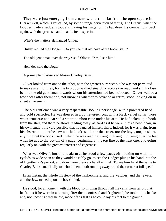They were just emerging from a narrow court not far from the open square in Clerkenwell, which is yet called, by some strange perversion of terms, 'The Green': when the Dodger made a sudden stop; and, laying his finger on his lip, drew his companions back again, with the greatest caution and circumspection.

'What's the matter?' demanded Oliver.

'Hush!' replied the Dodger. 'Do you see that old cove at the book−stall?'

'The old gentleman over the way?' said Oliver. 'Yes, I see him.'

'He'll do,' said the Doger.

'A prime plant,' observed Master Charley Bates.

 Oliver looked from one to the other, with the greatest surprise; but he was not permitted to make any inquiries; for the two boys walked stealthily across the road, and slunk close behind the old gentleman towards whom his attention had been directed. Oliver walked a few paces after them; and, not knowing whether to advance or retire, stood looking on in silent amazement.

 The old gentleman was a very respectable−looking personage, with a powdered head and gold spectacles. He was dressed in a bottle−green coat with a black velvet collar; wore white trousers; and carried a smart bamboo cane under his arm. He had taken up a book from the stall, and there he stood, reading away, as hard as if he were in his elbow−chair, in his own study. It is very possible that he fancied himself there, indeed; for it was plain, from his abstraction, that he saw not the book−stall, nor the street, nor the boys, nor, in short, anything but the book itself: which he was reading straight through: turning over the leaf when he got to the bottom of a page, beginning at the top line of the next one, and going regularly on, with the greatest interest and eagerness.

 What was Oliver's horror and alarm as he stood a few paces off, looking on with his eyelids as wide open as they would possibly go, to see the Dodger plunge his hand into the old gentleman's pocket, and draw from thence a handkerchief! To see him hand the same to Charley Bates; and finally to behold them, both running away round the corner at full speed!

 In an instant the whole mystery of the hankerchiefs, and the watches, and the jewels, and the Jew, rushed upon the boy's mind.

 He stood, for a moment, with the blood so tingling through all his veins from terror, that he felt as if he were in a burning fire; then, confused and frightened, he took to his heels; and, not knowing what he did, made off as fast as he could lay his feet to the ground.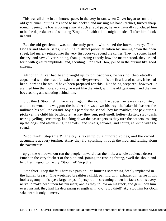This was all done in a minute's space. In the very instant when Oliver began to run, the old gentleman, putting his hand to his pocket, and missing his handkerchief, turned sharp round. Seeing the boy scudding away at such a rapid pace, he very naturally concluded him to be the depredator; and shouting 'Stop thief!' with all his might, made off after him, book in hand.

 But the old gentleman was not the only person who raised the hue−and−cry. The Dodger and Master Bates, unwilling to attract public attention by running down the open street, had merely retured into the very first doorway round the corner. They no sooner heard the cry, and saw Oliver running, than, guessing exactly how the matter stood, they issued forth with great promptitude; and, shouting 'Stop thief!' too, joined in the pursuit like good citizens.

 Although Oliver had been brought up by philosophers, he was not theoretically acquainted with the beautiful axiom that self−preservation is the first law of nature. If he had been, perhaps he would have been prepared for this. Not being prepared, however, it alarmed him the more; so away he went like the wind, with the old gentleman and the two boys roaring and shouting behind him.

 'Stop thief! Stop thief!' There is a magic in the sound. The tradesman leaves his counter, and the car−man his waggon; the butcher throws down his tray; the baker his basket; the milkman his pail; the errand−boy his parcels; the school−boy his marbles; the paviour his pickaxe; the child his battledore. Away they run, pell−mell, helter−skelter, slap−dash: tearing, yelling, screaming, knocking down the passengers as they turn the corners, rousing up the dogs, and astonishing the fowls: and streets, squares, and courts, re−echo with the sound.

 'Stop thief! Stop thief!' The cry is taken up by a hundred voices, and the crowd accumulate at every turning. Away they fly, splashing through the mud, and rattling along the pavements:

 up go the windows, out run the people, onward bear the mob, a whole audience desert Punch in the very thickest of the plot, and, joining the rushing throng, swell the shout, and lend fresh vigour to the cry, 'Stop thief! Stop thief!'

 'Stop thief! Stop thief!' There is a passion **For hunting something** deeply implanted in the human breast. One wretched breathless child, panting with exhaustion; terror in his looks; agaony in his eyes; large drops of perspiration streaming down his face; strains every nerve to make head upon his pursuers; and as they follow on his track, and gain upon him every instant, they hail his decreasing strength with joy. 'Stop thief!' Ay, stop him for God's sake, were it only in mercy!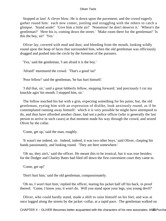Stopped at last! A clever blow. He is down upon the pavement; and the crowd eagerly gather round him: each new comer, jostling and struggling with the others to catch a glimpse. 'Stand aside!' 'Give him a little air!' 'Nonsense! he don't deserve it.' 'Where's the gentleman?' 'Here his is, coming down the street.' 'Make room there for the gentleman!' 'Is this the boy, sir!' 'Yes.'

 Oliver lay, covered with mud and dust, and bleeding from the mouth, looking wildly round upon the heap of faces that surrounded him, when the old gentleman was officiously dragged and pushed into the circle by the foremost of the pursuers.

'Yes,' said the gentleman, 'I am afraid it is the boy.'

'Afraid!' murmured the crowd. 'That's a good 'un!'

'Poor fellow!' said the gentleman, 'he has hurt himself.'

 '*I* did that, sir,' said a great lubberly fellow, stepping forward; 'and preciously I cut my knuckle agin' his mouth. I stopped him, sir.'

 The follow touched his hat with a grin, expecting something for his pains; but, the old gentleman, eyeing him with an expression of dislike, look anxiously round, as if he contemplated running away himself: which it is very possible he might have attempted to do, and thus have afforded another chase, had not a police officer (who is generally the last person to arrive in such cases) at that moment made his way through the crowd, and seized Oliver by the collar.

'Come, get up,' said the man, roughly.

 'It wasn't me indeed, sir. Indeed, indeed, it was two other boys,' said Oliver, clasping his hands passionately, and looking round. 'They are here somewhere.'

 'Oh no, they ain't,' said the officer. He meant this to be ironical, but it was true besides; for the Dodger and Charley Bates had filed off down the first convenient court they came to.

'Come, get up!'

'Don't hurt him,' said the old gentleman, compassionately.

 'Oh no, I won't hurt him,' replied the officer, tearing his jacket half off his back, in proof thereof. 'Come, I know you; it won't do. Will you stand upon your legs, you young devil?'

 Oliver, who could hardly stand, made a shift to raise himself on his feet, and was at once lugged along the streets by the jacket−collar, at a rapid pace. The gentleman walked on

CHAPTER X – OLIVER Becomes better acquainted with the characters of his new associates; AN55 Purcha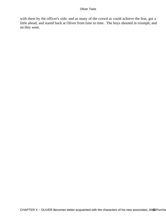with them by the officer's side; and as many of the crowd as could achieve the feat, got a little ahead, and stared back at Oliver from time to time. The boys shouted in triumph; and on they went.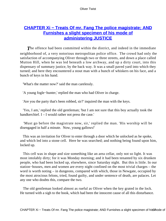# **CHAPTER Xi – Treats Of mr. Fang The police magistrate; AND [Furnishes a slight specimen of his mode of](#page-393-0) [administering JUSTICE](#page-393-0)**

**The offence had been committed within the district, and indeed in the immediate** neighborhood of, a very notorious metropolitan police office. The crowd had only the satisfaction of accompanying Oliver through two or three streets, and down a place called Mutton Hill, when he was led beneath a low archway, and up a dirty court, into this dispensary of summary justice, by the back way. It was a small paved yard into which they turned; and here they encountered a stout man with a bunch of whiskers on his face, and a bunch of keys in his hand.

'What's the matter now?' said the man carelessly.

'A young fogle−hunter,' replied the man who had Oliver in charge.

'Are you the party that's been robbed, sir?' inquired the man with the keys.

 'Yes, I am,' replied the old gentleman; 'but I am not sure that this boy actually took the handkerchief. I – I would rather not press the case.'

 'Must go before the magistrate now, sir,' replied the man. 'His worship will be disengaged in half a minute. Now, young gallows!'

 This was an invitation for Oliver to enter through a door which he unlocked as he spoke, and which led into a stone cell. Here he was searched; and nothing being found upon him, locked up.

 This cell was in shape and size something like an area cellar, only not so light. It was most intolably dirty; for it was Monday morning; and it had been tenanted by six drunken people, who had been locked up, elsewhere, since Saturday night. But this is little. In our station−houses, men and women are every night confined on the most trivial charges – the word is worth noting – in dungeons, compared with which, those in Newgate, occupied by the most atrocious felons, tried, found guilty, and under sentence of death, are palaces. Let any one who doubts this, compare the two.

 The old gentleman looked almost as rueful as Oliver when the key grated in the lock. He turned with a sigh to the book, which had been the innocent cause of all this disturbance.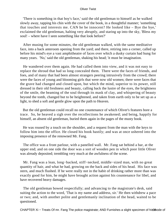'There is something in that boy's face,' said the old gentleman to himself as he walked slowly away, tapping his chin with the cover of the book, in a thoughtful manner; 'something that touches and interests me. CAN he be innocent? He looked like – Bye the bye,' exclaimed the old gentleman, halting very abruptly, and staring up into the sky, 'Bless my soul! – where have I seen something like that look before?'

 After musing for some minutes, the old gentleman walked, with the same meditative face, into a back anteroom opening from the yard; and there, retiring into a corner, called up before his mind's eye a vast amphitheatre of faces over which a dusky curtain had hung for many years. 'No,' said the old gentleman, shaking his head; 'it must be imagination.

 He wandered over them again. He had called them into view, and it was not easy to replace the shroud that had so long concealed them. There were the faces of friends, and foes, and of many that had been almost strangers peering intrusively from the crowd; there were the faces of young and blooming girls that were now old women; there were faces that the grave had changed and closed upon, but which the mind, superior to its power, still dressed in their old freshness and beauty, calling back the lustre of the eyes, the brightness of the smile, the beaming of the soul through its mask of clay, and whispering of beauty beyond the tomb, changed but to be heightened, and taken from earth only to be set up as a light, to shed a soft and gentle glow upon the path to Heaven.

 But the old gentleman could recall no one countenance of which Oliver's features bore a trace. So, he heaved a sigh over the recollections he awakened; and being, happily for himself, an absent old gentleman, buried them again in the pages of the musty book.

 He was roused by a touch on the shoulder, and a request from the man with the keys to follow him into the office. He closed his book hastily; and was at once ushered into the imposing presence of the renowned Mr. Fang.

 The office was a front parlour, with a panelled wall. Mr. Fang sat behind a bar, at the upper end; and on one side the door was a sort of wooden pen in which poor little Oliver was already deposited; trembling very much at the awfulness of the scene.

 Mr. Fang was a lean, long−backed, stiff−necked, middle−sized man, with no great quantity of hair, and what he had, growing on the back and sides of his head. His face was stern, and much flushed. If he were really not in the habit of drinking rather more than was exactly good for him, he might have brought action against his countenance for libel, and have recovered heavy damages.

 The old gentleman bowed respectfully; and advancing to the magistrate's desk, said suiting the action to the word, 'That is my name and address, sir.' He then withdrew a pace or two; and, with another polite and gentlemanly inclination of the head, waited to be questioned.

CHAPTER Xi – Treats Of mr. Fang The police magistrate; AND Furnishes a slight specimen of his68 node of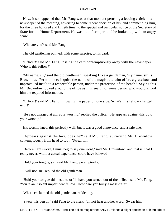Now, it so happened that Mr. Fang was at that moment perusing a leading article in a newspaper of the morning, adverting to some recent decision of his, and commending him, for the three hundred and fiftieth time, to the special and particular notice of the Secretary of State for the Home Department. He was out of temper; and he looked up with an angry scowl.

'Who are you?' said Mr. Fang.

The old gentleman pointed, with some surprise, to his card.

 'Officer!' said Mr. Fang, tossing the card contemptuously away with the newspaper. 'Who is this fellow?'

 'My name, sir,' said the old gentleman, speaking **Like a** gentleman, 'my name, sir, is Brownlow. Permit me to inquire the name of the magistrate who offers a gratuitous and unprovoked insult to a respectable person, under the protection of the bench.' Saying this, Mr. Brownlow looked around the office as if in search of some person who would afford him the required information.

 'Officer!' said Mr. Fang, throwing the paper on one side, 'what's this fellow charged with?'

 'He's not charged at all, your worship,' replied the officer. 'He appears against this boy, your worship.'

His worshp knew this perfectly well; but it was a good annoyance, and a safe one.

 'Appears against the boy, does he?' said Mr. Fang, surveying Mr. Brownlow contemptuously from head to foot. 'Swear him!'

 'Before I am sworn, I must beg to say one word,' said Mr. Brownlow; 'and that is, that I really never, without actual experience, could have believed – '

'Hold your tongue, sir!' said Mr. Fang, peremptorily.

'I will not, sir!' replied the old gentleman.

 'Hold your tongue this instant, or I'll have you turned out of the office!' said Mr. Fang. 'You're an insolent impertinent fellow. How dare you bully a magistrate!'

'What!' exclaimed the old gentleman, reddening.

'Swear this person!' said Fang to the clerk. 'I'll not hear another word. Swear him.'

CHAPTER Xi – Treats Of mr. Fang The police magistrate; AND Furnishes a slight specimen of his69node of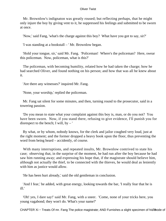Mr. Brownlow's indignaton was greatly roused; but reflecting perhaps, that he might only injure the boy by giving vent to it, he suppressed his feelings and submitted to be sworn at once.

'Now,' said Fang, 'what's the charge against this boy? What have you got to say, sir?'

'I was standing at a bookstall – ' Mr. Brownlow began.

 'Hold your tongue, sir,' said Mr. Fang. 'Policeman! Where's the policeman? Here, swear this policeman. Now, policeman, what is this?'

 The policeman, with becoming humility, related how he had taken the charge; how he had searched Oliver, and found nothing on his person; and how that was all he knew about it.

'Are there any witnesses?' inquired Mr. Fang.

'None, your worship,' replied the policeman.

 Mr. Fang sat silent for some minutes, and then, turning round to the prosecutor, said in a towering passion.

 'Do you mean to state what your complaint against this boy is, man, or do you not? You have been sworn. Now, if you stand there, refusing to give evidence, I'll punish you for disrespect to the bench; I will, by – '

 By what, or by whom, nobody knows, for the clerk and jailor coughed very loud, just at the right moment; and the former dropped a heavy book upon the floor, thus preventing the word from being heard – accidently, of course.

 With many interruptions, and repeated insults, Mr. Brownlow contrived to state his case; observing that, in the surprise of the moment, he had run after the boy because he had saw him running away; and expressing his hope that, if the magistrate should believe him, although not actually the thief, to be connected with the thieves, he would deal as leniently with him as justice would allow.

'He has been hurt already,' said the old gentleman in conclusion.

 'And I fear,' he added, with great energy, looking towards the bar, 'I really fear that he is ill.'

 'Oh! yes, I dare say!' said Mr. Fang, with a sneer. 'Come, none of your tricks here, you young vagabond; they won't do. What's your name?'

CHAPTER Xi – Treats Of mr. Fang The police magistrate; AND Furnishes a slight specimen of his mode of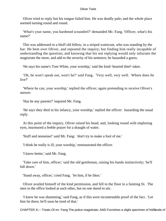Oliver tried to reply but his tongue failed him. He was deadly pale; and the whole place seemed turning round and round.

 'What's your name, you hardened scoundrel?' demanded Mr. Fang. 'Officer, what's his name?'

 This was addressed to a bluff old fellow, in a striped waistcoat, who was standing by the bar. He bent over Oliver, and repeated the inquiry; but finding him really incapable of understanding the question; and knowing that his not replying would only infuriate the magistrate the more, and add to the severity of his sentence; he hazarded a guess.

'He says his name's Tom White, your worship,' said the kind−hearted thief−taker.

 'Oh, he won't speak out, won't he?' said Fang. 'Very well, very well. Where does he live?'

 'Where he can, your worship,' replied the officer; again pretending to receive Oliver's answer.

'Has he any parents?' inquired Mr. Fang.

 'He says they died in his infancy, your worship,' replied the officer: hazarding the usual reply.

 At this point of the inquiry, Oliver raised his head; and, looking round with imploring eyes, murmured a feeble prayer for a draught of water.

'Stuff and nonsense!' said Mr. Fang: 'don't try to make a fool of me.'

'I think he really is ill, your worship,' remonstrated the officer.

'I know better,' said Mr. Fang.

 'Take care of him, officer,' said the old gentleman, raising his hands instinctively; 'he'll fall down.'

'Stand away, officer,' cried Fang; 'let him, if he likes.'

 Oliver availed himself of the kind permission, and fell to the floor in a fainting fit. The men in the office looked at each other, but no one dared to stir.

 'I knew he was shamming,' said Fang, as if this were incontestable proof of the fact. 'Let him lie there; he'll soon be tired of that.'

CHAPTER Xi – Treats Of mr. Fang The police magistrate; AND Furnishes a slight specimen of his7mode of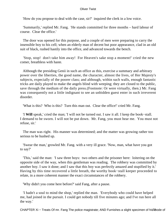'How do you propose to deal with the case, sir?' inquired the clerk in a low voice.

 'Summarily,' replied Mr. Fang. 'He stands committed for three months – hard labour of course. Clear the office.'

 The door was opened for this purpose, and a couple of men were preparing to carry the insensible boy to his cell; when an elderly man of decent but poor appearance, clad in an old suit of black, rushed hastily into the office, and advanced towards the bench.

 'Stop, stop! don't take him away! For Heaven's sake stop a moment!' cried the new comer, breathless with haste.

 Although the presiding Genii in such an office as this, exercise a summary and arbitrary power over the liberties, the good name, the character, almost the lives, of Her Majesty's subjects, expecially of the poorer class; and although, within such walls, enough fantastic tricks are daily played to make the angels blind with weeping; they are closed to the public, save through the medium of the daily press.(Footnote: Or were virtually, then.) Mr. Fang was consequently not a little indignant to see an unbidden guest enter in such irreverent disorder.

'What is this? Who is this? Turn this man out. Clear the office!' cried Mr. Fang.

 'I **Will** speak,' cried the man; 'I will not be turned out. I saw it all. I keep the book−stall. I demand to be sworn. I will not be put down. Mr. Fang, you must hear me. You must not refuse, sir.'

 The man was right. His manner was determined; and the matter was growing rather too serious to be hushed up.

 'Swear the man,' growled Mr. Fang. with a very ill grace. 'Now, man, what have you got to say?'

 'This,' said the man: 'I saw three boys: two others and the prisoner here: loitering on the opposite side of the way, when this gentleman was reading. The robbery was committed by another boy. I saw it done; and I saw that this boy was perfectly amazed and stupified by it.' Having by this time recovered a little breath, the worthy book−stall keeper proceeded to relate, in a more coherent manner the exact circumstances of the robbery.

'Why didn't you come here before?' said Fang, after a pause.

 'I hadn't a soul to mind the shop,' replied the man. 'Everybody who could have helped me, had joined in the pursuit. I could get nobody till five minutes ago; and I've run here all the way.'

CHAPTER Xi – Treats Of mr. Fang The police magistrate; AND Furnishes a slight specimen of his mode of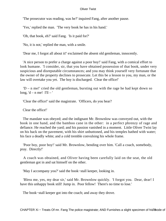'The prosecutor was reading, was he?' inquired Fang, after another pause.

'Yes,' replied the man. 'The very book he has in his hand.'

'Oh, that book, eh?' said Fang. 'Is it paid for?'

'No, it is not,' replied the man, with a smile.

'Dear me, I forgot all about it!' exclaimed the absent old gentleman, innocently.

 'A nice person to prefer a charge against a poor boy!' said Fang, with a comical effort to look humane. 'I consider, sir, that you have obtained possession of that book, under very suspicious and disreputable circumstances; and you may think yourself very fortunate that the owner of the property declines to prosecute. Let this be a lesson to you, my man, or the law will overtake you yet. The boy is discharged. Clear the office!'

 'D – n me!' cried the old gentleman, bursting out with the rage he had kept down so long,  $'d - n$  me!  $I'll - '$ 

'Clear the office!' said the magistrate. 'Officers, do you hear?

Clear the office!'

 The mandate was obeyed; and the indignant Mr. Brownlow was conveyed out, with the book in one hand, and the bamboo cane in the other: in a perfect phrenzy of rage and defiance. He reached the yard; and his passion vanished in a moment. Little Oliver Twist lay on his back on the pavement, with his shirt unbuttoned, and his temples bathed with water; his face a deadly white; and a cold tremble convulsing his whole frame.

 'Poor boy, poor boy!' said Mr. Brownlow, bending over him. 'Call a coach, somebody, pray. Directly!'

 A coach was obtained, and Oliver having been carefully laid on the seat, the old gentleman got in and sat himself on the other.

'May I accompany you?' said the book−stall keeper, looking in.

 'Bless me, yes, my dear sir,' said Mr. Brownlow quickly. 'I forgot you. Dear, dear! I have this unhappy book still! Jump in. Poor fellow! There's no time to lose.'

The book−stall keeper got into the coach; and away they drove.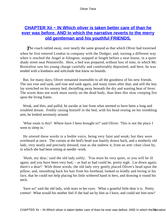# **[CHAPTER Xii − IN Which oliver is taken better care of than he](#page-393-0) [ever was before. AND In which the narrative reverts to the merry](#page-393-0) [old gentleman and his youthful FRIENDS.](#page-393-0)**

**The coach rattled away, over nearly the same ground as that which Oliver had traversed** when he first entered London in company with the Dodger; and, turning a different way when it reached the Angel at Islington, stopped at length before a neat house, in a quiet shady street near Pentonville. Here, a bed was prepared, without loss of time, in which Mr. Brownlow saw his young charge carefully and comfortably deposited; and here, he was tended with a kindness and solicitude that knew no bounds.

 But, for many days, Oliver remained insensible to all the goodness of his new friends. The sun rose and sank, and rose and sank again, and many times after that; and still the boy lay stretched on his uneasy bed, dwindling away beneath the dry and wasting heat of fever. The worm does not work more surely on the dead body, than does this slow creeping fire upon the living frame.

 Weak, and thin, and pallid, he awoke at last from what seemed to have been a long and troubled dream. Feebly raising himself in the bed, with his head resting on his trembling arm, he looked anxiously around.

 'What room is this? Where have I been brought to?' said Oliver. 'This is not the place I went to sleep in.'

 He uttered these words in a feeble voice, being very faint and weak; but they were overheard at once. The curtain at the bed's head was hastily drawn back, and a motherly old lady, very neatly and precisely dressed, rose as she undrew it, from an arm−chair close by, in which she had been sitting at needle−work.

 'Hush, my dear,' said the old lady softly. 'You must be very quiet, or you will be ill again; and you have been very bad, – as bad as bad could be, pretty nigh. Lie down again; there's a dear!' With those words, the old lady very gently placed Oliver's head upon the pillow; and, smoothing back his hair from his forehead, looked so kindly and loving in his face, that he could not help placing his little withered hand in hers, and drawing it round his neck.

 'Save us!' said the old lady, with tears in her eyes. 'What a grateful little dear it is. Pretty creetur! What would his mother feel if she had sat by him as I have, and could see him now!'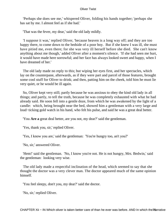'Perhaps she does see me,' whispered Oliver, folding his hands together; 'perhaps she has sat by me. I almost feel as if she had.'

'That was the fever, my dear,' said the old lady mildly.

 'I suppose it was,' replied Oliver, 'because heaven is a long way off; and they are too happy there, to come down to the bedside of a poor boy. But if she knew I was ill, she must have pitied me, even there; for she was very ill herself before she died. She can't know anything about me though,' added Oliver after a moment's silence. 'If she had seen me hurt, it would have made here sorrowful; and her face has always looked sweet and happy, when I have dreamed of her.'

 The old lady made no reply to this; but wiping her eyes first, and her spectacles, which lay on the counterpane, afterwards, as if they were part and parcel of those features, brought some cool stuff for Oliver to drink; and then, patting him on the cheek, told him he must lie very quiet, or he would be ill again.

 So, Oliver kept very still; partly because he was anxious to obey the kind old lady in all things; and partly, to tell the truth, because he was completely exhausted with what he had already said. He soon fell into a gentle doze, from which he was awakened by the light of a candle: which, being brought near the bed, showed him a gentleman with a very large and loud−ticking gold watch in his hand, who felt his pulse, and said he was a great deal better.

'You **Are a** great deal better, are you not, my dear?' said the gentleman.

'Yes, thank you, sir,' replied Oliver.

'Yes, I know you are,' said the gentleman: 'You're hungry too, an't you?'

'No, sir,' answered Oliver.

 'Hem!' said the gentleman. 'No, I know you're not. He is not hungry, Mrs. Bedwin,' said the gentleman: looking very wise.

 The old lady made a respectful inclination of the head, which seemed to say that she thought the doctor was a very clever man. The doctor appeared much of the same opinion himself.

'You feel sleepy, don't you, my dear?' said the doctor.

'No, sir,' replied Oliver.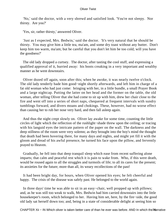'No,' said the doctor, with a very shrewd and satisfied look. 'You're not sleepy. Nor thirsty. Are you?'

'Yes, sir, rather thirsty,' answered Oliver.

 'Just as I expected, Mrs. Bedwin,' said the doctor. 'It's very natural that he should be thirsty. You may give him a little tea, ma'am, and some dry toast without any butter. Don't keep him too warm, ma'am; but be careful that you don't let him be too cold; will you have the goodness?'

 The old lady dropped a curtsey. The doctor, after tasting the cool stuff, and expressing a qualified approval of it, hurried away: his boots creaking in a very important and wealthy manner as he went downstairs.

 Oliver dozed off again, soon after this; when he awoke, it was nearly twelve o'clock. The old lady tenderly bade him good−night shortly afterwards, and left him in charge of a fat old woman who had just come: bringing with her, in a little bundle, a small Prayer Book and a large nightcap. Putting the latter on her head and the former on the table, the old woman, after telling Oliver that she had come to sit up with him, drew her chair close to the fire and went off into a series of short naps, chequered at frequent intervals with sundry tumblings forward, and divers moans and chokings. These, however, had no worse effect than causing her to rub her nose very hard, and then fall asleep again.

 And thus the night crept slowly on. Oliver lay awake for some time, counting the little circles of light which the reflection of the rushlight−shade threw upon the ceiling; or tracing with his languid eyes the intricate pattern of the paper on the wall. The darkness and the deep stillness of the room were very solemn; as they brought into the boy's mind the thought that death had been hovering there, for many days and nights, and might yet fill it with the gloom and dread of his awful presence, he turned his face upon the pillow, and fervently prayed to Heaven.

 Gradually, he fell into that deep tranquil sleep which ease from recent suffering alone imparts; that calm and peaceful rest which it is pain to wake from. Who, if this were death, would be roused again to all the struggles and turmoils of life; to all its cares for the present; its anxieties for the future; more than all, its weary recollections of the past!

 It had been bright day, for hours, when Oliver opened his eyes; he felt cheerful and happy. The crisis of the disease was safely past. He belonged to the world again.

 In three days' time he was able to sit in an easy−chair, well propped up with pillows; and, as he was still too weak to walk, Mrs. Bedwin had him carried downstairs into the little housekeeper's room, which belonged to her. Having him set, here, by the fire−side, the good old lady sat herself down too; and, being in a state of considerable delight at seeing him so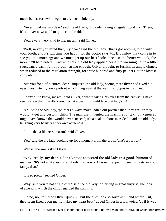much better, forthwith began to cry most violently.

 'Never mind me, my dear,' said the old lady; 'I'm only having a regular good cry. There; it's all over now; and I'm quite comfortable.'

'You're very, very kind to me, ma'am,' said Oliver.

 'Well, never you mind that, my dear,' said the old lady; 'that's got nothing to do with your broth; and it's full time you had it; for the doctor says Mr. Brownlow may come in to see you this morning; and we must get up our best looks, because the better we look, the more he'll be pleased.' And with this, the old lady applied herself to warming up, in a little saucepan, a basin full of broth: strong enough, Oliver thought, to furnish an ample dinner, when reduced to the regulation strength, for three hundred and fifty paupers, at the lowest computation.

 'Are you fond of pictures, dear?' inquired the old lady, seeing that Oliver had fixed his eyes, most intently, on a portrait which hung against the wall; just opposite his chair.

 'I don't quite know, ma'am,' said Oliver, without taking his eyes from the canvas; 'I have seen so few that I hardly know. What a beautiful, mild face that lady's is!'

 'Ah!' said the old lady, 'painters always make ladies out prettier than they are, or they wouldn't get any custom, child. The man that invented the machine for taking likenesses might have known that would never succeed; it's a deal too honest. A deal,' said the old lady, laughing very heartily at her own acuteness.

'Is – is that a likeness, ma'am?' said Oliver.

'Yes,' said the old lady, looking up for a moment from the broth; 'that's a portrait.'

'Whose, ma'am?' asked Oliver.

 'Why, really, my dear, I don't know,' answered the old lady in a good−humoured manner. 'It's not a likeness of anybody that you or I know, I expect. It seems to strike your fancy, dear.'

'It is so pretty,' replied Oliver.

 'Why, sure you're not afraid of it?' said the old lady: observing in great surprise, the look of awe with which the child regarded the painting.

 'Oh no, no,' returned Oliver quickly; 'but the eyes look so sorrowful; and where I sit, they seem fixed upon me. It makes my heart beat,' added Oliver in a low voice, 'as if it was

CHAPTER Xii – IN Which oliver is taken better care of than he ever was before. AND In which the *Trai* rrative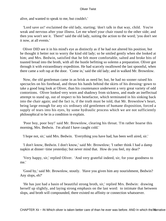alive, and wanted to speak to me, but couldn't.'

 'Lord save us!' exclaimed the old lady, starting; 'don't talk in that way, child. You're weak and nervous after your illness. Let me wheel your chair round to the other side; and then you won't see it. There!' said the old lady, suiting the action to the word; 'you don't see it now, at all events.'

 Oliver DID see it in his mind's eye as distinctly as if he had not altered his position; but he thought it better not to worry the kind old lady; so he smiled gently when she looked at him; and Mrs. Bedwin, satisfied that he felt more comfortable, salted and broke bits of toasted bread into the broth, with all the bustle befitting so solemn a preparation. Oliver got through it with extraordinary expedition. He had scarcely swallowed the last spoonful, when there came a soft rap at the door. 'Come in,' said the old lady; and in walked Mr. Brownlow.

 Now, the old gentleman came in as brisk as need be; but, he had no sooner raised his spectacles on his forehead, and thrust his hands behind the skirts of his dressing−gown to take a good long look at Oliver, than his countenance underwent a very great variety of odd contortions. Oliver looked very worn and shadowy from sickness, and made an ineffectual attempt to stand up, out of respect to his benefactor, which terminated in his sinking back into the chair again; and the fact is, if the truth must be told, that Mr. Brownlow's heart, being large enough for any six ordinary old gentlemen of humane disposition, forced a supply of tears into his eyes, by some hydraulic process which we are not sufficiently philosophical to be in a condition to explain.

 'Poor boy, poor boy!' said Mr. Brownlow, clearing his throat. 'I'm rather hoarse this morning, Mrs. Bedwin. I'm afraid I have caught cold.'

'I hope not, sir,' said Mrs. Bedwin. 'Everything you have had, has been well aired, sir.'

 'I don't know, Bedwin. I don't know,' said Mr. Brownlow; 'I rather think I had a damp napkin at dinner−time yesterday; but never mind that. How do you feel, my dear?'

 'Very happy, sir,' replied Oliver. 'And very grateful indeed, sir, for your goodness to me.'

 'Good by,' said Mr. Brownlow, stoutly. 'Have you given him any nourishment, Bedwin? Any slops, eh?'

 'He has just had a basin of beautiful strong broth, sir,' replied Mrs. Bedwin: drawing herself up slightly, and laying strong emphasis on the last word: to intimate that between slops, and broth will compounded, there existed no affinity or connection whatsoever.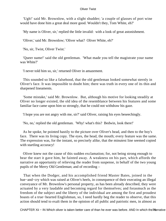'Ugh!' said Mr. Brownlow, with a slight shudder; 'a couple of glasses of port wine would have done him a great deal more good. Wouldn't they, Tom White, eh?'

'My name is Oliver, sir,' replied the little invalid: with a look of great astonishment.

'Oliver,' said Mr. Brownlow; 'Oliver what? Oliver White, eh?'

'No, sir, Twist, Oliver Twist.'

 'Queer name!' said the old gentleman. 'What made you tell the magistrate your name was White?'

'I never told him so, sir,' returned Oliver in amazement.

 This sounded so like a falsehood, that the old gentleman looked somewhat sternly in Oliver's face. It was impossible to doubt him; there was truth in every one of its thin and sharpened lineaments.

 'Some mistake,' said Mr. Brownlow. But, although his motive for looking steadily at Oliver no longer existed, the old idea of the resemblance between his features and some familiar face came upon him so strongly, that he could not withdraw his gaze.

'I hope you are not angry with me, sir?' said Oliver, raising his eyes beseechingly.

'No, no,' replied the old gentleman. 'Why! what's this? Bedwin, look there!'

 As he spoke, he pointed hastily to the picture over Oliver's head, and then to the boy's face. There was its living copy. The eyes, the head, the mouth; every feature was the same. The expression was, for the instant, so precisely alike, that the minutest line seemed copied with startling accuracy!

 Oliver knew not the cause of this sudden exclamation; for, not being strong enough to bear the start it gave him, he fainted away. A weakness on his part, which affords the narrative an opportunity of relieving the reader from suspense, in behalf of the two young pupils of the Merry Old Gentleman; and of recording –

 That when the Dodger, and his accomplished friend Master Bates, joined in the hue−and−cry which was raised at Oliver's heels, in consequence of their executing an illegal conveyance of Mr. Brownlow's personal property, as has been already described, they were actuated by a very laudable and becoming regard for themselves; and forasmuch as the freedom of the subject and the liberty of the individual are among the first and proudest boasts of a true−hearted Englishman, so, I need hardly beg the reader to observe, that this action should tend to exalt them in the opinion of all public and patriotic men, in almost as

CHAPTER Xii – IN Which oliver is taken better care of than he ever was before. AND In which the marrative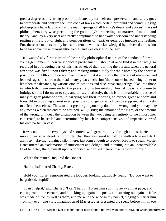great a degree as this strong proof of their anxiety for their own preservation and safety goes to corroborate and confirm the little code of laws which certain profound and sound−judging philosophers have laid down as the main−springs of all Nature's deeds and actions: the said philosophers very wisely reducing the good lady's proceedings to matters of maxim and theory: and, by a very neat and pretty compliment to her exalted wisdom and understanding, putting entirely out of sight any considerations of heart, or generous impulse and feeling. For, these are matters totally beneath a female who is acknowledged by universal admission to be far above the numerous little foibles and weaknesses of her sex.

 If I wanted any further proof of the strictly philosophical nature of the conduct of these young gentlemen in their very delicate predicament, I should at once find it in the fact (also recorded in a foregoing part of this narrative), of their quitting the pursuit, when the general attention was fixed upon Oliver; and making immediately for their home by the shortest possible cut. Although I do not mean to assert that it is usually the practice of renowned and learned sages, to shorten the road to any great conclusion (their course indeed being rather to lengthen the distance, by various circumlocations and discursive staggerings, like unto those in which drunken men under the pressure of a too mighty flow of ideas, are prone to indulge); still, I do mean to say, and do say distinctly, that it is the invariable practice of many mighty philosophers, in carrying out their theories, to evince great wisdom and foresight in providing against every possible contingency which can be supposed at all likely to affect themselves. Thus, to do a great right, you may do a little wrong; and you may take any means which the end to be attained, will justify; the amount of the right, or the amount of the wrong, or indeed the distinction between the two, being left entirely to the philosopher concerned, to be settled and determined by his clear, comprehensive, and impartial view of his own particular case.

 It was not until the two boys had scoured, with great rapidity, through a most intricate maze of narrow streets and courts, that they ventured to halt beneath a low and dark archway. Having remained silent here, just long enough to recover breath to speak, Master Bates uttered an exclamation of amusement and delight; and, bursting into an uncontrollable fit of laughter, flung himself upon a doorstep, and rolled thereon in a transport of mirth.

'What's the matter?' inquired the Dodger.

'Ha! ha! ha!' roared Charley Bates.

 'Hold your noise,' remonstrated the Dodger, looking cautiously round. 'Do you want to be grabbed, stupid?'

 'I can't help it,' said Charley, 'I can't help it! To see him splitting away at that pace, and cutting round the corners, and knocking up again' the posts, and starting on again as if he was made of iron as well as them, and me with the wipe in my pocket, singing out arter him – oh, my eye!' The vivid imagination of Master Bates presented the scene before him in too

CHAPTER Xii – IN Which oliver is taken better care of than he ever was before. AND In which the metal to the me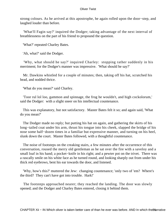strong colours. As he arrived at this apostrophe, he again rolled upon the door−step, and laughed louder than before.

 'What'll Fagin say?' inquired the Dodger; taking advantage of the next interval of breathlessness on the part of his friend to propound the question.

'What?' repeated Charley Bates.

'Ah, what?' said the Dodger.

 'Why, what should he say?' inquired Charley: stopping rather suddenly in his merriment; for the Dodger's manner was impressive. 'What should he say?'

 Mr. Dawkins whistled for a couple of minutes; then, taking off his hat, scratched his head, and nodded thrice.

'What do you mean?' said Charley.

 'Toor rul lol loo, gammon and spinnage, the frog he wouldn't, and high cockolorum,' said the Dodger: with a slight sneer on his intellectual countenance.

 This was explanatory, but not satisfactory. Master Bates felt it so; and again said, 'What do you mean?'

 The Dodger made no reply; but putting his hat on again, and gathering the skirts of his long−tailed coat under his arm, thrust his tongue into his cheek, slapped the bridge of his nose some half−dozen times in a familiar but expressive manner, and turning on his heel, slunk down the court. Master Bates followed, with a thoughtful countenance.

 The noise of footsteps on the creaking stairs, a few minutes after the occurrence of this conversation, roused the merry old gentleman as he sat over the fire with a saveloy and a small loaf in his hand; a pocket–knife in his right; and a pewter pot on the trivet. There was a rascally smile on his white face as he turned round, and looking sharply out from under his thick red eyebrows, bent his ear towards the door, and listened.

 'Why, how's this?' muttered the Jew: changing countenance; 'only two of 'em? Where's the third? They can't have got into trouble. Hark!'

 The footsteps approached nearer; they reached the landing. The door was slowly opened; and the Dodger and Charley Bates entered, closing it behind them.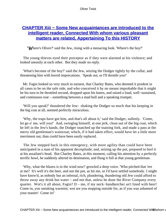# **CHAPTER Xiii – Some New acquaintances are introduced to the [intelligent reader, Connected With whom various pleasant](#page-394-0) [matters are related, Appertaining To this HISTORY](#page-394-0)**

*'W*here's Oliver?' said the Jew, rising with a menacing look. 'Where's the boy?'

 The young thieves eyed their preceptor as if they were alarmed at his violence; and looked uneasily at each other. But they made no reply.

 'What's become of the boy?' said the Jew, seizing the Dodger tightly by the collar, and threatening him with horrid imprecations. 'Speak out, or I'll throttle you!'

 Mr. Fagin looked so very much in earnest, that Charley Bates, who deemed it prudent in all cases to be on the safe side, and who conceived it by no means improbable that it might be his turn to be throttled second, dropped upon his knees, and raised a loud, well−sustained, and continuous roar – something between a mad bull and a speaking trumpet.

 'Will you speak?' thundered the Jew: shaking the Dodger so much that his keeping in the big coat at all, seemed perfectly miraculous.

 'Why, the traps have got him, and that's all about it,' said the Dodger, sullenly. 'Come, let go o' me, will you!' And, swinging himself, at one jerk, clean out of the big coat, which he left in the Jew's hands, the Dodger snatched up the toasting fork, and made a pass at the merry old gentleman's waistcoat; which, if it had taken effect, would have let a little more merriment out, than could have been easily replaced.

 The Jew stepped back in this emergency, with more agility than could have been anticipated in a man of his apparent decrepitude; and, seizing up the pot, prepared to hurl it at his assailant's head. But Charley Bates, at this moment, calling his attention by a perfectly terrific howl, he suddenly altered its destination, and flung it full at that young gentleman.

 'Why, what the blazes is in the wind now!' growled a deep voice. 'Who pitched that 'ere at me? It's well it's the beer, and not the pot, as hit me, or I'd have settled somebody. I might have know'd, as nobody but an infernal, rich, plundering, thundering old Jew could afford to throw away any drink but water – and not that, unless he done the River Company every quarter. Wot's it all about, Fagin? D – me, if my neck−handkercher an't lined with beer! Come in, you sneaking warmint; wot are you stopping outside for, as if you was ashamed of your master! Come in!'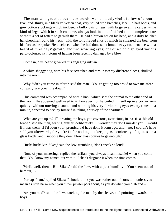The man who growled out these words, was a stoutly−built fellow of about five−and−thirty, in a black velveteen coat, very soiled drab breeches, lace−up half boots, and grey cotton stockings which inclosed a bulky pair of legs, with large swelling calves; – the kind of legs, which in such costume, always look in an unfinished and incomplete state without a set of fetters to garnish them. He had a brown hat on his head, and a dirty belcher handkerchief round his neck: with the long frayed ends of which he smeared the beer from his face as he spoke. He disclosed, when he had done so, a broad heavy countenance with a beard of three days' growth, and two scowling eyes; one of which displayed various parti−coloured symptoms of having been recently damaged by a blow.

'Come in, d'ye hear?' growled this engaging ruffian.

 A white shaggy dog, with his face scratched and torn in twenty different places, skulked into the room.

 'Why didn't you come in afore?' said the man. 'You're getting too proud to own me afore company, are you? Lie down!'

 This command was accompanied with a kick, which sent the animal to the other end of the room. He appeared well used to it, however; for he coiled himself up in a corner very quietly, without uttering a sound, and winking his very ill−looking eyes twenty times in a minute, appeared to occupy himself in taking a survey of the apartment.

 'What are you up to? Ill−treating the boys, you covetous, avaricious, in−sa−ti−a−ble old fence?' said the man, seating himself deliberately. 'I wonder they don't murder you! I would if I was them. If I'd been your 'prentice, I'd have done it long ago, and – no, I couldn't have sold you afterwards, for you're fit for nothing but keeping as a curiousity of ugliness in a glass bottle, and I suppose they don't blow glass bottles large enough.'

'Hush! hush! Mr. Sikes,' said the Jew, trembling; 'don't speak so loud!'

 'None of your mistering,' replied the ruffian; 'you always mean mischief when you come that. You know my name: out with it! I shan't disgrace it when the time comes.'

 'Well, well, then – Bill Sikes,' said the Jew, with abject humility. 'You seem out of humour, Bill.'

 'Perhaps I am,' replied Sikes; 'I should think you was rather out of sorts too, unless you mean as little harm when you throw pewter pots about, as you do when you blab and – '

 'Are you mad?' said the Jew, catching the man by the sleeve, and pointing towards the boys.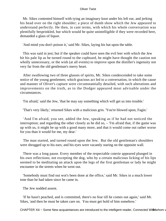Mr. Sikes contented himself with tying an imaginary knot under his left ear, and jerking his head over on the right shoulder; a piece of dumb show which the Jew appeared to understand perfectly. He then, in cant terms, with which his whole conversation was plentifully besprinkled, but which would be quite unintelligible if they were recorded here, demanded a glass of liquor.

'And mind you don't poison it,' said Mr. Sikes, laying his hat upon the table.

 This was said in jest; but if the speaker could have seen the evil leer with which the Jew bit his pale lip as he turned round to the cupboard, he might have thought the caution not wholly unnecessary, or the wish (at all events) to improve upon the distiller's ingenuity not very far from the old gentleman's merry heart.

 After swallowing two of three glasses of spirits, Mr. Sikes condescended to take some notice of the young gentlemen; which gracious act led to a conversation, in which the cause and manner of Oliver's capture were circumstantially detailed, with such alterations and improvements on the truth, as to the Dodger appeared most advisable under the circumstances.

'I'm afraid,' said the Jew, 'that he may say something which will get us into trouble.'

'That's very likely,' returned Sikes with a malicious grin. 'You're blowed upon, Fagin.'

 'And I'm afraid, you see, added the Jew, speaking as if he had not noticed the interruption; and regarding the other closely as he did so, – 'I'm afraid that, if the game was up with us, it might be up with a good many more, and that it would come out rather worse for you than it would for me, my dear.'

 The man started, and turned round upon the Jew. But the old gentleman's shoulders were shrugged up to his ears; and his eyes were vacantly staring on the opposite wall.

 There was a long pause. Every member of the respectable coterie appeared plunged in his own reflections; not excepting the dog, who by a certain malicious licking of his lips seemed to be meditating an attack upon the legs of the first gentleman or lady he might encounter in the streets when he went out.

 'Somebody must find out wot's been done at the office,' said Mr. Sikes in a much lower tone than he had taken since he came in.

The Jew nodded assent.

 'If he hasn't peached, and is committed, there's no fear till he comes out again,' said Mr. Sikes, 'and then he must be taken care on. You must get hold of him somehow.'

CHAPTER Xiii – Some New acquaintances are introduced to the intelligent reader, Connected Witterwhom various pleasant matters are related matters are related.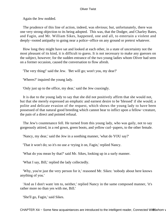Again the Jew nodded.

 The prudence of this line of action, indeed, was obvious; but, unfortunately, there was one very strong objection to its being adopted. This was, that the Dodger, and Charley Bates, and Fagin, and Mr. William Sikes, happened, one and all, to entertain a violent and deeply−rooted antipathy to going near a police−office on any ground or pretext whatever.

 How long they might have sat and looked at each other, in a state of uncertainty not the most pleasant of its kind, it is difficult to guess. It is not necessary to make any guesses on the subject, however; for the sudden entrance of the two young ladies whom Oliver had seen on a former occasion, caused the conversation to flow afresh.

'The very thing!' said the Jew. 'Bet will go; won't you, my dear?'

'Wheres?' inquired the young lady.

'Only just up to the office, my dear,' said the Jew coaxingly.

 It is due to the young lady to say that she did not positively affirm that she would not, but that she merely expressed an emphatic and earnest desire to be 'blessed' if she would; a polite and delicate evasion of the request, which shows the young lady to have been possessed of that natural good breeding which cannot bear to inflict upon a fellow−creature, the pain of a direct and pointed refusal.

 The Jew's countenance fell. He turned from this young lady, who was gaily, not to say gorgeously attired, in a red gown, green boots, and yellow curl−papers, to the other female.

'Nancy, my dear,' said the Jew in a soothing manner, 'what do YOU say?'

'That it won't do; so it's no use a−trying it on, Fagin,' replied Nancy.

'What do you mean by that?' said Mr. Sikes, looking up in a surly manner.

'What I say, Bill,' replied the lady collectedly.

 'Why, you're just the very person for it,' reasoned Mr. Sikes: 'nobody about here knows anything of you.'

 'And as I don't want 'em to, neither,' replied Nancy in the same composed manner, 'it's rather more no than yes with me, Bill.'

'She'll go, Fagin,' said Sikes.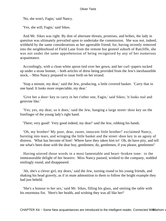'No, she won't, Fagin,' said Nancy.

'Yes, she will, Fagin,' said Sikes.

 And Mr. Sikes was right. By dint of alternate threats, promises, and bribes, the lady in question was ultimately prevailed upon to undertake the commission. She was not, indeed, withheld by the same considerations as her agreeable friend; for, having recently removed into the neighborhood of Field Lane from the remote but genteel suburb of Ratcliffe, she was not under the same apprehension of being recognised by any of her numerous acquaintance.

 Accordingly, with a clean white apron tied over her gown, and her curl−papers tucked up under a straw bonnet, – both articles of dress being provided from the Jew's inexhaustible stock, – Miss Nancy prepared to issue forth on her errand.

 'Stop a minute, my dear,' said the Jew, producing, a little covered basket. 'Carry that in one hand. It looks more respectable, my dear.'

 'Give her a door−key to carry in her t'other one, Fagin,' said Sikes; 'it looks real and genivine like.'

 'Yes, yes, my dear, so it does,' said the Jew, hanging a large street−door key on the forefinger of the young lady's right hand.

'There; very good! Very good indeed, my dear!' said the Jew, rubbing his hands.

 'Oh, my brother! My poor, dear, sweet, innocent little brother!' exclaimed Nancy, bursting into tears, and wringing the little basket and the street−door key in an agony of distress. 'What has become of him! Where have they taken him to! Oh, do have pity, and tell me what's been done with the dear boy, gentlemen; do, gentlemen, if you please, gentlemen!'

 Having uttered those words in a most lamentable and heart−broken tone: to the immeasurable delight of her hearers: Miss Nancy paused, winked to the company, nodded smilingly round, and disappeared.

 'Ah, she's a clever girl, my dears,' said the Jew, turning round to his young friends, and shaking his head gravely, as if in mute admonition to them to follow the bright example they had just beheld.

 'She's a honour to her sex,' said Mr. Sikes, filling his glass, and smiting the table with his enormous fist. 'Here's her health, and wishing they was all like her!'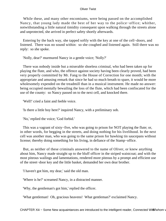While these, and many other encomiums, were being passed on the accomplished Nancy, that young lady made the best of her way to the police−office; whither, notwithstanding a little natural timidity consequent upon walking through the streets alone and unprotected, she arrived in perfect safety shortly afterwards.

 Entering by the back way, she tapped softly with the key at one of the cell−doors, and listened. There was no sound within: so she coughed and listened again. Still there was no reply: so she spoke.

'Nolly, dear?' murmured Nancy in a gentle voice; 'Nolly?'

 There was nobody inside but a miserable shoeless criminal, who had been taken up for playing the flute, and who, the offence against society having been clearly proved, had been very properly committed by Mr. Fang to the House of Correction for one month; with the appropriate and amusing remark that since he had so much breath to spare, it would be more wholesomely expended on the treadmill than in a musical instrument. He made no answer: being occupied mentally bewailing the loss of the flute, which had been confiscated for the use of the county: so Nancy passed on to the next cell, and knocked there.

'Well!' cried a faint and feeble voice.

'Is there a little boy here?' inquired Nancy, with a preliminary sob.

'No,' replied the voice; 'God forbid.'

This was a vagrant of sixty–five, who was going to prison for NOT playing the flute; or, in other words, for begging in the streets, and doing nothing for his livelihood. In the next cell was another man, who was going to the same prison for hawking tin saucepans without license; thereby doing something for his living, in defiance of the Stamp−office.

 But, as neither of these criminals answered to the name of Oliver, or knew anything about him, Nancy made straight up to the bluff officer in the striped waistcoat; and with the most piteous wailings and lamentations, rendered more piteous by a prompt and efficient use of the street−door key and the little basket, demanded her own dear brother.

'I haven't got him, my dear,' said the old man.

'Where is he?' screamed Nancy, in a distracted manner.

'Why, the gentleman's got him,' replied the officer.

'What gentleman! Oh, gracious heavens! What gentleman?' exclaimed Nancy.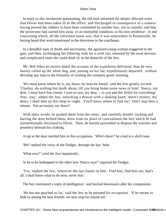In reply to this incoherent questioning, the old man informed the deeply affected sister that Oliver had been taken ill in the office, and discharged in consequence of a witness having proved the robbery to have been committed by another boy, not in custody; and that the prosecutor had carried him away, in an insensible condition, to his own residence: of and concerning which, all the informant knew was, that it was somewhere in Pentonville, he having heard that word mentioned in the directions to the coachman.

 In a dreadful state of doubt and uncertainty, the agonised young woman staggered to the gate, and then, exchanging her faltering walk for a swift run, returned by the most devious and complicated route she could think of, to the domicile of the Jew.

 Mr. Bill Sikes no sooner heard the account of the expedition delivered, than he very hastily called up the white dog, and, putting on his hat, expeditiously departed: without devoting any time to the formality of wishing the company good−morning.

 'We must know where he is, my dears; he must be found,' said the Jew greatly excited. 'Charley, do nothing but skulk about, till you bring home some news of him! Nancy, my dear, I must have him found. I trust to you, my dear, – to you and the Artful for everything! Stay, stay,' added the Jew, unlocking a drawer with a shaking hand; 'there's money, my dears. I shall shut up this shop to−night. You'll know where to find me! Don't stop here a minute. Not an instant, my dears!'

 With these words, he pushed them from the room: and carefully double−locking and barring the door behind them, drew from its place of concealment the box which he had unintentionally disclosed to Oliver. Then, he hastily proceeded to dispose the watches and jewellery beneath his clothing.

A rap at the door startled him in this occupation. 'Who's there?' he cried in a shrill tone.

'Me!' replied the voice of the Dodger, through the key−hole.

'What now?' cried the Jew impatiently.

'Is he to be kidnapped to the other ken, Nancy says?' inquired the Dodger.

 'Yes,' replied the Jew, 'wherever she lays hands on him. Find him, find him out, that's all. I shall know what to do next; never fear.'

The boy murmured a reply of intelligence: and hurried downstairs after his companions.

 'He has not peached so far,' said the Jew as he pursued his occupation. 'If he means to blab us among his new friends, we may stop his mouth yet.'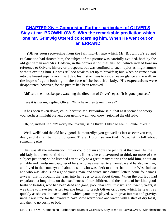# **[CHAPTER Xiv − Comprising Further particulars of OLIVER'S](#page-394-0) [Stay at mr. BROWNLOW'S, With the remarkable prediction which](#page-394-0) [one mr. Grimwig Uttered concerning him, When He went out on](#page-394-0) [an ERRAND](#page-394-0)**

*O*liver soon recovering from the fainting−fit into which Mr. Brownlow's abrupt exclamation had thrown him, the subject of the picture was carefully avoided, both by the old gentleman and Mrs. Bedwin, in the conversation that ensued: which indeed bore no reference to Oliver's history or prospects, but was confined to such topics as might amuse without exciting him. He was still too weak to get up to breakfast; but, when he came down into the housekeeper's room next day, his first act was to cast an eager glance at the wall, in the hope of again looking on the face of the beautiful lady. His expectations were disappointed, however, for the picture had been removed.

'Ah!' said the housekeeper, watching the direction of Oliver's eyes. 'It is gone, you see.'

'I see it is ma'am,' replied Oliver. 'Why have they taken it away?'

 'It has been taken down, child, because Mr. Brownlow said, that as it seemed to worry you, perhaps it might prevent your getting well, you know,' rejoined the old lady.

'Oh, no, indeed. It didn't worry me, ma'am,' said Oliver. 'I liked to see it. I quite loved it.'

 'Well, well!' said the old lady, good−humouredly; 'you get well as fast as ever you can, dear, and it shall be hung up again. There! I promise you that! Now, let us talk about something else.'

 This was all the information Oliver could obtain about the picture at that time. As the old lady had been so kind to him in his illness, he endeavoured to think no more of the subject just then; so he listened attentively to a great many stories she told him, about an amiable and handsome daughter of hers, who was married to an amiable and handsome man, and lived in the country; and about a son, who was clerk to a merchant in the West Indies; and who was, also, such a good young man, and wrote such dutiful letters home four times a−year, that it brought the tears into her eyes to talk about them. When the old lady had expatiated, a long time, on the excellences of her children, and the merits of her kind good husband besides, who had been dead and gone, poor dear soul! just six−and−twenty years, it was time to have tea. After tea she began to teach Oliver cribbage: which he learnt as quickly as she could teach: and at which game they played, with great interest and gravity, until it was time for the invalid to have some warm wine and water, with a slice of dry toast, and then to go cosily to bed.

CHAPTER Xiv – Comprising Further particulars of OLIVER'S Stay at mr. BROWNLOW'S, With th ® temarkable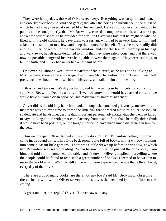They were happy days, those of Oliver's recovery. Everything was so quiet, and neat, and orderly; everybody so kind and gentle; that after the noise and turbulence in the midst of which he had always lived, it seemed like Heaven itself. He was no sooner strong enough to put his clothes on, properly, than Mr. Brownlow caused a complete new suit, and a new cap, and a new pair of shoes, to be provided for him. As Oliver was told that he might do what he liked with the old clothes, he gave them to a servant who had been very kind to him, and asked her to sell them to a Jew, and keep the money for herself. This she very readily did; and, as Oliver looked out of the parlour window, and saw the Jew roll them up in his bag and walk away, he felt quite delighted to think that they were safely gone, and that there was now no possible danger of his ever being able to wear them again. They were sad rags, to tell the truth; and Oliver had never had a new suit before.

 One evening, about a week after the affair of the picture, as he was sitting talking to Mrs. Bedwin, there came a message down from Mr. Brownlow, that if Oliver Twist felt pretty well, he should like to see him in his study, and talk to him a little while.

 'Bless us, and save us! Wash your hands, and let me part your hair nicely for you, child,' said Mrs. Bedwin. 'Dear heart alive! If we had known he would have asked for you, we would have put you a clean collar on, and made you as smart as sixpence!'

 Oliver did as the old lady bade him; and, although she lamented grievously, meanwhile, that there was not even time to crimp the little frill that bordered his shirt−collar; he looked so delicate and handsome, despite that important personal advantage, that she went so far as to say: looking at him with great complacency from head to foot, that she really didn't think it would have been possible, on the longest notice, to have made much difference in him for the better.

 Thus encouraged, Oliver tapped at the study door. On Mr. Brownlow calling to him to come in, he found himself in a little back room, quite full of books, with a window, looking into some pleasant little gardens. There was a table drawn up before the window, at which Mr. Brownlow was seated reading. When he saw Oliver, he pushed the book away from him, and told him to come near the table, and sit down. Oliver complied; marvelling where the people could be found to read such a great number of books as seemed to be written to make the world wiser. Which is still a marvel to more experienced people than Oliver Twist, every day of their lives.

 'There are a good many books, are there not, my boy?' said Mr. Brownlow, observing the curiosity with which Oliver surveyed the shelves that reached from the floor to the ceiling.

'A great number, sir,' replied Oliver. 'I never saw so many.'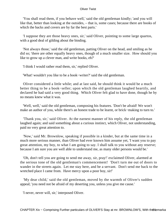'You shall read them, if you behave well,' said the old gentleman kindly; 'and you will like that, better than looking at the outsides, – that is, some cases; because there are books of which the backs and covers are by far the best parts.'

 'I suppose they are those heavy ones, sir,' said Oliver, pointing to some large quartos, with a good deal of gilding about the binding.

 'Not always those,' said the old gentleman, patting Oliver on the head, and smiling as he did so; 'there are other equally heavy ones, though of a much smaller size. How should you like to grow up a clever man, and write books, eh?'

'I think I would rather read them, sir,' replied Oliver.

'What! wouldn't you like to be a book−writer?' said the old gentleman.

 Oliver considered a little while; and at last said, he should think it would be a much better thing to be a book−seller; upon which the old gentleman laughed heartily, and declared he had said a very good thing. Which Oliver felt glad to have done, though he by no means knew what it was.

 'Well, well,' said the old gentleman, composing his features. 'Don't be afraid! We won't make an author of you, while there's an honest trade to be learnt, or brick−making to turn to.'

 'Thank you, sir,' said Oliver. At the earnest manner of his reply, the old gentleman laughed again; and said something about a curious instinct, which Oliver, not understanding, paid no very great attention to.

 'Now,' said Mr. Brownlow, speaking if possible in a kinder, but at the same time in a much more serious manner, than Oliver had ever known him assume yet, 'I want you to pay great attention, my boy, to what I am going to say. I shall talk to you without any reserve; because I am sure you are well able to understand me, as many older persons would be.'

 'Oh, don't tell you are going to send me away, sir, pray!' exclaimed Oliver, alarmed at the serious tone of the old gentleman's commencement! 'Don't turn me out of doors to wander in the streets again. Let me stay here, and be a servant. Don't send me back to the wretched place I came from. Have mercy upon a poor boy, sir!'

 'My dear child,' said the old gentleman, moved by the warmth of Oliver's sudden appeal; 'you need not be afraid of my deserting you, unless you give me cause.'

'I never, never will, sir,' interposed Oliver.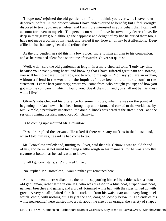'I hope not,' rejoined the old gentleman. 'I do not think you ever will. I have been deceived, before, in the objects whom I have endeavoured to benefit; but I feel strongly disposed to trust you, nevertheless; and I am more interested in your behalf than I can well account for, even to myself. The persons on whom I have bestowed my dearest love, lie deep in their graves; but, although the happiness and delight of my life lie buried there too, I have not made a coffin of my heart, and sealed it up, forever, on my best affections. Deep affliction has but strengthened and refined them.'

 As the old gentleman said this in a low voice: more to himself than to his companion: and as he remained silent for a short time afterwards: Oliver sat quite still.

 'Well, well!' said the old gentleman at length, in a more cheerful tone, 'I only say this, because you have a young heart; and knowing that I have suffered great pain and sorrow, you will be more careful, perhaps, not to wound me again. You say you are an orphan, without a friend in the world; all the inquiries I have been able to make, confirm the statement. Let me hear your story; where you come from; who brought you up; and how you got into the company in which I found you. Speak the truth, and you shall not be friendless while I live.'

 Oliver's sobs checked his utterance for some minutes; when he was on the point of beginning to relate how he had been brought up at the farm, and carried to the workhouse by Mr. Bumble, a peculiarly impatient little double−knock was heard at the street−door: and the servant, running upstairs, announced Mr. Grimwig.

'Is he coming up?' inquired Mr. Brownlow.

 'Yes, sir,' replied the servant. 'He asked if there were any muffins in the house; and, when I told him yes, he said he had come to tea.'

 Mr. Brownlow smiled; and, turning to Oliver, said that Mr. Grimwig was an old friend of his, and he must not mind his being a little rough in his manners; for he was a worthy creature at bottom, as he had reason to know.

'Shall I go downstairs, sir?' inquired Oliver.

'No,' replied Mr. Brownlow, 'I would rather you remained here.'

 At this moment, there walked into the room: supporting himself by a thick stick: a stout old gentleman, rather lame in one leg, who was dressed in a blue coat, striped waistcoat, nankeen breeches and gaiters, and a broad−brimmed white hat, with the sides turned up with green. A very small−plaited shirt frill stuck out from his waistcoat; and a very long steel watch−chain, with nothing but a key at the end, dangled loosely below it. The ends of his white neckerchief were twisted into a ball about the size of an orange; the variety of shapes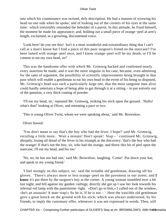into which his countenance was twisted, defy description. He had a manner of screwing his head on one side when he spoke; and of looking out of the corners of his eyes at the same time: which irresistibly reminded the beholder of a parrot. In this attitude, he fixed himself, the moment he made his appearance; and, holding out a small piece of orange−peel at arm's length, exclaimed, in a growling, discontented voice.

 'Look here! do you see this! Isn't it a most wonderful and extraordinary thing that I can't call at a man's house but I find a piece of this poor surgeon's friend on the staircase? I've been lamed with orange−peel once, and I know orange−peel will be my death, or I'll be content to eat my own head, sir!'

 This was the handsome offer with which Mr. Grimwig backed and confirmed nearly every assertion he made; and it was the more singular in his case, because, even admitting for the sake of argument, the possibility of scientific improvements being brought to that pass which will enable a gentleman to eat his own head in the event of his being so disposed, Mr. Grimwig's head was such a particularly large one, that the most sanguine man alive could hardly entertain a hope of being able to get through it at a sitting – to put entirely out of the question, a very thick coating of powder.

 'I'll eat my head, sir,' repeated Mr. Grimwig, striking his stick upon the ground. 'Hallo! what's that!' looking at Oliver, and retreating a pace or two.

'This is young Oliver Twist, whom we were speaking about,' said Mr. Brownlow.

Oliver bowed.

 'You don't mean to say that's the boy who had the fever, I hope?' said Mr. Grimwig, recoiling a little more. 'Wait a minute! Don't speak! Stop – ' continued Mr. Grimwig, abruptly, losing all dread of the fever in his triumph at the discovery; 'that's the boy who had the orange! If that's not the boy, sir, who had the orange, and threw this bit of peel upon the staircase, I'll eat my head, and his too.'

 'No, no, he has not had one,' said Mr. Brownlow, laughing. 'Come! Put down your hat; and speak to my young friend.'

 'I feel strongly on this subject, sir,' said the irritable old gentleman, drawing off his gloves. 'There's always more or less orange−peel on the pavement in our street; and **I know** it's put there by the surgeon's boy at the corner. A young woman stumbled over a bit last night, and fell against my garden−railings; directly she got up I saw her look towards his infernal red lamp with the pantomime−light. «Don't go to him,» I called out of the window, «he's an assassin! A man−trap!» So he is. If he is not – ' Here the irascible old gentleman gave a great knock on the ground with his stick; which was always understood, by his friends, to imply the customary offer, whenever it was not expressed in words. Then, still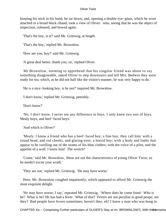keeping his stick in his hand, he sat down; and, opening a double eye−glass, which he wore attached to a broad black riband, took a view of Oliver: who, seeing that he was the object of inspection, coloured, and bowed again.

'That's the boy, is it?' said Mr. Grimwig, at length.

'That's the boy,' replied Mr. Brownlow.

'How are you, boy?' said Mr. Grimwig.

'A great deal better, thank you, sir,' replied Oliver.

 Mr Brownlow, seeming to apprehend that his singular friend was about to say something disagreeable, asked Oliver to step downstairs and tell Mrs. Bedwin they were ready for tea; which, as he did not half like the visitor's manner, he was very happy to do.

'He is a nice−looking boy, is he not?' inquired Mr. Brownlow.

'I don't know,' replied Mr. Grimwig, pettishly.

'Don't know?'

 'No. I don't know. I never see any difference in boys. I only knew two sort of boys. Mealy boys, and beef−faced boys.'

'And which is Oliver?'

 'Mealy. I know a friend who has a beef−faced boy; a fine boy, they call him; with a round head, and red cheeks, and glaring eyes; a horrid boy; with a body and limbs that appear to be swelling out of the seams of his blue clothes; with the voice of a pilot, and the appetite of a wolf. I know him! The wretch!'

 'Come,' said Mr. Brownlow, 'these are not the characteristics of young Oliver Twist; so he needn't excite your wrath.'

'They are not,' replied Mr. Grimwig. 'He may have worse.'

 Here, Mr. Brownlow coughed impatiently; which appeared to afford Mr. Grimwig the most exquisite delight.

 'He may have worse, I say,' repeated Mr. Grimwig. 'Where does he come from! Who is he? What is he? He has had a fever. What of that? Fevers are not peculiar to good peope; are they? Bad people have fevers sometimes; haven't they, eh? I knew a man who was hung in

CHAPTER Xiv – Comprising Further particulars of OLIVER'S Stay at mr. BROWNLOW'S, With th⊕ 4 emarka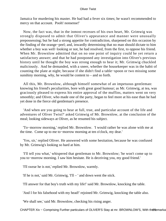Jamaica for murdering his master. He had had a fever six times; he wasn't recommended to mercy on that account. Pooh! nonsense!'

 Now, the fact was, that in the inmost recesses of his own heart, Mr. Grimwig was strongly disposed to admit that Oliver's appearance and manner were unusually prepossessing; but he had a strong appetite for contradiction, sharpened on this occasion by the finding of the orange−peel; and, inwardly determining that no man should dictate to him whether a boy was well−looking or not, he had resolved, from the first, to oppose his friend. When Mr. Brownlow admitted that on no one point of inquiry could he yet return a satisfactory answer; and that he had postponed any investigation into Oliver's previous history until he thought the boy was strong enough to hear it; Mr. Grimwig chuckled maliciously. And he demanded, with a sneer, whether the housekeeper was in the habit of counting the plate at night; because if she didn't find a table−spoon or two missing some sunshiny morning, why, he would be content to – and so forth.

 All this, Mr. Brownlow, although himself somewhat of an impetuous gentleman: knowing his friend's peculiarities, bore with great good humour; as Mr. Grimwig, at tea, was graciously pleased to express his entire approval of the muffins, matters went on very smoothly; and Oliver, who made one of the party, began to feel more at his ease than he had yet done in the fierce old gentleman's presence.

 'And when are you going to hear at full, true, and particular account of the life and adventures of Oliver Twist?' asked Grimwig of Mr. Brownlow, at the conclusion of the meal; looking sideways at Oliver, as he resumed his subject.

 'To−morrow morning,' replied Mr. Brownlow. 'I would rather he was alone with me at the time. Come up to me to−morrow morning at ten o'clock, my dear.'

 'Yes, sir,' replied Oliver. He answered with some hesitation, because he was confused by Mr. Grimwig's looking so hard at him.

 'I'll tell you what,' whispered that gentleman to Mr. Brownlow; 'he won't come up to you to−morrow morning. I saw him hesitate. He is deceiving you, my good friend.'

'I'll swear he is not,' replied Mr. Brownlow, warmly.

'If he is not,' said Mr. Grimwig, 'I'll – ' and down went the stick.

'I'll answer for that boy's truth with my life!' said Mr. Brownlow, knocking the table.

'And I for his falsehood with my head!' rejoined Mr. Grimwig, knocking the table also.

'We shall see,' said Mr. Brownlow, checking his rising anger.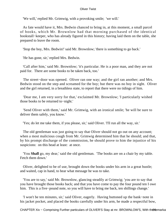'We will,' replied Mr. Grimwig, with a provoking smile; 'we will.'

 As fate would have it, Mrs. Bedwin chanced to bring in, at this moment, a small parcel of books, which Mr. Brownlow had that morning purchased of the identical bookstall−keeper, who has already figured in this history; having laid them on the table, she prepared to leave the room.

'Stop the boy, Mrs. Bedwin!' said Mr. Brownlow; 'there is something to go back.'

'He has gone, sir,' replied Mrs. Bedwin.

 'Call after him,' said Mr. Brownlow; 'it's particular. He is a poor man, and they are not paid for. There are some books to be taken back, too.'

 The street−door was opened. Oliver ran one way; and the girl ran another; and Mrs. Bedwin stood on the step and screamed for the boy; but there was no boy in sight. Oliver and the girl returned, in a breathless state, to report that there were no tidings of him.

 'Dear me, I am very sorry for that,' exclaimed Mr. Brownlow; 'I particularly wished those books to be returned to−night.'

 'Send Oliver with them,' said Mr. Grimwig, with an ironical smile; 'he will be sure to deliver them safely, you know.'

'Yes; do let me take them, if you please, sir,' said Oliver. 'I'll run all the way, sir.'

 The old gentleman was just going to say that Oliver should not go out on any account; when a most malicious cough from Mr. Grimwig determined him that he should; and that, by his prompt discharge of the commission, he should prove to him the injustice of his suspicions: on this head at least: at once.

 'You **Shall** go, my dear,' said the old gentleman. 'The books are on a chair by my table. Fetch them down.'

 Oliver, delighted to be of use, brought down the books under his arm in a great bustle; and waited, cap in hand, to hear what message he was to take.

 'You are to say,' said Mr. Brownlow, glancing steadily at Grimwig; 'you are to say that you have brought those books back; and that you have come to pay the four pound ten I owe him. This is a five−pound note, so you will have to bring me back, ten shillings change.'

 'I won't be ten minutes, sir,' said Oliver, eagerly. Having buttoned up the bank−note in his jacket pocket, and placed the books carefully under his arm, he made a respectful bow,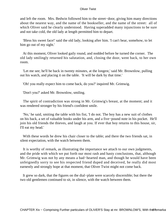and left the room. Mrs. Bedwin followed him to the street−door, giving him many directions about the nearest way, and the name of the bookseller, and the name of the street: all of which Oliver said he clearly understood. Having superadded many injunctions to be sure and not take cold, the old lady at length permitted him to depart.

 'Bless his sweet face!' said the old lady, looking after him. 'I can't bear, somehow, to let him go out of my sight.'

 At this moment, Oliver looked gaily round, and nodded before he turned the corner. The old lady smilingly returned his salutation, and, closing the door, went back, to her own room.

 'Let me see; he'll be back in twenty minutes, at the longest,' said Mr. Brownlow, pulling out his watch, and placing it on the table. 'It will be dark by that time.'

'Oh! you really expect him to come back, do you?' inquired Mr. Grimwig.

'Don't you?' asked Mr. Brownlow, smiling.

 The spirit of contradiction was strong in Mr. Grimwig's breast, at the moment; and it was rendered stronger by his friend's confident smile.

 'No,' he said, smiting the table with his fist, 'I do not. The boy has a new suit of clothes on his back, a set of valuable books under his arm, and a five−pound note in his pocket. He'll join his old friends the thieves, and laugh at you. If ever that boy returns to this house, sir, I'll eat my head.'

With these words he drew his chair closer to the table; and there the two friends sat, in silent expectation, with the watch between them.

 It is worthy of remark, as illustrating the importance we attach to our own judgments, and the pride with which we put forth our most rash and hasty conclusions, that, although Mr. Grimwig was not by any means a bad−hearted man, and though he would have been unfeignedly sorry to see his respected friend duped and deceived, he really did most earnestly and strongly hope at that moment, that Oliver Twist might not come back.

 It grew so dark, that the figures on the dial−plate were scarcely discernible; but there the two old gentlemen continued to sit, in silence, with the watch between them.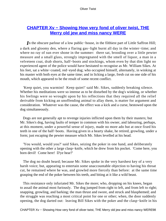# **[CHAPTER Xv − Showing How very fond of oliver twist, THE](#page-394-0) [Merry old jew and miss nancy WERE](#page-394-0)**

*I*n the obscure parlour of a low public−house, in the filthiest part of Little Saffron Hill; a dark and gloomy den, where a flaring gas−light burnt all day in the winter−time; and where no ray of sun ever shone in the summer: there sat, brooding over a little pewter measure and a small glass, strongly impregnated with the smell of liquor, a man in a velveteen coat, drab shorts, half−boots and stockings, whom even by that dim light no experienced agent of the police would have hesitated to recognise as Mr. William Sikes. At his feet, sat a white−coated, red−eyed dog; who occupied himself, alternately, in winking at his master with both eyes at the same time; and in licking a large, fresh cut on one side of his mouth, which appeared to be the result of some recent conflict.

 'Keep quiet, you warmint! Keep quiet!' said Mr. Sikes, suddenly breaking silence. Whether his meditations were so intense as to be disturbed by the dog's winking, or whether his feelings were so wrought upon by his reflections that they required all the relief derivable from kicking an unoffending animal to allay them, is matter for argument and consideration. Whatever was the cause, the effect was a kick and a curse, bestowed upon the dog simultaneously.

 Dogs are not generally apt to revenge injuries inflicted upon them by their masters; but Mr. Sikes's dog, having faults of temper in common with his owner, and labouring, perhaps, at this moment, under a powerful sense of injury, made no more ado but at once fixed his teeth in one of the half−boots. Having given in a hearty shake, he retired, growling, under a form; just escaping the pewter measure which Mr. Sikes levelled at his head.

 'You would, would you?' said Sikes, seizing the poker in one hand, and deliberately opening with the other a large clasp−knife, which he drew from his pocket. 'Come here, you born devil! Come here! D'ye hear?'

 The dog no doubt heard; because Mr. Sikes spoke in the very harshest key of a very harsh voice; but, appearing to entertain some unaccountable objection to having his throat cut, he remained where he was, and growled more fiercely than before: at the same time grasping the end of the poker between his teeth, and biting at it like a wild beast.

 This resistance only infuriated Mr. Sikes the more; who, dropping on his knees, began to assail the animal most furiously. The dog jumped from right to left, and from left to right; snapping, growling, and barking; the man thrust and swore, and struck and blasphemed; and the struggle was reaching a most critical point for one or other; when, the door suddenly opening, the dog darted out: leaving Bill Sikes with the poker and the clasp−knife in his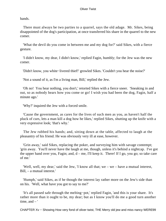hands.

 There must always be two parties to a quarrel, says the old adage. Mr. Sikes, being disappointed of the dog's participation, at once transferred his share in the quarrel to the new comer.

 'What the devil do you come in between me and my dog for?' said Sikes, with a fierce gesture.

 'I didn't know, my dear, I didn't know,' replied Fagin, humbly; for the Jew was the new comer.

'Didn't know, you white−livered thief!' growled Sikes. 'Couldn't you hear the noise?'

'Not a sound of it, as I'm a living man, Bill,' replied the Jew.

 'Oh no! You hear nothing, you don't,' retorted Sikes with a fierce sneer. 'Sneaking in and out, so as nobody hears how you come or go! I wish you had been the dog, Fagin, half a minute ago.'

'Why?' inquired the Jew with a forced smile.

 'Cause the government, as cares for the lives of such men as you, as haven't half the pluck of curs, lets a man kill a dog how he likes,' replied Sikes, shutting up the knife with a very expressive look; 'that's why.'

 The Jew rubbed his hands; and, sitting down at the table, affected to laugh at the pleasantry of his friend. He was obviously very ill at ease, however.

 'Grin away,' said Sikes, replacing the poker, and surveying him with savage contempt; 'grin away. You'll never have the laugh at me, though, unless it's behind a nightcap. I've got the upper hand over you, Fagin; and,  $d - me$ , I'll keep it. There! If I go, you go; so take care of me.'

 'Well, well, my dear,' said the Jew, 'I know all that; we – we – have a mutual interest, Bill, – a mutual interest.'

 'Humph,' said Sikes, as if he though the interest lay rather more on the Jew's side than on his. 'Well, what have you got to say to me?'

 'It's all passed safe through the melting−pot,' replied Fagin, 'and this is your share. It's rather more than it ought to be, my dear; but as I know you'll do me a good turn another time, and  $-$ '

CHAPTER Xv − Showing How very fond of oliver twist, THE Merry old jew and miss nancy WERE99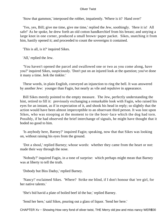'Stow that gammon,' interposed the robber, impatiently. 'Where is it? Hand over!'

 'Yes, yes, Bill; give me time, give me time,' replied the Jew, soothingly. 'Here it is! All safe!' As he spoke, he drew forth an old cotton handkerchief from his breast; and untying a large knot in one corner, produced a small brown−paper packet. Sikes, snatching it from him, hastily opened it; and proceeded to count the sovereigns it contained.

'This is all, is it?' inquired Sikes.

'All,' replied the Jew.

 'You haven't opened the parcel and swallowed one or two as you come along, have you?' inquired Sikes, suspiciously. 'Don't put on an injured look at the question; you've done it many a time. Jerk the tinkler.'

 These words, in plain English, conveyed an injunction to ring the bell. It was answered by another Jew: younger than Fagin, but nearly as vile and repulsive in appearance.

 Bill Sikes merely pointed to the empty measure. The Jew, perfectly understanding the hint, retired to fill it: previously exchanging a remarkable look with Fagin, who raised his eyes for an instant, as if in expectation of it, and shook his head in reply; so slightly that the action would have been almost imperceptible to an observant third person. It was lost upon Sikes, who was stooping at the moment to tie the boot−lace which the dog had torn. Possibly, if he had observed the brief interchange of signals, he might have thought that it boded no good to him.

 'Is anybody here, Barney?' inquired Fagin; speaking, now that that Sikes was looking on, without raising his eyes from the ground.

 'Dot a shoul,' replied Barney; whose words: whether they came from the heart or not: made their way through the nose.

 'Nobody?' inquired Fagin, in a tone of surprise: which perhaps might mean that Barney was at liberty to tell the truth.

'Dobody but Biss Dadsy,' replied Barney.

 'Nancy!' exclaimed Sikes. 'Where? Strike me blind, if I don't honour that 'ere girl, for her native talents.'

'She's bid havid a plate of boiled beef id the bar,' replied Barney.

'Send her here,' said Sikes, pouring out a glass of liquor. 'Send her here.'

CHAPTER Xv – Showing How very fond of oliver twist, THE Merry old jew and miss nancy WERE00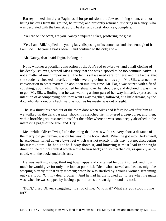Barney looked timidly at Fagin, as if for permission; the Jew reamining silent, and not lifting his eyes from the ground, he retired; and presently returned, ushering in Nancy; who was decorated with the bonnet, apron, basket, and street−door key, complete.

'You are on the scent, are you, Nancy?' inquired Sikes, proffering the glass.

 'Yes, I am, Bill,' replied the young lady, disposing of its contents; 'and tired enough of it I am, too. The young brat's been ill and confined to the crib; and – '

'Ah, Nancy, dear!' said Fagin, looking up.

 Now, whether a peculiar contraction of the Jew's red eye−brows, and a half closing of his deeply−set eyes, warned Miss Nancy that she was disposed to be too communicative, is not a matter of much importance. The fact is all we need care for here; and the fact is, that she suddenly checked herself, and with several gracious smiles upon Mr. Sikes, turned the conversation to other matters. In about ten minutes' time, Mr. Fagin was seized with a fit of coughing; upon which Nancy pulled her shawl over her shoulders, and declared it was time to go. Mr. Sikes, finding that he was walking a short part of her way himself, expressed his intention of accompanying her; they went away together, followed, at a little distant, by the dog, who slunk out of a back−yard as soon as his master was out of sight.

 The Jew thrust his head out of the room door when Sikes had left it; looked after him as we walked up the dark passage; shook his clenched fist; muttered a deep curse; and then, with a horrible grin, reseated himself at the table; where he was soon deeply absorbed in the interesting pages of the Hue−and−Cry.

 Meanwhile, Oliver Twist, little dreaming that he was within so very short a distance of the merry old gentleman, was on his way to the book−stall. When he got into Clerkenwell, he accidently turned down a by−street which was not exactly in his way; but not discovering his mistake until he had got half−way down it, and knowing it must lead in the right direction, he did not think it worth while to turn back; and so marched on, as quickly as he could, with the books under his arm.

 He was walking along, thinking how happy and contented he ought to feel; and how much he would give for only one look at poor little Dick, who, starved and beaten, might be weeping bitterly at that very moment; when he was startled by a young woman screaming out very loud. 'Oh, my dear brother!' And he had hardly looked up, to see what the matter was, when he was stopped by having a pair of arms thrown tight round his neck.

 'Don't,' cried Oliver, struggling. 'Let go of me. Who is it? What are you stopping me for?'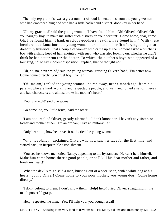The only reply to this, was a great number of loud lamentations from the young woman who had embraced him; and who had a little basket and a street−door key in her hand.

 'Oh my gracious!' said the young woman, 'I have found him! Oh! Oliver! Oliver! Oh you naughty boy, to make me suffer such distress on your account! Come home, dear, come. Oh, I've found him. Thank gracious goodness heavins, I've found him!' With these incoherent exclamations, the young woman burst into another fit of crying, and got so dreadfully hysterical, that a couple of women who came up at the moment asked a butcher's boy with a shiny head of hair anointed with suet, who was also looking on, whether he didn't think he had better run for the doctor. To which, the butcher's boy: who appeared of a lounging, not to say indolent disposition: replied, that he thought not.

 'Oh, no, no, never mind,' said the young woman, grasping Oliver's hand; 'I'm better now. Come home directly, you cruel boy! Come!'

 'Oh, ma'am,' replied the young woman, 'he ran away, near a month ago, from his parents, who are hard−working and respectable people; and went and joined a set of thieves and bad characters; and almost broke his mother's heart.'

'Young wretch!' said one woman.

'Go home, do, you little brute,' said the other.

 'I am not,' replied Oliver, greatly alarmed. 'I don't know her. I haven't any sister, or father and mother either. I'm an orphan; I live at Pentonville.'

'Only hear him, how he braves it out!' cried the young woman.

 'Why, it's Nancy!' exclaimed Oliver; who now saw her face for the first time; and started back, in irrepressible astonishment.

 'You see he knows me!' cried Nancy, appealing to the bystanders. 'He can't help himself. Make him come home, there's good people, or he'll kill his dear mother and father, and break my heart!'

 'What the devil's this?' said a man, bursting out of a beer−shop, with a white dog at his heels; 'young Oliver! Come home to your poor mother, you young dog! Come home directly.'

 'I don't belong to them. I don't know them. Help! help! cried Oliver, struggling in the man's powerful grasp.

'Help!' repeated the man. 'Yes; I'll help you, you young rascal!

CHAPTER Xv – Showing How very fond of oliver twist, THE Merry old jew and miss nancy WERE02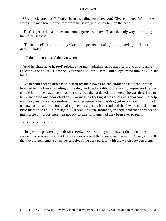What books are these? You've been a stealing 'em, have you? Give 'em here.' With these words, the man tore the volumes from his grasp, and struck him on the head.

 'That's right!' cried a looker−on, from a garret−window. 'That's the only way of bringing him to his senses!'

 'To be sure!' cried a sleepy−faced carpenter, casting an approving look at the garret−window.

'It'll do him good!' said the two women.

'And he shall have it, too!' rejoined the man, administering another blow, and seizing Oliver by the collar. 'Come on, you young villain! Here, Bull's−eye, mind him, boy! Mind him!'

Weak with recent illness; stupified by the blows and the suddenness of the attack; terrified by the fierce growling of the dog, and the brutality of the man; overpowered by the conviction of the bystanders that he really was the hardened little wretch he was described to be; what could one poor child do! Darkness had set in; it was a low neighborhood; no help was near; resistance was useless. In another moment he was dragged into a labyrinth of dark narrow courts, and was forced along them at a pace which rendered the few cries he dared to give utterance to, unintelligible. It was of little moment, indeed, whether they were intelligible or no; for there was nobody to care for them, had they been ever so plain.

\* **\*** \* \* \* \* \* \* \*

 The gas−lamps were lighted; Mrs. Bedwin was waiting anxiously at the open door; the servant had run up the street twenty times to see if there were any traces of Oliver; and still the two old gentlemen sat, perseveringly, in the dark parlour, with the watch between them.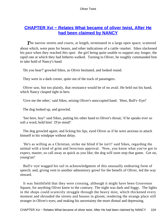# **CHAPTER Xvi - Relates What became of oliver twist, After He [had been claimed by NANCY](#page-394-0)**

The narrow streets and courts, at length, terminated in a large open space; scattered about which, were pens for beasts, and other indications of a cattle−market. Sikes slackened his pace when they reached this spot: the girl being quite unable to support any longer, the rapid rate at which they had hitherto walked. Turning to Oliver, he roughly commanded him to take hold of Nancy's hand.

'Do you hear?' growled Sikes, as Oliver hesitated, and looked round.

They were in a dark corner, quite out of the track of passengers.

 Oliver saw, but too plainly, that resistance would be of no avail. He held out his hand, which Nancy clasped tight in hers.

'Give me the other,' said Sikes, seizing Oliver's unoccupied hand. 'Here, Bull's−Eye!'

The dog looked up, and growled.

 'See here, boy!' said Sikes, putting his other hand to Oliver's throat; 'if he speaks ever so soft a word, hold him! D'ye mind!'

 The dog growled again; and licking his lips, eyed Oliver as if he were anxious to attach himself to his windpipe without delay.

 'He's as willing as a Christian, strike me blind if he isn't!' said Sikes, regarding the animal with a kind of grim and ferocious approval. 'Now, you know what you've got to expect, master, so call away as quick as you like; the dog will soon stop that game. Get on, young'un!'

 Bull's−eye wagged his tail in acknowledgment of this unusually endearing form of speech; and, giving vent to another admonitory growl for the benefit of Oliver, led the way onward.

 It was Smithfield that they were crossing, although it might have been Grosvenor Square, for anything Oliver knew to the contrary. The night was dark and foggy. The lights in the shops could scarecely struggle through the heavy mist, which thickened every moment and shrouded the streets and houses in gloom; rendering the strange place still stranger in Oliver's eyes; and making his uncertainty the more dismal and depressing.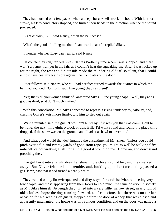They had hurried on a few paces, when a deep church−bell struck the hour. With its first stroke, his two conductors stopped, and turned their heads in the direction whence the sound proceeded.

'Eight o' clock, Bill,' said Nancy, when the bell ceased.

'What's the good of telling me that; I can hear it, can't I!' replied Sikes.

'I wonder whether **They** can hear it,' said Nancy.

 'Of course they can,' replied Sikes. 'It was Bartlemy time when I was shopped; and there warn't a penny trumpet in the fair, as I couldn't hear the squeaking on. Arter I was locked up for the night, the row and din outside made the thundering old jail so silent, that I could almost have beat my brains out against the iron plates of the door.'

 'Poor fellow!' said Nancy, who still had her face turned towards the quarter in which the bell had sounded. 'Oh, Bill, such fine young chaps as them!'

 'Yes; that's all you women think of,' answered Sikes. 'Fine young chaps! Well, they're as good as dead, so it don't much matter.'

 With this consolation, Mr. Sikes appeared to repress a rising tendency to jealousy, and, clasping Oliver's wrist more firmly, told him to step out again.

 'Wait a minute!' said the girl: 'I wouldn't hurry by, if it was you that was coming out to be hung, the next time eight o'clock struck, Bill. I'd walk round and round the place till I dropped, if the snow was on the ground, and I hadn't a shawl to cover me.'

 'And what good would that do?' inquired the unsentimental Mr. Sikes. 'Unless you could pitch over a file and twenty yards of good stout rope, you might as well be walking fifty mile off, or not walking at all, for all the good it would do me. Come on, and don't stand preaching there.'

 The girl burst into a laugh; drew her shawl more closely round her; and they walked away. But Oliver felt her hand tremble, and, looking up in her face as they passed a gas−lamp, saw that it had turned a deadly white.

 They walked on, by little−frequented and dirty ways, for a full half−hour: meeting very few people, and those appearing from their looks to hold much the same position in society as Mr. Sikes himself. At length they turned into a very filthy narrow street, nearly full of old−clothes shops; the dog running forward, as if conscious that there was no further occasion for his keeping on guard, stopped before the door of a shop that was closed and apparently untenanted; the house was in a ruinous condition, and on the door was nailed a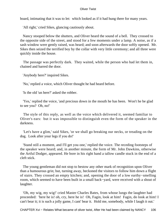board, intimating that it was to let: which looked as if it had hung there for many years.

'All right,' cried Sikes, glancing cautiously about.

 Nancy stooped below the shutters, and Oliver heard the sound of a bell. They crossed to the opposite side of the street, and stood for a few moments under a lamp. A noise, as if a sash window were gently raised, was heard; and soon afterwards the door softly opened. Mr. Sikes then seized the terrified boy by the collar with very little ceremony; and all three were quickly inside the house.

 The passage was perfectly dark. They waited, while the person who had let them in, chained and barred the door.

'Anybody here?' inquired Sikes.

'No,' replied a voice, which Oliver thought he had heard before.

'Is the old 'un here?' asked the robber.

 'Yes,' replied the voice, 'and precious down in the mouth he has been. Won't he be glad to see you? Oh, no!'

 The style of this reply, as well as the voice which delivered it, seemed familiar to Oliver's ears: but it was impossible to distinguish even the form of the speaker in the darkness.

 'Let's have a glim,' said Sikes, 'or we shall go breaking our necks, or treading on the dog. Look after your legs if you do!'

 'Stand still a moment, and I'll get you one,' replied the voice. The receding footsteps of the speaker were heard; and, in another minute, the form of Mr. John Dawkins, otherwise the Artful Dodger, appeared. He bore in his right hand a tallow candle stuck in the end of a cleft stick.

 The young gentleman did not stop to bestow any other mark of recognition upon Oliver than a humourous grin; but, turning away, beckoned the visitors to follow him down a flight of stairs. They crossed an empty kitchen; and, opening the door of a low earthy−smelling room, which seemed to have been built in a small back−yard, were received with a shout of laughter.

 'Oh, my wig, my wig!' cried Master Charles Bates, from whose lungs the laughter had proceeded: 'here he is! oh, cry, here he is! Oh, Fagin, look at him! Fagin, do look at him! I can't bear it; it is such a jolly game, I cant' bear it. Hold me, somebody, while I laugh it out.'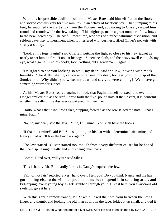With this irrepressible ebullition of mirth, Master Bates laid himself flat on the floor: and kicked convulsively for five minutes, in an ectasy of facetious joy. Then jumping to his feet, he snatched the cleft stick from the Dodger; and, advancing to Oliver, viewed him round and round; while the Jew, taking off his nightcap, made a great number of low bows to the bewildered boy. The Artful, meantime, who was of a rather saturnine disposition, and seldom gave way to merriment when it interfered with business, rifled Oliver's pockets with steady assiduity.

 'Look at his togs, Fagin!' said Charley, putting the light so close to his new jacket as nearly to set him on fire. 'Look at his togs! Superfine cloth, and the heavy swell cut! Oh, my eye, what a game! And his books, too! Nothing but a gentleman, Fagin!'

 'Delighted to see you looking so well, my dear,' said the Jew, bowing with mock humility. 'The Artful shall give you another suit, my dear, for fear you should spoil that Sunday one. Why didn't you write, my dear, and say you were coming? We'd have got something warm for supper.'

 At his, Master Bates roared again: so loud, that Fagin himself relaxed, and even the Dodger smiled; but as the Artful drew forth the five−pound note at that instant, it is doubtful whether the sally of the discovery awakened his merriment.

 'Hallo, what's that?' inquired Sikes, stepping forward as the Jew seized the note. 'That's mine, Fagin.'

'No, no, my dear,' said the Jew. 'Mine, Bill, mine. You shall have the books.'

 'If that ain't mine!' said Bill Sikes, putting on his hat with a determined air; 'mine and Nancy's that is; I'll take the boy back again.'

 The Jew started. Oliver started too, though from a very different cause; for he hoped that the dispute might really end in his being taken back.

'Come! Hand over, will you?' said Sikes.

'This is hardly fair, Bill; hardly fair, is it, Nancy?' inquired the Jew.

 'Fair, or not fair,' retorted Sikes, 'hand over, I tell you! Do you think Nancy and me has got nothing else to do with our precious time but to spend it in scouting arter, and kidnapping, every young boy as gets grabbed through you? Give it here, you avaricious old skeleton, give it here!'

 With this gentle remonstrance, Mr. Sikes plucked the note from between the Jew's finger and thumb; and looking the old man coolly in the face, folded it up small, and tied it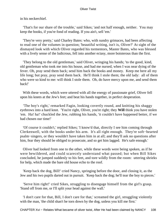in his neckerchief.

 'That's for our share of the trouble,' said Sikes; 'and not half enough, neither. You may keep the books, if you're fond of reading. If you ain't, sell 'em.'

 'They're very pretty,' said Charley Bates: who, with sundry grimaces, had been affecting to read one of the volumes in question; 'beautiful writing, isn't is, Oliver?' At sight of the dismayed look with which Oliver regarded his tormentors, Master Bates, who was blessed with a lively sense of the ludicrous, fell into another ectasy, more boisterous than the first.

 'They belong to the old gentleman,' said Oliver, wringing his hands; 'to the good, kind, old gentleman who took me into his house, and had me nursed, when I was near dying of the fever. Oh, pray send them back; send him back the books and money. Keep me here all my life long; but pray, pray send them back. He'll think I stole them; the old lady: all of them who were so kind to me: will think I stole them. Oh, do have mercy upon me, and send them back!'

 With these words, which were uttered with all the energy of passionate grief, Oliver fell upon his knees at the Jew's feet; and beat his hands together, in perfect desperation.

 'The boy's right,' remarked Fagin, looking covertly round, and knitting his shaggy eyebrows into a hard knot. 'You're right, Oliver, you're right; they **Will** think you have stolen 'em. Ha! ha!' chuckled the Jew, rubbing his hands, 'it couldn't have happened better, if we had chosen our time!'

 'Of course it couldn't,' replied Sikes; 'I know'd that, directly I see him coming through Clerkenwell, with the books under his arm. It's all right enough. They're soft−hearted psalm−singers, or they wouldn't have taken him in at all; and they'll ask no questions after him, fear they should be obliged to prosecute, and so get him lagged. He's safe enough.'

 Oliver had looked from one to the other, while these words were being spoken, as if he were bewildered, and could scarecely understand what passed; but when Bill Sikes concluded, he jumped suddenly to his feet, and tore wildly from the room: uttering shrieks for help, which made the bare old house echo to the roof.

 'Keep back the dog, Bill!' cried Nancy, springing before the door, and closing it, as the Jew and his two pupils darted out in pursuit. 'Keep back the dog; he'll tear the boy to pieces.'

 'Serve him right!' cried Sikes, struggling to disengage himself from the girl's grasp. 'Stand off from me, or I'll split your head against the wall.'

 'I don't care for that, Bill, I don't care for that,' screamed the girl, struggling violently with the man, 'the child shan't be torn down by the dog, unless you kill me first.'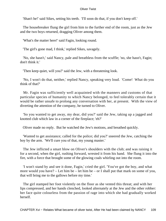'Shan't he!' said Sikes, setting his teeth. 'I'll soon do that, if you don't keep off.'

 The housebreaker flung the girl from him to the further end of the room, just as the Jew and the two boys returned, dragging Oliver among them.

'What's the matter here!' said Fagin, looking round.

'The girl's gone mad, I think,' replied Sikes, savagely.

 'No, she hasn't,' said Nancy, pale and breathless from the scuffle; 'no, she hasn't, Fagin; don't think it.'

'Then keep quiet, will you?' said the Jew, with a threatening look.

 'No, I won't do that, neither,' replied Nancy, speaking very loud. 'Come! What do you think of that?'

 Mr. Fagin was sufficiently well acquainted with the manners and customs of that particular species of humanity to which Nancy belonged, to feel tolerably certain that it would be rather unsafe to prolong any conversation with her, at present. With the view of diverting the attention of the company, he turned to Oliver.

 'So you wanted to get away, my dear, did you?' said the Jew, taking up a jagged and knotted club which law in a corner of the fireplace; 'eh?'

Oliver made no reply. But he watched the Jew's motions, and breathed quickly.

 'Wanted to get assistance; called for the police; did you?' sneered the Jew, catching the boy by the arm. 'We'll cure you of that, my young master.'

 The Jew inflicted a smart blow on Oliver's shoulders with the club; and was raising it for a second, when the girl, rushing forward, wrested it from his hand. She flung it into the fire, with a force that brought some of the glowing coals whirling out into the room.

 'I won't stand by and see it done, Fagin,' cried the girl. 'You've got the boy, and what more would you have?  $-$  Let him be  $-$  let him be  $-$  or I shall put that mark on some of you, that will bring me to the gallows before my time.'

 The girl stamped her foot violently on the floor as she vented this threat; and with her lips compressed, and her hands clenched, looked alternately at the Jew and the other robber: her face quite colourless from the passion of rage into which she had gradually worked herself.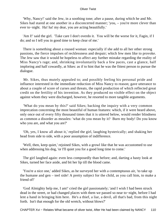'Why, Nancy!' said the Jew, in a soothing tone; after a pause, during which he and Mr. Sikes had stared at one another in a disconcerted manner; 'you, – you're more clever than ever to−night. Ha! ha! my dear, you are acting beautifully.'

 'Am I!' said the girl. 'Take care I don't overdo it. You will be the worse for it, Fagin, if I do; and so I tell you in good time to keep clear of me.'

 There is something about a roused woman: especially if she add to all her other strong passions, the fierce impulses of recklessness and despair; which few men like to provoke. The Jew saw that it would be hopeless to affect any further mistake regarding the reality of Miss Nancy's rage; and, shrinking involuntarily back a few paces, cast a glance, half imploring and half cowardly, at Sikes: as if to hint that he was the fittest person to pursue the dialogue.

 Mr. Sikes, thus mutely appealed to; and possibly feeling his personal pride and influence interested in the immediate reduction of Miss Nancy to reason; gave utterance to about a couple of score of curses and threats, the rapid production of which reflected great credit on the fertility of his invention. As they produced no visible effect on the object against whom they were discharged, however, he resorted to more tangible arguments.

 'What do you mean by this?' said Sikes; backing the inquiry with a very common imprecation concerning the most beautiful of human features: which, if it were heard above, only once out of every fifty thousand times that it is uttered below, would render blindness as common a disorder as measles: 'what do you mean by it? Burn my body! Do you know who you are, and what you are?'

 'Oh, yes, I know all about it,' replied the girl, laughing hysterically; and shaking her head from side to side, with a poor assumption of indifference.

 'Well, then, keep quiet,' rejoined Sikes, with a growl like that he was accustomed to use when addressing his dog, 'or I'll quiet you for a good long time to come.'

 The girl laughed again: even less composedly than before; and, darting a hasty look at Sikes, turned her face aside, and bit her lip till the blood came.

 'You're a nice one,' added Sikes, as he surveyed her with a contemptuous air, 'to take up the humane and gen – teel side! A pretty subject for the child, as you call him, to make a friend of!'

 'God Almighty help me, I am!' cried the girl passionately; 'and I wish I had been struck dead in the street, or had changed places with them we passed so near to−night, before I had lent a hand in bringing him here. He's a thief, a liar, a devil, all that's bad, from this night forth. Isn't that enough for the old wretch, without blows?'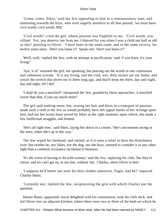'Come, come, Sikes,' said the Jew appealing to him in a remonstratory tone, and motioning towards the boys, who were eagerly attentive to all that passed; 'we must have civil words; civil words, Bill.'

 'Civil words!' cried the girl, whose passion was frightful to see. 'Civil words, you villain! Yes, you deserve 'em from me. I thieved for you when I was a child not half as old as this!' pointing to Oliver. 'I have been in the same trade, and in the same service, for twelve years since. Don't you know it? Speak out! Don't you know it?'

 'Well, well,' replied the Jew, with an attempt at pacification; 'and, if you have, it's your living!'

 'Aye, it is!' returned the girl; not speaking, but pouring out the words in one continuous and vehement scream. 'It is my living; and the cold, wet, dirty streets are my home; and you're the wretch that drove me to them long ago, and that'll keep me there, day and night, day and night, till I die!'

 'I shall do you a mischief!' interposed the Jew, goaded by these reproaches; 'a mischief worse than that, if you say much more!'

 The girl said nothing more; but, tearing her hair and dress in a transport of passion, made such a rush at the Jew as would probably have left signal marks of her revenge upon him, had not her wrists been seized by Sikes at the right moment; upon which, she made a few ineffectual struggles, and fainted.

 'She's all right now,' said Sikes, laying her down in a corner. 'She's uncommon strong in the arms, when she's up in this way.'

 The Jew wiped his forehead: and smiled, as if it were a relief to have the disturbance over; but neither he, nor Sikes, nor the dog, nor the boys, seemed to consider it in any other light than a common occurance incidental to business.

 'It's the worst of having to do with women,' said the Jew, replacing his club; 'but they're clever, and we can't get on, in our line, without 'em. Charley, show Oliver to bed.'

 'I suppose he'd better not wear his best clothes tomorrow, Fagin, had he?' inquired Charley Bates.

 'Certainly not,' replied the Jew, reciprocating the grin with which Charley put the question.

 Master Bates, apparently much delighted with his commission, took the cleft stick: and led Oliver into an adjacent kitchen, where there were two or three of the beds on which he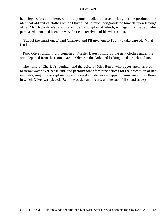had slept before; and here, with many uncontrollable bursts of laughter, he produced the identical old suit of clothes which Oliver had so much congratulated himself upon leaving off at Mr. Brownlow's; and the accidental display of which, to Fagin, by the Jew who purchased them, had been the very first clue received, of his whereabout.

 'Put off the smart ones,' said Charley, 'and I'll give 'em to Fagin to take care of. What fun it is!'

 Poor Oliver unwillingly complied. Master Bates rolling up the new clothes under his arm, departed from the room, leaving Oliver in the dark, and locking the door behind him.

 The noise of Charley's laughter, and the voice of Miss Betsy, who opportunely arrived to throw water over her friend, and perform other feminine offices for the promotion of her recovery, might have kept many people awake under more happy circumstances than those in which Oliver was placed. But he was sick and weary; and he soon fell sound asleep.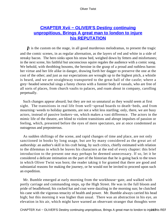# **[CHAPTER Xvii − OLIVER'S Destiny continuing](#page-394-0) [unpropitious, Brings A great man to london to injure](#page-394-0) [his REPUTATION](#page-394-0)**

*I*t is the custom on the stage, in all good murderous melodramas, to present the tragic and the comic scenes, in as regular alternation, as the layers of red and white in a side of streaky bacon. The hero sinks upon his straw bed, weighed down by fetters and misfortunes; in the next scene, his faithful but unconscious squire regales the audience with a comic song. We behold, with throbbing bosoms, the heroine in the grasp of a proud and ruthless baron: her virtue and her life alike in danger, drawing forth her dagger to preserve the one at the cost of the other; and just as our expectations are wrought up to the highest pitch, a whistle is heard, and we are straightway transported to the great hall of the castle; where a grey−headed seneschal sings a funny chorus with a funnier body of vassals, who are free of all sorts of places, from church vaults to palaces, and roam about in company, carolling perpetually.

 Such changes appear absurd; but they are not so unnatural as they would seem at first sight. The transitions in real life from well−spread boards to death−beds, and from mourning−weeds to holiday garments, are not a whit less startling; only, there, we are busy actors, instead of passive lookers−on, which makes a vast difference. The actors in the mimic life of the theatre, are blind to violent transitions and abrupt impulses of passion or feeling, which, presented before the eyes of mere spectators, are at once condemned as outrageous and preposterous.

 As sudden shiftings of the scene, and rapid changes of time and place, are not only sanctioned in books by long usage, but are by many considered as the great art of authorship: an author's skill in his craft being, by such critics, chiefly estimated with relation to the dilemmas in which he leaves his characters at the end of every chapter: this brief introduction to the present one may perhaps be deemed unnecessary. If so, let it be considered a delicate intimation on the part of the historian that he is going back to the town in which Oliver Twist was born; the reader taking it for granted that there are good and substantial reasons for making the journey, or he would not be invited to proceed upon such an expedition.

 Mr. Bumble emerged at early morning from the workhouse−gate, and walked with portly carriage and commanding steps, up the High Street. He was in the full bloom and pride of beadlehood; his cocked hat and coat were dazzling in the morning sun; he clutched his cane with the vigorous tenacity of health and power. Mr. Bumble always carried his head high; but this morning it was higher than usual. There was an abstraction in his eye, an elevation in his air, which might have warned an observant stranger that thoughts were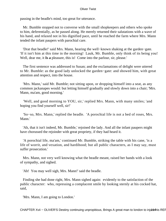passing in the beadle's mind, too great for utterance.

 Mr. Bumble stopped not to converse with the small shopkeepers and others who spoke to him, deferentially, as he passed along. He merely returned their salutations with a wave of his hand, and relaxed not in his dignified pace, until he reached the farm where Mrs. Mann tended the infant paupers with parochial care.

 'Drat that beadle!' said Mrs. Mann, hearing the well−known shaking at the garden−gate. 'If it isn't him at this time in the morning! Lauk, Mr. Bumble, only think of its being you! Well, dear me, it **Is a** pleasure, this is! Come into the parlour, sir, please.'

 The first sentence was addressed to Susan; and the exclamations of delight were uttered to Mr. Bumble: as the good lady unlocked the garden−gate: and showed him, with great attention and respect, into the house.

 'Mrs. Mann,' said Mr. Bumble; not sitting upon, or dropping himself into a seat, as any common jackanapes would: but letting himself gradually and slowly down into a chair; 'Mrs. Mann, ma'am, good morning.'

 'Well, and good morning to YOU, sir,' replied Mrs. Mann, with many smiles; 'and hoping you find yourself well, sir!'

 'So−so, Mrs. Mann,' replied the beadle. 'A porochial life is not a bed of roses, Mrs. Mann.'

 'Ah, that it isn't indeed, Mr. Bumble,' rejoined the lady. And all the infant paupers might have chorussed the rejoinder with great propriety, if they had heard it.

 'A porochial life, ma'am,' continued Mr. Bumble, striking the table with his cane, 'is a life of worrit, and vexation, and hardihood; but all public characters, as I may say, must suffer prosecution.'

 Mrs. Mann, not very well knowing what the beadle meant, raised her hands with a look of sympathy, and sighed.

'Ah! You may well sigh, Mrs. Mann!' said the beadle.

 Finding she had done right, Mrs. Mann sighed again: evidently to the satisfaction of the public character: who, repressing a complacent smile by looking sternly at his cocked hat, said,

'Mrs. Mann, I am going to London.'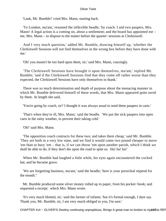'Lauk, Mr. Bumble!' cried Mrs. Mann, starting back.

 'To London, ma'am,' resumed the inflexible beadle, 'by coach. I and two paupers, Mrs. Mann! A legal action is a coming on, about a settlement; and the board has appointed me – me, Mrs. Mann – to dispose to the matter before the quarter−sessions at Clerkinwell.

 And I very much question,' added Mr. Bumble, drawing himself up, 'whether the Clerkinwell Sessions will not find themselves in the wrong box before they have done with me.'

'Oh! you mustn't be too hard upon them, sir,' said Mrs. Mann, coaxingly.

 'The Clerkinwell Sessions have brought it upon themselves, ma'am,' replied Mr. Bumble; 'and if the Clerkinwell Sessions find that they come off rather worse than they expected, the Clerkinwell Sessions have only themselves to thank.'

 There was so much determination and depth of purpose about the menacing manner in which Mr. Bumble delivered himself of these words, that Mrs. Mann appeared quite awed by them. At length she said,

'You're going by coach, sir? I thought it was always usual to send them paupers in carts.'

 'That's when they're ill, Mrs. Mann,' said the beadle. 'We put the sick paupers into open carts in the rainy weather, to prevent their taking cold.'

'Oh!' said Mrs. Mann.

 'The opposition coach contracts for these two; and takes them cheap,' said Mr. Bumble. 'They are both in a very low state, and we find it would come two pound cheaper to move 'em than to bury 'em – that is, if we can throw 'em upon another parish, which I think we shall be able to do, if they don't die upon the road to spite us. Ha! ha! ha!'

 When Mr. Bumble had laughed a little while, his eyes again encountered the cocked hat; and he became grave.

 'We are forgetting business, ma'am,' said the beadle; 'here is your porochial stipend for the month."

 Mr. Bumble produced some silver money rolled up in paper, from his pocket−book; and requested a receipt: which Mrs. Mann wrote.

 'It's very much blotted, sir,' said the farmer of infants; 'but it's formal enough, I dare say. Thank you, Mr. Bumble, sir, I am very much obliged to you, I'm sure.'

CHAPTER Xvii - OLIVER'S Destiny continuing unpropitious, Brings A great man to london to injure his REF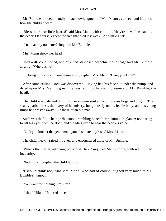Mr. Bumble nodded, blandly, in acknowledgment of Mrs. Mann's curtsey; and inquired how the children were.

 'Bless their dear little hearts!' said Mrs. Mann with emotion, 'they're as well as can be, the dears! Of course, except the two that died last week. And little Dick.'

'Isn't that boy no better?' inquired Mr. Bumble.

Mrs. Mann shook her head.

 'He's a ill−conditioned, wicious, bad−disposed porochial child that,' said Mr. Bumble angrily. 'Where is he?'

'I'll bring him to you in one minute, sir,' replied Mrs. Mann. 'Here, you Dick!'

 After some calling, Dick was discovered. Having had his face put under the pump, and dried upon Mrs. Mann's gown, he was led into the awful presence of Mr. Bumble, the beadle.

 The child was pale and thin; his cheeks were sunken; and his eyes large and bright. The scanty parish dress, the livery of his misery, hung loosely on his feeble body; and his young limbs had wasted away, like those of an old man.

 Such was the little being who stood trembling beneath Mr. Bumble's glance; not daring to lift his eyes from the floor; and dreading even to hear the beadle's voice.

'Can't you look at the gentleman, you obstinate boy?' said Mrs. Mann.

The child meekly raised his eyes, and encountered those of Mr. Bumble.

 'What's the matter with you, porochial Dick?' inquired Mr. Bumble, with well−timed jocularity.

'Nothing, sir,' replied the child faintly.

 'I should think not,' said Mrs. Mann, who had of course laughed very much at Mr. Bumble's humour.

'You want for nothing, I'm sure.'

'I should like – ' faltered the child.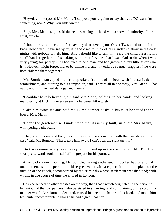'Hey−day!' interposed Mr. Mann, 'I suppose you're going to say that you DO want for something, now? Why, you little wretch – '

 'Stop, Mrs. Mann, stop!' said the beadle, raising his hand with a show of authority. 'Like what, sir, eh?'

 'I should like,' said the child, 'to leave my dear love to poor Oliver Twist; and to let him know how often I have sat by myself and cried to think of his wandering about in the dark nights with nobody to help him. And I should like to tell him,' said the child pressing his small hands together, and speaking with great fervour, 'that I was glad to die when I was very young; for, perhaps, if I had lived to be a man, and had grown old, my little sister who is in Heaven, might forget me, or be unlike me; and it would be so much happier if we were both children there together.'

 Mr. Bumble surveyed the little speaker, from head to foot, with indescribable astonishment; and, turning to his companion, said, 'They're all in one story, Mrs. Mann. That out−dacious Oliver had demogalized them all!'

 'I couldn't have believed it, sir' said Mrs Mann, holding up her hands, and looking malignantly at Dick. 'I never see such a hardened little wretch!'

 'Take him away, ma'am!' said Mr. Bumble imperiously. 'This must be stated to the board, Mrs. Mann.

 'I hope the gentleman will understand that it isn't my fault, sir?' said Mrs. Mann, whimpering pathetically.

 'They shall understand that, ma'am; they shall be acquainted with the true state of the case,' said Mr. Bumble. 'There; take him away, I can't bear the sight on him.'

 Dick was immediately taken away, and locked up in the coal−cellar. Mr. Bumble shortly afterwards took himself off, to prepare for his journey.

 At six o'clock next morning, Mr. Bumble: having exchanged his cocked hat for a round one, and encased his person in a blue great−coat with a cape to it: took his place on the outside of the coach, accompanied by the criminals whose settlement was disputed; with whom, in due course of time, he arrived in London.

 He experienced no other crosses on the way, than those which originated in the perverse behaviour of the two paupers, who persisted in shivering, and complaining of the cold, in a manner which, Mr. Bumble declared, caused his teeth to chatter in his head, and made him feel quite uncomfortable; although he had a great−coat on.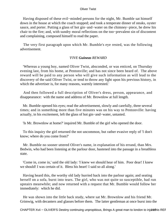Having disposed of these evil−minded persons for the night, Mr. Bumble sat himself down in the house at which the coach stopped; and took a temperate dinner of steaks, oyster sauce, and porter. Putting a glass of hot gin−and−water on the chimney−piece, he drew his chair to the fire; and, with sundry moral reflections on the too−prevalent sin of discontent and complaining, composed himself to read the paper.

 The very first paragraph upon which Mr. Bumble's eye rested, was the following advertisement.

# *'FIVE Guineas REWARD*

 'Whereas a young boy, named Oliver Twist, absconded, or was enticed, on Thursday evening last, from his home, at Pentonville; and has not since been heard of. The above reward will be paid to any person who will give such information as will lead to the discovery of the said Oliver Twist, or tend to throw any light upon his previous history, in which the advertiser is, for many reasons, warmly interested.'

 And then followed a full description of Oliver's dress, person, appearance, and disappearance: with the name and address of Mr. Brownlow at full length.

 Mr. Bumble opened his eyes; read the advertisement, slowly and carefully, three several times; and in something more than five minutes was on his way to Pentonville: having actually, in his excitement, left the glass of hot gin−and−water, untasted.

'Is Mr. Brownlow at home?' inquired Mr. Bumble of the girl who opened the door.

 To this inquiry the girl returned the not uncommon, but rather evasive reply of 'I don't know; where do you come from?'

 Mr. Bumble no sooner uttered Oliver's name, in explanation of his errand, than Mrs. Bedwin, who had been listening at the parlour door, hastened into the passage in a breathless state.

 'Come in, come in,' said the old lady: 'I knew we should hear of him. Poor dear! I knew we should! I was certain of it. Bless his heart! I said so all along.'

 Having heard this, the worthy old lady hurried back into the parlour again; and seating herself on a sofa, burst into tears. The girl, who was not quite so susceptible, had run upstairs meanwhile; and now returned with a request that Mr. Bumble would follow her immediately: which he did.

 He was shown into the little back study, where sat Mr. Brownlow and his friend Mr. Grimwig, with decanters and glasses before them. The latter gentleman at once burst into the

CHAPTER Xvii - OLIVER'S Destiny continuing unpropitious, Brings A great man to london to injure this REF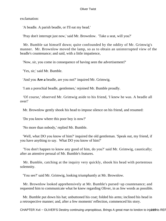exclamation:

'A beadle. A parish beadle, or I'll eat my head.'

'Pray don't interrupt just now,' said Mr. Brownlow. 'Take a seat, will you?'

 Mr. Bumble sat himself down; quite confounded by the oddity of Mr. Grimwig's manner. Mr. Brownlow moved the lamp, so as to obtain an uninterrupted view of the beadle's countenance; and said, with a little impatience,

'Now, sir, you come in consequence of having seen the advertisement?'

'Yes, sir,' said Mr. Bumble.

'And you **Are a** beadle, are you not?' inquired Mr. Grimwig.

'I am a porochial beadle, gentlemen,' rejoined Mr. Bumble proudly.

 'Of course,' observed Mr. Grimwig aside to his friend, 'I knew he was. A beadle all over!'

Mr. Brownlow gently shook his head to impose silence on his friend, and resumed:

'Do you know where this poor boy is now?'

'No more than nobody,' replied Mr. Bumble.

 'Well, what DO you know of him?' inquired the old gentleman. 'Speak out, my friend, if you have anything to say. What DO you know of him?'

 'You don't happen to know any good of him, do you?' said Mr. Grimwig, caustically; after an attentive perusal of Mr. Bumble's features.

 Mr. Bumble, catching at the inquiry very quickly, shook his head with portentous solemnity.

'You see?' said Mr. Grimwig, looking triumphantly at Mr. Brownlow.

 Mr. Brownlow looked apprehensively at Mr. Bumble's pursed−up countenance; and requested him to communicate what he knew regarding Oliver, in as few words as possible.

 Mr. Bumble put down his hat; unbuttoned his coat; folded his arms; inclined his head in a retrospective manner; and, after a few moments' reflection, commenced his story.

CHAPTER Xvii – OLIVER'S Destiny continuing unpropitious, Brings A great man to london to injurte9his REF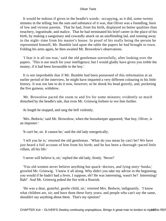It would be tedious if given in the beadle's words: occupying, as it did, some twenty minutes in the telling; but the sum and substance of it was, that Oliver was a foundling, born of low and vicious parents. That he had, from his birth, displayed no better qualities than treachery, ingratitude, and malice. That he had terminated his brief career in the place of his birth, by making a sanguinary and cowardly attack on an unoffending lad, and running away in the night−time from his master's house. In proof of his really being the person he represented himself, Mr. Bumble laid upon the table the papers he had brought to town. Folding his arms again, he then awaited Mr. Brownlow's observations.

 'I fear it is all too true,' said the old gentleman sorrowfully, after looking over the papers. 'This is not much for your intelligence; but I would gladly have given you treble the money, if it had been favourable to the boy.'

 It is not improbable that if Mr. Bumble had been possessed of this information at an earlier period of the interview, he might have imparted a very different colouring to his little history. It was too late to do it now, however; so he shook his head gravely, and, pocketing the five guineas, withdrew.

 Mr. Brownlow paced the room to and fro for some minutes; evidently so much disturbed by the beadle's tale, that even Mr. Grimwig forbore to vex him further.

At length he stopped, and rang the bell violently.

 'Mrs. Bedwin,' said Mr. Brownlow, when the housekeeper appeared; 'that boy, Oliver, is an imposter.'

'It can't be, sir. It cannot be,' said the old lady energetically.

 'I tell you he is,' retorted the old gentleman. 'What do you mean by can't be? We have just heard a full account of him from his birth; and he has been a thorough−paced little villain, all his life.'

'I never will believe it, sir,' replied the old lady, firmly. 'Never!'

 'You old women never believe anything but quack−doctors, and lying story−books,' growled Mr. Grimwig. 'I knew it all along. Why didn't you take my advise in the beginning; you would if he hadn't had a fever, I suppose, eh? He was interesting, wasn't he? Interesting! Bah!' And Mr. Grimwig poked the fire with a flourish.

 'He was a dear, grateful, gentle child, sir,' retorted Mrs. Bedwin, indignantly. 'I know what children are, sir; and have done these forty years; and people who can't say the same, shouldn't say anything about them. That's my opinion!'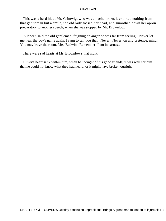This was a hard hit at Mr. Grimwig, who was a bachelor. As it extorted nothing from that gentleman but a smile, the old lady tossed her head, and smoothed down her apron preparatory to another speech, when she was stopped by Mr. Brownlow.

 'Silence!' said the old gentleman, feigning an anger he was far from feeling. 'Never let me hear the boy's name again. I rang to tell you that. Never. Never, on any pretence, mind! You may leave the room, Mrs. Bedwin. Remember! I am in earnest.'

There were sad hearts at Mr. Brownlow's that night.

 Oliver's heart sank within him, when he thought of his good friends; it was well for him that he could not know what they had heard, or it might have broken outright.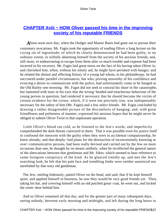# **CHAPTER Xviii – HOW Oliver passed his time in the improving [society of his reputable FRIENDS](#page-394-0)**

*A*bout noon next day, when the Dodger and Master Bates had gone out to pursue their customary avocations, Mr. Fagin took the opportunity of reading Oliver a long lecture on the crying sin of ingratitude; of which he clearly demonstrated he had been guilty, to no ordinary extent, in wilfully absenting himself from the society of his anxious friends; and, still more, in endeavouring to escape from them after so much trouble and expense had been incurred in his recovery. Mr. Fagin laid great stress on the fact of his having taken Oliver in, and cherished him, when, without his timely aid, he might have perished with hunger; and he related the dismal and affecting history of a young lad whom, in his philanthropy, he had succoured under parallel circumstances, but who, proving unworthy of his confidence and evincing a desire to communicate with the police, had unfortunately come to be hanged at the Old Bailey one morning. Mr. Fagin did not seek to conceal his share in the catastrophe, but lamented with tears in his eyes that the wrong−headed and treacherous behaviour of the young person in question, had rendered it necessary that he should become the victim of certain evidence for the crown: which, if it were not precisely true, was indispensably necessary for the safety of him (Mr. Fagin) and a few select friends. Mr. Fagin concluded by drawing a rather disagreeable picture of the discomforts of hanging; and, with great friendliness and politeness of manner, expressed his anxious hopes that he might never be obliged to submit Oliver Twist to that unpleasant operation.

 Little Oliver's blood ran cold, as he listened to the Jew's words, and imperfectly comprehended the dark threats conveyed in them. That it was possible even for justice itself to confound the innocent with the guilty when they were in accidental companionship, he knew already; and that deeply−laid plans for the destruction of inconveniently knowing or over−communicative persons, had been really devised and carried out by the Jew on more occasions than one, he thought by no means unlikely, when he recollected the general nature of the altercations between that gentleman and Mr. Sikes: which seemed to bear reference to some foregone conspiracy of the kind. As he glanced timidly up, and met the Jew's searching look, he felt that his pale face and trembling limbs were neither unnoticed nor unrelished by that wary old gentleman.

 The Jew, smiling hideously, patted Oliver on the head, and said, that if he kept himself quiet, and applied himself to business, he saw they would be very good friends yet. Then, taking his hat, and covering himself with an old patched great−coat, he went out, and locked the room−door behind him.

 And so Oliver remained all that day, and for the greater part of many subsequent days, seeing nobody, between early morning and midnight, and left during the long hours to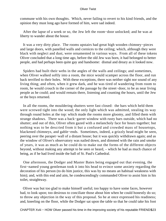commune with his own thoughts. Which, never failing to revert to his kind friends, and the opinion they must long ago have formed of him, were sad indeed.

 After the lapse of a week or so, the Jew left the room−door unlocked; and he was at liberty to wander about the house.

 It was a very dirty place. The rooms upstairs had great high wooden chimney−pieces and large doors, with panelled walls and cornices to the ceiling; which, although they were black with neglect and dust, were ornamented in various ways. From all of these tokens Oliver concluded that a long time ago, before the old Jew was born, it had belonged to better people, and had perhaps been quite gay and handsome: dismal and dreary as it looked now.

 Spiders had built their webs in the angles of the walls and ceilings; and sometimes, when Oliver walked softly into a room, the mice would scamper across the floor, and run back terrified to their holes. With these exceptions, there was neither sight nor sound of any living thing; and often, when it grew dark, and he was tired of wandering from room to room, he would crouch in the corner of the passage by the street−door, to be as near living people as he could; and would remain there, listening and counting the hours, until the Jew or the boys returned.

 In all the rooms, the mouldering shutters were fast closed: the bars which held them were screwed tight into the wood; the only light which was admitted, stealing its way through round holes at the top: which made the rooms more gloomy, and filled them with strange shadows. There was a back−garret window with rusty bars outside, which had no shutter; and out of this, Oliver often gazed with a melancholy face for hours together; but nothing was to be descried from it but a confused and crowded mass of housetops, blackened chimneys, and gable−ends. Sometimes, indeed, a grizzly head might be seen, peering over the parapet−wall of a distant house; but it was quickly withdrawn again; and as the window of Oliver's observatory was nailed down, and dimmed with the rain and smoke of years, it was as much as he could do to make out the forms of the different objects beyond, without making any attempt to be seen or heard, – which he had as much chance of being, as if he had lived inside the ball of St. Paul's Cathedral.

 One afternoon, the Dodger and Master Bates being engaged out that evening, the first−named young gentleman took it into his head to evince some anxiety regarding the decoration of his person (to do him justice, this was by no means an habitual weakness with him); and, with this end and aim, he condescendingly commanded Oliver to assist him in his toilet, straightway.

 Oliver was but too glad to make himself useful; too happy to have some faces, however bad, to look upon; too desirous to conciliate those about him when he could honestly do so; to throw any objection in the way of this proposal. So he at once expressed his readiness; and, kneeling on the floor, while the Dodger sat upon the table so that he could take his foot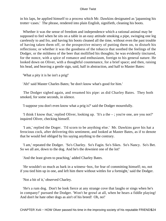in his laps, he applied himself to a process which Mr. Dawkins designated as 'japanning his trotter−cases.' The phrase, rendered into plain English, signifieth, cleaning his boots.

 Whether it was the sense of freedom and independence which a rational animal may be supposed to feel when he sits on a table in an easy attitude smoking a pipe, swinging one leg carelessly to and fro, and having his boots cleaned all the time, without even the past trouble of having taken them off, or the prospective misery of putting them on, to disturb his reflections; or whether it was the goodness of the tobacco that soothed the feelings of the Dodger, or the mildness of the beer that mollified his thoughts; he was evidently tinctured, for the nonce, with a spice of romance and enthusiasm, foreign to his general nature. He looked down on Oliver, with a thoughtful countenance, for a brief space; and then, raising his head, and heaving a gentle sign, said, half in abstraction, and half to Master Bates:

'What a pity it is he isn't a prig!'

'Ah!' said Master Charles Bates; 'he don't know what's good for him.'

 The Dodger sighed again, and resumed his pipe: as did Charley Bates. They both smoked, for some seconds, in silence.

'I suppose you don't even know what a prig is?' said the Dodger mournfully.

 'I think I know that,' replied Oliver, looking up. 'It's a the – ; you're one, are you not?' inquired Oliver, checking himself.

 'I am,' replied the Doger. 'I'd scorn to be anything else.' Mr. Dawkins gave his hat a ferocious cock, after delivering this sentiment, and looked at Master Bates, as if to denote that he would feel obliged by his saying anything to the contrary.

 'I am,' repeated the Dodger. 'So's Charley. So's Fagin. So's Sikes. So's Nancy. So's Bet. So we all are, down to the dog. And he's the downiest one of the lot!'

'And the least given to peaching,' added Charley Bates.

 'He wouldn't so much as bark in a witness−box, for fear of committing himself; no, not if you tied him up in one, and left him there without wittles for a fortnight,' said the Dodger.

'Not a bit of it,' observed Charley.

 'He's a rum dog. Don't he look fierce at any strange cove that laughs or sings when he's in company!' pursued the Dodger. 'Won't he growl at all, when he hears a fiddle playing! And don't he hate other dogs as ain't of his breed! Oh, no!'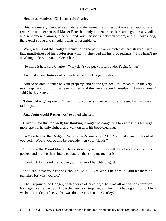'He's an out−and−out Christian,' said Charley.

 This was merely intended as a tribute to the animal's abilities, but it was an appropriate remark in another sense, if Master Bates had only known it; for there are a good many ladies and gentlemen, claiming to be out−and−out Christians, between whom, and Mr. Sikes' dog, there exist strong and singular points of resemblance.

 'Well, well,' said the Dodger, recurring to the point from which they had strayed: with that mindfulness of his profession which influenced all his proceedings. 'This hasn't go anything to do with young Green here.'

'No more it has,' said Charley. 'Why don't you put yourself under Fagin, Oliver?'

'And make your fortun' out of hand?' added the Dodger, with a grin.

 'And so be able to retire on your property, and do the gen−teel: as I mean to, in the very next leap−year but four that ever comes, and the forty−second Tuesday in Trinity−week,' said Charley Bates.

'I don't like it,' rejoined Oliver, timidly; 'I wish they would let me go.  $I - I -$  would rather go.'

'And Fagin would **Rather** not!' rejoined Charley.

 Oliver knew this too well; but thinking it might be dangerous to express his feelings more openly, he only sighed, and went on with his boot−cleaning.

 'Go!' exclaimed the Dodger. 'Why, where's your spirit?' Don't you take any pride out of yourself? Would you go and be dependent on your friends?'

 'Oh, blow that!' said Master Bates: drawing two or three silk handkerchiefs from his pocket, and tossing them into a cupboard, 'that's too mean; that is.'

'*I* couldn't do it,' said the Dodger, with an air of haughty disgust.

 'You can leave your friends, though,' said Oliver with a half smile; 'and let them be punished for what you did.'

 'That,' rejoined the Dodger, with a wave of his pipe, 'That was all out of consideration for Fagin, 'cause the traps know that we work together, and he might have got into trouble if we hadn't made our lucky; that was the move, wasn't it, Charley?'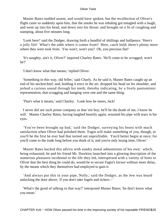Master Bates nodded assent, and would have spoken, but the recollection of Oliver's flight came so suddenly upon him, that the smoke he was inhaling got entagled with a laugh, and went up into his head, and down into his throat: and brought on a fit of coughing and stamping, about five minutes long.

 'Look here!' said the Dodger, drawing forth a handful of shillings and halfpence. 'Here's a jolly life! What's the odds where it comes from? Here, catch hold; there's plenty more where they were took from. You won't, won't you? Oh, you precious flat!'

 'It's naughty, ain't it, Oliver?' inquired Charley Bates. 'He'll come to be scragged, won't he?'

'I don't know what that means,' replied Oliver.

 'Something in this way, old feller,' said Charly. As he said it, Master Bates caught up an end of his neckerchief; and, holding it erect in the air, dropped his head on his shoulder, and jerked a curious sound through his teeth; thereby indicating, by a lively pantomimic representation, that scragging and hanging were one and the same thing.

'That's what it means,' said Charley. 'Look how he stares, Jack!

 I never did see such prime company as that 'ere boy; he'll be the death of me, I know he will.' Master Charley Bates, having laughed heartily again, resumed his pipe with tears in his eyes.

 'You've been brought up bad,' said the Dodger, surveying his boots with much satisfaction when Oliver had polished them. 'Fagin will make something of you, though, or you'll be the first he ever had that turned out unprofitable. You'd better begin at once; for you'll come to the trade long before you think of it; and you're only losing time, Oliver.'

 Master Bates backed this advice with sundry moral admonitions of his own: which, being exhausted, he and his friend Mr. Dawkins launched into a glowing description of the numerous pleasures incidental to the life they led, interspersed with a variety of hints to Oliver that the best thing he could do, would be to secure Fagin's favour without more delay, by the means which they themselves had employed to gain it.

 'And always put this in your pipe, Nolly,' said the Dodger, as the Jew was heard unlocking the door above, 'if you don't take fogels and tickers – '

 'What's the good of talking in that way?' interposed Master Bates; 'he don't know what you mean.'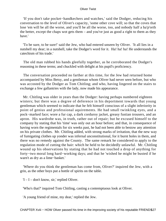'If you don't take pocket−handkechers and watches,' said the Dodger, reducing his conversation to the level of Oliver's capacity, 'some other cove will; so that the coves that lose 'em will be all the worse, and you'll be all the worse, too, and nobody half a ha'p'orth the better, except the chaps wot gets them – and you've just as good a right to them as they have.'

 'To be sure, to be sure!' said the Jew, who had entered unseen by Oliver. 'It all lies in a nutshell my dear; in a nutshell, take the Dodger's word for it. Ha! ha! ha! He understands the catechism of his trade.'

 The old man rubbed his hands gleefully together, as he corroborated the Dodger's reasoning in these terms; and chuckled with delight at his pupil's proficiency.

 The conversation proceeded no farther at this time, for the Jew had returned home accompanied by Miss Betsy, and a gentleman whom Oliver had never seen before, but who was accosted by the Dodger as Tom Chitling; and who, having lingered on the stairs to exchange a few gallantries with the lady, now made his appearance.

 Mr. Chitling was older in years than the Dodger: having perhaps numbered eighteen winters; but there was a degree of deference in his deportment towards that young gentleman which seemed to indicate that he felt himself conscious of a slight inferiority in point of genius and professional aquirements. He had small twinkling eyes, and a pock−marked face; wore a fur cap, a dark corduroy jacket, greasy fustian trousers, and an apron. His wardrobe was, in truth, rather out of repair; but he excused himself to the company by stating that his 'time' was only out an hour before; and that, in consequence of having worn the regimentals for six weeks past, he had not been able to bestow any attention on his private clothes. Mr. Chitling added, with strong marks of irritation, that the new way of fumigating clothes up yonder was infernal unconstitutional, for it burnt holes in them, and there was no remedy against the County. The same remark he considered to apply to the regulation mode of cutting the hair: which he held to be decidedly unlawful. Mr. Chitling wound up his observations by stating that he had not touched a drop of anything for forty−two moral long hard−working days; and that he 'wished he might be busted if he warn't as dry as a lime−basket.'

 'Where do you think the gentleman has come from, Oliver?' inquired the Jew, with a grin, as the other boys put a bottle of spirits on the table.

'I – I – don't know, sir,' replied Oliver.

'Who's that?' inquired Tom Chitling, casting a contemptuous look at Oliver.

'A young friend of mine, my dear,' replied the Jew.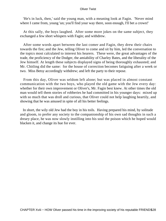'He's in luck, then,' said the young man, with a meaning look at Fagin. 'Never mind where I came from, young 'un; you'll find your way there, soon enough, I'll bet a crown!'

 At this sally, the boys laughed. After some more jokes on the same subject, they exchanged a few short whispers with Fagin; and withdrew.

 After some words apart between the last comer and Fagin, they drew their chairs towards the fire; and the Jew, telling Oliver to come and sit by him, led the conversation to the topics most calculated to interest his hearers. These were, the great advantages of the trade, the proficiency of the Dodger, the amiability of Charley Bates, and the liberality of the Jew himself. At length these subjects displayed signs of being thoroughly exhausted; and Mr. Chitling did the same: for the house of correction becomes fatiguing after a week or two. Miss Betsy accordingly withdrew; and left the party to their repose.

 From this day, Oliver was seldom left alone; but was placed in almost constant communication with the two boys, who played the old game with the Jew every day: whether for their own improvement or Oliver's, Mr. Fagin best knew. At other times the old man would tell them stories of robberies he had committed in his younger days: mixed up with so much that was droll and curious, that Oliver could not help laughing heartily, and showing that he was amused in spite of all his better feelings.

 In short, the wily old Jew had the boy in his toils. Having prepared his mind, by solitude and gloom, to prefer any society to the companionship of his own sad thoughts in such a dreary place, he was now slowly instilling into his soul the poison which he hoped would blacken it, and change its hue for ever.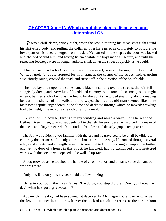# **[CHAPTER Xix − IN Which a notable plan is discussed and](#page-394-0) [determined ON](#page-394-0)**

*I*t was a chill, damp, windy night, when the Jew: buttoning his great–coat tight round his shrivelled body, and pulling the collar up over his ears so as completely to obscure the lower part of his face: emerged from his den. He paused on the step as the door was locked and chained behind him; and having listened while the boys made all secure, and until their retreating footsteps were no longer audible, slunk down the street as quickly as he could.

 The house to which Oliver had been conveyed, was in the neighborhood of Whitechapel. The Jew stopped for an instant at the corner of the street; and, glancing suspiciously round, crossed the road, and struck off in the direction of the Spitalfields.

 The mud lay thick upon the stones, and a black mist hung over the streets; the rain fell sluggishly down, and everything felt cold and clammy to the touch. It seemed just the night when it befitted such a being as the Jew to be abroad. As he glided stealthily along, creeping beneath the shelter of the walls and doorways, the hideous old man seemed like some loathsome reptile, engendered in the slime and darkness through which he moved: crawling forth, by night, in search of some rich offal for a meal.

 He kept on his course, through many winding and narrow ways, until he reached Bethnal Green; then, turning suddenly off to the left, he soon became involved in a maze of the mean and dirty streets which abound in that close and densely−populated quarter.

 The Jew was evidently too familiar with the ground he traversed to be at all bewildered, either by the darkness of the night, or the intricacies of the way. He hurried through several alleys and streets, and at length turned into one, lighted only by a single lamp at the farther end. At the door of a house in this street, he knocked; having exchanged a few muttered words with the person who opened it, he walked upstairs.

 A dog growled as he touched the handle of a room−door; and a man's voice demanded who was there.

'Only me, Bill; only me, my dear,' said the Jew looking in.

 'Bring in your body then,' said Sikes. 'Lie down, you stupid brute! Don't you know the devil when he's got a great−coat on?'

 Apparently, the dog had been somewhat deceived by Mr. Fagin's outer garment; for as the Jew unbuttoned it, and threw it over the back of a chair, he retired to the corner from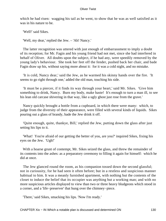which he had risen: wagging his tail as he went, to show that he was as well satisfied as it was in his nature to be.

'Well!' said Sikes.

'Well, my dear,' replied the Jew. – 'Ah! Nancy.'

 The latter recognition was uttered with just enough of embarrassment to imply a doubt of its reception; for Mr. Fagin and his young friend had not met, since she had interfered in behalf of Oliver. All doubts upon the subject, if he had any, were speedily removed by the young lady's behaviour. She took her feet off the fender, pushed back her chair, and bade Fagin draw up his, without saying more about it: for it was a cold night, and no mistake.

 'It is cold, Nancy dear,' said the Jew, as he warmed his skinny hands over the fire. 'It seems to go right through one,' added the old man, touching his side.

 'It must be a piercer, if it finds its way through your heart,' said Mr. Sikes. 'Give him something to drink, Nancy. Burn my body, make haste! It's enough to turn a man ill, to see his lean old carcase shivering in that way, like a ugly ghost just rose from the grave.'

 Nancy quickly brought a bottle from a cupboard, in which there were many: which, to judge from the diversity of their appearance, were filled with several kinds of liquids. Sikes pouring out a glass of brandy, bade the Jew drink it off.

 'Quite enough, quite, thankye, Bill,' replied the Jew, putting down the glass after just setting his lips to it.

 'What! You're afraid of our getting the better of you, are you?' inquired Sikes, fixing his eyes on the Jew. 'Ugh!'

 With a hoarse grunt of contempt, Mr. Sikes seized the glass, and threw the remainder of its contents into the ashes: as a preparatory ceremony to filling it again for himself: which he did at once.

 The Jew glanced round the room, as his companion tossed down the second glassful; not in curiousity, for he had seen it often before; but in a restless and suspicious manner habitual to him. It was a meanly furnished apartment, with nothing but the contents of the closet to induce the belief that its occupier was anything but a working man; and with no more suspicious articles displayed to view than two or three heavy bludgeons which stood in a corner, and a 'life−preserver' that hung over the chimney−piece.

'There,' said Sikes, smacking his lips. 'Now I'm ready.'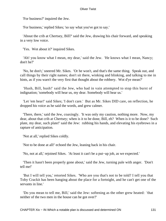'For business?' inquired the Jew.

'For business,' replied Sikes; 'so say what you've got to say.'

 'About the crib at Chertsey, Bill?' said the Jew, drawing his chair forward, and speaking in a very low voice.

'Yes. Wot about it?' inquired Sikes.

 'Ah! you know what I mean, my dear,' said the Jew. 'He knows what I mean, Nancy; don't he?'

 'No, he don't,' sneered Mr. Sikes. 'Or he won't, and that's the same thing. Speak out, and call things by their right names; don't sit there, winking and blinking, and talking to me in hints, as if you warn't the very first that thought about the robbery. Wot d'ye mean?'

 'Hush, Bill, hush!' said the Jew, who had in vain attempted to stop this burst of indignation; 'somebody will hear us, my dear. Somebody will hear us.'

 'Let 'em hear!' said Sikes; 'I don't care.' But as Mr. Sikes DID care, on reflection, he dropped his voice as he said the words, and grew calmer.

 'There, there,' said the Jew, coaxingly. 'It was only my caution, nothing more. Now, my dear, about that crib at Chertsey; when is it to be done, Bill, eh? When is it to be done? Such plate, my dear, such plate!' said the Jew: rubbing his hands, and elevating his eyebrows in a rapture of anticipation.

'Not at all,' replied Sikes coldly.

'Not to be done at all!' echoed the Jew, leaning back in his chair.

'No, not at all,' rejoined Sikes. 'At least it can't be a put−up job, as we expected.'

 'Then it hasn't been properly gone about,' said the Jew, turning pale with anger. 'Don't tell me!'

 'But I will tell you,' retorted Sikes. 'Who are you that's not to be told? I tell you that Toby Crackit has been hanging about the place for a fortnight, and he can't get one of the servants in line.'

 'Do you mean to tell me, Bill,' said the Jew: softening as the other grew heated: 'that neither of the two men in the house can be got over?'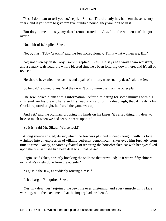'Yes, I do mean to tell you so,' replied Sikes. 'The old lady has had 'em these twenty years; and if you were to give 'em five hundred pound, they wouldn't be in it.'

 'But do you mean to say, my dear,' remonstrated the Jew, 'that the women can't be got over?'

'Not a bit of it,' replied Sikes.

'Not by flash Toby Crackit?' said the Jew incredulously. 'Think what women are, Bill,'

 'No; not even by flash Toby Crackit,' replied Sikes. 'He says he's worn sham whiskers, and a canary waistcoat, the whole blessed time he's been loitering down there, and it's all of no use.'

'He should have tried mustachios and a pair of military trousers, my dear,' said the Jew.

'So he did,' rejoined Sikes, 'and they warn't of no more use than the other plant.'

 The Jew looked blank at this information. After ruminating for some minutes with his chin sunk on his breast, he raised his head and said, with a deep sigh, that if flash Toby Crackit reported aright, he feared the game was up.

 'And yet,' said the old man, dropping his hands on his knees, 'it's a sad thing, my dear, to lose so much when we had set our hearts upon it.'

'So it is,' said Mr. Sikes. 'Worse luck!'

 A long silence ensued; during which the Jew was plunged in deep thought, with his face wrinkled into an expression of villainy perfectly demoniacal. Sikes eyed him furtively from time to time. Nancy, apparently fearful of irritating the housebreaker, sat with her eyes fixed upon the fire, as if she had been deaf to all that passed.

 'Fagin,' said Sikes, abruptly breaking the stillness that prevailed; 'is it worth fifty shiners extra, if it's safely done from the outside?'

'Yes,' said the Jew, as suddenly rousing himself.

'Is it a bargain?' inquired Sikes.

 'Yes, my dear, yes,' rejoined the Jew; his eyes glistening, and every muscle in his face working, with the excitement that the inquiry had awakened.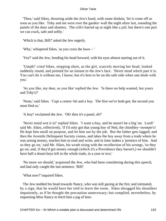'Then,' said Sikes, thrusting aside the Jew's hand, with some disdain, 'let it come off as soon as you like. Toby and me were over the garden−wall the night afore last, sounding the panels of the door and shutters. The crib's barred up at night like a jail; but there's one part we can crack, safe and softly.'

'Which is that, Bill?' asked the Jew eagerly.

'Why,' whispered Sikes, 'as you cross the lawn – '

'Yes?' said the Jew, bending his head forward, with his eyes almost starting out of it.

 'Umph!' cried Sikes, stopping short, as the girl, scarcely moving her head, looked suddenly round, and pointed for an instant to the Jew's face. 'Never mind which part it is. You can't do it without me, I know; but it's best to be on the safe side when one deals with you.'

 'As you like, my dear, as you like' replied the Jew. 'Is there no help wanted, but yours and Toby's?'

 'None,' said Sikes. 'Cept a centre−bit and a boy. The first we've both got; the second you must find us.'

'A boy!' exclaimed the Jew. 'Oh! then it's a panel, eh?'

 'Never mind wot it is!' replied Sikes. 'I want a boy, and he musn't be a big 'un. Lord!' said Mr. Sikes, reflectively, 'if I'd only got that young boy of Ned, the chimbley−sweeper's! He kept him small on purpose, and let him out by the job. But the father gets lagged; and then the Juvenile Delinquent Society comes, and takes the boy away from a trade where he was arning money, teaches him to read and write, and in time makes a 'prentice of him. And so they go on,' said Mr. Sikes, his wrath rising with the recollection of his wrongs, 'so they go on; and, if they'd got money enough (which it's a Providence they haven't,) we shouldn't have half a dozen boys left in the whole trade, in a year or two.'

 'No more we should,' acquiesed the Jew, who had been considering during this speech, and had only caught the last sentence. 'Bill!'

'What now?' inquired Sikes.

 The Jew nodded his head towards Nancy, who was still gazing at the fire; and intimated, by a sign, that he would have her told to leave the room. Sikes shrugged his shoulders impatiently, as if he thought the precaution unnecessary; but complied, nevertheless, by requesting Miss Nancy to fetch him a jug of beer.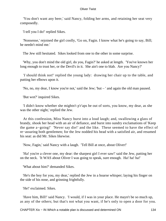'You don't want any beer,' said Nancy, folding her arms, and retaining her seat very composedly.

'I tell you I do!' replied Sikes.

 'Nonsense,' rejoined the girl coolly, 'Go on, Fagin. I know what he's going to say, Bill; he needn't mind me.'

The Jew still hesitated. Sikes looked from one to the other in some surprise.

 'Why, you don't mind the old girl, do you, Fagin?' he asked at length. 'You've known her long enough to trust her, or the Devil's in it. She ain't one to blab. Are you Nancy?'

 '*I* should think not!' replied the young lady: drawing her chair up to the table, and putting her elbows upon it.

'No, no, my dear, I know you're not,' said the Jew; 'but – ' and again the old man paused.

'But wot?' inquired Sikes.

 'I didn't know whether she mightn't p'r'aps be out of sorts, you know, my dear, as she was the other night,' replied the Jew.

 At this confession, Miss Nancy burst into a loud laugh; and, swallowing a glass of brandy, shook her head with an air of defiance, and burst into sundry exclamations of 'Keep the game a−going!' 'Never say die!' and the like. These seemed to have the effect of re−assuring both gentlemen; for the Jew nodded his head with a satisfied air, and resumed his seat: as did Mr. Sikes likewise.

'Now, Fagin,' said Nancy with a laugh. 'Tell Bill at once, about Oliver!'

 'Ha! you're a clever one, my dear: the sharpest girl I ever saw!' said the Jew, patting her on the neck. 'It WAS about Oliver I was going to speak, sure enough. Ha! ha! ha!'

'What about him?' demanded Sikes.

 'He's the boy for you, my dear,' replied the Jew in a hoarse whisper; laying his finger on the side of his nose, and grinning frightfully.

'He!' exclaimed. Sikes.

 'Have him, Bill!' said Nancy. 'I would, if I was in your place. He mayn't be so much up, as any of the others; but that's not what you want, if he's only to open a door for you.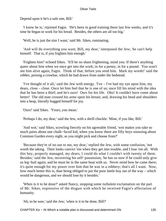Depend upon it he's a safe one, Bill.'

 'I know he is,' rejoined Fagin. 'He's been in good training these last few weeks, and it's time he began to work for his bread. Besides, the others are all too big.'

'Well, he is just the size I want,' said Mr. Sikes, ruminating.

 'And will do everything you want, Bill, my dear,' interposed the Jew; 'he can't help himself. That is, if you frighten him enough.'

 'Frighten him!' echoed Sikes. 'It'll be no sham frightening, mind you. If there's anything queer about him when we once get into the work; in for a penny, in for a pound. You won't see him alive again, Fagin. Think of that, before you send him. Mark my words!' said the robber, poising a crowbar, which he had drawn from under the bedstead.

 'I've thought of it all,' said the Jew with energy. 'I've – I've had my eye upon him, my dears, close – close. Once let him feel that he is one of us; once fill his mind with the idea that he has been a thief; and he's ours! Ours for his life. Oho! It couldn't have come about better! The old man crossed his arms upon his breast; and, drawing his head and shoulders into a heap, literally hugged himself for joy.

'Ours!' said Sikes. 'Yours, you mean.'

'Perhaps I do, my dear,' said the Jew, with a shrill chuckle. 'Mine, if you like, Bill.'

 'And wot,' said Sikes, scowling fiercely on his agreeable friend, 'wot makes you take so much pains about one chalk−faced kid, when you know there are fifty boys snoozing about Common Garden every night, as you might pick and choose from?'

 'Because they're of no use to me, my dear,' replied the Jew, with some confusion, 'not worth the taking. Their looks convict 'em when they get into trouble, and I lose 'em all. With this boy, properly managed, my dears, I could do what I couldn't with twenty of them. Besides,' said the Jew, recovering his self−possession, 'he has us now if he could only give us leg−bail again; and he must be in the same boat with us. Never mind how he came there; it's quite enough for my power over him that he was in a robbery; that's all I want. Now, how much better this is, than being obliged to put the poor leetle boy out of the way – which would be dangerous, and we should lose by it besides.'

 'When is it to be done?' asked Nancy, stopping some turbulent exclamation on the part of Mr. Sikes, expressive of the disgust with which he received Fagin's affectation of humanity.

'Ah, to be sure,' said the Jew; 'when is it to be done, Bill?'

CHAPTER Xix – IN Which a notable plan is discussed and determined ON 135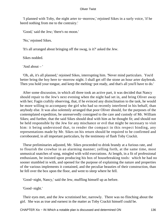'I planned with Toby, the night arter to−morrow,' rejoined Sikes in a surly voice, 'if he heerd nothing from me to the contrairy.'

'Good,' said the Jew; 'there's no moon.'

'No,' rejoined Sikes.

'It's all arranged about bringing off the swag, is it?' asked the Jew.

Sikes nodded.

'And about – '

 'Oh, ah, it's all planned,' rejoined Sikes, interrupting him. 'Never mind particulars. You'd better bring the boy here to−morrow night. I shall get off the stone an hour arter daybreak. Then you hold your tongue, and keep the melting−pot ready, and that's all you'll have to do.'

 After some discussion, in which all three took an active part, it was decided that Nancy should repair to the Jew's next evening when the night had set in, and bring Oliver away with her; Fagin craftily observing, that, if he evinced any disinclination to the task, he would be more willing to accompany the girl who had so recently interfered in his behalf, than anybody else. It was also solemnly arranged that poor Oliver should, for the purposes of the contemplated expedition, be unreservedly consigned to the care and custody of Mr. William Sikes; and further, that the said Sikes should deal with him as he thought fit; and should not be held responsible by the Jew for any mischance or evil that might be necessary to visit him: it being understood that, to render the compact in this respect binding, any representations made by Mr. Sikes on his return should be required to be confirmed and corroborated, in all important particulars, by the testimony of flash Toby Crackit.

 These preliminaries adjusted, Mr. Sikes proceeded to drink brandy at a furious rate, and to flourish the crowbar in an alarming manner; yelling forth, at the same time, most unmusical snatches of song, mingled with wild execrations. At length, in a fit of professional enthusiasm, he insisted upon producing his box of housebreaking tools: which he had no sooner stumbled in with, and opened for the purpose of explaining the nature and properties of the various implements it contained, and the peculiar beauties of their construction, than he fell over the box upon the floor, and went to sleep where he fell.

'Good−night, Nancy,' said the Jew, muffling himself up as before.

'Good−night.'

 Their eyes met, and the Jew scrutinised her, narrowly. There was no flinching about the girl. She was as true and earnest in the matter as Toby Crackit himself could be.

CHAPTER Xix – IN Which a notable plan is discussed and determined ON 136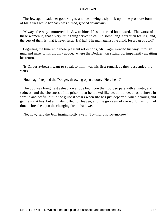The Jew again bade her good−night, and, bestowing a sly kick upon the prostrate form of Mr. Sikes while her back was turned, groped downstairs.

 'Always the way!' muttered the Jew to himself as he turned homeward. 'The worst of these women is, that a very little thing serves to call up some long−forgotten feeling; and, the best of them is, that it never lasts. Ha! ha! The man against the child, for a bag of gold!'

 Beguiling the time with these pleasant reflections, Mr. Fagin wended his way, through mud and mire, to his gloomy abode: where the Dodger was sitting up, impatiently awaiting his return.

 'Is Oliver a−bed? I want to speak to him,' was his first remark as they descended the stairs.

'Hours ago,' replied the Dodger, throwing open a door. 'Here he is!'

 The boy was lying, fast asleep, on a rude bed upon the floor; so pale with anxiety, and sadness, and the closeness of his prison, that he looked like death; not death as it shows in shroud and coffin, but in the guise it wears when life has just departed; when a young and gentle spirit has, but an instant, fled to Heaven, and the gross air of the world has not had time to breathe upon the changing dust it hallowed.

'Not now,' said the Jew, turning softly away. 'To−morrow. To−morrow.'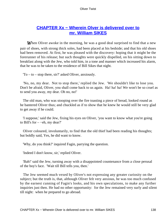# **[CHAPTER Xx − Wherein Olver is delivered over to](#page-394-0) [mr. William SIKES](#page-394-0)**

**When Oliver awoke in the morning, he was a good deal surprised to find that a new** pair of shoes, with strong thick soles, had been placed at his bedside; and that his old shoes had been removed. At first, he was pleased with the discovery: hoping that it might be the forerunner of his release; but such thoughts were quickly dispelled, on his sitting down to breakfast along with the Jew, who told him, in a tone and manner which increased his alarm, that he was to be taken to the residence of Bill Sikes that night.

'To – to – stop there, sir?' asked Oliver, anxiously.

 'No, no, my dear. Not to stop there,' replied the Jew. 'We shouldn't like to lose you. Don't be afraid, Oliver, you shall come back to us again. Ha! ha! ha! We won't be so cruel as to send you away, my dear. Oh no, no!'

 The old man, who was stooping over the fire toasting a piece of bread, looked round as he bantered Oliver thus; and chuckled as if to show that he knew he would still be very glad to get away if he could.

 'I suppose,' said the Jew, fixing his eyes on Oliver, 'you want to know what you're going to Bill's for – –eh, my dear?'

 Oliver coloured, involuntarily, to find that the old thief had been reading his thoughts; but boldly said, Yes, he did want to know.

'Why, do you think?' inquired Fagin, parrying the question.

'Indeed I don't know, sir,' replied Oliver.

 'Bah!' said the Jew, turning away with a disappointed countenance from a close perusal of the boy's face. 'Wait till Bill tells you, then.'

 The Jew seemed much vexed by Oliver's not expressing any greater curiosity on the subject; but the truth is, that, although Oliver felt very anxious, he was too much confused by the earnest cunning of Fagin's looks, and his own speculations, to make any further inquiries just then. He had no other opportunity: for the Jew remained very surly and silent till night: when he prepared to go abroad.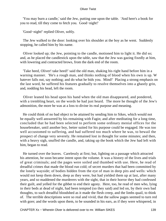'You may burn a candle,' said the Jew, putting one upon the table. 'And here's a book for you to read, till they come to fetch you. Good−night!'

'Good−night!' replied Oliver, softly.

 The Jew walked to the door: looking over his shoulder at the boy as he went. Suddenly stopping, he called him by his name.

 Oliver looked up; the Jew, pointing to the candle, motioned him to light it. He did so; and, as he placed the candlestick upon the table, saw that the Jew was gazing fixedly at him, with lowering and contracted brows, from the dark end of the room.

 'Take heed, Oliver! take heed!' said the old man, shaking his right hand before him in a warning manner. 'He's a rough man, and thinks nothing of blood when his own is up. W hatever falls out, say nothing; and do what he bids you. Mind!' Placing a strong emphasis on the last word, he suffered his features gradually to resolve themselves into a ghastly grin, and, nodding his head, left the room.

 Oliver leaned his head upon his hand when the old man disappeared, and pondered, with a trembling heart, on the words he had just heard. The more he thought of the Jew's admonition, the more he was at a loss to divine its real purpose and meaning.

 He could think of no bad object to be attained by sending him to Sikes, which would not be equally well answered by his remaining with Fagin; and after meditating for a long time, concluded that he had been selected to perform some ordinary menial offices for the housebreaker, until another boy, better suited for his purpose could be engaged. He was too well accustomed to suffering, and had suffered too much where he was, to bewail the prospect of change very severely. He remained lost in thought for some minutes; and then, with a heavy sigh, snuffed the candle, and, taking up the book which the Jew had left with him, began to read.

 He turned over the leaves. Carelessly at first; but, lighting on a passage which attracted his attention, he soon became intent upon the volume. It was a history of the lives and trials of great criminals; and the pages were soiled and thumbed with use. Here, he read of dreadful crimes that made the blood run cold; of secret murders that had been committed by the lonely wayside; of bodies hidden from the eye of man in deep pits and wells: which would not keep them down, deep as they were, but had yielded them up at last, after many years, and so maddened the murderers with the sight, that in their horror they had confessed their guilt, and yelled for the gibbet to end their agony. Here, too, he read of men who, lying in their beds at dead of night, had been tempted (so they said) and led on, by their own bad thoughts, to such dreadful bloodshed as it made the flesh creep, and the limbs quail, to think of. The terrible descriptions were so real and vivid, that the sallow pages seemed to turn red with gore; and the words upon them, to be sounded in his ears, as if they were whispered, in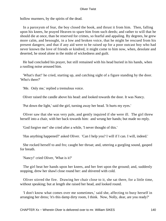hollow murmers, by the spirits of the dead.

 In a paroxysm of fear, the boy closed the book, and thrust it from him. Then, falling upon his knees, he prayed Heaven to spare him from such deeds; and rather to will that he should die at once, than be reserved for crimes, so fearful and appaling. By degrees, he grew more calm, and besought, in a low and broken voice, that he might be rescued from his present dangers; and that if any aid were to be raised up for a poor outcast boy who had never known the love of friends or kindred, it might come to him now, when, desolate and deserted, he stood alone in the midst of wickedness and guilt.

 He had concluded his prayer, but still remained with his head buried in his hands, when a rustling noise aroused him.

 'What's that!' he cried, starting up, and catching sight of a figure standing by the door. 'Who's there?'

'Me. Only me,' replied a tremulous voice.

Oliver raised the candle above his head: and looked towards the door. It was Nancy.

'Put down the light,' said the girl, turning away her head. 'It hurts my eyes.'

 Oliver saw that she was very pale, and gently inquired if she were ill. The girl threw herself into a chair, with her back towards him: and wrung her hands; but made no reply.

'God forgive me!' she cried after a while, 'I never thought of this.'

'Has anything happened?' asked Oliver. 'Can I help you? I will if I can. I will, indeed.'

 She rocked herself to and fro; caught her throat; and, uttering a gurgling sound, gasped for breath.

'Nancy!' cried Oliver, 'What is it?'

 The girl beat her hands upon her knees, and her feet upon the ground; and, suddenly stopping, drew her shawl close round her: and shivered with cold.

 Oliver stirred the fire. Drawing her chair close to it, she sat there, for a little time, without speaking; but at length she raised her head, and looked round.

 'I don't know what comes over me sometimes,' said she, affecting to busy herself in arranging her dress; 'it's this damp dirty room, I think. Now, Nolly, dear, are you ready?'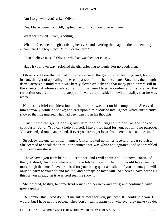'Am I to go with you?' asked Oliver.

'Yes. I have come from Bill,' replied the girl. 'You are to go with me.'

'What for?' asked Oliver, recoiling.

 'What for?' echoed the girl, raising her eyes, and averting them again, the moment they encountered the boy's face. 'Oh! For no harm.'

'I don't believe it,' said Oliver: who had watched her closely.

'Have it your own way,' rejoined the girl, affecting to laugh. 'For no good, then.'

 Oliver could see that he had some power over the girl's better feelings, and, for an instant, thought of appealing to her compassion for his helpless state. But, then, the thought darted across his mind that it was barely eleven o'clock; and that many people were still in the streets: of whom surely some might be found to give credence to his tale. As the reflection occured to him, he stepped forward: and said, somewhat hastily, that he was ready.

 Neither his brief consideration, nor its purport, was lost on his companion. She eyed him narrowly, while he spoke; and cast upon him a look of intelligence which sufficiently showed that she guessed what had been passing in his thoughts.

 'Hush!' said the girl, stooping over him, and pointing to the door as she looked cautiously round. 'You can't help yourself. I have tried hard for you, but all to no purpose. You are hedged round and round. If ever you are to get loose from here, this is not the time.'

 Struck by the energy of her manner, Oliver looked up in her face with great surprise. She seemed to speak the truth; her countenance was white and agitated; and she trembled with very earnestness.

 'I have saved you from being ill−used once, and I will again, and I do now,' continued the girl aloud; 'for those who would have fetched you, if I had not, would have been far more rough than me. I have promised for your being quiet and silent; if you are not, you will only do harm to yourself and me too, and perhaps be my death. See here! I have borne all this for you already, as true as God sees me show it.'

 She pointed, hastily, to some livid bruises on her neck and arms; and continued, with great rapidity:

 'Remember this! And don't let me suffer more for you, just now. If I could help you, I would; but I have not the power. They don't mean to harm you; whatever they make you do,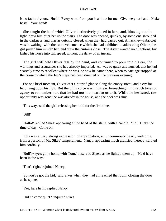is no fault of yours. Hush! Every word from you is a blow for me. Give me your hand. Make haste! Your hand!

 She caught the hand which Oliver instinctively placed in hers, and, blowing out the light, drew him after her up the stairs. The door was opened, quickly, by some one shrouded in the darkness, and was as quickly closed, when they had passed out. A hackney−cabriolet was in waiting; with the same vehemence which she had exhibited in addressing Oliver, the girl pulled him in with her, and drew the curtains close. The driver wanted no directions, but lashed his horse into full speed, without the delay of an instant.

 The girl still held Oliver fast by the hand, and continued to pour into his ear, the warnings and assurances she had already imparted. All was so quick and hurried, that he had scarcely time to recollect where he was, or how he came there, when to carriage stopped at the house to which the Jew's steps had been directed on the previous evening.

 For one brief moment, Oliver cast a hurried glance along the empty street, and a cry for help hung upon his lips. But the girl's voice was in his ear, beseeching him in such tones of agony to remember her, that he had not the heart to utter it. While he hesitated, the opportunity was gone; he was already in the house, and the door was shut.

'This way,' said the girl, releasing her hold for the first time.

'Bill!'

 'Hallo!' replied Sikes: appearing at the head of the stairs, with a candle. 'Oh! That's the time of day. Come on!'

 This was a very strong expression of approbation, an uncommonly hearty welcome, from a person of Mr. Sikes' temperament. Nancy, appearing much gratified thereby, saluted him cordially.

 'Bull's−eye's gone home with Tom,' observed Sikes, as he lighted them up. 'He'd have been in the way.'

'That's right,' rejoined Nancy.

 'So you've got the kid,' said Sikes when they had all reached the room: closing the door as he spoke.

'Yes, here he is,' replied Nancy.

'Did he come quiet?' inquired Sikes.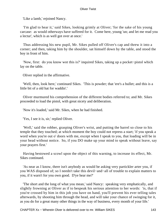'Like a lamb,' rejoined Nancy.

 'I'm glad to hear it,' said Sikes, looking grimly at Oliver; 'for the sake of his young carcase: as would otherways have suffered for it. Come here, young 'un; and let me read you a lectur', which is as well got over at once.'

 Thus addressing his new pupil, Mr. Sikes pulled off Oliver's cap and threw it into a corner; and then, taking him by the shoulder, sat himself down by the table, and stood the boy in front of him.

 'Now, first: do you know wot this is?' inquired Sikes, taking up a pocket−pistol which lay on the table.

Oliver replied in the affirmative.

 'Well, then, look here,' continued Sikes. 'This is powder; that 'ere's a bullet; and this is a little bit of a old hat for waddin'.'

 Oliver murmured his comprehension of the different bodies referred to; and Mr. Sikes proceeded to load the pistol, with great nicety and deliberation.

'Now it's loaded,' said Mr. Sikes, when he had finished.

'Yes, I see it is, sir,' replied Oliver.

 'Well,' said the robber, grasping Oliver's wrist, and putting the barrel so close to his temple that they touched; at which moment the boy could not repress a start; 'if you speak a word when you're out o' doors with me, except when I speak to you, that loading will be in your head without notice. So, if you DO make up your mind to speak without leave, say your prayers first.'

 Having bestowed a scowl upon the object of this warning, to increase its effect, Mr. Sikes continued.

 'As near as I know, there isn't anybody as would be asking very partickler arter you, if you WAS disposed of; so I needn't take this devil−and−all of trouble to explain matters to you, if it warn't for you own good. D'ye hear me?'

 'The short and the long of what you mean,' said Nancy: speaking very emphatically, and slightly frowning at Oliver as if to bespeak his serious attention to her words: 'is, that if you're crossed by him in this job you have on hand, you'll prevent his ever telling tales afterwards, by shooting him through the head, and will take your chance of swinging for it, as you do for a great many other things in the way of business, every month of your life.'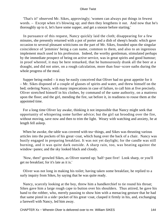'That's it!' observed Mr. Sikes, approvingly; 'women can always put things in fewest words. – Except when it's blowing up; and then they lengthens it out. And now that he's thoroughly up to it, let's have some supper, and get a snooze before starting.'

 In pursuance of this request, Nancy quickly laid the cloth; disappearing for a few minutes, she presently returned with a pot of porter and a dish of sheep's heads: which gave occasion to several pleasant witticisms on the part of Mr. Sikes, founded upon the singular coincidence of 'jemmies' being a can name, common to them, and also to an ingenious implement much used in his profession. Indeed, the worthy gentleman, stimulated perhaps by the immediate prospect of being on active service, was in great spirits and good humour; in proof whereof, it may be here remarked, that he humourously drank all the beer at a draught, and did not utter, on a rough calculation, more than four−score oaths during the whole progress of the meal.

 Supper being ended – it may be easily conceived that Oliver had no great appetite for it – Mr. Sikes disposed of a couple of glasses of spirits and water, and threw himself on the bed; ordering Nancy, with many imprecations in case of failure, to call him at five precisely. Oliver stretched himself in his clothes, by command of the same authority, on a mattress upon the floor; and the girl, mending the fire, sat before it, in readiness to rouse them at the appointed time.

 For a long time Oliver lay awake, thinking it not impossible that Nancy might seek that opportunity of whispering some further advice; but the girl sat brooding over the fire, without moving, save now and then to trim the light. Weary with watching and anxiety, he at length fell asleep.

 When he awoke, the table was covered with tea−things, and Sikes was thrusting various articles into the pockets of his great−coat, which hung over the back of a chair. Nancy was busily engaged in preparing breakfast. It was not yet daylight; for the candle was still burning, and it was quite dark outside. A sharp rain, too, was beating against the window−panes; and the sky looked black and cloudy.

 'Now, then!' growled Sikes, as Oliver started up; 'half−past five! Look sharp, or you'll get no breakfast; for it's late as it is.'

 Oliver was not long in making his toilet; having taken some breakfast, he replied to a surly inquiry from Sikes, by saying that he was quite ready.

 Nancy, scarcely looking at the boy, threw him a handkerchief to tie round his throat; Sikes gave him a large rough cape to button over his shoulders. Thus attired, he gave his hand to the robber, who, merely pausing to show him with a menacing gesture that he had that same pistol in a side−pocket of his great−coat, clasped it firmly in his, and, exchanging a farewell with Nancy, led him away.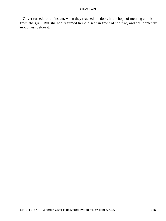Oliver turned, for an instant, when they reached the door, in the hope of meeting a look from the girl. But she had resumed her old seat in front of the fire, and sat, perfectly motionless before it.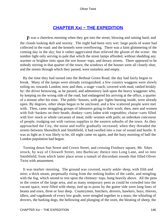## **[CHAPTER Xxi − THE EXPEDITION](#page-394-0)**

*I*t was a cheerless morning when they got into the street; blowing and raining hard; and the clouds looking dull and stormy. The night had been very wet: large pools of water had collected in the road: and the kennels were overflowing. There was a faint glimmering of the coming day in the sky; but it rather aggrevated than relieved the gloom of the scene: the sombre light only serving to pale that which the street lamps afforded, without shedding any warmer or brighter tints upon the wet house−tops, and dreary streets. There appeared to be nobody stirring in that quarter of the town; the windows of the houses were all closely shut; and the streets through which they passed, were noiseless and empty.

 By the time they had turned into the Bethnal Green Road, the day had fairly begun to break. Many of the lamps were already extinguished; a few country waggons were slowly toiling on, towards London; now and then, a stage−coach, covered with mud, rattled briskly by: the driver bestowing, as he passed, and admonitory lash upon the heavy waggoner who, by keeping on the wrong side of the road, had endangered his arriving at the office, a quarter of a minute after his time. The public−houses, with gas−lights burning inside, were already open. By degrees, other shops began to be unclosed, and a few scattered people were met with. Then, came straggling groups of labourers going to their work; then, men and women with fish−baskets on their heads; donkey−carts laden with vegetables; chaise−carts filled with live−stock or whole carcasses of meat; milk−women with pails; an unbroken concourse of people, trudging out with various supplies to the eastern suburbs of the town. As they approached the City, the noise and traffic gradually increased; when they threaded the streets between Shoreditch and Smithfield, it had swelled into a roar of sound and bustle. It was as light as it was likely to be, till night came on again, and the busy morning of half the London population had begun.

 Turning down Sun Street and Crown Street, and crossing Finsbury square, Mr. Sikes struck, by way of Chiswell Street, into Barbican: thence into Long Lane, and so into Smithfield; from which latter place arose a tumult of discordant sounds that filled Oliver Twist with amazement.

 It was market−morning. The ground was covered, nearly ankle−deep, with filth and mire; a thick steam, perpetually rising from the reeking bodies of the cattle, and mingling with the fog, which seemd to rest upon the chimney–tops, hung heavily above. All the pens in the centre of the large area, and as many temporary pens as could be crowded into the vacant space, were filled with sheep; tied up to posts by the gutter side were long lines of beasts and oxen, three or four deep. Countrymen, butchers, drovers, hawkers, boys, thieves, idlers, and vagabonds of every low grade, were mingled together in a mass; the whistling of drovers, the barking dogs, the bellowing and plunging of the oxen, the bleating of sheep, the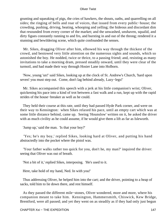grunting and squeaking of pigs, the cries of hawkers, the shouts, oaths, and quarrelling on all sides; the ringing of bells and roar of voices, that issued from every public−house; the crowding, pushing, driving, beating, whooping and yelling; the hideous and discordant dim that resounded from every corner of the market; and the unwashed, unshaven, squalid, and dirty figues constantly running to and fro, and bursting in and out of the throng; rendered it a stunning and bewildering scene, which quite confounded the senses.

 Mr. Sikes, dragging Oliver after him, elbowed his way through the thickest of the crowd, and bestowed very little attention on the numerous sights and sounds, which so astonished the boy. He nodded, twice or thrice, to a passing friend; and, resisting as many invitations to take a morning dram, pressed steadily onward, until they were clear of the turmoil, and had made their way through Hosier Lane into Holborn.

 'Now, young 'un!' said Sikes, looking up at the clock of St. Andrew's Church, 'hard upon seven! you must step out. Come, don't lag behind already, Lazy−legs!'

 Mr. Sikes accompanied this speech with a jerk at his little companion's wrist; Oliver, quickening his pace into a kind of trot between a fast walk and a run, kept up with the rapid strides of the house−breaker as well as he could.

 They held their course at this rate, until they had passed Hyde Park corner, and were on their way to Kensington: when Sikes relaxed his pace, until an empty cart which was at some little distance behind, came up. Seeing 'Hounslow' written on it, he asked the driver with as much civility as he could assume, if he would give them a lift as far as Isleworth.

'Jump up,' said the man. 'Is that your boy?'

 'Yes; he's my boy,' replied Sikes, looking hard at Oliver, and putting his hand abstractedly into the pocket where the pistol was.

 'Your father walks rather too quick for you, don't he, my man?' inquired the driver: seeing that Oliver was out of breath.

'Not a bit of it,' replied Sikes, interposing. 'He's used to it.

Here, take hold of my hand, Ned. In with you!'

 Thus addressing Oliver, he helped him into the cart; and the driver, pointing to a heap of sacks, told him to lie down there, and rest himself.

 As they passed the different mile−stones, Oliver wondered, more and more, where his companion meant to take him. Kensington, Hammersmith, Chiswick, Kew Bridge, Brentford, were all passed; and yet they went on as steadily as if they had only just begun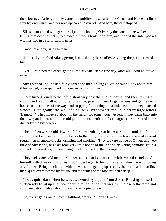their journey. At length, they came to a public−house called the Coach and Horses; a little way beyond which, another road appeared to run off. And here, the cart stopped.

 Sikes dismounted with great precipitation, holding Oliver by the hand all the while; and lifting him down directly, bestowed a furious look upon him, and rapped the side−pocket with his fist, in a significant manner.

'Good−bye, boy,' said the man.

 'He's sulky,' replied Sikes, giving him a shake; 'he's sulky. A young dog! Don't mind him.'

 'Not I!' rejoined the other, getting into his cart. 'It's a fine day, after all.' And he drove away.

 Sikes waited until he had fairly gone; and then, telling Oliver he might look about him if he wanted, once again led him onward on his journey.

 They turned round to the left, a short way past the public−house; and then, taking a right−hand road, walked on for a long time: passing many large gardens and gentlemen's houses on both sides of the way, and stopping for nothing but a little beer, until they reached a town. Here against the wall of a house, Oliver saw written up in pretty large letters, 'Hampton.' They lingered about, in the fields, for some hours. At length they came back into the town; and, turning into an old public−house with a defaced sign−board, ordered some dinner by the kitchen fire.

 The kitchen was an old, low−roofed room; with a great beam across the middle of the ceiling, and benches, with high backs to them, by the fire; on which were seated several rough men in smock−frocks, drinking and smoking. They took no notice of Oliver; and very little of Sikes; and, as Sikes took very little notice of the, he and his young comrade sat in a corner by themselves, without being much troubled by their company.

 They had some cold meat for dinner, and sat so long after it, while Mr. Sikes indulged himself with three or four pipes, that Oliver began to feel quite certain they were not going any further. Being much tired with the walk, and getting up so early, he dozed a little at first; then, quite overpowered by fatigue and the fumes of the tobacco, fell asleep.

 It was quite dark when he was awakened by a push from Sikes. Rousing himself sufficiently to sit up and look about him, he found that worthy in close fellowship and communication with a labouring man, over a pint of ale.

'So, you're going on to Lower Halliford, are you?' inquired Sikes.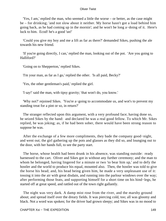'Yes, I am,' replied the man, who seemed a little the worse – or better, as the case might be – for drinking; 'and not slow about it neither. My horse hasn't got a load behind him going back, as he had coming up in the mornin'; and he won't be long a−doing of it. Here's luck to him. Ecod! he's a good 'un!'

 'Could you give my boy and me a lift as far as there?' demanded Sikes, pushing the ale towards his new friend.

 'If you're going directly, I can,' replied the man, looking out of the pot. 'Are you going to Halliford?'

'Going on to Shepperton,' replied Sikes.

'I'm your man, as far as I go,' replied the other. 'Is all paid, Becky?'

'Yes, the other gentleman's paid,' replied the girl.

'I say!' said the man, with tipsy gravity; 'that won't do, you know.'

 'Why not?' rejoined Sikes. 'You're a−going to accommodate us, and wot's to prevent my standing treat for a pint or so, in return?'

 The stranger reflected upon this argument, with a very profound face; having done so, he seized Sikes by the hand: and declared he was a real good fellow. To which Mr. Sikes replied, he was joking; as, if he had been sober, there would have been strong reason to suppose he was.

 After the exchange of a few more compliments, they bade the company good−night, and went out; the girl gathering up the pots and glasses as they did so, and lounging out to the door, with her hands full, to see the party start.

 The horse, whose health had been drunk in his absence, was standing outside: ready harnessed to the cart. Oliver and Sikes got in without any further ceremony; and the man to whom he belonged, having lingered for a minute or two 'to bear him up,' and to defy the hostler and the world to produce his equal, mounted also. Then, the hostler was told to give the horse his head; and, his head being given him, he made a very unpleasant use of it: tossing it into the air with great disdain, and running into the parlour windows over the way; after performing those feats, and supporting himself for a short time on his hind−legs, he started off at great speed, and rattled out of the town right gallantly.

 The night was very dark. A damp mist rose from the river, and the marshy ground about; and spread itself over the dreary fields. It was piercing cold, too; all was gloomy and black. Not a word was spoken; for the driver had grown sleepy; and Sikes was in no mood to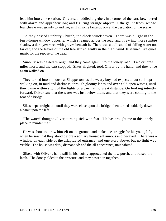lead him into conversation. Oliver sat huddled together, in a corner of the cart; bewildered with alarm and apprehension; and figuring strange objects in the gaunt trees, whose branches waved grimly to and fro, as if in some fantastic joy at the desolation of the scene.

 As they passed Sunbury Church, the clock struck seven. There was a light in the ferry−house window opposite: which streamed across the road, and threw into more sombre shadow a dark yew−tree with graves beneath it. There was a dull sound of falling water not far off; and the leaves of the old tree stirred gently in the night wind. It seemed like quiet music for the repose of the dead.

 Sunbury was passed through, and they came again into the lonely road. Two or three miles more, and the cart stopped. Sikes alighted, took Oliver by the hand, and they once again walked on.

 They turned into no house at Shepperton, as the weary boy had expected; but still kept walking on, in mud and darkness, through gloomy lanes and over cold open wastes, until they came within sight of the lights of a town at no great distance. On looking intently forward, Oliver saw that the water was just below them, and that they were coming to the foot of a bridge.

 Sikes kept straight on, until they were close upon the bridge; then turned suddenly down a bank upon the left.

 'The water!' thought Oliver, turning sick with fear. 'He has brought me to this lonely place to murder me!'

 He was about to throw himself on the ground, and make one struggle for his young life, when he saw that they stood before a solitary house: all ruinous and decayed. There was a window on each side of the dilapidated entrance; and one story above; but no light was visible. The house was dark, dismantled: and the all appearance, uninhabited.

 Sikes, with Oliver's hand still in his, softly approached the low porch, and raised the latch. The door yielded to the pressure, and they passed in together.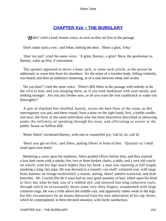## **[CHAPTER Xxii − THE BURGLARY](#page-394-0)**

*'H*allo!' cried a loud, hoarse voice, as soon as they set foot in the passage.

'Don't make such a row,' said Sikes, bolting the door. 'Show a glim, Toby.'

 'Aha! my pal!' cried the same voice. 'A glim, Barney, a glim! Show the gentleman in, Barney; wake up first, if convenient.'

 The speaker appeared to throw a boot−jack, or some such article, at the person he addressed, to rouse him from his slumbers: for the noise of a wooden body, falling violently, was heard; and then an indistinct muttering, as of a man between sleep and awake.

 'Do you hear?' cried the same voice. 'There's Bill Sikes in the passage with nobody to do the civil to him; and you sleeping there, as if you took laudanum with your meals, and nothing stronger. Are you any fresher now, or do you want the iron candlestick to wake you thoroughly?'

 A pair of slipshod feet shuffled, hastily, across the bare floor of the room, as this interrogatory was put; and there issued, from a door on the right hand; first, a feeble candle: and next, the form of the same individual who has been heretofore described as labouring under the infirmity of speaking through his nose, and officiating as waiter at the public−house on Saffron Hill.

'Bister Sikes!' exclaimed Barney, with real or counterfeit joy; 'cub id, sir; cub id.'

 'Here! you get on first,' said Sikes, putting Oliver in front of him. 'Quicker! or I shall tread upon your heels.'

 Muttering a curse upon his tardiness, Sikes pushed Oliver before him; and they entered a low dark room with a smoky fire, two or three broken chairs, a table, and a very old couch: on which, with his legs much higher than his head, a man was reposing at full length, smoking a long clay pipe. He was dressed in a smartly−cut snuff−coloured coat, with large brass buttons; an orange neckerchief; a coarse, staring, shawl−pattern waistcoat; and drab breeches. Mr. Crackit (for he it was) had no very great quantity of hair, either upon his head or face; but what he had, was of a reddish dye, and tortured into long corkscrew curls, through which he occasionally thrust some very dirty fingers, ornamented with large common rings. He was a trifle above the middle size, and apparently rather weak in the legs; but this circumstance by no means detracted from his own admiration of his top−boots, which he contemplated, in their elevated situation, with lively satisfaction.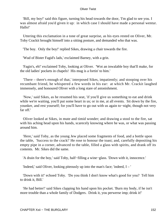'Bill, my boy!' said this figure, turning his head towards the door, 'I'm glad to see you. I was almost afraid you'd given it up: in which case I should have made a personal wentur. Hallo!'

 Uttering this exclamation in a tone of great surprise, as his eyes rested on Oliver, Mr. Toby Crackit brought himself into a sitting posture, and demanded who that was.

'The boy. Only the boy!' replied Sikes, drawing a chair towards the fire.

'Wud of Bister Fagid's lads,' exclaimed Barney, with a grin.

 'Fagin's, eh!' exclaimed Toby, looking at Oliver. 'Wot an inwalable boy that'll make, for the old ladies' pockets in chapels! His mug is a fortin' to him.'

 'There – there's enough of that,' interposed Sikes, impatiently; and stooping over his recumbant friend, he whispered a few words in his ear: at which Mr. Crackit laughed immensely, and honoured Oliver with a long stare of astonishment.

 'Now,' said Sikes, as he resumed his seat, 'if you'll give us something to eat and drink while we're waiting, you'll put some heart in us; or in me, at all events. Sit down by the fire, younker, and rest yourself; for you'll have to go out with us again to−night, though not very far off.'

 Oliver looked at Sikes, in mute and timid wonder; and drawing a stool to the fire, sat with his aching head upon his hands, scarecely knowing where he was, or what was passing around him.

 'Here,' said Toby, as the young Jew placed some fragments of food, and a bottle upon the table, 'Success to the crack!' He rose to honour the toast; and, carefully depositing his empty pipe in a corner, advanced to the table, filled a glass with spirits, and drank off its contents. Mr. Sikes did the same.

'A drain for the boy,' said Toby, half−filling a wine−glass. 'Down with it, innocence.'

'Indeed,' said Oliver, looking piteously up into the man's face; 'indeed, I – '

 'Down with it!' echoed Toby. 'Do you think I don't know what's good for you? Tell him to drink it, Bill.'

 'He had better!' said Sikes clapping his hand upon his pocket. 'Burn my body, if he isn't more trouble than a whole family of Dodgers. Drink it, you perwerse imp; drink it!'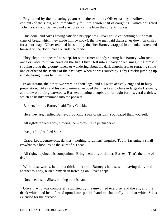Frightened by the menacing gestures of the two men, Oliver hastily swallowed the contents of the glass, and immediately fell into a violent fit of coughing: which delighted Toby Crackit and Barney, and even drew a smile from the surly Mr. Sikes.

 This done, and Sikes having satisfied his appetite (Oliver could eat nothing but a small crust of bread which they made him swallow), the two men laid themselves down on chairs for a short nap. Oliver retained his stool by the fire; Barney wrapped in a blanket, stretched himself on the floor: close outside the fender.

 They slept, or appeared to sleep, for some time; nobody stirring but Barney, who rose once or twice to throw coals on the fire. Oliver fell into a heavy doze: imagining himself straying along the gloomy lanes, or wandering about the dark churchyard, or retracing some one or other of the scenes of the past day: when he was roused by Toby Crackit jumping up and declaring it was half−past one.

 In an instant, the other two were on their legs, and all were actively engaged in busy preparation. Sikes and his companion enveloped their necks and chins in large dark shawls, and drew on their great−coats; Barney, opening a cupboard, brought forth several articles, which he hastily crammed into the pockets.

'Barkers for me, Barney,' said Toby Crackit.

'Here they are,' replied Barney, producing a pair of pistols. 'You loaded them yourself.'

'All right!' replied Toby, stowing them away. 'The persuaders?'

'I've got 'em,' replied Sikes.

 'Crape, keys, centre−bits, darkies – nothing forgotten?' inquired Toby: fastening a small crowbar to a loop inside the skirt of his coat.

 'All right,' rejoined his companion. 'Bring them bits of timber, Barney. That's the time of day.'

 With these words, he took a thick stick from Barney's hands, who, having delivered another to Toby, busied himself in fastening on Oliver's cape.

'Now then!' said Sikes, holding out his hand.

 Oliver: who was completely stupified by the unwonted exercise, and the air, and the drink which had been forced upon him: put his hand mechanically into that which Sikes extended for the purpose.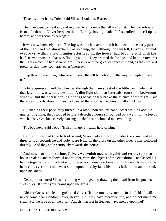'Take his other hand, Toby,' said Sikes. 'Look out, Barney.'

 The man went to the door, and returned to announce that all was quiet. The two robbers issued forth with Oliver between them. Barney, having made all fast, rolled himself up as before, and was soon asleep again.

 It was now intensely dark. The fog was much heavier than it had been in the early part of the night; and the atmosphere was so damp, that, although no rain fell, Oliver's hair and eyebrows, within a few minutes after leaving the house, had become stiff with the half–frozen moisture that was floating about. They crossed the bridge, and kept on towards the lights which he had seen before. They were at no great distance off; and, as they walked pretty briskly, they soon arrived at Chertsey.

 'Slap through the town,' whispered Sikes; 'there'll be nobody in the way, to−night, to see us.'

 Toby acquiesced; and they hurried through the main street of the little town, which at that late hour was wholly deserted. A dim light shone at intervals from some bed−room window; and the hoarse barking of dogs occasionally broke the silence of the night. But there was nobody abroad. They had cleared the town, as the church−bell struck two.

 Quickening their pace, they turned up a road upon the left hand. After walking about a quarter of a mile, they stopped before a detached house surrounded by a wall: to the top of which, Toby Crackit, scarcely pausing to take breath, climbed in a twinkling.

'The boy next,' said Toby. 'Hoist him up; I'll catch hold of him.'

 Before Oliver had time to look round, Sikes had caught him under the arms; and in three or four seconds he and Toby were lying on the grass on the other side. Sikes followed directly. And they stole cautiously towards the house.

 And now, for the first time, Oliver, well−nigh mad with grief and terror, saw that housebreaking and robbery, if not murder, were the objects of the expedition. He clasped his hands together, and involuntarily uttered a subdued exclamation of horror. A mist came before his eyes; the cold sweat stood upon his ashy face; his limbs failed him; and he sank upon his knees.

 'Get up!' murmured Sikes, trembling with rage, and drawing the pistol from his pocket; 'Get up, or I'll strew your brains upon the grass.'

 'Oh! for God's sake let me go!' cried Oliver; 'let me run away and die in the fields. I will never come near London; never, never! Oh! pray have mercy on me, and do not make me steal. For the love of all the bright Angels that rest in Heaven, have mercy upon me!'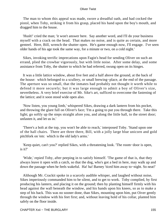The man to whom this appeal was made, swore a dreadful oath, and had cocked the pistol, when Toby, striking it from his grasp, placed his hand upon the boy's mouth, and dragged him to the house.

 'Hush!' cried the man; 'it won't answer here. Say another word, and I'll do your business myself with a crack on the head. That makes no noise, and is quite as certain, and more genteel. Here, Bill, wrench the shutter open. He's game enough now, I'll engage. I've seen older hands of his age took the same way, for a minute or two, on a cold night.'

 Sikes, invoking terrific imprecations upon Fagin's head for sending Oliver on such an errand, plied the crowbar vigorously, but with little noise. After some delay, and some assistance from Toby, the shutter to which he had referred, swung open on its hinges.

 It was a little lattice window, about five feet and a half above the ground, at the back of the house: which belonged to a scullery, or small brewing−place, at the end of the passage. The aperture was so small, that the inmates had probably not thought it worth while to defend it more securely; but it was large enough to admit a boy of Oliver's size, nevertheless. A very brief exercise of Mr. Sike's art, sufficed to overcome the fastening of the lattice; and it soon stood wide open also.

 'Now listen, you young limb,' whispered Sikes, drawing a dark lantern from his pocket, and throwing the glare full on Oliver's face; 'I'm a going to put you through there. Take this light; go softly up the steps straight afore you, and along the little hall, to the street door; unfasten it, and let us in.'

 'There's a bolt at the top, you won't be able to reach,' interposed Toby. 'Stand upon one of the hall chairs. There are three there, Bill, with a jolly large blue unicorn and gold pitchfork on 'em: which is the old lady's arms.'

 'Keep quiet, can't you?' replied Sikes, with a threatening look. 'The room−door is open, is it?'

 'Wide,' repied Toby, after peeping in to satisfy himself. 'The game of that is, that they always leave it open with a catch, so that the dog, who's got a bed in here, may walk up and down the passage when he feels wakeful. Ha! ha! Barney 'ticed him away to−night. So neat!'

 Although Mr. Crackit spoke in a scarcely audible whisper, and laughed without noise, Sikes imperiously commanded him to be silent, and to get to work. Toby complied, by first producing his lantern, and placing it on the ground; then by planting himself firmly with his head against the wall beneath the window, and his hands upon his knees, so as to make a step of his back. This was no sooner done, than Sikes, mounting upon him, put Oiver gently through the window with his feet first; and, without leaving hold of his collar, planted him safely on the floor inside.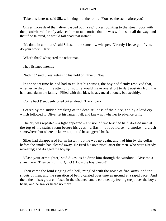'Take this lantern,' said Sikes, looking into the room. 'You see the stairs afore you?'

 Oliver, more dead than alive, gasped out, 'Yes.' Sikes, pointing to the street−door with the pistol−barrel, briefly advised him to take notice that he was within shot all the way; and that if he faltered, he would fall dead that instant.

 'It's done in a minute,' said Sikes, in the same low whisper. 'Directly I leave go of you, do your work. Hark!'

'What's that?' whispered the other man.

They listened intently.

'Nothing,' said Sikes, releasing his hold of Oliver. 'Now!'

 In the short time he had had to collect his senses, the boy had firmly resolved that, whether he died in the attempt or not, he would make one effort to dart upstairs from the hall, and alarm the family. Filled with this idea, he advanced at once, but stealthiy.

'Come back!' suddenly cried Sikes aloud. 'Back! back!'

 Scared by the sudden breaking of the dead stillness of the place, and by a loud cry which followed it, Oliver let his lantern fall, and knew not whether to advance or fly.

 The cry was repeated – a light appeared – a vision of two terrified half−dressed men at the top of the stairs swam before his eyes – a flash – a loud noise – a smoke – a crash somewhere, but where he knew not, – and he staggered back.

 Sikes had disappeared for an instant; but he was up again, and had him by the collar before the smoke had cleared away. He fired his own pistol after the men, who were already retreating; and dragged the boy up.

 'Clasp your arm tighter,' said Sikes, as he drew him through the window. 'Give me a shawl here. They've hit him. Quick! How the boy bleeds!'

 Then came the loud ringing of a bell, mingled with the noise of fire−arms, and the shouts of men, and the sensation of being carried over uneven ground at a rapid pace. And then, the noises grew confused in the distance; and a cold deadly feeling crept over the boy's heart; and he saw or heard no more.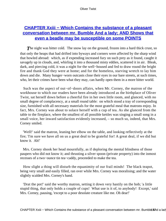# **CHAPTER Xxiii – Which Contains the substance of a pleasant [conversation between mr. Bumble And a lady; AND Shows that](#page-394-0) [even a beadle may be susceptible on some POINTS](#page-394-0)**

**The night was bitter cold.** The snow lay on the ground, frozen into a hard thick crust, so that only the heaps that had drifted into byways and corners were affected by the sharp wind that howled abroad: which, as if expending increased fury on such prey as it found, caught it savagely up in clouds, and, whirling it into a thousand misty eddies, scattered it in air. Bleak, dark, and piercing cold, it was a night for the well−housed and fed to draw round the bright fire and thank God they were at home; and for the homeless, starving wretch to lay him down and die. Many hunger−worn outcasts close their eyes in our bare streets, at such times, who, let their crimes have been what they may, can hardly open them in a more bitter world.

 Such was the aspect of out−of−doors affairs, when Mr. Corney, the matron of the workhouse to which our readers have been already introduced as the birthplace of Oliver Twist, sat herself down before a cheerful fire in her own little room, and glanced, with no small degree of complacency, at a small round table: on which stood a tray of corresponding size, furnished with all necessary materials for the most grateful meal that matrons enjoy. In fact, Mrs. Corney was about to solace herself with a cup of tea. As she glanced from the table to the fireplace, where the smallest of all possible kettles was singing a small song in a small voice, her inward satisfaction evidently increased, – so much so, indeed, that Mrs. Corney smiled.

 'Well!' said the matron, leaning her elbow on the table, and looking reflectively at the fire; 'I'm sure we have all on us a great deal to be grateful for! A great deal, if we did but know it. Ah!'

 Mrs. Corney shook her head mournfully, as if deploring the mental blindness of those paupers who did not know it; and thrusting a silver spoon (private property) into the inmost recesses of a two−ounce tin tea−caddy, proceeded to make the tea.

 How slight a thing will disturb the equanimity of our frail minds! The black teapot, being very small and easily filled, ran over while Mrs. Corney was moralising; and the water slightly scalded Mrs. Corney's hand.

 'Drat the pot!' said the worthy matron, setting it down very hastily on the hob; 'a little stupid thing, that only holds a couple of cups! What use is it of, to anybody! Except,' said Mrs. Corney, pausing, 'except to a poor desolate creature like me. Oh dear!'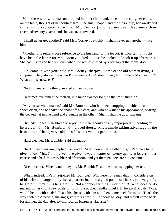With these words, the matron dropped into her chair, and, once more resting her elbow on the table, thought of her solitary fate. The small teapot, and the single cup, had awakened in her mind sad recollections of Mr. Corney (who had not been dead more than five−and−twenty years); and she was overpowered.

 'I shall never get another!' said Mrs. Corney, pettishly; 'I shall never get another – like him.'

 Whether this remark bore reference to the husband, or the teapot, is uncertain. It might have been the latter; for Mrs. Corney looked at it as she spoke; and took it up afterwards. She had just tasted her first cup, when she was disturbed by a soft tap at the room−door.

 'Oh, come in with you!' said Mrs. Corney, sharply. 'Some of the old women dying, I suppose. They always die when I'm at meals. Don't stand there, letting the cold air in, don't. What's amiss now, eh?'

'Nothing, ma'am, nothing,' replied a man's voice.

'Dear me!' exclaimed the matron, in a much sweeter tone, 'is that Mr. Bumble?'

 'At your service, ma'am,' said Mr. Bumble, who had been stopping outside to rub his shoes clean, and to shake the snow off his coat; and who now made his appearance, bearing the cocked hat in one hand and a bundle in the other. 'Shall I shut the door, ma'am?'

 The lady modestly hesitated to reply, lest there should be any impropriety in holding an interview with Mr. Bumble, with closed doors. Mr. Bumble taking advantage of the hesitation, and being very cold himself, shut it without permission.

'Hard weather, Mr. Bumble,' said the matron.

 'Hard, indeed, ma'am,' replied the beadle. 'Anti−porochial weather this, ma'am. We have given away, Mrs. Corney, we have given away a matter of twenty quartern loaves and a cheese and a half, this very blessed afternoon; and yet them paupers are not contented.'

'Of course not. When would they be, Mr. Bumble?' said the matron, sipping her tea.

 'When, indeed, ma'am!' rejoined Mr. Bumble. 'Why here's one man that, in consideraton of his wife and large family, has a quartern loaf and a good pound of cheese, full weight. Is he grateful, ma'am? Is he grateful? Not a copper farthing's worth of it! What does he do, ma'am, but ask for a few coals; if it's only a pocket handkerchief full, he says! Coals! What would he do with coals? Toast his cheese with 'em and then come back for more. That's the way with these people, ma'am; give 'em a apron full of coals to−day, and they'll come back for another, the day after to−morrow, as brazen as alabaster.'

CHAPTER Xxiii – Which Contains the substance of a pleasant conversation between mr. Bumble Bood a lad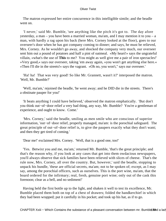The matron expressed her entire concurrence in this intelligible simile; and the beadle went on.

 'I never,' said Mr. Bumble, 'see anything like the pitch it's got to. The day afore yesterday, a man – you have been a married woman, ma'am, and I may mention it to you – a man, with hardly a rag upon his back (here Mrs. Corney looked at the floor), goes to our overseer's door when he has got company coming to dinner; and says, he must be relieved, Mrs. Corney. As he wouldn't go away, and shocked the company very much, our overseer sent him out a pound of potatoes and half a pint of oatmeal. «My heart!» says the ungrateful villain, «what's the use of **This** to me? You might as well give me a pair of iron spectacles!' »Very good,« says our overseer, taking 'em away again, »you won't get anything else here.« »Then I'll die in the streets!« says the vagrant. »Oh no, you won't," says our overseer.'

 'Ha! ha! That was very good! So like Mr. Grannett, wasn't it?' interposed the matron. 'Well, Mr. Bumble?'

 'Well, ma'am,' rejoined the beadle, 'he went away; and he DID die in the streets. There's a obstinate pauper for you!'

 'It beats anything I could have believed,' observed the matron emphatically. 'But don't you think out−of−door relief a very bad thing, any way, Mr. Bumble? You're a gentleman of experience, and ought to know. Come.'

 'Mrs. Corney,' said the beadle, smiling as men smile who are conscious of superior information, 'out−of−door relief, properly managed, ma'am: is the porochial safeguard. The great principle of out−of−door relief is, to give the paupers exactly what they don't want; and then they get tired of coming.'

'Dear me!' exclaimed Mrs. Corney. 'Well, that is a good one, too!'

 'Yes. Betwixt you and me, ma'am,' returned Mr. Bumble, 'that's the great principle; and that's the reason why, if you look at any cases that get into them owdacious newspapers, you'll always observe that sick families have been relieved with slices of cheese. That's the rule now, Mrs. Corney, all over the country. But, however,' said the beadle, stopping to unpack his bundle, 'these are official secrets, ma'am; not to be spoken of; except, as I may say, among the porochial officers, such as ourselves. This is the port wine, ma'am, that the board ordered for the infirmary; real, fresh, genuine port wine; only out of the cask this forenoon; clear as a bell, and no sediment!'

 Having held the first bottle up to the light, and shaken it well to test its excellence, Mr. Bumble placed them both on top of a chest of drawers; folded the handkerchief in which they had been wrapped; put it carefully in his pocket; and took up his hat, as if to go.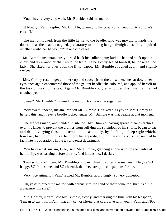'You'll have a very cold walk, Mr. Bumble,' said the matron.

 'It blows, ma'am,' replied Mr. Bumble, turning up his coat−collar, 'enough to cut one's ears off.'

 The matron looked, from the little kettle, to the beadle, who was moving towards the door; and as the beadle coughed, preparatory to bidding her good−night, bashfully inquired whether – whether he wouldn't take a cup of tea?

 Mr. Bumble instantaneously turned back his collar again; laid his hat and stick upon a chair; and drew another chair up to the table. As he slowly seated himself, he looked at the lady. She fixed her eyes upon the little teapot. Mr. Bumble coughed again, and slightly smiled.

 Mrs. Corney rose to get another cup and saucer from the closet. As she sat down, her eyes once again encountered those of the gallant beadle; she coloured, and applied herself to the task of making his tea. Again Mr. Bumble coughed – louder this time than he had coughed yet.

'Sweet? Mr. Bumble?' inquired the matron, taking up the sugar−basin.

 'Very sweet, indeed, ma'am,' replied Mr. Bumble. He fixed his eyes on Mrs. Corney as he said this; and if ever a beadle looked tender, Mr. Bumble was that beadle at that moment.

 The tea was made, and handed in silence. Mr. Bumble, having spread a handkerchief over his knees to prevent the crumbs from sullying the splendour of his shorts, began to eat and drink; varying these amusements, occasionally, by fetching a deep sigh; which, however, had no injurious effect upon his appetite, but, on the contrary, rather seemed to facilitate his operations in the tea and toast department.

 'You have a cat, ma'am, I see,' said Mr. Bumble, glancing at one who, in the centre of her family, was basking before the fire; 'and kittens too, I declare!'

 'I am so fond of them, Mr. Bumble,you can't think,' replied the matron. 'They're SO happy, SO frolicsome, and SO cheerful, that they are quite companions for me.'

'Very nice animals, ma'am,' replied Mr. Bumble, approvingly; 'so very domestic.'

 'Oh, yes!' rejoined the matron with enthusiasm; 'so fond of their home too, that it's quite a pleasure, I'm sure.'

 'Mrs. Corney, ma'am, said Mr. Bumble, slowly, and marking the time with his teaspoon, 'I mean to say this, ma'am; that any cat, or kitten, that could live with you, ma'am, and NOT

CHAPTER Xxiii – Which Contains the substance of a pleasant conversation between mr. Bumble **⊕** od a lad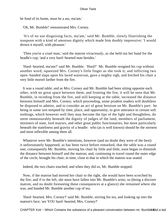be fond of its home, must be a ass, ma'am.'

'Oh, Mr. Bumble!' remonstrated Mrs. Corney.

 'It's of no use disguising facts, ma'am,' said Mr. Bumble, slowly flourishing the teaspoon with a kind of amorous dignity which made him doubly impressive; 'I would drown it myself, with pleasure.'

 'Then you're a cruel man,' said the matron vivaciously, as she held out her hand for the beadle's cup; 'and a very hard−hearted man besides.'

 'Hard−hearted, ma'am?' said Mr. Bumble. 'Hard?' Mr. Bumble resigned his cup without another word; squeezed Mrs. Corney's little finger as she took it; and inflicting two open−handed slaps upon his laced waistcoat, gave a mighty sigh, and hitched his chair a very little morsel farther from the fire.

 It was a round table; and as Mrs. Corney and Mr. Bumble had been sitting opposite each other, with no great space between them, and fronting the fire, it will be seen that Mr. Bumble, in receding from the fire, and still keeping at the table, increased the distance between himself and Mrs. Corney; which proceeding, some prudent readers will doubtless be disposed to admire, and to consider an act of great heroism on Mr. Bumble's part: he being in some sort tempted by time, place, and opportunity, to give utterance to certain soft nothings, which however well they may become the lips of the light and thoughtless, do seem immeasurably beneath the dignity of judges of the land, members of parliament, ministers of state, lord mayors, and other great public functionaries, but more particularly beneath the stateliness and gravity of a beadle: who (as is well known) should be the sternest and most inflexible among them all.

 Whatever were Mr. Bumble's intentions, however (and no doubt they were of the best): it unfortunately happened, as has been twice before remarked, that the table was a round one; consequently Mr. Bumble, moving his chair by little and little, soon began to diminish the distance between himself and the matron; and, continuing to travel round the outer edge of the circle, brought his chair, in time, close to that in which the matron was seated.

Indeed, the two chairs touched; and when they did so, Mr. Bumble stopped.

 Now, if the matron had moved her chair to the right, she would have been scorched by the fire; and if to the left, she must have fallen into Mr. Bumble's arms; so (being a discreet matron, and no doubt foreseeing these consequences at a glance) she remained where she was, and handed Mr. Bumble another cup of tea.

 'Hard−hearted, Mrs. Corney?' said Mr. Bumble, stirring his tea, and looking up into the matron's face; 'are YOU hard−hearted, Mrs. Corney?'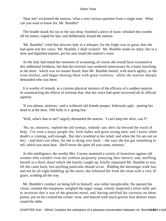'Dear me!' exclaimed the matron, 'what a very curious question from a single man. What can you want to know for, Mr. Bumble?'

 The beadle drank his tea to the last drop; finished a piece of toast; whisked the crumbs off his knees; wiped his lips; and deliberately kissed the matron.

 'Mr. Bumble!' cried that discreet lady in a whisper; for the fright was so great, that she had quite lost her voice, 'Mr. Bumble, I shall scream!' Mr. Bumble made no reply; but in a slow and dignified manner, put his arm round the matron's waist.

 As the lady had stated her intention of screaming, of course she would have screamed at this additional boldness, but that the exertion was rendered unnecessary by a hasty knocking at the door: which was no sooner heard, than Mr. Bumble darted, with much agility, to the wine bottles, and began dusting them with great violence: while the matron sharply demanded who was there.

 It is worthy of remark, as a curious physical instance of the efficacy of a sudden surprise in counteracting the effects of extreme fear, that her voice had quite recovered all its official asperity.

 'If you please, mistress,' said a withered old female pauper, hideously ugly: putting her head in at the door, 'Old Sally is a−going fast.'

'Well, what's that to me?' angrily demanded the matron. 'I can't keep her alive, can I?'

 'No, no, mistress,' replied the old woman, 'nobody can; she's far beyond the reach of help. I've seen a many people die; little babes and great strong men; and I know when death's a−coming, well enough. But she's troubled in her mind: and when the fits are not on her, – and that's not often, for she is dying very hard, – she says she has got something to tell, which you must hear. She'll never die quiet till you come, mistress.'

 At this intelligence, the worthy Mrs. Corney muttered a variety of invectives against old women who couldn't even die without purposely annoying their betters; and, muffling herself in a thick shawl which she hastily caught up, briefly requested Mr. Bumble to stay till she came back, lest anything particular should occur. Bidding the messenger walk fast, and not be all night hobbling up the stairs, she followed her from the room with a very ill grace, scolding all the way.

 Mr. Bumble's conduct on being left to himself, was rather inexplicable. He opened the closet, counted the teaspoons, weighed the sugar−tongs, closely inspected a silver milk−pot to ascertain that it was of the genuine metal, and, having satisfied his curiosity on these points, put on his cocked hat corner−wise, and danced with much gravity four distinct times round the table.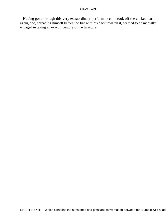Having gone through this very extraordinary performance, he took off the cocked hat again, and, spreading himself before the fire with his back towards it, seemed to be mentally engaged in taking an exact inventory of the furniture.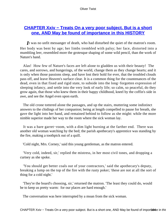# **CHAPTER Xxiv – Treats On a very poor subject. But is a short [one, AND May be found of importance in this HISTORY](#page-394-0)**

*I*t was no unfit messanger of death, who had disturbed the quiet of the matron's room. Her body was bent by age; her limbs trembled with palsy; her face, distorted into a mumbling leer, resembled more the grotesque shaping of some wild pencil, than the work of Nature's hand.

 Alas! How few of Nature's faces are left alone to gladden us with their beauty! The cares, and sorrows, and hungerings, of the world, change them as they change hearts; and it is only when those passions sleep, and have lost their hold for ever, that the troubled clouds pass off, and leave Heaven's surface clear. It is a common thing for the countenances of the dead, even in that fixed and rigid state, to subside into the long−forgotten expression of sleeping infancy, and settle into the very look of early life; so calm, so peaceful, do they grow again, that those who knew them in their happy childhood, kneel by the coffin's side in awe, and see the Angel even upon earth.

 The old crone tottered alone the passages, and up the stairs, muttering some indistinct answers to the chidings of her companion; being at length compelled to pause for breath, she gave the light into her hand, and remained behind to follow as she might: while the more nimble superior made her way to the room where the sick woman lay.

 It was a bare garret−room, with a dim light burning at the farther end. There was another old woman watching by the bed; the parish apothecary's apprentice was standing by the fire, making a toothpick out of a quill.

'Cold night, Mrs. Corney,' said this young gentleman, as the matron entered.

 'Very cold, indeed, sir,' replied the mistress, in her most civil tones, and dropping a curtsey as she spoke.

 'You should get better coals out of your contractors,' said the apothecary's deputy, breaking a lump on the top of the fire with the rusty poker; 'these are not at all the sort of thing for a cold night.'

 'They're the board's choosing, sir,' returned the matron. 'The least they could do, would be to keep us pretty warm: for our places are hard enough.'

The conversation was here interrupted by a moan from the sick woman.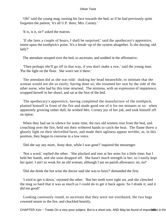'Oh!' said the young mag, turning his face towards the bed, as if he had previously quite forgotten the patient, 'it's all U.P. there, Mrs. Corney.'

'It is, is it, sir?' asked the matron.

 'If she lasts a couple of hours, I shall be surprised.' said the apothecary's apprentice, intent upon the toothpick's point. 'It's a break−up of the system altogether. Is she dozing, old lady?'

The attendant stooped over the bed, to ascertain; and nodded in the affirmative.

 'Then perhaps she'll go off in that way, if you don't make a row,' said the young man. 'Put the light on the floor. She won't see it there.'

 The attendant did as she was told: shaking her head meanwhile, to intimate that the woman would not die so easily; having done so, she resumed her seat by the side of the other nurse, who had by this time returned. The mistress, with an expression of impatience, wrapped herself in her shawl, and sat at the foot of the bed.

 The apothecary's apprentice, having completed the manufacture of the toothpick, planted himself in front of the fire and made good use of it for ten minutes or so: when apparently growing rather dull, he wished Mrs. Corney joy of her job, and took himself off on tiptoe.

 When they had sat in silence for some time, the two old women rose from the bed, and crouching over the fire, held out their withered hands to catch the heat. The flame threw a ghastly light on their shrivelled faces, and made their ugliness appear terrible, as, in this position, they began to converse in a low voice.

'Did she say any more, Anny dear, while I was gone?' inquired the messenger.

 'Not a word,' replied the other. 'She plucked and tore at her arms for a little time; but I held her hands, and she soon dropped off. She hasn't much strength in her, so I easily kept her quiet. I ain't so weak for an old woman, although I am on parish allowance; no, no!'

'Did she drink the hot wine the doctor said she was to have?' demanded the first.

 'I tried to get it down,' rejoined the other. 'But her teeth were tight set, and she clenched the mug so hard that it was as much as I could do to get it back again. So I drank it; and it did me good!'

 Looking cautiously round, to ascertain that they were not overheard, the two hags cowered nearer to the fire, and chuckled heartily.

CHAPTER Xxiv – Treats On a very poor subject. But is a short one, AND May be found of importance in this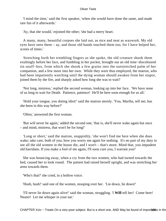'I mind the time,' said the first speaker, 'when she would have done the same, and made rare fun of it afterwards.'

'Ay, that she would,' rejoined the other; 'she had a merry heart.

 A many, many, beautiful corpses she laid out, as nice and neat as waxwork. My old eyes have seen them – ay, and those old hands touched them too; for I have helped her, scores of times.'

 Stretching forth her trembling fingers as she spoke, the old creature shook them exultingly before her face, and fumbling in her pocket, brought out an old time−discoloured tin snuff−box, from which she shook a few grains into the outstretched palm of her companion, and a few more into her own. While they were thus employed, the matron, who had been impatiently watching until the dying woman should awaken from her stupor, joined them by the fire, and sharply asked how long she was to wait?

 'Not long, mistress,' replied the second woman, looking up into her face. 'We have none of us long to wait for Death. Patience, patience! He'll be here soon enough for us all.'

 'Hold your tongue, you doting idiot!' said the matron sternly. 'You, Martha, tell me; has she been in this way before?'

'Often,' answered the first woman.

 'But will never be again,' added the second one; 'that is, she'll never wake again but once – and mind, mistress, that won't be for long!'

 'Long or short,' said the matron, snappishly, 'she won't find me here when she does wake; take care, both of you, how you worry me again for nothing. It's no part of my duty to see all the old women in the house die, and I won't – that's more. Mind that, you impudent old harridans. If you make a fool of me again, I'll soon cure you, I warrant you!'

 She was bouncing away, when a cry from the two women, who had turned towards the bed, caused her to look round. The patient had raised herself upright, and was stretching her arms towards them.

'Who's that?' she cried, in a hollow voice.

'Hush, hush!' said one of the women, stooping over her. 'Lie down, lie down!'

 'I'll never lie down again alive!' said the woman, struggling. 'I **Will** tell her! Come here! Nearer! Let me whisper in your ear.'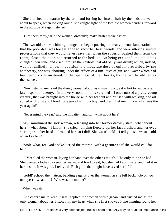She clutched the matron by the arm, and forcing her into a chair by the bedside, was about to speak, when looking round, she caught sight of the two old women bending forward in the attitude of eager listeners.

'Turn them away,' said the woman, drowsily; 'make haste! make haste!'

 The two old crones, chiming in together, began pouring out many piteous lamentations that the poor dear was too far gone to know her best friends; and were uttering sundry protestations that they would never leave her, when the superior pushed them from the room, closed the door, and returned to the bedside. On being excluded, the old ladies changed their tone, and cried through the keyhole that old Sally was drunk; which, indeed, was not unlikely; since, in addition to a moderate dose of opium prescribed by the apothecary, she was labouring under the effects of a final taste of gin−and−water which had been privily administered, in the openness of their hearts, by the worthy old ladies themselves.

 'Now listen to me,' said the dying woman aloud, as if making a great effort to revive one latent spark of energy. 'In this very room – in this very bed – I once nursed a pretty young creetur', that was brought into the house with her feet cut and bruised with walking, and all soiled with dust and blood. She gave birth to a boy, and died. Let me think – what was the year again!'

'Never mind the year,' said the impatient auditor; 'what about her?'

 'Ay,' murmured the sick woman, relapsing into her former drowsy state, 'what about her? – what about – I know!' she cried, jumping fiercely up: her face flushed, and her eyes starting from her head – 'I robbed her, so I did! She wasn't cold – I tell you she wasn't cold, when I stole it!'

 'Stole what, for God's sake?' cried the matron, with a gesture as if she would call for help.

 'IT!' replied the woman, laying her hand over the other's mouth. 'The only thing she had. She wanted clothes to keep her warm, and food to eat; but she had kept it safe, and had it in her bosom. It was gold, I tell you! Rich gold, that might have saved her life!'

 'Gold!' echoed the matron, bending eagerly over the woman as she fell back. 'Go on, go on – yest – what of it? Who was the mother?

When was it?'

 'She charge me to keep it safe,' replied the woman with a groan, 'and trusted me as the only woman about her. I stole it in my heart when she first showed it me hanging round her

CHAPTER Xxiv – Treats On a very poor subject. But is a short one, AND May be found of importtoned in this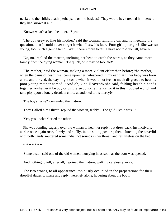neck; and the child's death, perhaps, is on me besides! They would have treated him better, if they had known it all!'

'Known what?' asked the other. 'Speak!'

 'The boy grew so like his mother,' said the woman, rambling on, and not heeding the question, 'that I could never forget it when I saw his face. Poor girl! poor girl! She was so young, too! Such a gentle lamb! Wait; there's more to tell. I have not told you all, have I?'

 'No, no,' replied the matron, inclining her head to catch the words, as they came more faintly from the dying woman. 'Be quick, or it may be too late!'

 'The mother,' said the woman, making a more violent effort than before; 'the mother, when the pains of death first came upon her, whispered in my ear that if her baby was born alive, and thrived, the day might come when it would not feel so much disgraced to hear its poor young mother named. «And oh, kind Heaven!» she said, folding her thin hands together, «whether it be boy or girl, raise up some friends for it in this troubled world, and take pity upon a lonely desolate child, abandoned to its mercy!»'

'The boy's name?' demanded the matron.

'They **Called** him Oliver,' replied the woman, feebly. 'The gold I stole was – '

'Yes, yes – what?' cried the other.

 She was bending eagerly over the woman to hear her reply; but drew back, instinctively, as she once again rose, slowly and stiffly, into a sitting posture; then, clutching the coverlid with both hands, muttered some indistinct sounds in her throat, and fell lifeless on the bed.

\* **\* \* \* \* \* \***

'Stone dead!' said one of the old women, hurrying in as soon as the door was opened.

'And nothing to tell, after all,' rejoined the matron, walking carelessly away.

 The two crones, to all appearance, too busily occupied in the preparations for their dreadful duties to make any reply, were left alone, hovering about the body.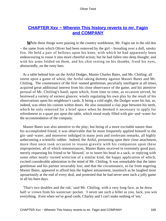# **CHAPTER Xxv – Wherein This history reverts to mr. Fagin [and COMPANY](#page-394-0)**

*While these things were passing in the country workhouse, Mr. Fagin sat in the old den* – the same from which Oliver had been removed by the girl – brooding over a dull, smoky fire. He held a pair of bellows upon his knee, with which he had apparently been endeavouring to rouse it into more cheerful action; but he had fallen into deep thought; and with his arms folded on them, and his chin resting on his thumbs, fixed his eyes, abstractedly, on the rusty bars.

 At a table behind him sat the Artful Dodger, Master Charles Bates, and Mr. Chitling: all intent upon a game of whist; the Artful taking dummy against Master Bates and Mr. Chitling. The countenance of the first−named gentleman, peculiarly intelligent at all times, acquired great additional interest from his close observance of the game, and his attentive perusal of Mr. Chitling's hand; upon which, from time to time, as occasion served, he bestowed a variety of earnest glances: wisely regulating his own play by the result of his observations upon his neighbour's cards. It being a cold night, the Dodger wore his hat, as, indeed, was often his custom within doors. He also sustained a clay pipe between his teeth, which he only removed for a brief space when he deemed it necessary to apply for refreshment to a quart pot upon the table, which stood ready filled with gin−and−water for the accommodation of the company.

 Master Bates was also attentive to the play; but being of a more excitable nature than his accomplished friend, it was observable that he more frequently applied himself to the gin−and−water, and moreover indulged in many jests and irrelevant remarks, all highly unbecoming a scientific rubber. Indeed, the Artful, presuming upon their close attachment, more than once took occasion to reason gravely with his companion upon these improprieties; all of which remonstrances, Master Bates received in extremely good part; merely requesting his friend to be 'blowed,' or to insert his head in a sack, or replying with some other neatly−turned witticism of a similar kind, the happy application of which, excited considerable admiration in the mind of Mr. Chitling. It was remarkable that the latter gentleman and his partner invariably lost; and that the circumstance, so far from angering Master Bates, appeared to afford him the highest amusement, inasmuch as he laughed most uproariously at the end of every deal, and protested that he had never seen such a jolly game in all his born days.

 'That's two doubles and the rub,' said Mr. Chitling, with a very long face, as he drew half−a−crown from his waistcoat−pocket. 'I never see such a feller as you, Jack; you win everything. Even when we've good cards, Charley and I can't make nothing of 'em.'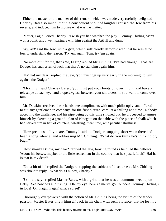Either the master or the manner of this remark, which was made very ruefully, delighted Charley Bates so much, that his consequent shout of laughter roused the Jew from his reverie, and induced him to inquire what was the matter.

 'Matter, Fagin!' cried Charley. 'I wish you had watched the play. Tommy Chitling hasn't won a point; and I went partners with him against the Artfull and dumb.'

 'Ay, ay!' said the Jew, with a grin, which sufficiently demonstrated that he was at no loss to understand the reason. 'Try 'em again, Tom; try 'em again.'

 'No more of it for me, thank 'ee, Fagin,' replied Mr. Chitling; 'I've had enough. That 'ere Dodger has such a run of luck that there's no standing again' him.'

 'Ha! ha! my dear,' replied the Jew, 'you must get up very early in the morning, to win against the Dodger.'

 'Morning!' said Charley Bates; 'you must put your boots on over−night, and have a telescope at each eye, and a opera−glass between your shoulders, if you want to come over him.'

 Mr. Dawkins received these handsome compliments with much philosophy, and offered to cut any gentleman in company, for the first picture−card, at a shilling at a time. Nobody accepting the challenge, and his pipe being by this time smoked out, he proceeded to amuse himself by sketching a ground−plan of Newgate on the table with the piece of chalk which had served him in lieu of counters; whistling, meantime, with peculiar shrillness.

 'How precious dull you are, Tommy!' said the Dodger, stopping short when there had been a long silence; and addressing Mr. Chitling. 'What do you think he's thinking of, Fagin?'

 'How should I know, my dear?' replied the Jew, looking round as he plied the bellows. 'About his losses, maybe; or the little retirement in the country that he's just left, eh? Ha! ha! Is that it, my dear?'

 'Not a bit of it,' replied the Dodger, stopping the subject of discourse as Mr. Chitling was about to reply. 'What do YOU say, Charley?'

 '*I* should say,' replied Master Bates, with a grin, 'that he was uncommon sweet upon Betsy. See how he's a−blushing! Oh, my eye! here's a merry−go−rounder! Tommy Chitling's in love! Oh, Fagin, Fagin! what a spree!'

 Thoroughly overpowered with the notion of Mr. Chitling being the victim of the tender passion, Master Bates threw himself back in his chair with such violence, that he lost his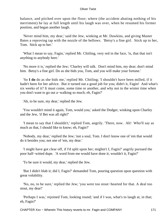balance, and pitched over upon the floor; where (the accident abating nothing of his merriment) he lay at full length until his laugh was over, when he resumed his former position, and began another laugh.

 'Never mind him, my dear,' said the Jew, winking at Mr. Dawkins, and giving Master Bates a reproving tap with the nozzle of the bellows. 'Betsy's a fine girl. Stick up to her, Tom. Stick up to her.'

 'What I mean to say, Fagin,' replied Mr. Chitling, very red in the face, 'is, that that isn't anything to anybody here.'

 'No more it is,' replied the Jew; 'Charley will talk. Don't mind him, my dear; don't mind him. Betsy's a fine girl. Do as she bids you, Tom, and you will make your fortune.'

 'So **I do** do as she bids me,' replied Mr. Chitling; 'I shouldn't have been milled, if it hadn't been for her advice. But it turned out a good job for you; didn't it, Fagin! And what's six weeks of it? It must come, some time or another, and why not in the winter time when you don't want to go out a−walking so much; eh, Fagin?'

'Ah, to be sure, my dear,' replied the Jew.

 'You wouldn't mind it again, Tom, would you,' asked the Dodger, winking upon Charley and the Jew, 'if Bet was all right?'

 'I mean to say that I shouldn't,' replied Tom, angrily. 'There, now. Ah! Who'll say as much as that, I should like to know; eh, Fagin?'

 'Nobody, my dear,' replied the Jew; 'not a soul, Tom. I don't know one of 'em that would do it besides you; not one of 'em, my dear.'

 'I might have got clear off, if I'd split upon her; mightn't I, Fagin?' angrily pursued the poor half−witted dupe. 'A word from me would have done it; wouldn't it, Fagin?'

'To be sure it would, my dear,' replied the Jew.

 'But I didn't blab it; did I, Fagin?' demanded Tom, pouring question upon question with great volubility.

 'No, no, to be sure,' replied the Jew; 'you were too stout−hearted for that. A deal too stout, my dear!'

 'Perhaps I was,' rejoined Tom, looking round; 'and if I was, what's to laugh at, in that; eh, Fagin?'

CHAPTER Xxv – Wherein This history reverts to mr. Fagin and COMPANY 171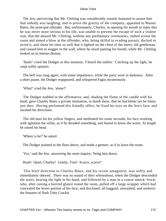The Jew, perceiving that Mr. Chitling was considerably roused, hastened to assure him that nobody was laughing; and to prove the gravity of the company, appealed to Master Bates, the principal offender. But, unfortunately, Charley, in opening his mouth to reply that he was never more serious in his life, was unable to prevent the escape of such a violent roar, that the abused Mr. Chitling, without any preliminary ceremonies, rushed across the room and aimed a blow at the offender; who, being skilful in evading pursuit, ducked to avoid it, and chose his time so well that it lighted on the chest of the merry old gentleman, and caused him to stagger to the wall, where he stood panting for breath, while Mr. Chitling looked on in intense dismay.

 'Hark!' cried the Dodger at this moment, 'I heard the tinkler.' Catching up the light, he crept softly upstairs.

 The bell was rung again, with some impatience, while the party were in darkness. After a short pause, the Dodger reappeared, and whispered Fagin mysteriously.

'What!' cried the Jew, 'alone?'

 The Dodger nodded in the affirmative, and, shading the flame of the candle with his hand, gave Charley Bates a private intimation, in dumb show, that he had better not be funny just then. Having performed this friendly office, he fixed his eyes on the Jew's face, and awaited his directions.

 The old man bit his yellow fingers, and meditated for some seconds; his face working with agitation the while, as if he dreaded something, and feared to know the worst. At length he raised his head.

'Where is he?' he asked.

The Dodger pointed to the floor above, and made a gesture, as if to leave the room.

'Yes,' said the Jew, answering the mute inquiry; 'bring him down.

Hush! Quiet, Charley! Gently, Tom! Scarce, scarce!'

 This brief direction to Charley Bates, and his recent antagonist, was softly and immediately obeyed. There was no sound of their whereabout, when the Dodger descended the stairs, bearing the light in his hand, and followed by a man in a coarse smock−frock; who, after casting a hurried glance round the room, pulled off a large wrapper which had concealed the lower portion of his face, and disclosed: all haggard, unwashed, and unshorn: the features of flash Toby Crackit.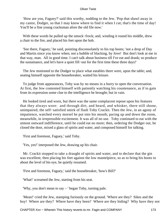'How are you, Faguey?' said this worthy, nodding to the Jew. 'Pop that shawl away in my castor, Dodger, so that I may know where to find it when I cut; that's the time of day! You'll be a fine young cracksman afore the old file now.'

 With these words he pulled up the smock−frock; and, winding it round his middle, drew a chair to the fire, and placed his feet upon the hob.

 'See there, Faguey,' he said, pointing disconsolately to his top boots; 'not a drop of Day and Martin since you know when; not a bubble of blacking, by Jove! But don't look at me in that way, man. All in good time. I can't talk about business till I've eat and drank; so produce the sustainance, and let's have a quiet fill−out for the first time these three days!'

 The Jew motioned to the Dodger to place what eatables there were, upon the table; and, seating himself opposite the housebreaker, waited his leisure.

 To judge from appearances, Toby was by no means in a hurry to open the conversation. At first, the Jew contented himself with patiently watching his countenance, as if to gain from its expression some clue to the intelligence he brought; but in vain.

 He looked tired and worn, but there was the same complacent repose upon his features that they always wore: and through dirt, and beard, and whisker, there still shone, unimpaired, the self−satisfied smirk of flash Toby Crackit. Then the Jew, in an agony of impatience, watched every morsel he put into his mouth; pacing up and down the room, meanwhile, in irrepressible excitement. It was all of no use. Toby continued to eat with the utmost outward indifference, until he could eat no more; then, ordering the Dodger out, he closed the door, mixed a glass of spirits and water, and composed himself for talking.

'First and foremost, Faguey,' said Toby.

'Yes, yes!' interposed the Jew, drawing up his chair.

 Mr. Crackit stopped to take a draught of spirits and water, and to declare that the gin was excellent; then placing his feet against the low mantelpiece, so as to bring his boots to about the level of his eye, he quietly resumed.

'First and foremost, Faguey,' said the housebreaker, 'how's Bill?'

'What!' screamed the Jew, starting from his seat.

'Why, you don't mean to say – ' began Toby, turning pale.

 'Mean!' cried the Jew, stamping furiously on the ground. 'Where are they? Sikes and the boy! Where are they? Where have they been? Where are they hiding? Why have they not

CHAPTER Xxv – Wherein This history reverts to mr. Fagin and COMPANY 173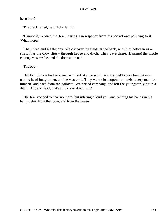been here?'

'The crack failed,' said Toby faintly.

 'I know it,' replied the Jew, tearing a newspaper from his pocket and pointing to it. 'What more?'

 'They fired and hit the boy. We cut over the fields at the back, with him between us – straight as the crow flies – through hedge and ditch. They gave chase. Damme! the whole country was awake, and the dogs upon us.'

'The boy!'

 'Bill had him on his back, and scudded like the wind. We stopped to take him between us; his head hung down, and he was cold. They were close upon our heels; every man for himself, and each from the gallows! We parted company, and left the youngster lying in a ditch. Alive or dead, that's all I know about him.'

 The Jew stopped to hear no more; but uttering a loud yell, and twining his hands in his hair, rushed from the room, and from the house.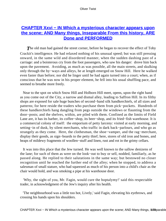# **CHAPTER Xxvi – IN Which a mysterious character appears upon [the scene; AND Many things, Inseparable From this history, ARE](#page-394-0) [Done and PERFORMED](#page-394-0)**

**The old man had gained the street corner, before he began to recover the effect of Toby** Crackit's intelligence. He had relaxed nothing of his unusual speed; but was still pressing onward, in the same wild and disordered manner, when the sudden dashing past of a carriage: and a boisterous cry from the foot passengers, who saw his danger: drove him back upon the pavement. Avoiding, as much as was possible, all the main streets, and skulking only through the by−ways and alleys, he at length emerged on Snow Hill. Here he walked even faster than before; nor did he linger until he had again turned into a court; when, as if conscious that he was now in his proper element, he fell into his usual shuffling pace, and seemed to breathe more freely.

 Near to the spot on which Snow Hill and Holborn Hill meet, opens, upon the right hand as you come out of the City, a narrow and dismal alley, leading to Saffron Hill. In its filthy shops are exposed for sale huge bunches of second−hand silk handkerchiefs, of all sizes and patterns; for here reside the traders who purchase them from pick−pockets. Hundreds of these handkerchiefs hang dangling from pegs outside the windows or flaunting from the door−posts; and the shelves, within, are piled with them. Confined as the limits of Field Lane are, it has its barber, its coffee−shop, its beer−shop, and its fried−fish warehouse. It is a commercial colony of itself: the emporium of petty larceny: visited at early morning, and setting−in of dusk, by silent merchants, who traffic in dark back−parlours, and who go as strangely as they come. Here, the clothesman, the shoe−vamper, and the rag−merchant, display their goods, as sign−boards to the petty thief; here, stores of old iron and bones, and heaps of mildewy fragments of woollen−stuff and linen, rust and rot in the grimy cellars.

 It was into this place that the Jew turned. He was well known to the sallow denizens of the lane; for such of them as were on the look−out to buy or sell, nodded, familiarly, as he passed along. He replied to their salutations in the same way; but bestowed no closer recognition until he reached the further end of the alley; when he stopped, to address a salesman of small stature, who had squeezed as much of his person into a child's chair as the chair would hold, and was smoking a pipe at his warehouse door.

 'Why, the sight of you, Mr. Fagin, would cure the hoptalymy!' said this respectable trader, in acknowledgment of the Jew's inquiry after his health.

 'The neighbourhood was a little too hot, Lively,' said Fagin, elevating his eyebrows, and crossing his hands upon his shoulders.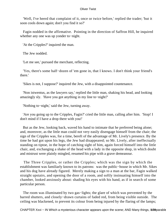'Well, I've heerd that complaint of it, once or twice before,' replied the trader; 'but it soon cools down again; don't you find it so?'

 Fagin nodded in the affirmative. Pointing in the direction of Saffron Hill, he inquired whether any one was up yonder to−night.

'At the Cripples?' inquired the man.

The Jew nodded.

'Let me see,' pursued the merchant, reflecting.

 'Yes, there's some half−dozen of 'em gone in, that I knows. I don't think your friend's there.'

'Sikes is not, I suppose?' inquired the Jew, with a disappointed countenance.

 'Non istwentus, as the lawyers say,' replied the little man, shaking his head, and looking amazingly sly. 'Have you got anything in my line to−night?'

'Nothing to−night,' said the Jew, turning away.

 'Are you going up to the Cripples, Fagin?' cried the little man, calling after him. 'Stop! I don't mind if I have a drop there with you!'

 But as the Jew, looking back, waved his hand to intimate that he preferred being alone; and, moreover, as the little man could not very easily disengage himself from the chair; the sign of the Cripples was, for a time, bereft of the advantage of Mr. Lively's presence. By the time he had got upon his legs, the Jew had disappeared; so Mr. Lively, after ineffectually standing on tiptoe, in the hope of catching sight of him, again forced himself into the little chair, and, exchanging a shake of the head with a lady in the opposite shop, in which doubt and mistrust were plainly mingled, resumed his pipe with a grave demeanour.

 The Three Cripples, or rather the Cripples; which was the sign by which the establishment was familiarly known to its patrons: was the public−house in which Mr. Sikes and his dog have already figured. Merely making a sign to a man at the bar, Fagin walked straight upstairs, and opening the door of a room, and softly insinuating himself into the chamber, looked anxiously about: shading his eyes with his hand, as if in search of some particular person.

 The room was illuminated by two gas−lights; the glare of which was prevented by the barred shutters, and closely−drawn curtains of faded red, from being visible outside. The ceiling was blackened, to prevent its colour from being injured by the flaring of the lamps;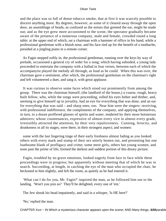and the place was so full of dense tobacco smoke, that at first it was scarcely possible to discern anything more. By degrees, however, as some of it cleared away through the open door, an assemblage of heads, as confused as the noises that greeted the ear, might be made out; and as the eye grew more accustomed to the scene, the spectator gradually became aware of the presence of a numerous company, male and female, crowded round a long table: at the upper end of which, sat a chairman with a hammer of office in his hand; while a professional gentleman with a bluish nose, and his face tied up for the benefit of a toothache, presided at a jingling piano in a remote corner.

 As Fagin stepped softly in, the professional gentleman, running over the keys by way of prelude, occasioned a general cry of order for a song; which having subsided, a young lady proceeded to entertain the company with a ballad in four verses, between each of which the accompanyist played the melody all through, as loud as he could. When this was over, the chairman gave a sentiment, after which, the professional gentleman on the chairman's right and left volunteered a duet, and sang it, with great applause.

 It was curious to observe some faces which stood out prominently from among the group. There was the chairman himself, (the landlord of the house,) a coarse, rough, heavy built fellow, who, while the songs were proceeding, rolled his eyes hither and thither, and, seeming to give himself up to joviality, had an eye for everything that was done, and an ear for everything that was said – and sharp ones, too. Near him were the singers: receiving, with professional indifference, the compliments of the company, and applying themselves, in turn, to a dozen proffered glasses of spirits and water, tendered by their more boisterous admirers; whose countenances, expressive of almost every vice in almost every grade, irresistibly attracted the attention, by their very repulsiveness. Cunning, ferocity, and drunkeness in all its stages, were there, in their strongest aspect; and women:

 some with the last lingering tinge of their early freshness almost fading as you looked: others with every mark and stamp of their sex utterly beaten out, and presenting but one loathsome blank of profligacy and crime; some mere girls, others but young women, and none past the prime of life; formed the darkest and saddest portion of this dreary picture.

 Fagin, troubled by no grave emotions, looked eagerly from face to face while these proceedings were in progress; but apparently without meeting that of which he was in search. Succeeding, at length, in catching the eye of the man who occupied the chair, he beckoned to him slightly, and left the room, as quietly as he had entered it.

 'What can I do for you, Mr. Fagin?' inquired the man, as he followed him out to the landing. 'Won't you join us? They'll be delighted, every one of 'em.'

The Jew shook his head impatiently, and said in a whisper, 'Is HE here?'

'No,' replied the man.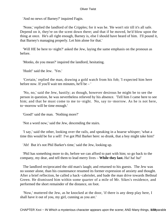'And no news of Barney?' inquired Fagin.

 'None,' replied the landlord of the Cripples; for it was he. 'He won't stir till it's all safe. Depend on it, they're on the scent down there; and that if he moved, he'd blow upon the thing at once. He's all right enough, Barney is, else I should have heard of him. I'll pound it, that Barney's managing properly. Let him alone for that.'

 'Will HE be here to−night?' asked the Jew, laying the same emphasis on the pronoun as before.

'Monks, do you mean?' inquired the landlord, hesitating.

'Hush!' said the Jew. 'Yes.'

 'Certain,' replied the man, drawing a gold watch from his fob; 'I expected him here before now. If you'll wait ten minutes, he'll be – '

 'No, no,' said the Jew, hastily; as though, however desirous he might be to see the person in question, he was nevertheless relieved by his absence. 'Tell him I came here to see him; and that he must come to me to−night. No, say to−morrow. As he is not here, to−morrow will be time enough.'

'Good!' said the man. 'Nothing more?'

'Not a word now,' said the Jew, descending the stairs.

 'I say,' said the other, looking over the rails, and speaking in a hoarse whisper; 'what a time this would be for a sell! I've got Phil Barker here: so drunk, that a boy might take him!'

'Ah! But it's not Phil Barker's time,' said the Jew, looking up.

 'Phil has something more to do, before we can afford to part with him; so go back to the company, my dear, and tell them to lead merry lives – **While they last.** Ha! ha! ha!'

 The landlord reciprocated the old man's laugh; and returned to his guests. The Jew was no sooner alone, than his countenance resumed its former expression of anxiety and thought. After a brief reflection, he called a hack−cabriolet, and bade the man drive towards Bethnal Green. He dismissed him within some quarter of a mile of Mr. Sikes's residence, and performed the short remainder of the distance, on foot.

 'Now,' muttered the Jew, as he knocked at the door, 'if there is any deep play here, I shall have it out of you, my girl, cunning as you are.'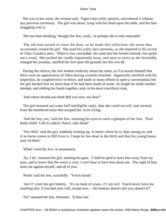She was in her room, the woman said. Fagin crept softly upstairs, and entered it without any previous ceremony. The girl was alone; lying with her head upon the table, and her hair straggling over it.

'She has been drinking,' thought the Jew, cooly, 'or perhaps she is only miserable.'

 The old man turned to close the door, as he made this reflection; the noise thus occasioned, roused the girl. She eyed his crafty face narrowly, as she inquired to his recital of Toby Crackit's story. When it was concluded, she sank into her former attitude, but spoke not a word. She pushed the candle impatiently away; and once or twice as she feverishly changed her position, shuffled her feet upon the ground; but this was all.

 During the silence, the Jew looked restlessly about the room, as if to assure himself that there were no appearances of Sikes having covertly returned. Apparently satisfied with his inspection, he coughed twice or thrice, and made as many efforts to open a conversation; but the girl heeded him no more than if he had been made of stone. At length he made another attempt; and rubbing his hands together, said, in his most concilitory tone,

'And where should you think Bill was now, my dear?'

 The girl moaned out some half intelligible reply, that she could not tell; and seemed, from the smothered noise that escaped her, to be crying.

 'And the boy, too,' said the Jew, straining his eyes to catch a glimpse of her face. 'Poor leetle child! Left in a ditch, Nance; only think!'

 'The child,' said the girl, suddenly looking up, 'is better where he is, than among us; and if no harm comes to Bill from it, I hope he lies dead in the ditch and that his young bones may rot there.'

'What!' cried the Jew, in amazement.

 'Ay, I do,' returned the girl, meeting his gaze. 'I shall be glad to have him away from my eyes, and to know that the worst is over. I can't bear to have him about me. The sight of him turns me against myself, and all of you.'

'Pooh!' said the Jew, scornfully. 'You're drunk.'

 'Am I?' cried the girl bitterly. 'It's no fault of yours, if I am not! You'd never have me anything else, if you had your will, except now; – the humour doesn't suit you, doesn't it?'

'No!' rejoined the Jew, furiously. 'It does not.'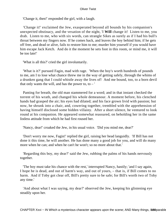'Change it, then!' responded the girl, with a laugh.

 'Change it!' exclaimed the Jew, exasperated beyond all bounds by his companion's unexpected obstinacy, and the vexation of the night, 'I **Will** change it! Listen to me, you drab. Listen to me, who with six words, can strangle Sikes as surely as if I had his bull's throat between my fingers now. If he comes back, and leaves the boy behind him; if he gets off free, and dead or alive, fails to restore him to me; murder him yourself if you would have him escape Jack Ketch. And do it the moment he sets foot in this room, or mind me, it will be too late!'

'What is all this?' cried the girl involuntarily.

 'What is it?' pursued Fagin, mad with rage. 'When the boy's worth hundreds of pounds to me, am I to lose what chance threw me in the way of getting safely, through the whims of a drunken gang that I could whistle away the lives of! And me bound, too, to a born devil that only wants the will, and has the power to, to  $-$ 

 Panting for breath, the old man stammered for a word; and in that instant checked the torrent of his wrath, and changed his whole demeanour. A moment before, his clenched hands had grasped the air; his eyes had dilated; and his face grown livid with passion; but now, he shrunk into a chair, and, cowering together, trembled with the apprehension of having himself disclosed some hidden villainy. After a short silence, he ventured to look round at his companion. He appeared somewhat reassured, on beholding her in the same listless attitude from which he had first roused her.

'Nancy, dear!' croaked the Jew, in his usual voice. 'Did you mind me, dear?'

 'Don't worry me now, Fagin!' replied the girl, raising her head languidly. 'If Bill has not done it this time, he will another. He has done many a good job for you, and will do many more when he can; and when he can't he won't; so no more about that.'

 'Regarding this boy, my dear?' said the Jew, rubbing the palms of his hands nervously together.

 'The boy must take his chance with the rest,' interrupted Nancy, hastily; 'and I say again, I hope he is dead, and out of harm's way, and out of yours, – that is, if Bill comes to no harm. And if Toby got clear off, Bill's pretty sure to be safe; for Bill's worth two of Toby any time.'

 'And about what I was saying, my dear?' observed the Jew, keeping his glistening eye steadily upon her.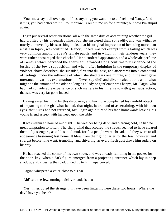'Your must say it all over again, if it's anything you want me to do,' rejoined Nancy; 'and if it is, you had better wait till to−morrow. You put me up for a minute; but now I'm stupid again.'

 Fagin put several other questions: all with the same drift of ascertaining whether the girl had profited by his unguarded hints; but, she answered them so readily, and was withal so utterly unmoved by his searching looks, that his original impression of her being more than a trifle in liquor, was confirmed. Nancy, indeed, was not exempt from a failing which was very common among the Jew's female pupils; and in which, in their tenderer years, they were rather encouraged than checked. Her disordered appearance, and a wholesale perfume of Geneva which pervaded the apartment, afforded stong confirmatory evidence of the justice of the Jew's supposition; and when, after indulging in the temporary display of violence above described, she subsided, first into dullness, and afterwards into a compound of feelings: under the influence of which she shed tears one minute, and in the next gave utterance to various exclamations of 'Never say die!' and divers calculations as to what might be the amount of the odds so long as a lady or gentleman was happy, Mr. Fagin, who had had considerable experience of such matters in his time, saw, with great satisfaction, that she was very far gone indeed.

 Having eased his mind by this discovery; and having accomplished his twofold object of imparting to the girl what he had, that night, heard, and of ascertaining, with his own eyes, that Sikes had not returned, Mr. Fagin again turned his face homeward: leaving his young friend asleep, with her head upon the table.

 It was within an hour of midnight. The weather being dark, and piercing cold, he had no great temptation to loiter. The sharp wind that scoured the streets, seemed to have cleared them of passengers, as of dust and mud, for few people were abroad, and they were to all appearance hastening fast home. It blew from the right quarter for the Jew, however, and straight before it he went: trembling, and shivering, as every fresh gust drove him rudely on his way.

 He had reached the corner of his own street, and was already fumbling in his pocket for the door−key, when a dark figure emerged from a projecting entrance which lay in deep shadow, and, crossing the road, glided up to him unperceived.

'Fagin!' whispered a voice close to his ear.

'Ah!' said the Jew, turning quickly round, 'is that – '

 'Yes!' interrupted the stranger. 'I have been lingering here these two hours. Where the devil have you been?'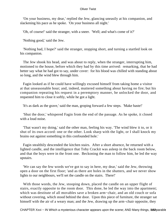'On your business, my dear,' replied the Jew, glancing uneasily at his companion, and slackening his pace as he spoke. 'On your business all night.'

'Oh, of course!' said the stranger, with a sneer. 'Well; and what's come of it?'

'Nothing good,' said the Jew.

 'Nothing bad, I hope?' said the stranger, stopping short, and turning a startled look on his companion.

 The Jew shook his head, and was about to reply, when the stranger, interrupting him, motioned to the house, before which they had by this time arrived: remarking, that he had better say what he had got to say, under cover: for his blood was chilled with standing about so long, and the wind blew through him.

 Fagin looked as if he could have willingly excused himself from taking home a visitor at that unseasonable hour; and, indeed, muttered something about having no fire; but his companion repeating his request in a peremptory manner, he unlocked the door, and requested him to close it softly, while he got a light.

'It's as dark as the grave,' said the man, groping forward a few steps. 'Make haste!'

 'Shut the door,' whispered Fagin from the end of the passage. As he spoke, it closed with a loud noise.

 'That wasn't my doing,' said the other man, feeling his way. 'The wind blew it to, or it shut of its own accord: one or the other. Look sharp with the light, or I shall knock my brains out against something in this confounded hole.'

 Fagin stealthily descended the kitchen stairs. After a short absence, he returned with a lighted candle, and the intelligence that Toby Crackit was asleep in the back room below, and that the boys were in the front one. Beckoning the man to follow him, he led the way upstairs.

 'We can say the few words we've got to say in here, my dear,' said the Jew, throwing open a door on the first floor; 'and as there are holes in the shutters, and we never show lights to our neighbours, we'll set the candle on the stairs. There!'

 With those words, the Jew, stooping down, placed the candle on an upper flight of stairs, exactly opposite to the room door. This done, he led the way into the apartment; which was destitute of all movables save a broken arm−chair, and an old couch or sofa without covering, which stood behind the door. Upon this piece of furniture, the stranger sat himself with the air of a weary man; and the Jew, drawing up the arm−chair opposite, they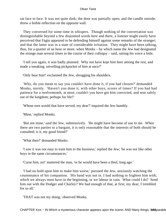sat face to face. It was not quite dark; the door was partially open; and the candle outside, threw a feeble reflection on the opposite wall.

 They conversed for some time in whispers. Though nothing of the conversation was distinguishable beyond a few disjointed words here and there, a listener might easily have perceived that Fagin appeared to be defending himself against some remarks of the stranger; and that the latter was in a state of considerable irritation. They might have been talking, thus, for a quarter of an hour or more, when Monks – by which name the Jew had designated the strange man several times in the course of their colloquy – said, raising his voice a little,

 'I tell you again, it was badly planned. Why not have kept him here among the rest, and made a sneaking, snivelling pickpocket of him at once?'

'Only hear him!' exclaimed the Jew, shrugging his shoulders.

 'Why, do you mean to say you couldn't have done it, if you had chosen?' demanded Monks, sternly. 'Haven't you done it, with other boys, scores of times? If you had had patience for a twelvemonth, at most, couldn't you have got him convicted, and sent safely out of the kingdom; perhaps for life?'

'Whose turn would that have served, my dear?' inquired the Jew humbly.

'Mine,' replied Monks.

 'But not mine,' said the Jew, submissively. 'He might have become of use to me. When there are two parties to a bargain, it is only reasonable that the interests of both should be consulted; is it, my good friend?'

'What then?' demanded Monks.

 'I saw it was not easy to train him to the business,' replied the Jew; 'he was not like other boys in the same circumstances.'

'Curse him, no!' muttered the man, 'or he would have been a thief, long ago.'

 'I had no hold upon him to make him worse,' pursued the Jew, anxiously watching the countenance of his companion. 'His hand was not in. I had nothing to frighten him with; which we always must have in the beginning, or we labour in vain. What could I do? Send him out with the Dodger and Charley? We had enough of that, at first, my dear; I trembled for us all.'

'THAT was not my doing,' observed Monks.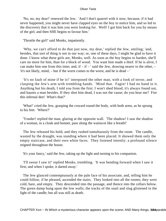'No, no, my dear!' renewed the Jew. 'And I don't quarrel with it now; because, if it had never happened, you might never have clapped eyes on the boy to notice him, and so led to the discovery that it was him you were looking for. Well! I got him back for you by means of the girl; and then SHE begins to favour him.'

'Throttle the girl!' said Monks, impatiently.

 'Why, we can't afford to do that just now, my dear,' replied the Jew, smiling; 'and, besides, that sort of thing is not in our way; or, one of these days, I might be glad to have it done. I know what these girls are, Monks, well. As soon as the boy begins to harden, she'll care no more for him, than for a block of wood. You want him made a thief. If he is alive, I can make him one from this time; and, if  $-$  if  $-$  ' said the Jew, drawing nearer to the other,  $-$ 'it's not likely, mind, – but if the worst comes to the worst, and he is dead – '

 'It's no fault of mine if he is!' interposed the other man, with a look of terror, and clasping the Jew's arm with trembling hands. 'Mind that. Fagin! I had no hand in it. Anything but his death, I told you from the first. I won't shed blood; it's always found out, and haunts a man besides. If they shot him dead, I was not the cause; do you hear me? Fire this infernal den! What's that?'

 'What!' cried the Jew, grasping the coward round the body, with both arms, as he sprung to his feet. 'Where?'

 'Yonder! replied the man, glaring at the opposite wall. 'The shadow! I saw the shadow of a woman, in a cloak and bonnet, pass along the wainscot like a breath!'

 The Jew released his hold, and they rushed tumultuously from the room. The candle, wasted by the draught, was standing where it had been placed. It showed them only the empty staircase, and their own white faces. They listened intently: a profound silence reigned throughout the house.

'It's your fancy,' said the Jew, taking up the light and turning to his companion.

 'I'll swear I saw it!' replied Monks, trembling. 'It was bending forward when I saw it first; and when I spoke, it darted away.'

 The Jew glanced contemptuously at the pale face of his associate, and, telling him he could follow, if he pleased, ascended the stairs. They looked into all the rooms; they were cold, bare, and empty. They descended into the passage, and thence into the cellars below. The green damp hung upon the low walls; the tracks of the snail and slug glistened in the light of the candle; but all was still as death.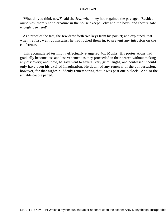'What do you think now?' said the Jew, when they had regained the passage. 'Besides ourselves, there's not a creature in the house except Toby and the boys; and they're safe enough. See here!'

 As a proof of the fact, the Jew drew forth two keys from his pocket; and explained, that when he first went downstairs, he had locked them in, to prevent any intrusion on the conference.

 This accumulated testimony effectually staggered Mr. Monks. His protestations had gradually become less and less vehement as they proceeded in their search without making any discovery; and, now, he gave vent to several very grim laughs, and confessed it could only have been his excited imagination. He declined any renewal of the conversation, however, for that night: suddenly remembering that it was past one o'clock. And so the amiable couple parted.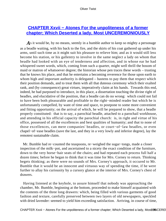# **[CHAPTER Xxvii − Atones For the unpoliteness of a former](#page-395-0) [chapter; Which Deserted a lady, Most UNCEREMONIOUSLY](#page-395-0)**

As it would be, by no means, seemly in a humble author to keep so mighty a personage as a beadle waiting, with his back to the fire, and the skirts of his coat gathered up under his arms, until such time as it might suit his pleasure to relieve him; and as it would still less become his station, or his gallentry to involve in the same neglect a lady on whom that beadle had looked with an eye of tenderness and affection, and in whose ear he had whispered sweet words, which, coming from such a quarter, might well thrill the bosom of maid or matron of whatsoever degree; the historian whose pen traces these words – trusting that he knows his place, and that he entertains a becoming reverence for those upon earth to whom high and important authority is delegated – hastens to pay them that respect which their position demands, and to treat them with all that duteous ceremony which their exalted rank, and (by consequence) great virtues, imperatively claim at his hands. Towards this end, indeed, he had purposed to introduce, in this place, a dissertation touching the divine right of beadles, and elucidative of the position, that a beadle can do no wrong: which could not fail to have been both pleasurable and profitable to the right−minded reader but which he is unfortunately compelled, by want of time and space, to postpone to some more convenient and fitting opportunity; on the arrival of which, he will be prepared to show, that a beadle properly constituted: that is to say, a parochial beadle, attached to a parochail workhouse, and attending in his official capacity the parochial church: is, in right and virtue of his office, possessed of all the excellences and best qualities of humanity; and that to none of those excellences, can mere companies' beadles, or court−of−law beadles, or even chapel−of−ease beadles (save the last, and they in a very lowly and inferior degree), lay the remotest sustainable claim.

 Mr. Bumble had re−counted the teaspoons, re−weighed the sugar−tongs, made a closer inspection of the milk−pot, and ascertained to a nicety the exact condition of the furniture, down to the very horse−hair seats of the chairs; and had repeated each process full half a dozen times; before he began to think that it was time for Mrs. Corney to return. Thinking begets thinking; as there were no sounds of Mrs. Corney's approach, it occured to Mr. Bumble that it would be an innocent and virtuous way of spending the time, if he were further to allay his curiousity by a cursory glance at the interior of Mrs. Corney's chest of drawers.

 Having listened at the keyhole, to assure himself that nobody was approaching the chamber, Mr. Bumble, beginning at the bottom, proceeded to make himself acquainted with the contents of the three long drawers: which, being filled with various garments of good fashion and texture, carefully preserved between two layers of old newspapers, speckled with dried lavender: seemed to yield him exceeding satisfaction. Arriving, in course of time,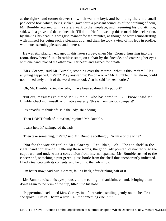at the right−hand corner drawer (in which was the key), and beholding therein a small padlocked box, which, being shaken, gave forth a pleasant sound, as of the chinking of coin, Mr. Bumble returned with a stately walk to the fireplace; and, resuming his old attitude, said, with a grave and determined air, 'I'll do it!' He followed up this remarkable declaration, by shaking his head in a waggish manner for ten minutes, as though he were remonstrating with himself for being such a pleasant dog; and then, he took a view of his legs in profile, with much seeming pleasure and interest.

 He was still placidly engaged in this latter survey, when Mrs. Corney, hurrying into the room, threw herself, in a breathless state, on a chair by the fireside, and covering her eyes with one hand, placed the other over her heart, and gasped for breath.

 'Mrs. Corney,' said Mr. Bumble, stooping over the matron, 'what is this, ma'am? Has anything happened, ma'am? Pray answer me: I'm on – on – ' Mr. Bumble, in his alarm, could not immediately think of the word 'tenterhooks,' so he said 'broken bottles.'

'Oh, Mr. Bumble!' cried the lady, 'I have been so dreadfully put out!'

'Put out, ma'am!' exclaimed Mr. Bumble: 'who has dared to  $-$  ? I know!' said Mr. Bumble, checking himself, with native majesty, 'this is them wicious paupers!'

'It's dreadful to think of!' said the lady, shuddering.

'Then DON'T think of it, ma'am,' rejoined Mr. Bumble.

'I can't help it,' whimpered the lady.

'Then take something, ma'am,' said Mr. Bumble soothingly. 'A little of the wine?'

 'Not for the world!' replied Mrs. Corney. 'I couldn't, – oh! The top shelf in the right−hand corner – oh!' Uttering these words, the good lady pointed, distractedly, to the cupboard, and underwent a convulsion from internal spasms. Mr. Bumble rushed to the closet; and, snatching a pint green−glass bottle from the shelf thus incoherently indicated, filled a tea−cup with its contents, and held it to the lady's lips.

'I'm better now,' said Mrs. Corney, falling back, after drinking half of it.

 Mr. Bumble raised his eyes piously to the ceiling in thankfulness; and, bringing them down again to the brim of the cup, lifted it to his nose.

 'Peppermint,' exclaimed Mrs. Corney, in a faint voice, smiling gently on the beadle as she spoke. 'Try it! There's a little – a little something else in it.'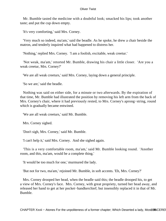Mr. Bumble tasted the medicine with a doubtful look; smacked his lips; took another taste; and put the cup down empty.

'It's very comforting,' said Mrs. Corney.

 'Very much so indeed, ma'am,' said the beadle. As he spoke, he drew a chair beside the matron, and tenderly inquired what had happened to distress her.

'Nothing,' replied Mrs. Corney. 'I am a foolish, excitable, weak creetur.'

 'Not weak, ma'am,' retorted Mr. Bumble, drawing his chair a little closer. 'Are you a weak creetur, Mrs. Corney?'

'We are all weak creeturs,' said Mrs. Corney, laying down a general principle.

'So we are,' said the beadle.

 Nothing was said on either side, for a minute or two afterwards. By the expiration of that time, Mr. Bumble had illustrated the position by removing his left arm from the back of Mrs. Corney's chair, where it had previously rested, to Mrs. Corney's aprong−string, round which is gradually became entwined.

'We are all weak creeturs,' said Mr. Bumble.

Mrs. Corney sighed.

'Don't sigh, Mrs. Corney,' said Mr. Bumble.

'I can't help it,' said Mrs. Corney. And she sighed again.

 'This is a very comfortable room, ma'am,' said Mr. Bumble looking round. 'Another room, and this, ma'am, would be a complete thing.'

'It would be too much for one,' murmured the lady.

'But not for two, ma'am,' rejoined Mr. Bumble, in soft accents. 'Eh, Mrs. Corney?'

 Mrs. Corney drooped her head, when the beadle said this; the beadle drooped his, to get a view of Mrs. Corney's face. Mrs. Corney, with great propriety, turned her head away, and released her hand to get at her pocket−handkerchief; but insensibly replaced it in that of Mr. Bumble.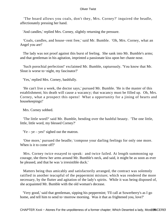'The board allows you coals, don't they, Mrs. Corney?' inquired the beadle, affectionately pressing her hand.

'And candles,' replied Mrs. Corney, slightly returning the pressure.

 'Coals, candles, and house−rent free,' said Mr. Bumble. 'Oh, Mrs. Corney, what an Angel you are!'

 The lady was not proof against this burst of feeling. She sank into Mr. Bumble's arms; and that gentleman in his agitation, imprinted a passionate kiss upon her chaste nose.

 'Such porochial perfection!' exclaimed Mr. Bumble, rapturously. 'You know that Mr. Slout is worse to−night, my fascinator?'

'Yes,' replied Mrs. Corney, bashfully.

 'He can't live a week, the doctor says,' pursued Mr. Bumble. 'He is the master of this establishment; his death will cause a wacancy; that wacancy must be filled up. Oh, Mrs. Corney, what a prospect this opens! What a opportunity for a jining of hearts and housekeepings!'

Mrs. Corney sobbed.

 'The little word?' said Mr. Bumble, bending over the bashful beauty. 'The one little, little, little word, my blessed Corney?'

 $'Ye - ye - yes'$  sighed out the matron.

 'One more,' pursued the beadle; 'compose your darling feelings for only one more. When is it to come off?'

 Mrs. Corney twice essayed to speak: and twice failed. At length summoning up courage, she threw her arms around Mr. Bumble's neck, and said, it might be as soon as ever he pleased, and that he was 'a irresistible duck.'

 Matters being thus amicably and satisfactorily arranged, the contract was solemnly ratified in another teacupful of the peppermint mixture; which was rendered the more necessary, by the flutter and agitation of the lady's spirits. While it was being disposed of, she acquainted Mr. Bumble with the old woman's decease.

 'Very good,' said that gentleman, sipping his peppermint; 'I'll call at Sowerberry's as I go home, and tell him to send to−morrow morning. Was it that as frightened you, love?'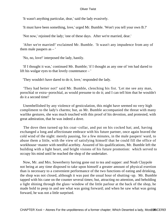'It wasn't anything particular, dear,' said the lady evasively.

'It must have been something, love,' urged Mr. Bumble. 'Won't you tell your own B.?'

'Not now,' rejoined the lady; 'one of these days. After we're married, dear.'

 'After we're married!' exclaimed Mr. Bumble. 'It wasn't any impudence from any of them male paupers as  $-$ '

'No, no, love!' interposed the lady, hastily.

 'If I thought it was,' continued Mr. Bumble; 'if I thought as any one of 'em had dared to lift his wulgar eyes to that lovely countenance – '

'They wouldn't have dared to do it, love,' responded the lady.

 'They had better not!' said Mr. Bumble, clenching his fist. 'Let me see any man, porochial or extra−porochial, as would presume to do it; and I can tell him that he wouldn't do it a second time!'

 Unembellished by any violence of gesticulation, this might have seemed no very high compliment to the lady's charms; but, as Mr. Bumble accompanied the threat with many warlike gestures, she was much touched with this proof of his devotion, and protested, with great admiration, that he was indeed a dove.

The dove then turned up his coat–collar, and put on his cocked hat; and, having exchanged a long and affectionate embrace with his future partner, once again braved the cold wind of the night: merely pausing, for a few minutes, in the male paupers' ward, to abuse them a little, with the view of satisfying himself that he could fill the office of workhouse−master with needful acerbity. Assured of his qualifications, Mr. Bumble left the building with a light heart, and bright visions of his future promotion: which served to occupy his mind until he reached the shop of the undertaker.

 Now, Mr. and Mrs. Sowerberry having gone out to tea and supper: and Noah Claypole not being at any time disposed to take upon himself a greater amount of physical exertion than is necessary to a convenient performance of the two functions of eating and drinking, the shop was not closed, although it was past the usual hour of shutting−up. Mr. Bumble tapped with his cane on the counter several times; but, attracting no attention, and beholding a light shining through the glass−window of the little parlour at the back of the shop, he made bold to peep in and see what was going forward; and when he saw what was going forward, he was not a little surprised.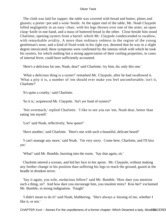The cloth was laid for supper; the table was covered with bread and butter, plates and glasses; a porter−pot and a wine−bottle. At the upper end of the table, Mr. Noah Claypole lolled negligently in an easy−chair, with his legs thrown over one of the arms: an open clasp−knife in one hand, and a mass of buttered bread in the other. Close beside him stood Charlotte, opening oysters from a barrel: which Mr. Claypole condescended to swallow, with remarkable avidity. A more than ordinary redness in the region of the young gentleman's nose, and a kind of fixed wink in his right eye, denoted that he was in a slight degree intoxicated; these symptoms were confirmed by the intense relish with which he took his oysters, for which nothing but a strong appreciation of their cooling properties, in cases of internal fever, could have sufficiently accounted.

'Here's a delicious fat one, Noah, dear!' said Charlotte; 'try him, do; only this one.'

 'What a delicious thing is a oyster!' remarked Mr. Claypole, after he had swallowed it. 'What a pity it is, a number of 'em should ever make you feel uncomfortable; isn't it, Charlotte?'

'It's quite a cruelty,' said Charlotte.

'So it is,' acquiesced Mr. Claypole. 'An't yer fond of oysters?'

 'Not overmuch,' replied Charlotte. 'I like to see you eat 'em, Noah dear, better than eating 'em myself.'

'Lor!' said Noah, reflectively; 'how queer!'

'Have another,' said Charlotte. 'Here's one with such a beautiful, delicate beard!'

 'I can't manage any more,' said Noah. 'I'm very sorry. Come here, Charlotte, and I'll kiss yer.'

'What!' said Mr. Bumble, bursting into the room. 'Say that again, sir.'

 Charlotte uttered a scream, and hid her face in her apron. Mr. Claypole, without making any further change in his position than suffering his legs to reach the ground, gazed at the beadle in drunken terror.

 'Say it again, you wile, owdacious fellow!' said Mr. Bumble. 'How dare you mention such a thing, sir? And how dare you encourage him, you insolent minx? Kiss her!' exclaimed Mr. Bumble, in strong indignation. 'Faugh!'

 'I didn't mean to do it!' said Noah, blubbering. 'She's always a−kissing of me, whether I like it, or not.'

CHAPTER Xxvii - Atones For the unpoliteness of a former chapter; Which Deserted a lady, Most10NCEREI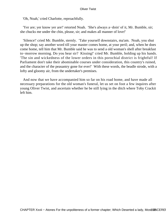'Oh, Noah,' cried Charlotte, reproachfully.

 'Yer are; yer know yer are!' retorted Noah. 'She's always a−doin' of it, Mr. Bumble, sir; she chucks me under the chin, please, sir; and makes all manner of love!'

 'Silence!' cried Mr. Bumble, sternly. 'Take yourself downstairs, ma'am. Noah, you shut up the shop; say another word till your master comes home, at your peril; and, when he does come home, tell him that Mr. Bumble said he was to send a old woman's shell after breakfast to−morrow morning. Do you hear sir? Kissing!' cried Mr. Bumble, holding up his hands. 'The sin and wickedness of the lower orders in this porochial district is frightful! If Parliament don't take their abominable courses under consideration, this country's ruined, and the character of the peasantry gone for ever!' With these words, the beadle strode, with a lofty and gloomy air, from the undertaker's premises.

 And now that we have accompanied him so far on his road home, and have made all necessary preparations for the old woman's funeral, let us set on foot a few inquires after young Oliver Twist, and ascertain whether he be still lying in the ditch where Toby Crackit left him.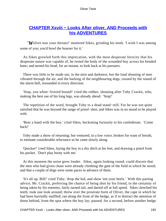# **CHAPTER Xxviii – Looks After oliver, AND Proceeds with [his ADVENTURES](#page-395-0)**

*'W*olves tear your throats!' muttered Sikes, grinding his teeth. 'I wish I was among some of you; you'd howl the hoarser for it.'

 As Sikes growled forth this imprecation, with the most desperate ferocity that his desperate nature was capable of, he rested the body of the wounded boy across his bended knee; and turned his head, for an instant, to look back at his pursuers.

 There was little to be made out, in the mist and darkness; but the loud shouting of men vibrated through the air, and the barking of the neighbouring dogs, roused by the sound of the alarm bell, resounded in every direction.

 'Stop, you white−livered hound!' cried the robber, shouting after Toby Crackit, who, making the best use of his long legs, was already ahead. 'Stop!'

 The repetition of the word, brought Toby to a dead stand−still. For he was not quite satisfied that he was beyond the range of pistol−shot; and Sikes was in no mood to be played with.

 'Bear a hand with the boy,' cried Sikes, beckoning furiously to his confederate. 'Come back!'

 Toby made a show of returning; but ventured, in a low voice, broken for want of breath, to intimate considerable reluctance as he came slowly along.

 'Quicker!' cried Sikes, laying the boy in a dry ditch at his feet, and drawing a pistol from his pocket. 'Don't play booty with me.'

 At this moment the noise grew louder. Sikes, again looking round, could discern that the men who had given chase were already climbing the gate of the field in which he stood; and that a couple of dogs were some paces in advance of them.

 'It's all up, Bill!' cried Toby; 'drop the kid, and show 'em your heels.' With this parting advice, Mr. Crackit, preferring the chance of being shot by his friend, to the certainty of being taken by his enemies, fairly turned tail, and darted off at full speed. Sikes clenched his teeth; took one look around; threw over the prostrate form of Oliver, the cape in which he had been hurriedly muffled; ran along the front of the hedge, as if to distract the attention of those behind, from the spot where the boy lay; paused, for a second, before another hedge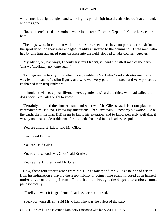which met it at right angles; and whirling his pistol high into the air, cleared it at a bound, and was gone.

 'Ho, ho, there!' cried a tremulous voice in the rear. 'Pincher! Neptune! Come here, come here!'

 The dogs, who, in common with their masters, seemed to have no particular relish for the sport in which they were engaged, readily answered to the command. Three men, who had by this time advanced some distance into the field, stopped to take counsel together.

 'My advice, or, leastways, I should say, my **Orders,** is,' said the fattest man of the party, 'that we 'mediately go home again.'

 'I am agreeable to anything which is agreeable to Mr. Giles,' said a shorter man; who was by no means of a slim figure, and who was very pale in the face, and very polite: as frightened men frequently are.

 'I shouldn't wish to appear ill−mannered, gentlemen,' said the third, who had called the dogs back, 'Mr. Giles ought to know.'

 'Certainly,' replied the shorter man; 'and whatever Mr. Giles says, it isn't our place to contradict him. No, no, I know my sitiwation! Thank my stars, I know my sitiwation.' To tell the truth, the little man DID seem to know his situation, and to know perfectly well that it was by no means a desirable one; for his teeth chattered in his head as he spoke.

'You are afraid, Brittles,' said Mr. Giles.

'I an't,' said Brittles.

'You are,' said Giles.

'You're a falsehood, Mr. Giles,' said Brittles.

'You're a lie, Brittles,' said Mr. Giles.

 Now, these four retorts arose from Mr. Giles's taunt; and Mr. Giles's taunt had arisen from his indignation at having the responsibility of going home again, imposed upon himself under cover of a compliment. The third man brought the dispute to a close, most philosophically.

'I'll tell you what it is, gentlemen,' said he, 'we're all afraid.'

'Speak for yourself, sir,' said Mr. Giles, who was the palest of the party.

CHAPTER Xxviii – Looks After oliver, AND Proceeds with his ADVENTURES 194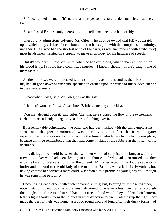'So I do,' replied the man. 'It's natural and proper to be afraid, under such circumstances. I am.'

'So am I,' said Brittles; 'only there's no call to tell a man he is, so bounceably.'

 These frank admissions softened Mr. Giles, who at once owned that HE was afraid; upon which, they all three faced about, and ran back again with the completest unanimity, until Mr. Giles (who had the shortest wind of the party, as was encumbered with a pitchfork) most handsomely insisted on stopping, to make an apology for his hastiness of speech.

 'But it's wonderful,' said Mr. Giles, when he had explained, 'what a man will do, when his blood is up. I should have committed murder – I know I should – if we'd caught one of them rascals.'

 As the other two were impressed with a similar presentiment; and as their blood, like his, had all gone down again; some speculation ensued upon the cause of this sudden change in their temperament.

'I know what it was,' said Mr. Giles; 'it was the gate.'

'I shouldn't wonder if it was,' exclaimed Brittles, catching at the idea.

 'You may depend upon it,' said Giles, 'that that gate stopped the flow of the excitement. I felt all mine suddenly going away, as I was climbing over it.'

 By a remarkable coincidence, the other two had been visited with the same unpleasant sensation at that precise moment. It was quite obvious, therefore, that it was the gate; especially as there was no doubt regarding the time at which the change had taken place, because all three remembered that they had come in sight of the robbers at the instant of its occurance.

 This dialogue was held between the two men who had surprised the burglars, and a travelling tinker who had been sleeping in an outhouse, and who had been roused, together with his two mongrel curs, to join in the pursuit. Mr. Giles acted in the double capacity of butler and steward to the old lady of the mansion; Brittles was a lad of all−work: who, having entered her service a mere child, was treated as a promising young boy still, though he was something past thirty.

 Encouraging each other with such converse as this; but, keeping very close together, notwithstanding, and looking apprehensively round, whenever a fresh gust rattled through the boughs; the three men hurried back to a tree, behind which they had left their lantern, lest its light should inform the thieves in what direction to fire. Catching up the light, they made the best of their way home, at a good round trot; and long after their dusky forms had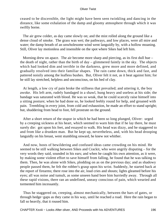ceased to be discernible, the light might have been seen twinkling and dancing in the distance, like some exhalation of the damp and gloomy atmosphere through which it was swiftly borne.

 The air grew colder, as day came slowly on; and the mist rolled along the ground like a dense cloud of smoke. The grass was wet; the pathways, and low places, were all mire and water; the damp breath of an unwholesome wind went languidly by, with a hollow moaning. Still, Oliver lay motionless and insensible on the spot where Sikes had left him.

Morning drew on apace. The air become more sharp and piercing, as its first dull hue – the death of night, rather than the birth of day – glimmered faintly in the sky. The objects which had looked dim and terrible in the darkness, grew more and more defined, and gradually resolved into their familiar shapes. The rain came down, thick and fast, and pattered noisily among the leafless bushes. But, Oliver felt it not, as it beat against him; for he still lay stretched, helpless and unconscious, on his bed of clay.

 At length, a low cry of pain broke the stillness that prevailed; and uttering it, the boy awoke. His left arm, rudely bandaged in a shawl, hung heavy and useless at his side; the bandage was saturated with blood. He was so weak, that he could scarcely raise himself into a sitting posture; when he had done so, he looked feebly round for help, and groaned with pain. Trembling in every joint, from cold and exhaustion, he made an effort to stand upright; but, shuddering from head to foot, fell prostrate on the ground.

 After a short return of the stupor in which he had been so long plunged, Oliver: urged by a creeping sickness at his heart, which seemed to warn him that if he lay there, he must surely die: got upon his feet, and essayed to walk. His head was dizzy, and he staggered to and from like a drunken man. But he kept up, nevertheless, and, with his head drooping languidly on his breast, went stumbling onward, he knew not whither.

 And now, hosts of bewildering and confused ideas came crowding on his mind. He seemed to be still walking between Sikes and Crackit, who were angrily disputing – for the very words they said, sounded in his ears; and when he caught his own attention, as it were, by making some violent effort to save himself from falling, he found that he was talking to them. Then, he was alone with Sikes, plodding on as on the previous day; and as shadowy people passed them, he felt the robber's grasp upon his wrist. Suddenly, he started back at the report of firearms; there rose into the air, loud cries and shouts; lights gleamed before his eyes; all was noise and tumult, as some unseen hand bore him hurriedly away. Through all these rapid visions, there ran an undefined, uneasy conscious of pain, which wearied and tormented him incessantly.

 Thus he staggered on, creeping, almost mechanically, between the bars of gates, or through hedge−gaps as they came in his way, until he reached a road. Here the rain began to fall so heavily, that it roused him.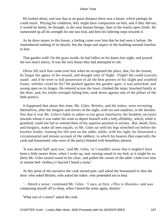He looked about, and saw that at no great distance there was a house, which perhaps he could reach. Pitying his condition, they might have compassion on him; and if they did not, it would be better, he thought, to die near human beings, than in the lonely open fields. He summoned up all his strength for one last trial, and bent his faltering steps towards it.

 As he drew nearer to this house, a feeling come over him that he had seen it before. He remembered nothing of its details; but the shape and aspect of the building seemed familiar to him.

 That garden wall! On the grass inside, he had fallen on his knees last night, and prayed the two men's mercy. It was the very house they had attempted to rob.

 Oliver felt such fear come over him when he recognised the place, that, for the instant, he forgot the agony of his wound, and thought only of flight. Flight! He could scarcely stand: and if he were in full possession of all the best powers of his slight and youthful frame, whither could he fly? He pushed against the garden−gate; it was unlocked, and swung open on its hinges. He tottered across the lawn; climbed the steps; knocked faintly at the door; and, his whole strength failing him, sunk down against one of the pillars of the little portico.

 It happened that about this time, Mr. Giles, Brittles, and the tinker, were recruiting themselves, after the fatigues and terrors of the night, with tea and sundries, in the kitchen. Not that it was Mr. Giles's habit to admit to too great familiarity the humbler servants: towards whom it was rather his wont to deport himself with a lofty affability, which, while it gratified, could not fail to remind them of his superior position in society. But, death, fires, and burglary, make all men equals; so Mr. Giles sat with his legs stretched out before the kitchen fender, leaning his left arm on the table, while, with his right, he illustrated a circumstantial and minute account of the robbery, to which his bearers (but especially the cook and housemaid, who were of the party) listened with breathless interest.

 'It was about half−past tow,' said Mr. Giles, 'or I wouldn't swear that it mightn't have been a little nearer three, when I woke up, and, turning round in my bed, as it might be so, (here Mr. Giles turned round in his chair, and pulled the corner of the table−cloth over him to imitate bed−clothes,) I fancied I heerd a noise.'

 At this point of the narrative the cook turned pale, and asked the housemaid to shut the door: who asked Brittles, who asked the tinker, who pretended not to hear.

 ' – Heerd a noise,' continued Mr. Giles. 'I says, at first, «This is illusion»; and was composing myself off to sleep, when I heerd the noise again, distinct.'

'What sort of a noise?' asked the cook.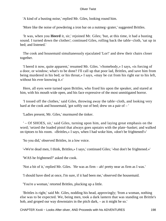'A kind of a busting noise,' replied Mr. Giles, looking round him.

'More like the noise of powdering a iron bar on a nutmeg−grater,' suggested Brittles.

 'It was, when you **Heerd** it, sir,' rejoined Mr. Giles; 'but, at this time, it had a busting sound. I turned down the clothes'; continued Giles, rolling back the table−cloth, 'sat up in bed; and listened.'

 The cook and housemaid simultaneously ejaculated 'Lor!' and drew their chairs closer together.

 'I heerd it now, quite apparent,' resumed Mr. Giles. '«Somebody,» I says, «is forcing of a door, or window; what's to be done? I'll call up that poor lad, Brittles, and save him from being murdered in his bed; or his throat,» I says, «may be cut from his right ear to his left, without his ever knowing it.»'

 Here, all eyes were turned upon Brittles, who fixed his upon the speaker, and stared at him, with his mouth wide open, and his face expressive of the most unmitigated horror.

 'I tossed off the clothes,' said Giles, throwing away the table−cloth, and looking very hard at the cook and housemaid, 'got softly out of bed; drew on a pair of – '

'Ladies present, Mr. Giles,' murmured the tinker.

 ' – Of SHOES, sir,' said Giles, turning upon him, and laying great emphasis on the word; 'seized the loaded pistol that always goes upstairs with the plate−basket; and walked on tiptoes to his room. «Brittles,» I says, when I had woke him, «don't be frightened!»'

'So you did,' observed Brittles, in a low voice.

'«We're dead men, I think, Brittles,» I says,' continued Giles; '«but don't be frightened.»'

'WAS he frightened?' asked the cook.

'Not a bit of it,' replied Mr. Giles. 'He was as firm – ah! pretty near as firm as I was.'

'I should have died at once, I'm sure, if it had been me,' observed the housemaid.

'You're a woman,' retorted Brittles, plucking up a little.

 'Brittles is right,' said Mr. Giles, nodding his head, approvingly; 'from a woman, nothing else was to be expected. We, being men, took a dark lantern that was standing on Brittle's hob, and groped our way downstairs in the pitch dark, – as it might be so.'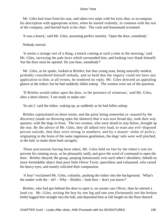Mr. Giles had risen from his seat, and taken two steps with his eyes shut, to accompany his description with appropriate action, when he started violently, in common with the rest of the company, and hurried back to his chair. The cook and housemaid screamed.

'It was a knock,' said Mr. Giles, assuming perfect serenity. 'Open the door, somebody.'

Nobody moved.

 'It seems a strange sort of a thing, a knock coming at such a time in the morning,' said Mr. Giles, surveying the pale faces which surrounded him, and looking very blank himself; 'but the door must be opened. Do you hear, somebody?'

 Mr. Giles, as he spoke, looked at Brittles; but that young man, being naturally modest, probably considered himself nobody, and so held that the inquiry could not have any application to him; at all events, he tendered no reply. Mr. Giles directed an appealing glance at the tinker; but he had suddenly fallen asleep. The women were out of the question.

 'If Brittles would rather open the door, in the presence of witnesses,' said Mr. Giles, after a short silence, 'I am ready to make one.'

'So am I,' said the tinker, waking up, as suddenly as he had fallen asleep.

 Brittles capitualated on these terms; and the party being somewhat re−assured by the discovery (made on throwing open the shutters) that it was now broad day, took their way upstairs; with the dogs in front. The two women, who were afraid to stay below, brought up the rear. By the advice of Mr. Giles, they all talked very loud, to warn any evil−disposed person outside, that they were strong in numbers; and by a master−stoke of policy, originating in the brain of the same ingenious gentleman, the dogs' tails were well pinched, in the hall, to make them bark savagely.

 These precautions having been taken, Mr. Giles held on fast by the tinker's arm (to prevent his running away, as he pleasantly said), and gave the word of command to open the door. Brittles obeyed; the group, peeping timourously over each other's shoulders, beheld no more formidable object than poor little Oliver Twist, speechless and exhausted, who raised his heavy eyes, and mutely solicited their compassion.

 'A boy!' exclaimed Mr. Giles, valiantly, pushing the tinker into the background. 'What's the matter with the  $-$  eh?  $-$  Why  $-$  Brittles  $-$  look here  $-$  don't you know?'

 Brittles, who had got behind the door to open it, no sooner saw Oliver, than he uttered a loud cry. Mr. Giles, seizing the boy by one leg and one arm (fortunately not the broken limb) lugged him straight into the hall, and deposited him at full length on the floor thereof.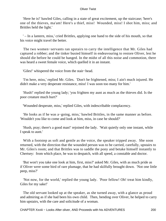'Here he is!' bawled Giles, calling in a state of great excitement, up the staircase; 'here's one of the thieves, ma'am! Here's a thief, miss! Wounded, miss! I shot him, miss; and Brittles held the light.'

 ' – In a lantern, miss,' cried Brittles, applying one hand to the side of his mouth, so that his voice might travel the better.

 The two women−servants ran upstairs to carry the intelligence that Mr. Giles had captured a robber; and the tinker busied himself in endeavouring to restore Oliver, lest he should die before he could be hanged. In the midst of all this noise and commotion, there was heard a sweet female voice, which quelled it in an instant.

'Giles!' whispered the voice from the stair−head.

 'I'm here, miss,' replied Mr. Giles. 'Don't be frightened, miss; I ain't much injured. He didn't make a very desperate resistance, miss! I was soon too many for him.'

 'Hush!' replied the young lady; 'you frighten my aunt as much as the thieves did. Is the poor creature much hurt?'

'Wounded desperate, miss,' replied Giles, with indescribable complacency.

 'He looks as if he was a−going, miss,' bawled Brittles, in the same manner as before. 'Wouldn't you like to come and look at him, miss, in case he should?'

 'Hush, pray; there's a good man!' rejoined the lady. 'Wait quietly only one instant, while I speak to aunt.'

 With a footstep as soft and gentle as the voice, the speaker tripped away. She soon returned, with the direction that the wounded person was to be carried, carefully, upstairs to Mr. Giles's room; and that Brittles was to saddle the pony and betake himself instantly to Chertsey: from which place, he was to despatch, with all speed, a constable and doctor.

 'But won't you take one look at him, first, miss?' asked Mr. Giles, with as much pride as if Oliver were some bird of rare plumage, that he had skilfully brought down. 'Not one little peep, miss?'

 'Not now, for the world,' replied the young lady. 'Poor fellow! Oh! treat him kindly, Giles for my sake!'

 The old servant looked up at the speaker, as she turned away, with a glance as proud and admiring as if she had been his own child. Then, bending over Oliver, he helped to carry him upstairs, with the care and solicitude of a woman.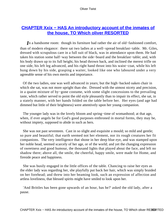# **CHAPTER Xxix – HAS An introductory account of the inmates of [the house, TO Which oliver RESORTED](#page-395-0)**

*I*n a handsome room: though its furniture had rather the air of old−fashioned comfort, than of modern elegance: there sat two ladies at a well−spread breakfast−table. Mr. Giles, dressed with scrupulous care in a full suit of black, was in attendance upon them. He had taken his station some half−way between the side−board and the breakfast−table; and, with his body drawn up to its full height, his head thrown back, and inclined the merest trifle on one side, his left leg advanced, and his right hand thrust into his waist−coat, while his left hung down by his side, grasping a waiter, looked like one who laboured under a very agreeable sense of his own merits and importance.

 Of the two ladies, one was well advanced in years; but the high−backed oaken chair in which she sat, was not more upright than she. Dressed with the utmost nicety and precision, in a quaint mixture of by−gone costume, with some slight concessions to the prevailing taste, which rather served to point the old style pleasantly than to impair its effect, she sat, in a stately manner, with her hands folded on the table before her. Her eyes (and age had dimmed but little of their brightness) were attentively upon her young companion.

The younger lady was in the lovely bloom and spring–time of womanhood; at that age, when, if ever angels be for God's good purposes enthroned in mortal forms, they may be, without impiety, supposed to abide in such as hers.

 She was not past seventeen. Cast in so slight and exquisite a mould; so mild and gentle; so pure and beautiful; that earth seemed not her element, nor its rough creatures her fit companions. The very intelligence that shone in her deep blue eye, and was stamped upon her noble head, seemed scarcely of her age, or of the world; and yet the changing expression of sweetness and good humour, the thousand lights that played about the face, and left no shadow there; above all, the smile, the cheerful, happy smile, were made for Home, and fireside peace and happiness.

 She was busily engaged in the little offices of the table. Chancing to raise her eyes as the elder lady was regarding her, she playfully put back her hair, which was simply braided on her forehead; and threw into her beaming look, such an expression of affection and artless loveliness, that blessed spirits might have smiled to look upon her.

 'And Brittles has been gone upwards of an hour, has he?' asked the old lady, after a pause.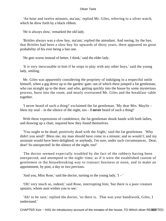'An hour and twelve minutes, ma'am,' replied Mr. Giles, referring to a silver watch, which he drew forth by a black ribbon.

'He is always slow,' remarked the old lady.

 'Brittles always was a slow boy, ma'am,' replied the attendant. And seeing, by the bye, that Brittles had been a slow boy for upwards of thirty years, there appeared no great probability of his ever being a fast one.

'He gets worse instead of better, I think,' said the elder lady.

 'It is very inexcusable in him if he stops to play with any other boys,' said the young lady, smiling.

 Mr. Giles was apparently considering the propriety of indulging in a respectful smile himself, when a gig drove up to the garden−gate: out of which there jumped a fat gentleman, who ran straight up to the door: and who, getting quickly into the house by some mysterious process, burst into the room, and nearly overturned Mr. Giles and the breakfast−table together.

 'I never heard of such a thing!' exclaimed the fat gentleman. 'My dear Mrs. Maylie – bless my soul – in the silence of the night, too – **I never** heard of such a thing!'

 With these expressions of condolence, the fat gentleman shook hands with both ladies, and drawing up a chair, inquired how they found themselves.

 'You ought to be dead; positively dead with the fright,' said the fat gentleman. 'Why didn't you send? Bless me, my man should have come in a minute; and so would I; and my assistant would have been delighted; or anybody, I'm sure, under such circumstances. Dear, dear! So unexpected! In the silence of the night, too!'

 The doctor seemed expecially troubled by the fact of the robbery having been unexpected, and attempted in the night−time; as if it were the established custom of gentlemen in the housebreaking way to transact business at noon, and to make an appointment, by post, a day or two previous.

'And you, Miss Rose,' said the doctor, turning to the young lady, 'I – '

 'Oh! very much so, indeed,' said Rose, interrupting him; 'but there is a poor creature upstairs, whom aunt wishes you to see.'

 'Ah! to be sure,' replied the doctor, 'so there is. That was your handiwork, Giles, I understand.'

CHAPTER Xxix – HAS An introductory account of the inmates of the house, TO Which oliver RESORTED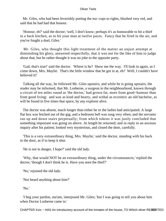Mr. Giles, who had been feverishly putting the tea−cups to rights, blushed very red, and said that he had had that honour.

 'Honour, eh?' said the doctor; 'well, I don't know; perhaps it's as honourable to hit a thief in a back kitchen, as to hit your man at twelve paces. Fancy that he fired in the air, and you've fought a duel, Giles.'

 Mr. Giles, who thought this light treatment of the matter an unjust attempt at diminishing his glory, answered respectfully, that it was not for the like of him to judge about that; but he rather thought it was no joke to the opposite party.

 'Gad, that's true!' said the doctor. 'Where is he? Show me the way. I'll look in again, as I come down, Mrs. Maylie. That's the little window that he got in at, eh? Well, I couldn't have believed it!'

 Talking all the way, he followed Mr. Giles upstairs; and while he is going upstairs, the reader may be informed, that Mr. Losberne, a surgeon in the neighbourhood, known through a circuit of ten miles round as 'the doctor,' had grown fat, more from good−humour than from good living: and was as kind and hearty, and withal as eccentric an old bachelor, as will be found in five times that space, by any explorer alive.

 The doctor was absent, much longer than either he or the ladies had anticipated. A large flat box was fetched out of the gig; and a bedroom bell was rung very often; and the servants ran up and down stairs perpetually; from which tokens it was justly concluded that something important was going on above. At length he returned; and in reply to an anxious inquiry after his patient; looked very mysterious, and closed the door, carefully.

 'This is a very extraordinary thing, Mrs. Maylie,' said the doctor, standing with his back to the door, as if to keep it shut.

'He is not in danger, I hope?' said the old lady.

 'Why, that would NOT be an extraordinary thing, under the circumstances,' replied the doctor; 'though I don't think he is. Have you seen the thief?'

'No,' rejoined the old lady.

'Nor heard anything about him?'

'No.'

 'I beg your pardon, ma'am, interposed Mr. Giles; 'but I was going to tell you about him when Doctor Losberne came in.'

CHAPTER Xxix – HAS An introductory account of the inmates of the house, TO Which oliver RESOBRTED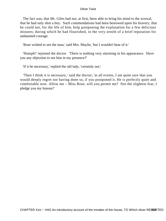The fact was, that Mr. Giles had not, at first, been able to bring his mind to the avowal, that he had only shot a boy. Such commendations had been bestowed upon his bravery, that he could not, for the life of him, help postponing the explanation for a few delicious minutes; during which he had flourished, in the very zenith of a brief reputation for undaunted courage.

'Rose wished to see the man,' said Mrs. Maylie, 'but I wouldn't hear of it.'

 'Humph!' rejoined the doctor. 'There is nothing very alarming in his appearance. Have you any objection to see him in my presence?'

'If it be necessary,' replied the old lady, 'certainly not.'

 'Then I think it is necessary,' said the doctor; 'at all events, I am quite sure that you would deeply regret not having done so, if you postponed it. He is perfectly quiet and comfortable now. Allow me – Miss Rose, will you permit me? Not the slightest fear, I pledge you my honour!'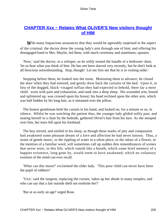# **[CHAPTER Xxx − Relates What OLIVER'S New visitors thought](#page-395-0) [of HIM](#page-395-0)**

**W**ith many loquacious assurances that they would be agreeably surprised in the aspect of the criminal, the doctor drew the young lady's arm through one of him; and offering his disengaged hand to Mrs. Maylie, led them, with much ceremony and stateliness, upstairs.

 'Now,' said the doctor, in a whisper, as he softly turned the handle of a bedroom−door, 'let us hear what you think of him. He has not been shaved very recently, but he don't look at all ferocious notwithstanding. Stop, though! Let me first see that he is in visiting order.'

 Stepping before them, he looked into the room. Motioning them to advance, he closed the door when they had entered; and gently drew back the curtains of the bed. Upon it, in lieu of the dogged, black−visaged ruffian they had expected to behold, there lay a mere child: worn with pain and exhaustion, and sunk into a deep sleep. His wounded arm, bound and splintered up, was crossed upon his breast; his head reclined upon the other arm, which was half hidden by his long hair, as it streamed over the pillow.

 The honest gentleman held the curtain in his hand, and looked on, for a minute or so, in silence. Whilst he was watching the patient thus, the younger lady glided softly past, and seating herself in a chair by the bedside, gathered Oliver's hair from his face. As she stooped over him, her tears fell upon his forehead.

 The boy stirred, and smiled in his sleep, as though these marks of pity and compassion had awakened some pleasant dream of a love and affection he had never known. Thus, a strain of gentle music, or the rippling of water in a silent place, or the odour of a flower, or the mention of a familiar word, will sometimes call up sudden dim remembrances of scenes that never were, in this life; which vanish like a breath; which some brief memory of a happier existence, long gone by, would seem to have awakened; which no voluntary exertion of the mind can ever recall.

 'What can this mean?' exclaimed the elder lady. 'This poor child can never have been the pupil of robbers!'

 'Vice,' said the surgeon, replacing the curtain, 'takes up her abode in many temples; and who can say that a fair outside shell not enshrine her?'

'But at so early an age!' urged Rose.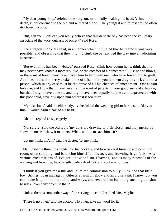'My dear young lady,' rejoined the surgeon, mournfully shaking his head; 'crime, like death, is not confined to the old and withered alone. The youngest and fairest are too often its chosen victims.'

 'But, can you – oh! can you really believe that this delicate boy has been the voluntary associate of the worst outcasts of society?' said Rose.

 The surgeon shook his head, in a manner which intimated that he feared it was very possible; and observing that they might disturb the patient, led the way into an adjoining apartment.

 'But even if he has been wicked,' pursued Rose, 'think how young he is; think that he may never have known a mother's love, or the comfort of a home; that ill−usage and blows, or the want of bread, may have driven him to herd with men who have forced him to guilt. Aunt, dear aunt, for mercy's sake, think of this, before you let them drag this sick child to a prison, which in any case must be the grave of all his chances of amendment. Oh! as you love me, and know that I have never felt the want of parents in your goodness and affection, but that I might have done so, and might have been equally helpless and unprotected with this poor child, have pity upon him before it is too late!'

 'My dear love,' said the elder lady, as she folded the weeping girl to her bosom, 'do you think I would harm a hair of his head?'

'Oh, no!' replied Rose, eagerly.

 'No, surely,' said the old lady; 'my days are drawing to their close: and may mercy be shown to me as I show it to others! What can I do to save him, sir?'

'Let me think, ma'am,' said the doctor; 'let me think.'

 Mr. Losberne thrust his hands into his pockets, and took several turns up and down the room; often stopping, and balancing himself on his toes, and frowning frightfully. After various exclamations of 'I've got it now' and 'no, I haven't,' and as many renewals of the walking and frowning, he at length made a dead halt, and spoke as follows:

 'I think if you give me a full and unlimited commission to bully Giles, and that little boy, Brittles, I can manage it. Giles is a faithful fellow and an old servant, I know; but you can make it up to him in a thousand ways, and reward him for being such a good shot besides. You don't object to that?'

'Unless there is some other way of preserving the child,' replied Mrs. Maylie.

'There is no other,' said the doctor. 'No other, take my word for it.'

CHAPTER Xxx – Relates What OLIVER'S New visitors thought of HIM 206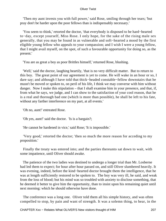'Then my aunt invests you with full power,' said Rose, smiling through her tears; 'but pray don't be harder upon the poor fellows than is indispensably necessary.'

 'You seem to think,' retorted the doctor, 'that everybody is disposed to be hard−hearted to−day, except yourself, Miss Rose. I only hope, for the sake of the rising male sex generally, that you may be found in as vulnerable and soft−hearted a mood by the first eligible young fellow who appeals to your compassion; and I wish I were a young fellow, that I might avail myself, on the spot, of such a favourable opportunity for doing so, as the present.'

'You are as great a boy as poor Brittles himself,' returned Rose, blushing.

 'Well,' said the doctor, laughing heartily, 'that is no very difficult matter. But to return to this boy. The great point of our agreement is yet to come. He will wake in an hour or so, I dare say; and although I have told that thick−headed constable−fellow downstairs that he musn't be moved or spoken to, on peril of his life, I think we may converse with him without danger. Now I make this stipulation – that I shall examine him in your presence, and that, if, from what he says, we judge, and I can show to the satisfaction of your cool reason, that he is a real and thorough bad one (which is more than possible), he shall be left to his fate, without any farther interference on my part, at all events.'

'Oh no, aunt!' entreated Rose.

'Oh yes, aunt!' said the doctor. 'Is is a bargain?;

'He cannot be hardened in vice,' said Rose; 'It is impossible.'

 'Very good,' retorted the doctor; 'then so much the more reason for acceding to my proposition.'

 Finally the treaty was entered into; and the parties thereunto sat down to wait, with some impatience, until Oliver should awake.

 The patience of the two ladies was destined to undergo a longer trial than Mr. Losberne had led them to expect; for hour after hour passed on, and still Oliver slumbered heavily. It was evening, indeed, before the kind−hearted doctor brought them the intelligence, that he was at length sufficiently restored to be spoken to. The boy was very ill, he said, and weak from the loss of blood; but his mind was so troubled with anxiety to disclose something, that he deemed it better to give him the opportunity, than to insist upon his remaining quiet until next morning: which he should otherwise have done.

 The conference was a long one. Oliver told them all his simple history, and was often compelled to stop, by pain and want of strength. It was a solemn thing, to hear, in the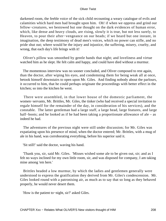darkened room, the feeble voice of the sick child recounting a weary catalogue of evils and calamities which hard men had brought upon him. Oh! if when we oppress and grind our fellow−creatures, we bestowed but one thought on the dark evidences of human error, which, like dense and heavy clouds, are rising, slowly it is true, but not less surely, to Heaven, to pour their after−vengeance on our heads; if we heard but one instant, in imagination, the deep testimony of dead men's voices, which no power can stifle, and no pride shut out; where would be the injury and injustice, the suffering, misery, cruelty, and wrong, that each day's life brings with it!

 Oliver's pillow was smoothed by gentle hands that night; and loveliness and virtue watched him as he slept. He felt calm and happy, and could have died without a murmur.

 The momentous interview was no sooner concluded, and Oliver composed to rest again, than the doctor, after wiping his eyes, and condemning them for being weak all at once, betook himself downstairs to open upon Mr. Giles. And finding nobody about the parlours, it occurred to him, that he could perhaps originate the proceedings with better effect in the kitchen; so into the kitchen he went.

 There were assembled, in that lower house of the domestic parliament, the women−servants, Mr. Brittles, Mr. Giles, the tinker (who had received a special invitation to regale himself for the remainder of the day, in consideration of his services), and the constable. The latter gentleman had a large staff, a large head, large features, and large half−boots; and he looked as if he had been taking a proportionate allowance of ale – as indeed he had.

 The adventures of the previous night were still under discussion; for Mr. Giles was expatiating upon his presence of mind, when the doctor entered; Mr. Brittles, with a mug of ale in his hand, was corroborating everything, before his superior said it.

'Sit still!' said the doctor, waving his hand.

 'Thank you, sir, said Mr. Giles. 'Misses wished some ale to be given out, sir; and as I felt no ways inclined for my own little room, sir, and was disposed for company, I am taking mine among 'em here.'

 Brittles headed a low murmur, by which the ladies and gentlemen generally were understood to express the gratification they derived from Mr. Giles's condescension. Mr. Giles looked round with a patronising air, as much as to say that so long as they behaved properly, he would never desert them.

'How is the patient to−night, sir?' asked Giles.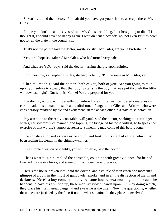'So−so'; returned the doctor. 'I am afraid you have got yourself into a scrape there, Mr. Giles.'

 'I hope you don't mean to say, sir,' said Mr. Giles, trembling, 'that he's going to die. If I thought it, I should never be happy again. I wouldn't cut a boy off: no, not even Brittles here; not for all the plate in the county, sir.'

'That's not the point,' said the doctor, mysteriously. 'Mr. Giles, are you a Protestant?'

'Yes, sir, I hope so,' faltered Mr. Giles, who had turned very pale.

'And what are YOU, boy?' said the doctor, turning sharply upon Brittles.

'Lord bless me, sir!' replied Brittles, starting violently; 'I'm the same as Mr. Giles, sir.'

 'Then tell me this,' said the doctor, 'both of you, both of you! Are you going to take upon yourselves to swear, that that boy upstairs is the boy that was put through the little window last night? Out with it! Come! We are prepared for you!'

 The doctor, who was universally considered one of the best−tempered creatures on earth, made this demand in such a dreadful tone of anger, that Giles and Brittles, who were considerably muddled by ale and excitement, stared at each other in a state of stupefaction.

 'Pay attention to the reply, constable, will you?' said the doctor, shaking his forefinger with great solemnity of manner, and tapping the bridge of his nose with it, to bespeak the exercise of that worthy's utmost acuteness. 'Something may come of this before long.'

 The constable looked as wise as he could, and took up his staff of office: which had been recling indolently in the chimney−corner.

'It's a simple question of identity, you will observe,' said the doctor.

 'That's what it is, sir,' replied the constable, coughing with great violence; for he had finished his ale in a hurry, and some of it had gone the wrong way.

 'Here's the house broken into,' said the doctor, 'and a couple of men catch one moment's glimpse of a boy, in the midst of gunpowder smoke, and in all the distraction of alarm and darkness. Here's a boy comes to that very same house, next morning, and because he happens to have his arm tied up, these men lay violent hands upon him – by doing which, they place his life in great danger – and swear he is the thief. Now, the question is, whether these men are justified by the fact; if not, in what situation do they place themselves?'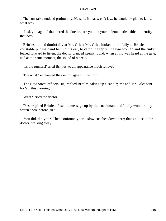The constable nodded profoundly. He said, if that wasn't law, he would be glad to know what was.

 'I ask you again,' thundered the doctor, 'are you, on your solemn oaths, able to identify that boy?'

 Brittles looked doubtfully at Mr. Giles; Mr. Giles looked doubtfully at Brittles; the constable put his hand behind his ear, to catch the reply; the two women and the tinker leaned forward to listen; the doctor glanced keenly round; when a ring was heard at the gate, and at the same moment, the sound of wheels.

'It's the runners!' cried Brittles, to all appearance much relieved.

'The what?' exclaimed the doctor, aghast in his turn.

 'The Bow Street officers, sir,' replied Brittles, taking up a candle; 'me and Mr. Giles sent for 'em this morning.'

'What?' cried the doctor.

 'Yes,' replied Brittles; 'I sent a message up by the coachman, and I only wonder they weren't here before, sir.'

 'You did, did you? Then confound your – slow coaches down here; that's all,' said the doctor, walking away.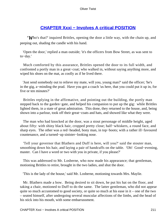# **[CHAPTER Xxxi − Involves A critical POSITION](#page-395-0)**

*'W*ho's that?' inquired Brittles, opening the door a little way, with the chain up, and peeping out, shading the candle with his hand.

 'Open the door,' replied a man outside; 'it's the officers from Bow Street, as was sent to to−day.'

 Much comforted by this assurance, Brittles opened the door to its full width, and confronted a portly man in a great−coat; who walked in, without saying anything more, and wiped his shoes on the mat, as coolly as if he lived there.

 'Just send somebody out to relieve my mate, will you, young man?' said the officer; 'he's in the gig, a−minding the prad. Have you got a coach 'us here, that you could put it up in, for five or ten minutes?'

 Brittles replying in the affirmative, and pointing out the building, the portly man stepped back to the garden−gate, and helped his companion to put up the gig: while Brittles lighted them, in a state of great admiration. This done, they returned to the house, and, being shown into a parlour, took off their great−coats and hats, and showed like what they were.

 The man who had knocked at the door, was a stout personage of middle height, aged about fifty: with shiny black hair, cropped pretty close; half−whiskers, a round face, and sharp eyes. The other was a red−headed, bony man, in top−boots; with a rather ill−favoured countenance, and a turned−up sinister−looking nose.

 'Tell your governor that Blathers and Duff is here, will you?' said the stouter man, smoothing down his hair, and laying a pair of handcuffs on the table. 'Oh! Good−evening, master. Can I have a word or two with you in private, if you please?'

 This was addressed to Mr. Losberne, who now made his appearance; that gentleman, motioning Brittles to retire, brought in the two ladies, and shut the door.

'This is the lady of the house,' said Mr. Losberne, motioning towards Mrs. Maylie.

 Mr. Blathers made a bow. Being desired to sit down, he put his hat on the floor, and taking a chair, motioned to Duff to do the same. The latter gentleman, who did not appear quite so much accustomed to good society, or quite so much at his ease in it – one of the two – seated himself, after undergoing several muscular affections of the limbs, and the head of his stick into his mouth, with some embarrassment.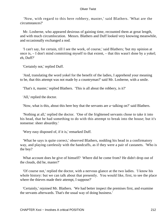'Now, with regard to this here robbery, master,' said Blathers. 'What are the circumstances?'

 Mr. Losberne, who appeared desirous of gaining time, recounted them at great length, and with much circumlocution. Messrs. Blathers and Duff looked very knowing meanwhile, and occasionally exchanged a nod.

 'I can't say, for certain, till I see the work, of course,' said Blathers; 'but my opinion at once is, – I don't mind committing myself to that extent, – that this wasn't done by a yokel; eh, Duff?'

'Certainly not,' replied Duff.

 'And, translating the word yokel for the benefit of the ladies, I apprehend your meaning to be, that this attempt was not made by a countryman?' said Mr. Losberne, with a smile.

'That's it, master,' replied Blathers. 'This is all about the robbery, is it?'

'All,' replied the doctor.

'Now, what is this, about this here boy that the servants are a−talking on?' said Blathers.

 'Nothing at all,' replied the doctor. 'One of the frightened servants chose to take it into his head, that he had something to do with this attempt to break into the house; but it's nonsense: sheer absurdity.'

'Wery easy disposed of, if it is,' remarked Duff.

 'What he says is quite correct,' observed Blathers, nodding his head in a confirmatory way, and playing carelessly with the handcuffs, as if they were a pair of castanets. 'Who is the boy?

What account does he give of himself? Where did he come from? He didn't drop out of the clouds, did he, master?'

 'Of course not,' replied the doctor, with a nervous glance at the two ladies. 'I know his whole history: but we can talk about that presently. You would like, first, to see the place where the thieves made their attempt, I suppose?'

 'Certainly,' rejoined Mr. Blathers. 'We had better inspect the premises first, and examine the servants afterwards. That's the usual way of doing business.'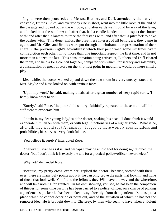Lights were then procured; and Messrs. Blathers and Duff, attended by the native constable, Brittles, Giles, and everybody else in short, went into the little room at the end of the passage and looked out at the window; and afterwards went round by way of the lawn, and looked in at the window; and after that, had a candle handed out to inspect the shutter with; and after that, a lantern to trace the footsteps with; and after that, a pitchfork to poke the bushes with. This done, amidst the breathless interest of all beholders, they came in again; and Mr. Giles and Brittles were put through a melodramatic representation of their share in the previous night's adventures: which they performed some six times over: contradiction each other, in not more than one important respect, the first time, and in not more than a dozen the last. This consummation being arrived at, Blathers and Duff cleared the room, and held a long council together, compared with which, for secrecy and solemnity, a consultation of great doctors on the knottiest point in medicine, would be mere child's play.

 Meanwhile, the doctor walked up and down the next room in a very uneasy state; and Mrs. Maylie and Rose looked on, with anxious faces.

 'Upon my word,' he said, making a halt, after a great number of very rapid turns, 'I hardly know what to do.'

 'Surely,' said Rose, 'the poor child's story, faithfully repeated to these men, will be sufficient to exonerate him.'

 'I doubt it, my dear young lady,' said the doctor, shaking his head. 'I don't think it would exonerate him, either with them, or with legal functionaries of a higher grade. What is he, after all, they would say? A runaway. Judged by mere worldly considerations and probabilities, his story is a very doubtful one.'

'You believe it, surely?' interrupted Rose.

 '*I* believe it, strange as it is; and perhaps I may be an old fool for doing so,' rejoined the doctor; 'but I don't think it is exactly the tale for a practical police−officer, nevertheless.'

'Why not?' demanded Rose.

 'Because, my pretty cross−examiner,' replied the doctor: 'because, viewed with their eyes, there are many ugly points about it; he can only prove the parts that look ill, and none of those that look well. Confound the fellows, they **Will** have the way and the wherefore, and will take nothing for granted. On his own showing, you see, he has been the companion of thieves for some time past; he has been carried to a police−officer, on a charge of picking a gentleman's pocket; he has been taken away, forcibly, from that gentleman's house, to a place which he cannot describe or point out, and of the situation of which he has not the remotest idea. He is brought down to Chertsey, by men who seem to have taken a violent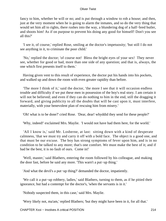fancy to him, whether he will or no; and is put through a window to rob a house; and then, just at the very moment when he is going to alarm the inmates, and so do the very thing that would set him all to rights, there rushes into the way, a blundering dog of a half−bred butler, and shoots him! As if on purpose to prevent his doing any good for himself! Don't you see all this?'

 'I see it, of course,' replied Rose, smiling at the doctor's impetuosity; 'but still I do not see anything in it, to criminate the poor child.'

 'No,' replied the doctor; 'of course not! Bless the bright eyes of your sex! They never see, whether for good or bad, more than one side of any question; and that is, always, the one which first presents itself to them.'

 Having given vent to this result of experience, the doctor put his hands into his pockets, and walked up and down the room with even greater rapidity than before.

 'The more I think of it,' said the doctor, 'the more I see that it will occasion endless trouble and difficulty if we put these men in possession of the boy's real story. I am certain it will not be believed; and even if they can do nothing to him in the end, still the dragging it forward, and giving publicity to all the doubts that will be cast upon it, must interfere, materially, with your benevolent plan of rescuing him from misery.'

'Oh! what is to be done?' cried Rose. 'Dear, dear! whyddid they send for these people?'

'Why, indeed!' exclaimed Mrs. Maylie. 'I would not have had them here, for the world.'

 'All I know is,' said Mr. Losberne, at last: sitting down with a kind of desperate calmness, 'that we must try and carry it off with a bold face. The object is a good one, and that must be our excuse. The boy has strong symptoms of fever upon him, and is in no condition to be talked to any more; that's one comfort. We must make the best of it; and if bad be the best, it is no fault of ours. Come in!'

 'Well, master,' said Blathers, entering the room followed by his colleague, and making the door fast, before he said any more. 'This warn't a put−up thing.'

'And what the devil's a put−up thing?' demanded the doctor, impatiently.

 'We call it a put−up robbery, ladies,' said Blathers, turning to them, as if he pitied their ignorance, but had a contempt for the doctor's, 'when the servants is in it.'

'Nobody suspected them, in this case,' said Mrs. Maylie.

'Wery likely not, ma'am,' replied Blathers; 'but they might have been in it, for all that.'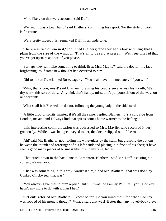'More likely on that wery account,' said Duff.

 'We find it was a town hand,' said Blathers, continuing his report; 'for the style of work is first−rate.'

'Wery pretty indeed it is,' remarked Duff, in an undertone.

 'There was two of 'em in it,' continued Blathers; 'and they had a boy with 'em; that's plain from the size of the window. That's all to be said at present. We'll see this lad that you've got upstairs at once, if you please.'

 'Perhaps they will take something to drink first, Mrs. Maylie?' said the doctor: his face brightening, as if some new thought had occurred to him.

'Oh! to be sure!' exclaimed Rose, eagerly. 'You shall have it immediately, if you will.'

 'Why, thank you, miss!' said Blathers, drawing his coat−sleeve across his mouth; 'it's dry work, this sort of duty. Anythink that's handy, miss; don't put yourself out of the way, on our accounts.'

'What shall it be?' asked the doctor, following the young lady to the sideboard.

 'A little drop of spirits, master, if it's all the same,' replied Blathers. 'It's a cold ride from London, ma'am; and I always find that spirits comes home warmer to the feelings.'

 This interesting communication was addressed to Mrs. Maylie, who received it very graciously. While it was being conveyed to her, the doctor slipped out of the room.

 'Ah!' said Mr. Blathers: not holding his wine−glass by the stem, but grasping the bottom between the thumb and forefinger of his left hand: and placing it in front of his chest; 'I have seen a good many pieces of business like this, in my time, ladies.'

 'That crack down in the back lane at Edmonton, Blathers,' said Mr. Duff, assisting his colleague's memory.

 'That was something in this way, warn't it?' rejoined Mr. Blathers; 'that was done by Conkey Chickweed, that was.'

 'You always gave that to him' replied Duff. 'It was the Family Pet, I tell you. Conkey hadn't any more to do with it than I had.'

 'Get out!' retorted Mr. Blathers; 'I know better. Do you mind that time when Conkey was robbed of his money, though? What a start that was! Better than any novel−book *I* ever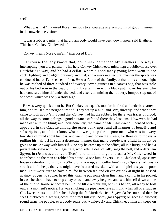see!'

 'What was that?' inquired Rose: anxious to encourage any symptoms of good−humour in the unwelcome visitors.

 'It was a robbery, miss, that hardly anybody would have been down upon,' said Blathers. 'This here Conkey Chickweed – '

'Conkey means Nosey, ma'am,' interposed Duff.

 'Of course the lady knows that, don't she?' demanded Mr. Blathers. 'Always interrupting, you are, partner! This here Conkey Chickweed, miss, kept a public−house over Battlebridge way, and he had a cellar, where a good many young lords went to see cock−fighting, and badger−drawing, and that; and a wery intellectural manner the sports was conducted in, for I've seen 'em off'en. He warn't one of the family, at that time; and one night he was robbed of three hundred and twenty−seven guineas in a canvas bag, that was stole out of his bedrrom in the dead of night, by a tall man with a black patch over his eye, who had concealed himself under the bed, and after committing the robbery, jumped slap out of window: which was only a story high.

 He was wery quick about it. But Conkey was quick, too; for he fired a blunderbuss arter him, and roused the neighbourhood. They set up a hue−and−cry, directly, and when they came to look about 'em, found that Conkey had hit the robber; for there was traces of blood, all the way to some palings a good distance off; and there they lost 'em. However, he had made off with the blunt; and, consequently, the name of Mr. Chickweed, licensed witler, appeared in the Gazette among the other bankrupts; and all manner of benefits and subscriptions, and I don't know what all, was got up for the poor man, who was in a wery low state of mind about his loss, and went up and down the streets, for three or four days, a pulling his hair off in such a desperate manner that many people was afraid he might be going to make away with himself. One day he came up to the office, all in a hurry, and had a private interview with the magistrate, who, after a deal of talk, rings the bell, and orders Jem Spyers in (Jem was a active officer), and tells him to go and assist Mr. Chickweed in apprehending the man as robbed his house. «I see him, Spyers,» said Chickweed, «pass my house yesterday morning,» «Why didn't you up, and collar him!» says Spyers. «I was so struck all of a heap, that you might have fractured my skull with a toothpick,» says the poor man; «but we're sure to have him; for between ten and eleven o'clock at night he passed again.» Spyers no sooner heard this, than he put some clean linen and a comb, in his pocket, in case he should have to stop a day or two; and away he goes, and sets himself down at one of the public−house windows behind the little red curtain, with his hat on, all ready to bolt out, at a moment's notice. He was smoking his pipe here, late at night, when all of a sudden Chickweed roars out, «Here he is! Stop thief! Murder!» Jem Spyers dashes out; and there he sees Chickweed, a−tearing down the street full cry. Away goes Spyers; on goes Chickweed; round turns the people; everybody roars out, «Thieves!» and Chickweed himself keeps on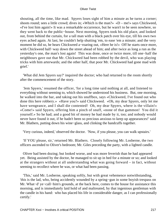shouting, all the time, like mad. Spyers loses sight of him a minute as he turns a corner; shoots round; sees a little crowd; dives in; «Which is the man?» «D – me!» says Chickweed, «I've lost him again!» It was a remarkable occurrence, but he warn't to be seen nowhere, so they went back to the public−house. Next morning, Spyers took his old place, and looked out, from behind the curtain, for a tall man with a black patch over his eye, till his own two eyes ached again. At last, he couldn't help shutting 'em, to ease 'em a minute; and the very moment he did so, he hears Chickweed a−roaring out, «Here he is!» Off he starts once more, with Chickweed half−way down the street ahead of him; and after twice as long a run as the yesterday's one, the man's lost again! This was done, once or twice more, till one−half the neighbours gave out that Mr. Chickweed had been robbed by the devil, who was playing tricks with him arterwards; and the other half, that poor Mr. Chickweed had gone mad with grief.'

 'What did Jem Spyers say?' inquired the doctor; who had returned to the room shortly after the commencement of the story.

 'Jem Spyers,' resumed the officer, 'for a long time said nothing at all, and listened to everything without seeming to, which showed he understood his business. But, one morning, he walked into the bar, and taking out his snuffbox, says «Chickweed, I've found out who done this here robbery.» «Have you?» said Chickweed. «Oh, my dear Spyers, only let me have wengeance, and I shall die contented! Oh, my dear Spyers, where is the villain!» «Come!» said Spyers, offering him a pinch of snuff, «none of that gammon! You did it yourself.» So he had; and a good bit of money he had made by it, too; and nobody would never have found it out, if he hadn't been so precious anxious to keep up appearances!' said Mr. Blathers, putting down his wine−glass, and clinking the handcuffs together.

'Very curious, indeed,' observed the doctor. 'Now, if you please, you can walk upstairs.'

 'If YOU please, sir,' returned Mr. Blathers. Closely following Mr. Losberne, the two officers ascended to Oliver's bedroom; Mr. Giles preceding the party, with a lighted candle.

 Oliver had been dozing; but looked worse, and was more feverish than he had appeared yet. Being assisted by the doctor, he managed to sit up in bed for a minute or so; and looked at the strangers without at all understanding what was going forward – in fact, without seeming to recollect where he was, or what had been passing.

 'This,' said Mr. Losberne, speaking softly, but with great vehemence notwithstanding, 'this is the lad, who, being accidently wounded by a spring−gun in some boyish trespass on Mr. What−d' ye−call−him's grounds, at the back here, comes to the house for assistance this morning, and is immediately laid hold of and maltreated, by that ingenious gentleman with the candle in his hand: who has placed his life in considerable danger, as I can professionally certify.'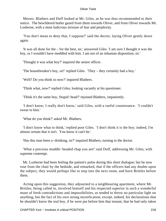Messrs. Blathers and Duff looked at Mr. Giles, as he was thus recommended to their notice. The bewildered butler gazed from them towards Oliver, and from Oliver towards Mr. Losberne, with a most ludicrous mixture of fear and perplexity.

 'You don't mean to deny that, I suppose?' said the doctor, laying Oliver gently down again.

 'It was all done for the – for the best, sir,' answered Giles. 'I am sure I thought it was the boy, or I wouldn't have meddled with him. I am not of an inhuman disposition, sir.'

'Thought it was what boy?' inquired the senior officer.

'The housebreaker's boy, sir!' replied Giles. 'They – they certainly had a boy.'

'Well? Do you think so now?' inquired Blathers.

'Think what, now?' replied Giles, looking vacantly at his questioner.

'Think it's the same boy, Stupid−head?' rejoined Blathers, impatiently.

 'I don't know; I really don't know,' said Giles, with a rueful countenance. 'I couldn't swear to him.'

'What do you think?' asked Mr. Blathers.

 'I don't know what to think,' replied poor Giles. 'I don't think it is the boy; indeed, I'm almost certain that it isn't. You know it can't be.'

'Has this man been a−drinking, sir?' inquired Blathers, turning to the doctor.

 'What a precious muddle−headed chap you are!' said Duff, addressing Mr. Giles, with supreme contempt.

 Mr. Losberne had been feeling the patient's pulse during this short dialogue; but he now rose from the chair by the bedside, and remarked, that if the officers had any doubts upon the subject, they would perhaps like to step into the next room, and have Brittles before them.

 Acting upon this suggestion, they adjourned to a neighbouring apartment, where Mr. Brittles, being called in, involved himself and his respected superior in such a wonderful maze of fresh contradictions and impossibilities, as tended to throw no particular light on anything, but the fact of his own strong mystification; except, indeed, his declarations that he shouldn't know the real boy, if he were put before him that instant; that he had only taken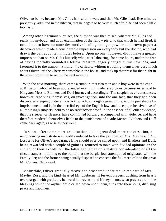Oliver to be he, because Mr. Giles had said he was; and that Mr. Giles had, five minutes previously, admitted in the kitchen, that he begain to be very much afraid he had been a little too hasty.

 Among other ingenious surmises, the question was then raised, whether Mr. Giles had really hit anybody; and upon examination of the fellow pistol to that which he had fired, it turned out to have no more destructive loading than gunpowder and brown paper: a discovery which made a considerable impression on everybody but the doctor, who had drawn the ball about ten minutes before. Upon no one, however, did it make a greater impression than on Mr. Giles himself; who, after labouring, for some hours, under the fear of having mortally wounded a fellow−creature, eagerly caught at this new idea, and favoured it to the utmost. Finally, the officers, without troubling themselves very much about Oliver, left the Chertsey constable in the house, and took up their rest for that night in the town; promising to return the next morning.

 With the next morning, there came a rumour, that two men and a boy were in the cage at Kingston, who had been apprehended over night under suspicious circumstances; and to Kingston Messrs. Blathers and Duff journeyed accordingly. The suspicious circumstances, however, resolving themselves, on investigation, into the one fact, that they had been discovered sleeping under a haystack; which, although a great crime, is only punishable by imprisonment, and is, in the merciful eye of the English law, and its comprehensive love of all the King's subjects, held to be no satisfactory proof, in the absence of all other evidence, that the sleeper, or sleepers, have committed burglary accompanied with violence, and have therefore rendered themselves liable to the punishment of death; Messrs. Blathers and Duff came back again, as wise as they went.

 In short, after some more examination, and a great deal more conversation, a neighbouring magistrate was readily induced to take the joint bail of Mrs. Maylie and Mr. Losberne for Oliver's appearance if he should ever be called upon; and Blathers and Duff, being rewarded with a couple of guineas, returned to town with divided opinions on the subject of their expedition: the latter gentleman on a mature consideration of all the circumstances, inclining to the belief that the burglarious attempt had originated with the Family Pet; and the former being equally disposed to concede the full merit of it to the great Mr. Conkey Chickweed.

 Meanwhile, Oliver gradually throve and prospered under the united care of Mrs. Maylie, Rose, and the kind−hearted Mr. Losberne. If fervent prayers, gushing from hearts overcharged with gratitude, be heard in heaven – and if they be not, what prayers are! – the blessings which the orphan child called down upon them, sunk into their souls, diffusing peace and happiness.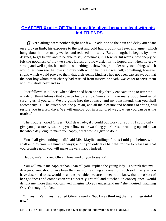# **CHAPTER Xxxii – OF The happy life oliver began to lead with his [kind FRIENDS](#page-395-0)**

*Oliver's ailings were neither slight nor few. In addition to the pain and delay attendant* on a broken limb, his exposure to the wet and cold had brought on fever and ague: which hung about him for many weeks, and reduced him sadly. But, at length, he began, by slow degrees, to get better, and to be able to say sometimes, in a few tearful words, how deeply he felt the goodness of the two sweet ladies, and how ardently he hoped that when he grew strong and well again, he could do something to show his gratitude; only something, which would let them see the love and duty with which his breast was full; something, however slight, which would prove to them that their gentle kindness had not been cast away; but that the poor boy whom their charity had rescued from misery, or death, was eager to serve them with his whole heart and soul.

 'Poor fellow!' said Rose, when Oliver had been one day feebly endeavouring to utter the words of thankfulness that rose to his pale lips; 'you shall have many opportunities of serving us, if you will. We are going into the country, and my aunt intends that you shall accompany us. The quiet place, the pure air, and all the pleasure and beauties of spring, will restore you in a few days. We will employ you in a hundred ways, when you can bear the trouble.'

 'The trouble!' cried Oliver. 'Oh! dear lady, if I could but work for you; if I could only give you pleasure by watering your flowers, or watching your birds, or running up and down the whole day long, to make you happy; what would I give to do it!'

 'You shall give nothing at all,' said Miss Maylie, smiling; 'for, as I told you before, we shall employ you in a hundred ways; and if you only take half the trouble to please us, that you promise now, you will make me very happy indeed.'

'Happy, ma'am!' cried Oliver; 'how kind of you to say so!'

 'You will make me happier than I can tell you,' replied the young lady. 'To think that my dear good aunt should have been the means of rescuing any one from such sad misery as you have described to us, would be an unspeakable pleasure to me; but to know that the object of her goodness and compassion was sincerely grateful and attached, in consequence, would delight me, more than you can well imagine. Do you understand me?' she inquired, watching Oliver's thoughtful face.

 'Oh yes, ma'am, yes!' replied Oliver eagerly; 'but I was thinking that I am ungrateful now.'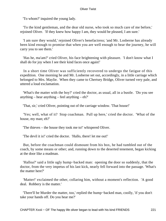'To whom?' inquired the young lady.

 'To the kind gentleman, and the dear old nurse, who took so much care of me before,' rejoined Oliver. 'If they knew how happy I am, they would be pleased, I am sure.'

 'I am sure they would,' rejoined Oliver's benefactress; 'and Mr. Losberne has already been kind enough to promise that when you are well enough to bear the journey, he will carry you to see them.'

 'Has he, ma'am?' cried Oliver, his face brightening with pleasure. 'I don't know what I shall do for joy when I see their kind faces once again!'

 In a short time Oliver was sufficiently recovered to undergo the fatigue of this expedition. One morning he and Mr. Losberne set out, accordingly, in a little carriage which belonged to Mrs. Maylie. When they came to Chertsey Bridge, Oliver turned very pale, and uttered a loud exclamation.

 'What's the matter with the boy?' cried the doctor, as usual, all in a bustle. 'Do you see anything – hear anything – feel anything – eh?'

'That, sir,' cried Oliver, pointing out of the carriage window. 'That house!'

 'Yes; well, what of it? Stop coachman. Pull up here,' cried the doctor. 'What of the house, my man; eh?'

'The thieves – the house they took me to!' whispered Oliver.

'The devil it is!' cried the doctor. 'Hallo, there! let me out!'

 But, before the coachman could dismount from his box, he had tumbled out of the coach, by some means or other; and, running down to the deserted tenement, began kicking at the door like a madman.

 'Halloa?' said a little ugly hump−backed man: opening the door so suddenly, that the doctor, from the very impetus of his last kick, nearly fell forward into the passage. 'What's the matter here?'

 'Matter!' exclaimed the other, collaring him, without a moment's reflection. 'A good deal. Robbery is the matter.'

 'There'll be Murder the matter, too,' replied the hump−backed man, coolly, 'if you don't take your hands off. Do you hear me?'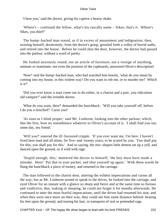'I hear you,' said the doctor, giving his captive a hearty shake.

 'Where's – confound the fellow, what's his rascally name – Sikes; that's it. Where's Sikes, you thief?'

The hump–backed man stared, as if in excess of amazement and indignation; then, twisting himself, dexterously, from the doctor's grasp, growled forth a volley of horrid oaths, and retired into the house. Before he could shut the door, however, the doctor had passed into the parlour, without a word of parley.

 He looked anxiously round; not an article of furniture; not a vestige of anything, animate or inanimate; not even the position of the cupboards; answered Oliver's description!

 'Now!' said the hump−backed man, who had watched him keenly, 'what do you mean by coming into my house, in this violent way? Do you want to rob me, or to murder me? Which is it?'

 'Did you ever know a man come out to do either, in a chariot and a pair, you ridiculous old vampire?' said the irritable doctor.

 'What do you want, then?' demanded the hunchback. 'Will you take yourself off, before I do you a mischief? Curse you!'

 'As soon as I think proper,' said Mr. Losberne, looking into the other parlour; which, like the first, bore no resemblance whatever to Oliver's account of it. 'I shall find you out, some day, my friend.'

 'Will you?' sneered the ill−favoured cripple. 'If you ever want me, I'm here. I haven't lived here mad and all alone, for five−and−twenty years, to be scared by you. You shall pay for this; you shall pay for this.' And so saying, the mis−shapen little demon set up a yell, and danced upon the ground, as if wild with rage.

 'Stupid enough, this,' muttered the doctor to himself; 'the boy must have made a mistake. Here! Put that in your pocket, and shut yourself up again.' With these words he flung the hunchback a piece of money, and returned to the carriage.

 The man followed to the chariot door, uttering the wildest imprecations and curses all the way; but as Mr. Losberne turned to speak to the driver, he looked into the carriage, and eyed Oliver for an instant with a glance so sharp and fierce and at the same time so furious and vindictive, that, waking or sleeping, he could not forget it for months afterwards. He continued to utter the most fearful imprecations, until the driver had resumed his seat; and when they were once more on their way, they could see him some distance behind: beating his feet upon the ground, and tearing his hair, in transports of real or pretended rage.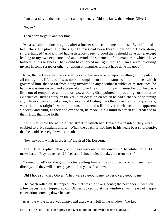'I am an ass!' said the doctor, after a long silence. 'Did you know that before, Oliver?'

'No, sir.'

'Then don't forget it another time.'

 'An ass,' said the doctor again, after a further silence of some minutes. 'Even if it had been the right place, and the right fellows had been there, what could I have done, single−handed? And if I had had assistance, I see no good that I should have done, except leading to my own exposure, and an unavoidable statement of the manner in which I have hushed up this business. That would have served me right, though. I am always involving myself in some scrape or other, by acting on impulse. It might have done me good.'

 Now, the fact was that the excellent doctor had never acted upon anything but impulse all through his life, and if was no bad compliment to the nature of the impulses which governed him, that so far from being involved in any peculiar troubles or misfortunes, he had the warmest respect and esteem of all who knew him. If the truth must be told, he was a little out of temper, for a minute or two, at being disappointed in procuring corroborative evidence of Oliver's story on the very first occasion on which he had a chance of obtaining any. He soon came round again, however; and finding that Oliver's replies to his questions, were still as straightforward and consistent, and still delivered with as much apparent sincerity and truth, as they had ever been, he made up his mind to attach full credence to them, from that time forth.

 As Oliver knew the name of the street in which Mr. Brownlow resided, they were enabled to drive straight thither. When the coach turned into it, his heart beat so violently, that he could scarcely draw his breath.

'Now, my boy, which house is it?' inquired Mr. Losberne.

 'That! That!' replied Oliver, pointing eagerly out of the window. 'The white house. Oh! make haste! Pray make haste! I feel as if I should die: it makes me tremble so.'

 'Come, come!' said the good doctor, patting him on the shoulder. 'You will see them directly, and they will be overjoyed to find you safe and well.'

'Oh! I hope so!' cried Oliver. 'They were so good to me; so very, very good to me.'

 The coach rolled on. It stopped. No; that was the wrong house; the next door. It went on a few paces, and stopped again. Oliver looked up at the windows, with tears of happy expectation coursing down his face.

Alas! the white house was empty, and there was a bill in the window. 'To Let.'

CHAPTER Xxxii – OF The happy life oliver began to lead with his kind FRIENDS 223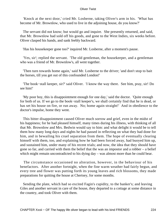'Knock at the next door,' cried Mr. Losberne, taking Oliver's arm in his. 'What has become of Mr. Brownlow, who used to live in the adjoining house, do you know?'

 The servant did not know; but would go and inquire. She presently returned, and said, that Mr. Brownlow had sold off his goods, and gone to the West Indies, six weeks before. Oliver clasped his hands, and sank feebly backward.

'Has his housekeeper gone too?' inquired Mr. Losberne, after a moment's pause.

 'Yes, sir'; replied the servant. 'The old gentleman, the housekeeper, and a gentleman who was a friend of Mr. Brownlow's, all went together.

 'Then turn towards home again,' said Mr. Losberne to the driver; 'and don't stop to bait the horses, till you get out of this confounded London!'

 'The book−stall keeper, sir?' said Oliver. 'I know the way there. See him, pray, sir! Do see him!'

 'My poor boy, this is disappointment enough for one day,' said the doctor. 'Quite enough for both of us. If we go to the book−stall keeper's, we shall certainly find that he is dead, or has set his house on fire, or run away. No; home again straight!' And in obedience to the doctor's impulse, home they went.

 This bitter disappointment caused Oliver much sorrow and grief, even in the midst of his happiness; for he had pleased himself, many times during his illness, with thinking of all that Mr. Brownlow and Mrs. Bedwin would say to him: and what delight it would be to tell them how many long days and nights he had passed in reflecting on what they had done for him, and in bewailing his cruel separation from them. The hope of eventually clearing himself with them, too, and explaining how he had been forced away, had buoyed him up, and sustained him, under many of his recent trials; and now, the idea that they should have gone so far, and carried with them the belief that the was an impostor and a robber – a belief which might remain uncontradicted to his dying day – was almost more than he could bear.

 The circumstance occasioned no alteration, however, in the behaviour of his benefactors. After another fortnight, when the fine warm weather had fairly begun, and every tree and flower was putting forth its young leaves and rich blossoms, they made preparations for quitting the house at Chertsey, for some months.

 Sending the plate, which had so excited Fagin's cupidity, to the banker's; and leaving Giles and another servant in care of the house, they departed to a cottage at some distance in the country, and took Oliver with them.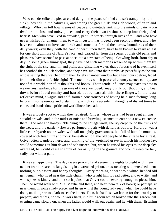Who can describe the pleasure and delight, the peace of mind and soft tranquillity, the sickly boy felt in the balmy air, and among the green hills and rich woods, of an inland village! Who can tell how scenes of peace and quietude sink into the minds of pain−worn dwellers in close and noisy places, and carry their own freshness, deep into their jaded hearts! Men who have lived in crowded, pent−up streets, through lives of toil, and who have never wished for change; men, to whom custom has indeed been second nature, and who have come almost to love each brick and stone that formed the narrow boundaries of their daily walks; even they, with the hand of death upon them, have been known to yearn at last for one short glimpse of Nature's face; and, carried far from the scenes of their old pains and pleasures, have seemed to pass at once into a new state of being. Crawling forth, from day to day, to some green sunny spot, they have had such memories wakened up within them by the sight of the sky, and hill and plain, and glistening water, that a foretaste of heaven itself has soothed their quick decline, and they have sunk into their tombs, as peacefully as the sun whose setting they watched from their lonely chamber window but a few hours before, faded from their dim and feeble sight! The memories which peaceful country scenes call up, are not of this world, nor of its thoughts and hopes. Their gentle influence may teach us how to weave fresh garlands for the graves of those we loved: may purify our thoughts, and bear down before it old enmity and hatred; but beneath all this, there lingers, in the least reflective mind, a vague and half−formed consciousness of having held such feelings long before, in some remote and distant time, which calls up solemn thoughts of distant times to come, and bends down pride and worldliness beneath it.

 It was a lovely spot to which they repaired. Oliver, whose days had been spent among squalid crowds, and in the midst of noise and brawling, seemed to enter on a new existence there. The rose and honeysuckle clung to the cottage walls; the ivy crept round the trunks of the trees; and the garden−flowers perfumed the air with delicious odours. Hard by, was a little churchyard; not crowded with tall unsightly gravestones, but full of humble mounds, covered with fresh turf and moss: beneath which, the old people of the village lay at rest. Oliver often wandered here; and, thinking of the wretched grave in which his mother lay, would sometimes sit him down and sob unseen; but, when he raised his eyes to the deep sky overhead, he would cease to think of her as lying in the ground, and would weep for her, sadly, but without pain.

 It was a happy time. The days were peaceful and serene; the nights brought with them neither fear nor care; no languishing in a wretched prison, or associating with wretched men; nothing but pleasant and happy thoughts. Every morning he went to a white−headed old gentleman, who lived near the little church: who taught him to read better, and to write: and who spoke so kindly, and took such pains, that Oliver could never try enough to please him. Then, he would walk with Mrs. Maylie and Rose, and hear them talk of books; or perhaps sit near them, in some shady place, and listen whilst the young lady read: which he could have done, until it grew too dark to see the letters. Then, he had his own lesson for the next day to prepare; and at this, he would work hard, in a little room which looked into the garden, till evening came slowly on, when the ladies would walk out again, and he with them: listening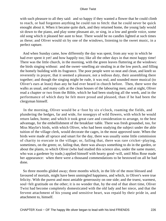with such pleasure to all they said: and so happy if they wanted a flower that he could climb to reach, or had forgotten anything he could run to fetch: that he could never be quick enought about it. When it became quite dark, and they returned home, the young lady would sit down to the piano, and play some pleasant air, or sing, in a low and gentle voice, some old song which it pleased her aunt to hear. There would be no candles lighted at such times as these; and Oliver would sit by one of the windows, listening to the sweet music, in a perfect rapture.

 And when Sunday came, how differently the day was spent, from any way in which he had ever spent it yet! and how happily too; like all the other days in that most happy time! There was the little church, in the morning, with the green leaves fluttering at the windows: the birds singing without: and the sweet−smelling air stealing in at the low porch, and filling the homely building with its fragrance. The poor people were so neat and clean, and knelt so reverently in prayer, that it seemed a pleasure, not a tedious duty, their assembling there together; and though the singing might be rude, it was real, and sounded more musical (to Oliver's ears at least) than any he had ever heard in church before. Then, there were the walks as usual, and many calls at the clean houses of the labouring men; and at night, Oliver read a chapter or two from the Bible, which he had been studying all the week, and in the performance of which duty he felt more proud and pleased, than if he had been the clergyman himself.

 In the morning, Oliver would be a−foot by six o'clock, roaming the fields, and plundering the hedges, far and wide, for nosegays of wild flowers, with which he would return laden, home; and which it took great care and consideration to arrange, to the best advantage, for the embellishment of the breakfast−table. There was fresh groundsel, too, for Miss Maylie's birds, with which Oliver, who had been studying the subject under the able tuition of the village clerk, would decorate the cages, in the most approved taste. When the birds were made all spruce and smart for the day, there was usually some little commission of charity to execute in the village; or, failing that, there was rare cricket−playing, sometimes, on the green; or, failing that, there was always something to do in the garden, or about the plants, to which Oliver (who had studied this science also, under the same master, who was a gardener by trade,) applied himself with hearty good−will, until Miss Rose made her appearance: when there were a thousand commendations to be bestowed on all he had done.

 So three months glided away; three months which, in the life of the most blessed and favoured of mortals, might have been unmingled happiness, and which, in Oliver's were true felicity. With the purest and most amiable generousity on one side; and the truest, warmest, soul−felt gratitude on the other; it is no wonder that, by the end of that short time, Oliver Twist had become completely domesticated with the old lady and her niece, and that the fervent attachment of his young and sensitive heart, was repaid by their pride in, and attachment to, himself.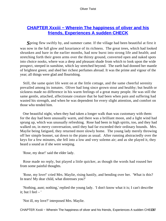# **CHAPTER Xxxiii – Wherein The happiness of oliver and his [friends, Experiences A sudden CHECK](#page-395-0)**

*S*pring flew swiftly by, and summer came. If the village had been beautiful at first it was now in the full glow and luxuriance of its richness. The great trees, which had looked shrunken and bare in the earlier months, had now burst into strong life and health; and stretching forth their green arms over the thirsty ground, converted open and naked spots into choice nooks, where was a deep and pleasant shade from which to look upon the wide prospect, steeped in sunshine, which lay stretched beyond. The earth had donned her mantle of brightest green; and shed her richest perfumes abroad. It was the prime and vigour of the year; all things were glad and flourishing.

 Still, the same quiet life went on at the little cottage, and the same cheerful serenity prevailed among its inmates. Oliver had long since grown stout and healthy; but health or sickness made no difference in his warm feelings of a great many people. He was still the same gentle, attached, affectionate creature that he had been when pain and suffering had wasted his strength, and when he was dependent for every slight attention, and comfort on those who tended him.

 One beautiful night, when they had taken a longer walk than was customary with them: for the day had been unusually warm, and there was a brilliant moon, and a light wind had sprung up, which was unusually refreshing. Rose had been in high spirits, too, and they had walked on, in merry conversation, until they had far exceeded their ordinary bounds. Mrs. Maylie being fatigued, they returned more slowly home. The young lady merely throwing off her simple bonnet, sat down to the piano as usual. After running abstractedly over the keys for a few minutes, she fell into a low and very solemn air; and as she played it, they heard a sound as if she were weeping.

'Rose, my dear!' said the elder lady.

 Rose made no reply, but played a little quicker, as though the words had roused her from some painful thoughts.

 'Rose, my love!' cried Mrs. Maylie, rising hastily, and bending over her. 'What is this? In tears! My dear child, what distresses you?'

 'Nothing, aunt; nothing,' replied the young lady. 'I don't know what it is; I can't describe it; but I feel  $-$ '

'Not ill, my love?' interposed Mrs. Maylie.

CHAPTER Xxxiii – Wherein The happiness of oliver and his friends, Experiences A sudden CHECK7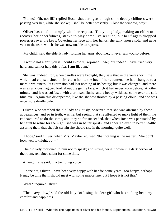'No, no! Oh, not ill!' replied Rose: shuddering as though some deadly chillness were passing over her, while she spoke; 'I shall be better presently. Close the window, pray!'

 Oliver hastened to comply with her request. The young lady, making an effort to recover her cheerfulness, strove to play some livelier tune; but her fingers dropped powerless over the keys. Covering her face with her hands, she sank upon a sofa, and gave vent to the tears which she was now unable to repress.

'My child!' said the elderly lady, folding her arms about her, 'I never saw you so before.'

 'I would not alarm you if I could avoid it,' rejoined Rose; 'but indeed I have tried very hard, and cannot help this. I fear **I am** ill, aunt.'

 She was, indeed; for, when candles were brought, they saw that in the very short time which had elapsed since their return home, the hue of her countenance had changed to a marble whiteness. Its expression had lost nothing of its beauty; but it was changed; and there was an anxious haggard look about the gentle face, which it had never worn before. Another minute, and it was suffused with a crimson flush: and a heavy wildness came over the soft blue eye. Again this disappeared, like the shadow thrown by a passing cloud; and she was once more deadly pale.

 Oliver, who watched the old lady anxiously, observed that she was alarmed by these appearances; and so in truth, was he; but seeing that she affected to make light of them, he endeavoured to do the same, and they so far succeeded, that when Rose was persuaded by her aunt to retire for the night, she was in better spirits; and appeared even in better health: assuring them that she felt certain she should rise in the morning, quite well.

 'I hope,' said Oliver, when Mrs. Maylie returned, 'that nothing is the matter? She don't look well to−night, but – '

 The old lady motioned to him not to speak; and sitting herself down in a dark corner of the room, remained silent for some time.

At length, she said, in a trembling voice:

 'I hope not, Oliver. I have been very happy with her for some years: too happy, perhaps. It may be time that I should meet with some misfortune; but I hope it is not this.'

'What?' inquired Oliver.

 'The heavy blow,' said the old lady, 'of losing the dear girl who has so long been my comfort and happiness.'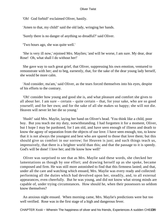'Oh! God forbid!' exclaimed Oliver, hastily.

'Amen to that, my child!' said the old lady, wringing her hands.

'Surely there is no danger of anything so dreadful?' said Oliver.

'Two hours ago, she was quite well.'

 'She is very ill now,' rejoined Mrs. Maylies; 'and will be worse, I am sure. My dear, dear Rose! Oh, what shall I do without her!'

 She gave way to such great grief, that Oliver, suppressing his own emotion, ventured to remonstrate with her; and to beg, earnestly, that, for the sake of the dear young lady herself, she would be more calm.

 'And consider, ma'am,' said Oliver, as the tears forced themselves into his eyes, despite of his efforts to the contrary.

 'Oh! consider how young and good she is, and what pleasure and comfort she gives to all about her. I am sure – certain – quite certain – that, for your sake, who are so good yourself; and for her own; and for the sake of all she makes so happy; she will not die. Heaven will never let her die so young.'

 'Hush!' said Mrs. Maylie, laying her hand on Oliver's head. 'You think like a child, poor boy. But you teach me my duty, notwithstanding. I had forgotten it for a moment, Oliver, but I hope I may be pardoned, for I am old, and have seen enough of illness and death to know the agony of separation from the objects of our love. I have seen enough, too, to know that it is not always the youngest and best who are spared to those that love them; but this should give us comfort in our sorrow; for Heaven is just; and such things teach us, impressively, that there is a brighter world than this; and that the passage to it is speedy. God's will be done! I love her; and He know how well!'

 Oliver was surprised to see that as Mrs. Maylie said these words, she checked her lamentations as though by one effort; and drawing herself up as she spoke, became composed and firm. He was still more astonished to find that this firmness lasted; and that, under all the care and watching which ensued, Mrs. Maylie was every ready and collected: performing all the duties which had devolved upon her, steadily, and, to all external appearances, even cheerfully. But he was young, and did not know what strong minds are capable of, under trying circumstances. How should he, when their possessors so seldom know themselves?

 An anxious night ensued. When morning came, Mrs. Maylie's predictions were but too well verified. Rose was in the first stage of a high and dangerous fever.

CHAPTER Xxxiii – Wherein The happiness of oliver and his friends, Experiences A sudden CHEC29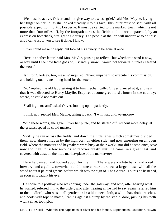'We must be active, Oliver, and not give way to useless grief,' said Mrs. Maylie, laying her finger on her lip, as she looked steadily into his face; 'this letter must be sent, with all possible expedition, to Mr. Losberne. It must be carried to the market−town: which is not more than four miles off, by the footpath across the field: and thence dispatched, by an express on horseback, straight to Chertsey. The people at the inn will undertake to do this: and I can trust to you to see it done, I know.'

Oliver could make no reply, but looked his anxiety to be gone at once.

 'Here is another letter,' said Mrs. Maylie, pausing to reflect; 'but whether to send it now, or wait until I see how Rose goes on, I scarcely know. I would not forward it, unless I feared the worst.'

 'Is it for Chertsey, too, ma'am?' inquired Oliver; impatient to execute his commission, and holding out his trembling hand for the letter.

 'No,' replied the old lady, giving it to him mechanically. Oliver glanced at it, and saw that it was directed to Harry Maylie, Esquire, at some great lord's house in the country; where, he could not make out.

'Shall it go, ma'am?' asked Oliver, looking up, impatiently.

'I think not,' replied Mrs. Maylie, taking it back. 'I will wait until to−morrow.'

 With these words, she gave Oliver her purse, and he started off, without more delay, at the greatest speed he could muster.

 Swiftly he ran across the fields, and down the little lanes which sometimes divided them: now almost hidden by the high corn on either side, and now emerging on an open field, where the mowers and haymakers were busy at their work: nor did he stop once, save now and then, for a few seconds, to recover breath, until he came, in a great heat, and covered with dust, on the little market−place of the market−town.

 Here he paused, and looked about for the inn. There were a white bank, and a red brewery, and a yellow town−hall; and in one corner there was a large house, with all the wood about it painted green: before which was the sign of 'The George.' To this he hastened, as soon as it caught his eye.

 He spoke to a postboy who was dozing under the gateway; and who, after hearing what he wanted, referred him to the ostler; who after hearing all he had to say again, referred him to the landlord; who was a tall gentleman in a blue neckcloth, a white hat, drab breeches, and boots with tops to match, leaning against a pump by the stable−door, picking his teeth with a silver toothpick.

CHAPTER Xxxiii – Wherein The happiness of oliver and his friends, Experiences A sudden CHEC30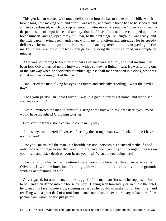This gentleman walked with much deliberation into the bar to make out the bill: which took a long time making out: and after it was ready, and paid, a horse had to be saddled, and a man to be dressed, which took up ten good minutes more. Meanwhile Oliver was in such a desperate state of impatience and anxiety, that he felt as if he could have jumped upon the horse himself, and galloped away, full tear, to the next stage. At length, all was ready; and the little parcel having been handed up, with many injunctions and entreaties for its speedy delivery, the man set spurs to his horse, and rattling over the uneven paving of the market−place, was out of the town, and galloping along the turnpike−road, in a couple of minutes.

 As it was something to feel certain that assistance was sent for, and that no time had been lost, Oliver hurried up the inn−yard, with a somewhat lighter heart. He was turning out of the gateway when he accidently stumbled against a tall man wrapped in a cloak, who was at that moment coming out of the inn door.

 'Hah!' cried the man, fixing his eyes on Oliver, and suddenly recoiling. 'What the devil's this?'

 'I beg your pardon, sir,' said Oliver; 'I was in a great hurry to get home, and didn't see you were coming.'

 'Death!' muttered the man to himself, glaring at the boy with his large dark eyes. 'Who would have thought it! Grind him to ashes!

He'd start up from a stone coffin, to come in my way!'

 'I am sorry,' stammered Oliver, confused by the strange man's wild look. 'I hope I have not hurt you!'

 'Rot you!' murmured the man, in a horrible passion; between his clenched teeth; 'if I had only had the courage to say the word, I might have been free of you in a night. Curses on your head, and black death on your heart, you imp! What are you doing here?'

 The man shook his fist, as he uttered these words incoherently. He advanced towards Oliver, as if with the intention of aiming a blow at him, but fell violently on the ground: writhing and foaming, in a fit.

 Oliver gazed, for a moment, at the struggles of the madman (for such he supposed him to be); and then darted into the house for help. Having seen him safely carried into the hotel, he turned his face homewards, running as fast as he could, to make up for lost time: and recalling with a great deal of astonishment and some fear, the extraordinary behaviour of the person from whom he had just parted.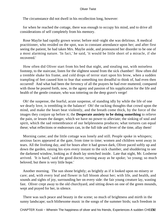The circumstance did not dwell in his recollection long, however:

 for when he reached the cottage, there was enough to occupy his mind, and to drive all considerations of self completely from his memory.

 Rose Maylie had rapidly grown worse; before mid−night she was delirious. A medical practitioner, who resided on the spot, was in constant attendance upon her; and after first seeing the patient, he had taken Mrs. Maylie aside, and pronounced her disorder to be one of a most alarming nature. 'In fact,' he said, 'it would be little short of a miracle, if she recovered.'

 How often did Oliver start from his bed that night, and stealing out, with noiseless footstep, to the staircase, listen for the slightest sound from the sick chamber! How often did a tremble shake his frame, and cold drops of terror start upon his brow, when a sudden trampling of feet caused him to fear that something too dreadful to think of, had even then occurred! And what had been the fervency of all the prayers he had ever muttered, compared with those he poured forth, now, in the agony and passion of his supplication for the life and health of the gentle creature, who was tottering on the deep grave's verge!

 Oh! the suspense, the fearful, acute suspense, of standing idly by while the life of one we dearly love, is trembling in the balance! Oh! the racking thoughts that crowd upon the mind, and make the heart beat violently, and the breath come thick, by the force of the images they conjure up before it; the **Desperate anxiety to be doing something** to relieve the pain, or lessen the danger, which we have no power to alleviate; the sinking of soul and spirit, which the sad remembrance of our helplessness produces; what tortures can equal these; what reflections or endeavours can, in the full tide and fever of the time, allay them!

 Morning came; and the little cottage was lonely and still. People spoke in whispers; anxious faces appeared at the gate, from time to time; women and children went away in tears. All the livelong day, and for hours after it had grown dark, Oliver paced softly up and down the garden, raising his eyes every instant to the sick chamber, and shuddering to see the darkened window, looking as if death lay stretched inside. Late that night, Mr. Losberne arrived. 'It is hard,' said the good doctor, turning away as he spoke; 'so young; so much beloved; but there is very little hope.'

 Another morning. The sun shone brightly; as brightly as if it looked upon no misery or care; and, with every leaf and flower in full bloom about her; with life, and health, and sounds and sights of joy, surrounding her on every side: the fair young creature lay, wasting fast. Oliver crept away to the old churchyard, and sitting down on one of the green mounds, wept and prayed for her, in silence.

 There was such peace and beauty in the scene; so much of brightness and mirth in the sunny landscape; such blithesome music in the songs of the summer birds; such freedom in

CHAPTER Xxxiii – Wherein The happiness of oliver and his friends, Experiences A sudden CHEC32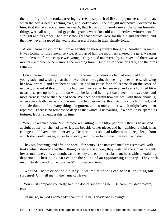the rapid flight of the rook, careering overhead; so much of life and joyousness in all; that, when the boy raised his aching eyes, and looked about, the thought instinctively occurred to him, that this was not a time for death; that Rose could surely never die when humbler things were all so glad and gay; that graves were for cold and cheerless winter: not for sunlight and fragrance. He almost thought that shrouds were for the old and shrunken; and that they never wrapped the young and graceful form in their ghastly folds.

 A knell from the church bell broke harshly on these youthful thoughts. Another! Again! It was tolling for the funeral service. A group of humble mourners entered the gate: wearing white favours; for the corpse was young. They stood uncovered by a grave; and there was a mother – a mother once – among the weeping train. But the sun shone brightly, and the birds sang on.

 Oliver turned homeward, thinking on the many kindnesses he had received from the young lady, and wishing that the time could come again, that he might never cease showing her how grateful and attached he was. He had no cause for self−reproach on the score of neglect, or want of thought, for he had been devoted to her service; and yet a hundred little occasions rose up before him, on which he fancied he might have been more zealous, and more earnest, and wished he had been. We need be careful how we deal with those about us, when every death carries to some small circle of survivors, thoughts of so much omitted, and so little done – of so many things forgotten, and so many more which might have been repaired! There is no remorse so deep as that which is unavailing; if we would be spared its tortures, let us remember this, in time.

 When he reached home Mrs. Maylie was sitting in the little parlour. Oliver's heart sand at sight of her; for she had never left the bedside of her niece; and he trembled to think what change could have driven her away. He learnt that she had fallen into a deep sleep, from which she would waken, either to recovery and life, or to bid them farewell, and die.

 They sat, listening, and afraid to speak, for hours. The untasted meal was removed, with looks which showed that their thoughts were elsewhere, they watched the sun as he sank lower and lower, and, at length, cast over sky and earth those brilliant hues which herald his departure. Their quick ears caught the sound of an approaching footstep. They both involuntarily darted to the door, as Mr. Losberne entered.

 'What of Rose?' cried the old lady. 'Tell me at once! I can bear it; anything but suspense! Oh!, tell me! in the name of Heaven!'

 'You must compose yourself,' said the doctor supporting her. 'Be calm, my dear ma'am, pray.'

'Let me go, in God's name! My dear child! She is dead! She is dying!'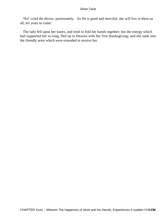'No!' cried the doctor, passionately. 'As He is good and merciful, she will live to bless us all, for years to come.'

 The lady fell upon her knees, and tried to fold her hands together; but the energy which had supported her so long, fled up to Heaven with her first thanksgiving; and she sank into the friendly arms which were extended to receive her.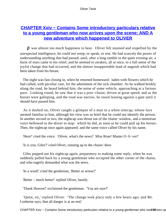# **CHAPTER Xxiv – Contains Some introductory particulars relative [to a young gentleman who now arrives upon the scene; AND A](#page-395-0) [new adventure which happened to OLIVER](#page-395-0)**

*I*t was almost too much happiness to bear. Oliver felt stunned and stupefied by the unexpected intelligence; he could not weep, or speak, or rest. He had scarcely the power of understanding anything that had passed, until, after a long ramble in the quiet evening air, a burst of tears came to his relief, and he seemed to awaken, all at once, to a full sense of the joyful change that had occurred, and the almost insupportable load of anguish which had been taken from his breast.

 The night was fast closing in, when he returned homeward: laden with flowers which he had culled, with peculiar care, for the adornment of the sick chamber. As he walked briskly along the road, he heard behind him, the noise of some vehicle, approaching at a furious pace. Looking round, he saw that it was a post−chaise, driven at great speed; and as the horses were galloping, and the road was narrow, he stood leaning against a gate until it should have passed him.

 As it dashed on, Oliver caught a glimpse of a man in a white nitecap, whose face seemed familiar to him, although his view was so brief that he could not identify the person. In another second or two, the nightcap was thrust out of the chaise−window, and a stentorian voice bellowed to the driver to stop: which he did, as soon as he could pull up his horses. Then, the nightcap once again appeared: and the same voice called Oliver by his name.

'Here!' cried the voice. 'Oliver, what's the news? Miss Rose! Master O−li−ver!'

'Is is you, Giles?' cried Oliver, running up to the chaise−door.

 Giles popped out his nightcap again, preparatory to making some reply, when he was suddenly pulled back by a young gentleman who occupied the other corner of the chaise, and who eagerly demanded what was the news.

'In a word!' cried the gentleman, 'Better or worse?'

'Better – much better!' replied Oliver, hastily.

'Thank Heaven!' exclaimed the gentleman. 'You are sure?'

 'Quite, sir,' replied Oliver. 'The change took place only a few hours ago; and Mr. Losberne says, that all danger is at an end.'

CHAPTER Xxiv – Contains Some introductory particulars relative to a young gentleman who now 285 a upon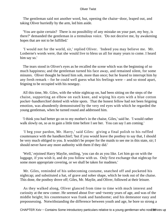The gentleman said not another word, but, opening the chaise−door, leaped out, and taking Oliver hurriedly by the arm, led him aside.

 'You are quite certain? There is no possibility of any mistake on your part, my boy, is there?' demanded the gentleman in a tremulous voice. 'Do not deceive me, by awakening hopes that are not to be fulfilled.'

 'I would not for the world, sir,' replied Oliver. 'Indeed you may believe me. Mr. Losberne's words were, that she would live to bless us all for many years to come. I heard him say so.'

 The tears stood in Oliver's eyes as he recalled the scene which was the beginning of so much happiness; and the gentleman turned his face away, and remained silent, for some minutes. Oliver thought he heard him sob, more than once; but he feared to interrupt him by any fresh remark – for he could well guess what his feelings were – and so stood apart, feigning to be occupied with his nosegay.

 All this time, Mr. Giles, with the white nightcap on, had been sitting on the steps of the chaise, supporting an elbow on each knee, and wiping his eyes with a blue cotton pocket−handkerchief dotted with white spots. That the honest fellow had not been feigning emotion, was abundently demonstrated by the very red eyes with which he regarded the young gentleman, when he turned round and addressed him.

 'I think you had better go on to my mother's in the chaise, Giles,' said he. 'I would rather walk slowly on, so as to gain a little time before I see her. You can say I am coming.'

 'I beg your pardon, Mr. Harry,' said Giles: giving a final polish to his ruffled countenance with the handkerchief; 'but if you would leave the postboy to say that, I should be very much obliged to you. It wouldn't be proper for the maids to see me in this state, sir; I should never have any more authority with them if they did.'

 'Well,' rejoined Harry Maylie, smiling, 'you can do as you like. Let him go on with the luggage, if you wish it, and do you follow with us. Only first exchange that nightcap for some more appropriate covering, or we shall be taken for madmen.'

 Mr. Giles, reminded of his unbecoming costume, snatched off and pocketed his nightcap; and substituted a hat, of grave and sober shape, which he took out of the chaise. This done, the postboy drove off; Giles, Mr. Maylie, and Oliver, followed at their leisure.

 As they walked along, Oliver glanced from time to time with much interest and curiosity at the new comer. He seemed about five−and−twenty years of age, and was of the middle height; his countenance was frank and handsome; and his demeanor easy and prepossessing. Notwithstanding the difference between youth and age, he bore so strong a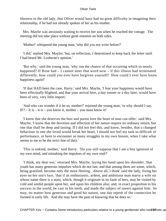likeness to the old lady, that Oliver would have had no great difficulty in imagining their relationship, if he had not already spoken of her as his mother.

 Mrs. Maylie was anxiously waiting to receive her son when he reached the cottage. The meeting did not take place without great emotion on both sides.

'Mother!' whispered the young man; 'why did you not write before?'

 'I did,' replied Mrs. Maylie; 'but, on reflection, I determined to keep back the letter until I had heard Mr. Losberne's opinion.'

 'But why,' said the young man, 'why run the chance of that occurring which so nearly happened? If Rose had – I cannot utter that word now – if this illness had terminated differently, how could you ever have forgiven yourself! How could I ever have know happiness again!'

 'If that HAD been the case, Harry,' said Mrs. Maylie, 'I fear your happiness would have been effectually blighted, and that your arrival here, a day sooner or a day later, would have been of very, very little import.'

 'And who can wonder if it be so, mother?' rejoined the young man; 'or why should I say, IF? – It is – it is – you know it, mother – you must know it!'

 'I know that she deserves the best and purest love the heart of man can offer,' said Mrs. Maylie; 'I know that the devotion and affection of her nature require no ordinary return, but one that shall be deep and lasting. If I did not feel this, and know, besides, that a changed behaviour in one she loved would break her heart, I should not feel my task so difficult of performance, or have to encounter so many struggles in my own bosom, when I take what seems to me to be the strict line of duty.'

 'This is unkind, mother,' said Harry. 'Do you still suppose that I am a boy ignorant of my own mind, and mistaking the impulses of my own soul?'

 'I think, my dear son,' returned Mrs. Maylie, laying her hand upon his shoulder, 'that youth has many generous impulses which do not last; and that among them are some, which, being gratified, become only the more fleeting. Above all, I think' said the lady, fixing her eyes on her son's face, 'that if an enthusiastic, ardent, and ambitious man marry a wife on whose name there is a stain, which, though it originate in no fault of hers, may be visited by cold and sordid people upon her, and upon his children also: and, in exact proportion to his success in the world, be cast in his teeth, and made the subject of sneers against him: he may, no matter how generous and good his nature, one day repent of the connection he formed in early life. And she may have the pain of knowing that he does so.'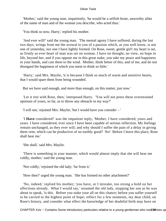'Mother,' said the young man, impatiently, 'he would be a selfish brute, unworthy alike of the name of man and of the woman you describe, who acted thus.'

'You think so now, Harry,' replied his mother.

 'And ever will!' said the young man. 'The mental agony I have suffered, during the last two days, wrings from me the avowal to you of a passion which, as you well know, is not one of yesterday, nor one I have lightly formed. On Rose, sweet, gentle girl! my heart is set, as firmly as ever heart of man was set on woman. I have no thought, no view, no hope in life, beyond her; and if you oppose me in this great stake, you take my peace and happiness in your hands, and cast them to the wind. Mother, think better of this, and of me, and do not disregard the happiness of which you seem to think so little.'

 'Harry,' said Mrs. Maylie, 'it is because I think so much of warm and sensitive hearts, that I would spare them from being wounded.

But we have said enough, and more than enough, on this matter, just now.'

 'Let it rest with Rose, then,' interposed Harry. 'You will not press these overstrained opinions of yours, so far, as to throw any obstacle in my way?'

'I will not,' rejoined Mrs. Maylie; 'but I would have you consider – '

 'I **Have** considered!' was the impatient reply; 'Mother, I have considered, years and years. I have considered, ever since I have been capable of serious reflection. My feelings remain unchanged, as they ever will; and why should I suffer the pain of a delay in giving them vent, which can be productive of no earthly good? No! Before I leave this place, Rose shall hear me.'

'She shall,' said Mrs. Maylie.

 'There is something in your manner, which would almost imply that she will hear me coldly, mother,' said the young man.

'Not coldly,' rejoined the old lady; 'far from it.'

'How then?' urged the young man. 'She has formed no other attachment?'

 'No, indeed,' replied his mother; 'you have, or I mistake, too strong a hold on her affections already. What I would say,' resumed the old lady, stopping her son as he was about to speak, 'is this. Before you stake your all on this chance; before you suffer yourself to be carried to the highest point of hope; reflect for a few moments, my dear child, on Rose's history, and consider what effect the knowledge of her doubtful birth may have on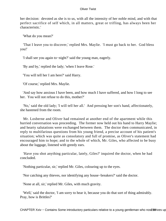her decision: devoted as she is to us, with all the intensity of her noble mind, and with that perfect sacrifice of self which, in all matters, great or trifling, has always been her characteristic.'

'What do you mean?'

 'That I leave you to discover,' replied Mrs. Maylie. 'I must go back to her. God bless you!'

'I shall see you again to−night?' said the young man, eagerly.

'By and by,' replied the lady; 'when I leave Rose.'

'You will tell her I am here?' said Harry.

'Of course,' replied Mrs. Maylie.

 'And say how anxious I have been, and how much I have suffered, and how I long to see her. You will not refuse to do this, mother?'

 'No,' said the old lady; 'I will tell her all.' And pressing her son's hand, affectionately, she hastened from the room.

 Mr. Losberne and Oliver had remained at another end of the apartment while this hurried conversation was proceeding. The former now held out his hand to Harry Maylie; and hearty salutations were exchanged between them. The doctor then communicated, in reply to multifarious questions from his young friend, a precise account of his patient's situation; which was quite as consolatory and full of promise, as Oliver's statement had encouraged him to hope; and to the whole of which, Mr. Giles, who affected to be busy about the luggage, listened with greedy ears.

 'Have you shot anything particular, lately, Giles?' inquired the doctor, when he had concluded.

'Nothing particular, sir,' replied Mr. Giles, colouring up to the eyes.

'Nor catching any thieves, nor identifying any house−breakers?' said the doctor.

'None at all, sir,' replied Mr. Giles, with much gravity.

 'Well,' said the doctor, 'I am sorry to hear it, because you do that sort of thing admirably. Pray, how is Brittles?'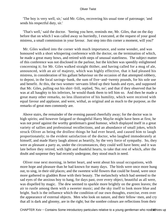'The boy is very well, sir,' said Mr. Giles, recovering his usual tone of patronage; 'and sends his respectful duty, sir.'

 'That's well,' said the doctor. 'Seeing you here, reminds me, Mr. Giles, that on the day before that on which I was called away so hurriedly, I executed, at the request of your good mistress, a small commission in your favour. Just step into this corner a moment, will you?'

 Mr. Giles walked into the corner with much importance, and some wonder, and was honoured with a short whispering conference with the doctor, on the termination of which, he made a great many bows, and retired with steps of unusual stateliness. The subject matter of this conference was not disclosed in the parlour, but the kitchen was speedily enlightened concerning it; for Mr. Giles walked straight thither, and having called for a mug of ale, announced, with an air of majesty, which was highly effective, that it had pleased his mistress, in consideration of his gallant behaviour on the occasion of that attempted robbery, to depost, in the local savings−bank, the sum of five−and−twenty pounds, for his sole use and benefit. At this, the two women−servants lifted up their hands and eyes, and supposed that Mr. Giles, pulling out his shirt−frill, replied, 'No, no'; and that if they observed that he was at all haughty to his inferiors, he would thank them to tell him so. And then he made a great many other remarks, no less illustrative of his humility, which were received with equal favour and applause, and were, withal, as original and as much to the purpose, as the remarks of great men commonly are.

 Above stairs, the remainder of the evening passed cheerfully away; for the doctor was in high spirits; and however fatigued or thoughtful Harry Maylie might have been at first, he was not proof against the worthy gentleman's good humour, which displayed itself in a great variety of sallies and professional recollections, and an abundance of small jokes, which struck Oliver as being the drollest things he had ever heard, and caused him to laugh proportionately; to the evident satisfaction of the doctor, who laughed immoderately at himself, and made Harry laugh almost as heartily, by the very force of sympathy. So, they were as pleasant a party as, under the circumstances, they could well have been; and it was late before they retired, with light and thankful hearts, to take that rest of which, after the doubt and suspense they had recently undergone, they stood much in need.

 Oliver rose next morning, in better heart, and went about his usual occupations, with more hope and pleasure than he had known for many days. The birds were once more hung out, to sing, in their old places; and the sweetest wild flowers that could be found, were once more gathered to gladden Rose with their beauty. The melancholy which had seemed to the sad eyes of the anxious boy to hang, for days past, over every object, beautiful as all were, was dispelled by magic. The dew seemed to sparkle more brightly on the green leaves; the air to rustle among them with a sweeter music; and the sky itself to look more blue and bright. Such is the influence which the condition of our own thoughts, exercise, even over the appearance of external objects. Men who look on nature, and their fellow−men, and cry that all is dark and gloomy, are in the right; but the sombre colours are reflections from their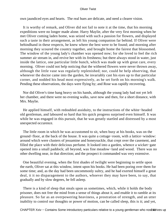own jaundiced eyes and hearts. The real hues are delicate, and need a clearer vision.

 It is worthy of remark, and Oliver did not fail to note it at the time, that his morning expeditions were no longer made alone. Harry Maylie, after the very first morning when he met Oliver coming laden home, was seized with such a passion for flowers, and displayed such a taste in their arrangement, as left his young companion far behind. If Oliver were behindhand in these respects, he knew where the best were to be found; and morning after morning they scoured the country together, and brought home the fairest that blossomed. The window of the young lady's chamber was opened now; for she loved to feel the rich summer air stream in, and revive her with its freshness; but there always stood in water, just inside the lattice, one particular little bunch, which was made up with great care, every morning. Oliver could not help noticing that the withered flowers were never thrown away, although the little vase was regularly replenished; nor, could he help observing, that whenever the doctor came into the garden, he invariably cast his eyes up to that particular corner, and nodded his head most expressively, as he set forth on his morning's walk. Pending these observations, the days were flying by; and Rose was rapidly recovering.

 Nor did Oliver's time hang heavy on his hands, although the young lady had not yet left her chamber, and there were no evening walks, save now and then, for a short distance, with Mrs. Maylie.

 He applied himself, with redoubled assiduity, to the instructions of the white−headed old gentleman, and laboured so hard that his quick progress surprised even himself. It was while he was engaged in this pursuit, that he was greatly startled and distressed by a most unexpected occurence.

 The little room in which he was accustomed to sit, when busy at his books, was on the ground−floor, at the back of the house. It was quite a cottage−room, with a lattice−window: around which were clusters of jessamine and honeysuckle, that crept over the casement, and filled the place with their delicious perfume. It looked into a garden, whence a wicket−gate opened into a small paddock; all beyond, was fine meadow−land and wood. There was no other dwelling near, in that direction; and the prospect it commanded was very extensive.

 One beautiful evening, when the first shades of twilight were beginning to settle upon the earth, Oliver sat at this window, intent upon his books. He had been poring over them for some time; and, as the day had been uncommonly sultry, and he had exerted himself a great deal, it it no disparagement to the authors, whoever they may have been, to say, that gradually and by slow degrees, he fell asleep.

 There is a kind of sleep that steals upon us sometimes, which, while it holds the body prisoner, does not free the mind from a sense of things about it, and enable it to ramble at its pleasure. So far as an overpowering heaviness, a prostration of strength, and an utter inability to control our thoughts or power of motion, can be called sleep, this is it; and yet,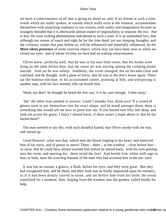we have a consciousness of all that is going on about us, and, if we dream at such a time, words which are really spoken, or sounds which really exist at the moment, accommodate themselves with surprising readiness to our visions, until reality and imagination become so strangely blended that it is afterwards almost matter of impossibility to separate the two. Nor is this, the most striking phenomenon indcidental to such a state. It is an undoubted fact, that although our senses of touch and sight be for the time dead, yet our sleeping thoughts, and the visionary scenes that pass before us, will be influenced and materially influenced, by the **Mere silent presence** of some external object; which may not have been near us when we closed our eyes: and of whose vicinity we have had no waking consciousness.

 Oliver knew, perfectly well, that he was in his own little room; that his books were lying on the table before him; that the sweet air was stirring among the creeping plants outside. And yet he was asleep. Suddenly, the scene changed; the air became close and confined; and he thought, with a glow of terror, that he was in the Jew's house again. There sat the hideous old man, in his accustomed corner, pointing at him, and whispering to another man, with his face averted, who sat beside him.

'Hush, my dear!' he thought he heard the Jew say; 'it is he, sure enough. Come away.'

 'He!' the other man seemed to answer; 'could I mistake him, think you? If a crowd of ghosts were to put themselves into his exact shape, and he stood amongst them, there is something that would tell me how to point him out. If you buried him fifty feet deep, and took me across his grave, I fancy I should know, if there wasn't a mark above it, that he lay buried there?'

 The man seemed to say this, with such dreadful hatred, that Oliver awoke with the fear, and started up.

 Good Heaven! what was that, which sent the blood tingling to his heart, and deprived him of his voice, and of power to move! There – there – at the window – close before him – so close, that he could have almost touched him before he started back: with his eyes peering into the room, and meeting his: there stood the Jew! And beside him, white with rage or fear, or both, were the scowling features of the man who had accosted him in the inn−yard.

 It was but an instant, a glance, a flash, before his eyes; and they were gone. But they had recognised him, and he them; and their look was as firmly impressed upon his memory, as if it had been deeply carved in stone, and set before him from his birth. He stood transfixed for a moment; then, leaping from the window into the garden, called loudly for help.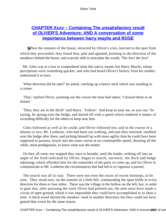# **CHAPTER Xxxv – Containing The unsatisfactory result [of OLIVER'S Adventure; AND A conversation of some](#page-395-0) [importance between harry maylie and ROSE](#page-395-0)**

**When the inmates of the house, attracted by Oliver's cries, hurried to the spot from** which they proceeded, they found him, pale and agitated, pointing in the direction of the meadows behind the house, and scarcely able to articulate the words, 'The Jew! the Jew!'

 Mr. Giles was at a loss to comprehend what this outcry meant; but Harry Maylie, whose perceptions were something quicker, and who had heard Oliver's history from his mother, understood it at once.

 'What direction did he take?' he asked, catching up a heavy stick which was standing in a corner.

 'That,' replied Oliver, pointing out the course the man had taken; 'I missed them in an instant.'

 'Then, they are in the ditch!' said Harry. 'Follow! And keep as near me, as you can.' So saying, he sprang over the hedge, and darted off with a speed which rendered it matter of exceeding difficulty for the others to keep near him.

 Giles followed as well as he could; and Oliver followed too; and in the course of a minute or two, Mr. Losberne, who had been out walking, and just then returned, tumbled over the hedge after them, and picking himself up with more agility than he could have been supposed to possess, struck into the same course at no contemptible speed, shouting all the while, most prodigiously, to know what was the matter.

 On they all went; nor stopped they once to breathe, until the leader, striking off into an angle of the field indicated by Oliver, began to search, narrowly, the ditch and hedge adjoining; which afforded time for the remainder of the party to come up; and for Oliver to communicate to Mr. Losberne the circumstances that had led to so vigorous a pursuit.

 The search was all in vain. There were not even the traces of recent footsteps, to be seen. They stood now, on the summit of a little hill, commanding the open fields in every direction for three or four miles. There was the village in the hollow on the left; but, in order to gain that, after pursuing the track Oliver had pointed out, the men must have made a circuit of open ground, which it was impossible they could have accomplished in so short a time. A thick wood skirted the meadow−land in another direction; but they could not have gained that covert for the same reason.

CHAPTER Xxxv – Containing The unsatisfactory result of OLIVER'S Adventure; AND A conversation of some importance between harry may and ROSE 2440 and ROSE 24440 and ROSE 2433446 2433 24346 24346 24346 24346 24346 24346 243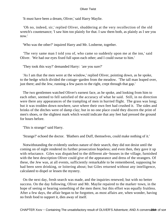'It must have been a dream, Oliver,' said Harry Maylie.

 'Oh no, indeed, sir,' replied Oliver, shuddering at the very recollection of the old wretch's countenance; 'I saw him too plainly for that. I saw them both, as plainly as I see you now.'

'Who was the other?' inquired Harry and Mr. Losberne, together.

 'The very same man I told you of, who came so suddenly upon me at the inn,' said Oliver. 'We had our eyes fixed full upon each other; and I could swear to him.'

'They took this way?' demanded Harry: 'are you sure?'

 'As I am that the men were at the window,' replied Oliver, pointing down, as he spoke, to the hedge which divided the cottage−garden from the meadow. 'The tall man leaped over, just there; and the Jew, running a few paces to the right, crept through that gap.'

 The two gentlemen watched Oliver's earnest face, as he spoke, and looking from him to each other, seemed to fell satisfied of the accuracy of what he said. Still, in no direction were there any appearances of the trampling of men in hurried flight. The grass was long; but it was trodden down nowhere, save where their own feet had crushed it. The sides and brinks of the ditches were of damp clay; but in no one place could they discern the print of men's shoes, or the slightest mark which would indicate that any feet had pressed the ground for hours before.

'This is strange!' said Harry.

'Strange?' echoed the doctor. 'Blathers and Duff, themselves, could make nothing of it.'

 Notwithstanding the evidently useless nature of their search, they did not desist until the coming on of night rendered its further prosecution hopeless; and even then, they gave it up with reluctance. Giles was dispatched to the different ale−houses in the village, furnished with the best description Oliver could give of the appearance and dress of the strangers. Of these, the Jew was, at all events, sufficiently remarkable to be remembered, supposing he had been seen drinking, or loitering about; but Giles returned without any intelligence, calculated to dispel or lessen the mystery.

 On the next day, fresh search was made, and the inquiries renewed; but with no better success. On the day following, Oliver and Mr. Maylie repaired to the market−town, in the hope of seeing or hearing something of the men there; but this effort was equally fruitless. After a few days, the affair began to be forgotten, as most affairs are, when wonder, having no fresh food to support it, dies away of itself.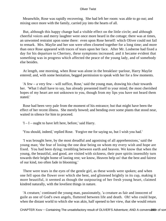Meanwhile, Rose was rapidly recovering. She had left her room: was able to go out; and mixing once more with the family, carried joy into the hearts of all.

 But, although this happy change had a visible effect on the little circle; and although cheerful voices and merry laughter were once more heard in the cottage; there was at times, an unwonted restraint upon some there: even upon Rose herself: which Oliver could not fail to remark. Mrs. Maylie and her son were often closeted together for a long time; and more than once Rose appeared with traces of tears upon her face. After Mr. Losberne had fixed a day for his departure to Chertsey, these symptoms increased; and it became evident that something was in progress which affected the peace of the young lady, and of somebody else besides.

 At length, one morning, when Rose was alone in the breakfast−parlour, Harry Maylie entered; and, with some hesitation, begged permission to speak with her for a few moments.

 'A few – a very few – will suffice, Rose,' said the young man, drawing his chair towards her. 'What I shall have to say, has already presented itself to your mind; the most cherished hopes of my heart are not unknown to you, though from my lips you have not heard them stated.'

 Rose had been very pale from the moment of his entrance; but that might have been the effect of her recent illness. She merely bowed; and bending over some plants that stood near, waited in silence for him to proceed.

 $I - I - \text{ought to have left here, before, 'said Harry.}$ 

'You should, indeed,' replied Rose. 'Forgive me for saying so, but I wish you had.'

 'I was brought here, by the most dreadful and agonising of all apprehensions,' said the young man; 'the fear of losing the one dear being on whom my every wish and hope are fixed. You had been dying; trembling between earth and heaven. We know that when the young, the beautiful, and good, are visited with sickness, their pure spirits insensibly turn towards their bright home of lasting rest; we know, Heaven help us! that the best and fairest of our kind, too often fade in blooming.'

 There were tears in the eyes of the gentle girl, as these words were spoken; and when one fell upon the flower over which she bent, and glistened brightly in its cup, making it more beautiful, it seemed as though the outpouring of her fresh young heart, claimed kindred naturally, with the loveliest things in nature.

 'A creature,' continued the young man, passionately, 'a creature as fair and innocent of guile as one of God's own angels, fluttered between life and death. Oh! who could hope, when the distant world to which she was akin, half opened to her view, that she would return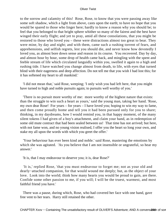to the sorrow and calamity of this! Rose, Rose, to know that you were passing away like some soft shadow, which a light from above, casts upon the earth; to have no hope that you would be spared to those who linger here; hardly to know a reason why you should be; to feel that you belonged to that bright sphere whither so many of the fairest and the best have winged their early flight; and yet to pray, amid all these consolations, that you might be restored to those who loved you – these were distractions almost too great to bear. They were mine, by day and night; and with them, came such a rushing torrent of fears, and apprehensions, and selfish regrets, lest you should die, and never know how devotedly I loved you, as almost bore down sense and reason in its course. You recovered. Day by day, and almost hour by hour, some drop of health came back, and mingling with the spent and feeble stream of life which circulated languidly within you, swelled it again to a high and rushing tide. I have watched you change almost from death, to life, with eyes that turned blind with their eagerness and deep affection. Do not tell me that you wish I had lost this; for it has softened my heart to all mankind.'

 'I did not mean that,' said Rose, weeping; 'I only wish you had left here, that you might have turned to high and noble pursuits again; to pursuits well worthy of you.'

 'There is no pursuit more worthy of me: more worthy of the highest nature that exists: than the struggle to win such a heart as yours,' said the young man, taking her hand. 'Rose, my own dear Rose! For years – for years – I have loved you; hoping to win my way to fame, and then come proudly home and tell you it had been pursued only for you to share; thinking, in my daydreams, how I would remind you, in that happy moment, of the many silent tokens I had given of a boy's attachment, and claim your hand, as in redemption of some old mute contract that had been sealed between us! That time has not arrived; but here, with not fame won, and no young vision realised, I offer you the heart so long your own, and stake my all upon the words with which you greet the offer.'

 'Your behaviour has ever been kind and noble.' said Rose, mastering the emotions by which she was agitated. 'As you believe that I am not insensible or ungrateful, so hear my answer.'

'It is, that I may endeavour to deserve you; it is, dear Rose?'

 'It is,' replied Rose, 'that you must endeavour to forget me; not as your old and dearly−attached companion, for that would wound me deeply; but, as the object of your love. Look into the world; think how many hearts you would be proud to gain, are there. Confide some other passion to me, if you will; I will be the truest, warmest, and most faithful friend you have.'

 There was a pause, during which, Rose, who had covered her face with one hand, gave free vent to her tears. Harry still retained the other.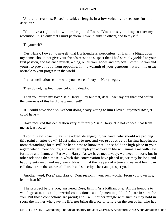'And your reasons, Rose,' he said, at length, in a low voice; 'your reasons for this decision?'

 'You have a right to know them,' rejoined Rose. 'You can say nothing to alter my resolution. It is a duty that I must perform. I owe it, alike to others, and to myself.'

'To yourself?'

 'Yes, Harry. I owe it to myself, that I, a friendless, portionless, girl, with a blight upon my name, should not give your friends reason to suspect that I had sordidly yielded to your first passion, and fastened myself, a clog, on all your hopes and projects. I owe it to you and yours, to prevent you from opposing, in the warmth of your generous nature, this great obstacle to your progress in the world.'

'If your inclinations chime with your sense of duty – ' Harry began.

'They do not,' replied Rose, colouring deeply.

 'Then you return my love?' said Harry. 'Say but that, dear Rose; say but that; and soften the bitterness of this hard disappointment!'

 'If I could have done so, without doing heavy wrong to him I loved,' rejoined Rose, 'I could have – '

 'Have received this declaration very differently?' said Harry. 'Do not conceal that from me, at least, Rose.'

 'I could,' said Rose. 'Stay!' she added, disengaging her hand, 'why should we prolong this painful interview? Most painful to me, and yet productive of lasting happiness, notwithstanding; for it **Will** be happiness to know that I once held the high place in your regard which I now occupy, and every triumph you achieve in life will animate me with new fortitude and firmness. Farewell, Harry! As we have met to−day, we meet no more; but in other relations than those in which this conversation have placed us, we may be long and happily entwined; and may every blessing that the prayers of a true and earnest heart can call down from the source of all truth and sincerity, cheer and prosper you!'

 'Another word, Rose,' said Harry. 'Your reason in your own words. From your own lips, let me hear it!'

 'The prospect before you,' answered Rose, firmly, 'is a brilliant one. All the honours to which great talents and powerful connections can help men in public life, are in store for you. But those connections are proud; and I will neither mingle with such as may hold in scorn the mother who gave me life; nor bring disgrace or failure on the son of her who has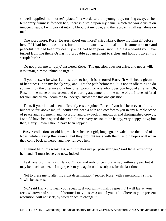so well supplied that mother's place. In a word,' said the young lady, turning away, as her temporary firmness forsook her, 'there is a stain upon my name, which the world visits on innocent heads. I will carry it into no blood but my own; and the reproach shall rest alone on me.'

 'One word more, Rose. Dearest Rose! one more!' cried Harry, throwing himself before her. 'If I had been less – less fortunate, the world would call it – if some obscure and peaceful life had been my destiny – if I had been poor, sick, helpless – would you have turned from me then? Or has my probable advancement to riches and honour, given this scruple birth?'

 'Do not press me to reply,' answered Rose. 'The question does not arise, and never will. It is unfair, almost unkind, to urge it.'

 'If your answer be what I almost dare to hope it is,' retorted Harry, 'it will shed a gleam of happiness upon my lonely way, and light the path before me. It is not an idle thing to do so much, by the utterance of a few brief words, for one who loves you beyond all else. Oh, Rose: in the name of my ardent and enduring attachment; in the name of all I have suffered for you, and all you doom me to undergo; answer me this one question!'

 'Then, if your lot had been differently cast,' rejoined Rose; 'if you had been even a little, but not so far, above me; if I could have been a help and comfort to you in any humble scene of peace and retirement, and not a blot and drawback in ambitious and distinguished crowds; I should have been spared this trial. I have every reason to be happy, very happy, now; but then, Harry, I own I should have been happier.'

 Busy recollections of old hopes, cherished as a girl, long ago, crowded into the mind of Rose, while making this avowal; but they brought tears with them, as old hopes will when they come back withered; and they relieved her.

 'I cannot help this weakness, and it makes my purpose stronger,' said Rose, extending her hand. 'I must leave you now, indeed.'

 'I ask one promise,' said Harry. 'Once, and only once more, – say within a year, but it may be much sooner, – I may speak to you again on this subject, for the last time.'

 'Not to press me to alter my right determination,' replied Rose, with a melancholy smile; 'it will be useless.'

 'No,' said Harry; 'to hear you repeat it, if you will – finally repeat it! I will lay at your feet, whatever of station of fortune I may possess; and if you still adhere to your present resolution, will not seek, by word or act, to change it.'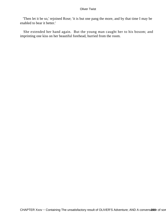'Then let it be so,' rejoined Rose; 'it is but one pang the more, and by that time I may be enabled to bear it better.'

 She extended her hand again. But the young man caught her to his bosom; and imprinting one kiss on her beautiful forehead, hurried from the room.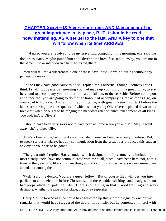# **[CHAPTER Xxxvi − IS A very short one, AND May appear of no](#page-395-0) [great importance in its place, BUT It should be read](#page-395-0) [notwithstanding, AS A sequel to the last, AND A key to one that](#page-395-0) [will follow when its time ARRIVES](#page-395-0)**

*'A*nd so you are resolved to be my travelling companion this morning; eh?' said the doctor, as Harry Maylie joined him and Oliver at the breakfast−table. 'Why, you are not in the same mind or intention two half−hours together!'

 'You will tell me a different tale one of these days,' said Harry, colouring without any perceptible reason.

 'I hope I may have good cause to do so,' replied Mr. Losberne; 'though I confess I don't think I shall. But yesterday morning you had made up your mind, in a great hurry, to stay here, and to accompany your mother, like a dutiful son, to the sea−side. Before noon, you announce that you are going to do me the honour of accompanying me as far as I go, on your road to London. And at night, you urge me, with great mystery, to start before the ladies are stirring; the consequence of which is, that young Oliver here is pinned down to his breakfast when he ought to be ranging the meadows after botanical phenomena of all kinds. Too bad, isn't it, Oliver?'

 'I should have been very sorry not to have been at home when you and Mr. Maylie went away, sir,' rejoined Oliver.

 'That's a fine fellow,' said the doctor; 'you shall come and see me when you return. But, to speak seriously, Harry; has any communication from the great nobs produced this sudden anxiety on your part to be gone?'

 'The great nobs,' replied Harry, 'under which designation, I presume, you include my most stately uncle, have not communicated with me at all, since I have been here; nor, at this time of the year, is it likely that anything would occur to render necessary my immediate attendance among them.'

 'Well,' said the doctor, 'you are a queer fellow. But of course they will get you into parliament at the election before Christmas, and these sudden shiftings and changes are no bad preparation for political life. There's something in that. Good training is always desirable, whether the race be for place, cup, or sweepstakes.'

 Harry Maylie looked as if he could have followed up this short dialogue by one or two remarks that would have staggered the doctor not a little; but he contented himself with

CHAPTER Xxxvi – IS A very short one, AND May appear of no great importance in its place, BUZ50 should be i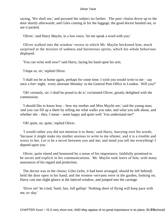saying, 'We shall see,' and pursued the subject no farther. The post−chaise drove up to the door shortly afterwards; and Giles coming in for the luggage, the good doctor bustled out, to see it packed.

'Oliver,' said Harry Maylie, in a low voice, 'let me speak a word with you.'

 Oliver walked into the window−recess to which Mr. Maylie beckoned him; much surprised at the mixture of sadness and boisterous spirits, which his whole behaviour displayed.

'You can write well now?' said Harry, laying his hand upon his arm.

'I hope so, sir,' replied Oliver.

 'I shall not be at home again, perhaps for some time; I wish you would write to me – say once a fort−night: every alternate Monday: to the General Post Office in London. Will you?'

 'Oh! certainly, sir; I shall be proud to do it,' exclaimed Oliver, greatly delighted with the commission.

 'I should like to know how – how my mother and Miss Maylie are,' said the young man; 'and you can fill up a sheet by telling me what walks you take, and what you talk about, and whether she – they, I mean – seem happy and quite well. You understand me?'

'Oh! quite, sir, quite,' replied Oliver.

 'I would rather you did not mention it to them,' said Harry, hurrying over his words; 'because it might make my mother anxious to write to me oftener, and it is a trouble and worry to her. Let is be a secret between you and me; and mind you tell me everything! I depend upon you.'

 Oliver, quite elated and honoured by a sense of his importance, faithfully promised to be secret and explicit in his communications. Mr. Maylie took leave of him, with many assurances of his regard and protection.

 The doctor was in the chaise; Giles (who, it had been arranged, should be left behind) held the door open in his hand; and the women−servants were in the garden, looking on. Harry cast one slight glance at the latticed window, and jumped into the carriage.

 'Drive on!' he cried, 'hard, fast, full gallop! Nothing short of flying will keep pace with me, to−day.'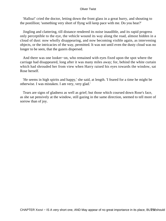'Halloa!' cried the doctor, letting down the front glass in a great hurry, and shouting to the postillion; 'something very short of flyng will keep pace with me. Do you hear?'

 Jingling and clattering, till distance rendered its noise inaudible, and its rapid progress only perceptible to the eye, the vehicle wound its way along the road, almost hidden in a cloud of dust: now wholly disappearing, and now becoming visible again, as intervening objects, or the intricacies of the way, permitted. It was not until even the dusty cloud was no longer to be seen, that the gazers dispersed.

 And there was one looker−on, who remained with eyes fixed upon the spot where the carriage had disappeared, long after it was many miles away; for, behind the white curtain which had shrouded her from view when Harry raised his eyes towards the window, sat Rose herself.

 'He seems in high spirits and happy,' she said, at length. 'I feared for a time he might be otherwise. I was mistaken. I am very, very glad.'

 Tears are signs of gladness as well as grief; but those which coursed down Rose's face, as she sat pensively at the window, still gazing in the same direction, seemed to tell more of sorrow than of joy.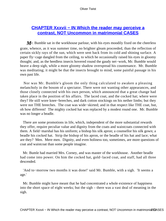# **[CHAPTER Xxxvii − IN Which the reader may perceive a](#page-395-0) [contrast, NOT Uncommon in matrimonial CASES](#page-395-0)**

M<sub>r</sub>. Bumble sat in the workhouse parlour, with his eyes moodily fixed on the cheerless grate, whence, as it was summer time, no brighter gleam proceeded, than the reflection of certain sickly rays of the sun, which were sent back from its cold and shining surface. A paper fly−cage dangled from the ceiling, to which he occasionally raised his eyes in gloomy thought; and, as the heedless insects hovered round the gaudy net−work, Mr. Bumble would heave a deep sigh, while a more gloomy shadow overspread his countenance. Mr. Bumble was meditating; it might be that the insects brought to mind, some painful passage in his own past life.

 Nor was Mr. Bumble's gloom the only thing calculated to awaken a pleasing melancholy in the bosom of a spectator. There were not wanting other appearances, and those closely connected with his own person, which announced that a great change had taken place in the position of his affairs. The laced coat, and the cocked hat; where were they? He still wore knee−breeches, and dark cotton stockings on his nether limbs; but they were not THE breeches. The coat was wide−skirted; and in that respect like THE coat, but, oh how different! The mighty cocked hat was replaced by a modest round one. Mr. Bumble was no longer a beadle.

 There are some promotions in life, which, independent of the more substantial rewards they offer, require peculiar value and dignity from the coats and waistcoats connected with them. A field−marshal has his uniform; a bishop his silk apron; a counsellor his silk gown; a beadle his cocked hat. Strip the bishop of his apron, or the beadle of his hat and lace; what are they? Men. Mere men. Dignity, and even holiness too, sometimes, are more questions of coat and waistcoat than some people imagine.

 Mr. Bumle had married Mrs. Corney, and was master of the workhouse. Another beadle had come into power. On him the cocked hat, gold−laced coat, and staff, had all three descended.

 'And to−morrow two months it was done!' said Mr. Bumble, with a sigh. 'It seems a age.'

 Mr. Bumble might have meant that he had concentrated a whole existence of happiness into the short space of eight weeks; but the sigh – there was a vast deal of meaning in the sigh.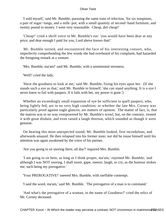'I sold myself,' said Mr. Bumble, pursuing the same train of relection, 'for six teaspoons, a pair of sugar−tongs, and a milk−pot; with a small quantity of second−hand furniture, and twenty pound in money. I went very reasonable. Cheap, dirt cheap!'

 'Cheap!' cried a shrill voice in Mr. Bumble's ear: 'you would have been dear at any price; and dear enough I paid for you, Lord above knows that!'

 Mr. Bumble turned, and encountered the face of his interesting consort, who, imperfectly comprehending the few words she had overheard of his complaint, had hazarded the foregoing remark at a venture.

'Mrs. Bumble, ma'am!' said Mr. Bumble, with a sentimental sternness.

'Well!' cried the lady.

 'Have the goodness to look at me,' said Mr. Bumble, fixing his eyes upon her. (If she stands such a eye as that,' said Mr. Bumble to himself, 'she can stand anything. It is a eye I never knew to fail with paupers. If it fails with her, my power is gone.')

 Whether an exceedingly small expansion of eye be sufficient to quell paupers, who, being lightly fed, are in no very high condition; or whether the late Mrs. Corney was particularly proof against eagle glances; are matters of opinion. The matter of fact, is, that the matron was in no way overpowered by Mr. Bumble's scowl, but, on the contrary, treated it with great disdain, and even raised a laugh threreat, which sounded as though it were genuine.

 On hearing this most unexpected sound, Mr. Bumble looked, first incredulous, and afterwards amazed. He then relapsed into his former state; nor did he rouse himself until his attention was again awakened by the voice of his partner.

'Are you going to sit snoring there, all day?' inquired Mrs. Bumble.

 'I am going to sit here, as long as I think proper, ma'am,' rejoined Mr. Bumble; 'and although I was NOT snoring, I shall snore, gape, sneeze, laugh, or cry, as the humour strikes me; such being my prerogative.'

'Your PREROGATIVE!' sneered Mrs. Bumble, with ineffable contempt.

'I said the word, ma'am,' said Mr. Bumble. 'The prerogative of a man is to command.'

 'And what's the prerogative of a woman, in the name of Goodness?' cried the relict of Mr. Corney deceased.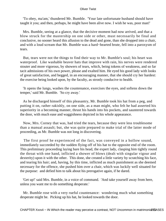'To obey, ma'am,' thundered Mr. Bumble. 'Your late unfortunate husband should have taught it you; and then, perhaps, he might have been alive now. I wish he was, poor man!'

 Mrs. Bumble, seeing at a glance, that the decisive moment had now arrived, and that a blow struck for the mastership on one side or other, must necessarily be final and conclusive, no sooner heard this allusion to the dead and gone, than she dropped into a chair, and with a loud scream that Mr. Bumble was a hard−hearted brute, fell into a paroxysm of tears.

 But, tears were not the things to find their way to Mr. Bumble's soul; his heart was waterproof. Like washable beaver hats that improve with rain, his nerves were rendered stouter and more vigorous, by showers of tears, which, being tokens of weakness, and so far tacit admissions of his own power, please and exalted him. He eyed his good lady with looks of great satisfaction, and begged, in an encouraging manner, that she should cry her hardest: the exercise being looked upon, by the faculty, as stronly conducive to health.

 'It opens the lungs, washes the countenance, exercises the eyes, and softens down the temper,' said Mr. Bumble. 'So cry away.'

 As he discharged himself of this pleasantry, Mr. Bumble took his hat from a peg, and putting it on, rather rakishly, on one side, as a man might, who felt he had asserted his superiority in a becoming manner, thrust his hands into his pockets, and sauntered towards the door, with much ease and waggishness depicted in his whole appearance.

 Now, Mrs. Corney that was, had tried the tears, because they were less troublesome than a manual assault; but, she was quite prepared to make trial of the latter mode of proceeding, as Mr. Bumble was not long in discovering.

 The first proof he experienced of the fact, was conveyed in a hollow sound, immediately succeeded by the sudden flying off of his hat to the opposite end of the room. This preliminary proceeding laying bare his head, the expert lady, clasping him tightly round the throat with one hand, inflicted a shower of blows (dealt with singular vigour and dexterity) upon it with the other. This done, she created a little variety by scratching his face, and tearing his hair; and, having, by this time, inflicted as much punishment as she deemed necessary for the offence, she pushed him over a chair, which was luckily well situated for the purpose: and defied him to talk about his prerogative again, if he dared.

 'Get up!' said Mrs. Bumble, in a voice of command. 'And take yourself away from here, unless you want me to do something desperate.'

 Mr. Bumble rose with a very rueful countenance: wondering much what something desperate might be. Picking up his hat, he looked towards the door.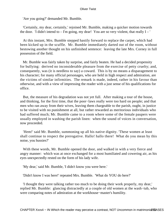'Are you going?' demanded Mr. Bumble.

 'Certainly, my dear, certainly,' rejoined Mr. Bumble, making a quicker motion towards the door. 'I didn't intend to  $-$  I'm going, my dear! You are so very violent, that really  $I - '$ 

 At this instant, Mrs. Bumble stepped hastily forward to replace the carpet, which had been kicked up in the scuffle. Mr. Bumble immediately darted out of the room, without bestowing another thought on his unfinished sentence: leaving the late Mrs. Corney in full possession of the field.

 Mr. Bumble was fairly taken by surprise, and fairly beaten. He had a decided propensity for bullying: derived no inconsiderable pleasure from the exercise of petty cruelty; and, consequently, was (it is needless to say) a coward. This is by no means a disparagement to his character; for many official personages, who are held in high respect and admiration, are the victims of similar infirmities. The remark is made, indeed, rather in his favour than otherwise, and with a view of impressing the reader with a just sense of his qualifications for office.

 But, the measure of his degradation was not yet full. After making a tour of the house, and thinking, for the first time, that the poor−laws really were too hard on people; and that men who ran away from their wives, leaving them chargeable to the parish, ought, in justice to be visited with no punishment at all, but rather rewarded as meritorious individuals who had suffered much; Mr. Bumble came to a room where some of the female paupers were usually employed in washing the parish linen: when the sound of voices in conversation, now proceeded.

 'Hem!' said Mr. Bumble, summoning up all his native dignity. 'These women at least shall continue to respect the prerogative. Hallo! hallo there! What do you mean by this noise, you hussies?'

 With these words, Mr. Bumble opened the door, and walked in with a very fierce and angry manner: which was at once exchanged for a most humiliated and cowering air, as his eyes unexpectedly rested on the form of his lady wife.

'My dear,' said Mr. Bumble, 'I didn't know you were here.'

'Didn't know I was here!' repeated Mrs. Bumble. 'What do YOU do here?'

 'I thought they were talking rather too much to be doing their work properly, my dear,' replied Mr. Bumble: glancing distractedly at a couple of old women at the wash−tub, who were comparing notes of admiration at the workhouse−master's humility.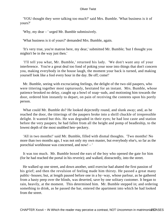'YOU thought they were talking too much?' said Mrs. Bumble. 'What business is it of yours?'

'Why, my dear – ' urged Mr. Bumble submissively.

'What business is it of yours?' demanded Mrs. Bumble, again.

 'It's very true, you're matron here, my dear,' submitted Mr. Bumble; 'but I thought you mightn't be in the way just then.'

 'I'll tell you what, Mr. Bumble,' returned his lady. 'We don't want any of your interference. You're a great deal too fond of poking your nose into things that don't concern you, making everybody in the house laugh, the moment your back is turned, and making yourself look like a fool every hour in the day. Be off; come!'

 Mr. Bumble, seeing with excruciating feelings, the delight of the two old paupers, who were tittering together most rapturously, hesitated for an instant. Mrs. Bumble, whose patience brooked no delay, caught up a bowl of soap−suds, and motioning him towards the door, ordered him instantly to depart, on pain of receiving the contents upon his portly person.

 What could Mr. Bumble do? He looked dejectedly round, and slunk away; and, as he reached the door, the titterings of the paupers broke into a shrill chuckle of irrepressible delight. It wanted but this. He was degraded in their eyes; he had lost caste and station before the very paupers; he had fallen from all the height and pomp of beadleship, to the lowest depth of the most snubbed hen−peckery.

 'All in two months!' said Mr. Bumble, filled with dismal thoughts. 'Two months! No more than two months ago, I was not only my own master, but everybody else's, so far as the porochial workhouse was concerned, and now! – '

 It was too much. Mr. Bumble boxed the ears of the boy who opened the gate for him (for he had reached the portal in his reverie); and walked, distractedly, into the street.

 He walked up one street, and down another, until exercise had abated the first passion of his grief; and then the revulsion of feeling made him thirsty. He passed a great many public−houses; but, at length paused before one in a by−way, whose parlour, as he gathered from a hasty peep over the blinds, was deserted, save by one solitary customer. It began to rain, heavily, at the moment. This determined him. Mr. Bumble stepped in; and ordering something to drink, as he passed the bar, entered the apartment into which he had looked from the street.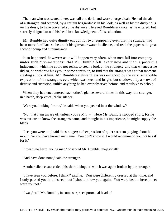The man who was seated there, was tall and dark, and wore a large cloak. He had the air of a stranger; and seemed, by a certain haggardness in his look, as well as by the dusty soils on his dress, to have travelled some distance. He eyed Bumble askance, as he entered, but scarcely deigned to nod his head in acknowledgment of his salutation.

 Mr. Bumble had quite dignity enough for two; supposing even that the stranger had been more familiar: so he drank his gin−and−water in silence, and read the paper with great show of pomp and circumstance.

 It so happened, however: as it will happen very often, when men fall into company under such circumstances: that Mr. Bumble felt, every now and then, a powerful inducement, which he could not resist, to steal a look at the stranger: and that whenever he did so, he withdrew his eyes, in some confusion, to find that the stranger was at that moment stealing a look at him. Mr. Bumble's awkwardness was enhanced by the very remarkable expression of the stranger's eye, which was keen and bright, but shadowed by a scowl of distrust and suspicion, unlike anything he had ever observed before, and repulsive to behold.

 When they had encountered each other's glance several times in this way, the stranger, in a harsh, deep voice, broke silence.

'Were you looking for me,' he said, 'when you peered in at the window?'

'Not that I am aware of, unless you're Mr. – ' Here Mr. Bumble stopped short; for he was curious to know the stranger's name, and thought in his impatience, he might supply the blank.

 'I see you were not,' said the stranger; and expression of quiet sarcasm playing about his mouth; 'or you have known my name. You don't know it. I would recommend you not to ask for it.'

'I meant no harm, young man,' observed Mr. Bumble, majestically.

'And have done none,' said the stranger.

Another silence succeeded this short dialogue: which was again broken by the stranger.

 'I have seen you before, I think?' said he. 'You were differently dressed at that time, and I only passed you in the street, but I should know you again. You were beadle here, once; were you not?'

'I was,' said Mr. Bumble, in some surprise; 'porochial beadle.'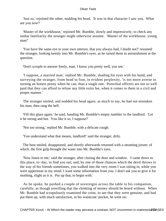'Just so,' rejoined the other, nodding his head. 'It was in that character I saw you. What are you now?'

 'Master of the workhouse,' rejoined Mr. Bumble, slowly and impressively, to check any undue familiarity the stranger might otherwise assume. 'Master of the workhouse, young man!'

 'You have the same eye to your own interest, that you always had, I doubt not?' resumed the stranger, looking keenly into Mr. Bumble's eyes, as he raised them in astonishment at the question.

'Don't scruple to answer freely, man. I know you pretty well, you see.'

 'I suppose, a married man,' replied Mr. Bumble, shading his eyes with his hand, and surveying the stranger, from head to foot, in evident perplexity, 'is not more averse to turning an honest penny when he can, than a single one. Porochial officers are not so well paid that they can afford to refuse any little extra fee, when it comes to them in a civil and proper manner.'

 The stranger smiled, and nodded his head again: as much to say, he had not mistaken his man; then rang the bell.

 'Fill this glass again,' he said, handing Mr. Bumble's empty tumbler to the landlord. 'Let it be strong and hot. You like it so, I suppose?'

'Not too strong,' replied Mr. Bumble, with a delicate cough.

'You understand what that means, landlord!' said the stranger, drily.

 The host smiled, disappeared, and shortly afterwards returned with a steaming jorum: of which, the first gulp brought the water into Mr. Bumble's eyes.

 'Now listen to me,' said the stranger, after closing the door and window. 'I came down to this place, to−day, to find you out; and, by one of those chances which the devil throws in the way of his friends sometimes, you walked into the very room I was sitting in, while you were uppermost in my mind. I want some information from you. I don't ask you to give it for mothing, slight as it is. Put up that, to begin with.'

 As he spoke, he pushed a couple of sovereigns across the table to his companion, carefully, as though unwilling that the chinking of money should be heard without. When Mr. Bumble had scrupulously examined the coins, to see that they were genuine, and had put them up, with much satisfaction, in his waistcoat−pocket, he went on: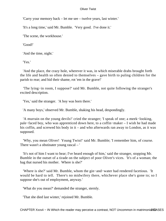'Carry your memory back – let me see – twelve years, last winter.'

'It's a long time,' said Mr. Bumble. 'Very good. I've done it.'

'The scene, the workhouse.'

'Good!'

'And the time, night.'

'Yes.'

 'And the place, the crazy hole, wherever it was, in which miserable drabs brought forth the life and health so often denied to themselves – gave birth to puling children for the parish to rear; and hid their shame, rot 'em in the grave!'

 'The lying−in room, I suppose?' said Mr. Bumble, not quite following the stranger's excited description.

'Yes,' said the stranger. 'A boy was born there.'

'A many boys,' observed Mr. Bumble, shaking his head, despondingly.

 'A murrain on the young devils!' cried the stranger; 'I speak of one; a meek−looking, pale−faced boy, who was apprenticed down here, to a coffin−maker – I wish he had made his coffin, and screwed his body in it – and who afterwards ran away to London, as it was supposed.

 'Why, you mean Oliver! Young Twist!' said Mr. Bumble; 'I remember him, of course. There wasn't a obstinater young rascal – '

 'It's not of him I want to hear; I've heard enough of him,' said the stranger, stopping Mr. Bumble in the outset of a tirade on the subject of poor Oliver's vices. 'It's of a woman; the hag that nursed his mother. Where is she?'

 'Where is she?' said Mr. Bumble, whom the gin−and−water had rendered facetious. 'It would be hard to tell. There's no midwifery there, whichever place she's gone to; so I suppose she's out of employment, anyway.'

'What do you mean?' demanded the stranger, sternly.

'That she died last winter,' rejoined Mr. Bumble.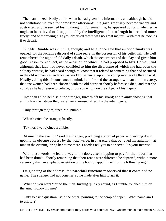The man looked fixedly at him when he had given this information, and although he did not withdraw his eyes for some time afterwards, his gaze gradually became vacant and abstracted, and he seemed lost in thought. For some time, he appeared doubtful whether he ought to be relieved or disappointed by the intelligence; but at length he breathed more freely; and withdrawing his eyes, observed that it was no great matter. With that he rose, as if to depart.

 But Mr. Bumble was cunning enough; and he at once saw that an opportunity was opened, for the lucrative disposal of some secret in the possession of his better half. He well remembered the night of old Sally's death, which the occurrences of that day had given him good reason to recollect, as the occasion on which he had proposed to Mrs. Corney; and although that lady had never confided to him the disclosure of which she had been the solitary witness, he had heard enough to know that it related to something that had occurred in the old woman's attendance, as workhouse nurse, upon the young mother of Oliver Twist. Hastily calling this circumstance to mind, he informed the stranger, with an air of mystery, that one woman had been closeted with the old harridan shortly before she died; and that she could, as he had reason to believe, throw some light on the subject of his inquiry.

 'How can I find her?' said the stranger, thrown off his guard; and plainly showing that all his fears (whatever they were) were aroused afresh by the intelligence.

'Only through me,' rejoined Mr. Bumble.

'When?' cried the stranger, hastily.

'To−morrow,' rejoined Bumble.

 'At nine in the evening,' said the stranger, producing a scrap of paper, and writing down upon it, an obscure address by the water−side, in characters that betrayed his agitation; 'at nine in the evening, bring her to me there. I needn't tell you to be secret. It's your interest.'

 With these words, he led the way to the door, after stopping to pay for the liquor that had been drunk. Shortly remarking that their roads were different, he departed, without more ceremony than an emphatic repetition of the hour of appointment for the following night.

 On glancing at the address, the parochial functionary observed that it contained no name. The stranger had not gone far, so he made after him to ask it.

 'What do you want?' cried the man. turning quickly round, as Bumble touched him on the arm. 'Following me?'

 'Only to ask a question,' said the other, pointing to the scrap of paper. 'What name am I to ask for?'

CHAPTER Xxxvii – IN Which the reader may perceive a contrast, NOT Uncommon in matrimonial CASES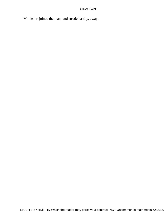'Monks!' rejoined the man; and strode hastily, away.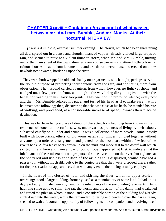# **CHAPTER Xxxviii – Containing An account of what passed [between mr. And mrs. Bumble, And mr. Monks, At their](#page-395-0) [nocturnal INTERVIEW](#page-395-0)**

*I*t was a dull, close, overcast summer evening. The clouds, which had been threatening all day, spread out in a dense and sluggish mass of vapour, already yielded large drops of rain, and seemed to presage a violent thunder−storm, when Mr. and Mrs. Bumble, turning out of the main street of the town, directed their course towards a scattered little colony of ruinous houses, distant from it some mile and a−half, or thereabouts, and erected on a low unwholesome swamp, bordering upon the river.

 They were both wrapped in old and shabby outer garments, which might, perhaps, serve the double purpose of protecting their persons from the rain, and sheltering them from observation. The husband carried a lantern, from which, however, no light yet shone; and trudged on, a few paces in front, as though – the way being dirty – to give his wife the benefit of treading in his heavy footprints. They went on, in profound silence; every now and then, Mr. Bumble relaxed his pace, and turned his head as if to make sure that his helpmate was following; then, discovering that she was close at his heels, he mended his rate of walking, and proceeded, at a considerable increase of speed, towards their place of destination.

 This was far from being a place of doubtful character; for it had long been known as the residence of none but low ruffians, who, under various pretences of living by their labour, subsisted chiefly on plunder and crime. It was a collection of mere hovels: some, hastily built with loose bricks: others, of old worm−eaten ship−timber: jumbled together without any attempt at order or arrangement, and planted, for the most part, within a few feet of the river's bank. A few leaky boats drawn up on the mud, and made fast to the dwarf wall which skirted it: and here and there an oar or coil of rope: appeared, at first, to indicate that the inhabitants of these miserable cottages pursued some avocation on the river; but a glance at the shattered and useless condition of the articles thus displayed, would have led a passer−by, without much difficulty, to the conjecture that they were disposed there, rather for the preservation of appearances, than with any view to their being actually employed.

 In the heart of this cluster of huts; and skirting the river, which its upper stories overhung; stood a large building, formerly used as a manufactory of some kind. It had, in its day, probably furnished employment to the inhabitants of the surrounding tenements. But it had long since gone to ruin. The rat, the worm, and the action of the damp, had weakened and rotted the piles on which it stood; and a considerable portion of the building had already sunk down into the water; while the remainder, tottering and bending over the dark stream, seemed to wait a favourable opportunity of following its old companion, and involving itself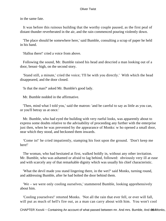in the same fate.

 It was before this ruinous building that the worthy couple paused, as the first peal of distant thunder reverberated in the air, and the rain commenced pouring violently down.

 'The place should be somewhere here,' said Bumble, consulting a scrap of paper he held in his hand.

'Halloa there!' cried a voice from above.

 Following the sound, Mr. Bumble raised his head and descried a man looking out of a door, breast−high, on the second story.

 'Stand still, a minute,' cried the voice; 'I'll be with you directly.' With which the head disappeared, and the door closed.

'Is that the man?' asked Mr. Bumble's good lady.

Mr. Bumble nodded in the affirmative.

 'Then, mind what I told you,' said the matron: 'and be careful to say as little as you can, or you'll betray us at once.'

 Mr. Bumble, who had eyed the building with very rueful looks, was apparently about to express some doubts relative to the advisability of proceeding any further with the enterprise just then, when he was prevented by the appearance of Monks: w ho opened a small door, near which they stood, and beckoned them inwards.

 'Come in!' he cried impatiently, stamping his foot upon the ground. 'Don't keep me here!'

 The woman, who had hesitated at first, walked boldly in, without any other invitation. Mr. Bumble, who was ashamed or afraid to lag behind, followed: obviously very ill at ease and with scarcely any of that remarkable dignity which was usually his chief characteristic.

 'What the devil made you stand lingering there, in the wet?' said Monks, turning round, and addressing Bumble, after he had bolted the door behind them.

 'We – we were only cooling ourselves,' stammered Bumble, looking apprehensively about him.

 'Cooling yourselves!' retorted Monks. 'Not all the rain that ever fell, or ever will fall, will put as much of hell's fire out, as a man can carry about with him. You won't cool

CHAPTER Xxxviii – Containing An account of what passed between mr. And mrs. Bumble, And mang AMonks,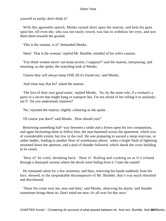yourself so easily; don't think it!'

With this agreeable speech, Monks turned short upon the matron, and bent his gaze upon her, till even she, who was not easily cowed, was fain to withdraw her eyes, and turn them them towards the ground.

'This is the woman, is it?' demanded Monks.

'Hem! That is the woman,' replied Mr. Bumble, mindful of his wife's caution.

 'You think women never can keep secrets, I suppose?' said the matron, interposing, and returning, as she spoke, the searching look of Monks.

'I know they will always keep ONE till it's found out,' said Monks.

'And what may that be?' asked the matron.

 'The loss of their own good name,' replied Monks. 'So, by the same rule, if a woman's a party to a secret that might hang or transport her, I'm not afraid of her telling it to anybody; not I! Do you understand, mistress?'

'No,' rejoined the matron, slightly colouring as she spoke.

'Of course you don't!' said Monks. 'How should you?'

 Bestowing something half−way between a smile and a frown upon his two companions, and again beckoning them to follow him, the man hastened across the apartment, which was of considerable extent, but low in the roof. He was preparing to ascend a steep staircase, or rather ladder, leading to another floor of warehouses above: when a bright flash of lightning streamed down the aperture, and a peal of thunder followed, which shook the crazy building to its centre.

 'Hear it!' he cried, shrinking back. 'Hear it! Rolling and crashing on as if it echoed through a thousand caverns where the devils were hiding from it. I hate the sound!'

 He remained silent for a few moments; and then, removing his hands suddenly from his face, showed, to the unspeakable discomposure of Mr. Bumble, that it was much distorted and discoloured.

 'These fits come over me, now and then,' said Monks, observing his alarm; 'and thunder sometimes brings them on. Don't mind me now; it's all over for this once.'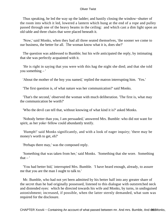Thus speaking, he led the way up the ladder; and hastily closing the window−shutter of the room into which it led, lowered a lantern which hung at the end of a rope and pulley passed through one of the heavy beams in the ceiling: and which cast a dim light upon an old table and three chairs that were placed beneath it.

 'Now,' said Monks, when they had all three seated themselves, 'the sooner we come to our business, the better for all. The woman know what it is, does she?'

 The question was addressed to Bumble; but his wife anticipated the reply, by intimating that she was perfectly acquainted with it.

 'He is right in saying that you were with this hag the night she died; and that she told you something – '

'About the mother of the boy you named,' replied the matron interrupting him. 'Yes.'

'The first question is, of what nature was her communication?' said Monks.

 'That's the second,' observed the woman with much deliberation. 'The first is, what may the communication be worth?'

'Who the devil can tell that, without knowing of what kind it is?' asked Monks.

 'Nobody better than you, I am persuaded,' answered Mrs. Bumble: who did not want for spirit, as her yoke−fellow could abundantly testify.

 'Humph!' said Monks significantly, and with a look of eager inquiry; 'there may be money's worth to get, eh?'

'Perhaps there may,' was the composed reply.

 'Something that was taken from her,' said Monks. 'Something that she wore. Something that  $-$ '

 'You had better bid,' interrupted Mrs. Bumble. 'I have heard enough, already, to assure me that you are the man I ought to talk to.'

 Mr. Bumble, who had not yet been admitted by his better half into any greater share of the secret than he had originally possessed, listened to this dialogue with outstretched neck and distended eyes: which he directed towards his wife and Monks, by turns, in undisguised astonishment; increased, if possible, when the latter sternly demanded, what sum was required for the disclosure.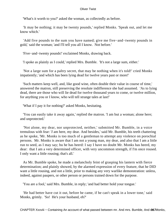'What's it worth to you?' asked the woman, as collectedly as before.

 'It may be nothing; it may be twenty pounds,' replied Monks. 'Speak out, and let me know which.'

 'Add five pounds to the sum you have named; give me five−and−twenty pounds in gold,' said the woman; 'and I'll tell you all I know. Not before.'

'Five−and−twenty pounds!' exclaimed Monks, drawing back.

'I spoke as plainly as I could,' replied Mrs. Bumble. 'It's not a large sum, either.'

 'Not a large sum for a paltry secret, that may be nothing when it's told!' cried Monks impatiently; 'and which has been lying dead for twelve years past or more!'

 'Such matters keep well, and, like good wine, often double their value in course of time,' answered the matron, still preserving the resolute indifference she had assumed. 'As to lying dead, there are those who will lie dead for twelve thousand years to come, or twelve million, for anything you or I know, who will tell strange tales at last!'

'What if I pay it for nothing?' asked Monks, hesitating.

 'You can easily take it away again,' replied the matron. 'I am but a woman; alone here; and unprotected.'

 'Not alone, my dear, nor unprotected, neither,' submitted Mr. Bumble, in a voice tremulous with fear: '*I* am here, my dear. And besides,' said Mr. Bumble, his teeth chattering as he spoke, 'Mr. Monks is too much of a gentleman to attempt any violence on porochial persons. Mr. Monks is aware that I am not a young man, my dear, and also that I am a little run to seed, as I may say; bu he has heerd: I say I have no doubt Mr. Monks has heerd, my dear: that I am a very determined officer, with very uncommon strength, if I'm once roused. I only want a little rousing; that's all.'

 As Mr. Bumble spoke, he made a melancholy feint of grasping his lantern with fierce determination; and plainly showed, by the alarmed expression of every feature, that he DID want a little rousing, and not a little, prior to making any very warlike demonstration: unless, indeed, against paupers, or other person or persons trained down for the purpose.

'You are a fool,' said Mrs. Bumble, in reply; 'and had better hold your tongue.'

 'He had better have cut it out, before he came, if he can't speak in a lower tone,' said Monks, grimly. 'So! He's your husband, eh?'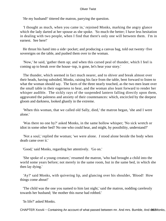'He my husband!' tittered the matron, parrying the question.

 'I thought as much, when you came in,' rejoined Monks, marking the angry glance which the lady darted at her spouse as she spoke. 'So much the better; I have less hesitation in dealing with two people, when I find that there's only one will between them. I'm in earnest. See here!'

 He thrust his hand into a side−pocket; and producing a canvas bag, told out twenty−five sovereigns on the table, and pushed them over to the woman.

 'Now,' he said, 'gather them up; and when this cursed peal of thunder, which I feel is coming up to break over the house−top, is gone, let's hear your story.'

 The thunder, which seemed in fact much nearer, and to shiver and break almost over their heads, having subsided, Monks, raising his face from the table, bent forward to listen to what the woman should say. The faces of the three nearly touched, as the two men leant over the small table in their eagerness to hear, and the woman also leant forward to render her whisper audible. The sickly rays of the suspended lantern falling directly upon them, aggravated the paleness and anxiety of their countenances: which, encircled by the deepest gloom and darkness, looked ghastly in the extreme.

 'When this woman, that we called old Sally, died,' the matron began, 'she and I were alone.'

 'Was there no one by?' asked Monks, in the same hollow whisper; 'No sick wretch or idiot in some other bed? No one who could hear, and might, by possibility, understand?'

 'Not a soul,' replied the woman; 'we were alone. *I* stood alone beside the body when death came over it.'

'Good,' said Monks, regarding her attentively. 'Go on.'

 'She spoke of a young creature,' resumed the matron, 'who had brought a child into the world some years before; not merely in the same room, but in the same bed, in which she then lay dying.'

 'Ay?' said Monks, with quivering lip, and glancing over his shoulder, 'Blood! How things come about!'

 'The child was the one you named to him last night,' said the matron, nodding carelessly towards her husband; 'the mother this nurse had robbed.'

'In life?' asked Monks.

CHAPTER Xxxviii – Containing An account of what passed between mr. And mrs. Bumble, And maß 80 Monks,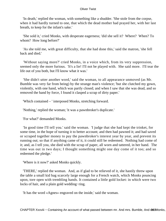'In death,' replied the woman, with something like a shudder. 'She stole from the corpse, when it had hardly turned to one, that which the dead mother had prayed her, with her last breath, to keep for the infant's sake.'

 'She sold it,' cried Monks, with desperate eagerness; 'did she sell it? Where? When? To whom? How long before?'

 'As she told me, with great difficulty, that she had done this,' said the matron, 'she fell back and died.'

 'Without saying more?' cried Monks, in a voice which, from its very suppression, seemed only the more furious. 'It's a lie! I'll not be played with. She said more. I'll tear the life out of you both, but I'll know what it was.'

 'She didn't utter another word,' said the woman, to all appearance unmoved (as Mr. Bumble was very far from being) by the strange man's violence; 'but she clutched my gown, violently, with one hand, which was partly closed; and when I saw that she was dead, and so removed the hand by force, I found it clasped a scrap of dirty paper.'

'Which contained – ' interposed Monks, stretching forward.

'Nothing,' replied the woman; 'it was a pawnbroker's duplicate.'

'For what?' demanded Monks.

 'In good time I'll tell you.' said the woman. 'I judge that she had kept the trinket, for some time, in the hope of turning it to better account; and then had pawned it; and had saved or scraped together money to pay the pawnbroker's interest year by year, and prevent its running out; so that if anything came of it, it could still be redeemed. Nothing had come of it; and, as I tell you, she died with the scrap of paper, all worn and tattered, in her hand. The time was out in two days; I thought something might one day come of it too; and so redeemed the pledge.'

'Where is it now?' asked Monks quickly.

 'THERE,' replied the woman. And, as if glad to be relieved of it, she hastily threw upon the table a small kid bag scarcely large enough for a French watch, which Monks pouncing upon, tore open with trembling hands. It contained a little gold locket: in which were two locks of hair, and a plain gold wedding−ring.

'It has the word «Agnes» engraved on the inside,' said the woman.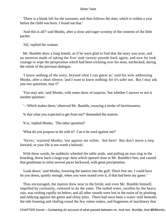'There is a blank left for the surname; and then follows the date; which is within a year before the child was born. I found out that.'

 'And this is all?' said Monks, after a close and eager scrutiny of the contents of the little packet.

'All,' replied the woman.

 Mr. Bumble drew a long breath, as if he were glad to find that the story was over, and no mention made of taking the five−and−twenty pounds back again; and now he took courage to wipe the perspiration which had been trickling over his nose, unchecked, during the whole of the previous dialogue.

 'I know nothing of the story, beyond what I can guess at,' said his wife addressing Monks, after a short silence; 'and I want to know nothing; for it's safer not. But I may ask you two questions, may I?'

 'You may ask,' said Monks, with some show of surprise; 'but whether I answer or not is another question.'

' – Which makes three,' observed Mr. Bumble, essaying a stroke of facetiousness.

'Is that what you expected to get from me?' demanded the matron.

'It is,' replied Monks. 'The other question?'

'What do you propose to do with it? Can it be used against me?'

 'Never,' rejoined Monks; 'nor against me either. See here! But don't move a step forward, or your life is not worth a bulrush.'

 With these words, he suddenly wheeled the table aside, and pulling an iron ring in the boarding, threw back a large trap−door which opened close at Mr. Bumble's feet, and caused that gentleman to retire several paces backward, with great precipitation.

 'Look down,' said Monks, lowering the lantern into the gulf. 'Don't fear me. I could have let you down, quietly enough, when you were seated over it, if that had been my game.'

 Thus encouraged, the matron drew near to the brink; and even Mr. Bumble himself, impelled by curiousity, ventured to do the same. The turbid water, swollen by the heavy rain, was rushing rapidly on below; and all other sounds were lost in the noise of its plashing and eddying against the green and slimy piles. There had once been a water−mill beneath; the tide foaming and chafing round the few rotten stakes, and fragments of machinery that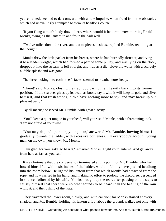yet remained, seemed to dart onward, with a new impulse, when freed from the obstacles which had unavailingly attempted to stem its headlong course.

 'If you flung a man's body down there, where would it be to−morrow morning?' said Monks, swinging the lantern to and fro in the dark well.

 'Twelve miles down the river, and cut to pieces besides,' replied Bumble, recoiling at the thought.

 Monks drew the little packet from his breast, where he had hurriedly thrust it; and tying it to a leaden weight, which had formed a part of some pulley, and was lying on the floor, dropped it into the stream. It fell straight, and true as a die; clove the water with a scarcely audible splash; and was gone.

The three looking into each other's faces, seemed to breathe more freely.

 'There!' said Monks, closing the trap−door, which fell heavily back into its former position. 'If the sea ever gives up its dead, as books say it will, it will keep its gold and silver to itself, and that trash among it. We have nothing more to say, and may break up our pleasant party.'

'By all means,' observed Mr. Bumble, with great alacrity.

 'You'll keep a quiet tongue in your head, will you?' said Monks, with a threatening look. 'I am not afraid of your wife.'

 'You may depend upon me, young man,' answered Mr. Bumble, bowing himself gradually towards the ladder, with excessive politeness. 'On everybody's account, young man; on my own, you know, Mr. Monks.'

 'I am glad, for your sake, to hear it,' remarked Monks. 'Light your lantern! And get away from here as fast as you can.'

 It was fortunate that the conversation terminated at this point, or Mr. Bumble, who had bowed himself to within six inches of the ladder, would infallibly have pitched headlong into the room below. He lighted his lantern from that which Monks had detached from the rope, and now carried in his hand; and making no effort to prolong the discourse, descended in silence, followed by his wife. Monks brought up the rear, after pausing on the steps to satisfy himself that there were no other sounds to be heard than the beating of the rain without, and the rushing of the water.

 They traversed the lower room, slowly, and with caution; for Monks started at every shadow; and Mr. Bumble, holding his lantern a foot above the ground, walked not only with

CHAPTER Xxxviii – Containing An account of what passed between mr. And mrs. Bumble, And m27.1Monks,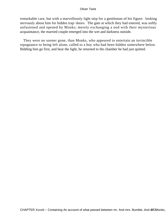remarkable care, but with a marvellously light step for a gentleman of his figure: looking nervously about him for hidden trap−doors. The gate at which they had entered, was softly unfastened and opened by Monks; merely exchanging a nod with their mysterious acquaintance, the married couple emerged into the wet and darkness outside.

 They were no sooner gone, than Monks, who appeared to entertain an invincible repugnance to being left alone, called to a boy who had been hidden somewhere below. Bidding him go first, and bear the light, he returned to the chamber he had just quitted.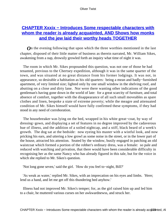# **[CHAPTER Xxxix − Introduces Some respectable characters with](#page-396-0) [whom the reader is already acquainted, AND Shows how monks](#page-396-0) [and the jew laid their worthy heads TOGETHER](#page-396-0)**

*O*n the evening following that upon which the three worthies mentioned in the last chapter, disposed of their little matter of business as therein narrated, Mr. William Sikes, awakening from a nap, drowsily growled forth an inquiry what time of night it was.

 The room in which Mr. Sikes propounded this question, was not one of those he had tenanted, previous to the Chertsey expedition, although it was in the same quarter of the town, and was situated at no great distance from his former lodgings. It was not, in appearance, so desirable a habitation as his old quarters: being a mean and badly−furnished apartment, of very limited size; lighted only by one small window in the shelving roof, and abutting on a close and dirty lane. Nor were there wanting other indications of the good gentleman's having gone down in the world of late: for a great scarcity of furniture, and total absence of comfort, together with the disappearance of all such small moveables as spare clothes and linen, bespoke a state of extreme poverty; while the meagre and attenuated condition of Mr. Sikes himself would have fully confirmed these symptoms, if they had stood in any need of corroboration.

 The housebreaker was lying on the bed, wrapped in his white great−coat, by way of dressing−gown, and displaying a set of features in no degree improved by the cadaverous hue of illness, and the addition of a soiled nightcap, and a stiff, black beard of a week's growth. The dog sat at the bedside: now eyeing his master with a wistful look, and now pricking his ears, and uttering a low growl as some noise in the street, or in the lower part of the house, attracted his attention. Seated by the window, busily engaged in patching an old waistcoat which formed a portion of the robber's ordinary dress, was a female: so pale and reduced with watching and privation, that there would have been considerable difficulty in recognising her as the same Nancy who has already figured in this tale, but for the voice in which she replied to Mr. Sikes's question.

'Not long gone seven,' said the girl. 'How do you feel to−night, Bill?'

 'As weak as water,' replied Mr. Sikes, with an imprecation on his eyes and limbs. 'Here; lend us a hand, and let me get off this thundering bed anyhow.'

 Illness had not improved Mr. Sikes's temper; for, as the girl raised him up and led him to a chair, he muttered various curses on her awkwardnewss, and struck her.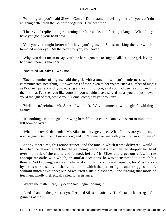'Whining are you?' said Sikes. 'Come! Don't stand snivelling there. If you can't do anything better than that, cut off altogether. D'ye hear me?'

 'I hear you,' replied the girl, turning her face aside, and forcing a laugh. 'What fancy have you got in your head now?'

 'Oh! you've thought better of it, have you?' growled Sikes, marking the tear which trembled in her eye. 'All the better for you, you have.'

 'Why, you don't mean to say, you'd be hard upon me to−night, Bill,' said the girl, laying her hand upon his shoulder.

'No!' cried Mr. Sikes. 'Why not?'

 'Such a number of nights,' said the girl, with a touch of woman's tenderness, which communicated something like sweetness of tone, even to her voice: 'such a number of nights as I've been patient with you, nursing and caring for you, as if you had been a child: and this the first that I've seen you like yourself; you wouldn't have served me as you did just now, if you'd thought of that, would you? Come, come; say you wouldn't.'

 'Well, then,' rejoined Mr. Sikes, 'I wouldn't. Why, damme, now, the girls's whining again!'

 'It's nothing,' said the girl, throwing herself into a chair. 'Don't you seem to mind me. It'll soon be over.'

 'What'll be over?' demanded Mr. Sikes in a savage voice. 'What foolery are you up to, now, again? Get up and bustle about, and don't come over me with your woman's nonsense.'

 At any other time, this remonstrance, and the tone in which it was delivered, would have had the desired effect; but the girl being really weak and exhausted, dropped her head over the back of the chair, and fainted, before Mr. Sikes could get out a few of the appropriate oaths with which, on similar occasions, he was accustomed to garnish his threats. Not knowing, very well, what to do, in this uncommon emergency; for Miss Nancy's hysterics were usually of that violent kind which the patient fights and struggles out of, without much assistance; Mr. Sikes tried a little blasphemy: and finding that mode of treatment wholly ineffectual, called for assistance.

'What's the matter here, my dear?' said Fagin, looking in.

 'Lend a hand to the girl, can't you?' replied Sikes impatiently. 'Don't stand chattering and grinning at me!'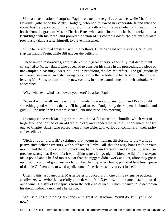With an exclamation of surprise, Fagin hastened to the girl's assistance, while Mr. John Dawkins (otherwise the Artful Dodger), who had followed his venerable friend into the room, hastily deposited on the floor a bundle with which he was laden; and snatching a bottle from the grasp of Master Charles Bates who came close at his heels, uncorked it in a twinkling with his teeth, and poured a portion of its contents down the patient's throat: previously taking a taste, himself, to prevent mistakes.

 'Give her a whiff of fresh air with the bellows, Charley,' said Mr. Dawkins; 'and you slap her hands, Fagin, while Bill undoes the petticuts.'

 These united restoratives, administered with great energy: especially that department consigned to Master Bates, who appeared to consider his share in the proceedings, a piece of unexampled pleasantry: were not long in producing the desired effect. The girl gradually recovered her senses; and, staggering to a chair by the bedside, hid her face upon the pillow: leaving Mr. Sikes to confront the new comers, in some astonishment at their unlooked−for appearance.

'Why, what evil wind has blowed you here?' he asked Fagin.

 'No evil wind at all, my dear, for evil winds blow nobody any good; and I've brought something good with me, that you'll be glad to see. Dodger, my dear, open the bundle; and give Bill the little trifles that we spent all our money on, this morning.'

 In compliance with Mr. Fagin's request, the Artful untied this bundle, which was of large size, and formed of an old table−cloth; and handed the articles it contained, one by one, to Charley Bates: who placed them on the table, with various encomiums on their rarity and excellence.

 'Sitch a rabbit pie, Bill,' exclaimed that young gentleman, disclosing to view a huge pasty; 'sitch delicate creeturs, with sitch tender limbs, Bill, that the wery bones melt in your mouth, and there's no occasion to pick 'em; half a pound of seven and six−penny green, so precious strong that if you mix it with biling water, it'll go nigh to blow the lid of the tea−pot off; a pound and a half of moist sugar that the niggers didn't work at all at, afore they got it up to sitch a pitch of goodness, – oh no! Two half−quartern brans; pound of best fresh; piece of double Glo'ster; and, to wind up all, some of the richest sort you ever lushed!'

 Uttering this last panegyrie, Master Bates produced, from one of his extensive pockets, a full−sized wine−bottle, carefully corked; while Mr. Dawkins, at the same instant, poured out a wine−glassful of raw spirits from the bottle he carried: which the invalid tossed down his throat without a moment's hesitation.

 'Ah!' said Fagin, rubbing his hands with great satisfaction. 'You'll do, Bill; you'll do now.'

CHAPTER Xxxix – Introduces Some respectable characters with whom the reader is already acquationted, AI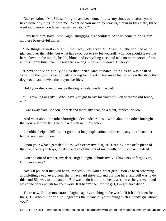'Do!' exclaimed Mr. Sikes; 'I might have been done for, twenty times over, afore you'd have done anything to help me. What do you mean by leaving a man in this state, three weeks and more, you false−hearted wagabond?'

 'Only hear him, boys!' said Fagin, shrugging his shoulders. 'And us come to bring him all these beau−ti−ful things.'

 'The things is well enough in their way,' observed Mr. Sikes: a little soothed as he glanced over the table; 'but what have you got to say for yourself, why you should leave me here, down in the mouth, health, blunt, and everything else; and take no more notice of me, all this mortal time, than if I was that 'ere dog. – Drive him down, Charley!'

 'I never see such a jolly dog as that,' cried Master Bates, doing as he was desired. 'Smelling the grub like a old lady a going to market! He'd make his fortun' on the stage that dog would, and rewive the drayma besides.'

'Hold your din,' cried Sikes, as the dog retreated under the bed:

 still growling angrily. 'What have you got to say for yourself, you withered old fence, eh?'

'I was away from London, a week and more, my dear, on a plant,' replied the Jew.

 'And what about the other fortnight?' demanded Sikes. 'What about the other fortnight that you've left me lying here, like a sick rat in his hole?'

 'I couldn't help it, Bill. I can't go into a long explanation before company; but I couldn't help it, upon my honour.'

 'Upon your what?' growled Sikes, with excessive disgust. 'Here! Cut me off a piece of that pie, one of you boys, to take the taste of that out of my mouth, or it'll choke me dead.'

 'Don't be out of temper, my dear,' urged Fagin, submissively. 'I have never forgot you, Bill; never once.'

 'No! I'll pound it that you han't,' replied Sikes, with a bitter grin. 'You've been scheming and plotting away, every hour that I have laid shivering and burning here; and Bill was to do this; and Bill was to do that; and Bill was to do it all, dirt cheap, as soon as he got well: and was quite poor enough for your work. If it hadn't been for the girl, I might have died.'

 'There now, Bill,' remonstrated Fagin, eagerly catching at the word. 'If it hadn't been for the girl! Who but poor ould Fagin was the means of your having such a handy girl about you?'

CHAPTER Xxxix – Introduces Some respectable characters with whom the reader is already acquanted, AI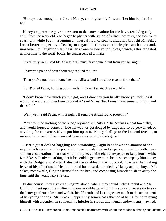'He says true enough there!' said Nancy, coming hastily forward. 'Let him be; let him be.'

 Nancy's appearance gave a new turn to the conversation; for the boys, receiving a sly wink from the wary old Jew, began to ply her with liquor: of which, however, she took very sparingly; while Fagin, assuming an unusual flow of spirits, gradually brought Mr. Sikes into a better temper, by affecting to regard his threats as a little pleasant banter; and, moreover, by laughing very heartily at one or two rough jokes, which, after repeated applications to the spirit−bottle, he condescended to make.

'It's all very well,' said Mr. Sikes; 'but I must have some blunt from you to−night.'

'I haven't a piece of coin about me,' replied the Jew.

'Then you've got lots at home,' retorted Sikes; 'and I must have some from there.'

'Lots!' cried Fagin, holding up is hands. 'I haven't so much as would – '

 'I don't know how much you've got, and I dare say you hardly know yourself, as it would take a pretty long time to count it,' said Sikes; 'but I must have some to−night; and that's flat.'

'Well, well,' said Fagin, with a sigh, 'I'll send the Artful round presently.'

 'You won't do nothing of the kind,' rejoined Mr. Sikes. 'The Artful's a deal too artful, and would forget to come, or lose his way, or get dodged by traps and so be perwented, or anything for an excuse, if you put him up to it. Nancy shall go to the ken and fetch it, to make all sure; and I'll lie down and have a snooze while she's gone.'

 After a great deal of haggling and squabbling, Fagin beat down the amount of the required advance from five pounds to three pounds four and sixpence: protesting with many solemn asseverations that that would only leave him eighteen−pence to keep house with; Mr. Sikes sullenly remarking that if he couldn't get any more he must accompany him home; with the Dodger and Master Bates put the eatables in the cupboard. The Jew then, taking leave of his affectionate friend, returned homeward, attended by Nancy and the boys: Mr. Sikes, meanwhile, flinging himself on the bed, and composing himself to sleep away the time until the young lady's return.

 In due course, they arrived at Fagin's abode, where they found Toby Crackit and Mr. Chitling intent upon their fifteenth game at cribbage, which it is scarcely necessary to say the latter gentleman lost, and with it, his fifteenth and last sixpence: much to the amusement of his young friends. Mr. Crackit, apparently somewhat ashamed at being found relaxing himself with a gentleman so much his inferior in station and mental endowments, yawned,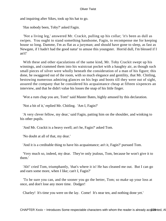and inquiring after Sikes, took up his hat to go.

'Has nobody been, Toby?' asked Fagin.

 'Not a living leg,' answered Mr. Crackit, pulling up his collar; 'it's been as dull as swipes. You ought to stand something handsome, Fagin, to recompense me for keeping house so long. Damme, I'm as flat as a juryman; and should have gone to sleep, as fast as Newgate, if I hadn't had the good natur' to amuse this youngster. Horrid dull, I'm blessed if I an't!'

With these and other ejaculations of the same kind, Mr. Toby Crackit swept up his winnings, and crammed them into his waistcoat pocket with a haughty air, as though such small pieces of silver were wholly beneath the consideration of a man of his figure; this done, he swaggered out of the room, with so much elegance and gentility, that Mr. Chitling, bestowing numerous admiring glances on his legs and boots till they were out of sight, assured the company that he considered his acquaintance cheap at fifteen sixpences an interview, and that he didn't value his losses the snap of his little finger.

'Wot a rum chap you are, Tom!' said Master Bates, highly amused by this declaration.

'Not a bit of it,' replied Mr. Chitling. 'Am I, Fagin?'

 'A very clever fellow, my dear,' said Fagin, patting him on the shoulder, and winking to his other pupils.

'And Mr. Crackit is a heavy swell; an't he, Fagin?' asked Tom.

'No doubt at all of that, my dear.'

'And it is a creditable thing to have his acquaintance; an't it, Fagin?' pursued Tom.

 'Very much so, indeed, my dear. They're only jealous, Tom, because he won't give it to them.'

 'Ah!' cried Tom, triumphantly, 'that's where it is! He has cleaned me out. But I can go and earn some more, when I like; can't I, Fagin?'

 'To be sure you can, and the sooner you go the better, Tom; so make up your loss at once, and don't lose any more time. Dodger!

Charley! It's time you were on the lay. Come! It's near ten, and nothing done yet.'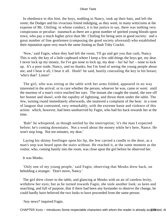In obedience to this hint, the boys, nodding to Nancy, took up their hats, and left the room; the Dodger and his vivacious friend indulging, as they went, in many witticisms at the expense of Mr. Chitling; in whose conduct, it is but justice to say, there was nothing very conspicuous or peculiar: inasmuch as there are a great number of spirited young bloods upon town, who pay a much higher price than Mr. Chitling for being seen in good society: and a great number of fine gentlemen (composing the good society aforesaid) who established their reputation upon very much the same footing as flash Toby Crackit.

 'Now,' said Fagin, when they had left the room, 'I'll go and get you that cash, Nancy. This is only the key of a little cupboard where I keep a few odd things the boys get, my dear. I never lock up my money, for I've got none to lock up, my dear – ha! ha! ha! – none to lock up. It's a poor trade, Nancy, and no thanks; but I'm fond of seeing the young people about me; and I bear it all, I bear it all. Hush!' he said, hastily concealing the key in his breast; 'who's that? Listen!'

 The girl, who was sitting at the table with her arms folded, appeared in no way interested in the arrival: or to care whether the person, whoever he was, came or went: until the murmur of a man's voice reached her ears. The instant she caught the sound, she tore off her bonnet and shawl, with the rapidity of lightning, and thrust them under the table. The Jew, turning round immediately afterwards, she muttered a complaint of the heat: in a tone of languor that contrasted, very remarkably, with the extreme haste and violence of this action: which, however, had been unobserved by Fagin, who had his back towards her at the time.

 'Bah!' he whispered, as though nettled by the interruption; 'it's the man I expected before; he's coming downstairs. Not a word about the money while he's here, Nance. He won't stop long. Not ten minutes, my dear.'

 Laying his skinny forefinger upon his lip, the Jew carried a candle to the door, as a man's step was heard upon the stairs without. He reached it, at the same moment as the visitor, who, coming hastily into the room, was close upon the girl before he observed her.

It was Monks.

 'Only one of my young people,' said Fagin, observing that Monks drew back, on beholding a stranger. 'Don't move, Nancy.'

 The girl drew closer to the table, and glancing at Monks with an air of careless levity, withdrew her eyes; but as he turned towards Fagin, she stole another look; so keen and searching, and full of purpose, that if there had been any bystander to observe the change, he could hardly have believed the two looks to have proceeded from the same person.

'Any news?' inquired Fagin.

CHAPTER Xxxix – Introduces Some respectable characters with whom the reader is already acquanted, AI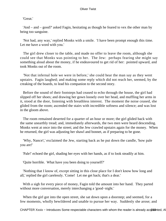'Great.'

 'And – and – good?' asked Fagin, hesitating as though he feared to vex the other man by being too sanguine.

 'Not bad, any way,' replied Monks with a smile. 'I have been prompt enough this time. Let me have a word with you.'

 The girl drew closer to the table, and made no offer to leave the room, although she could see that Monks was pointing to her. The Jew: perhaps fearing she might say something aloud about the money, if he endeavoured to get rid of her: pointed upward, and took Monks out of the room.

 'Not that infernal hole we were in before,' she could hear the man say as they went upstairs. Fagin laughed; and making some reply which did not reach her, seemed, by the creaking of the boards, to lead his companion to the second story.

 Before the sound of their footsteps had ceased to echo through the house, the girl had slipped off her shoes; and drawing her gown loosely over her head, and muffling her arms in it, stood at the door, listening with breathless interest. The moment the noise ceased, she glided from the room; ascended the stairs with incredible softness and silence; and was lost in the gloom above.

 The room remained deserted for a quarter of an hour or more; the girl glided back with the same unearthly tread; and, immediately afterwards, the two men were heard descending. Monks went at once into the street; and the Jew crawled upstairs again for the money. When he returned, the girl was adjusting her shawl and bonnet, as if preparing to be gone.

 'Why, Nance!,' exclaimed the Jew, starting back as he put down the candle, 'how pale you are!'

'Pale!' echoed the girl, shading her eyes with her hands, as if to look steadily at him.

'Quite horrible. What have you been doing to yourself?'

 'Nothing that I know of, except sitting in this close place for I don't know how long and all,' replied the girl carelessly. 'Come! Let me get back; that's a dear.'

 With a sigh for every piece of money, Fagin told the amount into her hand. They parted without more conversation, merely interchanging a 'good−night.'

When the girl got into the open street, she sat down upon a doorstep; and seemed, for a few moments, wholly bewildered and unable to pursue her way. Suddenly she arose; and

CHAPTER Xxxix – Introduces Some respectable characters with whom the reader is already acq2820mted, AI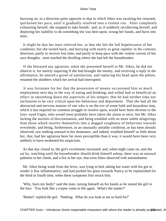hurrying on, in a direction quite opposite to that in which Sikes was awaiting her returned, quickened her pace, until it gradually resolved into a violent run. After completely exhausting herself, she stopped to take breath: and, as if suddenly recollecting herself, and deploring her inability to do something she was bent upon, wrung her hands, and burst into tears.

 It might be that her tears relieved her, or that she felt the full hopelessness of her condition; but she turned back; and hurrying with nearly as great rapidity in the contrary direction; partly to recover lost time, and partly to keep pace with the violent current of her own thoughts: soon reached the dwelling where she had left the housebreaker.

 If she betrayed any agitation, when she presented herself to Mr. Sikes, he did not observe it; for merely inquiring if she had brought the money, and receiving a reply in the affirmative, he uttered a growl of satisfaction, and replacing his head upon the pillow, resumed the slumbers which her arrival had interrupted.

 It was fortunate for her that the possession of money occasioned him so much employment next day in the way of eating and drinking; and withal had so beneficial an effect in smoothing down the asperities of his temper; that he had neither time nor inclination to be very critical upon her behaviour and deportment. That she had all the abstracted and nervous manner of one who is on the eve of some bold and hazardous step, which it has required no common struggle to resolve upon, would have been obvious to the lynx−eyed Fagin, who would most probably have taken the alarm at once; but Mr. Sikes lacking the niceties of discrimination, and being troubled with no more subtle misgivings than those which resolve themselves into a dogged roughness of behaviour towards everybody; and being, furthermore, in an unusually amiable condition, as has been already observed; saw nothing unusual in her demeanor, and indeed, troubled himself so little about her, that, had her agitation been far more perceptible than it was, it would have been very unlikely to have awakened his suspicions.

 As that day closed in, the girl's excitement increased; and, when night came on, and she sat by, watching until the housebreaker should drink himself asleep, there was an unusual paleness in her cheek, and a fire in her eye, that even Sikes observed with astonishment.

 Mr. Sikes being weak from the fever, was lying in bed, taking hot water with his gin to render it less inflammatory; and had pushed his glass towards Nancy to be replenished for the third or fourth time, when these symptoms first struck him.

 'Why, burn my body!' said the man, raising himself on his hands as he stared the girl in the face. 'You look like a corpse come to life again. What's the matter?'

'Matter!' replied the girl. 'Nothing. What do you look at me so hard for?'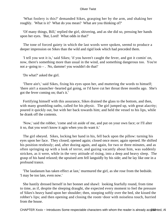'What foolery is this?' demanded Sikes, grasping her by the arm, and shaking her roughly. 'What is it? What do you mean? What are you thinking of?'

 'Of many things, Bill,' replied the girl, shivering, and as she did so, pressing her hands upon her eyes. 'But, Lord! What odds in that?'

 The tone of forced gaiety in which the last words were spoken, seemd to produce a deeper impression on Sikes than the wild and rigid look which had preceded them.

 'I tell you wot it is,' said Sikes; 'if you haven't caught the fever, and got it comin' on, now, there's something more than usual in the wind, and something dangerous too. You're not a−going to – . No, damme! you wouldn't do that!'

'Do what?' asked the girl.

 'There ain't,' said Sikes, fixing his eyes upon her, and muttering the words to himself; 'there ain't a stauncher−hearted gal going, or I'd have cut her throat three months ago. She's got the fever coming on; that's it.'

 Fortifying himself with this assurance, Sikes drained the glass to the bottom, and then, with many grumbling oaths, called for his physic. The girl jumped up, with great alacrity; poured it quickly out, but with her back towards him; and held the vessel to his lips, while he drank off the contents.

 'Now,' said the robber, 'come and sit aside of me, and put on your own face; or I'll alter it so, that you won't know it agin when you do want it.'

 The girl obeyed. Sikes, locking her hand in his, fell back upon the pillow: turning his eyes upon her face. They closed; opened again; closed once more; again opened. He shifted his position restlessly; and, after dozing again, and again, for two or three minutes, and as often springing up with a look of terror, and gazing vacantly about him, was suddenly stricken, as it were, while in the very attitude of rising, into a deep and heavy sleep. The grasp of his hand relaxed; the upraised arm fell languidly by his side; and he lay like one in a profound trance.

 'The laudanum has taken effect at last,' murmured the girl, as she rose from the bedside. 'I may be too late, even now.'

 She hastily dressed herself in her bonnet and shawl: looking fearfully round, from time to time, as if, despite the sleeping draught, she expected every moment to feel the pressure of Sikes's heavy hand upon her shoulder; then, stooping softly over the bed, she kissed the robber's lips; and then opening and closing the room−door with noiseless touch, hurried from the house.

CHAPTER Xxxix – Introduces Some respectable characters with whom the reader is already acquamed, AI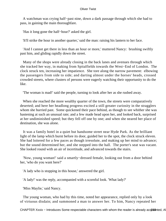A watchman was crying half−past nine, down a dark passage through which she had to pass, in gaining the main thoroughfare.

'Has it long gone the half−hour?' asked the girl.

'It'll strike the hour in another quarter,' said the man: raising his lantern to her face.

 'And I cannot get there in less than an hour or more,' muttered Nancy: brushing swiftly past him, and gliding rapidly down the street.

 Many of the shops were already closing in the back lanes and avenues through which she tracked her way, in making from Spitalfields towards the West−End of London. The clock struck ten, increasing her impatience. She tore along the narrow pavement: elbowing the passengers from side to side; and darting almost under the horses' heads, crossed crowded streets, where clusters of persons were eagerly watching their opportunity to do the like.

'The woman is mad!' said the people, turning to look after her as she rushed away.

 When she reached the more wealthy quarter of the town, the streets were comparatively deserted; and here her headlong progress excited a still greater curiosity in the stragglers whom she hurried past. Some quickened their pace behind, as though to see whither she was hastening at such an unusual rate; and a few made head upon her, and looked back, surprised at her undiminished speed; but they fell off one by one; and when she neared her place of destination, she was alone.

 It was a family hotel in a quiet but handsome street near Hyde Park. As the brilliant light of the lamp which burnt before its door, guided her to the spot, the clock struck eleven. She had loitered for a few paces as though irresolute, and making up her mind to advance; but the sound determined her, and she stepped into the hall. The porter's seat was vacant. She looked round with an air of incertitude, and advanced towards the stairs.

 'Now, young woman!' said a smartly−dressed female, looking out from a door behind her, 'who do you want here?'

'A lady who is stopping in this house,' answered the girl.

'A lady!' was the reply, accompanied with a scornful look. 'What lady?'

'Miss Maylie,' said Nancy.

 The young woman, who had by this time, noted her appearance, replied only by a look of virtuous disdain; and summoned a man to answer her. To him, Nancy repeated her

CHAPTER Xxxix – Introduces Some respectable characters with whom the reader is already acquanted, AI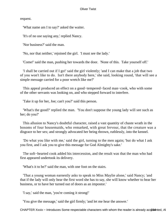request.

'What name am I to say?' asked the waiter.

'It's of no use saying any,' replied Nancy.

'Nor business?' said the man.

'No, nor that neither,' rejoined the girl. 'I must see the lady.'

'Come!' said the man, pushing her towards the door. 'None of this. Take yourself off.'

 'I shall be carried out if I go!' said the girl violently; 'and I can make that a job that two of you won't like to do. Isn't there anybody here,' she said, looking round, 'that will see a simple message carried for a poor wretch like me?'

 This appeal produced an effect on a good−tempered−faced man−cook, who with some of the other servants was looking on, and who stepped forward to interfere.

'Take it up for her, Joe; can't you?' said this person.

 'What's the good?' replied the man. 'You don't suppose the young lady will see such as her; do you?'

 This allusion to Nancy's doubtful character, raised a vast quantity of chaste wrath in the bosoms of four housemaids, who remarked, with great fervour, that the creature was a disgrace to her sex; and strongly advocated her being thrown, ruthlessly, into the kennel.

 'Do what you like with me,' said the girl, turning to the men again; 'but do what I ask you first, and I ask you to give this message for God Almighty's sake.'

 The soft−hearted cook added his intercession, and the result was that the man who had first appeared undertook its delivery.

'What's it to be?' said the man, with one foot on the stairs.

 'That a young woman earnestly asks to speak to Miss Maylie alone,' said Nancy; 'and that if the lady will only hear the first word she has to say, she will know whether to hear her business, or to have her turned out of doors as an impostor.'

'I say,' said the man, 'you're coming it strong!'

'You give the message,' said the girl firmly; 'and let me hear the answer.'

CHAPTER Xxxix – Introduces Some respectable characters with whom the reader is already acq284 Anted, AI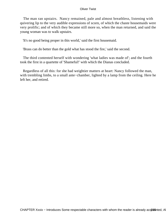The man ran upstairs. Nancy remained, pale and almost breathless, listening with quivering lip to the very audible expressions of scorn, of which the chaste housemaids were very prolific; and of which they became still more so, when the man returned, and said the young woman was to walk upstairs.

'It's no good being proper in this world,' said the first housemaid.

'Brass can do better than the gold what has stood the fire,' said the second.

 The third contented herself with wondering 'what ladies was made of'; and the fourth took the first in a quartette of 'Shameful!' with which the Dianas concluded.

 Regardless of all this: for she had weightier matters at heart: Nancy followed the man, with trembling limbs, to a small ante−chamber, lighted by a lamp from the ceiling. Here he left her, and retired.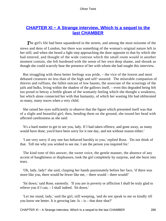# **[CHAPTER Xl − A Strange interview, Which Is a sequel to the](#page-396-0) [last CHAMBER](#page-396-0)**

**The girl's life had been squandered in the streets, and among the most noisome of the** stews and dens of London, but there was something of the woman's original nature left in her still; and when she heard a light step approaching the door opposite to that by which she had entered, and thought of the wide contrast which the small room would in another moment contain, she felt burdened with the sense of her own deep shame, and shrunk as though she could scarcely bear the presence of her with whom she had sought this interview.

 But struggling with these better feelings was pride, – the vice of the lowest and most debased creatures no less than of the high and self−assured. The miserable companion of thieves and ruffians, the fallen outcast of low haunts, the associate of the scourings of the jails and hulks, living within the shadow of the gallows itself, – even this degraded being felt too proud to betray a feeble gleam of the womanly feeling which she thought a weakness, but which alone connected her with that humanity, of which her wasting life had obliterated so many, many traces when a very child.

 She raised her eyes sufficiently to observe that the figure which presented itself was that of a slight and beautiful girl; then, bending them on the ground, she tossed her head with affected carelessness as she said:

 'It's a hard matter to get to see you, lady. If I had taken offence, and gone away, as many would have done, you'd have been sorry for it one day, and not without reason either.'

 'I am very sorry if any one has behaved harshly to you,' replied Rose. 'Do not think of that. Tell me why you wished to see me. I am the person you inquired for.'

 The kind tone of this answer, the sweet voice, the gentle manner, the absence of any accent of haughtiness or displeasure, took the girl completely by surprise, and she burst into tears.

 'Oh, lady, lady!' she said, clasping her hands passionately before her face, 'if there was more like you, there would be fewer like me, – there would – there would!'

 'Sit down,' said Rose, earnestly. 'If you are in poverty or affliction I shall be truly glad to relieve you if I can, – I shall indeed. Sit down.'

 'Let me stand, lady,' said the girl, still weeping, 'and do not speak to me so kindly till you know me better. It is growing late. Is  $-$  is  $-$  that door shut?'

CHAPTER XI – A Strange interview, Which Is a sequel to the last CHAMBER 286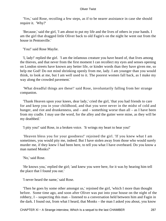'Yes,' said Rose, recoiling a few steps, as if to be nearer assistance in case she should require it. 'Why?'

 'Because,' said the girl, 'I am about to put my life and the lives of others in your hands. I am the girl that dragged little Oliver back to old Fagin's on the night he went out from the house in Pentonville.'

'You!' said Rose Maylie.

 'I, lady!' replied the girl. 'I am the infamous creature you have heard of, that lives among the thieves, and that never from the first moment I can recollect my eyes and senses opening on London streets have known any better life, or kinder words than they have given me, so help me God! Do not mind shrinking openly from me, lady. I am younger than you would think, to look at me, but I am well used to it. The poorest women fall back, as I make my way along the crowded pavement.'

 'What dreadful things are these!' said Rose, involuntarily falling from her strange companion.

 'Thank Heaven upon your knees, dear lady,' cried the girl, 'that you had friends to care for and keep you in your childhood, and that you were never in the midst of cold and hunger, and riot and drunkenness, and – and – something worse than all – as I have been from my cradle. I may use the word, for the alley and the gutter were mine, as they will be my deathbed.'

'I pity you!' said Rose, in a broken voice. 'It wrings my heart to hear you!'

 'Heaven bless you for your goodness!' rejoined the girl. 'If you knew what I am sometimes, you would pity me, indeed. But I have stolen away from those who would surely murder me, if they knew I had been here, to tell you what I have overheard. Do you know a man named Monks?'

'No,' said Rose.

 'He knows you,' replied the girl; 'and knew you were here, for it was by hearing him tell the place that I found you out.'

'I never heard the name,' said Rose.

 'Then he goes by some other amongst us,' rejoined the girl, 'which I more than thought before. Some time ago, and soon after Oliver was put into your house on the night of the robbery, I – suspecting this man – listened to a conversation held between him and Fagin in the dark. I found out, from what I heard, that Monks – the man I asked you about, you know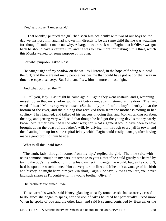'Yes,' said Rose, 'I understand.'

– '

 ' – That Monks,' pursued the girl, 'had seen him accidently with two of our boys on the day we first lost him, and had known him directly to be the same child that he was watching for, though I couldn't make out why. A bargain was struck with Fagin, that if Oliver was got back he should have a certain sum; and he was to have more for making him a thief, which this Monks wanted for some purpose of his own.

'For what purpose?' asked Rose.

 'He caught sight of my shadow on the wall as I listened, in the hope of finding out,' said the girl; 'and there are not many people besides me that could have got out of their way in time to escape discovery. But I did; and I saw him no more till last night.'

'And what occurred then?'

 'I'll tell you, lady. Last night he came again. Again they went upstairs, and I, wrapping myself up so that my shadow would not betray me, again listened at the door. The first words I heard Monks say were these: «So the only proofs of the boy's identity lie at the bottom of the river, and the old hag that received them from the mother is rotting in her coffin.» They laughed, and talked of his success in doing this; and Monks, talking on about the boy, and getting very wild, said that though he had got the young devil's money safely know, he'd rather have had it the other way; for, what a game it would have been to have brought down the boast of the father's will, by driving him through every jail in town, and then hauling him up for some capital felony which Fagin could easily manage, after having made a good profit of him besides.'

'What is all this!' said Rose.

 'The truth, lady, though it comes from my lips,' replied the girl. 'Then, he said, with oaths common enough in my ears, but strange to yours, that if he could gratify his hatred by taking the boy's life without bringing his own neck in danger, he would; but, as he couldn't, he'd be upon the watch to meet him at every turn in life; and if he took advantage of his birth and history, he might harm him yet. «In short, Fagin,» he says, «Jew as you are, you never laid such snares as I'll contrive for my young brother, Oliver.»'

'His brother!' exclaimed Rose.

 'Those were his words,' said Nancy, glancing uneasily round, as she had scarcely ceased to do, since she began to speak, for a vision of Sikes haunted her perpetually. 'And more. When he spoke of you and the other lady, and said it seemed contrived by Heaven, or the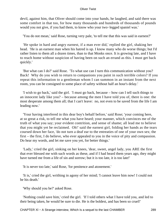devil, against him, that Oliver should come into your hands, he laughed, and said there was some comfort in that too, for how many thousands and hundreds of thousands of pounds would you not give, if you had them, to know who your two−legged spaniel was.'

'You do not mean,' said Rose, turning very pale, 'to tell me that this was said in earnest?'

 'He spoke in hard and angry earnest, if a man ever did,' replied the girl, shaking her head. 'He is an earnest man when his hatred is up. I know many who do worse things; but I'd rather listen to them all a dozen times, than to that Monks once. It is growing late, and I have to reach home without suspicion of having been on such an errand as this. I must get back quickly.'

 'But what can I do?' said Rose. 'To what use can I turn this communication without you? Back! Why do you wish to return to companions you paint in such terrible colors? If you repeat this information to a gentleman whom I can summon in an instant from the next room, you can be consigned to some place of safety without half an hour's delay.'

 'I wish to go back,' said the girl. 'I must go back, because – how can I tell such things to an innocent lady like you? – because among the men I have told you of, there is one: the most desperate among them all; that I can't leave: no, not even to be saved from the life I am leading now.'

 'Your having interfered in this dear boy's behalf before,' said Rose; 'your coming here, at so great a risk, to tell me what you have heard; your manner, which convinces me of the truth of what you say; your evident contrition, and sense of shame; all lead me to believe that you might yet be reclaimed. Oh!' said the earnest girl, folding her hands as the tears coursed down her face, 'do not turn a deaf ear to the entreaties of one of your own sex; the first – the first, I do believe, who ever appealed to you in the voice of pity and compassion. Do hear my words, and let me save you yet, for better things.'

 'Lady,' cried the girl, sinking on her knees, 'dear, sweet, angel lady, you ARE the first that ever blessed me with such words as these, and if I had heard them years ago, they might have turned me from a life of sin and sorrow; but it is too late, it is too late!'

'It is never too late,' said Rose, 'for penitence and atonement.'

 'It is,' cried the girl, writhing in agony of her mind; 'I cannot leave him now! I could not be his death.'

'Why should you be?' asked Rose.

 'Nothing could save him,' cried the girl. 'If I told others what I have told you, and led to their being taken, he would be sure to die. He is the boldest, and has been so cruel!'

CHAPTER XI – A Strange interview, Which Is a sequel to the last CHAMBER 289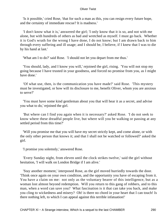'Is it possible,' cried Rose, 'that for such a man as this, you can resign every future hope, and the certainty of immediate rescue? It is madness.'

 'I don't know what it is,' answered the girl; 'I only know that it is so, and not with me alone, but with hundreds of others as bad and wretched as myself. I must go back. Whether it is God's wrath for the wrong I have done, I do not know; but I am drawn back to him through every suffering and ill usage; and I should be, I believe, if I knew that I was to die by his hand at last.'

'What am I to do?' said Rose. 'I should not let you depart from me thus.'

 'You should, lady, and I know you will,' rejoined the girl, rising. 'You will not stop my going because I have trusted in your goodness, and forced no promise from you, as I might have done.'

 'Of what use, then, is the communication you have made?' said Rose. 'This mystery must be investigated, or how will its disclosure to me, benefit Oliver, whom you are anxious to serve?'

 'You must have some kind gentleman about you that will hear it as a secret, and advise you what to do,' rejoined the girl.

 'But where can I find you again when it is necessary?' asked Rose. 'I do not seek to know where these dreadful people live, but where will you be walking or passing at any settled period from this time?'

 'Will you promise me that you will have my secret strictly kept, and come alone, or with the only other person that knows it; and that I shall not be watched or followed?' asked the girl.

'I promise you solemnly,' answered Rose.

 'Every Sunday night, from eleven until the clock strikes twelve,' said the girl without hesitation, 'I will walk on London Bridge if I am alive.'

 'Stay another moment,' interposed Rose, as the girl moved hurriedly towards the door. 'Think once again on your own condition, and the opportunity you have of escaping from it. You have a claim on me: not only as the voluntary bearer of this intelligence, but as a woman lost almost beyond redemption. Will you return to this gang of robbers, and to this man, when a word can save you? What fascination is it that can take you back, and make you cling to wickedness and misery? Oh! is there no chord in your heart that I can touch! Is there nothing left, to which I can appeal against this terrible infatuation!'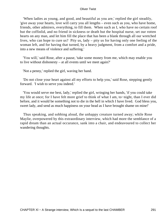'When ladies as young, and good, and beautiful as you are,' replied the girl steadily, 'give away your hearts, love will carry you all lengths – even such as you, who have home, friends, other admirers, everything, to fill them. When such as I, who have no certain roof but the coffinlid, and no friend in sickness or death but the hospital nurse, set our rotten hearts on any man, and let him fill the place that has been a blank through all our wretched lives, who can hope to cure us? Pity us, lady – pity us for having only one feeling of the woman left, and for having that turned, by a heavy judgment, from a comfort and a pride, into a new means of violence and suffering.'

 'You will,' said Rose, after a pause, 'take some money from me, which may enable you to live without dishonesty – at all events until we meet again?'

'Not a penny,' replied the girl, waving her hand.

 'Do not close your heart against all my efforts to help you,' said Rose, stepping gently forward. 'I wish to serve you indeed.'

 'You would serve me best, lady,' replied the girl, wringing her hands, 'if you could take my life at once; for I have felt more grief to think of what I am, to−night, than I ever did before, and it would be something not to die in the hell in which I have lived. God bless you, sweet lady, and send as much happiness on your head as I have brought shame on mine!'

 Thus speaking, and sobbing aloud, the unhappy creature turned away; while Rose Maylie, overpowered by this extraordinary interview, which had more the semblance of a rapid dream than an actual occurance, sank into a chair, and endeavoured to collect her wandering thoughts.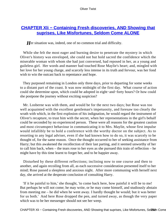## **CHAPTER XII – Containing Fresh discoveries, AND Showing that [suprises, Like Misfortunes, Seldom Come ALONE](#page-396-0)**

Her situation was, indeed, one of no common trial and difficulty.

 While she felt the most eager and burning desire to penetrate the mystery in which Oliver's history was enveloped, she could not but hold sacred the confidence which the miserable woman with whom she had just conversed, had reposed in her, as a young and guileless girl. Her words and manner had touched Rose Maylie's heart; and, mingled with her love for her young charge, and scarcely less intense in its truth and fervour, was her fond wish to win the outcast back to repentance and hope.

 They purposed remaining in London only three days, prior to departing for some weeks to a distant part of the coast. It was now midnight of the first day. What course of action could she determine upon, which could be adopted in eight−and−forty hours? Or how could she postpone the journey without exciting suspicion?

 Mr. Losberne was with them, and would be for the next two days; but Rose was too well acquainted with the excellent gentleman's impetuosity, and foresaw too clearly the wrath with which, in the first explosion of his indignation, he would regard the instrument of Oliver's recapture, to trust him with the secret, when her representations in the girl's behalf could be seconded by no experienced person. These were all reasons for the greatest caution and most circumspect behaviour in communicating it to Mrs. Maylie, whose first impulse would infallibly be to hold a conference with the worthy doctor on the subject. As to resorting to any legal adviser, even if she had known how to do so, it was scarcely to be thought of, for the same reason. Once the thought occurred to her of seeking assistance from Harry; but this awakened the recollection of their last parting, and it seemed unworthy of her to call him back, when – the tears rose to her eyes as she pursued this train of reflection – he might have by this time learnt to forget her, and to be happier away.

 Disturbed by these different reflections; inclining now to one course and then to another, and again recoiling from all, as each successive consideration presented itself to her mind; Rose passed a sleepless and anxious night. After more communing with herself next day, she arrived at the desperate conclusion of consulting Harry.

 'If it be painful to him,' she thought, 'to come back here, how painful it will be to me! But perhaps he will not come; he may write, or he may come himself, and studiously abstain from meeting me – he did when he went away. I hardly thought he would; but it was better for us both.' And here Rose dropped the pen, and turned away, as though the very paper which was to be her messenger should not see her weep.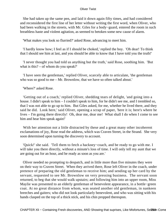She had taken up the same pen, and laid it down again fifty times, and had considered and reconsidered the first line of her letter without writing the first word, when Oliver, who had been walking in the streets, with Mr. Giles for a body−guard, entered the room in such breathless haste and violent agitation, as seemed to betoken some new cause of alarm.

'What makes you look so flurried?' asked Rose, advancing to meet him.

 'I hardly know how; I feel as if I should be choked,' replied the boy. 'Oh dear! To think that I should see him at last, and you should be able to know that I have told you the truth!'

 'I never thought you had told us anything but the truth,' said Rose, soothing him. 'But what is this? – of whom do you speak?'

 'I have seen the gentleman,' replied Oliver, scarcely able to articulate, 'the gentleman who was so good to me – Mr. Brownlow, that we have so often talked about.'

'Where?' asked Rose.

 'Getting out of a coach,' replied Oliver, shedding tears of delight, 'and going into a house. I didn't speak to him – I couldn't speak to him, for he didn't see me, and I trembled so, that I was not able to go up to him. But Giles asked, for me, whether he lived there, and they said he did. Look here,' said Oliver, opening a scrap of paper, 'here it is; here's where he lives – I'm going there directly! Oh, dear me, dear me! What shall I do when I come to see him and hear him speak again!'

 With her attention not a little distracted by these and a great many other incoherent exclamations of joy, Rose read the address, which was Craven Street, in the Strand. She very soon determined upon turning the discovery to account.

 'Quick!' she said. 'Tell them to fetch a hackney−coach, and be ready to go with me. I will take you there directly, without a minute's loss of time. I will only tell my aunt that we are going out for an hour, and be ready as soon as you are.'

 Oliver needed no prompting to despatch, and in little more than five minutes they were on their way to Craven Street. When they arrived there, Rose left Oliver in the coach, under pretence of preparing the old gentleman to receive him; and sending up her card by the servant, requested to see Mr. Brownlow on very pressing business. The servant soon returned, to beg that she would walk upstairs; and following him into an upper room, Miss Maylie was presented to an elderly gentleman of benevolent appearance, in a bottle−green coat. At no great distance from whom, was seated another old gentleman, in nankeen breeches and gaiters; who did not look particularly benevolent, and who was sitting with his hands clasped on the top of a thick stick, and his chin propped thereupon.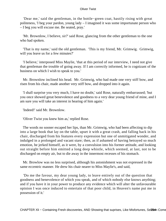'Dear me,' said the gentleman, in the bottle−green coat, hastily rising with great politeness, 'I beg your pardon, young lady – I imagined it was some importunate person who – I beg you will excuse me. Be seated, pray.'

 'Mr. Brownlow, I believe, sir?' said Rose, glancing from the other gentleman to the one who had spoken.

 'That is my name,' said the old gentleman. 'This is my friend, Mr. Grimwig. Grimwig, will you leave us for a few minutes?'

 'I believe,' interposed Miss Maylie, 'that at this period of our interview, I need not give that gentleman the trouble of going away. If I am correctly informed, he is cognizant of the business on which I wish to speak to you.'

 Mr. Brownlow inclined his head. Mr. Grimwig, who had made one very stiff bow, and risen from his chair, made another very stiff bow, and dropped into it again.

 'I shall surprise you very much, I have no doubt,' said Rose, naturally embarrassed; 'but you once showed great benevolence and goodness to a very dear young friend of mine, and I am sure you will take an interest in hearing of him again.'

'Indeed!' said Mr. Brownlow.

'Oliver Twist you knew him as,' replied Rose.

 The words no sooner escaped her lips, than Mr. Grimwig, who had been affecting to dip into a large book that lay on the table, upset it with a great crash, and falling back in his chair, discharged from his features every expression but one of unmitigated wonder, and indulged in a prolonged and vacant stare; then, as if ashamed of having betrayed so much emotion, he jerked himself, as it were, by a convulsion into his former attitude, and looking out straight before him emitted a long deep whistle, which seemed, at last, not to be discharged on empty air, but to die away in the innermost recesses of his stomach.

 Mr. Browlow was no less surprised, although his astonishment was not expressed in the same eccentric manner. He drew his chair nearer to Miss Maylie's, and said,

 'Do me the favour, my dear young lady, to leave entirely out of the question that goodness and benevolence of which you speak, and of which nobody else knows anything; and if you have it in your power to produce any evidence which will alter the unfavourable opinion I was once induced to entertain of that poor child, in Heaven's name put me in possession of it.'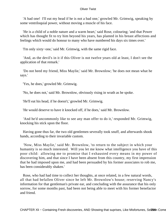'A bad one! I'll eat my head if he is not a bad one,' growled Mr. Grimwig, speaking by some ventriloquial power, without moving a muscle of his face.

 'He is a child of a noble nature and a warm heart,' said Rose, colouring; 'and that Power which has thought fit to try him beyond his years, has planted in his breast affections and feelings which would do honour to many who have numbered his days six times over.'

'I'm only sixty−one,' said Mr. Grimwig, with the same rigid face.

 'And, as the devil's in it if this Oliver is not twelve years old at least, I don't see the application of that remark.'

 'Do not heed my friend, Miss Maylie,' said Mr. Brownlow; 'he does not mean what he says.'

'Yes, he does,' growled Mr. Grimwig.

'No, he does not,' said Mr. Brownlow, obviously rising in wrath as he spoke.

'He'll eat his head, if he doesn't,' growled Mr. Grimwig.

'He would deserve to have it knocked off, if he does,' said Mr. Brownlow.

 'And he'd uncommonly like to see any man offer to do it,' responded Mr. Grimwig, knocking his stick upon the floor.

 Having gone thus far, the two old gentlemen severally took snuff, and afterwards shook hands, according to their invariable custom.

 'Now, Miss Maylie,' said Mr. Brownlow, 'to return to the subject in which your humanity is so much interested. Will you let me know what intelligence you have of this poor child: allowing me to promise that I exhausted every means in my power of discovering him, and that since I have been absent from this country, my first impression that he had imposed upon me, and had been persuaded by his former associates to rob me, has been considerably shaken.'

 Rose, who had had time to collect her thoughts, at once related, in a few natural words, all that had befallen Oliver since he left Mr. Brownlow's house; reserving Nancy's information for that gentleman's private ear, and concluding with the assurance that his only sorrow, for some months past, had been not being able to meet with his former benefactor and friend.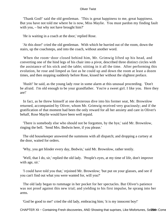'Thank God!' said the old gentleman. 'This is great happiness to me, great happiness. But you have not told me where he is now, Miss Maylie. You must pardon my finding fault with you, – but why not have brought him?'

'He is waiting in a coach at the door,' replied Rose.

 'At this door!' cried the old gentleman. With which he hurried out of the room, down the stairs, up the coachsteps, and into the coach, without another word.

 When the room−door closed behind him, Mr. Grimwig lifted up his head, and converting one of the hind legs of his chair into a pivot, described three distinct circles with the assistance of his stick and the table; stitting in it all the time. After performing this evolution, he rose and limped as fast as he could up and down the room at least a dozen times, and then stopping suddenly before Rose, kissed her without the slightest preface.

 'Hush!' he said, as the young lady rose in some alarm at this unusual proceeding. 'Don't be afraid. I'm old enough to be your grandfather. You're a sweet girl. I like you. Here they are!'

 In fact, as he threw himself at one dexterous dive into his former seat, Mr. Brownlow returned, accompanied by Oliver, whom Mr. Grimwig received very graciously; and if the gratification of that moment had been the only reward for all her anxiety and care in Oliver's behalf, Rose Maylie would have been well repaid.

 'There is somebody else who should not be forgotten, by the bye,' said Mr. Brownlow, ringing the bell. 'Send Mrs. Bedwin here, if you please.'

 The old housekeeper answered the summons with all dispatch; and dropping a curtsey at the door, waited for orders.

'Why, you get blinder every day, Bedwin,' said Mr. Brownlow, rather testily.

 'Well, that I do, sir,' replied the old lady. 'People's eyes, at my time of life, don't improve with age, sir.'

 'I could have told you that,' rejoined Mr. Brownlow; 'but put on your glasses, and see if you can't find out what you were wanted for, will you?'

 The old lady began to rummage in her pocket for her spectacles. But Oliver's patience was not proof against this new trial; and yielding to his first impulse, he sprang into her arms.

'God be good to me!' cried the old lady, embracing him; 'it is my innocent boy!'

CHAPTER XIi - Containing Fresh discoveries, AND Showing that suprises, Like Misfortunes, Sel206m Come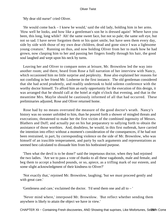'My dear old nurse!' cried Oliver.

 'He would come back – I knew he would,' said the old lady, holding him in her arms. 'How well he looks, and how like a gentleman's son he is dressed again! Where have you been, this long, long while? Ah! the same sweet face, but not so pale; the same soft eye, but not so sad. I have never forgotten them or his quiet smile, but have seen them every day, side by side with those of my own dear children, dead and gone since I was a lightsome young creature.' Running on thus, and now holding Oliver from her to mark how he had grown, now clasping him to her and passing her fingers fondly through his hair, the good soul laughed and wept upon his neck by turns.

 Leaving her and Oliver to compare notes at leisure, Mr. Brownlow led the way into another room; and there, heard from Rose a full narration of her interview with Nancy, which occasioned him no little surprise and perplexity. Rose also explained her reasons for not confiding in her friend Mr. Losberne in the first instance. The old gentleman considered that she had acted prudently, and readily undertook to hold solemn conference with the worthy doctor himself. To afford him an early opportunity for the execution of this design, it was arranged that he should call at the hotel at eight o'clock that evening, and that in the meantime Mrs. Maylie should be cautiously informed of all that had occurred. These preliminaries adjusted, Rose and Oliver returned home.

 Rose had by no means overrated the measure of the good doctor's wrath. Nancy's history was no sooner unfolded to him, than he poured forth a shower of mingled threats and execrations; threatened to make her the first victim of the combined ingenuity of Messrs. Blathers and Duff; and actually put on his hat preparatory to sallying forth to obtain the assistance of those worthies. And, doubtless, he would, in this first outbreak, have carried the intention into effect without a moment's consideration of the consequences, if he had not been restrained, in part, by corresponding violence on the side of Mr. Brownlow, who was himself of an irascible temperament, and party by such arguments and representations as seemed best calculated to dissuade him from his hotbrained purpose.

 'Then what the devil is to be done?' said the impetuous doctor, when they had rejoined the two ladies. 'Are we to pass a vote of thanks to all these vagabonds, male and female, and beg them to accept a hundred pounds, or so, apiece, as a trifling mark of our esteem, and some slight acknowledgment of their kindness to Oliver?'

 'Not exactly that,' rejoined Mr. Brownlow, laughing; 'but we must proceed gently and with great care.'

'Gentleness and care,' exclaimed the doctor. 'I'd send them one and all to – '

 'Never mind where,' interposed Mr. Brownlow. 'But reflect whether sending them anywhere is likely to attain the object we have in view.'

CHAPTER XIi – Containing Fresh discoveries, AND Showing that suprises, Like Misfortunes, Sel2t@ The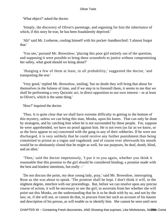'What object?' asked the doctor.

 'Simply, the discovery of Oliver's parentage, and regaining for him the inheritance of which, if this story be true, he has been fraudulently deprived.'

 'Ah!' said Mr. Losberne, cooling himself with his pocket−handkerchief; 'I almost forgot that.'

 'You see,' pursued Mr. Brownlow; 'placing this poor girl entirely out of the question, and supposing it were possible to bring these scoundrels to justice without compromising her safety, what good should we bring about?'

 'Hanging a few of them at least, in all probability,' suggested the doctor, 'and transporting the rest.'

 'Very good,' replied Mr. Brownlow, smiling; 'but no doubt they will bring that about for themselves in the fulness of time, and if we step in to forestall them, it seems to me that we shall be performing a very Quixotic act, in direct opposition to our own interest – or at least to Oliver's, which is the same thing.'

'How?' inquired the doctor.

 'Thus. It is quite clear that we shall have extreme difficulty in getting to the bottom of this mystery, unless we can bring this man, Monks, upon his knees. That can only be done by stratagem, and by catching him when he is not surrounded by these people. For, suppose he were apprehended, we have no proof against him. He is not even (so far as we know, or as the facts appear to us) concerned with the gang in any of their robberies. If he were not discharged, it is very unlikely that he could receive any further punishment than being committed to prison as a rogue and vagabond; and of course ever afterwards his mouth would be so obstinately closed that he might as well, for our purposes, be deaf, dumb, blind, and an idiot.'

 'Then,' said the doctor impetuously, 'I put it to you again, whether you think it reasonable that this promise to the girl should be considered binding; a promise made with the best and kindest intentions, but really – '

 'Do not discuss the point, my dear young lady, pray,' said Mr. Brownlow, interrupting Rose as she was about to speak. 'The promise shall be kept. I don't think it will, in the slightest degree, interfere with our proceedings. But, before we can resolve upon any precise course of action, it will be necessary to see the girl; to ascertain from her whether she will point out this Monks, on the understanding that he is to be dealt with by us, and not by the law; or, if she will not, or cannot do that, to procure from her such an account of his haunts and description of his person, as will enable us to identify him. She cannot be seen until next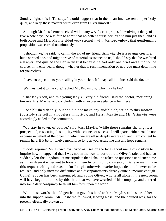Sunday night; this is Tuesday. I would suggest that in the meantime, we remain perfectly quiet, and keep these matters secret even from Oliver himself.'

 Although Mr. Loseberne received with many wry faces a proposal involving a delay of five whole days, he was fain to admit that no better course occurred to him just then; and as both Rose and Mrs. Maylie sided very strongly with Mr. Brownlow, that gentleman's proposition was carried unanimously.

 'I should like,' he said, 'to call in the aid of my friend Grimwig. He is a strange creature, but a shrewd one, and might prove of material assistance to us; I should say that he was bred a lawyer, and quitted the Bar in disgust because he had only one brief and a motion of course, in twenty years, though whether that is recommendation or not, you must determine for yourselves.'

'I have no objection to your calling in your friend if I may call in mine,' said the doctor.

'We must put it to the vote,' replied Mr. Brownlow, 'who may he be?'

 'That lady's son, and this young lady's – very old friend,' said the doctor, motioning towards Mrs. Maylie, and concluding with an expressive glance at her niece.

 Rose blushed deeply, but she did not make any audible objection to this motion (possibly she felt in a hopeless minority); and Harry Maylie and Mr. Grimwig were accordingly added to the committee.

 'We stay in town, of course,' said Mrs. Maylie, 'while there remains the slightest prospect of prosecuting this inquiry with a chance of success. I will spare neither trouble nor expense in behalf of the object in which we are all so deeply interested, and I am content to remain here, if it be for twelve months, so long as you assure me that any hope remains.'

 'Good!' rejoined Mr. Brownlow. 'And as I see on the faces about me, a disposition to inquire how it happened that I was not in the way to corroborate Oliver's tale, and had so suddenly left the kingdom, let me stipulate that I shall be asked no questions until such time as I may deem it expedient to forestall them by telling my own story. Believe me, I make this request with good reason, for I might otherwise excite hopes destined never to be realised, and only increase difficulties and disappointments already quite numerous enough. Come! Supper has been announced, and young Oliver, who is all alone in the next room, will have begun to think, by this time, that we have wearied of his company, and entered into some dark conspiracy to thrust him forth upon the world.'

 With these words, the old gentleman gave his hand to Mrs. Maylie, and escorted her into the supper−room. Mr. Losberne followed, leading Rose; and the council was, for the present, effectually broken up.

CHAPTER XIi - Containing Fresh discoveries, AND Showing that suprises, Like Misfortunes, Sel2l@m Come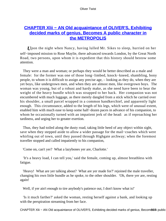# **[CHAPTER Xlii − AN Old acquaintance of OLIVER'S, Exhibiting](#page-396-0) [decided marks of genius, Becomes A public character in](#page-396-0) [the METROPOLIS](#page-396-0)**

*U*pon the night when Nancy, having lulled Mr. Sikes to sleep, hurried on her self−imposed mission to Rose Maylie, there advanced towards London, by the Great North Road, two persons, upon whom it is expedient that this history should bestow some attention.

 They were a man and woman; or perhaps they would be better described as a male and female: for the former was one of those long−limbed, knock−kneed, shambling, bony people, to whom it is difficult to assign any precise age, – looking as they do, when they are yet boys, like undergrown men, and when they are almost men, like overgrown boys. The woman was young, but of a robust and hardy make, as she need have been to bear the weight of the heavy bundle which was strapped to her back. Her companion was not encumbered with much luggage, as there merely dangled from a stick which he carried over his shoulder, a small parcel wrapped in a common handkerchief, and apparently light enough. This circumstance, added to the length of his legs, which were of unusual extent, enabled him with much ease to keep some half−dozen paces in advance of his companion, to whom he occasionally turned with an impatient jerk of the head: as if reproaching her tardiness, and urging her to greater exertion.

 Thus, they had toiled along the dusty road, taking little heed of any object within sight, save when they stepped aside to allow a wider passage for the mail−coaches which were whirling out of town, until they passed through Highgate archway; when the foremost traveller stopped and called impatiently to his companion,

'Come on, can't yer? What a lazybones yer are, Charlotte.'

 'It's a heavy load, I can tell you,' said the female, coming up, almost breathless with fatigue.

 'Heavy! What are yer talking about? What are yer made for?' rejoined the male traveller, changing his own little bundle as he spoke, to the other shoulder. 'Oh, there yer are, resting again!

Well, if yer ain't enough to tire anybody's patience out, I don't know what is!'

 'Is it much farther?' asked the woman, resting herself against a bank, and looking up with the perspiration streaming from her face.

CHAPTER XIii − AN Old acquaintance of OLIVER'S, Exhibiting decided marks of genius, Becom860A public cha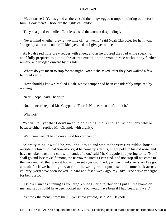'Much farther! Yer as good as there,' said the long−legged tramper, pointing out before him. 'Look there! Those are the lights of London.'

'They're a good two mile off, at least,' said the woman despondingly.

 'Never mind whether they're two mile off, or twenty,' said Noah Claypole; for he it was; 'but get up and come on, or I'll kick yer, and so I give yer notice.'

 As Noah's red nose grew redder with anger, and as he crossed the road while speaking, as if fully prepared to put his threat into execution, the woman rose without any further remark, and trudged onward by his side.

 'Where do you mean to stop for the night, Noah?' she asked, after they had walked a few hundred yards.

 'How should I know?' replied Noah, whose temper had been considerably impaired by walking.

'Near, I hope,' said Charlotte.

'No, not near,' replied Mr. Claypole. 'There! Not near; so don't think it.'

'Why not?'

 'When I tell yer that I don't mean to do a thing, that's enough, without any why or because either,' replied Mr. Claypole with dignity.

'Well, you needn't be so cross,' said his companion.

 'A pretty thing it would be, wouldn't it to go and stop at the very first public−house outside the town, so that Sowerberry, if he come up after us, might poke in his old nose, and have us taken back in a cart with handcuffs on,' said Mr. Claypole in a jeering tone. 'No! I shall go and lose myself among the narrowest streets I can find, and not stop till we come to the very out−of−the−wayest house I can set eyes on. 'Cod, yer may thanks yer stars I've got a head; for if we hadn't gone, at first, the wrong road a purpose, and come back across country, yer'd have been locked up hard and fast a week ago, my lady. And serve yer right for being a fool.'

 'I know I ain't as cunning as you are,' replied Charlotte; 'but don't put all the blame on me, and say I should have been locked up. You would have been if I had been, any way.'

'Yer took the money from the till, yer know yer did,' said Mr. Claypole.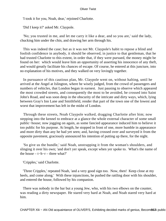'I took it for you, Noah, dear,' rejoined Charlotte.

'Did I keep it?' asked Mr. Claypole.

 'No; you trusted in me, and let me carry it like a dear, and so you are,' said the lady, chucking him under the chin, and drawing her arm through his.

 This was indeed the case; but as it was not Mr. Claypole's habit to repose a blind and foolish confidence in anybody, it should be observed, in justice to that gentleman, that he had trusted Charlotte to this extent, in order that, if they were pursued, the money might be found on her: which would leave him an opportunity of asserting his innocence of any theft, and would greatly facilitate his chances of escape. Of course, he entered at this juncture, into no explanation of his motives, and they walked on very lovingly together.

 In pursuance of this cautious plan, Mr. Claypole went on, without halting, until he arrived at the Angel at Islington, where he wisely judged, from the crowd of passengers and numbers of vehicles, that London began in earnest. Just pausing to observe which appeared the most crowded streets, and consequently the most to be avoided, he crossed into Saint John's Road, and was soon deep in the obscurity of the intricate and dirty ways, which, lying between Gray's Inn Lane and Smithfield, render that part of the town one of the lowest and worst that improvement has left in the midst of London.

 Through these streets, Noah Claypole walked, dragging Charlotte after him; now stepping into the kennel to embrace at a glance the whole external character of some small public−house; now jogging on again, as some fancied appearance induced him to believe it too public for his purpose. At length, he stopped in front of one, more humble in appearance and more dirty than any he had yet seen; and, having crossed over and surveyed it from the opposite pavement, graciously announced his intention of putting up there, for the night.

 'So give us the bundle,' said Noah, unstrapping it from the woman's shoulders, and slinging it over his own; 'and don't yer speak, except when yer spoke to. What's the name of the house – t−h−r – three what?'

'Cripples,' said Charlotte.

 'Three Cripples,' repeated Noah, 'and a very good sign too. Now, then! Keep close at my heels, and come along.' With these injunctions, he pushed the rattling door with his shoulder, and entered the house, followed by his companion.

 There was nobody in the bar but a young Jew, who, with his two elbows on the counter, was reading a dirty newspaper. He stared very hard at Noah, and Noah stared very hard at him.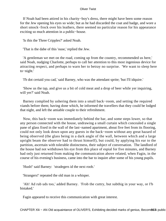If Noah had been attired in his charity−boy's dress, there might have been some reason for the Jew opening his eyes so wide; but as he had discarded the coat and badge, and wore a short smock−frock over his leathers, there seemed no particular reason for his appearance exciting so much attention in a public−house.

'Is this the Three Cripples?' asked Noah.

'That is the dabe of this 'ouse,' replied the Jew.

 'A gentleman we met on the road, coming up from the country, recommended us here,' said Noah, nudging Charlotte, perhaps to call her attention to this most ingenious device for attracting respect, and perhaps to warn her to betray no surprise. 'We want to sleep here to−night.'

'I'b dot certaid you cad,' said Barney, who was the attendant sprite; 'but I'll idquire.'

 'Show us the tap, and give us a bit of cold meat and a drop of beer while yer inquiring, will yer?' said Noah.

 Barney complied by ushering them into a small back−room, and setting the required viands before them; having done which, he informed the travellers that they could be lodged that night, and left the amiable couple to their refreshment.

 Now, this back−room was immediately behind the bar, and some steps lower, so that any person connected with the house, undrawing a small curtain which concealed a single pane of glass fixed in the wall of the last−named apartment, about five feet from its flooring, could not only look down upon any guests in the back−room without any great hazard of being observed (the glass being in a dark angle of the wall, between which and a large upright beam the observer had to thrust himself), but could, by applying his ear to the partition, ascertain with tolerable distinctness, their subject of conversation. The landlord of the house had not withdrawn his eye from this place of espial for five minutes, and Barney had only just returned from making the communication above related, when Fagin, in the course of his evening's business, came into the bar to inquire after some of his young pupils.

'Hush!' said Barney: 'stradegers id the next roob.'

'Strangers!' repeated the old man in a whisper.

 'Ah! Ad rub uds too,' added Barney. 'Frob the cuttry, but subthig in your way, or I'b bistaked.'

Fagin appeared to receive this communication with great interest.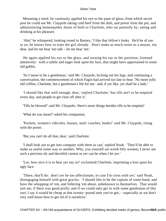Mounting a stool, he cautiously applied his eye to the pane of glass, from which secret post he could see Mr. Claypole taking cold beef from the dish, and porter from the pot, and administering homoepathic doses of both to Charlotte, who sat patiently by, eating and drinking at his pleasure.

 'Aha!' he whispered, looking round to Barney, 'I like that fellow's looks. He'd be of use to us; he knows how to train the girl already. Don't make as much noise as a mouse, my dear, and let me hear 'em talk – let me hear 'em.'

 He again applied his eye to the glass, and turning his ear to the partition, listened attentively: with a subtle and eager look upon his face, that might have appertained to some old goblin.

 'So I mean to be a gentleman,' said Mr. Claypole, kicking out his legs, and continuing a conversation, the commencement of which Fagin had arrived too late to hear. 'No more jolly old coffins, Charlotte, but a gentleman's life for me: and, if yer like, yer shall be a lady.'

 'I should like that well enough, dear,' replied Charlotte; 'but tills ain't to be emptied every day, and people to get clear off after it.'

'Tills be blowed!' said Mr. Claypole; 'there's more things besides tills to be emptied.'

'What do you mean?' asked his companion.

 'Pockets, women's ridicules, houses, mail−coaches, banks!' said Mr. Claypole, rising with the porter.

'But you can't do all that, dear,' said Charlotte.

 'I shall look out to get into company with them as can,' replied Noah. 'They'll be able to make us useful some way or another. Why, you yourself are worth fifty women; I never see such a precious sly and deceitful creetur as yer can be when I let yer.'

 'Lor, how nice it is to hear yer say so!' exclaimed Charlotte, imprinting a kiss upon his ugly face.

 'There, that'll do: don't yer be too affectionate, in case I'm cross with yer,' said Noah, disengaging himself with great gravity. 'I should like to be the captain of some band, and have the whopping of 'em, and follering 'em about, unbeknown to themselves. That would suit me, if there was good profit; and if we could only get in with some gentleman of this sort, I say it would be cheap at that twenty−pound note you've got, – especially as we don't very well know how to get rid of it ourselves.'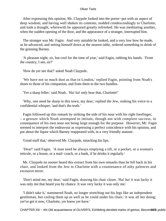After expressing this opinion, Mr. Claypole looked into the porter−pot with an aspect of deep wisdom; and having well shaken its contents, nodded condescendingly to Charlotte, and took a draught, wherewith he appeared greatly refreshed. He was meditating another, when the sudden opening of the door, and the appearance of a stranger, interrupted him.

 The stranger was Mr. Fagin. And very amiable he looked, and a very low bow he made, as he advanced, and setting himself down at the nearest table, ordered something to drink of the grinning Barney.

 'A pleasant night, sir, but cool for the time of year,' said Fagin, rubbing his hands. 'From the country, I see, sir?'

'How do yer see that?' asked Noah Claypole.

 'We have not so much dust as that in London,' replied Fagin, pointing from Noah's shoes to those of his companion, and from them to the two bundles.

'Yer a sharp feller,' said Noah. 'Ha! ha! only hear that, Charlotte!'

 'Why, one need be sharp in this town, my dear,' replied the Jew, sinking his voice to a confidential whisper; 'and that's the truth.'

 Fagin followed up this remark by striking the side of his nose with his right forefinger, – a gesture which Noah attempted to imitate, though not with complete success, in consequence of his own nose not being large enough for the purpose. However, Mr. Fagin seemed to interpret the endeavour as expressing a perfect coincidence with his opinion, and put about the liquor which Barney reappeared with, in a very friendly manner.

'Good stuff that,' observed Mr. Claypole, smacking his lips.

 'Dear!' said Fagin. 'A man need be always emptying a till, or a pocket, or a woman's reticule, or a house, or a mail−coach, or a bank, if he drinks it regularly.'

 Mr. Claypole no sooner heard this extract from his own remarks than he fell back in his chair, and looked from the Jew to Charlotte with a countenance of ashy palences and excessive terror.

 'Don't mind me, my dear,' said Fagin, drawing his chair closer. 'Ha! ha! it was lucky it was only me that heard you by chance. It was very lucky it was only me.'

 'I didn't take it,' stammered Noah, no longer stretching out his legs like an independent gentleman, but coiling them up as well as he could under his chair; 'it was all her doing; yer've got it now, Charlotte, yer know yer have.'

CHAPTER XIII – AN Old acquaintance of OLIVER'S, Exhibiting decided marks of genius, Becom885A public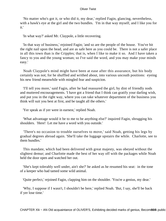'No matter who's got it, or who did it, my dear,' replied Fagin, glancing, nevertheless, with a hawk's eye at the girl and the two bundles. 'I'm in that way myself, and I like you for it.'

'In what way?' asked Mr. Claypole, a little recovering.

 'In that way of business,' rejoined Fagin; 'and so are the people of the house. You've hit the right nail upon the head, and are as safe here as you could be. There is not a safer place in all this town than is the Cripples; that is, when I like to make it so. And I have taken a fancy to you and the young woman; so I've said the word, and you may make your minds easy.'

 Noah Claypole's mind might have been at ease after this assurance, but his body certainly was not; for he shuffled and writhed about, into various uncouth positions: eyeing his new friend meanwhile with mingled fear and suspicion.

 'I'll tell you more,' said Fagin, after he had reassured the girl, by dint of friendly nods and muttered encouragements. 'I have got a friend that I think can gratify your darling wish, and put you in the right way, where you can take whatever department of the business you think will suit you best at first, and be taught all the others.'

'Yer speak as if yer were in earnest,' replied Noah.

 'What advantage would it be to me to be anything else?' inquired Fagin, shrugging his shoulders. 'Here! Let me have a word with you outside.'

 'There's no occasion to trouble ourselves to move,' said Noah, getting his legs by gradual degrees abroad again. 'She'll take the luggage upstairs the while. Charlotte, see to them bundles.'

 This mandate, which had been delivered with great majesty, was obeyed without the slightest demur; and Charlotte made the best of her way off with the packages while Noah held the door open and watched her out.

 'She's kept tolerably well under, ain't she?' he asked as he resumed his seat: in the tone of a keeper who had tamed some wild animal.

'Quite perfect,' rejoined Fagin, clapping him on the shoulder. 'You're a genius, my dear.'

 'Why, I suppose if I wasn't, I shouldn't be here,' replied Noah. 'But, I say, she'll be back if yer lose time.'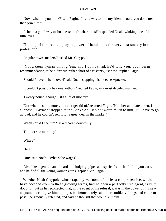'Now, what do you think?' said Fagin. 'If you was to like my friend, could you do better than join him?'

 'Is he in a good way of business; that's where it is!' responded Noah, winking one of his little eyes.

 'The top of the tree; employs a power of hands; has the very best society in the profession.'

'Regular town−maders?' asked Mr. Claypole.

 'Not a countryman among 'em; and I don't think he'd take you, even on my recommendation, if he didn't run rather short of assistants just now,' replied Fagin.

'Should I have to hand over?' said Noah, slapping his breeches−pocket.

'It couldn't possibly be done without,' replied Fagin, in a most decided manner.

'Twenty pound, though – it's a lot of money!'

 'Not when it's in a note you can't get rid of,' retorted Fagin. 'Number and date taken, I suppose? Payment stopped at the Bank? Ah! It's not worth much to him. It'll have to go abroad, and he couldn't sell it for a great deal in the market.'

'When could I see him?' asked Noah doubtfully.

'To−morrow morning.'

'Where?'

'Here.'

'Um!' said Noah. 'What's the wages?'

 'Live like a gentleman – board and lodging, pipes and spirits free – half of all you earn, and half of all the young woman earns,' replied Mr. Fagin.

 Whether Noah Claypole, whose rapacity was none of the least comprehensive, would have acceded even to these glowing terms, had he been a perfectly free agent, is very doubtful; but as he recollected that, in the event of his refusal, it was in the power of his new acquaintance to give him up to justice immediately (and more unlikely things had come to pass), he gradually relented, and said he thought that would suit him.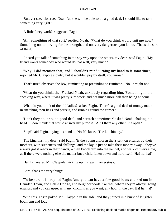'But, yer see,' observed Noah, 'as she will be able to do a good deal, I should like to take something very light.'

'A little fancy work?' suggested Fagin.

 'Ah! something of that sort,' replied Noah. 'What do you think would suit me now? Something not too trying for the strength, and not very dangerous, you know. That's the sort of thing!'

 'I heard you talk of something in the spy way upon the others, my dear,' said Fagin. 'My friend wants somebody who would do that well, very much.'

 'Why, I did mention that, and I shouldn't mind turning my hand to it sometimes,' rejoined Mr. Claypole slowly; 'but it wouldn't pay by itself, you know.'

'That's true!' observed the Jew, ruminating or pretending to ruminate. 'No, it might not.'

 'What do you think, then?' asked Noah, anxiously regarding him. 'Something in the sneaking way, where it was pretty sure work, and not much more risk than being at home.'

 'What do you think of the old ladies?' asked Fagin. 'There's a good deal of money made in snatching their bags and parcels, and running round the corner.'

 'Don't they holler out a good deal, and scratch sometimes?' asked Noah, shaking his head. 'I don't think that would answer my purpose. Ain't there any other line open?'

'Stop!' said Fagin, laying his hand on Noah's knee. 'The kinchin lay.'

 'The kinchins, my dear,' said Fagin, 'is the young children that's sent on errands by their mothers, with sixpences and shillings; and the lay is just to take their money away – they've always got it ready in their hands, – then knock 'em into the kennel, and walk off very slow, as if there were nothing else the matter but a child fallen down and hurt itself. Ha! ha! ha!'

'Ha! ha!' roared Mr. Claypole, kicking up his legs in an ecstasy.

'Lord, that's the very thing!'

 'To be sure it is,' replied Fagin; 'and you can have a few good beats chalked out in Camden Town, and Battle Bridge, and neighborhoods like that, where they're always going errands; and you can upset as many kinchins as you want, any hour in the day. Ha! ha! ha!'

 With this, Fagin poked Mr. Claypole in the side, and they joined in a burst of laughter both long and loud.

CHAPTER XIii – AN Old acquaintance of OLIVER'S, Exhibiting decided marks of genius, Becom89& public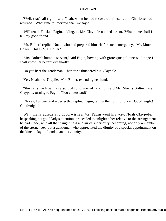'Well, that's all right!' said Noah, when he had recovered himself, and Charlotte had returned. 'What time to−morrow shall we say?'

 'Will ten do?' asked Fagin, adding, as Mr. Claypole nodded assent, 'What name shall I tell my good friend.'

 'Mr. Bolter,' replied Noah, who had prepared himself for such emergency. 'Mr. Morris Bolter. This is Mrs. Bolter.'

 'Mrs. Bolter's humble servant,' said Fagin, bowing with grotesque politeness. 'I hope I shall know her better very shortly.'

'Do you hear the gentleman, Charlotte?' thundered Mr. Claypole.

'Yes, Noah, dear!' replied Mrs. Bolter, extending her hand.

 'She calls me Noah, as a sort of fond way of talking,' said Mr. Morris Bolter, late Claypole, turning to Fagin. 'You understand?'

 'Oh yes, I understand – perfectly,' replied Fagin, telling the truth for once. 'Good−night! Good−night!'

 With many adieus and good wishes, Mr. Fagin went his way. Noah Claypole, bespeaking his good lady's attention, proceeded to enlighten her relative to the arrangement he had made, with all that haughtiness and air of superiority, becoming, not only a member of the sterner sex, but a gentleman who appreciated the dignity of a special appointment on the kinchin lay, in London and its vicinity.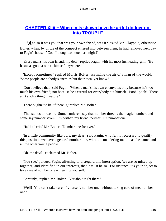# **CHAPTER Xliii - Wherein Is shown how the artful dodger got [into TROUBLE](#page-396-0)**

*'A*nd so it was you that was your own friend, was it?' asked Mr. Claypole, otherwise Bolter, when, by virtue of the compact entered into between them, he had removed next day to Fagin's house. ''Cod, I thought as much last night!'

 'Every man's his own friend, my dear,' replied Fagin, with his most insinuating grin. 'He hasn't as good a one as himself anywhere.'

 'Except sometimes,' replied Morris Bolter, assuming the air of a man of the world. 'Some people are nobody's enemies but their own, yer know.'

 'Don't believe that,' said Fagin. 'When a man's his own enemy, it's only because he's too much his own friend; not because he's careful for everybody but himself. Pooh! pooh! There ain't such a thing in nature.'

'There oughn't to be, if there is,' replied Mr. Bolter.

 'That stands to reason. Some conjurers say that number three is the magic number, and some say number seven. It's neither, my friend, neither. It's number one.

'Ha! ha!' cried Mr. Bolter. 'Number one for ever.'

 'In a little community like ours, my dear,' said Fagin, who felt it necessary to qualify this position, 'we have a general number one, without considering me too as the same, and all the other young people.'

'Oh, the devil!' exclaimed Mr. Bolter.

 'You see,' pursued Fagin, affecting to disregard this interruption, 'we are so mixed up together, and identified in our interests, that it must be so. For instance, it's your object to take care of number one – meaning yourself.'

'Certainly,' replied Mr. Bolter. 'Yer about right there.'

 'Well! You can't take care of yourself, number one, without taking care of me, number one.'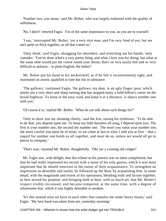'Number two, you mean,' said Mr. Bolter, who was largely endowed with the quality of selfishness.

'No, I don't!' retorted Fagin. 'I'm of the same importance to you, as you are to yourself.'

 'I say,' interrupted Mr. Bolter, 'yer a very nice man, and I'm very fond of yer; but we ain't quite so thick together, as all that comes to.'

 'Only think,' said Fagin, shrugging his shoulders, and stretching out his hands; 'only consider. You've done what's a very pretty thing, and what I love you for doing; but what at the same time would put the cravat round your throat, that's so very easily tied and so very difficult to unloose – in plain English, the halter!'

 Mr. Bolter put his hand to his neckerchief, as if he felt it inconveniently tight; and murmured an assent, qualified in tone but not in substance.

 'The gallows,' continued Fagin, 'the gallows, my dear, is an ugly finger−post, which points out a very short and sharp turning that has stopped many a bold fellow's career on the broad highway. To keep in the easy road, and keep it at a distance, is object number one with you.'

'Of course it is,' replied Mr. Bolter. 'What do yer talk about such things for?'

 'Only to show you my meaning clearly,' said the Jew, raising his eyebrows. 'To be able to do that, you depend upon me. To keep my little business all snug, I depend upon you. The first is your number one, the second my number one. The more you value your number one, the more careful you must be of mine; so we come at last to what I told you at first – that a regard for number one holds us all together, and must do so, unless we would all go to pieces in company.'

'That's true,' rejoined Mr. Bolter, thoughtfully. 'Oh! yer a cunning old codger!'

 Mr. Fagin saw, with delight, that this tribute to his powers was no mere compliment, but that he had really impressed his recruit with a sense of his wily genius, which it was most important that he should entertain in the outset of their acquaintance. To strengthen an impression so desirable and useful, he followed up the blow by acquainting him, in some detail, with the magnitude and extent of his operations; blending truth and fiction together, as best served his purpose; and bringing both to bear, with so much art, that Mr. Bolter's respect visibly increased, and became tempered, at the same time, with a degree of wholesome fear, which it was highly desirable to awaken.

 'It's this mutual trust we have in each other that consoles me under heavy losses,' said Fagin. 'My best hand was taken from me, yesterday morning.'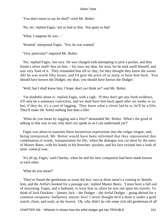'You don't mean to say he died?' cried Mr. Bolter.

'No, no,' replied Fagin, 'not so bad as that. Not quite so bad.'

'What, I suppose he was – '

'Wanted,' interposed Fagin. 'Yes, he was wanted.'

'Very particular?' inquired Mr. Bolter.

 'No,' replied Fagin, 'not very. He was charged with attempting to pick a pocket, and they found a silver snuff−box on him, – his own, my dear, his own, for he took snuff himself, and was very fond of it. They remanded him till to−day, for they thought they knew the owner. Ah! he was worth fifty boxes, and I'd give the price of as many to have him back. You should have known the Dodger, my dear; you should have known the Dodger.'

'Well, but I shall know him, I hope; don't yer think so?' said Mr. Bolter.

 'I'm doubtful about it,' replied Fagin, with a sigh. 'If they don't get any fresh evidence, it'll only be a summary conviction, and we shall have him back again after six weeks or so; but, if they do, it's a case of lagging. They know what a clever lad he is; he'll be a lifer. They'll make the Artful nothing less than a lifer.'

 'What do you mean by lagging and a lifer?' demanded Mr. Bolter. 'What's the good of talking in that way to me; why don't yer speak so as I can understand yer?'

 Fagin was about to translate these mysterious expressions into the vulgar tongue; and, being interpreted, Mr. Bolter would have been informed that they represented that combination of words, 'transportation for life,' when the dialogue was cut short by the entry of Master Bates, with his hands in his breeches−pockets, and his face twisted into a look of semi−comical woe.

 'It's all up, Fagin,' said Charley, when he and his new companion had been made known to each other.

'What do you mean?'

 'They've found the gentleman as owns the box; two or three more's a coming to 'dentify him; and the Artful's booked for a passage out,' replied Master Bates. T must have a full suit of mourning, Fagin, and a hatband, to wisit him in, afore he sets out upon his travels. To think of Jack Dawkins – lummy Jack – the Dodger – the Artful Dodger – going abroad for a common twopenny−halfpenny sneeze−box! I never thought he'd a done it under a gold watch, chain, and seals, at the lowest. Oh, why didn't he rob some rich old gentleman of all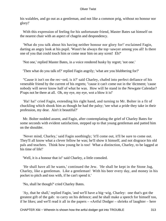his walables, and go out as a gentleman, and not like a common prig, without no honour nor glory!'

 With this expression of feeling for his unfortunate friend, Master Bates sat himself on the nearest chair with an aspect of chagrin and despondency.

 'What do you talk about his having neither honour nor glory for!' exclaimed Fagin, darting an angry look at his pupil. 'Wasn't he always the top−sawyer among you all! Is there one of you that could touch him or come near him on any scent! Eh?'

'Not one,' replied Master Bates, in a voice rendered husky by regret; 'not one.'

'Then what do you talk of?' replied Fagin angrily; 'what are you blubbering for?'

 ''Cause it isn't on the rec−ord, is it?' said Charley, chafed into perfect defiance of his venerable friend by the current of his regrets; ''cause it can't come out in the 'dictment; 'cause nobody will never know half of what he was. How will he stand in the Newgate Calendar? P'raps not be there at all. Oh, my eye, my eye, wot a blow it is!'

 'Ha! ha!' cried Fagin, extending his right hand, and turning to Mr. Bolter in a fit of chuckling which shook him as though he had the palsy; 'see what a pride they take in their profession, my dear. Ain't it beautiful?'

 Mr. Bolter nodded assent, and Fagin, after contemplating the grief of Charley Bates for some seconds with evident satisfaction, stepped up to that young gentleman and patted him on the shoulder.

 'Never mind, Charley,' said Fagin soothingly; 'it'll come out, it'll be sure to come out. They'll all know what a clever fellow he was; he'll show it himself, and not disgrace his old pals and teachers. Think how young he is too! What a distinction, Charley, to be lagged at his time of life!'

'Well, it is a honour that is!' said Charley, a little consoled.

 'He shall have all he wants,' continued the Jew. 'He shall be kept in the Stone Jug, Charley, like a gentleman. Like a gentleman! With his beer every day, and money in his pocket to pitch and toss with, if he can't spend it.'

'No, shall he though?' cried Charley Bates.

 'Ay, that he shall,' replied Fagin, 'and we'll have a big−wig, Charley: one that's got the greatest gift of the gab: to carry on his defence; and he shall make a speech for himself too, if he likes; and we'll read it all in the papers – «Artful Dodger – shrieks of laughter – here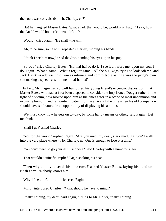the court was convulsed» – eh, Charley, eh?'

 'Ha! ha! laughed Master Bates, 'what a lark that would be, wouldn't it, Fagin? I say, how the Artful would bother 'em wouldn't he?'

'Would!' cried Fagin. 'He shall – he will!'

'Ah, to be sure, so he will,' repeated Charley, rubbing his hands.

'I think I see him now,' cried the Jew, bending his eyes upon his pupil.

 'So do I,' cried Charley Bates. 'Ha! ha! ha! so do I. I see it all afore me, upon my soul I do, Fagin. What a game! What a regular game! All the big−wigs trying to look solemn, and Jack Dawkins addressing of 'em as intimate and comfortable as if he was the judge's own son making a speech arter dinner – ha! ha! ha!'

 In fact, Mr. Fagin had so well humoured his young friend's eccentric disposition, that Master Bates, who had at first been disposed to consider the imprisoned Dodger rather in the light of a victim, now looked upon him as the chief actor in a scene of most uncommon and exquisite humour, and felt quite impatient for the arrival of the time when his old companion should have so favourable an opportunity of displaying his abilities.

 'We must know how he gets on to−day, by some handy means or other,' said Fagin. 'Let me think.'

'Shall I go?' asked Charley.

 'Not for the world,' replied Fagin. 'Are you mad, my dear, stark mad, that you'd walk into the very place where – No, Charley, no. One is enough to lose at a time.'

'You don't mean to go yourself, I suppose?' said Charley with a humorous leer.

'That wouldn't quite fit,' replied Fagin shaking his head.

 'Then why don't you send this new cove?' asked Master Bates, laying his hand on Noah's arm. 'Nobody knows him.'

'Why, if he didn't mind – ' observed Fagin.

'Mind!' interposed Charley. 'What should he have to mind?'

'Really nothing, my dear,' said Fagin, turning to Mr. Bolter, 'really nothing.'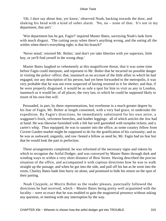'Oh, I dare say about that, yer know,' observed Noah, backing towards the door, and shaking his head with a kind of sober alarm. 'No, no – none of that. It's not in my department, that ain't.'

 'Wot department has he got, Fagin?' inquired Master Bates, surveying Noah's lank form with much disgust. 'The cutting away when there's anything wrong, and the eating all the wittles when there's everything right; is that his branch?'

 'Never mind,' retorted Mr. Bolter; 'and don't yer take liberties with yer superiors, little boy, or yer'll find yerself in the wrong shop.'

 Master Bates laughed so vehemently at this magnificent threat, that it was some time before Fagin could interpose, and represent to Mr. Bolter that he incurred no possible danger in visiting the police−office; that, inasmuch as no account of the little affair in which he had engaged, nor any description of his person, had yet been forwarded to the metropolis, it was very probable that he was not even suspected of having resorted to it for shelter; and that, if he were properly disguised, it would be as safe a spot for him to visit as any in London, inasmuch as it would be, of all places, the very last, to which he could be supposed likely to resort of his own free will.

 Persuaded, in part, by these representations, but overborne in a much greater degree by his fear of Fagin, Mr. Bolter at length consented, with a very bad grace, to undertake the expedition. By Fagin's directions, he immediately substituted for his own attire, a waggoner's frock, velveteen breeches, and leather leggings: all of which articles the Jew had at hand. He was likewise furnished with a felt hat well garnished with turnpike tickets; and a carter's whip. Thus equipped, he was to saunter into the office, as some country fellow from Covent Garden market might be supposed to do for the gratification of his curiousity; and as he was as awkward, ungainly, and raw−boned a fellow as need be, Mr. Fagin had no fear but that he would look the part to perfection.

 These arrangements completed, he was informed of the necessary signs and tokens by which to recognise the Artful Dodger, and was conveyed by Master Bates through dark and winding ways to within a very short distance of Bow Street. Having described the precise situation of the office, and accompanied it with copious directions how he was to walk straight up the passage, and when he got into the side, and pull off his hat as he went into the room, Charley Bates bade him hurry on alone, and promised to bide his return on the spot of their parting.

 Noah Claypole, or Morris Bolter as the reader pleases, punctually followed the directions he had received, which – Master Bates being pretty well acquainted with the locality – were so exact that he was enabled to gain the magisterial presence without asking any question, or meeting with any interruption by the way.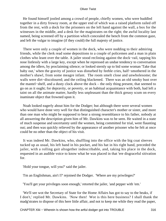He found himself jostled among a crowd of people, chiefly women, who were huddled together in a dirty frowsy room, at the upper end of which was a raised platform railed off from the rest, with a dock for the prisoners on the left hand against the wall, a box for the witnesses in the middle, and a desk for the magistrates on the right; the awful locality last named, being screened off by a partition which concealed the bench from the common gaze, and left the vulgar to imagine (if they could) the full majesty of justice.

 There were only a couple of women in the dock, who were nodding to their admiring friends, while the clerk read some depositions to a couple of policemen and a man in plain clothes who leant over the table. A jailer stood reclining against the dock−rail, tapping his nose listlessly with a large key, except when he repressed an undue tendency to conversation among the idlers, by proclaiming silence; or looked sternly up to bid some woman 'Take that baby out,' when the gravity of justice was disturbed by feeble cries, half−smothered in the mother's shawl, from some meagre infant. The room smelt close and unwholesome; the walls were dirt−discoloured; and the ceiling blackened. There was an old smoky bust over the mantel−shelf, and a dusty clock above the dock – the only thing present, that seemed to go on as it ought; for depravity, or poverty, or an habitual acquaintance with both, had left a taint on all the animate matter, hardly less unpleasant than the thick greasy scum on every inaminate object that frowned upon it.

 Noah looked eagerly about him for the Dodger; but although there were several women who would have done very well for that distinguished character's mother or sister, and more than one man who might be supposed to bear a strong resemblance to his father, nobody at all answering the description given him of Mr. Dawkins was to be seen. He waited in a state of much suspense and uncertainty until the women, being committed for trial, went flaunting out; and then was quickly relieved by the appearance of another prisoner who he felt at once could be no other than the object of his visit.

 It was indeed Mr. Dawkins, who, shuffling into the office with the big coat sleeves tucked up as usual, his left hand in his pocket, and his hat in his right hand, preceded the jailer, with a rolling gait altogether indescribable, and, taking his place in the dock, requested in an audible voice to know what he was placed in that 'ere disgraceful sitivation for.

'Hold your tongue, will you?' said the jailer.

'I'm an Englishman, ain't I?' rejoined the Dodger. 'Where are my priwileges?'

'You'll get your privileges soon enough,' retorted the jailer, 'and pepper with 'em.'

 'We'll see wot the Secretary of State for the Home Affairs has got to say to the beaks, if I don't,' replied Mr. Dawkins. 'Now then! Wot is this here business? I shall thank the madg'strates to dispose of this here little affair, and not to keep me while they read the paper,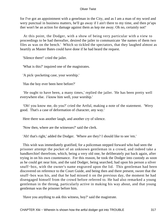for I've got an appointment with a genelman in the City, and as I am a man of my word and wery punctual in business matters, he'll go away if I ain't there to my time, and then pr'aps ther won't be an action for damage against them as kep me away. Oh no, certainly not!'

 At this point, the Dodger, with a show of being very particular with a view to proceedings to be had thereafter, desired the jailer to communicate 'the names of them two files as was on the bench.' Which so tickled the spectators, that they laughed almost as heartily as Master Bates could have done if he had heard the request.

'Silence there!' cried the jailer.

'What is this?' inquired one of the magistrates.

'A pick−pocketing case, your worship.'

'Has the boy ever been here before?'

 'He ought to have been, a many times,' replied the jailer. 'He has been pretty well everywhere else. *I* know him well, your worship.'

 'Oh! you know me, do you?' cried the Artful, making a note of the statement. 'Wery good. That's a case of deformation of character, any way.'

Here there was another laugh, and another cry of silence.

'Now then, where are the witnesses?' said the clerk.

'Ah! that's right,' added the Dodger. 'Where are they? I should like to see 'em.'

 This wish was immediately gratified, for a policeman stepped forward who had seen the prisoner attempt the pocket of an unknown gentleman in a crowd, and indeed take a handkerchief therefrom, which, being a very old one, he deliberately put back again, after trying in on his own countenance. For this reason, he took the Dodger into custody as soon as he could get near him, and the said Dodger, being searched, had upon his person a silver snuff−box, with the owner's name engraved upon the lid. This gentleman had been discovered on reference to the Court Guide, and being then and there present, swore that the snuff−box was his, and that he had missed it on the previous day, the moment he had disengaged himself from the crowd before referred to. He had also remarked a young gentleman in the throng, particularly active in making his way about, and that young gentleman was the prisoner before him.

'Have you anything to ask this witness, boy?' said the magistrate.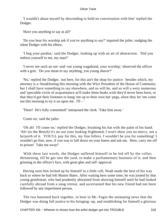'I wouldn't abase myself by descending to hold no conversation with him' replied the Dodger.

'Have you anything to say at all?'

 'Do you hear his worship ask if you've anything to say?' inquired the jailer, nudging the silent Dodger with his elbow.

 'I beg your pardon,' said the Dodger, looking up with an air of abstraction. 'Did you redress yourself to me, my man?'

 'I never see such an out−and−out young wagabond, your worship,' observed the officer with a grin. 'Do you mean to say anything, you young shaver?'

 'No,' replied the Dodger, 'not here, for this ain't the shop for justice: besides which, my attorney is a−breakfasting this morning with the Wice President of the House of Commons; but I shall have something to say elsewhere, and so will he, and so will a wery numerous and 'spectable circle of acquaintance as'll make them beaks wish they'd never been born, or that they'd got their footmen to hang 'em up to their own hat−pegs, afore they let 'em come out this morning to try it on upon me.  $I'll - '$ 

'There! He's fully committed!' interposed the clerk. 'Take him away.'

'Come on,' said the jailer.

 'Oh ah! I'll come on,' replied the Dodger, brushing his hat with the palm of his hand. 'Ah! (to the Bench) it's no use your looking frightened; I won't show you no mercy, not a ha'porth of it. YOU'LL pay for this, my fine fellers. I wouldn't be you for something! I wouldn't go free, now, if you was to fall down on your knees and ask me. Here, carry me off to prison! Take me away!'

With these last words, the Dodger suffered himself to be led off by the collar; threatening, till he got into the yard, to make a parliamentary business of it; and then grinning in the officer's face, with great glee and self−approval.

 Having seen him locked up by himself in a little cell, Noah made the best of his way back to where he had left Master Bates. After waiting here some time, he was joined by that young gentleman, who had prudently abstained from showing himself until he had looked carefully abroad from a snug retreat, and ascertained that his new friend had not been followed by any impertinent person.

 The two hastened back together, to bear to Mr. Fagin the animating news that the Dodger was doing full justice to his bringing−up, and establishing for himself a glorious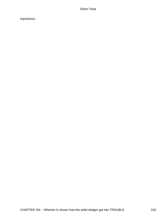reputation.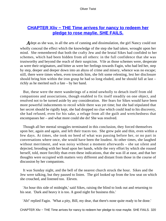## **CHAPTER XIIV – THE Time arrives for nancy to redeem her [pledge to rose maylie. SHE FAILS.](#page-396-0)**

*A* dept as she was, in all the arts of cunning and dissimulation, the girl Nancy could not wholly conceal the effect which the knowledge of the step she had taken, wrought upon her mind. She remembered that both the crafty Jew and the brutal Sikes had confided to her schemes, which had been hidden from all others: in the full confidence that she was trustworthy and beyond the reach of their suspicion. Vile as those schemes were, desperate as were their originators, and bitter as were her feelings towards Fagin, who had led her, step by step, deeper and deeper down into an abyss of crime and misery, whence was no escape; still, there were times when, even towards him, she felt some relenting, lest her disclosure should bring him within the iron grasp he had so long eluded, and he should fall at last – richly as he merited such a fate – by her hand.

 But, these were the mere wanderings of a mind unwholly to detach itself from old companions and associations, though enabled to fix itself steadily on one object, and resolved not to be turned aside by any consideration. Her fears for Sikes would have been more powerful inducements to recoil while there was yet time; but she had stipulated that her secret should be rigidly kept, she had dropped no clue which could lead to his discovery, she had refused, even for his sake, a refuge from all the guilt and wretchedness that encompasses her – and what more could she do! She was resolved.

 Though all her mental struggles terminated in this conclusion, they forced themselves upon her, again and again, and left their traces too. She grew pale and thin, even within a few days. At times, she took no heed of what was passing before her, or no part in conversations where once, she would have been the loudest. At other times, she laughed without merriment, and was noisy without a moment afterwards – she sat silent and dejected, brooding with her head upon her hands, while the very effort by which she roused herself, told, more forcibly than even these indications, that she was ill at ease, and that her thoughts were occupied with matters very different and distant from those in the course of discussion by her companions.

 It was Sunday night, and the bell of the nearest church struck the hour. Sikes and the Jew were talking, but they paused to listen. The girl looked up from the low seat on which she crouched, and listened too. Eleven.

 'An hour this side of midnight,' said Sikes, raising the blind to look out and returning to his seat. 'Dark and heavy it is too. A good night for business this.'

'Ah!' replied Fagin. 'What a pity, Bill, my dear, that there's none quite ready to be done.'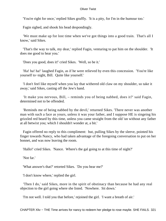'You're right for once,' replied Sikes gruffly. 'It is a pity, for I'm in the humour too.'

Fagin sighed, and shook his head despondingly.

 'We must make up for lost time when we've got things into a good train. That's all I know,' said Sikes.

 'That's the way to talk, my dear,' replied Fagin, venturing to pat him on the shoulder. 'It does me good to hear you.'

'Does you good, does it!' cried Sikes. 'Well, so be it.'

 'Ha! ha! ha!' laughed Fagin, as if he were relieved by even this concession. 'You're like yourself to−night, Bill. Quite like yourself.'

 'I don't feel like myself when you lay that withered old claw on my shoulder, so take it away,' said Sikes, casting off the Jew's hand.

 'It make you nervous, Bill, – reminds you of being nabbed, does it?' said Fagin, determined not to be offended.

 'Reminds me of being nabbed by the devil,' returned Sikes. 'There never was another man with such a face as yours, unless it was your father, and I suppose HE is singeing his grizzled red beard by this time, unless you came straight from the old 'un without any father at all betwixt you; which I shouldn't wonder at, a bit.'

 Fagin offered no reply to this compliment: but, pulling Sikes by the sleeve, pointed his finger towards Nancy, who had taken advantage of the foregoing conversation to put on her bonnet, and was now leaving the room.

'Hallo!' cried Sikes. 'Nance. Where's the gal going to at this time of night?'

'Not far.'

'What answer's that?' retorted Sikes. 'Do you hear me?'

'I don't know where,' replied the girl.

 'Then I do,' said Sikes, more in the spirit of obstinacy than because he had any real objection to the girl going where she listed. 'Nowhere. Sit down.'

'I'm not well. I told you that before,' rejoined the girl. 'I want a breath of air.'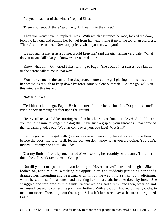'Put your head out of the winder,' replied Sikes.

'There's not enough there,' said the girl. 'I want it in the street.'

 'Then you won't have it,' replied Sikes. With which assurance he rose, locked the door, took the key out, and pulling her bonnet from her head, flung it up to the top of an old press. 'There,' said the robber. 'Now stop quietly where you are, will you?'

 'It's not such a matter as a bonnet would keep me,' said the girl turning very pale. 'What do you mean, Bill? Do you know what you're doing?'

 'Know what I'm – Oh!' cried Sikes, turning to Fagin, 'she's out of her senses, you know, or she daren't talk to me in that way.'

 'You'll drive me on the something desperate,' muttered the girl placing both hands upon her breast, as though to keep down by force some violent outbreak. 'Let me go, will you, – this minute – this instant.'

'No!' said Sikes.

 'Tell him to let me go, Fagin. He had better. It'll be better for him. Do you hear me?' cried Nancy stamping her foot upon the ground.

 'Hear you!' repeated Sikes turning round in his chair to confront her. 'Aye! And if I hear you for half a minute longer, the dog shall have such a grip on your throat as'll tear some of that screaming voice out. Wot has come over you, you jade! Wot is it?'

 'Let me go,' said the girl with great earnestness; then sitting herself down on the floor, before the door, she said, 'Bill, let me go; you don't know what you are doing. You don't, indeed. For only one hour  $-$  do  $-$  do!'

 'Cut my limbs off one by one!' cried Sikes, seizing her roughly by the arm, 'If I don't think the gal's stark raving mad. Get up.'

 'Not till you let me go – not till you let me go – Never – never!' screamed the girl. Sikes looked on, for a minute, watching his opportunity, and suddenly pinioning her hands dragged her, struggling and wrestling with him by the way, into a small room adjoining, where he sat himself on a bench, and thrusting her into a chair, held her down by force. She struggled and implored by turns until twelve o'clock had struck, and then, wearied and exhausted, ceased to contest the point any further. With a caution, backed by many oaths, to make no more efforts to go out that night, Sikes left her to recover at leisure and rejoined Fagin.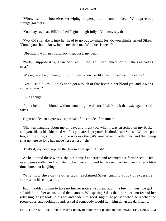'Whew!' said the housebreaker wiping the perspiration from his face. 'Wot a precious strange gal that is!'

'You may say that, Bill,' replied Fagin thoughtfully. 'You may say that.'

 'Wot did she take it into her head to go out to−night for, do you think?' asked Sikes. 'Come; you should know her better than me. Wot does is mean?'

'Obstinacy; woman's obstinacy, I suppose, my dear.'

 'Well, I suppose it is,' growled Sikes. 'I thought I had tamed her, but she's as bad as ever.'

'Worse,' said Fagin thoughtfully. 'I never knew her like this, for such a little cause.'

 'Nor I,' said Sikes. 'I think she's got a touch of that fever in her blood yet, and it won't come out – eh?'

'Like enough.'

 'I'll let her a little blood, without troubling the doctor, if she's took that way again,' said Sikes.

Fagin nodded an expressive approval of this mode of treatment.

 'She was hanging about me all day, and night too, when I was stretched on my back; and you, like a blackhearted wolf as you are, kept yourself aloof,' said Sikes. 'We was poor too, all the time, and I think, one way or other, it's worried and fretted her; and that being shut up here so long has made her restless – eh?'

'That's it, my dear,' replied the Jew in a whisper. 'Hush!'

 As he uttered these words, the girl herself appeared and resumed her former seat. Her eyes were swollen and red; she rocked herself to and fro; tossed her head; and, after a little time, burst out laughing.

 'Why, now she's on the other tack!' exclaimed Sikes, turning a look of excessive surprise on his companion.

 Fagin nodded to him to take no further notice just then; and, in a few minutes, the girl subsided into her accustomed demeanour. Whispering Sikes that there was no fear of her relapsing, Fagin took up his hat and bade him good−night. He paused when he reached the room−door, and looking round, asked if somebody would light him down the dark stairs.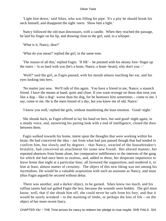'Light him down,' said Sikes, who was filling his pipe. 'It's a pity he should break his neck himself, and disappoint the sight−seers. Show him a light.'

 Nancy followed the old man downstairs, with a candle. When they reached the passage, he laid his finger on his lip, and drawing close to the girl, said, in a whisper.

'What is it, Nancy, dear?'

'What do you mean?' replied the girl, in the same tone.

 'The reason of all this,' replied Fagin. 'If HE' – he pointed with his skinny fore−finger up the stairs – 'is so hard with you (he's a brute, Nance, a brute−beast), why don't you – '

 'Well?' said the girl, as Fagin paused, with his mouth almost touching her ear, and his eyes looking into hers.

 'No matter just now. We'll talk of this again. You have a friend in me, Nance; a staunch friend. I have the means at hand, quiet and close. If you want revenge on those that treat you like a dog – like a dog! worse than his dog, for he humours him sometimes – come to me. I say, come to me. He is the mere hound of a day, but you know me of old, Nance.'

'I know you well,' replied the girls, without manifesting the least emotion. 'Good−night.'

 She shrank back, as Fagin offered to lay his hand on hers, but said good−night again, in a steady voice, and, answering his parting look with a nod of intelligence, closed the door between them.

 Fagin walked towards his home, intent upon the thoughts that were working within his brain. He had conceived the idea – not from what had just passed though that had tended to confirm him, but slowly and by degrees – that Nancy, wearied of the housebreaker's brutality, had conceived an attachment for some new friend. Her altered manner, her repeated absences from home alone, her comparative indifference to the interests of the gang for which she had once been so zealous, and, added to these, her desperate impatience to leave home that night at a particular hour, all favoured the supposition, and rendered it, to him at least, almost matter of certainty. The object of this new liking was not among his myrmidons. He would be a valuable acquisition with such an assistant as Nancy, and must (thus Fagin argued) be secured without delay.

 There was another, and a darker object, to be gained. Sikes knew too much, and his ruffian taunts had not galled Fagin the less, because the wounds were hidden. The girl must know, well, that if she shook him off, she could never be safe from his fury, and that it would be surely wreaked – to the maiming of limbs, or perhaps the loss of life – on the object of her more recent fancy.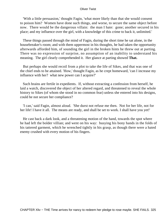'With a little persuasion,' thought Fagin, 'what more likely than that she would consent to poison him? Women have done such things, and worse, to secure the same object before now. There would be the dangerous villain: the man I hate: gone; another secured in his place; and my influence over the girl, with a knowledge of this crime to back it, unlimited.'

 These things passed through the mind of Fagin, during the short time he sat alone, in the housebreaker's room; and with them uppermost in his thoughts, he had taken the opportunity afterwards afforded him, of sounding the girl in the broken hints he threw out at parting. There was no expression of surprise, no assumption of an inability to understand his meaning. The girl clearly comprehended it. Her glance at parting showed **That.**

 But perhaps she would recoil from a plot to take the life of Sikes, and that was one of the chief ends to be attained. 'How,' thought Fagin, as he crept homeward, 'can I increase my influence with her? what new power can I acquire?'

 Such brains are fertile in expedients. If, without extracting a confession from herself, he laid a watch, discovered the object of her altered regard, and threatened to reveal the whole history to Sikes (of whom she stood in no common fear) unless she entered into his designs, could he not secure her compliance?

 'I can,' said Fagin, almost aloud. 'She durst not refuse me then. Not for her life, not for her life! I have it all. The means are ready, and shall be set to work. I shall have you yet!'

 He cast back a dark look, and a threatening motion of the hand, towards the spot where he had left the bolder villian; and went on his way: busying his bony hands in the folds of his tattered garment, which he wrenched tightly in his grasp, as though there were a hated enemy crushed with every motion of his fingers.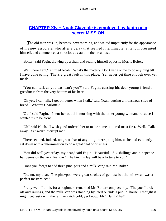### **[CHAPTER Xlv − Noah Claypole is employed by fagin on a](#page-396-0) [secret MISSION](#page-396-0)**

**The old man was up, betimes, next morning, and waited impatiently for the appearance** of his new associate, who after a delay that seemed interminable, at length presented himself, and commenced a voracious assault on the breakfast.

'Bolter,' said Fagin, drawing up a chair and seating himself opposite Morris Bolter.

 'Well, here I am,' returned Noah. 'What's the matter? Don't yer ask me to do anything till I have done eating. That's a great fault in this place. Yer never get time enough over yer meals.'

 'You can talk as you eat, can't you?' said Fagin, cursing his dear young friend's greediness from the very bottom of his heart.

 'Oh yes, I can talk. I get on better when I talk,' said Noah, cutting a monstrous slice of bread. 'Where's Charlotte?'

 'Out,' said Fagin. 'I sent her out this morning with the other young woman, because I wanted us to be alone.'

 'Oh!' said Noah. 'I wish yer'd ordered her to make some buttered toast first. Well. Talk away. Yer won't interrupt me.'

 There seemed, indeed, no great fear of anything interrupting him, as he had evidently sat down with a determination to do a great deal of business.

 'You did well yesterday, my dear,' said Fagin. 'Beautiful! Six shillings and ninepence halfpenny on the very first day! The kinchin lay will be a fortune to you.'

'Don't you forget to add three pint−pots and a milk−can,' said Mr. Bolter.

 'No, no, my dear. The pint−pots were great strokes of genius: but the milk−can was a perfect masterpiece.'

 'Pretty well, I think, for a beginner,' remarked Mr. Bolter complacently. 'The pots I took off airy railings, and the milk−can was standing by itself outside a public−house. I thought it might get rusty with the rain, or catch cold, yer know. Eh? Ha! ha! ha!'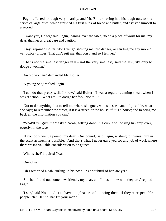Fagin affected to laugh very heartily; and Mr. Bolter having had his laugh out, took a series of large bites, which finished his first hunk of bread and butter, and assisted himself to a second.

 'I want you, Bolter,' said Fagin, leaning over the table, 'to do a piece of work for me, my dear, that needs great care and caution.'

 'I say,' rejoined Bolter, 'don't yer go shoving me into danger, or sending me any more o' yer police−offices. That don't suit me, that don't; and so I tell yer.'

 'That's not the smallest danger in it – not the very smallest,' said the Jew; 'it's only to dodge a woman.'

'An old woman?' demanded Mr. Bolter.

'A young one,' replied Fagin.

 'I can do that pretty well, I know,' said Bolter. 'I was a regular cunning sneak when I was at school. What am I to dodge her for? Not to – '

 'Not to do anything, but to tell me where she goes, who she sees, and, if possible, what she says; to remember the street, if it is a street, or the house, if it is a house; and to bring me back all the information you can.'

 'What'll yer give me?' asked Noah, setting down his cup, and looking his employer, eagerly, in the face.

 'If you do it well, a pound, my dear. One pound,' said Fagin, wishing to interest him in the scent as much as possible. 'And that's what I never gave yet, for any job of work where there wasn't valuable consideration to be gained.'

'Who is she?' inquired Noah.

'One of us.'

'Oh Lor!' cried Noah, curling up his nose. 'Yer doubtful of her, are yer?'

 'She had found out some new friends, my dear, and I must know who they are,' replied Fagin.

 'I see,' said Noah. 'Just to have the pleasure of knowing them, if they're respectable people, eh? Ha! ha! ha! I'm your man.'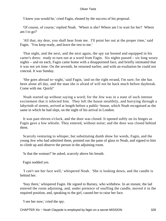'I knew you would be,' cried Fagin, eleated by the success of his proposal.

 'Of course, of course,' replied Noah. 'Where is she? Where am I to wait for her? Where am I to go?'

 'All that, my dear, you shall hear from me. I'll point her out at the proper time,' said Fagin. 'You keep ready, and leave the rest to me.'

 That night, and the next, and the next again, the spy sat booted and equipped in his carter's dress: ready to turn out at a word from Fagin. Six nights passed – six long weary nights – and on each, Fagin came home with a disappointed face, and briefly intimated that it was not yet time. On the seventh, he returned earlier, and with an exultation he could not conceal. It was Sunday.

 'She goes abroad to−night,' said Fagin, 'and on the right errand, I'm sure; for she has been alone all day, and the man she is afraid of will not be back much before daybreak. Come with me. Quick!'

 Noah started up without saying a word; for the Jew was in a state of such intense excitement that it infected him. They left the house stealthily, and hurrying through a labyrinth of streets, arrived at length before a public−house, which Noah recognised as the same in which he had slept, on the night of his arrival in London.

 It was past eleven o'clock, and the door was closed. It opened softly on its hinges as Fagin gave a low whistle. They entered, without noise; and the door was closed behind them.

 Scarcely venturing to whisper, but substituting dumb show for words, Fagin, and the young Jew who had admitted them, pointed out the pane of glass to Noah, and signed to him to climb up and observe the person in the adjoining room.

'Is that the woman?' he asked, scarcely above his breath.

Fagin nodded yes.

 'I can't see her face well,' whispered Noah. 'She is looking down, and the candle is behind her.

 'Stay there,' whispered Fagin. He signed to Barney, who withdrew. In an instant, the lad entered the room adjoining, and, under pretence of snuffing the candle, moved it in the required position, and, speaking to the girl, caused her to raise her face.

'I see her now,' cried the spy.

CHAPTER XIv – Noah Claypole is employed by fagin on a secret MISSION 328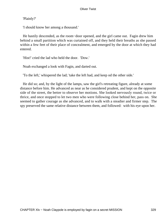'Plainly?'

'I should know her among a thousand.'

 He hastily descended, as the room−door opened, and the girl came out. Fagin drew him behind a small partition which was curtained off, and they held their breaths as she passed within a few feet of their place of concealment, and emerged by the door at which they had entered.

'Hist!' cried the lad who held the door. 'Dow.'

Noah exchanged a look with Fagin, and darted out.

'To the left,' whispered the lad; 'take the left had, and keep od the other side.'

 He did so; and, by the light of the lamps, saw the girl's retreating figure, already at some distance before him. He advanced as near as he considered prudent, and kept on the opposite side of the street, the better to observe her motions. She looked nervously round, twice or thrice, and once stopped to let two men who were following close behind her, pass on. She seemed to gather courage as she advanced, and to walk with a steadier and firmer step. The spy preserved the same relative distance between them, and followed: with his eye upon her.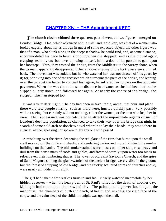### **CHAPTER XIvi – THE Appointment KEPT**

**The church clocks chimed three quarters past eleven, as two figures emerged on** London Bridge. One, which advanced with a swift and rapid step, was that of a woman who looked eagerly about her as though in quest of some expected object; the other figure was that of a man, who slunk along in the deepest shadow he could find, and, at some distance, accommodated his pace to hers: stopping when she stopped: and as she moved again, creeping stealthily on: but never allowing himself, in the ardour of his pursuit, to gain upon her footsteps. Thus, they crossed the bridge, from the Middlesex to the Surrey shore, when the woman, apparently disappointed in her anxious scrutiny of the foot−passengers, turned back. The movement was sudden; but he who watched her, was not thrown off his guard by it; for, shrinking into one of the recesses which surmount the piers of the bridge, and leaning over the parapet the better to conceal his figure, he suffered her to pass on the opposite pavement. When she was about the same distance in advance as she had been before, he slipped quietly down, and followed her again. At nearly the centre of the bridge, she stopped. The man stopped too.

 It was a very dark night. The day had been unfavourable, and at that hour and place there were few people stirring. Such as there were, hurried quickly past: very possibly without seeing, but certainly without noticing, either the woman, or the man who kept her in view. Their appearance was not calculated to attract the importunate regards of such of London's destitute population, as chanced to take their way over the bridge that night in search of some cold arch or doorless hovel wherein to lay their heads; they stood there in silence: neither speaking nor spoken to, by any one who passed.

 A mist hung over the river, deepening the red glare of the fires that burnt upon the small craft moored off the different wharfs, and rendering darker and more indistinct the murky buildings on the banks. The old smoke−stained storehouses on either side, rose heavy and dull from the dense mass of roofs and gables, and frowned sternly upon water too black to reflect even their lumbering shapes. The tower of old Saint Saviour's Church, and the spire of Saint Magnus, so long the giant−warders of the ancient bridge, were visible in the gloom; but the forest of shipping below bridge, and the thickly scattered spires of churches above, were nearly all hidden from sight.

 The girl had taken a few restless turns to and fro – closely watched meanwhile by her hidden observer – when the heavy bell of St. Paul's tolled for the death of another day. Midnight had come upon the crowded city. The palace, the night−cellar, the jail, the madhouse: the chambers of birth and death, of health and sickness, the rigid face of the corpse and the calm sleep of the child: midnight was upon them all.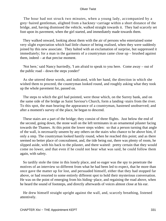The hour had not struck two minutes, when a young lady, accompanied by a grey−haired gentleman, alighted from a hackney−carriage within a short distance of the bridge, and, having dismissed the vehicle, walked straight towards it. They had scarcely set foot upon its pavement, when the girl started, and immediately made towards them.

 They walked onward, looking about them with the air of persons who entertained some very slight expectation which had little chance of being realised, when they were suddenly joined by this new associate. They halted with an exclamation of surprise, but suppressed it immediately; for a man in the garments of a countryman came close up – brushed against them, indeed – at that precise moment.

 'Not here,' said Nancy hurriedly, 'I am afraid to speak to you here. Come away – out of the public road – down the steps yonder!'

 As she uttered these words, and indicated, with her hand, the direction in which she wished them to proceed, the countryman looked round, and roughly asking what they took up the whole pavement for, passed on.

 The steps to which the girl had pointed, were those which, on the Surrey bank, and on the same side of the bridge as Saint Saviour's Church, form a landing−stairs from the river. To this spot, the man bearing the appearance of a countryman, hastened unobserved; and after a moment's survey of the place, he began to descend.

 These stairs are a part of the bridge; they consist of three flights. Just below the end of the second, going down, the stone wall on the left terminates in an ornamental pilaster facing towards the Thames. At this point the lower steps widen: so that a person turning that angle of the wall, is necessarily unseen by any others on the stairs who chance to be above him, if only a step. The countryman looked hastily round, when he reached this point; and as there seemed no better place of concealment, and, the tide being out, there was plenty of room, he slipped aside, with his back to the pilaster, and there waited: pretty certain that they would come no lower, and that even if he could not hear what was said, he could follow them again, with safety.

 So tardily stole the time in this lonely place, and so eager was the spy to penetrate the motives of an interview so different from what he had been led to expect, that he more than once gave the matter up for lost, and persuaded himself, either that they had stopped far above, or had resorted to some entirely different spot to hold their mysterious conversation. He was on the point of emerging from his hiding–place, and regaining the road above, when he heard the sound of footsteps, and directly afterwards of voices almost close at his ear.

 He drew himself straight upright against the wall, and, scarcely breathing, listened attentively.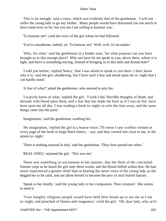'This is far enough,' said a voice, which was evidently that of the gentleman. 'I will not suffer the young lady to go any farther. Many people would have distrusted you too much to have come even so far, but you see I am willing to humour you.'

'To humour me!' cried the voice of the girl whom he had followed.

'You're considerate, indeed, sir. To humour me! Well, well, it's no matter.'

 'Why, for what,' said the gentleman in a kinder tone, 'for what purpose can you have brought us to this strange place? Why not have let me speak to you, above there, where it is light, and there is something stirring, instead of bringing us to this dark and dismal hole?'

 'I told you before,' replied Nancy, 'that I was afraid to speak to you there. I don't know why it is,' said the girl, shuddering, 'but I have such a fear and dread upon me to−night that I can hardly stand.'

'A fear of what?' asked the gentleman, who seemed to pity her.

 'I scarcely know of what,' replied the girl. 'I wish I did. Horrible thoughts of death, and shrouds with blood upon them, and a fear that has made me burn as if I was on fire, have been upon me all day. I was reading a book to−night, to wile the time away, and the same things came into the print.'

'Imagination,' said the gentleman, soothing her.

 'No imagination,' replied the girl in a hoarse voice. 'I'll swear I saw «coffin» written in every page of the book in large black letters, – aye, and they carried one close to me, in the streets to−night.'

'There is nothing unusual in that,' said the gentleman. 'They have passed me often.'

'REAL ONES,' rejoined the girl. 'This was not.'

 There was something so uncommon in her manner, that the flesh of the concealed listener crept as he heard the girl utter these words, and the blood chilled within him. He had never experienced a greater relief than in hearing the sweet voice of the young lady as she begged her to be calm, and not allow herself to become the prey of such fearful fancies.

 'Speak to her kindly,' said the young lady to her companion. 'Poor creature! She seems to need it.'

 'Your haughty religious people would have held their heads up to see me as I am to−night, and preached of flames and vengeance,' cried the girl. 'Oh, dear lady, why ar'n't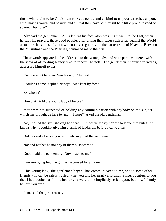those who claim to be God's own folks as gentle and as kind to us poor wretches as you, who, having youth, and beauty, and all that they have lost, might be a little proud instead of so much humbler?'

 'Ah!' said the gentleman. 'A Turk turns his face, after washing it well, to the East, when he says his prayers; these good people, after giving their faces such a rub against the World as to take the smiles off, turn with no less regularity, to the darkest side of Heaven. Between the Mussulman and the Pharisee, commend me to the first!'

 These words appeared to be addressed to the young lady, and were perhaps uttered with the view of afffording Nancy time to recover herself. The gentleman, shortly afterwards, addressed himself to her.

'You were not here last Sunday night,' he said.

'I couldn't come,' replied Nancy; 'I was kept by force.'

'By whom?'

'Him that I told the young lady of before.'

 'You were not suspected of holding any communication with anybody on the subject which has brought us here to−night, I hope?' asked the old gentleman.

 'No,' replied the girl, shaking her head. 'It's not very easy for me to leave him unless he knows why; I couldn't give him a drink of laudanum before I came away.'

'Did he awake before you returned?' inquired the gentleman.

'No; and neither he nor any of them suspect me.'

'Good,' said the gentleman. 'Now listen to me.'

'I am ready,' replied the girl, as he paused for a moment.

 'This young lady,' the gentleman began, 'has communicated to me, and to some other friends who can be safely trusted, what you told her nearly a fortnight since. I confess to you that I had doubts, at first, whether you were to be implicitly relied upon, but now I firmly believe you are.'

'I am,' said the girl earnestly.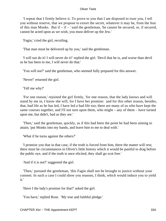'I repeat that I firmly believe it. To prove to you that I am disposed to trust you, I tell you without reserve, that we propose to extort the secret, whatever it may be, from the fear of this man Monks. But if  $-$  if  $-$  ' said the gentleman, 'he cannot be secured, or, if secured, cannot be acted upon as we wish, you must deliver up the Jew.'

'Fagin,' cried the girl, recoiling.

'That man must be delivered up by you,' said the gentleman.

 'I will not do it! I will never do it!' replied the girl. 'Devil that he is, and worse than devil as he has been to me, I will never do that.'

'You will not?' said the gentleman, who seemed fully prepared for this answer.

'Never!' returned the girl.

'Tell me why?'

 'For one reason,' rejoined the girl firmly, 'for one reason, that the lady knows and will stand by me in, I know she will, for I have her promise: and for this other reason, besides, that, bad life as he has led, I have led a bad life too; there are many of us who have kept the same courses together, and I'll not turn upon them, who might – any of them – have turned upon me, but didn't, bad as they are.'

 'Then,' said the gentleman, quickly, as if this had been the point he had been aiming to attain; 'put Monks into my hands, and leave him to me to deal with.'

'What if he turns against the others?'

 'I promise you that in that case, if the truth is forced from him, there the matter will rest; there must be circumstances in Oliver's little history which it would be painful to drag before the public eye, and if the truth is once elicited, they shall go scot free.'

'And if it is not?' suggested the girl.

 'Then,' pursued the gentleman, 'this Fagin shall not be brought to justice without your consent. In such a case I could show you reasons, I think, which would induce you to yield it.'

'Have I the lady's promise for that?' asked the girl.

'You have,' replied Rose. 'My true and faithful pledge.'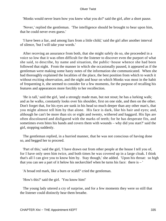'Monks would never learn how you knew what you do?' said the girl, after a short pause.

 'Never,' replied the gentleman. 'The intelligence should be brought to bear upon him, that he could never even guess.'

 'I have been a liar, and among liars from a little child,' said the girl after another interval of silence, 'but I will take your words.'

 After receving an assurance from both, that she might safely do so, she proceeded in a voice so low that it was often difficult for the listener to discover even the purport of what she said, to describe, by name and situation, the public−house whence she had been followed that night. From the manner in which she occasionally paused, it appeared as if the gentleman were making some hasty notes of the information she communicated. When she had thoroughly explained the localities of the place, the best position from which to watch it without exciting observation, and the night and hour on which Monks was most in the habit of frequenting it, she seemed to consider for a few moments, for the purpose of recalling his features and appearances more forcibly to her recollection.

 'He is tall,' said the girl, 'and a strongly made man, but not stout; he has a lurking walk; and as he walks, constantly looks over his shoulder, first on one side, and then on the other. Don't forget that, for his eyes are sunk in his head so much deeper than any other man's, that you might almost tell him by that alone. His face is dark, like his hair and eyes; and, although he can't be more than six or eight and twenty, withered and haggard. His lips are often discoloured and disfigured with the marks of teeth; for he has desperate fits, and sometimes even bites his hands and covers them with wounds – why did you start?' said the girl, stopping suddenly.

 The gentleman replied, in a hurried manner, that he was not conscious of having done so, and begged her to proceed.

 'Part of this,' said the girl, 'I have drawn out from other people at the house I tell you of, for I have only seen him twice, and both times he was covered up in a large cloak. I think that's all I can give you to know him by. Stay though,' she added. 'Upon his throat: so high that you can see a part of it below his neckerchief when he turns his face: there is – '

'A broad red mark, like a burn or scald?' cried the gentleman.

'How's this?' said the girl. 'You know him!'

 The young lady uttered a cry of surprise, and for a few moments they were so still that the listener could distinctly hear them breathe.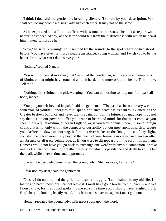'I think I do,' said the gentleman, breaking silence. 'I should by your description. We shall see. Many people are singularly like each other. It may not be the same.'

 As he expressed himself to this effect, with assumed carelessness, he took a step or two nearer the concealed spy, as the latter could tell from the distinctness with which he heard him mutter, 'It must be he!'

 'Now,' he said, returning: so it seemed by the sound: to the spot where he had stood before, 'you have given us most valuable assistance, young woman, and I wish you to be the better for it. What can I do to serve you?'

'Nothing,' replied Nancy.

 'You will not persist in saying that,' rejoined the gentleman, with a voice and emphasis of kindness that might have touched a much harder and more obdurate heart. 'Think now. Tell me.'

 'Nothing, sir,' rejoined the girl, weeping. 'You can do nothing to help me. I am past all hope, indeed.'

 'You put yourself beyond its pale,' said the gentleman. 'The past has been a dreary waste with you, of youthful energies mis−spent, and such priceless treasures lavished, as the Creator bestows but once and never grants again, but, for the future, you may hope. I do not say that it is in our power to offer you peace of heart and mind, for that must come as you seek it; but a quiet asylum, either in England, or, if you fear to remain here, in some foreign country, it is not only within the compass of our ability but our most anxious wish to secure you. Before the dawn of morning, before this river wakes to the first glimpse of day−light, you shall be placed as entirely beyond the reach of your former associates, and leave as utter an absence of all trace behind you, as if you were to disappear from the earth this moment. Come! I would not have you go back to exchange one word with any old companion, or take one look at any old haunt, or breathe the very air which is pestilence and death to you. Quit them all, while there is time and opportunity!'

'She will be persuaded now,' cried the young lady. 'She hesitates, I am sure.'

'I fear not, my dear,' said the gentleman.

 'No sir, I do not,' replied the girl, after a short struggle. 'I am chained to my old life. I loathe and hate it now, but I cannot leave it. I must have gone too far to turn back, – and yet I don't know, for if you had spoken to me so, some time ago, I should have laughed it off. But,' she said, looking hastily round, 'this fear comes over me again. I must go home.'

'Home!' repeated the young lady, with great stress upon the word.

CHAPTER XIvi – THE Appointment KEPT 336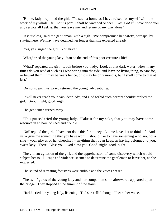'Home, lady,' rejoined the girl. 'To such a home as I have raised for myself with the work of my whole life. Let us part. I shall be watched or seen. Go! Go! If I have done you any service all I ask is, that you leave me, and let me go my way alone.'

 'It is useless,' said the gentleman, with a sigh. 'We compromise her safety, perhaps, by staying here. We may have detained her longer than she expected already.'

'Yes, yes,' urged the girl. 'You have.'

'What,' cried the young lady. 'can be the end of this poor creature's life!'

 'What!' repeated the girl. 'Look before you, lady. Look at that dark water. How many times do you read of such as I who spring into the tide, and leave no living thing, to care for, or bewail them. It may be years hence, or it may be only months, but I shall come to that at last.'

'Do not speak thus, pray,' returned the young lady, sobbing.

 'It will never reach your ears, dear lady, and God forbid such horrors should!' replied the girl. 'Good−night, good−night!'

The gentleman turned away.

 'This purse,' cried the young lady. 'Take it for my sake, that you may have some resource in an hour of need and trouble.'

 'No!' replied the girl. 'I have not done this for money. Let me have that to think of. And yet – give me something that you have worn: I should like to have something – no, no, not a ring – your gloves or handkerchief – anything that I can keep, as having belonged to you, sweet lady. There. Bless you! God bless you. Good−night, good−night!'

 The violent agitation of the girl, and the apprehension of some discovery which would subject her to ill−usage and violence, seemed to determine the gentleman to leave her, as she requested.

The sound of retreating footsteps were audible and the voices ceased.

 The two figures of the young lady and her companion soon afterwards appeared upon the bridge. They stopped at the summit of the stairs.

'Hark!' cried the young lady, listening. 'Did she call! I thought I heard her voice.'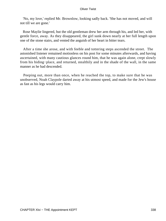'No, my love,' replied Mr. Brownlow, looking sadly back. 'She has not moved, and will not till we are gone.'

 Rose Maylie lingered, but the old gentleman drew her arm through his, and led her, with gentle force, away. As they disappeared, the girl sunk down nearly at her full length upon one of the stone stairs, and vented the anguish of her heart in bitter tears.

 After a time she arose, and with feeble and tottering steps ascended the street. The astonished listener remained motionless on his post for some minutes afterwards, and having ascertained, with many cautious glances round him, that he was again alone, crept slowly from his hiding−place, and returned, stealthily and in the shade of the wall, in the same manner as he had descended.

 Peeping out, more than once, when he reached the top, to make sure that he was unobserved, Noah Claypole darted away at his utmost speed, and made for the Jew's house as fast as his legs would carry him.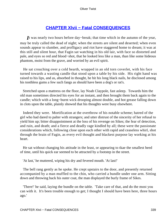# **[CHAPTER Xlvii − Fatal CONSEQUENCES](#page-396-0)**

*I*t was nearly two hours before day−break; that time which in the autumn of the year, may be truly called the dead of night; when the streets are silent and deserted; when even sounds appear to slumber, and profligacy and riot have staggered home to dream; it was at this still and silent hour, that Fagin sat watching in his old lair, with face so distorted and pale, and eyes so red and blood−shot, that he looked less like a man, than like some hideous phantom, moist from the grave, and worried by an evil spirit.

 He sat crouching over a cold hearth, wrapped in an old torn coverlet, with his face turned towards a wasting candle that stood upon a table by his side. His right hand was raised to his lips, and as, absorbed in thought, he hit his long black nails, he disclosed among his toothless gums a few such fangs as should have been a dog's or rat's.

 Stretched upon a mattress on the floor, lay Noah Claypole, fast asleep. Towards him the old man sometimes directed his eyes for an instant, and then brought them back again to the candle; which with a long−burnt wick drooping almost double, and hot grease falling down in clots upon the table, plainly showed that his thoughts were busy elsewhere.

 Indeed they were. Mortification at the overthrow of his notable scheme; hatred of the girl who had dared to palter with strangers; and utter distrust of the sincerity of her refusal to yield him up; bitter disappointment at the loss of his revenge on Sikes; the fear of detection, and ruin, and death; and a fierce and deadly rage kindled by all; these were the passionate considerations which, following close upon each other with rapid and ceaseless whirl, shot through the brain of Fagin, as every evil thought and blackest purpose lay working at his heart.

 He sat without changing his attitude in the least, or appearing to tkae the smallest heed of time, until his quick ear seemed to be attracted by a footstep in the street.

'At last,' he muttered, wiping his dry and fevered mouth. 'At last!'

 The bell rang gently as he spoke. He crept upstairs to the door, and presently returned accompanied by a man muffled to the chin, who carried a bundle under one arm. Sitting down and throwing back his outer coat, the man displayed the burly frame of Sikes.

 'There!' he said, laying the bundle on the table. 'Take care of that, and do the most you can with it. It's been trouble enough to get; I thought I should have been here, three hours ago.'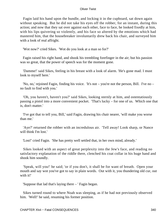Fagin laid his hand upon the bundle, and locking it in the cupboard, sat down again without speaking. But he did not take his eyes off the robber, for an instant, during this action; and now that they sat over against each other, face to face, he looked fixedly at him, with his lips quivering so violently, and his face so altered by the emotions which had mastered him, that the housebreaker involuntarily drew back his chair, and surveyed him with a look of real affright.

'Wot now?' cried Sikes. 'Wot do you look at a man so for?'

 Fagin raised his right hand, and shook his trembling forefinger in the air; but his passion was so great, that the power of speech was for the moment gone.

 'Damme!' said Sikes, feeling in his breast with a look of alarm. 'He's gone mad. I must look to myself here.'

 'No, no,' rejoined Fagin, finding his voice. 'It's not – you're not the person, Bill. I've no – no fault to find with you.'

 'Oh, you haven't, haven't you?' said Sikes, looking sternly at him, and ostentatiously passing a pistol into a more convenient pocket. 'That's lucky – for one of us. Which one that is, don't matter.'

 'I've got that to tell you, Bill,' said Fagin, drawing his chair nearer, 'will make you worse than me.'

 'Aye?' returned the robber with an incredulous air. 'Tell away! Look sharp, or Nance will think I'm lost.'

'Lost!' cried Fagin. 'She has pretty well settled that, in her own mind, already.'

 Sikes looked with an aspect of great perplexity into the Jew's face, and reading no satisfactory explanation of the riddle there, clenched his coat collar in his huge hand and shook him soundly.

 'Speak, will you!' he said; 'or if you don't, it shall be for want of breath. Open your mouth and say wot you've got to say in plain words. Out with it, you thundering old cur, out with it!'

'Suppose that lad that's laying there – ' Fagin began.

 Sikes turned round to where Noah was sleeping, as if he had not previously observed him. 'Well!' he said, resuming his former position.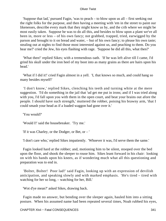'Suppose that lad,' pursued Fagin, 'was to peach – to blow upon us all – first seeking out the right folks for the purpose, and then having a meeting with 'em in the street to paint our likenesses, describe every mark that they might know us by, and the crib where we might be most easily taken. Suppose he was to do all this, and besides to blow upon a plant we've all been in, more or less – of his own fancy; not grabbed, trapped, tried, earwigged by the parson and brought to it on bread and water, – but of his own fancy; to please his own taste; stealing out at nights to find those most interested against us, and peaching to them. Do you hear me?' cried the Jew, his eyes flashing with rage. 'Suppose he did all this, what then?'

 'What then!' replied Sikes; with a tremendous oath. 'If he was left alive till I came, I'd grind his skull under the iron heel of my boot into as many grains as there are hairs upon his head.'

 'What if I did it!' cried Fagin almost in a yell. 'I, that knows so much, and could hang so many besides myself!'

 'I don't know,' replied Sikes, clenching his teeth and turning white at the mere suggestion. 'I'd do something in the jail that 'ud get me put in irons; and if I was tried along with you, I'd fall upon you with them in the open court, and beat your brains out afore the people. I should have such strength,' muttered the robber, poising his brawny arm, 'that I could smash your head as if a loaded waggon had gone over it.'

'You would?'

'Would I!' said the housebreaker. 'Try me.'

'If it was Charley, or the Dodger, or Bet, or – '

'I don't care who,' replied Sikes impatiently. 'Whoever it was, I'd serve them the same.'

 Fagin looked hard at the robber; and, motioning him to be silent, stooped over the bed upon the floor, and shook the sleeper to rouse him. Sikes leant forward in his chair: looking on with his hands upon his knees, as if wondering much what all this questioning and preparation was to end in.

'Bolter, Bolter! Poor lad!' said Fagin, looking up with an expression of devilish anticipation, and speaking slowly and with marked emphasis. 'He's tired – tired with watching for her so long, – watching for her, Bill.'

'Wot d'ye mean?' asked Sikes, drawing back.

 Fagin made no answer, but bending over the sleeper again, hauled him into a sitting posture. When his assumed name had been repeated several times, Noah rubbed his eyes,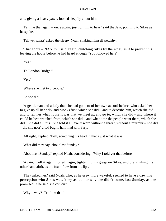and, giving a heavy yawn, looked sleepily about him.

 'Tell me that again – once again, just for him to hear,' said the Jew, pointing to Sikes as he spoke.

'Tell yer what?' asked the sleepy Noah, shaking himself pettishy.

 'That about – NANCY,' said Fagin, clutching Sikes by the wrist, as if to prevent his leaving the house before he had heard enough. 'You followed her?'

'Yes.'

'To London Bridge?'

'Yes.'

'Where she met two people.'

'So she did.'

 'A gentleman and a lady that she had gone to of her own accord before, who asked her to give up all her pals, and Monks first, which she did – and to describe him, which she did – and to tell her what house it was that we meet at, and go to, which she did – and where it could be best watched from, which she did – and what time the people went there, which she did. She did all this. She told it all every word without a threat, without a murmur – she did – did she not?' cried Fagin, half mad with fury.

'All right,' replied Noah, scratching his head. 'That's just what it was!'

'What did they say, about last Sunday?'

'About last Sunday!' replied Noah, considering. 'Why I told yer that before.'

 'Again. Tell it again!' cried Fagin, tightening his grasp on Sikes, and brandishing his other hand aloft, as the foam flew from his lips.

 'They asked her,' said Noah, who, as he grew more wakeful, seemed to have a dawning perception who Sikes was, 'they asked her why she didn't come, last Sunday, as she promised. She said she couldn't.'

'Why – why? Tell him that.'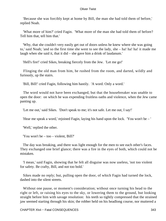'Because she was forcibly kept at home by Bill, the man she had told them of before,' replied Noah.

 'What more of him?' cried Fagin. 'What more of the man she had told them of before? Tell him that, tell him that.'

 'Why, that she couldn't very easily get out of doors unless he knew where she was going to,' said Noah; 'and so the first time she went to see the lady, she – ha! ha! ha! it made me laugh when she said it, that it did – she gave him a drink of laudanum.'

'Hell's fire!' cried Sikes, breaking fiercely from the Jew. 'Let me go!'

 Flinging the old man from him, he rushed from the room, and darted, wildly and furiously, up the stairs.

'Bill, Bill!' cried Fagin, following him hastily. 'A word. Only a word.'

 The word would not have been exchanged, but that the housebreaker was unable to open the door: on which he was expending fruitless oaths and violence, when the Jew came panting up.

'Let me out,' said Sikes. 'Don't speak to me; it's not safe. Let me out, I say!'

'Hear me speak a word,' rejoined Fagin, laying his hand upon the lock. 'You won't be – '

'Well,' replied the other.

'You won't be – too – violent, Bill?'

 The day was breaking, and there was light enough for the men to see each other's faces. They exchanged one brief glance; there was a fire in the eyes of both, which could not be mistaken.

 'I mean,' said Fagin, showing that he felt all disguise was now useless, 'not too violent for safety. Be crafty, Bill, and not too bold.'

 Sikes made no reply; but, pulling open the door, of which Fagin had turned the lock, dashed into the silent streets.

 Without one pause, or moment's consideration; without once turning his head to the right or left, or raising his eyes to the sky, or lowering them to the ground, but looking straight before him with savage resolution: his teeth so tightly compressed that the strained jaw seemed starting through his skin; the robber held on his headlong course, nor muttered a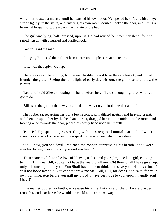word, nor relaxed a muscle, until he reached his own door. He opened it, softly, with a key; strode lightly up the stairs; and entering his own room, double−locked the door, and lifting a heavy table against it, drew back the curtain of the bed.

 The girl was lying, half−dressed, upon it. He had roused her from her sleep, for she raised herself with a hurried and startled look.

'Get up!' said the man.

'It is you, Bill!' said the girl, with an expression of pleasure at his return.

'It is,' was the reply. 'Get up.'

 There was a candle burning, but the man hastily drew it from the candlestick, and hurled it under the grate. Seeing the faint light of early day without, the girl rose to undraw the curtain.

 'Let it be,' said Sikes, thrusting his hand before her. 'There's enough light for wot I've got to do.'

'Bill,' said the girl, in the low voice of alarm, 'why do you look like that at me!'

 The robber sat regarding her, for a few seconds, with dilated nostrils and heaving breast; and then, grasping her by the head and throat, dragged her into the middle of the room, and looking once towards the door, placed his heavy hand upon her mouth.

'Bill, Bill!' gasped the girl, wrestling with the strength of mortal fear,  $-1 - I$  won't scream or cry – not once – hear me – speak to me – tell me what I have done!'

 'You know, you she devil!' returned the robber, suppressing his breath. 'You were watched to−night; every word you said was heard.'

 'Then spare my life for the love of Heaven, as I spared yours,' rejoined the girl, clinging to him. 'Bill, dear Bill, you cannot have the heart to kill me. Oh! think of all I have given up, only this one night, for you. You **Shall** have time to think, and save yourself this crime; I will not loose my hold, you cannot throw me off. Bill, Bill, for dear God's sake, for your own, for mine, stop before you spill my blood! I have been true to you, upon my guilty soul I have!'

 The man struggled violently, to release his arms; but those of the girl were clasped round his, and tear her as he would, he could not tear them away.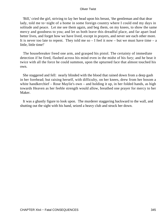'Bill,' cried the girl, striving to lay her head upon his breast, 'the gentleman and that dear lady, told me to−night of a home in some foreign country where I could end my days in solitude and peace. Let me see them again, and beg them, on my knees, to show the same mercy and goodness to you; and let us both leave this dreadful place, and far apart lead better lives, and forget how we have lived, except in prayers, and never see each other more. It is never too late to repent. They told me so  $-$  I feel it now  $-$  but we must have time  $-$  a little, little time!'

 The housebreaker freed one arm, and grasped his pistol. The certainty of immediate detection if he fired, flashed across his mind even in the midst of his fury; and he beat it twice with all the force he could summon, upon the upturned face that almost touched his own.

 She staggered and fell: nearly blinded with the blood that rained down from a deep gash in her forehead; but raising herself, with difficulty, on her knees, drew from her bosom a white handkerchief – Rose Maylie's own – and holding it up, in her folded hands, as high towards Heaven as her feeble strength would allow, breathed one prayer for mercy to her Maker.

 It was a ghastly figure to look upon. The murderer staggering backward to the wall, and shutting out the sight with his hand, seized a heavy club and struck her down.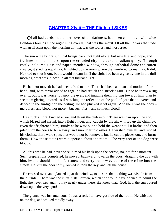# **[CHAPTER Xlviii − THE Flight of SIKES](#page-396-0)**

*O*f all bad deeds that, under cover of the darkness, had been committed with wide London's bounds since night hung over it, that was the worst. Of all the horrors that rose with an ill scent upon the morning air, that was the foulest and most cruel.

 The sun – the bright sun, that brings back, not light alone, but new life, and hope, and freshness to man – burst upon the crowded city in clear and radiant glory. Through costly−coloured glass and paper−mended window, through cathedral dome and rotten crevice, it shed its equal ray. It lighted up the room where the murdered woman lay. It did. He tried to shut it out, but it would stream in. If the sight had been a ghastly one in the dull morning, what was it, now, in all that brilliant light!

 He had not moved; he had been afraid to stir. There had been a moan and motion of the hand; and, with terror added to rage, he had struck and struck again. Once he threw a rug over it; but it was worse to fancy the eyes, and imagine them moving towards him, than to see them glaring upward, as if watching the reflection of the pool of gore that quivered and danced in the sunlight on the ceiling. He had plucked it off again. And there was the body – mere flesh and blood, nor more – but such flesh, and so much blood!

 He struck a light, kindled a fire, and thrust the club into it. There was hair upon the end, which blazed and shrunk into a light cinder, and, caught by the air, whirled up the chimney. Even that frightened him, sturdy as he was; but he held the weapon till it broke, and then piled it on the coals to burn away, and smoulder into ashes. He washed himself, and rubbed his clothes; there were spots that would not be removed, but he cut the pieces out, and burnt them. How those stains were dispersed about the room! The very feet of the dog were bloody.

 All this time he had, never once, turned his back upon the corpse; no, not for a moment. Such preparations completed, he moved, backward, towards the door: dragging the dog with him, lest he should soil his feet anew and carry out new evidence of the crime into the streets. He shut the door softly, locked it, took the key, and left the house.

 He crossed over, and glanced up at the window, to be sure that nothing was visible from the outside. There was the curtain still drawn, which she would have opened to admit the light she never saw again. It lay nearly under there. HE knew that. God, how the sun poured down upon the very spot!

 The glance was instantaneous. It was a relief to have got free of the room. He whistled on the dog, and walked rapidly away.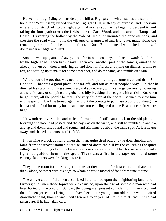He went through Islington; strode up the hill at Highgate on which stands the stone in honour of Whittington; turned down to Highgate Hill, unsteady of purpose, and uncertain where to go; struck off to the right again, almost as soon as he began to descend it; and taking the foot−path across the fields, skirted Caen Wood, and so came on Hampstead Heath. Traversing the hollow by the Vale of Heath, he mounted the opposite bank, and crossing the road which joins the villages of Hampstead and Highgate, made along the remaining portion of the heath to the fields at North End, in one of which he laid himself down under a hedge, and slept.

 Soon he was up again, and away, – not far into the country, but back towards London by the high−road – then back again – then over another part of the same ground as he already traversed – then wandering up and down in fields, and lying on ditches' brinks to rest, and starting up to make for some other spot, and do the same, and ramble on again.

Where could he go, that was near and not too public, to get some meat and drink? Hendon. That was a good place, not far off, and out of most people's way. Thither he directed his steps, – running sometimes, and sometimes, with a strange perversity, loitering at a snail's pace, or stopping altogether and idly breaking the hedges with a stick. But when he got there, all the people he met – the very children at the doors – seemed to view him with suspicion. Back he turned again, without the courage to purchase bit or drop, though he had tasted no food for many hours; and once more he lingered on the Heath, uncertain where to go.

 He wandered over miles and miles of ground, and still came back to the old place. Morning and noon had passed, and the day was on the wane, and still he rambled to and fro, and up and down, and round and round, and still lingered about the same spot. At last he got away, and shaped his course for Hatfield.

 It was nine o'clock at night, when the man, quite tired out, and the dog, limping and lame from the unaccustomed exercise, turned down the hill by the church of the quiet village, and plodding along the little street, crept into a small public−house, whose scanty light had guided them to the spot. There was a fire in the tap−room, and some country−labourers were drinking before it.

 They made room for the stranger, but he sat down in the furthest corner, and ate and drank alone, or rather with his dog: to whom he cast a morsel of food from time to time.

 The conversation of the men assembled here, turned upon the neighboring land, and farmers; and when those topics were exhausted, upon the age of some old man who had been buried on the previous Sunday; the young men present considering him very old, and the old men present declaring him to have been quite young – not older, one white−haired grandfather said, than he was – with ten or fifteen year of life in him at least – if he had taken care; if he had taken care.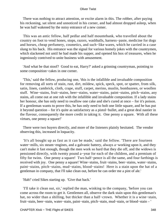There was nothing to attract attention, or excite alarm in this. The robber, after paying his reckoning, sat silent and unnoticed in his corner, and had almost dropped asleep, when he was half wakened by the noisy entrance of a new comer.

 This was an antic fellow, half pedlar and half mountebank, who travelled about the country on foot to vend hones, stops, razors, washballs, harness−paste, medicine for dogs and horses, cheap perfumery, cosmetics, and such−like wares, which he carried in a case slung to his back. His entrance was the signal for various homely jokes with the countrymen, which slackened not until he had made his supper, and opened his box of treasures, when he ingeniously contrived to unite business with amusement.

 'And what be that stoof? Good to eat, Harry?' asked a grinning countryman, pointing to some composition−cakes in one corner.

 'This,' said the fellow, producing one, 'this is the infallible and invaluable composition for removing all sorts of stain, rust, dirt, mildew, spick, speck, spot, or spatter, from silk, satin, linen, cambrick, cloth, crape, stuff, carpet, merino, muslin, bombazeen, or woollen stuff. Wine−stains, fruit−stains, beer−stains, water−stains, paint−stains, pitch−stains, any stains, all come out at one rub with the infallible and invaluable composition. If a lady stains her honour, she has only need to swallow one cake and she's cured at once – for it's poison. If a gentleman wants to prove this, he has only need to bolt one little square, and he has put it beyond question – for it's quite as satisfactory as a pistol−bullet, and a great deal nastier in the flavour, consequently the more credit in taking it. One penny a square. With all these virtues, one penny a square!'

 There were two buyers directly, and more of the listeners plainly hesitated. The vendor observing this, increased in loquacity.

 'It's all bought up as fast as it can be made,' said the fellow. 'There are fourteen water−mills, six steam−engines, and a galvanic battery, always a−working upon it, and they can't make it fast enough, though the men work so hard that they die off, and the widows is pensioned directly, with twenty pound a−year for each of the children, and a premium of fifty for twins. One penny a square! Two half−pence is all the same, and four farthings is received with joy. One penny a square! Wine−stains, fruit−stains, beer−stains, water−stains, paint−stains, pitch−stains, mud−stains, blood−stains! Here is a stain upon the hat of a gentleman in company, that I'll take clean out, before he can order me a pint of ale.'

'Hah!' cried Sikes starting up. 'Give that back.'

 'I'll take it clean out, sir,' replied the man, winking to the company, 'before you can come across the room to get it. Gentlemen all, observe the dark stain upon this gentleman's hat, no wider than a shilling, but thicker than a half−crown. Whether it is a wine−stain, fruit−stain, beer−stain, water−stain, paint−stain, pitch−stain, mud−stain, or blood−stain – '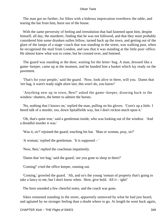The man got no further, for Sikes with a hideous imprecation overthrew the table, and tearing the hat from him, burst out of the house.

With the same perversity of feeling and irresolution that had fastened upon him, despite himself, all day, the murderer, finding that he was not followed, and that they most probably considered him some drunken sullen fellow, turned back up the town, and getting out of the glare of the lamps of a stage−coach that was standing in the street, was walking past, when he recognised the mail from London, and saw that it was standing at the little post−office. He almost knew what was to come; but he crossed over, and listened.

 The guard was standing at the door, waiting for the letter−bag. A man, dressed like a game−keeper, came up at the moment, and he handed him a basket which lay ready on the pavement.

 'That's for your people,' said the guard. 'Now, look alive in there, will you. Damn that 'ere bag, it warn't ready night afore last; this won't do, you know!'

 'Anything new up in town, Ben?' asked the game−keeper, drawing back to the window−shutters, the better to admire the horses.

 'No, nothing that I knows on,' replied the man, pulling on his gloves. 'Corn's up a little. I heerd talk of a murder, too, down Spitalfields way, but I don't reckon much upon it.'

 'Oh, that's quite true,' said a gentleman inside, who was looking out of the window. 'And a dreadful murder it was.'

'Was it, sir?' rejoined the guard, touching his hat. 'Man or woman, pray, sir?'

'A woman,' replied the gentleman. 'It is supposed – '

'Now, Ben,' replied the coachman impatiently.

'Damn that 'ere bag,' said the guard; 'are you gone to sleep in there?'

'Coming!' cried the office keeper, running out.

 'Coming,' growled the guard. 'Ah, and so's the young 'ooman of property that's going to take a fancy to me, but I don't know when. Here, give hold. All ri – ight!'

The horn sounded a few cheerful notes, and the coach was gone.

 Sikes remained standing in the street, apparently unmoved by what he had just heard, and agitated by no stronger feeling than a doubt where to go. At length he went back again,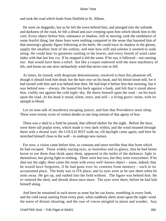and took the road which leads from Hatfield to St. Albans.

 He went on doggedly; but as he left the town behind him, and plunged into the solitude and darkness of the road, he felt a dread and awe creeping upon him which shook him to the core. Every object before him, substance or shadow, still or moving, took the semblance of some fearful thing; but these fears were nothing compared to the sense that haunted him of that morning's ghastly figure following at his heels. He could trace its shadow in the gloom, supply the smallest item of the outline, and note how stiff and solemn it seemed to stalk along. He could hear its garments rustling in the leaves, and every breath of wind came laden with that last low cry. If he stopped it did the same. If he ran, it followed – not running too: that would have been a relief: but like a corpse endowed with the mere machinery of life, and borne on one slow melancholy wind that never rose or fell.

 At times, he turned, with desperate determination, resolved to beat this phantom off, though it should look him dead; but the hair rose on his head, and his blood stood still, for it had turned with him and was behind him then. He had kept it before him that morning, but it was behind now – always. He leaned his back against a bank, and felt that it stood above him, visibly out against the cold night−sky. He threw himself upon the road – on his back upon the road. At his head it stood, silent, erect, and still – a living grave−stone, with its epitaph in blood.

 Let no man talk of murderers escaping justice, and hint that Providence must sleep. There were twenty score of violent deaths in one long minute of that agony of fear.

 There was a shed in a field he passed, that offered shelter for the night. Before the door, were three tall poplar trees, which made it very dark within; and the wind moaned through them with a dismal wail. He COULD NOT walk on, till daylight came again; and here he stretched himself close to the wall – to undergo new torture.

 For now, a vision came before him, as constant and more terrible than that from which he had escaped. Those widely staring eyes, so lustreless and so glassy, that he had better borne to see them than think upon them, appeared in the midst of the darkness: light in themselves, but giving light to nothing. There were but two, but they were everywhere. If he shut out the sight, there came the room with every well−known object – some, indeed, that he would have forgotten, if he had gone over its contents from memory – each in its accustomed place. The body was in ITS place, and its eyes were as he saw them when he stole away. He got up, and rushed into the field without. The figure was behind him. He re−entered the shed, and shrunk down once more. The eyes were there, before he had laid himself along.

 And here he remained in such terror as none but he can know, trembling in every limb, and the cold sweat starting from every pore, when suddenly there arose upon the night−wind the noise of distant shouting, and the roar of voices mingled in alarm and wonder. Any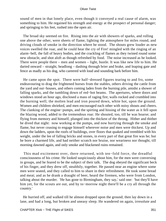sound of men in that lonely place, even though it conveyed a real cause of alarm, was something to him. He regained his strength and energy at the prospect of personal danger; and springing to his feet, rushed into the open air.

 The broad sky seemed on fire. Rising into the air with showers of sparks, and rolling one above the other, were sheets of flame, lighting the atmosphere for miles round, and driving clouds of smoke in the direction where he stood. The shouts grew louder as new voices swelled the roar, and he could hear the cry of Fire! mingled with the ringing of an alarm−bell, the fall of heavy bodies, and the crackling of flames as they twined round some new obstacle, and shot aloft as though refreshed by food. The noise increased as he looked. There were people there – men and women – light, bustle. It was like new life to him. He darted onward – straight, headlong – dashing through brier and brake, and leaping gate and fence as madly as his dog, who careered with loud and sounding bark before him.

 He came upon the spot. There were half−dressed figures tearing to and fro, some endeavouring to drag the frightened horses from the stables, others driving the cattle from the yard and out−houses, and others coming laden from the burning pile, amidst a shower of falling sparks, and the tumbling down of red−hot beams. The apertures, where doors and windows stood an hour ago, disclosed a mass of raging fire; walls rocked and crumbled into the burning well; the molten lead and iron poured down, white hot, upon the ground. Women and children shrieked, and men encouraged each other with noisy shouts and cheers. The clanking of the engine−pumps, and the spirting and hissing of the water as it fell upon the blazing wood, added to the tremendous roar. He shouted, too, till he was hoarse; and flying from memory and himself, plunged into the thickest of the throng. Hither and thither he dived that night: now working at the pumps, and now hurrying through the smoke and flame, but never ceasing to engage himself wherever noise and men were thickest. Up and down the ladders, upon the roofs of buildings, over floors that quaked and trembled with his weight, under the lee of falling bricks and stones, in every part of that great fire was he; but he bore a charmed life, and had neither scratch nor bruise, nor weariness nor thought, till morning dawned again, and only smoke and blackened ruins remained.

 This mad excitement over, there returned, with ten−fold force, the dreadful consciousness of his crime. He looked suspiciously about him, for the men were conversing in groups, and he feared to be the subject of their talk. The dog obeyed the significant beck of his finger, and they drew off, stealthily, together. He passed near an engine where some men were seated, and they called to him to share in their refreshment. He took some bread and meat; and as he drank a draught of beer, heard the firemen, who were from London, talking about the murder. 'He has gone to Birmingham, they say,' said one: 'but they'll have him yet, for the scouts are out, and by to−morrow night there'll be a cry all through the country.'

 He hurried off, and walked till he almost dropped upon the ground; then lay down in a lane, and had a long, but broken and uneasy sleep. He wandered on again, irresolute and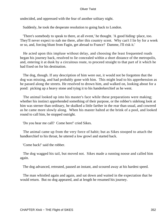undecided, and oppressed with the fear of another solitary night.

Suddenly, he took the desperate resolution to going back to London.

 'There's somebody to speak to there, at all event,' he thought. 'A good hiding−place, too. They'll never expect to nab me there, after this country scent. Why can't I lie by for a week or so, and, forcing blunt from Fagin, get abroad to France? Damme, I'll risk it.'

 He acted upon this impluse without delay, and choosing the least frequented roads began his journey back, resolved to lie concealed within a short distance of the metropolis, and, entering it at dusk by a circuitous route, to proceed straight to that part of it which he had fixed on for his destination.

 The dog, though. If any description of him were out, it would not be forgotten that the dog was missing, and had probably gone with him. This might lead to his apprehension as he passed along the streets. He resolved to drown him, and walked on, looking about for a pond: picking up a heavy stone and tying it to his handerkerchief as he went.

 The animal looked up into his master's face while these preparations were making; whether his instinct apprehended something of their purpose, or the robber's sidelong look at him was sterner than ordinary, he skulked a little farther in the rear than usual, and cowered as he came more slowly along. When his master halted at the brink of a pool, and looked round to call him, he stopped outright.

'Do you hear me call? Come here!' cried Sikes.

 The animal came up from the very force of habit; but as Sikes stooped to attach the handkerchief to his throat, he uttered a low growl and started back.

'Come back!' said the robber.

 The dog wagged his tail, but moved not. Sikes made a running noose and called him again.

The dog advanced, retreated, paused an instant, and scoured away at his hardest speed.

 The man whistled again and again, and sat down and waited in the expectation that he would return. But no dog appeared, and at length he resumed his journey.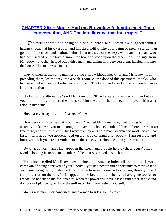### **[CHAPTER Xlix − Monks And mr. Brownlow At length meet. Their](#page-396-0) [conversation, AND The intelligence that interrupts IT](#page-396-0)**

**The twilight was beginning to close in, when Mr. Brownlow alighted from a** hackney−coach at his own door, and knocked softly. The door being opened, a sturdy man got out of the coach and stationed himself on one side of the steps, while another man, who had been seated on the box, dismounted too, and stood upon the other side. At a sign from Mr. Brownlow, they helped out a third man, and taking him between them, hurried him into the house. This man was Monks.

 They walked in the same manner up the stairs without speaking, and Mr. Brownlow, preceding them, led the way into a back−room. At the door of this apartment, Monks, who had ascended with evident reluctance, stopped. The two men looked at the old gentleman as if for instructions.

 'He knows the alternative,' said Mr. Browlow. 'If he hesitates or moves a finger but as you bid him, drag him into the street, call for the aid of the police, and impeach him as a felon in my name.'

'How dare you say this of me?' asked Monks.

 'How dare you urge me to it, young man?' replied Mr. Brownlow, confronting him with a steady look. 'Are you mad enough to leave this house? Unhand him. There, sir. You are free to go, and we to follow. But I warn you, by all I hold most solemn and most sacred, that instant will have you apprehended on a charge of fraud and robbery. I am resolute and immoveable. If you are determined to be the same, your blood be upon your own head!'

 'By what authority am I kidnapped in the street, and brought here by these dogs?' asked Monks, looking from one to the other of the men who stood beside him.

 'By mine,' replied Mr. Brownlow. 'Those persons are indemnified by me. If you complain of being deprived of your liberty – you had power and opportunity to retrieve it as you came along, but you deemed it advisable to remain quiet – I say again, throw yourself for protection on the law. I will appeal to the law too; but when you have gone too far to recede, do not sue to me for leniency, when the power will have passed into other hands; and do not say I plunged you down the gulf into which you rushed, yourself.'

Monks was plainly disconcerted, and alarmed besides. He hesitated.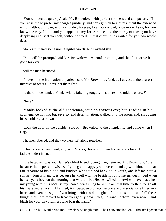'You will decide quickly,' said Mr. Brownlow, with perfect firmness and composure. 'If you wish me to prefer my charges publicly, and consign you to a punishment the extent of which, although I can, with a shudder, foresee, I cannot control, once more, I say, for you know the way. If not, and you appeal to my forbearance, and the mercy of those you have deeply injured, seat yourself, without a word, in that chair. It has waited for you two whole days.'

Monks muttered some unintelligible words, but wavered still.

 'You will be prompt,' said Mr. Brownlow. 'A word from me, and the alternative has gone for ever.'

Still the man hesitated.

 'I have not the inclination to parley,' said Mr. Brownlow, 'and, as I advocate the dearest interests of others, I have not the right.'

'Is there – ' demanded Monks with a faltering tongue, – 'is there – no middle course?'

'None.'

 Monks looked at the old gentleman, with an anxious eye; but, reading in his countenance nothing but severity and determination, walked into the room, and, shrugging his shoulders, sat down.

 'Lock the door on the outside,' said Mr. Brownlow to the attendants, 'and come when I ring.'

The men obeyed, and the two were left alone together.

 'This is pretty treatment, sir,' said Monks, throwing down his hat and cloak, 'from my father's oldest friend.'

 'It is because I was your father's oldest friend, young man,' returned Mr. Brownlow; 'it is because the hopes and wishes of young and happy years were bound up with him, and that fair creature of his blood and kindred who rejoined her God in youth, and left me here a solitary, lonely man: it is because he knelt with me beside his only sisters' death−bed when he was yet a boy, on the morning that would – but Heaven willed otherwise – have made her my young wife; it is because my seared heart clung to him, from that time forth, through all his trials and errors, till he died; it is because old recollections and associations filled my heart, and even the sight of you brings with it old thoughts of him; it is because of all these things that I am moved to treat you gently now – yes, Edward Leeford, even now – and blush for your unworthiness who bear the name.'

CHAPTER XIix – Monks And mr. Brownlow At length meet. Their conversation, AND The intelligerse that in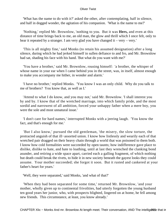'What has the name to do with it?' asked the other, after contemplating, half in silence, and half in dogged wonder, the agitation of his companion. 'What is the name to me?'

 'Nothing,' replied Mr. Brownlow, 'nothing to you. But it was **Hers,** and even at this distance of time brings back to me, an old man, the glow and thrill which I once felt, only to hear it repeated by a stranger. I am very glad you have changed it – very – very.'

 'This is all mighty fine,' said Monks (to retain his assumed designation) after a long silence, during which he had jerked himself in sullen defiance to and fro, and Mr. Brownlow had sat, shading his face with his hand. 'But what do you want with me?'

 'You have a brother,' said Mr. Brownlow, rousing himself: 'a brother, the whisper of whose name in your ear when I came behind you in the street, was, in itself, almost enough to make you accompany me hither, in wonder and alarm.'

 'I have no brother,' replied Monks. 'You know I was an only child. Why do you talk to me of brothers? You know that, as well as I.'

 'Attend to what I do know, and you may not,' said Mr. Brownlow. 'I shall interest you by and by. I know that of the wretched marriage, into which family pride, and the most sordid and narrowest of all ambition, forced your unhappy father when a mere boy, you were the sole and most unnatural issue.'

 'I don't care for hard names,' interrupted Monks with a jeering laugh. 'You know the fact, and that's enough for me.'

 'But I also know,' pursued the old gentleman, 'the misery, the slow torture, the protracted anguish of that ill−assorted union. I know how listlessly and wearily each of that wretched pair dragged on their heavy chain through a world that was poisoned to them both. I know how cold formalities were succeeded by open taunts; how indifference gave place to dislike, dislike to hate, and hate to loathing, until at last they wrenched the clanking bond asunder, and retiring a wide space apart, carried each a galling fragment, of which nothing but death could break the rivets, to hide it in new society beneath the gayest looks they could assume. Your mother succeeded; she forgot it soon. But it rusted and cankered at your father's heart for years.'

'Well, they were separated,' said Monks, 'and what of that?'

 'When they had been separated for some time,' returned Mr. Brownlow, 'and your mother, wholly given up to continental frivolities, had utterly forgotten the young husband ten good years her junior, who, with prospects blighted, lingered on at home, he fell among new friends. This circumstance, at least, you know already.'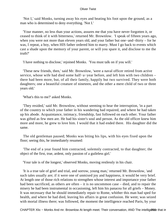'Not I,' said Monks, turning away his eyes and beating his foot upon the ground, as a man who is determined to deny everything. 'Not I.'

 'Your manner, no less than your actions, assures me that you have never forgotten it, or ceased to think of it with bitterness,' returned Mr. Brownlow. 'I speak of fifteen years ago, when you were not more than eleven years old, and your father but one−and−thirty – for he was, I repeat, a boy, when HIS father ordered him to marry. Must I go back to events which cast a shade upon the memory of your parent, or will you spare it, and disclose to me the truth?'

'I have nothing to disclose,' rejoined Monks. 'You must talk on if you will.'

 'These new friends, then,' said Mr. Brownlow, 'were a naval officer retired from active service, whose wife had died some half−a−year before, and left him with two children – there had been more, but, of all their family, happily but two survived. They were both daughters; one a beautiful creature of nineteen, and the other a mere child of two or three years old.'

'What's this to me?' asked Monks.

 'They resided,' said Mr. Brownlow, without seeming to hear the interruption, 'in a part of the country to which your father in his wandering had repaired, and where he had taken up his abode. Acquaintance, intimacy, friendship, fast followed on each other. Your father was gifted as few men are. He had his sister's soul and person. As the old officer knew him more and more, he grew to love him. I would that it had ended there. His daughter did the same.

 The old gentleman paused; Monks was biting his lips, with his eyes fixed upon the floor; seeing this, he immediately resumed:

 'The end of a year found him contracted, solemnly contracted, to that daughter; the object of the first, true, ardent, only passion of a guileless girl.'

'Your tale is of the longest,' observed Monks, moving restlessly in his chair.

 'It is a true tale of grief and trial, and sorrow, young man,' returned Mr. Brownlow, 'and such tales usually are; if it were one of unmixed joy and happiness, it would be very brief. At length one of those rich relations to strengthen whose interest and importance your father had been sacrificed, as others are often – it is no uncommon case – died, and to repair the misery he had been instrumental in occasioning, left him his panacea for all griefs – Money. It was necessary that he should immediately repair to Rome, whither this man had sped for health, and where he had died, leaving his affairs in great confusion. He went; was seized with mortal illness there; was followed, the moment the intelligence reached Paris, by your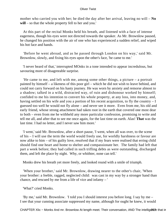mother who carried you with her; he died the day after her arrival, leaving no will – **No will** – so that the whole property fell to her and you.'

 At this part of the recital Monks held his breath, and listened with a face of intense eagerness, though his eyes were not directed towards the speaker. As Mr. Brownlow paused, he changed his position with the air of one who has experienced a sudden relief, and wiped his hot face and hands.

 'Before he went abroad, and as he passed through London on his way,' said Mr. Brownlow, slowly, and fixing his eyes upon the other's face, 'he came to me.'

 'I never heard of that,' interrupted MOnks in a tone intended to appear incredulous, but savouring more of disagreeable surprise.

 'He came to me, and left with me, among some other things, a picture – a portrait painted by himself – a likeness of this poor girl – which he did not wish to leave behind, and could not carry forward on his hasty journey. He was worn by anxiety and remorse almost to a shadow; talked in a wild, distracted way, of ruin and dishonour worked by himself; confided to me his intention to convert his whole property, at any loss, into money, and, having settled on his wife and you a portion of his recent acquisition, to fly the country – I guessed too well he would not fly alone – and never see it more. Even from me, his old and early friend, whose strong attachment had taken root in the earth that covered one most dear to both – even from me he withheld any more particular confession, promising to write and tell me all, and after that to see me once again, for the last time on earth. Alas! **That** was the last time. I had no letter, and I never saw him more.'

 'I went,' said Mr. Brownlow, after a short pause, 'I went, when all was over, to the scene of his – I will use the term the world would freely use, for worldly harshness or favour are now alike to him – of his guilty love, resolved that if my fears were realised that erring child should find one heart and home to shelter and compassionate her. The family had left that part a week before; they had called in such trifling debts as were outstanding, discharged them, and left the place by night. Why, or whithter, none can tell.'

Monks drew his breath yet more freely, and looked round with a smile of triumph.

 'When your brother,' said Mr. Brownlow, drawing nearer to the other's chair, 'When your brother: a feeble, ragged, neglected child: was cast in my way by a stronger hand than chance, and rescued by me from a life of vice and infamy – '

'What?' cried Monks.

 'By me,' said Mr. Brownlow. 'I told you I should interest you before long. I say by me – I see that your cunning associate suppressed my name, although for ought he knew, it would

CHAPTER XIix – Monks And mr. Brownlow At length meet. Their conversation, AND The intelligers that in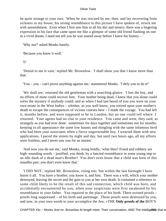be quite strange to your ears. When he was rescued by me, then, and lay recovering from sickness in my house, his strong resemblance to this picture I have spoken of, struck me with astonishment. Even when I first saw him in all his dirt and misery, there was a lingering expression in his face that came upon me like a glimpse of some old friend flashing on one in a vivid dream. I need not tell you he was snared away before I knew his history – '

'Why not?' asked Monks hastily.

'Because you know it well.'

'I!'

 'Denial to me is vain,' replied Mr. Brownlow. 'I shall show you that I know more than that.'

'You – you – can't prove anything against me,' stammered Monks. 'I defy you to do it!'

 'We shall see,' returned the old gentleman with a searching glance. 'I lost the boy, and no efforts of mine could recover him. Your mother being dead, I knew that you alone could solve the mystery if anybody could, and as when I had last heard of you you were on your own estate in the West Indies – whither, as you well know, you retired upon your mother's death to escape the consequences of vicious courses here – I made the voyage. You had left it, months before, and were supposed to be in London, but no one could tell where. I returned. Your agents had no clue to your residence. You came and went, they said, as strangely as you had ever done: sometimes for days together and sometimes not for months: keeping to all appearance the same low haunts and mingling with the same infamous herd who had been your associates when a fierce ungovernable boy. I wearied them with new applications. I paced the streets by night and day, but until two hours ago, all my efforts were fruitless, and I never saw you for an instant.'

 'And now you do see me,' said Monks, rising boldly, 'what then? Fraud and robbery are high−sounding words – justified, you think, by a fancied resemblance in some young imp to an idle daub of a dead man's Brother! You don't even know that a child was born of this maudlin pair; you don't even know that.'

 'I DID NOT,' replied Mr. Brownlow, rising too; 'but within the last fortnight I have learnt it all. You have a brother; you know it, and him. There was a will, which your mother destroyed, leaving the secret and the gain to you at her own death. It contained a reference to some child likely to be the result of this sad connection, which child was born, and accidentally encountered by you, when your suspicions were first awakened by his resemblance to your father. You repaired to the place of his birth. There existed proofs – proofs long suppressed – of his birth and parentage. Those proofs were destroyed by you, and now, in your own words to your accomplice the Jew, «THE **Only proofs of the** BOY'S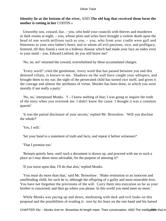### **Identity lie at the bottom of the river,** AND **The old hag that received them form the mother is rotting in her** COFFIN.»

 Unworthy son, coward, liar, – you, who hold your councils with thieves and murderers in dark rooms at night, – you, whose plots and wiles have brought a violent death upon the head of one worth millions such as you, – you, who from your cradle were gall and bitterness to your own father's heart, and in whom all evil passions, vice, and profligacy, festered, till they found a vent in a hideous disease which had made your face an index even to your mind – you, Edward Leeford, do you still brave me!'

'No, no, no!' returned the coward, overwhelmed by these accumulated charges.

 'Every word!' cried the gentleman, 'every word that has passed between you and this detested villain, is known to me. Shadows on the wall have caught your whispers, and brought them to my ear; the sight of the persecuted child has turned vice itself, and given it the courage and almost the attributes of virtue. Murder has been done, to which you were morally if not really a party.'

 'No, no,' interposed Monks. 'I – I knew nothing of that; I was going to inquire the truth of the story when you overtook me. I didn't know the cause. I thought it was a common quarrel.'

 'It was the partial disclosure of your secrets,' replied Mr. Brownlow. 'Will you disclose the whole?'

'Yes, I will.'

'Set your hand to a statement of truth and facts, and repeat it before witnesses?'

'That I promise too.'

 'Remain quietly here, until such a document is drawn up, and proceed with me to such a place as I may deem most advisable, for the purpose of attesting it?'

'If you insist upon that, I'll do that also,' replied Monks.

 'You must do more than that,' said Mr. Brownlow. 'Make restitution to an innocent and unoffending child, for such he is, although the offspring of a guilty and most miserable love. You have not forgotten the provisions of the will. Carry them into execution so far as your brother is concerned, and then go where you please. In this world you need meet no more.'

 While Monks was pacing up and down, meditating with dark and evil looks on this proposal and the possibilities of evading it: torn by his fears on the one hand and his hatred

CHAPTER XIix – Monks And mr. Brownlow At length meet. Their conversation, AND The intelligers that in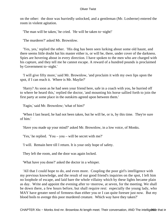on the other: the door was hurriedly unlocked, and a gentleman (Mr. Losberne) entered the room in violent agitation.

'The man will be taken,' he cried. 'He will be taken to−night!'

'The murderer?' asked Mr. Brownlow.

 'Yes, yes,' replied the other. 'His dog has been seen lurking about some old haunt, and there seems little doubt hat his master either is, or will be, there, under cover of the darkness. Spies are hovering about in every direction. I have spoken to the men who are charged with his capture, and they tell me he cannot escape. A reward of a hundred pounds is proclaimed by Government to−night.'

 'I will give fifty more,' said Mr. Brownlow, 'and proclaim it with my own lips upon the spot, if I can reach it. Where is Mr. Maylie?'

 'Harry? As soon as he had seen your friend here, safe in a coach with you, he hurried off to where he heard this,' replied the doctor, 'and mounting his horse sallied forth to join the first party at some place in the outskirts agreed upon between them.'

'Fagin,' said Mr. Brownlow; 'what of him?'

 'When I last heard, he had not been taken, but he will be, or is, by this time. They're sure of him.'

'Have you made up your mind?' asked Mr. Brownlow, in a low voice, of Monks.

'Yes,' he replied. 'You – you – will be secret with me?'

'I will. Remain here till I return. It is your only hope of safety.

They left the room, and the door was again locked.

'What have you done?' asked the doctor in a whisper.

 'All that I could hope to do, and even more. Coupling the poor girl's intelligence with my previous knowledge, and the result of our good friend's inquiries on the spot, I left him no loophole of escape, and laid bare the whole villainy which by these lights became plain as day. Write and appoint the evening after to−morrow, at seven, for the meeting. We shall be down there, a few hours before, but shall require rest: especially the young lady, who MAY have greater need of firmness than either you or I can quite foresee just now. But my blood boils to avenge this poor murdered creature. Which way have they taken?'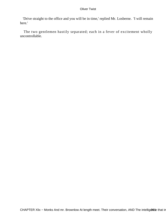'Drive straight to the office and you will be in time,' replied Mr. Losberne. 'I will remain here.'

 The two gentlemen hastily separated; each in a fever of excitement wholly uncontrollable.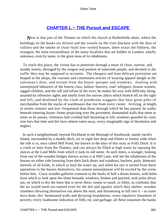## **[CHAPTER L − THE Pursuit and ESCAPE](#page-396-0)**

*N*ear to that part of the Thames on which the church at Rotherhithe abuts, where the buildings on the banks are dirtiest and the vessels on the river blackest with the dust of colliers and the smoke of close−built low−roofed houses, there exists the filthiest, the strangest, the most extraordinary of the many localities that are hidden in London, wholly unknown, even by name, to the great mass of its inhabitants.

 To reach this place, the visitor has to penetrate through a maze of close, narrow, and muddy streets, thronged by the rougest and poorest of waterside people, and devoted to the traffic they may be supposed to occasion. The cheapest and least delicate provisions are heaped in the shops; the coarsest and commonest articles of wearing apparel dangle at the salesman's door, and stream from the house−parapet and windows. Jostling with unemployed labourers of the lowest class, ballast−heavers, coal−whippers, brazen women, ragged children, and the raff and refuse of the river, he makes his way with difficulty along, assailed by offensive sights and smells from the narrow alleys which branch off on the right and left, and deafened by the clash of ponderous waggons that bear great piles of merchandise from the stacks of warehouses that rise from every corner. Arriving, at length, in streets remoter and less−frequented than those through which he has passed, he walks beneath tottering house−fronts projecting over the pavement, dismantled walls that seem to totter as he passes, chimneys half crushed half hesitating to fall, windows guarded by rusty iron bars that time and dirt have almost eaten away, every imaginable sign of desolation and neglect.

 In such a neighborhood, beyond Dockhead in the Borough of Southwark, stands Jacob's Island, surrounded by a muddy ditch, six or eight feet deep and fifteen or twenty wide when the tide is in, once called Mill Pond, but known in the days of this story as Folly Ditch. It is a creek or inlet from the Thames, and can always be filled at high water by opening the sluices at the Lead Mills from which it took its old name. At such times, a stranger, looking from one of the wooden bridges thrown across it at Mill Lane, will see the inhabitants of the houses on either side lowering from their back doors and windows, buckets, pails, domestic utensils of all kinds, in which to haul the water up; and when his eye is turned from these operations to the houses themselves, his utmost astonishment will be excited by the scene before him. Crazy wooden galleries common to the backs of half a dozen houses, with holes from which to look upon the slime beneath; windows, broken and patched, with poles thrust out, on which to dry the linen that is never there; rooms so small, so filthy, so confined, that the air would seem too tainted even for the dirt and squalor which they shelter; wooden chambers thrusting themselves out above the mud, and threatening to fall into it – as some have done; dirt−besmeared walls and decaying foundations; every repulsive lineament of poverty, every loathsome indication of filth, rot, and garbage; all these ornament the banks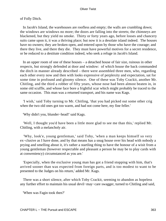#### of Folly Ditch.

 In Jacob's Island, the warehouses are roofless and empty; the walls are crumbling down; the windows are windows no more; the doors are falling into the streets; the chimneys are blackened, but they yield no smoke. Thirty or forty years ago, before losses and chancery suits came upon it, it was a thriving place; but now it is a desolate island indeed. The houses have no owners; they are broken open, and entered upon by those who have the courage; and there they live, and there they die. They must have powerful motives for a secret residence, or be reduced to a destitute condition indeed, who seek a refuge in Jacob's Island.

 In an upper room of one of these houses – a detached house of fair size, ruinous in other respects, but strongly defended at door and window: of which house the back commanded the ditch in manner already described – there were assembled three men, who, regarding each other every now and then with looks expressive of perplexity and expectation, sat for some time in profound and gloomy silence. One of these was Toby Crackit, another Mr. Chitling, and the third a robber of fifty years, whose nose had been almost beaten in, in some old scuffle, and whose face bore a frightful scar which might probably be traced to the same occasion. This man was a returned transport, and his name was Kags.

 'I wish,' said Toby turning to Mr. Chitling, 'that you had picked out some other crig when the two old ones got too warm, and had not come here, my fine feller.'

'Why didn't you, blunder−head!' said Kags.

 'Well, I thought you'd have been a little more glad to see me than this,' replied Mr. Chitling, with a melancholy air.

 'Why, look'e, young gentleman,' said Toby, 'when a man keeps himself so very ex−clusive as I have done, and by that means has a snug house over his head with nobody a prying and smelling about it, it's rather a startling thing to have the honour of a wisit from a young gentleman (however respectable and pleasant a person he may be to play cards with at conweniency) circumstanced as you are.'

 'Especially, when the exclusive young man has got a friend stopping with him, that's arrived sooner than was expected from foreign parts, and is too modest to want to be presented to the Judges on his return,' added Mr. Kags.

 There was a short silence, after which Toby Crackit, seeming to abandon as hopeless any further effort to maintain his usual devil−may−care swagger, turned to Chitling and said,

'When was Fagin took then?'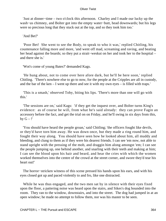'Just at dinner−time – two o'clock this afternoon. Charley and I made our lucky up the wash−us chimney, and Bolter got into the empty water−butt, head downwards; but his legs were so precious long that they stuck out at the top, and so they took him too.'

'And Bet?'

 'Poor Bet! She went to see the Body, to speak to who it was,' replied Chitling, his countenance falling more and more, 'and went off mad, screaming and raving, and beating her head against the boards; so they put a strait−weskut on her and took her to the hospital – and there she is.'

'Wot's come of young Bates?' demanded Kags.

 'He hung about, not to come over here afore dark, but he'll be here soon,' replied Chitling. 'There's nowhere else to go to now, for the people at the Cripples are all in custody, and the bar of the ken – I went up there and see it with my own eyes – is filled with traps.'

 'This is a smash,' observed Toby, biting his lips. 'There's more than one will go with this.'

 'The sessions are on,' said Kags: 'if they get the inquest over, and Bolter turns King's evidence: as of course he will, from what he's said already: they can prove Fagin an accessory before the fact, and get the trial on on Friday, and he'll swing in six days from this, by  $G -$ !'

 'You should have heard the people groan,' said Chitling; 'the officers fought like devils, or they'd have torn him away. He was down once, but they made a ring round him, and fought their way along. You should have seen how he looked about him, all muddy and bleeding, and clung to them as if they were his dearest friends. I can see 'em now, not able to stand upright with the pressing of the mob, and draggin him along amongst 'em; I can see the people jumping up, one behind another, and snarling with their teeth and making at him; I can see the blood upon his hair and beard, and hear the cries with which the women worked themselves into the centre of the crowd at the street corner, and swore they'd tear his heart out!'

The horror–stricken witness of this scene pressed his hands upon his ears, and with his eyes closed got up and paced violently to and fro, like one distracted.

 While he was thus engaged, and the two men sat by in silence with their eyes fixed upon the floor, a pattering noise was heard upon the stairs, and Sikes's dog bounded into the room. They ran to the window, downstairs, and into the street. The dog had jumped in at an open window; he made no attempt to follow them, nor was his master to be seen.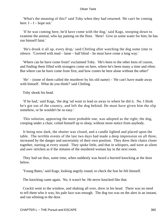'What's the meaning of this?' said Toby when they had returned. 'He can't be coming here.  $I - I - hope not.'$ 

 'If he was coming here, he'd have come with the dog,' said Kags, stooping down to examine the animal, who lay panting on the floor. 'Here! Give us some water for him; he has run himself faint.'

 'He's drunk it all up, every drop,' said Chitling after watching the dog some time in silence. 'Covered with mud – lame – half blind – he must have come a long way.'

 'Where can he have come from!' exclaimed Toby. 'He's been to the other kens of course, and finding them filled with strangers come on here, where he's been many a time and often. But where can he have come from first, and how comes he here alone without the other!'

 'He' – (none of them called the murderer by his old name) – 'He can't have made away with himself. What do you think?' said Chitling.

Toby shook his head.

 'If he had,' said Kags, 'the dog 'ud want to lead us away to where he did it. No. I think he's got out of the country, and left the dog behind. He must have given him the slip somehow, or he wouldn't be so easy.'

 This solution, appearing the most probable one, was adopted as the right; the dog, creeping under a chair, coiled himself up to sleep, without more notice from anybody.

 It being now dark, the shutter was closed, and a candle lighted and placed upon the table. The terrible events of the last two days had made a deep impression on all three, increased by the danger and uncertainty of their own position. They drew their chairs closer together, starting at every sound. They spoke little, and that in whispers, and were as silent and awe−stricken as if the remains of the murdered woman lay in the next room.

 They had sat thus, some time, when suddenly was heard a hurried knocking at the door below.

'Young Bates,' said Kags, looking angrily round, to check the fear he felt himself.

The knocking came again. No, it wasn't he. He never knocked like that.

 Crackit went to the window, and shaking all over, drew in his head. There was no need to tell them who it was; his pale face was enough. The dog too was on the alert in an instant, and ran whining to the door.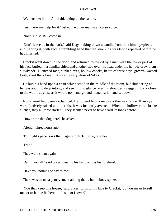'We must let him in,' he said, taking up the candle.

'Isn't there any help for it?' asked the other man in a hoarse voice.

'None. He MUST come in.'

 'Don't leave us in the dark,' said Kags, taking down a candle from the chimney−piece, and lighting it, with such a trembling hand that the knocking was twice repeated before he had finished.

 Crackit went down to the door, and returned followed by a man with the lower part of his face buried in a handkerchief, and another tied over his head under his hat. He drew them slowly off. Blanched face, sunken eyes, hollow cheeks, beard of three days' growth, wasted flesh, short thick breath; it was the very ghost of Sikes.

 He laid his hand upon a chair which stood in the middle of the room, but shuddering as he was about to drop into it, and seeming to glance over his shoulder, dragged it back close to the wall – as close as it would  $\gamma$  – and ground it against it – and sat down.

 Not a word had been exchanged. He looked from one to another in silence. If an eye were furtively raised and met his, it was instantly averted. When his hollow voice broke silence, they all three started. They seemed never to have heard its tones before.

'How came that dog here?' he asked.

'Alone. Three hours ago.'

'To−night's paper says that Fagin's took. Is it true, or a lie?'

'True.'

They were silent again.

'Damn you all!' said Sikes, passing his hand across his forehead.

'Have you nothing to say to me?'

There was an uneasy movement among them, but nobody spoke.

 'You that keep this house,' said Sikes, turning his face to Crackit, 'do you mean to sell me, or to let me lie here till this hunt is over?'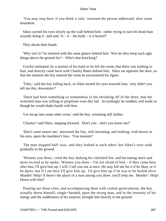'You may stop here, if you think it safe,' returned the person addressed, after some hesitation.

 Sikes carried his eyes slowly up the wall behind him: rather trying to turn his head than actually doing it: and said,  $Is - it - the body - is it buried?$ 

They shook their heads.

 'Why isn't it!' he retorted with the same glance behind him. 'Wot do they keep such ugly things above the ground for? – Who's that knocking?'

 Crackit intimated, by a motion of his hand as he left the room, that there was nothing to fear; and directly came back with Charley Bates behind him. Sikes sat opposite the door, so that the moment the boy entered the room he encountered his figure.

 'Toby,' said the boy falling back, as Sikes turned his eyes towards him, 'why didn't you tell me this, downstairs?'

 There had been something so tremendous in the shrinking off of the three, that the wretched man was willing to propitiate even this lad. Accordingly he nodded, and made as though he would shake hands with him.

'Let me go into some other room,' said the boy, retreating still farther.

'Charley!' said Sikes, stepping forward. 'Don't you – don't you know me?'

 'Don't come nearer me,' answered the boy, still retreating, and looking, with horror in his eyes, upon the murderer's face. 'You monster!'

 The man stopped half−way, and they looked at each other; but Sikes's eyes sunk gradually to the ground.

 'Witness you three,' cried the boy shaking his clenched fist, and becoming more and more excited as he spoke. 'Witness you three – I'm not afraid of him – if they come here after him, I'll give him up; I will. I tell you out at once. He may kill me for it if he likes, or if he dares, but if I am here I'll give him up. I'd give him up if he was to be boiled alive. Murder! Help! If there's the pluck of a man among you three, you'll help me. Murder! Help! Down with him!'

 Pouring out these cries, and accompanying them with violent gesticulation, the boy actually threw himself, single−handed, upon the strong man, and in the intensity of his energy and the suddenness of his surprise, brought him heavily to the ground.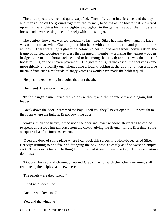The three spectators seemed quite stupefied. They offered no interference, and the boy and man rolled on the ground together; the former, heedless of the blows that showered upon him, wrenching his hands tighter and tighter in the garments about the murderer's breast, and never ceasing to call for help with all his might.

 The contest, however, was too unequal to last long. Sikes had him down, and his knee was on his throat, when Crackit pulled him back with a look of alarm, and pointed to the window. There were lights gleaming below, voices in loud and earnest conversation, the tramp of hurried footsteps – endless they seemed in number – crossing the nearest wooden bridge. One man on horseback seemed to be among the crowd; for there was the noise of hoofs rattling on the uneven pavement. The gleam of lights increased; the footsteps came more thickly and noisily on. Then, came a loud knocking at the door, and then a hoarse murmur from such a multitude of angry voices as would have made the boldest quail.

'Help!' shrieked the boy in a voice that rent the air.

'He's here! Break down the door!'

 'In the King's name,' cried the voices without; and the hoarse cry arose again, but louder.

 'Break down the door!' screamed the boy. 'I tell you they'll never open it. Run straight to the room where the light is. Break down the door!'

 Strokes, thick and heavy, rattled upon the door and lower window−shutters as he ceased to speak, and a loud huzzah burst from the crowd; giving the listener, for the first time, some adequate idea of its immense extent.

 'Open the door of some place where I can lock this screeching Hell−babe,' cried Sikes fiercely; running to and fro, and dragging the boy, now, as easily as if he were an empty sack. 'That door. Quick!' He flung him in, bolted it, and turned the key. 'Is the downstairs door fast?'

 'Double−locked and chained,' replied Crackit, who, with the other two men, still remained quite helpless and bewildered.

'The panels – are they strong?'

'Lined with sheet−iron.'

'And the windows too?'

'Yes, and the windows.'

CHAPTER L – THE Pursuit and ESCAPE 368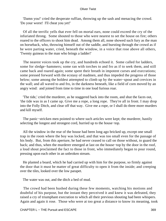'Damn you!' cried the desperate ruffian, throwing up the sash and menacing the crowd. 'Do your worst! I'll cheat you yet!'

 Of all the terrific yells that ever fell on mortal ears, none could exceed the cry of the infuriated throng. Some shouted to those who were nearest to set the house on fire; others roared to the officers to shoot him dead. Among them all, none showed such fury as the man on horseback, who, throwing himself out of the saddle, and bursting through the crowd as if he were parting water, cried, beneath the window, in a voice that rose above all others, 'Twenty guineas to the man who brings a ladder!'

 The nearest voices took up the cry, and hundreds echoed it. Some called for ladders, some for sledge−hammers; some ran with torches to and fro as if to seek them, and still came back and roared again; some spent their breath in impotent curses and execrations; some pressed forward with the ecstasy of madmen, and thus impeded the progress of those below; some among the boldest attempted to climb up by the water−spout and crevices in the wall; and all waved to and fro, in the darkness beneath, like a field of corn moved by an angry wind: and joined from time to time in one loud furious roar.

 'The tide,' cried the murderer, as he staggered back into the room, and shut the faces out, 'the tide was in as I came up. Give me a rope, a long rope. They're all in front. I may drop into the Folly Ditch, and clear off that way. Give me a rope, or I shall do three more murders and kill myself.

The panic–stricken men pointed to where such articles were kept; the murderer, hastily selecting the longest and strongest cord, hurried up to the house−top.

 All the window in the rear of the house had been long ago bricked up, except one small trap in the room where the boy was locked, and that was too small even for the passage of his body. But, from this aperture, he had never ceased to call on those without, to guard the back; and thus, when the murderer emerged at last on the house−top by the door in the roof, a loud shout proclaimed the fact to those in front, who immediately began to pour round, pressing upon each other in an unbroken stream.

 He planted a board, which he had carried up with him for the purpose, so firmly against the door that it must be matter of great difficulty to open it from the inside; and creeping over the tiles, looked over the low parapet.

The water was out, and the ditch a bed of mud.

 The crowd had been hushed during these few moments, watching his motions and doubtful of his purpose, but the instant they perceived it and knew it was defeated, they raised a cry of triumphant execration to which all their previous shouting had been whispers. Again and again it rose. Those who were at too great a distance to know its meaning, took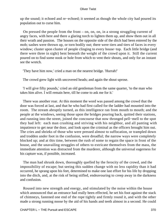up the sound; it echoed and re−echoed; it seemed as though the whole city had poured its population out to curse him.

 On pressed the people from the front – on, on, on, in a strong struggling current of angry faces, with here and there a glaring torch to lighten them up, and show them out in all their wrath and passion. The houses on the opposite side of the ditch had been entered by the mob; sashes were thrown up, or torn bodily out; there were tiers and tiers of faces in every window; cluster upon cluster of people clinging to every house−top. Each little bridge (and there were three in sight) bent beneath the weight of the crowd upon it. Still the current poured on to find some nook or hole from which to vent their shouts, and only for an instant see the wretch.

'They have him now,' cried a man on the nearest bridge. 'Hurrah!'

The crowd grew light with uncovered heads; and again the shout uprose.

 'I will give fifty pounds,' cried an old gentleman from the same quarter, 'to the man who takes him alive. I will remain here, till he come to ask me for it.'

 There was another roar. At this moment the word was passed among the crowd that the door was forced at last, and that he who had first called for the ladder had mounted into the room. The stream abruptly turned, as this intelligence ran from mouth to mouth; and the people at the windows, seeing those upon the bridges pouring back, quitted their stations, and running into the street, joined the concourse that now thronged pell−mell to the spot they had left: each man crushing and striving with his neighbor, and all panting with impatience to get near the door, and look upon the criminal as the officers brought him out. The cries and shrieks of those who were pressed almost to suffocation, or trampled down and trodden under foot in the confusion, were dreadful; the narrow ways were completely blocked up; and at this time, between the rush of some to regain the space in front of the house, and the unavailing struggles of others to extricate themselves from the mass, the immediate attention was distracted from the murderer, although the universal eagerness for his capture was, if possible, increased.

 The man had shrunk down, thoroughly quelled by the ferocity of the crowd, and the impossibility of escape; but seeing this sudden change with no less rapidity than it had occurred, he sprang upon his feet, determined to make one last effort for his life by dropping into the ditch, and, at the risk of being stifled, endeavouring to creep away in the darkness and confusion.

 Roused into new strength and energy, and stimulated by the noise within the house which announced that an entrance had really been effected, he set his foot against the stack of chimneys, fastened one end of the rope tightly and firmly round it, and with the other made a strong running noose by the aid of his hands and teeth almost in a second. He could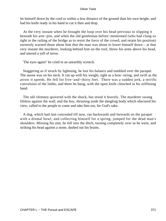let himself down by the cord to within a less distance of the ground than his own height, and had his knife ready in his hand to cut it then and drop.

 At the very instant when he brought the loop over his head previous to slipping it beneath his arm−pits, and when the old gentleman before−mentioned (who had clung so tight to the railing of the bridge as to resist the force of the crowd, and retain his position) earnestly warned those about him that the man was about to lower himself down – at that very instant the murderer, looking behind him on the roof, threw his arms above his head, and uttered a yell of terror.

'The eyes again!' he cried in an unearthly screech.

 Staggering as if struck by lightning, he lost his balance and tumbled over the parapet. The noose was on his neck. It ran up with his weight, tight as a bow−string, and swift as the arrow it speeds. He fell for five−and−thirty feet. There was a sudden jerk, a terrific convulsion of the limbs; and there he hung, with the open knife clenched in his stiffening hand.

 The old chimney quivered with the shock, but stood it bravely. The murderer swung lifeless against the wall; and the boy, thrusting aside the dangling body which obscured his view, called to the people to come and take him out, for God's sake.

 A dog, which had lain concealed till now, ran backwards and forwards on the parapet with a dismal howl, and collecting himself for a spring, jumped for the dead man's shoulders. Missing his aim, he fell into the ditch, turning completely over as he went; and striking his head against a stone, dashed out his brains.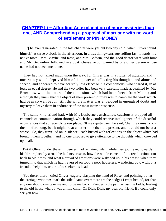# **[CHAPTER Li − Affording An explanation of more mysteries than](#page-396-0) [one, AND Comprehending a proposal of marriage with no word](#page-396-0) [of settlement or PIN−MONEY](#page-396-0)**

**The events narrated in the last chapter were yet but two days old, when Oliver found** himself, at three o'clock in the afternoon, in a travelling−carriage rolling fast towards his native town. Mrs. Maylie, and Rose, and Mrs. Bedwin, and the good doctor were with him: and Mr. Brownlow followed in a post−chaise, accompanied by one other person whose name had not been mentioned.

 They had not talked much upon the way; for Oliver was in a flutter of agitation and uncertainty which deprived him of the power of collecting his thoughts, and almost of speech, and appeared to have scarcely less effect on his companions, who shared it, in at least an equal degree. He and the two ladies had been very carefully made acquainted by Mr. Brownlow with the nature of the admissions which had been forced from Monks; and although they knew that the object of their present journey was to complete the work which had been so well begun, still the whole matter was enveloped in enough of doubt and mystery to leave them in endurance of the most intense suspense.

 The same kind friend had, with Mr. Losberne's assistance, cautiously stopped all channels of communication through which they could receive intelligence of the dreadful occurrences that so recently taken place. 'It was quite true,' he said, 'that they must know them before long, but it might be at a better time than the present, and it could not be at a worse.' So, they travelled on in silence: each busied with reflections on the object which had brought them together: and no one disposed to give utterance to the thoughts which crowded upon all.

 But if Oliver, under these influences, had remained silent while they journeyed towards his birth−place by a road he had never seen, how the whole current of his recollections ran back to old times, and what a crowd of emotions were wakened up in his breast, when they turned into that which he had traversed on foot: a poor houseless, wandering boy, without a friend to help him, or a roof to shelter his head.

 'See there, there!' cried Oliver, eagerly clasping the hand of Rose, and pointing out at the carriage window; 'that's the stile I came over; there are the hedges I crept behind, for fear any one should overtake me and force me back! Yonder is the path across the fields, leading to the old house where I was a little child! Oh Dick, Dick, my dear old friend, if I could only see you now!'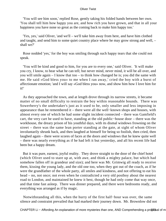'You will see him soon,' replied Rose, gently taking his folded hands between her own. 'You shall tell him how happy you are, and how rich you have grown, and that in all your happiness you have none so great as the coming back to make him happy too.'

 'Yes, yes,' said Oliver, 'and we'll – we'll take him away from here, and have him clothed and taught, and send him to some quiet country place where he may grow strong and well, – shall we?'

 Rose nodded 'yes,' for the boy was smiling through such happy tears that she could not speak.

 'You will be kind and good to him, for you are to every one,' said Oliver. 'It will make you cry, I know, to hear what he can tell; but never mind, never mind, it will be all over, and you will smile again – I know that too – to think how changed he is; you did the same with me. He said «God bless you» to me when I ran away,' cried the boy with a burst of affectionate emotion; 'and I will say «God bless you» now, and show him how I love him for it!'

 As they approached the town, and at length drove through its narrow streets, it became matter of no small difficulty to restrain the boy within reasonable bounds. There was Sowerberry's the undertaker's just as it used to be, only smaller and less imposing in appearance than he remembered it – there were all the well−known shops and houses, with almost every one of which he had some slight incident connected – there was Gamfield's cart, the very cart he used to have, standing at the old public−house door – there was the workhouse, the dreary prison of his youthful days, with its dismal windows frowning on the street – there was the same lean porter standing at the gate, at sight of whom Oliver involuntarily shrunk back, and then laughed at himself for being so foolish, then cried, then laughed again – there were scores of faces at the doors and windows that he knew quite well – there was nearly everything as if he had left it but yesterday, and all his recent life had been but a happy dream.

 But it was pure, earnest, joyful reality. They drove straight to the door of the chief hotel (which Oliver used to stare up at, with awe, and think a mighty palace, but which had somehow fallen off in grandeur and size); and here was Mr. Grimwig all ready to receive them, kissing the young lady, and the old one too, when they got out of the coach, as if he were the grandfather of the whole party, all smiles and kindness, and not offering to eat his head – no, not once; not even when he contradicted a very old postboy about the nearest road to London, and maintained he knew it best, though he had only come that way once, and that time fast asleep. There was dinner prepared, and there were bedrooms ready, and everything was arranged as if by magic.

 Notwithstanding all this, when the hurry of the first half−hour was over, the same silence and constraint prevailed that had marked their journey down. Mr. Brownlow did not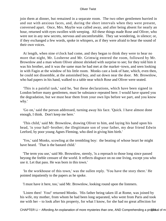join them at dinner, but remained in a separate room. The two other gentlemen hurried in and out with anxious faces, and, during the short intervals when they were present, conversed apart. Once, Mrs. Maylie was called away, and after being absent for nearly an hour, returned with eyes swollen with weeping. All these things made Rose and Oliver, who were not in any new secrets, nervous and uncomfortable. They sat wondering, in silence; or, if they exchanged a few words, spoke in whispers, as if they were afraid to hear the sound of their own voices.

 At length, when nine o'clock had come, and they began to think they were to hear no more that night, Mr. Losberne and Mr. Grimwig entered the room, followed by Mr. Brownlow and a man whom Oliver almost shrieked with surprise to see; for they told him it was his brother, and it was the same man he had met at the market−town, and seen looking in with Fagin at the window of his little room. Monks cast a look of hate, which, even then, he could not dissemble, at the astonished boy, and sat down near the door. Mr. Brownlow, who had papers in his hand, walked to a table near which Rose and Oliver were seated.

 'This is a painful task,' said he, 'but these declarations, which have been signed in London before many gentlemen, must be substance repeated here. I would have spared you the degradation, but we must hear them from your own lips before we part, and you know why.'

 'Go on,' said the person addressed, turning away his face. 'Quick. I have almost done enough, I think. Don't keep me here.'

 'This child,' said Mr. Brownlow, drawing Oliver to him, and laying his hand upon his head, 'is your half−brother; the illegitimate son of your father, my dear friend Edwin Leeford, by poor young Agnes Fleming, who died in giving him birth.'

 'Yes,' said Monks, scowling at the trembling boy: the beating of whose heart he might have heard. 'That is the bastard child.'

 'The term you use,' said Mr. Brownlow, sternly, 'is a reproach to those long since passed beyong the feeble censure of the world. It reflects disgrace on no one living, except you who use it. Let that pass. He was born in this town.'

 'In the workhouse of this town,' was the sullen reply. 'You have the story there.' He pointed impatiently to the papers as he spoke.

'I must have it here, too,' said Mr. Brownlow, looking round upon the listeners.

 'Listen then! You!' returned Monks. 'His father being taken ill at Rome, was joined by his wife, my mother, from whom he had been long separated, who went from Paris and took me with her – to look after his property, for what I know, for she had no great affection for

CHAPTER Li – Affording An explanation of more mysteries than one, AND Comprehending a proposition of m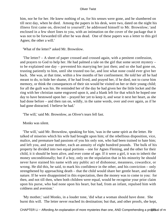him, nor he for her. He knew nothing of us, for his senses were gone, and he slumbered on till next day, when he died. Among the papers in his desk, were two, dated on the night his illness first came on, directed to yourself'; he addressed himself to Mr. Brownlow; 'and enclosed in a few short lines to you, with an intimation on the cover of the package that it was not to be forwarded till after he was dead. One of these papers was a letter to this girl Agnes; the other a will.'

'What of the letter?' asked Mr. Brownlow.

 'The letter? – A sheet of paper crossed and crossed again, with a penitent confession, and prayers to God to help her. He had palmed a tale on the girl that some secret mystery – to be explained one day – prevented his marrying her just then; and so she had gone on, trusting patiently to him, until she trusted too far, and lost what none could ever give her back. She was, at that time, within a few months of her confinement. He told her all he had meant to do, to hide her shame, if he had lived, and prayed her, if he died, not to curse him memory, or think the consequences of their sin would be visited on her or their young child; for all the guilt was his. He reminded her of the day he had given her the little locket and the ring with her christian name engraved upon it, and a blank left for that which he hoped one day to have bestowed upon her – prayed her yet to keep it, and wear it next her heart, as she had done before – and then ran on, wildly, in the same words, over and over again, as if he had gone distracted. I believe he had.'

'The will,' said Mr. Brownlow, as Oliver's tears fell fast.

Monks was silent.

 'The will,' said Mr. Brownlow, speaking for him, 'was in the same spirit as the letter. He talked of miseries which his wife had brought upon him; of the rebellious disposition, vice, malice, and premature bad passions of you his only son, who had been trained to hate him; and left you, and your mother, each an annuity of eight hundred pounds. The bulk of his property he divided into two equal portions – one for Agnes Fleming, and the other for their child, it it should be born alive, and ever come of age. If it were a girl, it was to inherit the money unconditionally; but if a boy, only on the stipulation that in his minority he should never have stained his name with any public act of dishonour, meanness, cowardice, or wrong. He did this, he said, to mark his confidence in the other, and his conviction – only strengthened by approaching death – that the child would share her gentle heart, and noble nature. If he were disappointed in this expectation, then the money was to come to you: for then, and not till then, when both children were equal, would he recognise your prior claim upon his purse, who had none upon his heart, but had, from an infant, repulsed him with coldness and aversion.'

 'My mother,' said Monks, in a louder tone, 'did what a woman should have done. She burnt this will. The letter never reached its destination; but that, and other proofs, she kept,

CHAPTER Li − Affording An explanation of more mysteries than one, AND Comprehending a proport of m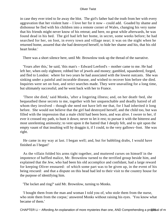in case they ever tried to lie away the blot. The girl's father had the truth from her with every aggravation that her violent hate – I love her for it now – could add. Goaded by shame and dishonour he fled with his children into a remote corner of Wales, changing his very name that his friends might never know of his retreat; and here, no great while afterwards, he was found dead in his bed. The girl had left her home, in secret, some weeks before; he had searched for her, on foot, in every town and village near; it was on the night when he returned home, assured that she had destroyed herself, to hide her shame and his, that his old heart broke.'

There was a short silence here, until Mr. Brownlow took up the thread of the narrative.

 'Years after this,' he said, 'this man's – Edward Leeford's – mother came to me. He had left her, when only eighteen; robbed her of jewels and money; gambled, squandered, forged, and fled to London: where for two years he had associated with the lowest outcasts. She was sinking under a painful and incurable disease, and wished to recover him before she died. Inquiries were set on foot, and strict searches made. They were unavailing for a long time, but ultimately successful; and he went back with her to France.

 'There she died,' said Monks, 'after a lingering illness; and, on her death−bed, she bequeathed these secrets to me, together with her unquenchable and deadly hatred of all whom they involved – though she need not have left me that, for I had inherited it long before. She would not believe that the girl had destroyed herself, and the child too, but was filled with the impression that a male child had been born, and was alive. I swore to her, if ever it crossed my path, to hunt it down; never to let it rest; to pursue it with the bitterest and most unrelenting animosity; to vent upon it the hatred that I deeply felt, and to spit upon the empty vaunt of that insulting will by draggin it, if I could, to the very gallows−foot. She was right.

 He came in my way at last. I began well; and, but for babbling drabs, I would have finished as I began!'

 As the villain folded his arms tight together, and muttered curses on himself in the impotence of baffled malice, Mr. Brownlow turned to the terrified group beside him, and explained that the Jew, who had been his old accomplice and confidant, had a large reward for keeping Oliver ensnared: of which some part was to be given up, in the event of his being rescued: and that a dispute on this head had led to their visit to the country house for the purpose of identifying him.

'The locket and ring?' said Mr. Brownlow, turning to Monks.

 'I bought them from the man and woman I told you of, who stole them from the nurse, who stole them from the corpse,' answered Monks without raising his eyes. 'You know what became of them.'

CHAPTER Li – Affording An explanation of more mysteries than one, AND Comprehending a proposal of m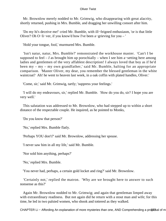Mr. Brownlow merely nodded to Mr. Grimwig, who disappearing with great alacrity, shortly returned, pushing in Mrs. Bumble, and dragging her unwilling consort after him.

 'Do my hi's deceive me!' cried Mr. Bumble, with ill−feigned enthusiasm, 'or is that little Oliver? Oh O−li−ver, if you know'd how I've been a−grieving for you – '

'Hold your tongue, fool,' murmured Mrs. Bumble.

 'Isn't natur, natur, Mrs. Bumble?' remonstrated the workhouse master. 'Can't I be supposed to feel – *I* as brought him up porochially – when I see him a−setting here among ladies and gentlemen of the very affablest description! I always loved that boy as if he'd been my – my – my own grandfather,' said Mr. Bumble, halting for an appropriate comparison. 'Master Oliver, my dear, you remember the blessed gentleman in the white waistcoat? Ah! he went to heaven last week, in a oak coffin with plated handles, Oliver.'

'Come, sir,' said Mr. Grimwig, tartly; 'suppress your feelings.'

 'I will do my endeavours, sir,' replied Mr. Bumble. 'How do you do, sir? I hope you are very well.'

 This salutation was addressed to Mr. Brownlow, who had stepped up to within a short distance of the respectable couple. He inquired, as he pointed to Monks,

'Do you know that person?'

'No,' replied Mrs. Bumble flatly.

'Perhaps YOU don't?' said Mr. Brownlow, addressing her spouse.

'I never saw him in all my life,' said Mr. Bumble.

'Nor sold him anything, perhaps?'

'No,' replied Mrs. Bumble.

'You never had, perhaps, a certain gold locket and ring?' said Mr. Brownlow.

 'Certainly not,' replied the matron. 'Why are we brought here to answer to such nonsense as this?'

 Again Mr. Brownlow nodded to Mr. Grimwig; and again that gentleman limped away with extraordinary readiness. But not again did he return with a stout man and wife; for this time, he led in two palsied women, who shook and tottered as they walked.

CHAPTER Li − Affording An explanation of more mysteries than one, AND Comprehending a proposal of m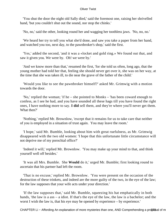'You shut the door the night old Sally died,' said the foremost one, raising her shrivelled hand, 'but you couldn't shut out the sound, nor stop the chinks.'

'No, no,' said the other, looking round her and wagging her toothless jaws. 'No, no, no.'

 'We heard her try to tell you what she'd done, and saw you take a paper from her hand, and watched you too, next day, to the pawnbroker's shop,' said the first.

 'Yes,' added the second, 'and it was a «locket and gold ring.» We found out that, and saw it given you. We were by. Oh! we were by.'

 'And we know more than that,' resumed the first, 'for she told us often, long ago, that the young mother had told her that, feeling she should never get over it, she was on her way, at the time that she was taken ill, to die near the grave of the father of the child.'

 'Would you like to see the pawnbroker himself?' asked Mr. Grimwig with a motion towards the door.

 'No,' replied the woman; 'if he – she pointed to Monks – 'has been coward enough to confess, as I see he had, and you have sounded all these hags till you have found the right ones, I have nothing more to say. **I did** sell them, and they're where you'll never get them. What then?'

 'Nothing,' replied Mr. Brownlow, 'except that it remains for us to take care that neither of you is employed in a situation of trust again. You may leave the room.'

 'I hope,' said Mr. Bumble, looking about him with great ruefulness, as Mr. Grimwig disappeared with the two old women: 'I hope that this unfortunate little circumstance will not deprive me of my porochial office?'

 'Indeed it will,' replied Mr. Brownlow. 'You may make up your mind to that, and think yourself well off besides.'

 'It was all Mrs. Bumble. She **Would** do it,' urged Mr. Bumble; first looking round to ascertain that his partner had left the room.

 'That is no excuse,' replied Mr. Brownlow. 'You were present on the occasion of the destruction of these trinkets, and indeed are the more guilty of the two, in the eye of the law; for the law supposes that your wife acts under your direction.'

 'If the law supposes that,' said Mr. Bumble, squeezing his hat emphatically in both hands, 'the law is a ass – a idiot. If that's the eye of the law, the law is a bachelor; and the worst I wish the law is, that his eye may be opened by experience – by experience.'

CHAPTER Li – Affording An explanation of more mysteries than one, AND Comprehending a proposal of m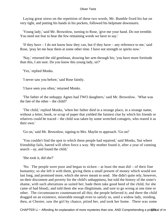Laying great stress on the repetition of these two words, Mr. Bumble fixed his hat on very tight, and putting his hands in his pockets, followed his helpmate downstairs.

 'Young lady,' said Mr. Brownlow, turning to Rose, 'give me your hand. Do not tremble. You need not fear to hear the few remaining words we have to say.'

 'If they have – I do not know how they can, but if they have – any reference to me,' said Rose, 'pray let me hear them at some other time. I have not strength or spirits now.'

 'Nay,' returned the old gentlman, drawing her arm through his; 'you have more fortitude than this, I am sure. Do you know this young lady, sir?'

'Yes,' replied Monks.

'I never saw you before,' said Rose faintly.

'I have seen you often,' returned Monks.

 'The father of the unhappy Agnes had TWO daughters,' said Mr. Brownlow. 'What was the fate of the other – the child?'

 'The child,' replied Monks, 'when her father died in a strange place, in a strange name, without a letter, book, or scrap of paper that yielded the faintest clue by which his friends or relatives could be traced – the child was taken by some wretched cottagers, who reared it as their own.'

'Go on,' said Mr. Brownlow, signing to Mrs. Maylie to approach. 'Go on!'

 'You couldn't find the spot to which these people had repaired,' said Monks, 'but where friendship fails, hatred will often force a way. My mother found it, after a year of cunning search – ay, and found the child.'

'She took it, did she?'

 'No. The people were poor and began to sicken – at least the man did – of their fine humanity; so she left it with them, giving them a small present of money which would not last long, and promised more, which she never meant to send. She didn't quite rely, however, on their discontent and poverty for the child's unhappiness, but told the history of the sister's shame, with such alterations as suited her; bade them take good heed of the child, for she came of bad blood;; and told them she was illegitimate, and sure to go wrong at one time or other. The circumstances countenanced all this; the people believed it; and there the child dragged on an existence, miserable enough even to satisfy us, until a widow lady, residing, then, at Chester, saw the girl by chance, pitied her, and took her home. There was some

CHAPTER Li – Affording An explanation of more mysteries than one, AND Comprehending a proposeal of m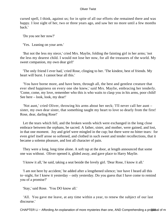cursed spell, I think, against us; for in spite of all our efforts she remained there and was happy. I lost sight of her, two or three years ago, and saw her no more until a few months back.'

'Do you see her now?'

'Yes. Leaning on your arm.'

 'But not the less my niece,' cried Mrs. Maylie, folding the fainting girl in her arms; 'not the less my dearest child. I would not lose her now, for all the treasures of the world. My sweet companion, my own dear girl!'

 'The only friend I ever had,' cried Rose, clinging to her. 'The kindest, best of friends. My heart will burst. I cannot bear all this.'

 'You have borne more, and have been, through all, the best and gentlest creature that ever shed happiness on every one she knew,' said Mrs. Maylie, embracing her tenderly. 'Come, come, my love, remember who this is who waits to clasp you in his arms, poor child! See here – look, look, my dear!'

 'Not aunt,' cried Oliver, throwing his arms about her neck; 'I'll never call her aunt – sister, my own dear sister, that something taught my heart to love so dearly from the first! Rose, dear, darling Rose!'

 Let the tears which fell, and the broken words which were exchanged in the long close embrace between the orphans, be sacred. A father, sister, and mother, were gained, and lost, in that one moment. Joy and grief were mingled in the cup; but there were no bitter tears: for even grief itself arose so softened, and clothed in such sweet and tender recollections, that it became a solemn pleasure, and lost all character of pain.

 They were a long, long time alone. A soft tap at the door, at length announced that some one was without. Oliver opened it, glided away, and gave place to Harry Maylie.

'I know it all,' he said, taking a seat beside the lovely girl. 'Dear Rose, I know it all.'

 'I am not here by accident,' he added after a lengthened silence; 'nor have I heard all this to−night, for I knew it yesterday – only yesterday. Do you guess that I have come to remind you of a promise?'

'Stay,' said Rose. 'You DO know all.'

 'All. You gave me leave, at any time within a year, to renew the subject of our last discourse.'

CHAPTER Li – Affording An explanation of more mysteries than one, AND Comprehending a pro\$80sal of m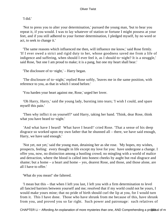'I did.'

 'Not to press you to alter your determination,' pursued the young man, 'but to hear you repeat it, if you would. I was to lay whatever of station or fortune I might possess at your feet, and if you still adhered to your former determination, I pledged myself, by no word or act, to seek to change it.'

 'The same reasons which influenced me then, will influence me know,' said Rose firmly. 'If I ever owed a strict and rigid duty to her, whose goodness saved me from a life of indigence and suffering, when should I ever feel it, as I should to−night? It is a struggle,' said Rose, 'but one I am proud to make; it is a pang, but one my heart shall bear.'

'The disclosure of to−night,' – Harry began.

 'The disclosure of to−night,' replied Rose softly, 'leaves me in the same position, with reference to you, as that in which I stood before.'

'You harden your heart against me, Rose,' urged her lover.

 'Oh Harry, Harry,' said the young lady, bursting into tears; 'I wish I could, and spare myself this pain.'

 'Then why inflict it on yourself?' said Harry, taking her hand. 'Think, dear Rose, think what you have heard to−night.'

 'And what have I heard! What have I heard!' cried Rose. 'That a sense of his deep disgrace so worked upon my own father that he shunned all – there, we have said enough, Harry, we have said enough.'

 'Not yet, not yet,' said the young man, detaining her as she rose. 'My hopes, my wishes, prospects, feeling: every thought in life except my love for you: have undergone a change. I offer you, now, no distinction among a bustling crowd; no mingling with a world of malice and detraction, where the blood is called into honest cheeks by aught but real disgrace and shame; but a home – a heart and home – yes, dearest Rose, and those, and those alone, are all I have to offer.'

'What do you mean!' she faltered.

 'I mean but this – that when I left you last, I left you with a firm determination to level all fancied barriers between yourself and me; resolved that if my world could not be yours, I would make yours mine; that no pride of birth should curl the lip at you, for I would turn from it. This I have done. Those who have shrunk from me because of this, have shrunk from you, and proved you so far right. Such power and patronage: such relatives of

CHAPTER Li – Affording An explanation of more mysteries than one, AND Comprehending a pro\$86tsal of m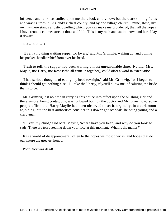influence and rank: as smiled upon me then, look coldly now; but there are smiling fields and waving trees in England's richest county; and by one village church – mine, Rose, my own! – there stands a rustic dwelling which you can make me prouder of, than all the hopes I have renounced, measured a thousandfold. This is my rank and station now, and here I lay it down!'

\* **\*** \* \* \* \* \*

 'It's a trying thing waiting supper for lovers,' said Mr. Grimwig, waking up, and pulling his pocket−handkerchief from over his head.

 Truth to tell, the supper had been waiting a most unreasonable time. Neither Mrs. Maylie, nor Harry, nor Rose (who all came in together), could offer a word in extenuation.

 'I had serious thoughts of eating my head to−night,' said Mr. Grimwig, 'for I began to think I should get nothing else. I'll take the liberty, if you'll allow me, of saluting the bride that is to be.'

 Mr. Grimwig lost no time in carrying this notice into effect upon the blushing girl; and the example, being contagious, was followed both by the doctor and Mr. Brownlow: some people affirm that Harry Maylie had been observed to set it, orginally, in a dark room adjoining; but the best authorities consider this downright scandal: he being young and a clergyman.

 'Oliver, my child,' said Mrs. Maylie, 'where have you been, and why do you look so sad? There are tears stealing down your face at this moment. What is the matter?'

 It is a world of disappointment: often to the hopes we most cherish, and hopes that do our nature the greatest honour.

Poor Dick was dead!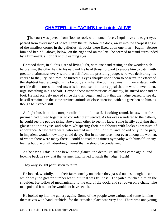# **[CHAPTER Lii − FAGIN'S Last night ALIVE](#page-396-0)**

**The court was paved, from floor to roof, with human faces. Inquisitive and eager eyes** peered from every inch of space. From the rail before the dock, away into the sharpest angle of the smallest corner in the galleries, all looks were fixed upon one man – Fagin. Before him and behind: above, below, on the right and on the left: he seemed to stand surrounded by a firmament, all bright with gleaming eyes.

 He stood there, in all this glare of living light, with one hand resting on the wooden slab before him, the other held to his ear, and his head thrust forward to enable him to catch with greater distinctness every word that fell from the presiding judge, who was delivering his charge to the jury. At times, he turned his eyes sharply upon them to observe the effect of the slightest featherweight in his favour; and when the points against him were stated with terrible distinctness, looked towards his counsel, in mute appeal that he would, even then, urge something in his behalf. Beyond these manifestations of anxiety, he stirred not hand or foot. He had scarcely moved since the trial began; and now that the judge ceased to speak, he still remained in the same strained attitude of close attention, with his gaze ben on him, as though he listened still.

 A slight bustle in the court, recalled him to himself. Looking round, he saw that the juryman had turned together, to consider their verdict. As his eyes wandered to the gallery, he could see the people rising above each other to see his face: some hastily applying their glasses to their eyes: and others whispering their neighbours with looks expressive of abhorrence. A few there were, who seemed unmindful of him, and looked only to the jury, in impatient wonder how they could delay. But in no one face – not even among the women, of whom there were many there – could he read the faintest sympathy with himself, or any feeling but one of all−absorbing interest that he should be condemned.

 As he saw all this in one bewildered glance, the deathlike stillness came again, and looking back he saw that the jurymen had turned towards the judge. Hush!

They only sought permission to retire.

 He looked, wistfully, into their faces, one by one when they passed out, as though to see which way the greater number leant; but that was fruitless. The jailed touched him on the shoulder. He followed mechanically to the end of the dock, and sat down on a chair. The man pointed it out, or he would not have seen it.

 He looked up into the gallery again. Some of the people were eating, and some fanning themselves with handkerchiefs; for the crowded place was very hot. There was one young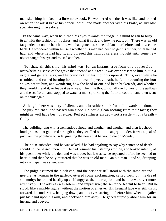man sketching his face in a little note−book. He wondered whether it was like, and looked on when the artist broke his pencil−point, and made another with his knife, as any idle spectator might have done.

 In the same way, when he turned his eyes towards the judge, his mind began to busy itself with the fashion of his dress, and what it cost, and how he put it on. There was an old fat gentleman on the bench, too, who had gone out, some half an hour before, and now come back. He wondered within himself whether this man had been to get his dinner, what he had had, and where he had had it; and pursued this train of careless thought until some new object caught his eye and roused another.

 Not that, all this time, his mind was, for an instant, free from one oppressive overwhelming sense of the grave that opened at his feet; it was ever present to him, but in a vague and general way, and he could not fix his thoughts upon it. Thus, even while he trembled, and turned burning hot at the idea of speedy death, he fell to counting the iron spikes before him, and wondering how the head of one had been broken off, and whether they would mend it, or leave it as it was. Then, he thought of all the horrors of the gallows and the scaffold – and stopped to watch a man sprinkling the floor to cool it – and then went on to think again.

 At length there was a cry of silence, and a breathless look from all towards the door. The jury returned, and passed him close. He could glean nothing from their faces; they might as well have been of stone. Perfect stillness ensued – not a rustle – not a breath – Guilty.

 The building rang with a tremendous shout, and another, and another, and then it echoed loud groans, that gathered strength as they swelled out, like angry thunder. It was a peal of joy from the populace outside, greeting the news that he would die on Monday.

 The noise subsided, and he was asked if he had anything to say why sentence of death should not be passed upon him. He had resumed his listening attitude, and looked intently at his questioner while the demand was made; but it was twice repeated before he seemed to hear it, and then he only muttered that he was an old man – an old man – and so, dropping into a whisper, was silent again.

 The judge assumed the black cap, and the prisoner still stood with the same air and gesture. A woman in the gallery, uttered some exclamation, called forth by this dread solemnity; he looked hastily up as if angry at the interruption, and bent forward yet more attentively. The address was solemn and impressive; the sentence fearful to hear. But he stood, like a marble figure, without the motion of a nerve. His haggard face was still thrust forward, his under−jaw hanging down, and his eyes staring out before him, when the jailer put his hand upon his arm, and beckoned him away. He gazed stupidly about him for an instant, and obeyed.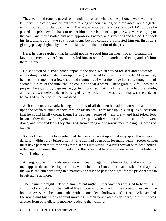They led him through a paved room under the court, where some prisoners were waiting till their turns came, and others were talking to their friends, who crowded round a grate which looked into the open yard. There was nobody there to speak to HIM; but, as he passed, the prisoners fell back to render him more visible to the people who were clinging to the bars: and they assailed him with opprobrious names, and screeched and hissed. He shook his fist, and would have spat upon them; but his conductors hurried him on, through a gloomy passage lighted by a few dim lamps, into the interior of the prison.

 Here, he was searched, that he might not have about him the means of anticipating the law; this ceremony performed, they led him to one of the condemned cells, and left him there – alone.

 He sat down on a stone bench opposite the door, which served for seat and bedstead; and casting his blood−shot eyes upon the ground, tried to collect his thoughts. After awhile, he began to remember a few disjointed fragments of what the judge had said: though it had seemed to him, at the time, that he could not hear a word. These gradually fell into their proper places, and by degrees suggested more: so that in a little time he had the whole, almost as it was delivered. To be hanged by the neck, till he was dead – that was the end. To be hanged by the neck till he was dead.

 As it came on very dark, he began to think of all the men he had known who had died upon the scaffold; some of them through his means. They rose up, in such quick succession, that he could hardly count them. He had seen some of them die, – and had joked too, because they died with prayers upon their lips. With what a rattling noise the drop went down; and how suddenly they changed, from strong and vigorous men to dangling heaps of clothes!

 Some of them might have inhabited that very cell – sat upon that very spot. It was very dark; why didn't they bring a light? The cell had been built for many years. Scores of men must have passed their last hours there. It was like sitting in a vault strewn with dead bodies – the cap, the noose, the pinioned arms, the faces that he knew, even beneath that hideous veil. – Light, light!

 At length, when his hands were raw with beating against the heavy door and walls, two men appeared: one bearing a candle, which he thrust into an iron candlestick fixed against the wall: the other dragging in a mattress on which to pass the night; for the prisoner was to be left alone no more.

 Then came the night – dark, dismal, silent night. Other watchers are glad to hear this church−clock strike, for they tell of life and coming day. To him they brought despair. The boom of every iron bell came laden with the one, deep, hollow sound – Death. What availed the noise and bustle of cheerful morning, which penetrated even there, to him? It was another form of knell, with mockery added to the warning.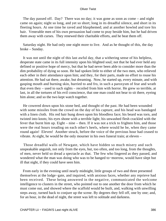The day passed off. Day? There was no day; it was gone as soon as come – and night came on again; night so long, and yet so short; long in its dreadful silence, and short in its fleeting hours. At one time he raved and blasphemed; and at another howled and tore his hair. Venerable men of his own persuasion had come to pray beside him, but he had driven them away with curses. They renewed their charitable efforts, and he beat them off.

 Saturday night. He had only one night more to live. And as he thought of this, the day broke – Sunday.

 It was not until the night of this last awful day, that a withering sense of his helpless, desperate state came in its full intensity upon his blighted soul; not that he had ever held any defined or positive hope of mercy, but that he had never been able to consider more than the dim probability of dying so soon. He had spoken little to either of the two men, who relieved each other in their attendance upon him; and they, for their parts, made no effort to rouse his attention. He had sat there, awake, but dreaming. Now, he started up, every minute, and with gasping mouth and burning skin, hurried to and fro, in such a paroxysm of fear and wrath that even they – used to such sights – recoiled from him with horror. He grew so terrible, at last, in all the tortures of his evil conscience, that one man could not bear to sit there, eyeing him alone; and so the two kept watch together.

 He cowered down upon his stone bed, and thought of the past. He had been wounded with some missiles from the crowd on the day of his capture, and his head was bandaged with a linen cloth. His red hair hung down upon his bloodless face; his beard was torn, and twisted into knots; his eyes shone with a terrible light; his unwashed flesh crackled with the fever that burnt him up. Eight – nine – then. If it was not a trick to frighten him, and those were the real hours treading on each other's heels, where would he be, when they came round again! Eleven! Another struck, before the voice of the previous hour had ceased to vibrate. At eight, he would be the only mourner in his own funeral train; at eleven –

 Those dreadful walls of Newgate, which have hidden so much misery and such unspeakable anguish, not only from the eyes, but, too often, and too long, from the thoughts, of men, never held so dread a spectacle as that. The few who lingered as they passed, and wondered what the man was doing who was to be hanged to−morrow, would have slept but ill that night, if they could have seen him.

 From early in the evening until nearly midnight, little groups of two and three presented themselves at the lodge−gate, and inquired, with anxious faces, whether any reprieve had been received. These being answered in the negative, communicated the welcome intelligence to clusters in the street, who pointed out to one another the door from which he must come out, and showed where the scaffold would be built, and, walking with unwilling steps away, turned back to conjure up the scene. By degrees they fell off, one by one; and, for an hour, in the dead of night, the street was left to solitude and darkness.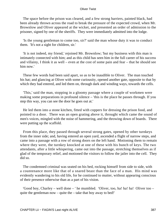The space before the prison was cleared, and a few strong barriers, painted black, had been already thrown across the road to break the pressure of the expected crowd, when Mr. Brownlow and Oliver appeared at the wicket, and presented an order of admission to the prisoner, signed by one of the sheriffs. They were immediately admitted into the lodge.

 'Is the young gentleman to come too, sir?' said the man whose duty it was to conduct them. 'It's not a sight for children, sir.'

 'It is not indeed, my friend,' rejoined Mr. Brownlow; 'but my business with this man is intimately connected with him; and as this child has seen him in the full career of his success and villainy, I think it as well – even at the cost of some pain and fear – that he should see him now.'

 These few words had been said apart, so as to be inaudible to Oliver. The man touched his hat; and glancing at Oliver with some curiousity, opened another gate, opposite to that by which they had entered, and led them on, through dark and winding ways, towards the cells.

 'This,' said the man, stopping in a gloomy passage where a couple of workmen were making some preparations in profound silence – 'this is the place he passes through. If you step this way, you can see the door he goes out at.'

 He led them into a stone kitchen, fitted with coppers for dressing the prison food, and pointed to a door. There was an open grating above it, throught which came the sound of men's voices, mingled with the noise of hammering, and the throwing down of boards. There were putting up the scaffold.

 From this place, they passed through several strong gates, opened by other turnkeys from the inner side; and, having entered an open yard, ascended a flight of narrow steps, and came into a passage with a row of strong doors on the left hand. Motioning them to remain where they were, the turnkey knocked at one of these with his bunch of keys. The two attendants, after a little whispering, came out into the passage, stretching themselves as if glad of the temporary relief, and motioned the visitors to follow the jailer into the cell. They did so.

 The condemned criminal was seated on his bed, rocking himself from side to side, with a countenance more like that of a snared beast than the face of a man. His mind was evidently wandering to his old life, for he continued to mutter, without appearing conscious of their presence otherwise than as a part of his vision.

 'Good boy, Charley – well done – ' he mumbled. 'Oliver, too, ha! ha! ha! Oliver too – quite the gentleman now – quite the – take that boy away to bed!'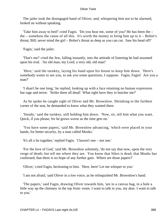The jailer took the disengaged hand of Oliver; and, whispering him not to be alarmed, looked on without speaking.

 'Take him away to bed!' cried Fagin. 'Do you hear me, some of you? He has been the – the – somehow the cause of all this. It's worth the money to bring him up to it – Bolter's throat, Bill; never mind the girl – Bolter's throat as deep as you can cut. Saw his head off!'

'Fagin,' said the jailer.

 'That's me!' cried the Jew, falling instantly, into the attitude of listening he had assumed upon his trial. 'An old man, my Lord; a very old, old man!'

 'Here,' said the turnkey, laying his hand upon his breast to keep him down. 'Here's somebody wants to see you, to ask you some questions, I suppose. Fagin, Fagin! Are you a man?'

 'I shan't be one long,' he replied, looking up with a face retaining no human expression but rage and terror. 'Strike them all dead! What right have they to butcher me?'

 As he spoke he caught sight of Oliver and Mr. Brownlow. Shrinking to the furthest corner of the seat, he demanded to know what they wanted there.

 'Steady,' said the turnkey, still holding him down. 'Now, sir, tell him what you want. Quick, if you please, for he grows worse as the time gets on.'

 'You have some papers,' said Mr. Brownlow advancing, 'which were placed in your hands, for better security, by a man called Monks.'

'It's all a lie together,' replied Fagin. 'I haven't one – not one.'

 'For the love of God,' said Mr. Brownlow solemnly, 'do not say that now, upon the very verge of death; but tell me where they are. You know that Sikes is dead; that Monks has confessed; that there is no hope of any further gain. Where are those papers?'

'Oliver,' cried Fagin, beckoning to him. 'Here, here! Let me whisper to you.'

'I am not afraid,' said Oliver in a low voice, as he relinquished Mr. Brownlow's hand.

 'The papers,' said Fagin, drawing Oliver towards him, 'are in a canvas bag, in a hole a little way up the chimney in the top front−room. I want to talk to you, my dear. I want to talk to you.'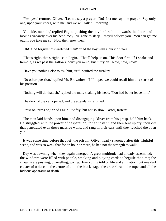'Yes, yes,' returned Oliver. 'Let me say a prayer. Do! Let me say one prayer. Say only one, upon your knees, with me, and we will talk till morning.'

 'Outside, outside,' replied Fagin, pushing the boy before him towards the door, and looking vacantly over his head. 'Say I've gone to sleep – they'll believe you. You can get me out, if you take me so. Now then, now then!'

'Oh! God forgive this wretched man!' cried the boy with a burst of tears.

 'That's right, that's right,' said Fagin. 'That'll help us on. This door first. If I shake and tremble, as we pass the gallows, don't you mind, but hurry on. Now, now, now!'

'Have you nothing else to ask him, sir?' inquired the turnkey.

 'No other question,' replied Mr. Brownlow. 'If I hoped we could recall him to a sense of his position – '

'Nothing will do that, sir,' replied the man, shaking his head. 'You had better leave him.'

The door of the cell opened, and the attendants returned.

'Press on, press on,' cried Fagin. 'Softly, but not so slow. Faster, faster!'

 The men laid hands upon him, and disengaging Oliver from his grasp, held him back. He struggled with the power of desperation, for an instant; and then sent up cry upon cry that penetrated even those massive walls, and rang in their ears until they reached the open yard.

 It was some time before they left the prison. Oliver nearly swooned after this frightful scene, and was so weak that for an hour or more, he had not the strength to walk.

Day was dawning when they again emerged. A great multitude had already assembled; the windows were filled with people, smoking and playing cards to beguile the time; the crowd were pushing, quarrelling, joking. Everything told of life and animation, but one dark cluster of objects in the centre of all – the black stage, the cross−beam, the rope, and all the hideous apparatus of death.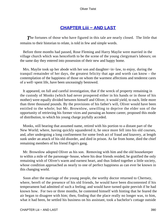## **[CHAPTER Liii − AND LAST](#page-396-0)**

**The fortunes of those who have figured in this tale are nearly closed. The little that** remains to their historian to relate, is told in few and simple words.

 Before three months had passed, Rose Fleming and Harry Maylie were married in the village church which was henceforth to be the scene of the young clergyman's labours; on the same day they entered into possession of their new and happy home.

 Mrs. Maylie took up her abode with her son and daughter−in−law, to enjoy, during the tranquil remainder of her days, the greatest felicity that age and worth can know – the contemplation of the happiness of those on whom the warmest affections and tenderest cares of a well−spent life, have been unceasingly bestowed.

 It appeared, on full and careful investigation, that if the wreck of property remaining in the custody of Monks (which had never prospered either in his hands or in those of his mother) were equally divided between himself and Oliver, it would yield, to each, little more than three thousand pounds. By the provisions of his father's will, Oliver would have been entitled to the whole; but Mr. Brownlow, unwilling to deprive the elder son of the opportunity of retrieving his former vices and pursuing an honest career, proposed this mode of distribution, to which his young charge joyfully acceded.

 Monks, still bearing that assumed name, retired with his portion to a distant part of the New World; where, having quickly squandered it, he once more fell into his old courses, and, after undergoing a long confinement for some fresh act of fraud and knavery, at length sunk under an attack of his old disorder, and died in prison. As far from home, died the chief remaining members of his friend Fagin's gang.

 Mr. Brownlow adopted Oliver as his son. Removing with him and the old housekeeper to within a mile of the parsonage−house, where his dear friends resided, he gratified the only remaining wish of Oliver's warm and earnest heart, and thus linked together a little society, whose condition approached as nearly to one of perfect happiness as can ever be known in this changing world.

 Soon after the marriage of the young people, the worthy doctor returned to Chertsey, where, bereft of the presence of his old friends, he would have been discontented if his temperament had admitted of such a feeling; and would have turned quite peevish if he had known how. For two or three months, he contented himself with hinting that he feared the air began to disagree with him; then, finding that the place really no longer was, to him, what it had been, he settled his business on his assistant, took a bachelor's cottage outside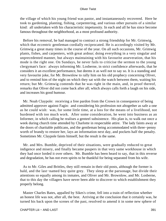the village of which his young friend was pastor, and instantaneously recovered. Here he took to gardening, planting, fishing, carpentering, and various other pursuits of a similar kind: all undertaken with his characteristic impetuosity. In each and all he has since become famous throughout the neighborhood, as a most profound authority.

 Before his removal, he had managed to contract a strong friendship for Mr. Grimwig, which that eccentric gentleman cordially reciprocated. He is accordingly visited by Mr. Grimwig a great many times in the course of the year. On all such occasions, Mr. Grimwig plants, fishes, and carpenters, with great ardour; doing everything in a very singular and unprecedented manner, but always maintaining with his favourite asseveration, that his mode is the right one. On Sundays, he never fails to criticise the sermon to the young clergyman's face: always informing Mr. Losberne, in strict confidence afterwards, that he considers it an excellent performance, but deems it as well not to say so. It is a standing and very favourite joke, for Mr. Brownlow to rally him on his old prophecy concerning Oliver, and to remind him of the night on which they sat with the watch between them, waiting his return; but Mr. Grimwig contends that he was right in the main, and, in proof thereof, remarks that Oliver did not come back after all; which always calls forth a laugh on his side, and increases his good humour.

 Mr. Noah Claypole: receiving a free pardon from the Crown in consequence of being admitted approver against Fagin: and considering his profession not altogether as safe a one as he could wish: was, for some little time, at a loss for the means of a livelihood, not burdened with too much work. After some consideration, he went into business as an Informer, in which calling he realises a genteel subsistence. His plan is, to walk out once a week during church time attended by Charlotte in respectable attire. The lady faints away at the doors of charitable publicans, and the gentleman being accommodated with three−penny worth of brandy to restore her, lays an information next day, and pockets half the penalty. Sometimes Mr. Claypole faints himself, but the result is the same.

 Mr. and Mrs. Bumble, deprived of their situations, were gradually reduced to great indigence and misery, and finally became paupers in that very same workhouse in which they had once lorded it over others. Mr. Bumble has been heard to say, that in this reverse and degradation, he has not even spirits to be thankful for being separated from his wife.

 As to Mr. Giles and Brittles, they still remain in their old posts, although the former is bald, and the last−named boy quite grey. They sleep at the parsonage, but divide their attentions so equally among its inmates, and Oliver and Mr. Brownlow, and Mr. Losberne, that to this day the villagers have never been able to discover to which establishment they properly belong.

 Master Charles Bates, appalled by Sikes's crime, fell into a train of reflection whether an honest life was not, after all, the best. Arriving at the conclusion that it certainly was, he turned his back upon the scenes of the past, resolved to amend it in some new sphere of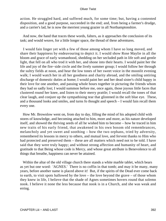action. He struggled hard, and suffered much, for some time; but, having a contented disposition, and a good purpose, succeeded in the end; and, from being a farmer's drudge, and a carrier's lad, he is now the merriest young grazier in all Northamptonshire.

 And now, the hand that traces these words, falters, as it approaches the conclusion of its task; and would weave, for a little longer space, the thread of these adventures.

 I would fain linger yet with a few of those among whom I have so long moved, and share their happiness by endeavouring to depict it. I would show Rose Maylie in all the bloom and grace of early womanhood, shedding on her secluded path in life soft and gentle light, that fell on all who trod it with her, and shone into their hearts. I would paint her the life and joy of the fire−side circle and the lively summer group; I would follow her through the sultry fields at noon, and hear the low tones of her sweet voice in the moonlit evening walk; I would watch her in all her goodness and charity abroad, and the smiling untiring discharge of domestic duties at home; I would paint her and her dead sister's child happy in their love for one another, and passing whole hours together in picturing the friends whom they had so sadly lost; I would summon before me, once again, those joyous little faces that clustered round her knee, and listen to their merry prattle; I would recall the tones of that clear laugh, and conjure up the sympathising tear that glistened in the soft blue eye. These, and a thousand looks and smiles, and turns fo thought and speech – I would fain recall them every one.

 How Mr. Brownlow went on, from day to day, filling the mind of his adopted child with stores of knowledge, and becoming attached to him, more and more, as his nature developed itself, and showed the thriving seeds of all he wished him to become – how he traced in him new traits of his early friend, that awakened in his own bosom old remembrances, melancholy and yet sweet and soothing – how the two orphans, tried by adversity, remembered its lessons in mercy to others, and mutual love, and fervent thanks to Him who had protected and preserved them – these are all matters which need not to be told. I have said that they were truly happy; and without strong affection and humanity of heart, and gratitude to that Being whose code is Mercy, and whose great attribute is Benevolence to all things that breathe, happiness can never be attained.

 Within the altar of the old village church there stands a white marble tablet, which bears as yet but one word: 'AGNES.' There is no coffin in that tomb; and may it be many, many years, before another name is placed above it! But, if the spirits of the Dead ever come back to earth, to visit spots hallowed by the love – the love beyond the grave – of those whom they knew in life, I believe that the shade of Agnes sometimes hovers round that solemn nook. I believe it none the less because that nook is in a Church, and she was weak and erring.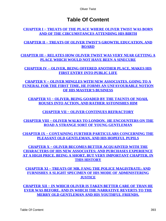# **Table Of Content**

**[CHAPTER I − TREATS OF THE PLACE WHERE OLIVER TWIST WAS BORN](#page-3-0) [AND OF THE CIRCUMSTANCES ATTENDING HIS BIRTH](#page-3-0)**

**[CHAPTER II − TREATS OF OLIVER TWIST'S GROWTH, EDUCATION, AND](#page-6-0) [BOARD](#page-6-0)**

**[CHAPTER III − RELATES HOW OLIVER TWIST WAS VERY NEAR GETTING A](#page-15-0) [PLACE WHICH WOULD NOT HAVE BEEN A SINECURE](#page-15-0)**

**[CHAPTER IV − OLIVER, BEING OFFERED ANOTHER PLACE, MAKES HIS](#page-23-0) [FIRST ENTRY INTO PUBLIC LIFE](#page-23-0)**

**[CHAPTER V − OLIVER MINGLES WITH NEW ASSOCIATES. GOING TO A](#page-29-0) [FUNERAL FOR THE FIRST TIME, HE FORMS AN UNFAVOURABLE NOTION](#page-29-0) [OF HIS MASTER'S BUSINESS](#page-29-0)**

**[CHAPTER VI − OLIVER, BEING GOADED BY THE TAUNTS OF NOAH,](#page-39-0) [ROUSES INTO ACTION, AND RATHER ASTONISHES HIM](#page-39-0)**

**[CHAPTER VII − OLIVER CONTINUES REFRACTORY](#page-43-0)**

**[CHAPTER VIII − OLIVER WALKS TO LONDON. HE ENCOUNTERS ON THE](#page-49-0) [ROAD A STRANGE SORT OF YOUNG GENTLEMAN](#page-49-0)**

**[CHAPTER IX − CONTAINING FURTHER PARTICULARS CONCERNING THE](#page-56-0) [PLEASANT OLD GENTLEMAN, AND HIS HOPEFUL PUPILS](#page-56-0)**

**[CHAPTER X − OLIVER BECOMES BETTER ACQUAINTED WITH THE](#page-62-0) [CHARACTERS OF HIS NEW ASSOCIATES; AND PURCHASES EXPERIENCE](#page-62-0) [AT A HIGH PRICE. BEING A SHORT, BUT VERY IMPORTANT CHAPTER, IN](#page-62-0) [THIS HISTORY](#page-62-0)**

**[CHAPTER XI − TREATS OF MR. FANG THE POLICE MAGISTRATE; AND](#page-67-0) [FURNISHES A SLIGHT SPECIMEN OF HIS MODE OF ADMINISTERING](#page-67-0) [JUSTICE](#page-67-0)**

**[CHAPTER XII − IN WHICH OLIVER IS TAKEN BETTER CARE OF THAN HE](#page-74-0) [EVER WAS BEFORE. AND IN WHICH THE NARRATIVE REVERTS TO THE](#page-74-0) [MERRY OLD GENTLEMAN AND HIS YOUTHFUL FRIENDS.](#page-74-0)**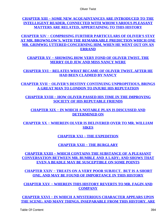**[CHAPTER XIII − SOME NEW ACQUAINTANCES ARE INTRODUCED TO THE](#page-82-0) [INTELLIGENT READER, CONNECTED WITH WHOM VARIOUS PLEASANT](#page-82-0) [MATTERS ARE RELATED, APPERTAINING TO THIS HISTORY](#page-82-0)**

**[CHAPTER XIV − COMPRISING FURTHER PARTICULARS OF OLIVER'S STAY](#page-89-0) [AT MR. BROWNLOW'S, WITH THE REMARKABLE PREDICTION WHICH ONE](#page-89-0) [MR. GRIMWIG UTTERED CONCERNING HIM, WHEN HE WENT OUT ON AN](#page-89-0) [ERRAND](#page-89-0)**

**[CHAPTER XV − SHOWING HOW VERY FOND OF OLIVER TWIST, THE](#page-98-0) [MERRY OLD JEW AND MISS NANCY WERE](#page-98-0)**

**[CHAPTER XVI − RELATES WHAT BECAME OF OLIVER TWIST, AFTER HE](#page-104-0) [HAD BEEN CLAIMED BY NANCY](#page-104-0)**

**[CHAPTER XVII − OLIVER'S DESTINY CONTINUING UNPROPITIOUS, BRINGS](#page-113-0) [A GREAT MAN TO LONDON TO INJURE HIS REPUTATION](#page-113-0)**

**[CHAPTER XVIII − HOW OLIVER PASSED HIS TIME IN THE IMPROVING](#page-122-0) [SOCIETY OF HIS REPUTABLE FRIENDS](#page-122-0)**

**[CHAPTER XIX − IN WHICH A NOTABLE PLAN IS DISCUSSED AND](#page-129-0) [DETERMINED ON](#page-129-0)**

**[CHAPTER XX − WHEREIN OLVER IS DELIVERED OVER TO MR. WILLIAM](#page-138-0) [SIKES](#page-138-0)**

**[CHAPTER XXI − THE EXPEDITION](#page-146-0)**

**[CHAPTER XXII − THE BURGLARY](#page-151-0)**

**[CHAPTER XXIII − WHICH CONTAINS THE SUBSTANCE OF A PLEASANT](#page-157-0) [CONVERSATION BETWEEN MR. BUMBLE AND A LADY; AND SHOWS THAT](#page-157-0) [EVEN A BEADLE MAY BE SUSCEPTIBLE ON SOME POINTS](#page-157-0)**

**[CHAPTER XXIV − TREATS ON A VERY POOR SUBJECT. BUT IS A SHORT](#page-164-0) [ONE, AND MAY BE FOUND OF IMPORTANCE IN THIS HISTORY](#page-164-0)**

**[CHAPTER XXV − WHEREIN THIS HISTORY REVERTS TO MR. FAGIN AND](#page-169-0) [COMPANY](#page-169-0)**

**[CHAPTER XXVI − IN WHICH A MYSTERIOUS CHARACTER APPEARS UPON](#page-175-0) [THE SCENE; AND MANY THINGS, INSEPARABLE FROM THIS HISTORY, ARE](#page-175-0)**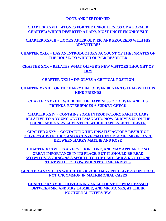**[DONE AND PERFORMED](#page-175-0)**

### **[CHAPTER XXVII − ATONES FOR THE UNPOLITENESS OF A FORMER](#page-186-0) [CHAPTER; WHICH DESERTED A LADY, MOST UNCEREMONIOUSLY](#page-186-0)**

## **[CHAPTER XXVIII − LOOKS AFTER OLIVER, AND PROCEEDS WITH HIS](#page-193-0) [ADVENTURES](#page-193-0)**

**[CHAPTER XXIX − HAS AN INTRODUCTORY ACCOUNT OF THE INMATES OF](#page-201-0) [THE HOUSE, TO WHICH OLIVER RESORTED](#page-201-0)**

**[CHAPTER XXX − RELATES WHAT OLIVER'S NEW VISITORS THOUGHT OF](#page-205-0) [HIM](#page-205-0)**

## **[CHAPTER XXXI − INVOLVES A CRITICAL POSITION](#page-211-0)**

**[CHAPTER XXXII − OF THE HAPPY LIFE OLIVER BEGAN TO LEAD WITH HIS](#page-220-0) [KIND FRIENDS](#page-220-0)**

**[CHAPTER XXXIII − WHEREIN THE HAPPINESS OF OLIVER AND HIS](#page-227-0) [FRIENDS, EXPERIENCES A SUDDEN CHECK](#page-227-0)**

**[CHAPTER XXIV − CONTAINS SOME INTRODUCTORY PARTICULARS](#page-235-0) [RELATIVE TO A YOUNG GENTLEMAN WHO NOW ARRIVES UPON THE](#page-235-0) [SCENE; AND A NEW ADVENTURE WHICH HAPPENED TO OLIVER](#page-235-0)**

**[CHAPTER XXXV − CONTAINING THE UNSATISFACTORY RESULT OF](#page-243-0) [OLIVER'S ADVENTURE; AND A CONVERSATION OF SOME IMPORTANCE](#page-243-0) [BETWEEN HARRY MAYLIE AND ROSE](#page-243-0)**

**[CHAPTER XXXVI − IS A VERY SHORT ONE, AND MAY APPEAR OF NO](#page-250-0) [GREAT IMPORTANCE IN ITS PLACE, BUT IT SHOULD BE READ](#page-250-0) [NOTWITHSTANDING, AS A SEQUEL TO THE LAST, AND A KEY TO ONE](#page-250-0) [THAT WILL FOLLOW WHEN ITS TIME ARRIVES](#page-250-0)**

**[CHAPTER XXXVII − IN WHICH THE READER MAY PERCEIVE A CONTRAST,](#page-253-0) [NOT UNCOMMON IN MATRIMONIAL CASES](#page-253-0)**

**[CHAPTER XXXVIII − CONTAINING AN ACCOUNT OF WHAT PASSED](#page-263-0) [BETWEEN MR. AND MRS. BUMBLE, AND MR. MONKS, AT THEIR](#page-263-0) [NOCTURNAL INTERVIEW](#page-263-0)**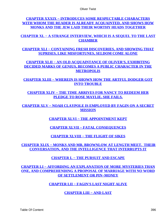Oliver Twist

**[CHAPTER XXXIX − INTRODUCES SOME RESPECTABLE CHARACTERS](#page-273-0) [WITH WHOM THE READER IS ALREADY ACQUAINTED, AND SHOWS HOW](#page-273-0) [MONKS AND THE JEW LAID THEIR WORTHY HEADS TOGETHER](#page-273-0)**

**[CHAPTER XL − A STRANGE INTERVIEW, WHICH IS A SEQUEL TO THE LAST](#page-286-0) [CHAMBER](#page-286-0)**

**[CHAPTER XLI − CONTAINING FRESH DISCOVERIES, AND SHOWING THAT](#page-292-0) [SUPRISES, LIKE MISFORTUNES, SELDOM COME ALONE](#page-292-0)**

**[CHAPTER XLII − AN OLD ACQUAINTANCE OF OLIVER'S, EXHIBITING](#page-300-0) [DECIDED MARKS OF GENIUS, BECOMES A PUBLIC CHARACTER IN THE](#page-300-0) [METROPOLIS](#page-300-0)**

**[CHAPTER XLIII − WHEREIN IS SHOWN HOW THE ARTFUL DODGER GOT](#page-310-0) [INTO TROUBLE](#page-310-0)**

**[CHAPTER XLIV − THE TIME ARRIVES FOR NANCY TO REDEEM HER](#page-320-0) [PLEDGE TO ROSE MAYLIE. SHE FAILS.](#page-320-0)**

**[CHAPTER XLV − NOAH CLAYPOLE IS EMPLOYED BY FAGIN ON A SECRET](#page-326-0) [MISSION](#page-326-0)**

**[CHAPTER XLVI − THE APPOINTMENT KEPT](#page-330-0)**

**[CHAPTER XLVII − FATAL CONSEQUENCES](#page-339-0)**

**[CHAPTER XLVIII − THE FLIGHT OF SIKES](#page-346-0)**

**[CHAPTER XLIX − MONKS AND MR. BROWNLOW AT LENGTH MEET. THEIR](#page-353-0) [CONVERSATION, AND THE INTELLIGENCE THAT INTERRUPTS IT](#page-353-0)**

**[CHAPTER L − THE PURSUIT AND ESCAPE](#page-362-0)**

**[CHAPTER LI − AFFORDING AN EXPLANATION OF MORE MYSTERIES THAN](#page-372-0) [ONE, AND COMPREHENDING A PROPOSAL OF MARRIAGE WITH NO WORD](#page-372-0) [OF SETTLEMENT OR PIN−MONEY](#page-372-0)**

**[CHAPTER LII − FAGIN'S LAST NIGHT ALIVE](#page-383-0)**

**[CHAPTER LIII − AND LAST](#page-390-0)**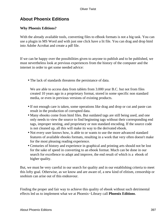# **About Phoenix Editions**

### **Why Phoenix Editions?**

With the already available tools, converting files to eBook formats is not a big task. You can use a plugin in MS Word and with just one click have a lit file. You can drag and drop html into Adobe Acrobat and create a pdf file.

If we can be happy over the possibilities given to anyone to publish and to be published, we must nevertheless look at previous experiences from the history of the computer and the internet in order to get some needed advice:

• The lack of standards threatens the persistance of data.

We are able to access data from tablets from 3.000 year B.C. but not from files created 10 years ago in a proprietary format, stored in some specific non standard media, or even in previous versions of existing products.

- If not enough care is taken, some operations like drag and drop or cut and paste can result in the production of corrupted data.
- Many ebooks come from html files. But outdated tags are still being used, and one only needs to view the source to find beginning tags without their corresponding end tags, improper nesting, and proprietary or non standard encoding. If the source code is not cleaned up, all this will make its way to the derivated ebook.
- Not every user knows how, is able to or wants to use the more advanced standard features of available ebooks formats, resulting in a work that very often doesn't make for the most pleasing reading experience.
- Centuries of history and experience in graphical and printing arts should not be lost for the sake of speed in converting to an ebook format. Much can be done in our search for excellence to adapt and improve, the end result of which is a ebook of higher quality.

But, we must be very careful in our search for quality and in our establishing criteria to meet this lofty goal. Otherwise, as we know and are aware of, a new kind of elitism, censorship or snobism can arise out of this endeavour.

Finding the proper and fair way to achieve this quality of ebook without such detrimental effects led us to implement what we at Phoenix−Library call **Phoenix Editions**.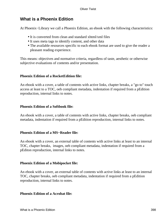# **What is a Phoenix Edition**

At Phoenix−Library we call a Phoenix Edition, an ebook with the following characteristics:

- It is converted from clean and standard xhtml/xml files
- It uses meta tags to identify content, and other data
- The available resources specific to each ebook format are used to give the reader a pleasant reading experience.

This means: objectives and normative criteria, regardless of taste, aesthetic or otherwise subjective evaluations of contents and/or presentation.

### **Phoenix Edition of a RocketEdition file:**

An ebook with a cover, a table of contents with active links, chapter breaks, a "go to" touch access at least to a TOC, oeb compliant metadata, indentation if required from a pEdition reproduction, internal links to notes.

### **Phoenix Edition of a Softbook file:**

An ebook with a cover, a table of contents with active links, chapter breaks, oeb compliant metadata, indentation if required from a pEdition reproduction, internal links to notes.

#### **Phoenix Edition of a MS−Reader file:**

An ebook with a cover, an external table of contents with active links at least to an internal TOC, chapter breaks, images, oeb compliant metadata, indentation if required from a pEditon reproduction, internal links to notes.

#### **Phoenix Edition of a Mobipocket file:**

An ebook with a cover, an external table of contents with active links at least to an internal TOC, chapter breaks, oeb compliant metadata, indentation if required from a pEdition reproduction, internal links to notes.

#### **Phoenix Edition of a Acrobat file:**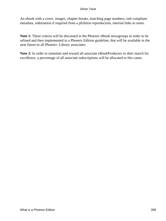#### Oliver Twist

An ebook with a cover, images, chapter breaks, matching page numbers, oeb compliant metadata, indentation if required from a pEdition reproduction, internal links to notes.

**Note 1:** These criteria will be discussed in the Phoenix eBook newsgroups in order to be refined and then implemented in a Phoenix Edition guideline, that will be available in the near future to all Phoenix−Library associates.

**Note 2:** In order to stimulate and reward all associate eBookProducers in their search for excellence, a percentage of all associate subscriptions will be allocated to this cause.